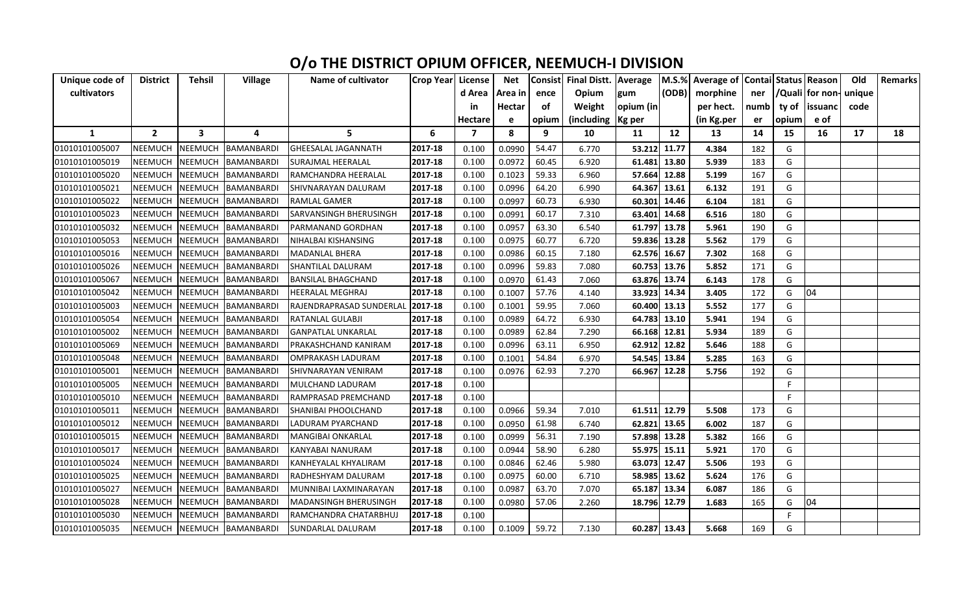## **O/o THE DISTRICT OPIUM OFFICER, NEEMUCH-I DIVISION**

| Unique code of | <b>District</b> | <b>Tehsil</b>  | <b>Village</b>             | Name of cultivator            | Crop Year License |                         | <b>Net</b> |       | Consist Final Distt. | Average      |                       | M.S.% Average of Contai Status Reason |      |       |                       | Old  | Remarks |
|----------------|-----------------|----------------|----------------------------|-------------------------------|-------------------|-------------------------|------------|-------|----------------------|--------------|-----------------------|---------------------------------------|------|-------|-----------------------|------|---------|
| cultivators    |                 |                |                            |                               |                   | d Area                  | Area in    | ence  | Opium                | gum          | $\vert$ (ODB) $\vert$ | morphine                              | ner  |       | /Quali for non-unique |      |         |
|                |                 |                |                            |                               |                   | in                      | Hectar     | of    | Weight               | opium (in    |                       | per hect.                             | numb | ty of | issuanc               | code |         |
|                |                 |                |                            |                               |                   | Hectare                 | e          | opium | (including   Kg per  |              |                       | (in Kg.per                            | er   | opium | e of                  |      |         |
| 1              | $\mathbf{2}$    | 3              | 4                          | 5                             | 6                 | $\overline{\mathbf{z}}$ | 8          | 9     | 10                   | 11           | 12                    | 13                                    | 14   | 15    | 16                    | 17   | 18      |
| 01010101005007 | <b>NEEMUCH</b>  | <b>NEEMUCH</b> | <b>BAMANBARDI</b>          | <b>GHEESALAL JAGANNATH</b>    | 2017-18           | 0.100                   | 0.0990     | 54.47 | 6.770                | 53.212       | 11.77                 | 4.384                                 | 182  | G     |                       |      |         |
| 01010101005019 | <b>NEEMUCH</b>  | <b>NEEMUCH</b> | <b>BAMANBARDI</b>          | <b>SURAJMAL HEERALAL</b>      | 2017-18           | 0.100                   | 0.0972     | 60.45 | 6.920                | 61.481       | 13.80                 | 5.939                                 | 183  | G     |                       |      |         |
| 01010101005020 | <b>NEEMUCH</b>  | <b>NEEMUCH</b> | BAMANBARDI                 | RAMCHANDRA HEERALAL           | 2017-18           | 0.100                   | 0.1023     | 59.33 | 6.960                | 57.664 12.88 |                       | 5.199                                 | 167  | G     |                       |      |         |
| 01010101005021 | <b>NEEMUCH</b>  | <b>NEEMUCH</b> | BAMANBARDI                 | SHIVNARAYAN DALURAM           | 2017-18           | 0.100                   | 0.0996     | 64.20 | 6.990                | 64.367       | 13.61                 | 6.132                                 | 191  | G     |                       |      |         |
| 01010101005022 | <b>NEEMUCH</b>  | <b>NEEMUCH</b> | <b>BAMANBARDI</b>          | <b>RAMLAL GAMER</b>           | 2017-18           | 0.100                   | 0.0997     | 60.73 | 6.930                | 60.301       | 14.46                 | 6.104                                 | 181  | G     |                       |      |         |
| 01010101005023 | <b>NEEMUCH</b>  | <b>NEEMUCH</b> | <b>BAMANBARDI</b>          | <b>SARVANSINGH BHERUSINGH</b> | 2017-18           | 0.100                   | 0.0991     | 60.17 | 7.310                | 63.401 14.68 |                       | 6.516                                 | 180  | G     |                       |      |         |
| 01010101005032 | <b>NEEMUCH</b>  | <b>NEEMUCH</b> | <b>BAMANBARDI</b>          | <b>PARMANAND GORDHAN</b>      | 2017-18           | 0.100                   | 0.0957     | 63.30 | 6.540                | 61.797 13.78 |                       | 5.961                                 | 190  | G     |                       |      |         |
| 01010101005053 | <b>NEEMUCH</b>  | <b>NEEMUCH</b> | <b>BAMANBARDI</b>          | NIHALBAI KISHANSING           | 2017-18           | 0.100                   | 0.0975     | 60.77 | 6.720                | 59.836 13.28 |                       | 5.562                                 | 179  | G     |                       |      |         |
| 01010101005016 | <b>NEEMUCH</b>  | <b>NEEMUCH</b> | <b>BAMANBARD</b>           | <b>MADANLAL BHERA</b>         | 2017-18           | 0.100                   | 0.0986     | 60.15 | 7.180                | 62.576 16.67 |                       | 7.302                                 | 168  | G     |                       |      |         |
| 01010101005026 | <b>NEEMUCH</b>  | <b>NEEMUCH</b> | <b>BAMANBARD</b>           | SHANTILAL DALURAM             | 2017-18           | 0.100                   | 0.0996     | 59.83 | 7.080                |              | 60.753 13.76          | 5.852                                 | 171  | G     |                       |      |         |
| 01010101005067 | <b>NEEMUCH</b>  | <b>NEEMUCH</b> | <b>BAMANBARD</b>           | <b>BANSILAL BHAGCHAND</b>     | 2017-18           | 0.100                   | 0.0970     | 61.43 | 7.060                | 63.876 13.74 |                       | 6.143                                 | 178  | G     |                       |      |         |
| 01010101005042 | <b>NEEMUCH</b>  | <b>NEEMUCH</b> | BAMANBARDI                 | <b>HEERALAL MEGHRAJ</b>       | 2017-18           | 0.100                   | 0.1007     | 57.76 | 4.140                | 33.923 14.34 |                       | 3.405                                 | 172  | G     | 04                    |      |         |
| 01010101005003 | <b>NEEMUCH</b>  | <b>NEEMUCH</b> | <b>BAMANBARDI</b>          | RAJENDRAPRASAD SUNDERLAI      | 2017-18           | 0.100                   | 0.1001     | 59.95 | 7.060                | 60.400 13.13 |                       | 5.552                                 | 177  | G     |                       |      |         |
| 01010101005054 | <b>NEEMUCH</b>  | <b>NEEMUCH</b> | <b>BAMANBARDI</b>          | <b>RATANLAL GULABJI</b>       | 2017-18           | 0.100                   | 0.0989     | 64.72 | 6.930                | 64.783 13.10 |                       | 5.941                                 | 194  | G     |                       |      |         |
| 01010101005002 | <b>NEEMUCH</b>  | <b>NEEMUCH</b> | <b>BAMANBARDI</b>          | <b>GANPATLAL UNKARLAL</b>     | 2017-18           | 0.100                   | 0.0989     | 62.84 | 7.290                | 66.168 12.81 |                       | 5.934                                 | 189  | G     |                       |      |         |
| 01010101005069 | <b>NEEMUCH</b>  | <b>NEEMUCH</b> | BAMANBARDI                 | PRAKASHCHAND KANIRAM          | 2017-18           | 0.100                   | 0.0996     | 63.11 | 6.950                | 62.912 12.82 |                       | 5.646                                 | 188  | G     |                       |      |         |
| 01010101005048 | <b>NEEMUCH</b>  | <b>NEEMUCH</b> | <b>BAMANBARDI</b>          | <b>OMPRAKASH LADURAM</b>      | 2017-18           | 0.100                   | 0.1001     | 54.84 | 6.970                | 54.545 13.84 |                       | 5.285                                 | 163  | G     |                       |      |         |
| 01010101005001 | <b>NEEMUCH</b>  | <b>NEEMUCH</b> | BAMANBARDI                 | SHIVNARAYAN VENIRAM           | 2017-18           | 0.100                   | 0.0976     | 62.93 | 7.270                | 66.967       | 12.28                 | 5.756                                 | 192  | G     |                       |      |         |
| 01010101005005 | <b>NEEMUCH</b>  | <b>NEEMUCH</b> | <b>BAMANBARD</b>           | MULCHAND LADURAM              | 2017-18           | 0.100                   |            |       |                      |              |                       |                                       |      | F     |                       |      |         |
| 01010101005010 | <b>NEEMUCH</b>  | <b>NEEMUCH</b> | <b>BAMANBARDI</b>          | RAMPRASAD PREMCHAND           | 2017-18           | 0.100                   |            |       |                      |              |                       |                                       |      | F     |                       |      |         |
| 01010101005011 | <b>NEEMUCH</b>  | <b>NEEMUCH</b> | <b>BAMANBARDI</b>          | SHANIBAI PHOOLCHAND           | 2017-18           | 0.100                   | 0.0966     | 59.34 | 7.010                | 61.511       | 12.79                 | 5.508                                 | 173  | G     |                       |      |         |
| 01010101005012 | <b>NEEMUCH</b>  | <b>NEEMUCH</b> | <b>BAMANBARD</b>           | LADURAM PYARCHAND             | 2017-18           | 0.100                   | 0.0950     | 61.98 | 6.740                | 62.821       | 13.65                 | 6.002                                 | 187  | G     |                       |      |         |
| 01010101005015 | <b>NEEMUCH</b>  | <b>NEEMUCH</b> | BAMANBARDI                 | <b>MANGIBAI ONKARLAL</b>      | 2017-18           | 0.100                   | 0.0999     | 56.31 | 7.190                | 57.898 13.28 |                       | 5.382                                 | 166  | G     |                       |      |         |
| 01010101005017 | <b>NEEMUCH</b>  | <b>NEEMUCH</b> | <b>BAMANBARDI</b>          | KANYABAI NANURAM              | 2017-18           | 0.100                   | 0.0944     | 58.90 | 6.280                | 55.975 15.11 |                       | 5.921                                 | 170  | G     |                       |      |         |
| 01010101005024 | <b>NEEMUCH</b>  | <b>NEEMUCH</b> | <b>BAMANBARDI</b>          | KANHEYALAL KHYALIRAM          | 2017-18           | 0.100                   | 0.0846     | 62.46 | 5.980                | 63.073 12.47 |                       | 5.506                                 | 193  | G     |                       |      |         |
| 01010101005025 | <b>NEEMUCH</b>  | <b>NEEMUCH</b> | <b>BAMANBARDI</b>          | RADHESHYAM DALURAM            | 2017-18           | 0.100                   | 0.0975     | 60.00 | 6.710                | 58.985 13.62 |                       | 5.624                                 | 176  | G     |                       |      |         |
| 01010101005027 | <b>NEEMUCH</b>  | <b>NEEMUCH</b> | <b>BAMANBARD</b>           | MUNNIBAI LAXMINARAYAN         | 2017-18           | 0.100                   | 0.0987     | 63.70 | 7.070                | 65.187       | 13.34                 | 6.087                                 | 186  | G     |                       |      |         |
| 01010101005028 | <b>NEEMUCH</b>  | <b>NEEMUCH</b> | <b>BAMANBARD</b>           | <b>MADANSINGH BHERUSINGH</b>  | 2017-18           | 0.100                   | 0.0980     | 57.06 | 2.260                | 18.796 12.79 |                       | 1.683                                 | 165  | G     | 04                    |      |         |
| 01010101005030 | <b>NEEMUCH</b>  | <b>NEEMUCH</b> | <b>BAMANBARD</b>           | RAMCHANDRA CHATARBHUJ         | 2017-18           | 0.100                   |            |       |                      |              |                       |                                       |      | F     |                       |      |         |
| 01010101005035 |                 |                | NEEMUCH NEEMUCH BAMANBARDI | <b>SUNDARLAL DALURAM</b>      | 2017-18           | 0.100                   | 0.1009     | 59.72 | 7.130                |              | 60.287 13.43          | 5.668                                 | 169  | G     |                       |      |         |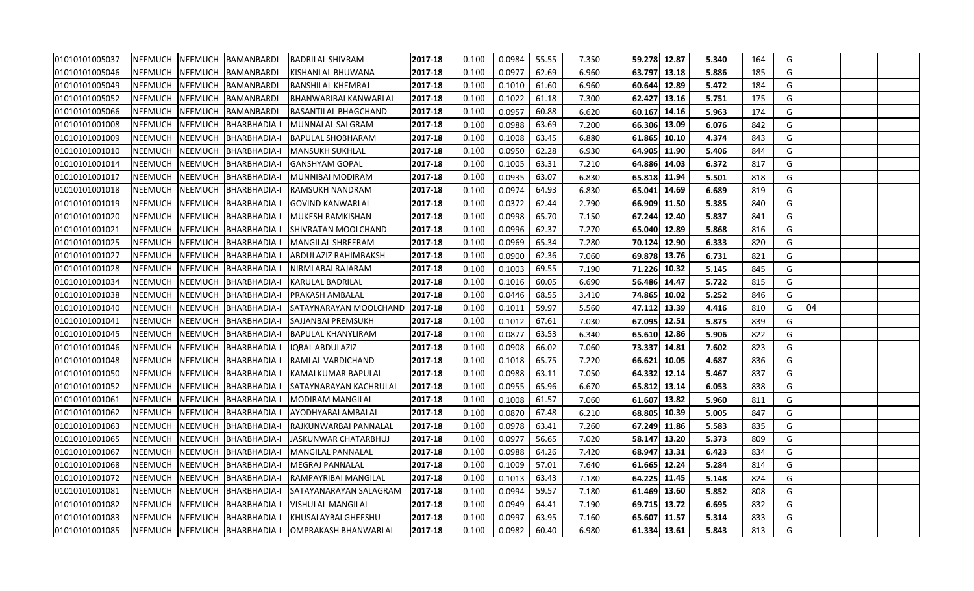| 01010101005037 | NEEMUCH        |                | NEEMUCH BAMANBARDI  | <b>BADRILAL SHIVRAM</b>                              | 2017-18 | 0.100 | 0.0984 | 55.55 | 7.350 | 59.278 12.87 |              | 5.340 | 164 | G |    |  |
|----------------|----------------|----------------|---------------------|------------------------------------------------------|---------|-------|--------|-------|-------|--------------|--------------|-------|-----|---|----|--|
| 01010101005046 | <b>NEEMUCH</b> | <b>NEEMUCH</b> | BAMANBARDI          | KISHANLAL BHUWANA                                    | 2017-18 | 0.100 | 0.0977 | 62.69 | 6.960 |              | 63.797 13.18 | 5.886 | 185 | G |    |  |
| 01010101005049 | <b>NEEMUCH</b> | <b>NEEMUCH</b> | BAMANBARDI          | <b>BANSHILAL KHEMRAJ</b>                             | 2017-18 | 0.100 | 0.1010 | 61.60 | 6.960 | 60.644 12.89 |              | 5.472 | 184 | G |    |  |
| 01010101005052 | <b>NEEMUCH</b> | <b>NEEMUCH</b> | BAMANBARDI          | BHANWARIBAI KANWARLAL                                | 2017-18 | 0.100 | 0.1022 | 61.18 | 7.300 |              | 62.427 13.16 | 5.751 | 175 | G |    |  |
| 01010101005066 | <b>NEEMUCH</b> | <b>NEEMUCH</b> | <b>IBAMANBARDI</b>  | BASANTILAL BHAGCHAND                                 | 2017-18 | 0.100 | 0.0957 | 60.88 | 6.620 |              | 60.167 14.16 | 5.963 | 174 | G |    |  |
| 01010101001008 | <b>NEEMUCH</b> | <b>NEEMUCH</b> | <b>BHARBHADIA-I</b> | MUNNALAL SALGRAM                                     | 2017-18 | 0.100 | 0.0988 | 63.69 | 7.200 | 66.306 13.09 |              | 6.076 | 842 | G |    |  |
| 01010101001009 | <b>NEEMUCH</b> | <b>NEEMUCH</b> | BHARBHADIA-I        | <b>BAPULAL SHOBHARAM</b>                             | 2017-18 | 0.100 | 0.1008 | 63.45 | 6.880 | 61.865 10.10 |              | 4.374 | 843 | G |    |  |
| 01010101001010 | <b>NEEMUCH</b> | <b>NEEMUCH</b> | BHARBHADIA-I        | <b>MANSUKH SUKHLAL</b>                               | 2017-18 | 0.100 | 0.0950 | 62.28 | 6.930 | 64.905 11.90 |              | 5.406 | 844 | G |    |  |
| 01010101001014 | <b>NEEMUCH</b> | <b>NEEMUCH</b> | BHARBHADIA-I        | <b>GANSHYAM GOPAL</b>                                | 2017-18 | 0.100 | 0.1005 | 63.31 | 7.210 | 64.886 14.03 |              | 6.372 | 817 | G |    |  |
| 01010101001017 | <b>NEEMUCH</b> | <b>NEEMUCH</b> | <b>BHARBHADIA-I</b> | MUNNIBAI MODIRAM                                     | 2017-18 | 0.100 | 0.0935 | 63.07 | 6.830 | 65.818 11.94 |              | 5.501 | 818 | G |    |  |
| 01010101001018 | <b>NEEMUCH</b> | <b>NEEMUCH</b> | BHARBHADIA-I        | RAMSUKH NANDRAM                                      | 2017-18 | 0.100 | 0.0974 | 64.93 | 6.830 | 65.041       | 14.69        | 6.689 | 819 | G |    |  |
| 01010101001019 | <b>NEEMUCH</b> | <b>NEEMUCH</b> | BHARBHADIA-I        | GOVIND KANWARLAL                                     | 2017-18 | 0.100 | 0.0372 | 62.44 | 2.790 | 66.909 11.50 |              | 5.385 | 840 | G |    |  |
| 01010101001020 | <b>NEEMUCH</b> | <b>NEEMUCH</b> | BHARBHADIA-I        | MUKESH RAMKISHAN                                     | 2017-18 | 0.100 | 0.0998 | 65.70 | 7.150 | 67.244 12.40 |              | 5.837 | 841 | G |    |  |
| 01010101001021 | <b>NEEMUCH</b> | <b>NEEMUCH</b> | BHARBHADIA-I        | SHIVRATAN MOOLCHAND                                  | 2017-18 | 0.100 | 0.0996 | 62.37 | 7.270 | 65.040 12.89 |              | 5.868 | 816 | G |    |  |
| 01010101001025 | <b>NEEMUCH</b> | <b>NEEMUCH</b> | BHARBHADIA-I        | MANGILAL SHREERAM                                    | 2017-18 | 0.100 | 0.0969 | 65.34 | 7.280 | 70.124 12.90 |              | 6.333 | 820 | G |    |  |
| 01010101001027 | <b>NEEMUCH</b> | <b>NEEMUCH</b> | BHARBHADIA-I        | ABDULAZIZ RAHIMBAKSH                                 | 2017-18 | 0.100 | 0.0900 | 62.36 | 7.060 |              | 69.878 13.76 | 6.731 | 821 | G |    |  |
| 01010101001028 | <b>NEEMUCH</b> | <b>NEEMUCH</b> | <b>BHARBHADIA-I</b> | NIRMLABAI RAJARAM                                    | 2017-18 | 0.100 | 0.1003 | 69.55 | 7.190 | 71.226       | 10.32        | 5.145 | 845 | G |    |  |
| 01010101001034 | <b>NEEMUCH</b> | <b>NEEMUCH</b> | <b>BHARBHADIA-I</b> | KARULAL BADRILAL                                     | 2017-18 | 0.100 | 0.1016 | 60.05 | 6.690 | 56.486 14.47 |              | 5.722 | 815 | G |    |  |
| 01010101001038 | <b>NEEMUCH</b> | <b>NEEMUCH</b> | <b>BHARBHADIA-I</b> | PRAKASH AMBALAL                                      | 2017-18 | 0.100 | 0.0446 | 68.55 | 3.410 | 74.865 10.02 |              | 5.252 | 846 | G |    |  |
| 01010101001040 | <b>NEEMUCH</b> | <b>NEEMUCH</b> | BHARBHADIA-I        | SATAYNARAYAN MOOLCHAND                               | 2017-18 | 0.100 | 0.1011 | 59.97 | 5.560 | 47.112 13.39 |              | 4.416 | 810 | G | 04 |  |
| 01010101001041 | <b>NEEMUCH</b> | <b>NEEMUCH</b> | BHARBHADIA-I        | SAJJANBAI PREMSUKH                                   | 2017-18 | 0.100 | 0.1012 | 67.61 | 7.030 | 67.095 12.51 |              | 5.875 | 839 | G |    |  |
| 01010101001045 | <b>NEEMUCH</b> | <b>NEEMUCH</b> | BHARBHADIA-I        | <b>BAPULAL KHANYLIRAM</b>                            | 2017-18 | 0.100 | 0.0877 | 63.53 | 6.340 | 65.610 12.86 |              | 5.906 | 822 | G |    |  |
| 01010101001046 | <b>NEEMUCH</b> | <b>NEEMUCH</b> | BHARBHADIA-I        | IQBAL ABDULAZIZ                                      | 2017-18 | 0.100 | 0.0908 | 66.02 | 7.060 | 73.337 14.81 |              | 7.602 | 823 | G |    |  |
| 01010101001048 | <b>NEEMUCH</b> | <b>NEEMUCH</b> | <b>BHARBHADIA-I</b> | RAMLAL VARDICHAND                                    | 2017-18 | 0.100 | 0.1018 | 65.75 | 7.220 | 66.621 10.05 |              | 4.687 | 836 | G |    |  |
| 01010101001050 | <b>NEEMUCH</b> | NEEMUCH        | <b>BHARBHADIA-I</b> | KAMALKUMAR BAPULAL                                   | 2017-18 | 0.100 | 0.0988 | 63.11 | 7.050 | 64.332 12.14 |              | 5.467 | 837 | G |    |  |
| 01010101001052 | <b>NEEMUCH</b> | <b>NEEMUCH</b> | BHARBHADIA-I        | SATAYNARAYAN KACHRULAL                               | 2017-18 | 0.100 | 0.0955 | 65.96 | 6.670 | 65.812 13.14 |              | 6.053 | 838 | G |    |  |
| 01010101001061 | <b>NEEMUCH</b> | <b>NEEMUCH</b> | BHARBHADIA-I        | <b>MODIRAM MANGILAL</b>                              | 2017-18 | 0.100 | 0.1008 | 61.57 | 7.060 | 61.607 13.82 |              | 5.960 | 811 | G |    |  |
| 01010101001062 | <b>NEEMUCH</b> | <b>NEEMUCH</b> | BHARBHADIA-I        | AYODHYABAI AMBALAL                                   | 2017-18 | 0.100 | 0.0870 | 67.48 | 6.210 | 68.805 10.39 |              | 5.005 | 847 | G |    |  |
| 01010101001063 | <b>NEEMUCH</b> | <b>NEEMUCH</b> | BHARBHADIA-I        | RAJKUNWARBAI PANNALAL                                | 2017-18 | 0.100 | 0.0978 | 63.41 | 7.260 | 67.249 11.86 |              | 5.583 | 835 | G |    |  |
| 01010101001065 | NEEMUCH        | <b>NEEMUCH</b> | BHARBHADIA-I        | JASKUNWAR CHATARBHUJ                                 | 2017-18 | 0.100 | 0.0977 | 56.65 | 7.020 | 58.147 13.20 |              | 5.373 | 809 | G |    |  |
| 01010101001067 | <b>NEEMUCH</b> | <b>NEEMUCH</b> | BHARBHADIA-I        | <b>MANGILAL PANNALAL</b>                             | 2017-18 | 0.100 | 0.0988 | 64.26 | 7.420 | 68.947 13.31 |              | 6.423 | 834 | G |    |  |
| 01010101001068 | <b>NEEMUCH</b> | <b>NEEMUCH</b> | BHARBHADIA-I        | <b>MEGRAJ PANNALAL</b>                               | 2017-18 | 0.100 | 0.1009 | 57.01 | 7.640 | 61.665 12.24 |              | 5.284 | 814 | G |    |  |
| 01010101001072 | <b>NEEMUCH</b> | <b>NEEMUCH</b> | BHARBHADIA-I        | RAMPAYRIBAI MANGILAL                                 | 2017-18 | 0.100 | 0.1013 | 63.43 | 7.180 | 64.225 11.45 |              | 5.148 | 824 | G |    |  |
| 01010101001081 | <b>NEEMUCH</b> | <b>NEEMUCH</b> | BHARBHADIA-I        | SATAYANARAYAN SALAGRAM                               | 2017-18 | 0.100 | 0.0994 | 59.57 | 7.180 | 61.469 13.60 |              | 5.852 | 808 | G |    |  |
| 01010101001082 | <b>NEEMUCH</b> | <b>NEEMUCH</b> | BHARBHADIA-I        | <b>VISHULAL MANGILAL</b>                             | 2017-18 | 0.100 | 0.0949 | 64.41 | 7.190 | 69.715 13.72 |              | 6.695 | 832 | G |    |  |
| 01010101001083 | <b>NEEMUCH</b> | <b>NEEMUCH</b> | BHARBHADIA-I        | KHUSALAYBAI GHEESHU                                  | 2017-18 | 0.100 | 0.0997 | 63.95 | 7.160 | 65.607 11.57 |              | 5.314 | 833 | G |    |  |
| 01010101001085 |                |                |                     | NEEMUCH  NEEMUCH  BHARBHADIA-I  OMPRAKASH BHANWARLAL | 2017-18 | 0.100 | 0.0982 | 60.40 | 6.980 | 61.334 13.61 |              | 5.843 | 813 | G |    |  |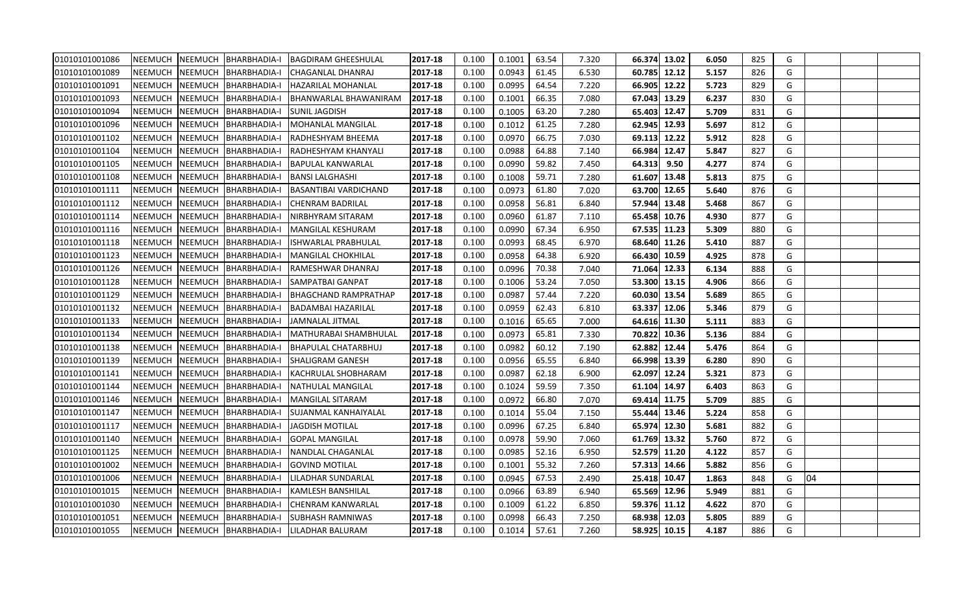| 01010101001086 | <b>NEEMUCH</b> | NEEMUCH        | BHARBHADIA-I                 | <b>BAGDIRAM GHEESHULAL</b>   | 2017-18 | 0.100 | 0.1001 | 63.54 | 7.320 |              | 66.374 13.02 | 6.050 | 825 | G |    |  |
|----------------|----------------|----------------|------------------------------|------------------------------|---------|-------|--------|-------|-------|--------------|--------------|-------|-----|---|----|--|
| 01010101001089 | NEEMUCH        | <b>NEEMUCH</b> | <b>BHARBHADIA-I</b>          | CHAGANLAL DHANRAJ            | 2017-18 | 0.100 | 0.0943 | 61.45 | 6.530 |              | 60.785 12.12 | 5.157 | 826 | G |    |  |
| 01010101001091 | NEEMUCH        | <b>NEEMUCH</b> | BHARBHADIA-I                 | <b>HAZARILAL MOHANLAL</b>    | 2017-18 | 0.100 | 0.0995 | 64.54 | 7.220 |              | 66.905 12.22 | 5.723 | 829 | G |    |  |
| 01010101001093 | NEEMUCH        | <b>NEEMUCH</b> | <b>BHARBHADIA-I</b>          | BHANWARLAL BHAWANIRAM        | 2017-18 | 0.100 | 0.1001 | 66.35 | 7.080 |              | 67.043 13.29 | 6.237 | 830 | G |    |  |
| 01010101001094 | <b>NEEMUCH</b> | <b>NEEMUCH</b> | BHARBHADIA-I                 | ISUNIL JAGDISH               | 2017-18 | 0.100 | 0.1005 | 63.20 | 7.280 | 65.403 12.47 |              | 5.709 | 831 | G |    |  |
| 01010101001096 | <b>NEEMUCH</b> | <b>NEEMUCH</b> | <b>BHARBHADIA-I</b>          | MOHANLAL MANGILAL            | 2017-18 | 0.100 | 0.1012 | 61.25 | 7.280 | 62.945 12.93 |              | 5.697 | 812 | G |    |  |
| 01010101001102 | <b>NEEMUCH</b> | <b>NEEMUCH</b> | <b>BHARBHADIA-I</b>          | <b>RADHESHYAM BHEEMA</b>     | 2017-18 | 0.100 | 0.0970 | 66.75 | 7.030 | 69.113       | 12.22        | 5.912 | 828 | G |    |  |
| 01010101001104 | <b>NEEMUCH</b> | <b>NEEMUCH</b> | <b>BHARBHADIA-I</b>          | RADHESHYAM KHANYALI          | 2017-18 | 0.100 | 0.0988 | 64.88 | 7.140 | 66.984 12.47 |              | 5.847 | 827 | G |    |  |
| 01010101001105 | NEEMUCH        | <b>NEEMUCH</b> | <b>BHARBHADIA-I</b>          | <b>BAPULAL KANWARLAL</b>     | 2017-18 | 0.100 | 0.0990 | 59.82 | 7.450 | 64.313       | 9.50         | 4.277 | 874 | G |    |  |
| 01010101001108 | <b>NEEMUCH</b> | <b>NEEMUCH</b> | <b>BHARBHADIA-I</b>          | <b>BANSI LALGHASHI</b>       | 2017-18 | 0.100 | 0.1008 | 59.71 | 7.280 | 61.607 13.48 |              | 5.813 | 875 | G |    |  |
| 01010101001111 | <b>NEEMUCH</b> | <b>NEEMUCH</b> | <b>BHARBHADIA-I</b>          | <b>BASANTIBAI VARDICHAND</b> | 2017-18 | 0.100 | 0.0973 | 61.80 | 7.020 | 63.700       | 12.65        | 5.640 | 876 | G |    |  |
| 01010101001112 | <b>NEEMUCH</b> | <b>NEEMUCH</b> | <b>BHARBHADIA-I</b>          | <b>CHENRAM BADRILAL</b>      | 2017-18 | 0.100 | 0.0958 | 56.81 | 6.840 | 57.944 13.48 |              | 5.468 | 867 | G |    |  |
| 01010101001114 | NEEMUCH        | <b>NEEMUCH</b> | <b>BHARBHADIA-I</b>          | NIRBHYRAM SITARAM            | 2017-18 | 0.100 | 0.0960 | 61.87 | 7.110 | 65.458 10.76 |              | 4.930 | 877 | G |    |  |
| 01010101001116 | <b>NEEMUCH</b> | <b>NEEMUCH</b> | <b>BHARBHADIA-I</b>          | MANGILAL KESHURAM            | 2017-18 | 0.100 | 0.0990 | 67.34 | 6.950 | 67.535 11.23 |              | 5.309 | 880 | G |    |  |
| 01010101001118 | <b>NEEMUCH</b> | <b>NEEMUCH</b> | <b>BHARBHADIA-I</b>          | <b>ISHWARLAL PRABHULAL</b>   | 2017-18 | 0.100 | 0.0993 | 68.45 | 6.970 | 68.640 11.26 |              | 5.410 | 887 | G |    |  |
| 01010101001123 | NEEMUCH        | <b>NEEMUCH</b> | <b>BHARBHADIA-I</b>          | <b>MANGILAL CHOKHILAL</b>    | 2017-18 | 0.100 | 0.0958 | 64.38 | 6.920 | 66.430 10.59 |              | 4.925 | 878 | G |    |  |
| 01010101001126 | NEEMUCH        | <b>NEEMUCH</b> | <b>BHARBHADIA-I</b>          | RAMESHWAR DHANRAJ            | 2017-18 | 0.100 | 0.0996 | 70.38 | 7.040 | 71.064 12.33 |              | 6.134 | 888 | G |    |  |
| 01010101001128 | NEEMUCH        | <b>NEEMUCH</b> | BHARBHADIA-I                 | SAMPATBAI GANPAT             | 2017-18 | 0.100 | 0.1006 | 53.24 | 7.050 |              | 53.300 13.15 | 4.906 | 866 | G |    |  |
| 01010101001129 | NEEMUCH        | <b>NEEMUCH</b> | <b>BHARBHADIA-I</b>          | <b>BHAGCHAND RAMPRATHAP</b>  | 2017-18 | 0.100 | 0.0987 | 57.44 | 7.220 | 60.030 13.54 |              | 5.689 | 865 | G |    |  |
| 01010101001132 | NEEMUCH        | <b>NEEMUCH</b> | <b>BHARBHADIA-I</b>          | <b>BADAMBAI HAZARILAL</b>    | 2017-18 | 0.100 | 0.0959 | 62.43 | 6.810 | 63.337 12.06 |              | 5.346 | 879 | G |    |  |
| 01010101001133 | <b>NEEMUCH</b> | <b>NEEMUCH</b> | <b>BHARBHADIA-I</b>          | <b>JAMNALAL JITMAL</b>       | 2017-18 | 0.100 | 0.1016 | 65.65 | 7.000 | 64.616 11.30 |              | 5.111 | 883 | G |    |  |
| 01010101001134 | <b>NEEMUCH</b> | <b>NEEMUCH</b> | <b>BHARBHADIA-I</b>          | MATHURABAI SHAMBHULAL        | 2017-18 | 0.100 | 0.0973 | 65.81 | 7.330 | 70.822 10.36 |              | 5.136 | 884 | G |    |  |
| 01010101001138 | <b>NEEMUCH</b> | <b>NEEMUCH</b> | <b>BHARBHADIA-I</b>          | <b>BHAPULAL CHATARBHUJ</b>   | 2017-18 | 0.100 | 0.0982 | 60.12 | 7.190 | 62.882 12.44 |              | 5.476 | 864 | G |    |  |
| 01010101001139 | <b>NEEMUCH</b> | <b>NEEMUCH</b> | <b>BHARBHADIA-I</b>          | <b>SHALIGRAM GANESH</b>      | 2017-18 | 0.100 | 0.0956 | 65.55 | 6.840 | 66.998 13.39 |              | 6.280 | 890 | G |    |  |
| 01010101001141 | <b>NEEMUCH</b> | <b>NEEMUCH</b> | BHARBHADIA-I                 | <b>KACHRULAL SHOBHARAM</b>   | 2017-18 | 0.100 | 0.0987 | 62.18 | 6.900 | 62.097 12.24 |              | 5.321 | 873 | G |    |  |
| 01010101001144 | NEEMUCH        | <b>NEEMUCH</b> | BHARBHADIA-I                 | NATHULAL MANGILAL            | 2017-18 | 0.100 | 0.1024 | 59.59 | 7.350 | 61.104 14.97 |              | 6.403 | 863 | G |    |  |
| 01010101001146 | <b>NEEMUCH</b> | <b>NEEMUCH</b> | <b>BHARBHADIA-I</b>          | MANGILAL SITARAM             | 2017-18 | 0.100 | 0.0972 | 66.80 | 7.070 | 69.414 11.75 |              | 5.709 | 885 | G |    |  |
| 01010101001147 | <b>NEEMUCH</b> | <b>NEEMUCH</b> | <b>BHARBHADIA-I</b>          | SUJANMAL KANHAIYALAL         | 2017-18 | 0.100 | 0.1014 | 55.04 | 7.150 | 55.444 13.46 |              | 5.224 | 858 | G |    |  |
| 01010101001117 | <b>NEEMUCH</b> | <b>NEEMUCH</b> | <b>BHARBHADIA-I</b>          | JAGDISH MOTILAL              | 2017-18 | 0.100 | 0.0996 | 67.25 | 6.840 | 65.974 12.30 |              | 5.681 | 882 | G |    |  |
| 01010101001140 | <b>NEEMUCH</b> | <b>NEEMUCH</b> | <b>BHARBHADIA-I</b>          | <b>GOPAL MANGILAL</b>        | 2017-18 | 0.100 | 0.0978 | 59.90 | 7.060 | 61.769 13.32 |              | 5.760 | 872 | G |    |  |
| 01010101001125 | <b>NEEMUCH</b> | <b>NEEMUCH</b> | <b>BHARBHADIA-I</b>          | NANDLAL CHAGANLAL            | 2017-18 | 0.100 | 0.0985 | 52.16 | 6.950 | 52.579 11.20 |              | 4.122 | 857 | G |    |  |
| 01010101001002 | <b>NEEMUCH</b> | <b>NEEMUCH</b> | <b>BHARBHADIA-I</b>          | <b>GOVIND MOTILAL</b>        | 2017-18 | 0.100 | 0.1001 | 55.32 | 7.260 | 57.313 14.66 |              | 5.882 | 856 | G |    |  |
| 01010101001006 | <b>NEEMUCH</b> | <b>NEEMUCH</b> | <b>BHARBHADIA-I</b>          | LILADHAR SUNDARLAL           | 2017-18 | 0.100 | 0.0945 | 67.53 | 2.490 | 25.418 10.47 |              | 1.863 | 848 | G | 04 |  |
| 01010101001015 | <b>NEEMUCH</b> | <b>NEEMUCH</b> | <b>BHARBHADIA-I</b>          | <b>KAMLESH BANSHILAL</b>     | 2017-18 | 0.100 | 0.0966 | 63.89 | 6.940 | 65.569 12.96 |              | 5.949 | 881 | G |    |  |
| 01010101001030 | <b>NEEMUCH</b> | <b>NEEMUCH</b> | <b>BHARBHADIA-I</b>          | <b>CHENRAM KANWARLAL</b>     | 2017-18 | 0.100 | 0.1009 | 61.22 | 6.850 | 59.376 11.12 |              | 4.622 | 870 | G |    |  |
| 01010101001051 | <b>NEEMUCH</b> | <b>NEEMUCH</b> | <b>BHARBHADIA-I</b>          | <b>SUBHASH RAMNIWAS</b>      | 2017-18 | 0.100 | 0.0998 | 66.43 | 7.250 | 68.938 12.03 |              | 5.805 | 889 | G |    |  |
| 01010101001055 |                |                | NEEMUCH NEEMUCH BHARBHADIA-I | <b>ILILADHAR BALURAM</b>     | 2017-18 | 0.100 | 0.1014 | 57.61 | 7.260 | 58.925 10.15 |              | 4.187 | 886 | G |    |  |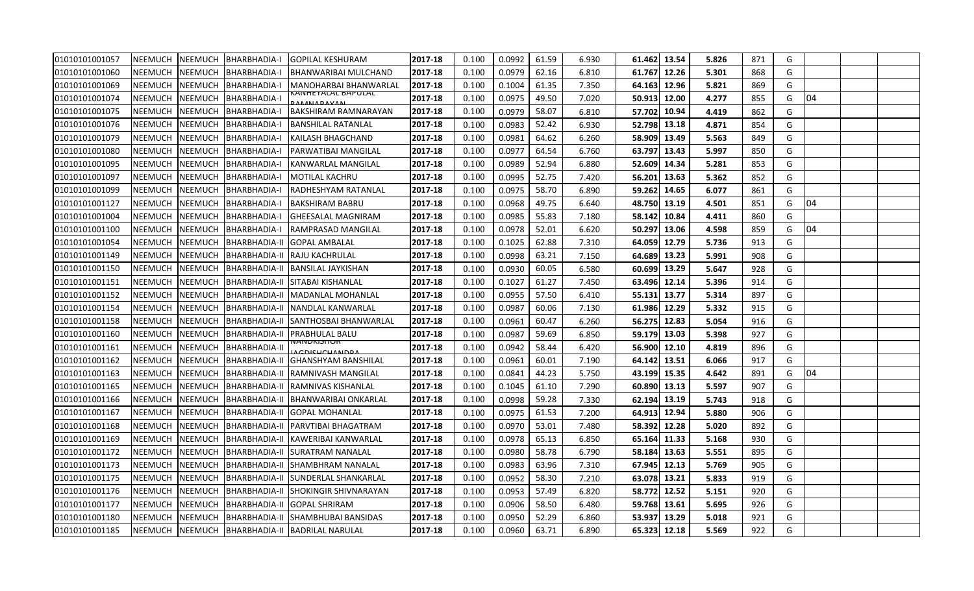| 01010101001057 | <b>NEEMUCH</b> | NEEMUCH         | BHARBHADIA-I         | <b>GOPILAL KESHURAM</b>                        | 2017-18 | 0.100 | 0.0992 | 61.59 | 6.930 | 61.462 13.54 | 5.826 | 871 | G |     |  |
|----------------|----------------|-----------------|----------------------|------------------------------------------------|---------|-------|--------|-------|-------|--------------|-------|-----|---|-----|--|
| 01010101001060 | NEEMUCH        | <b>NEEMUCH</b>  | BHARBHADIA-I         | BHANWARIBAI MULCHAND                           | 2017-18 | 0.100 | 0.0979 | 62.16 | 6.810 | 61.767 12.26 | 5.301 | 868 | G |     |  |
| 01010101001069 | NEEMUCH        | <b>NEEMUCH</b>  | BHARBHADIA-I         | MANOHARBAI BHANWARLAL                          | 2017-18 | 0.100 | 0.1004 | 61.35 | 7.350 | 64.163 12.96 | 5.821 | 869 | G |     |  |
| 01010101001074 | NEEMUCH        | <b>NEEMUCH</b>  | <b>BHARBHADIA-I</b>  | <u>KANNETALAL BAPULAL</u>                      | 2017-18 | 0.100 | 0.0975 | 49.50 | 7.020 | 50.913 12.00 | 4.277 | 855 | G | 04  |  |
| 01010101001075 | <b>NEEMUCH</b> | <b>NEEMUCH</b>  | BHARBHADIA-I         | IBAKSHIRAM RAMNARAYAN                          | 2017-18 | 0.100 | 0.0979 | 58.07 | 6.810 | 57.702 10.94 | 4.419 | 862 | G |     |  |
| 01010101001076 | <b>NEEMUCH</b> | <b>NEEMUCH</b>  | BHARBHADIA-I         | IBANSHILAL RATANLAL                            | 2017-18 | 0.100 | 0.0983 | 52.42 | 6.930 | 52.798 13.18 | 4.871 | 854 | G |     |  |
| 01010101001079 | NEEMUCH        | <b>NEEMUCH</b>  | BHARBHADIA-I         | <b>I</b> KAILASH BHAGCHAND                     | 2017-18 | 0.100 | 0.0981 | 64.62 | 6.260 | 58.909 13.49 | 5.563 | 849 | G |     |  |
| 01010101001080 | NEEMUCH        | <b>NEEMUCH</b>  | BHARBHADIA-I         | <b>IPARWATIBAI MANGILAL</b>                    | 2017-18 | 0.100 | 0.0977 | 64.54 | 6.760 | 63.797 13.43 | 5.997 | 850 | G |     |  |
| 01010101001095 | NEEMUCH        | <b>NEEMUCH</b>  | <b>BHARBHADIA-I</b>  | <b>KANWARLAL MANGILAL</b>                      | 2017-18 | 0.100 | 0.0989 | 52.94 | 6.880 | 52.609 14.34 | 5.281 | 853 | G |     |  |
| 01010101001097 | NEEMUCH        | <b>NEEMUCH</b>  | <b>BHARBHADIA-I</b>  | <b>MOTILAL KACHRU</b>                          | 2017-18 | 0.100 | 0.0995 | 52.75 | 7.420 | 56.201 13.63 | 5.362 | 852 | G |     |  |
| 01010101001099 | NEEMUCH        | <b>NEEMUCH</b>  | <b>BHARBHADIA-I</b>  | RADHESHYAM RATANLAL                            | 2017-18 | 0.100 | 0.0975 | 58.70 | 6.890 | 59.262 14.65 | 6.077 | 861 | G |     |  |
| 01010101001127 | NEEMUCH        | <b>NEEMUCH</b>  | <b>BHARBHADIA-I</b>  | <b>BAKSHIRAM BABRU</b>                         | 2017-18 | 0.100 | 0.0968 | 49.75 | 6.640 | 48.750 13.19 | 4.501 | 851 | G | 104 |  |
| 01010101001004 | NEEMUCH        | <b>NEEMUCH</b>  | <b>BHARBHADIA-I</b>  | GHEESALAL MAGNIRAM                             | 2017-18 | 0.100 | 0.0985 | 55.83 | 7.180 | 58.142 10.84 | 4.411 | 860 | G |     |  |
| 01010101001100 | NEEMUCH        | <b>NEEMUCH</b>  | BHARBHADIA-I         | <b>RAMPRASAD MANGILAL</b>                      | 2017-18 | 0.100 | 0.0978 | 52.01 | 6.620 | 50.297 13.06 | 4.598 | 859 | G | 04  |  |
| 01010101001054 | NEEMUCH        | <b>NEEMUCH</b>  | <b>BHARBHADIA-II</b> | <b>GOPAL AMBALAL</b>                           | 2017-18 | 0.100 | 0.1025 | 62.88 | 7.310 | 64.059 12.79 | 5.736 | 913 | G |     |  |
| 01010101001149 | NEEMUCH        | <b>NEEMUCH</b>  | <b>BHARBHADIA-II</b> | <b>RAJU KACHRULAL</b>                          | 2017-18 | 0.100 | 0.0998 | 63.21 | 7.150 | 64.689 13.23 | 5.991 | 908 | G |     |  |
| 01010101001150 | NEEMUCH        | <b>NEEMUCH</b>  | <b>BHARBHADIA-II</b> | <b>BANSILAL JAYKISHAN</b>                      | 2017-18 | 0.100 | 0.0930 | 60.05 | 6.580 | 60.699 13.29 | 5.647 | 928 | G |     |  |
| 01010101001151 | NEEMUCH        | <b>NEEMUCH</b>  | <b>BHARBHADIA-II</b> | <b>SITABAI KISHANLAL</b>                       | 2017-18 | 0.100 | 0.1027 | 61.27 | 7.450 | 63.496 12.14 | 5.396 | 914 | G |     |  |
| 01010101001152 | NEEMUCH        | <b>NEEMUCH</b>  | <b>BHARBHADIA-II</b> | MADANLAL MOHANLAL                              | 2017-18 | 0.100 | 0.0955 | 57.50 | 6.410 | 55.131 13.77 | 5.314 | 897 | G |     |  |
| 01010101001154 | NEEMUCH        | <b>NEEMUCH</b>  | <b>BHARBHADIA-II</b> | NANDLAL KANWARLAL                              | 2017-18 | 0.100 | 0.0987 | 60.06 | 7.130 | 61.986 12.29 | 5.332 | 915 | G |     |  |
| 01010101001158 | <b>NEEMUCH</b> | <b>INEEMUCH</b> | BHARBHADIA-II        | SANTHOSBAI BHANWARLAL                          | 2017-18 | 0.100 | 0.0961 | 60.47 | 6.260 | 56.275 12.83 | 5.054 | 916 | G |     |  |
| 01010101001160 | <b>NEEMUCH</b> | <b>NEEMUCH</b>  | <b>BHARBHADIA-II</b> | <b>PRABHULAL BALU</b>                          | 2017-18 | 0.100 | 0.0987 | 59.69 | 6.850 | 59.179 13.03 | 5.398 | 927 | G |     |  |
| 01010101001161 | <b>NEEMUCH</b> | <b>NEEMUCH</b>  | <b>BHARBHADIA-II</b> | <del>vandrishor</del><br><b>COICUCUANDRA</b>   | 2017-18 | 0.100 | 0.0942 | 58.44 | 6.420 | 56.900 12.10 | 4.819 | 896 | G |     |  |
| 01010101001162 | <b>NEEMUCH</b> | <b>NEEMUCH</b>  | <b>BHARBHADIA-II</b> | <b>I</b> GHANSHYAM BANSHILAL                   | 2017-18 | 0.100 | 0.0961 | 60.01 | 7.190 | 64.142 13.51 | 6.066 | 917 | G |     |  |
| 01010101001163 | <b>NEEMUCH</b> | <b>NEEMUCH</b>  | <b>BHARBHADIA-II</b> | <b>IRAMNIVASH MANGILAL</b>                     | 2017-18 | 0.100 | 0.0841 | 44.23 | 5.750 | 43.199 15.35 | 4.642 | 891 | G | 04  |  |
| 01010101001165 | NEEMUCH        | <b>NEEMUCH</b>  | <b>BHARBHADIA-II</b> | <b>RAMNIVAS KISHANLAL</b>                      | 2017-18 | 0.100 | 0.1045 | 61.10 | 7.290 | 60.890 13.13 | 5.597 | 907 | G |     |  |
| 01010101001166 | NEEMUCH        | <b>NEEMUCH</b>  | <b>BHARBHADIA-II</b> | BHANWARIBAI ONKARLAL                           | 2017-18 | 0.100 | 0.0998 | 59.28 | 7.330 | 62.194 13.19 | 5.743 | 918 | G |     |  |
| 01010101001167 | NEEMUCH        | <b>NEEMUCH</b>  | <b>BHARBHADIA-II</b> | <b>GOPAL MOHANLAL</b>                          | 2017-18 | 0.100 | 0.0975 | 61.53 | 7.200 | 64.913 12.94 | 5.880 | 906 | G |     |  |
| 01010101001168 | NEEMUCH        | <b>INEEMUCH</b> |                      | BHARBHADIA-II   PARVTIBAI BHAGATRAM            | 2017-18 | 0.100 | 0.0970 | 53.01 | 7.480 | 58.392 12.28 | 5.020 | 892 | G |     |  |
| 01010101001169 | NEEMUCH        | <b>NEEMUCH</b>  |                      | BHARBHADIA-II KAWERIBAI KANWARLAL              | 2017-18 | 0.100 | 0.0978 | 65.13 | 6.850 | 65.164 11.33 | 5.168 | 930 | G |     |  |
| 01010101001172 | NEEMUCH        | <b>NEEMUCH</b>  |                      | BHARBHADIA-II SURATRAM NANALAL                 | 2017-18 | 0.100 | 0.0980 | 58.78 | 6.790 | 58.184 13.63 | 5.551 | 895 | G |     |  |
| 01010101001173 | NEEMUCH        | <b>NEEMUCH</b>  |                      | BHARBHADIA-II SHAMBHRAM NANALAL                | 2017-18 | 0.100 | 0.0983 | 63.96 | 7.310 | 67.945 12.13 | 5.769 | 905 | G |     |  |
| 01010101001175 | <b>NEEMUCH</b> | <b>NEEMUCH</b>  |                      | BHARBHADIA-II SUNDERLAL SHANKARLAL             | 2017-18 | 0.100 | 0.0952 | 58.30 | 7.210 | 63.078 13.21 | 5.833 | 919 | G |     |  |
| 01010101001176 | <b>NEEMUCH</b> | <b>NEEMUCH</b>  |                      | BHARBHADIA-II SHOKINGIR SHIVNARAYAN            | 2017-18 | 0.100 | 0.0953 | 57.49 | 6.820 | 58.772 12.52 | 5.151 | 920 | G |     |  |
| 01010101001177 | <b>NEEMUCH</b> | <b>NEEMUCH</b>  | <b>BHARBHADIA-II</b> | <b>GOPAL SHRIRAM</b>                           | 2017-18 | 0.100 | 0.0906 | 58.50 | 6.480 | 59.768 13.61 | 5.695 | 926 | G |     |  |
| 01010101001180 | <b>NEEMUCH</b> | <b>NEEMUCH</b>  |                      | BHARBHADIA-II SHAMBHUBAI BANSIDAS              | 2017-18 | 0.100 | 0.0950 | 52.29 | 6.860 | 53.937 13.29 | 5.018 | 921 | G |     |  |
| 01010101001185 |                |                 |                      | NEEMUCH NEEMUCH BHARBHADIA-II BADRILAL NARULAL | 2017-18 | 0.100 | 0.0960 | 63.71 | 6.890 | 65.323 12.18 | 5.569 | 922 | G |     |  |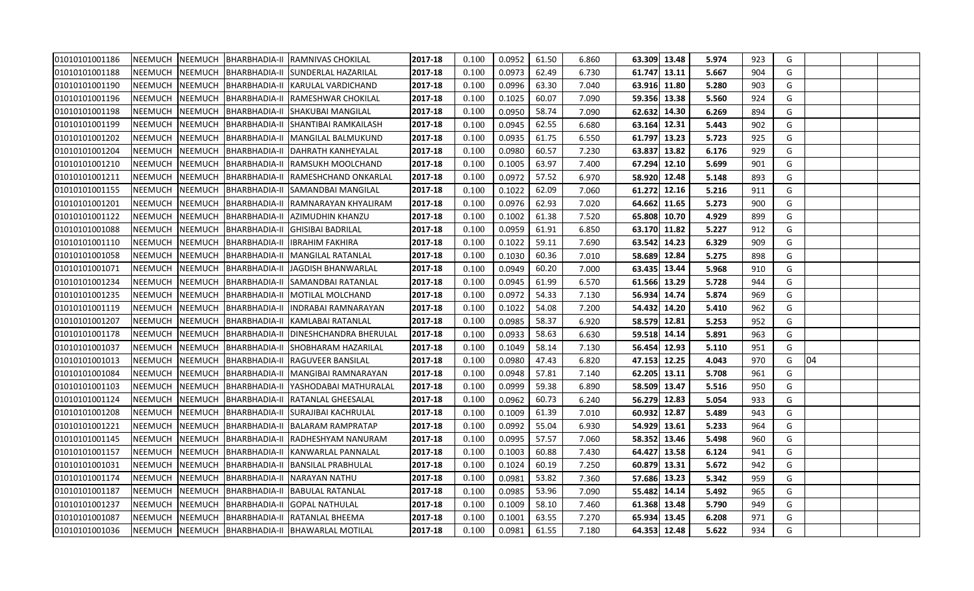| 01010101001186 | <b>NEEMUCH</b> | <b>NEEMUCH</b> |                      | BHARBHADIA-II RAMNIVAS CHOKILAL          | 2017-18 | 0.100 | 0.0952 | 61.50 | 6.860 | 63.309 13.48 |       | 5.974 | 923 | G |    |  |
|----------------|----------------|----------------|----------------------|------------------------------------------|---------|-------|--------|-------|-------|--------------|-------|-------|-----|---|----|--|
| 01010101001188 | NEEMUCH        | <b>NEEMUCH</b> |                      | BHARBHADIA-II SUNDERLAL HAZARILAL        | 2017-18 | 0.100 | 0.0973 | 62.49 | 6.730 | 61.747 13.11 |       | 5.667 | 904 | G |    |  |
| 01010101001190 | <b>NEEMUCH</b> | <b>NEEMUCH</b> |                      | BHARBHADIA-II KARULAL VARDICHAND         | 2017-18 | 0.100 | 0.0996 | 63.30 | 7.040 | 63.916 11.80 |       | 5.280 | 903 | G |    |  |
| 01010101001196 | <b>NEEMUCH</b> | <b>NEEMUCH</b> |                      | BHARBHADIA-II RAMESHWAR CHOKILAL         | 2017-18 | 0.100 | 0.1025 | 60.07 | 7.090 | 59.356 13.38 |       | 5.560 | 924 | G |    |  |
| 01010101001198 | <b>NEEMUCH</b> | <b>NEEMUCH</b> |                      | <b>IBHARBHADIA-II ISHAKUBAI MANGILAL</b> | 2017-18 | 0.100 | 0.0950 | 58.74 | 7.090 | 62.632 14.30 |       | 6.269 | 894 | G |    |  |
| 01010101001199 | <b>NEEMUCH</b> | <b>NEEMUCH</b> |                      | BHARBHADIA-II SHANTIBAI RAMKAILASH       | 2017-18 | 0.100 | 0.0945 | 62.55 | 6.680 | 63.164 12.31 |       | 5.443 | 902 | G |    |  |
| 01010101001202 | <b>NEEMUCH</b> | <b>NEEMUCH</b> |                      | BHARBHADIA-II MANGILAL BALMUKUND         | 2017-18 | 0.100 | 0.0935 | 61.75 | 6.550 | 61.797 13.23 |       | 5.723 | 925 | G |    |  |
| 01010101001204 | <b>NEEMUCH</b> | <b>NEEMUCH</b> |                      | BHARBHADIA-II DAHRATH KANHEYALAL         | 2017-18 | 0.100 | 0.0980 | 60.57 | 7.230 | 63.837       | 13.82 | 6.176 | 929 | G |    |  |
| 01010101001210 | <b>NEEMUCH</b> | <b>NEEMUCH</b> |                      | BHARBHADIA-II RAMSUKH MOOLCHAND          | 2017-18 | 0.100 | 0.1005 | 63.97 | 7.400 | 67.294 12.10 |       | 5.699 | 901 | G |    |  |
| 01010101001211 | <b>NEEMUCH</b> | <b>NEEMUCH</b> |                      | BHARBHADIA-II RAMESHCHAND ONKARLAL       | 2017-18 | 0.100 | 0.0972 | 57.52 | 6.970 | 58.920 12.48 |       | 5.148 | 893 | G |    |  |
| 01010101001155 | <b>NEEMUCH</b> | <b>NEEMUCH</b> |                      | BHARBHADIA-II SAMANDBAI MANGILAL         | 2017-18 | 0.100 | 0.1022 | 62.09 | 7.060 | 61.272 12.16 |       | 5.216 | 911 | G |    |  |
| 01010101001201 | <b>NEEMUCH</b> | <b>NEEMUCH</b> |                      | BHARBHADIA-II RAMNARAYAN KHYALIRAM       | 2017-18 | 0.100 | 0.0976 | 62.93 | 7.020 | 64.662 11.65 |       | 5.273 | 900 | G |    |  |
| 01010101001122 | <b>NEEMUCH</b> | <b>NEEMUCH</b> |                      | BHARBHADIA-II AZIMUDHIN KHANZU           | 2017-18 | 0.100 | 0.1002 | 61.38 | 7.520 | 65.808 10.70 |       | 4.929 | 899 | G |    |  |
| 01010101001088 | <b>NEEMUCH</b> | <b>NEEMUCH</b> |                      | BHARBHADIA-II GHISIBAI BADRILAL          | 2017-18 | 0.100 | 0.0959 | 61.91 | 6.850 | 63.170 11.82 |       | 5.227 | 912 | G |    |  |
| 01010101001110 | <b>NEEMUCH</b> | <b>NEEMUCH</b> |                      | BHARBHADIA-II IBRAHIM FAKHIRA            | 2017-18 | 0.100 | 0.1022 | 59.11 | 7.690 | 63.542 14.23 |       | 6.329 | 909 | G |    |  |
| 01010101001058 | <b>NEEMUCH</b> | <b>NEEMUCH</b> |                      | BHARBHADIA-II MANGILAL RATANLAL          | 2017-18 | 0.100 | 0.1030 | 60.36 | 7.010 | 58.689 12.84 |       | 5.275 | 898 | G |    |  |
| 01010101001071 | <b>NEEMUCH</b> | <b>NEEMUCH</b> |                      | BHARBHADIA-II JAGDISH BHANWARLAL         | 2017-18 | 0.100 | 0.0949 | 60.20 | 7.000 | 63.435 13.44 |       | 5.968 | 910 | G |    |  |
| 01010101001234 | NEEMUCH        | <b>NEEMUCH</b> |                      | BHARBHADIA-II SAMANDBAI RATANLAL         | 2017-18 | 0.100 | 0.0945 | 61.99 | 6.570 | 61.566       | 13.29 | 5.728 | 944 | G |    |  |
| 01010101001235 | <b>NEEMUCH</b> | <b>NEEMUCH</b> |                      | BHARBHADIA-II   MOTILAL MOLCHAND         | 2017-18 | 0.100 | 0.0972 | 54.33 | 7.130 | 56.934 14.74 |       | 5.874 | 969 | G |    |  |
| 01010101001119 | <b>NEEMUCH</b> | <b>NEEMUCH</b> | <b>BHARBHADIA-II</b> | <b>INDRABAI RAMNARAYAN</b>               | 2017-18 | 0.100 | 0.1022 | 54.08 | 7.200 | 54.432 14.20 |       | 5.410 | 962 | G |    |  |
| 01010101001207 | <b>NEEMUCH</b> | <b>NEEMUCH</b> |                      | BHARBHADIA-II KAMLABAI RATANLAL          | 2017-18 | 0.100 | 0.0985 | 58.37 | 6.920 | 58.579 12.81 |       | 5.253 | 952 | G |    |  |
| 01010101001178 | <b>NEEMUCH</b> | <b>NEEMUCH</b> |                      | BHARBHADIA-II   DINESHCHANDRA BHERULAL   | 2017-18 | 0.100 | 0.0933 | 58.63 | 6.630 | 59.518 14.14 |       | 5.891 | 963 | G |    |  |
| 01010101001037 | <b>NEEMUCH</b> | <b>NEEMUCH</b> |                      | BHARBHADIA-II SHOBHARAM HAZARILAL        | 2017-18 | 0.100 | 0.1049 | 58.14 | 7.130 | 56.454 12.93 |       | 5.110 | 951 | G |    |  |
| 01010101001013 | <b>NEEMUCH</b> | <b>NEEMUCH</b> |                      | BHARBHADIA-II RAGUVEER BANSILAL          | 2017-18 | 0.100 | 0.0980 | 47.43 | 6.820 | 47.153 12.25 |       | 4.043 | 970 | G | 04 |  |
| 01010101001084 | <b>NEEMUCH</b> | <b>NEEMUCH</b> |                      | BHARBHADIA-II MANGIBAI RAMNARAYAN        | 2017-18 | 0.100 | 0.0948 | 57.81 | 7.140 | 62.205 13.11 |       | 5.708 | 961 | G |    |  |
| 01010101001103 | <b>NEEMUCH</b> | <b>NEEMUCH</b> |                      | BHARBHADIA-II YASHODABAI MATHURALAL      | 2017-18 | 0.100 | 0.0999 | 59.38 | 6.890 | 58.509 13.47 |       | 5.516 | 950 | G |    |  |
| 01010101001124 | <b>NEEMUCH</b> | <b>NEEMUCH</b> |                      | BHARBHADIA-II RATANLAL GHEESALAL         | 2017-18 | 0.100 | 0.0962 | 60.73 | 6.240 | 56.279 12.83 |       | 5.054 | 933 | G |    |  |
| 01010101001208 | <b>NEEMUCH</b> | <b>NEEMUCH</b> |                      | BHARBHADIA-II SURAJIBAI KACHRULAL        | 2017-18 | 0.100 | 0.1009 | 61.39 | 7.010 | 60.932 12.87 |       | 5.489 | 943 | G |    |  |
| 01010101001221 | <b>NEEMUCH</b> | <b>NEEMUCH</b> |                      | BHARBHADIA-II BALARAM RAMPRATAP          | 2017-18 | 0.100 | 0.0992 | 55.04 | 6.930 | 54.929 13.61 |       | 5.233 | 964 | G |    |  |
| 01010101001145 | <b>NEEMUCH</b> | <b>NEEMUCH</b> |                      | BHARBHADIA-II RADHESHYAM NANURAM         | 2017-18 | 0.100 | 0.0995 | 57.57 | 7.060 | 58.352 13.46 |       | 5.498 | 960 | G |    |  |
| 01010101001157 | <b>NEEMUCH</b> | <b>NEEMUCH</b> |                      | BHARBHADIA-II KANWARLAL PANNALAL         | 2017-18 | 0.100 | 0.1003 | 60.88 | 7.430 | 64.427 13.58 |       | 6.124 | 941 | G |    |  |
| 01010101001031 | <b>NEEMUCH</b> | <b>NEEMUCH</b> |                      | BHARBHADIA-II BANSILAL PRABHULAL         | 2017-18 | 0.100 | 0.1024 | 60.19 | 7.250 | 60.879 13.31 |       | 5.672 | 942 | G |    |  |
| 01010101001174 | <b>NEEMUCH</b> | <b>NEEMUCH</b> |                      | BHARBHADIA-II NARAYAN NATHU              | 2017-18 | 0.100 | 0.0981 | 53.82 | 7.360 | 57.686 13.23 |       | 5.342 | 959 | G |    |  |
| 01010101001187 | <b>NEEMUCH</b> | <b>NEEMUCH</b> |                      | BHARBHADIA-II BABULAL RATANLAL           | 2017-18 | 0.100 | 0.0985 | 53.96 | 7.090 | 55.482 14.14 |       | 5.492 | 965 | G |    |  |
| 01010101001237 | <b>NEEMUCH</b> | <b>NEEMUCH</b> |                      | BHARBHADIA-II GOPAL NATHULAL             | 2017-18 | 0.100 | 0.1009 | 58.10 | 7.460 | 61.368 13.48 |       | 5.790 | 949 | G |    |  |
| 01010101001087 | <b>NEEMUCH</b> | <b>NEEMUCH</b> |                      | BHARBHADIA-II RATANLAL BHEEMA            | 2017-18 | 0.100 | 0.1001 | 63.55 | 7.270 | 65.934 13.45 |       | 6.208 | 971 | G |    |  |
| 01010101001036 | <b>NEEMUCH</b> |                |                      | NEEMUCH BHARBHADIA-II BHAWARLAL MOTILAL  | 2017-18 | 0.100 | 0.0981 | 61.55 | 7.180 | 64.353 12.48 |       | 5.622 | 934 | G |    |  |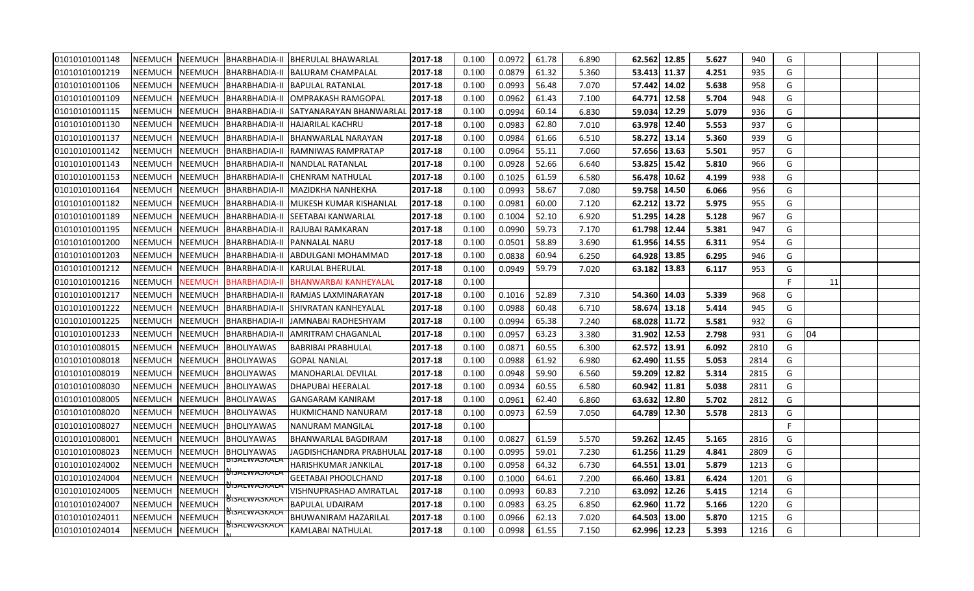| 01010101001148 | <b>NEEMUCH</b> | NEEMUCH        |                         | BHARBHADIA-II BHERULAL BHAWARLAL     | 2017-18 | 0.100 | 0.0972 | 61.78 | 6.890 | 62.562 12.85 | 5.627 | 940  | G           |    |  |
|----------------|----------------|----------------|-------------------------|--------------------------------------|---------|-------|--------|-------|-------|--------------|-------|------|-------------|----|--|
| 01010101001219 | NEEMUCH        | <b>NEEMUCH</b> | <b>BHARBHADIA-II</b>    | BALURAM CHAMPALAL                    | 2017-18 | 0.100 | 0.0879 | 61.32 | 5.360 | 53.413 11.37 | 4.251 | 935  | G           |    |  |
| 01010101001106 | <b>NEEMUCH</b> | <b>NEEMUCH</b> |                         | BHARBHADIA-II BAPULAL RATANLAL       | 2017-18 | 0.100 | 0.0993 | 56.48 | 7.070 | 57.442 14.02 | 5.638 | 958  | G           |    |  |
| 01010101001109 | NEEMUCH        | <b>NEEMUCH</b> | <b>BHARBHADIA-II</b>    | <b>OMPRAKASH RAMGOPAL</b>            | 2017-18 | 0.100 | 0.0962 | 61.43 | 7.100 | 64.771 12.58 | 5.704 | 948  | G           |    |  |
| 01010101001115 | NEEMUCH        | <b>NEEMUCH</b> | <b>BHARBHADIA-II</b>    | ISATYANARAYAN BHANWARLAL             | 2017-18 | 0.100 | 0.0994 | 60.14 | 6.830 | 59.034 12.29 | 5.079 | 936  | G           |    |  |
| 01010101001130 | NEEMUCH        | <b>NEEMUCH</b> |                         | BHARBHADIA-II HAJARILAL KACHRU       | 2017-18 | 0.100 | 0.0983 | 62.80 | 7.010 | 63.978 12.40 | 5.553 | 937  | G           |    |  |
| 01010101001137 | NEEMUCH        | <b>NEEMUCH</b> | <b>BHARBHADIA-II</b>    | <b>BHANWARLAL NARAYAN</b>            | 2017-18 | 0.100 | 0.0984 | 61.66 | 6.510 | 58.272 13.14 | 5.360 | 939  | G           |    |  |
| 01010101001142 | NEEMUCH        | <b>NEEMUCH</b> | BHARBHADIA-II           | <b>RAMNIWAS RAMPRATAP</b>            | 2017-18 | 0.100 | 0.0964 | 55.11 | 7.060 | 57.656 13.63 | 5.501 | 957  | G           |    |  |
| 01010101001143 | NEEMUCH        | <b>NEEMUCH</b> | <b>BHARBHADIA-II</b>    | NANDLAL RATANLAL                     | 2017-18 | 0.100 | 0.0928 | 52.66 | 6.640 | 53.825 15.42 | 5.810 | 966  | G           |    |  |
| 01010101001153 | NEEMUCH        | <b>NEEMUCH</b> | <b>BHARBHADIA-II</b>    | ICHENRAM NATHULAL                    | 2017-18 | 0.100 | 0.1025 | 61.59 | 6.580 | 56.478 10.62 | 4.199 | 938  | G           |    |  |
| 01010101001164 | NEEMUCH        | <b>NEEMUCH</b> |                         | BHARBHADIA-II MAZIDKHA NANHEKHA      | 2017-18 | 0.100 | 0.0993 | 58.67 | 7.080 | 59.758 14.50 | 6.066 | 956  | G           |    |  |
| 01010101001182 | NEEMUCH        | <b>NEEMUCH</b> |                         | BHARBHADIA-II MUKESH KUMAR KISHANLAL | 2017-18 | 0.100 | 0.0981 | 60.00 | 7.120 | 62.212 13.72 | 5.975 | 955  | G           |    |  |
| 01010101001189 | NEEMUCH        | <b>NEEMUCH</b> | BHARBHADIA-II           | <b>SEETABAI KANWARLAL</b>            | 2017-18 | 0.100 | 0.1004 | 52.10 | 6.920 | 51.295 14.28 | 5.128 | 967  | G           |    |  |
| 01010101001195 | NEEMUCH        | <b>NEEMUCH</b> |                         | BHARBHADIA-II RAJUBAI RAMKARAN       | 2017-18 | 0.100 | 0.0990 | 59.73 | 7.170 | 61.798 12.44 | 5.381 | 947  | G           |    |  |
| 01010101001200 | NEEMUCH        | <b>NEEMUCH</b> |                         | BHARBHADIA-II   PANNALAL NARU        | 2017-18 | 0.100 | 0.0501 | 58.89 | 3.690 | 61.956 14.55 | 6.311 | 954  | G           |    |  |
| 01010101001203 | NEEMUCH        | <b>NEEMUCH</b> | <b>BHARBHADIA-II</b>    | ABDULGANI MOHAMMAD                   | 2017-18 | 0.100 | 0.0838 | 60.94 | 6.250 | 64.928 13.85 | 6.295 | 946  | G           |    |  |
| 01010101001212 | NEEMUCH        | <b>NEEMUCH</b> | <b>BHARBHADIA-II</b>    | KARULAL BHERULAL                     | 2017-18 | 0.100 | 0.0949 | 59.79 | 7.020 | 63.182 13.83 | 6.117 | 953  | G           |    |  |
| 01010101001216 | NEEMUCH        | <b>NEEMUCH</b> | <b>BHARBHADIA-II</b>    | <b>BHANWARBAI KANHEYALAL</b>         | 2017-18 | 0.100 |        |       |       |              |       |      | F.          | 11 |  |
| 01010101001217 | NEEMUCH        | <b>NEEMUCH</b> | <b>BHARBHADIA-II</b>    | RAMJAS LAXMINARAYAN                  | 2017-18 | 0.100 | 0.1016 | 52.89 | 7.310 | 54.360 14.03 | 5.339 | 968  | G           |    |  |
| 01010101001222 | NEEMUCH        | <b>NEEMUCH</b> | <b>BHARBHADIA-II</b>    | <b>SHIVRATAN KANHEYALAL</b>          | 2017-18 | 0.100 | 0.0988 | 60.48 | 6.710 | 58.674 13.18 | 5.414 | 945  | G           |    |  |
| 01010101001225 | NEEMUCH        | <b>NEEMUCH</b> | <b>BHARBHADIA-II</b>    | JAMNABAI RADHESHYAM                  | 2017-18 | 0.100 | 0.0994 | 65.38 | 7.240 | 68.028 11.72 | 5.581 | 932  | G           |    |  |
| 01010101001233 | NEEMUCH        | <b>NEEMUCH</b> | <b>BHARBHADIA-II</b>    | AMRITRAM CHAGANLAL                   | 2017-18 | 0.100 | 0.0957 | 63.23 | 3.380 | 31.902 12.53 | 2.798 | 931  | G           | 04 |  |
| 01010101008015 | NEEMUCH        | <b>NEEMUCH</b> | <b>BHOLIYAWAS</b>       | BABRIBAI PRABHULAL                   | 2017-18 | 0.100 | 0.0871 | 60.55 | 6.300 | 62.572 13.91 | 6.092 | 2810 | G           |    |  |
| 01010101008018 | NEEMUCH        | <b>NEEMUCH</b> | <b>BHOLIYAWAS</b>       | <b>GOPAL NANLAL</b>                  | 2017-18 | 0.100 | 0.0988 | 61.92 | 6.980 | 62.490 11.55 | 5.053 | 2814 | G           |    |  |
| 01010101008019 | NEEMUCH        | <b>NEEMUCH</b> | <b>BHOLIYAWAS</b>       | MANOHARLAL DEVILAL                   | 2017-18 | 0.100 | 0.0948 | 59.90 | 6.560 | 59.209 12.82 | 5.314 | 2815 | G           |    |  |
| 01010101008030 | NEEMUCH        | <b>NEEMUCH</b> | <b>BHOLIYAWAS</b>       | DHAPUBAI HEERALAL                    | 2017-18 | 0.100 | 0.0934 | 60.55 | 6.580 | 60.942 11.81 | 5.038 | 2811 | G           |    |  |
| 01010101008005 | NEEMUCH        | <b>NEEMUCH</b> | <b>BHOLIYAWAS</b>       | <b>GANGARAM KANIRAM</b>              | 2017-18 | 0.100 | 0.0961 | 62.40 | 6.860 | 63.632 12.80 | 5.702 | 2812 | G           |    |  |
| 01010101008020 | NEEMUCH        | <b>NEEMUCH</b> | <b>BHOLIYAWAS</b>       | HUKMICHAND NANURAM                   | 2017-18 | 0.100 | 0.0973 | 62.59 | 7.050 | 64.789 12.30 | 5.578 | 2813 | G           |    |  |
| 01010101008027 | NEEMUCH        | <b>NEEMUCH</b> | <b>BHOLIYAWAS</b>       | NANURAM MANGILAL                     | 2017-18 | 0.100 |        |       |       |              |       |      | $\mathsf F$ |    |  |
| 01010101008001 | NEEMUCH        | <b>NEEMUCH</b> | <b>BHOLIYAWAS</b>       | BHANWARLAL BAGDIRAM                  | 2017-18 | 0.100 | 0.0827 | 61.59 | 5.570 | 59.262 12.45 | 5.165 | 2816 | G           |    |  |
| 01010101008023 | NEEMUCH        | <b>NEEMUCH</b> | <b>BHOLIYAWAS</b>       | JAGDISHCHANDRA PRABHULAL 2017-18     |         | 0.100 | 0.0995 | 59.01 | 7.230 | 61.256 11.29 | 4.841 | 2809 | G           |    |  |
| 01010101024002 | NEEMUCH        | <b>NEEMUCH</b> | <b>DISALWASNALA</b>     | HARISHKUMAR JANKILAL                 | 2017-18 | 0.100 | 0.0958 | 64.32 | 6.730 | 64.551 13.01 | 5.879 | 1213 | G           |    |  |
| 01010101024004 | NEEMUCH        | <b>NEEMUCH</b> | <b>SISALWASNALA</b>     | <b>GEETABAI PHOOLCHAND</b>           | 2017-18 | 0.100 | 0.1000 | 64.61 | 7.200 | 66.460 13.81 | 6.424 | 1201 | G           |    |  |
| 01010101024005 | <b>NEEMUCH</b> | <b>NEEMUCH</b> | <b>SISALWASNALA</b>     | VISHNUPRASHAD AMRATLAL               | 2017-18 | 0.100 | 0.0993 | 60.83 | 7.210 | 63.092 12.26 | 5.415 | 1214 | G           |    |  |
| 01010101024007 | NEEMUCH        | <b>NEEMUCH</b> | <b>SISALWASNALA</b>     | <b>BAPULAL UDAIRAM</b>               | 2017-18 | 0.100 | 0.0983 | 63.25 | 6.850 | 62.960 11.72 | 5.166 | 1220 | G           |    |  |
| 01010101024011 | NEEMUCH        | <b>NEEMUCH</b> | ว่าวี่<br>พบพันธ์ พบพระ | BHUWANIRAM HAZARILAL                 | 2017-18 | 0.100 | 0.0966 | 62.13 | 7.020 | 64.503 13.00 | 5.870 | 1215 | G           |    |  |
| 01010101024014 | <b>NEEMUCH</b> | <b>NEEMUCH</b> | <b>SISALWASNALA</b>     | KAMLABAI NATHULAL                    | 2017-18 | 0.100 | 0.0998 | 61.55 | 7.150 | 62.996 12.23 | 5.393 | 1216 | G           |    |  |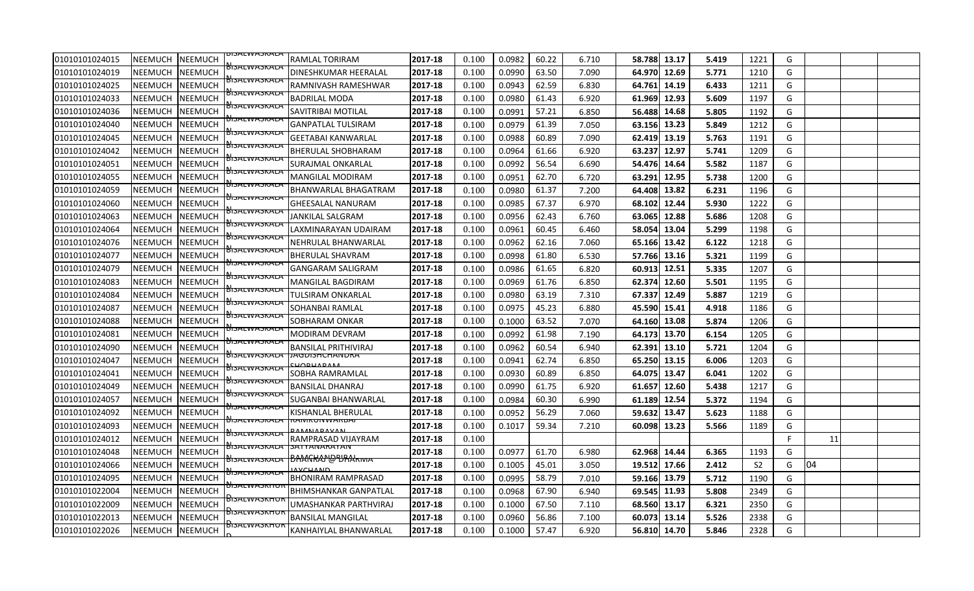| 01010101024015 | NEEMUCH | <b>NEEMUCH</b> | <b>DISALWASNALA</b>      | RAMLAL TORIRAM                                         | 2017-18 | 0.100 | 0.0982 | 60.22 | 6.710 | 58.788 13.17 |       | 5.419 | 1221           | G |     |  |
|----------------|---------|----------------|--------------------------|--------------------------------------------------------|---------|-------|--------|-------|-------|--------------|-------|-------|----------------|---|-----|--|
| 01010101024019 | NEEMUCH | <b>NEEMUCH</b> | 513ALWA3NALA             | DINESHKUMAR HEERALAL                                   | 2017-18 | 0.100 | 0.0990 | 63.50 | 7.090 | 64.970       | 12.69 | 5.771 | 1210           | G |     |  |
| 01010101024025 | NEEMUCH | <b>NEEMUCH</b> | <b>JIJALWAJNALA</b>      | RAMNIVASH RAMESHWAR                                    | 2017-18 | 0.100 | 0.0943 | 62.59 | 6.830 | 64.761       | 14.19 | 6.433 | 1211           | G |     |  |
| 01010101024033 | NEEMUCH | <b>NEEMUCH</b> | 513ALWA3NAL/             | BADRILAL MODA                                          | 2017-18 | 0.100 | 0.0980 | 61.43 | 6.920 | 61.969       | 12.93 | 5.609 | 1197           | G |     |  |
| 01010101024036 | NEEMUCH | <b>NEEMUCH</b> | <b>II JALWAJNAL</b>      | SAVITRIBAI MOTILAL                                     | 2017-18 | 0.100 | 0.0991 | 57.21 | 6.850 | 56.488       | 14.68 | 5.805 | 1192           | G |     |  |
| 01010101024040 | NEEMUCH | <b>NEEMUCH</b> | วเวศนพิศวิกิศน           | GANPATLAL TULSIRAM                                     | 2017-18 | 0.100 | 0.0979 | 61.39 | 7.050 | 63.156       | 13.23 | 5.849 | 1212           | G |     |  |
| 01010101024045 | NEEMUCH | <b>NEEMUCH</b> | <b>JISALWASNAL</b>       | GEETABAI KANWARLAL                                     | 2017-18 | 0.100 | 0.0988 | 60.89 | 7.090 | 62.419       | 13.19 | 5.763 | 1191           | G |     |  |
| 01010101024042 | NEEMUCH | <b>NEEMUCH</b> | <b>JISALWASNAL</b>       | BHERULAL SHOBHARAM                                     | 2017-18 | 0.100 | 0.0964 | 61.66 | 6.920 | 63.237 12.97 |       | 5.741 | 1209           | G |     |  |
| 01010101024051 | NEEMUCH | <b>NEEMUCH</b> | <b>SISALWASNALA</b>      | SURAJMAL ONKARLAL                                      | 2017-18 | 0.100 | 0.0992 | 56.54 | 6.690 | 54.476 14.64 |       | 5.582 | 1187           | G |     |  |
| 01010101024055 | NEEMUCH | <b>NEEMUCH</b> | <b>DISALWASNAL</b>       | MANGILAL MODIRAM                                       | 2017-18 | 0.100 | 0.0951 | 62.70 | 6.720 | 63.291       | 12.95 | 5.738 | 1200           | G |     |  |
| 01010101024059 | NEEMUCH | <b>NEEMUCH</b> | ว่าวี่หนพพวเพศม          | BHANWARLAL BHAGATRAM                                   | 2017-18 | 0.100 | 0.0980 | 61.37 | 7.200 | 64.408       | 13.82 | 6.231 | 1196           | G |     |  |
| 01010101024060 | NEEMUCH | <b>NEEMUCH</b> | 513ALWA3NAL/             | GHEESALAL NANURAM                                      | 2017-18 | 0.100 | 0.0985 | 67.37 | 6.970 | 68.102       | 12.44 | 5.930 | 1222           | G |     |  |
| 01010101024063 | NEEMUCH | <b>NEEMUCH</b> | <b>JISALWASNAL</b>       | ANKILAL SALGRAM                                        | 2017-18 | 0.100 | 0.0956 | 62.43 | 6.760 | 63.065       | 12.88 | 5.686 | 1208           | G |     |  |
| 01010101024064 | NEEMUCH | <b>NEEMUCH</b> | <b>JISALWASNAL</b>       | LAXMINARAYAN UDAIRAM                                   | 2017-18 | 0.100 | 0.0961 | 60.45 | 6.460 | 58.054       | 13.04 | 5.299 | 1198           | G |     |  |
| 01010101024076 | NEEMUCH | <b>NEEMUCH</b> | <b>JISALWASNAL</b>       | NEHRULAL BHANWARLAL                                    | 2017-18 | 0.100 | 0.0962 | 62.16 | 7.060 | 65.166       | 13.42 | 6.122 | 1218           | G |     |  |
| 01010101024077 | NEEMUCH | <b>NEEMUCH</b> | <b>JISALWASNAL</b>       | BHERULAL SHAVRAM                                       | 2017-18 | 0.100 | 0.0998 | 61.80 | 6.530 | 57.766 13.16 |       | 5.321 | 1199           | G |     |  |
| 01010101024079 | NEEMUCH | <b>NEEMUCH</b> | <b>JISALWASNAL</b>       | GANGARAM SALIGRAM                                      | 2017-18 | 0.100 | 0.0986 | 61.65 | 6.820 | 60.913 12.51 |       | 5.335 | 1207           | G |     |  |
| 01010101024083 | NEEMUCH | <b>NEEMUCH</b> | 513ALWA3NALA             | MANGILAL BAGDIRAM                                      | 2017-18 | 0.100 | 0.0969 | 61.76 | 6.850 | 62.374       | 12.60 | 5.501 | 1195           | G |     |  |
| 01010101024084 | NEEMUCH | <b>NEEMUCH</b> | 513ALWA3NALA             | TULSIRAM ONKARLAL                                      | 2017-18 | 0.100 | 0.0980 | 63.19 | 7.310 | 67.337 12.49 |       | 5.887 | 1219           | G |     |  |
| 01010101024087 | NEEMUCH | <b>NEEMUCH</b> | 513ALWA3NALA             | SOHANBAI RAMLAL                                        | 2017-18 | 0.100 | 0.0975 | 45.23 | 6.880 | 45.590 15.41 |       | 4.918 | 1186           | G |     |  |
| 01010101024088 | NEEMUCH | <b>NEEMUCH</b> | <u>513ALWA3NALZ</u>      | SOBHARAM ONKAR                                         | 2017-18 | 0.100 | 0.1000 | 63.52 | 7.070 | 64.160 13.08 |       | 5.874 | 1206           | G |     |  |
| 01010101024081 | NEEMUCH | <b>NEEMUCH</b> | 513ALWA3NAL <del>/</del> | MODIRAM DEVRAM                                         | 2017-18 | 0.100 | 0.0992 | 61.98 | 7.190 | 64.173 13.70 |       | 6.154 | 1205           | G |     |  |
| 01010101024090 | NEEMUCH | <b>NEEMUCH</b> | 513ALWA3NAL <del>/</del> | BANSILAL PRITHIVIRAJ                                   | 2017-18 | 0.100 | 0.0962 | 60.54 | 6.940 | 62.391 13.10 |       | 5.721 | 1204           | G |     |  |
| 01010101024047 | NEEMUCH | <b>NEEMUCH</b> | <b>JISALWASNAL</b>       | <del>IAUUISHUNAINUKA</del><br>10011001                 | 2017-18 | 0.100 | 0.0941 | 62.74 | 6.850 | 65.250 13.15 |       | 6.006 | 1203           | G |     |  |
| 01010101024041 | NEEMUCH | <b>NEEMUCH</b> | <b>SISALWASNAL</b>       | SOBHA RAMRAMLAL                                        | 2017-18 | 0.100 | 0.0930 | 60.89 | 6.850 | 64.075 13.47 |       | 6.041 | 1202           | G |     |  |
| 01010101024049 | NEEMUCH | <b>NEEMUCH</b> | <b>ภาวิศัยพิวิศั</b> ย   | BANSILAL DHANRAJ                                       | 2017-18 | 0.100 | 0.0990 | 61.75 | 6.920 | 61.657 12.60 |       | 5.438 | 1217           | G |     |  |
| 01010101024057 | NEEMUCH | <b>NEEMUCH</b> | <b>JISALWASNAL</b>       | SUGANBAI BHANWARLAL                                    | 2017-18 | 0.100 | 0.0984 | 60.30 | 6.990 | 61.189 12.54 |       | 5.372 | 1194           | G |     |  |
| 01010101024092 | NEEMUCH | <b>NEEMUCH</b> | <b>SISALWASNALA</b>      | KISHANLAL BHERULAL                                     | 2017-18 | 0.100 | 0.0952 | 56.29 | 7.060 | 59.632 13.47 |       | 5.623 | 1188           | G |     |  |
| 01010101024093 | NEEMUCH | <b>NEEMUCH</b> | <b>JISALWASNALA</b>      | <u> YAIVINUINVVANDAI</u>                               | 2017-18 | 0.100 | 0.1017 | 59.34 | 7.210 | 60.098 13.23 |       | 5.566 | 1189           | G |     |  |
| 01010101024012 | NEEMUCH | <b>NEEMUCH</b> | <u>IJALWAJNAL</u>        | RAMPRASAD VIJAYRAM                                     | 2017-18 | 0.100 |        |       |       |              |       |       |                | F | 11  |  |
| 01010101024048 | NEEMUCH | <b>NEEMUCH</b> | <b>JISALWASNALP</b>      | SATTANARATAN<br><del>₿₳₳₢₭₳₧</del> ₯ <del>₧₳₭₭</del> ₩ | 2017-18 | 0.100 | 0.0977 | 61.70 | 6.980 | 62.968 14.44 |       | 6.365 | 1193           | G |     |  |
| 01010101024066 | NEEMUCH | <b>NEEMUCH</b> | <b>SISALWASNALA</b>      |                                                        | 2017-18 | 0.100 | 0.1005 | 45.01 | 3.050 | 19.512 17.66 |       | 2.412 | S <sub>2</sub> | G | 104 |  |
| 01010101024095 | NEEMUCH | <b>NEEMUCH</b> | <b>JIJALWAJNALA</b>      | BHONIRAM RAMPRASAD                                     | 2017-18 | 0.100 | 0.0995 | 58.79 | 7.010 | 59.166 13.79 |       | 5.712 | 1190           | G |     |  |
| 01010101022004 | NEEMUCH | <b>NEEMUCH</b> | <u> ภวคนพลวิพิทินเ</u>   | BHIMSHANKAR GANPATLAL                                  | 2017-18 | 0.100 | 0.0968 | 67.90 | 6.940 | 69.545 11.93 |       | 5.808 | 2349           | G |     |  |
| 01010101022009 | NEEMUCH | <b>NEEMUCH</b> | <b>SISALWASNOI</b>       | UMASHANKAR PARTHVIRAJ                                  | 2017-18 | 0.100 | 0.1000 | 67.50 | 7.110 | 68.560 13.17 |       | 6.321 | 2350           | G |     |  |
| 01010101022013 | NEEMUCH | <b>NEEMUCH</b> | <u> กวีสนพลวิพิทิบ</u>   | BANSILAL MANGILAL                                      | 2017-18 | 0.100 | 0.0960 | 56.86 | 7.100 | 60.073 13.14 |       | 5.526 | 2338           | G |     |  |
| 01010101022026 | NEEMUCH | <b>NEEMUCH</b> | <del>וטחאכאזישאכו</del>  | KANHAIYLAL BHANWARLAL                                  | 2017-18 | 0.100 | 0.1000 | 57.47 | 6.920 | 56.810 14.70 |       | 5.846 | 2328           | G |     |  |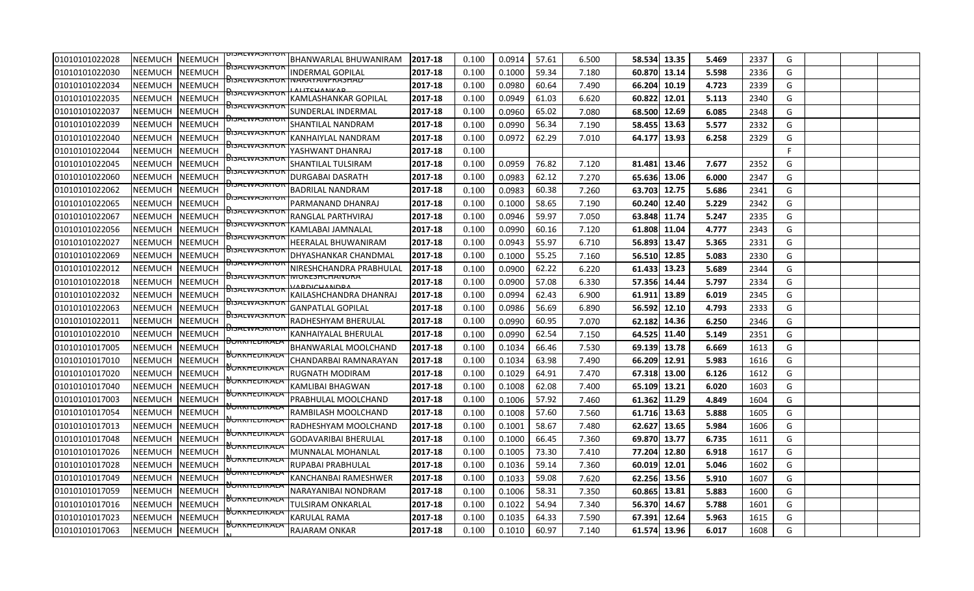| 01010101022028 | <b>NEEMUCH</b> | <b>NEEMUCH</b> | <b>DISALWASNHUM</b>      | BHANWARLAL BHUWANIRAM                      | 2017-18 | 0.100 | 0.0914 | 57.61 | 6.500 | 58.534 13.35 |       | 5.469 | 2337 | G |  |  |
|----------------|----------------|----------------|--------------------------|--------------------------------------------|---------|-------|--------|-------|-------|--------------|-------|-------|------|---|--|--|
| 01010101022030 | NEEMUCH        | <b>NEEMUCH</b> | 513ALWA3N <del>H</del> C | INDERMAL GOPILAL                           | 2017-18 | 0.100 | 0.1000 | 59.34 | 7.180 | 60.870 13.14 |       | 5.598 | 2336 | G |  |  |
| 01010101022034 | NEEMUCH        | <b>NEEMUCH</b> | <u>วเวALWAวNHU</u>       | <b>NARATANPRASHAD</b><br><b>ITCUANIVAD</b> | 2017-18 | 0.100 | 0.0980 | 60.64 | 7.490 | 66.204 10.19 |       | 4.723 | 2339 | G |  |  |
| 01010101022035 | NEEMUCH        | <b>NEEMUCH</b> | <b>DISALWASNTU</b>       | KAMLASHANKAR GOPILAL                       | 2017-18 | 0.100 | 0.0949 | 61.03 | 6.620 | 60.822       | 12.01 | 5.113 | 2340 | G |  |  |
| 01010101022037 | NEEMUCH        | <b>NEEMUCH</b> | <b>IIJALWAJNN</b>        | SUNDERLAL INDERMAL                         | 2017-18 | 0.100 | 0.0960 | 65.02 | 7.080 | 68.500       | 12.69 | 6.085 | 2348 | G |  |  |
| 01010101022039 | NEEMUCH        | <b>NEEMUCH</b> | 513ALWA3N <del>H</del> C | SHANTILAL NANDRAM                          | 2017-18 | 0.100 | 0.0990 | 56.34 | 7.190 | 58.455 13.63 |       | 5.577 | 2332 | G |  |  |
| 01010101022040 | NEEMUCH        | <b>NEEMUCH</b> | <b>SISALWASNTU</b>       | KANHAIYLAL NANDRAM                         | 2017-18 | 0.100 | 0.0972 | 62.29 | 7.010 | 64.177 13.93 |       | 6.258 | 2329 | G |  |  |
| 01010101022044 | NEEMUCH        | <b>NEEMUCH</b> | <u> มวคนพลวหทบ</u>       | YASHWANT DHANRAJ                           | 2017-18 | 0.100 |        |       |       |              |       |       |      | F |  |  |
| 01010101022045 | NEEMUCH        | <b>NEEMUCH</b> | <u> อเวคนพลวหทบ</u>      | SHANTILAL TULSIRAM                         | 2017-18 | 0.100 | 0.0959 | 76.82 | 7.120 | 81.481 13.46 |       | 7.677 | 2352 | G |  |  |
| 01010101022060 | NEEMUCH        | <b>NEEMUCH</b> | <u>วเวALWAวNHU</u>       | DURGABAI DASRATH                           | 2017-18 | 0.100 | 0.0983 | 62.12 | 7.270 | 65.636 13.06 |       | 6.000 | 2347 | G |  |  |
| 01010101022062 | NEEMUCH        | <b>NEEMUCH</b> | <u>มวคนพลวหทบ</u>        | BADRILAL NANDRAM                           | 2017-18 | 0.100 | 0.0983 | 60.38 | 7.260 | 63.703 12.75 |       | 5.686 | 2341 | G |  |  |
| 01010101022065 | NEEMUCH        | <b>NEEMUCH</b> | <u>513ALWA3NNU</u>       | PARMANAND DHANRAJ                          | 2017-18 | 0.100 | 0.1000 | 58.65 | 7.190 | 60.240 12.40 |       | 5.229 | 2342 | G |  |  |
| 01010101022067 | NEEMUCH        | <b>NEEMUCH</b> | <u> อเวALWAวNHU</u>      | RANGLAL PARTHVIRAJ                         | 2017-18 | 0.100 | 0.0946 | 59.97 | 7.050 | 63.848 11.74 |       | 5.247 | 2335 | G |  |  |
| 01010101022056 | NEEMUCH        | <b>NEEMUCH</b> | <u> ภวคนพิควิพิทิบ</u>   | KAMLABAI JAMNALAL                          | 2017-18 | 0.100 | 0.0990 | 60.16 | 7.120 | 61.808 11.04 |       | 4.777 | 2343 | G |  |  |
| 01010101022027 | NEEMUCH        | <b>NEEMUCH</b> | <u> มวคนพิควิพิทิบ</u>   | HEERALAL BHUWANIRAM                        | 2017-18 | 0.100 | 0.0943 | 55.97 | 6.710 | 56.893 13.47 |       | 5.365 | 2331 | G |  |  |
| 01010101022069 | NEEMUCH        | <b>NEEMUCH</b> | <u> มวคนพลวหทบ</u>       | DHYASHANKAR CHANDMAL                       | 2017-18 | 0.100 | 0.1000 | 55.25 | 7.160 | 56.510 12.85 |       | 5.083 | 2330 | G |  |  |
| 01010101022012 | NEEMUCH        | <b>NEEMUCH</b> | <u> อเวALWAวNHU</u>      | NIRESHCHANDRA PRABHULAL                    | 2017-18 | 0.100 | 0.0900 | 62.22 | 6.220 | 61.433 13.23 |       | 5.689 | 2344 | G |  |  |
| 01010101022018 | NEEMUCH        | <b>NEEMUCH</b> | <u>วเวALWAวNHU</u>       | <u>WUNESHUHAINDRA</u><br>DDICHANIDIM       | 2017-18 | 0.100 | 0.0900 | 57.08 | 6.330 | 57.356 14.44 |       | 5.797 | 2334 | G |  |  |
| 01010101022032 | NEEMUCH        | <b>NEEMUCH</b> | <u>513ALWA3NNU</u>       | KAILASHCHANDRA DHANRAJ                     | 2017-18 | 0.100 | 0.0994 | 62.43 | 6.900 | 61.911 13.89 |       | 6.019 | 2345 | G |  |  |
| 01010101022063 | NEEMUCH        | <b>NEEMUCH</b> | <u> DISALWASNAU</u>      | GANPATLAL GOPILAL                          | 2017-18 | 0.100 | 0.0986 | 56.69 | 6.890 | 56.592 12.10 |       | 4.793 | 2333 | G |  |  |
| 01010101022011 | NEEMUCH        | <b>NEEMUCH</b> | <u>DISALWASNUU</u>       | RADHESHYAM BHERULAL                        | 2017-18 | 0.100 | 0.0990 | 60.95 | 7.070 | 62.182 14.36 |       | 6.250 | 2346 | G |  |  |
| 01010101022010 | NEEMUCH        | <b>NEEMUCH</b> | <b>DISALWASKNU</b>       | KANHAIYALAL BHERULAL                       | 2017-18 | 0.100 | 0.0990 | 62.54 | 7.150 | 64.525 11.40 |       | 5.149 | 2351 | G |  |  |
| 01010101017005 | NEEMUCH        | <b>NEEMUCH</b> | <b>DURKHEDIRALA</b>      | BHANWARLAL MOOLCHAND                       | 2017-18 | 0.100 | 0.1034 | 66.46 | 7.530 | 69.139 13.78 |       | 6.669 | 1613 | G |  |  |
| 01010101017010 | NEEMUCH        | <b>NEEMUCH</b> | <b>URKHEDINAL</b>        | CHANDARBAI RAMNARAYAN                      | 2017-18 | 0.100 | 0.1034 | 63.98 | 7.490 | 66.209 12.91 |       | 5.983 | 1616 | G |  |  |
| 01010101017020 | NEEMUCH        | <b>NEEMUCH</b> | <del>,∪кк⊓с∪ка</del>     | RUGNATH MODIRAM                            | 2017-18 | 0.100 | 0.1029 | 64.91 | 7.470 | 67.318 13.00 |       | 6.126 | 1612 | G |  |  |
| 01010101017040 | NEEMUCH        | <b>NEEMUCH</b> | <b>URNAEDINAL</b>        | KAMLIBAI BHAGWAN                           | 2017-18 | 0.100 | 0.1008 | 62.08 | 7.400 | 65.109 13.21 |       | 6.020 | 1603 | G |  |  |
| 01010101017003 | NEEMUCH        | <b>NEEMUCH</b> | <u>UMMEDINAL</u>         | PRABHULAL MOOLCHAND                        | 2017-18 | 0.100 | 0.1006 | 57.92 | 7.460 | 61.362 11.29 |       | 4.849 | 1604 | G |  |  |
| 01010101017054 | NEEMUCH        | <b>NEEMUCH</b> | <u>UMMEDINAL</u>         | RAMBILASH MOOLCHAND                        | 2017-18 | 0.100 | 0.1008 | 57.60 | 7.560 | 61.716 13.63 |       | 5.888 | 1605 | G |  |  |
| 01010101017013 | NEEMUCH        | <b>NEEMUCH</b> | <b>URNAEUINALA</b>       | RADHESHYAM MOOLCHAND                       | 2017-18 | 0.100 | 0.1001 | 58.67 | 7.480 | 62.627 13.65 |       | 5.984 | 1606 | G |  |  |
| 01010101017048 | NEEMUCH        | <b>NEEMUCH</b> | <del>UNNHEDINAL</del>    | GODAVARIBAI BHERULAL                       | 2017-18 | 0.100 | 0.1000 | 66.45 | 7.360 | 69.870 13.77 |       | 6.735 | 1611 | G |  |  |
| 01010101017026 | NEEMUCH        | <b>NEEMUCH</b> | <b>URNALINALI</b>        | MUNNALAL MOHANLAL                          | 2017-18 | 0.100 | 0.1005 | 73.30 | 7.410 | 77.204 12.80 |       | 6.918 | 1617 | G |  |  |
| 01010101017028 | NEEMUCH        | <b>NEEMUCH</b> | <b>URRACUIRAL/</b>       | RUPABAI PRABHULAL                          | 2017-18 | 0.100 | 0.1036 | 59.14 | 7.360 | 60.019 12.01 |       | 5.046 | 1602 | G |  |  |
| 01010101017049 | NEEMUCH        | <b>NEEMUCH</b> | <b>URRACUIRALA</b>       | KANCHANBAI RAMESHWER                       | 2017-18 | 0.100 | 0.1033 | 59.08 | 7.620 | 62.256 13.56 |       | 5.910 | 1607 | G |  |  |
| 01010101017059 | NEEMUCH        | <b>NEEMUCH</b> | <b>URRACUIRALA</b>       | NARAYANIBAI NONDRAM                        | 2017-18 | 0.100 | 0.1006 | 58.31 | 7.350 | 60.865 13.81 |       | 5.883 | 1600 | G |  |  |
| 01010101017016 | NEEMUCH        | <b>NEEMUCH</b> | <b>JURNNEDINALP</b>      | FULSIRAM ONKARLAL                          | 2017-18 | 0.100 | 0.1022 | 54.94 | 7.340 | 56.370 14.67 |       | 5.788 | 1601 | G |  |  |
| 01010101017023 | NEEMUCH        | <b>NEEMUCH</b> | <u>UNNITEDINAL/</u>      | KARULAL RAMA                               | 2017-18 | 0.100 | 0.1035 | 64.33 | 7.590 | 67.391 12.64 |       | 5.963 | 1615 | G |  |  |
| 01010101017063 | NEEMUCH        | <b>NEEMUCH</b> | <b>URNALINALI</b>        | RAJARAM ONKAR                              | 2017-18 | 0.100 | 0.1010 | 60.97 | 7.140 | 61.574 13.96 |       | 6.017 | 1608 | G |  |  |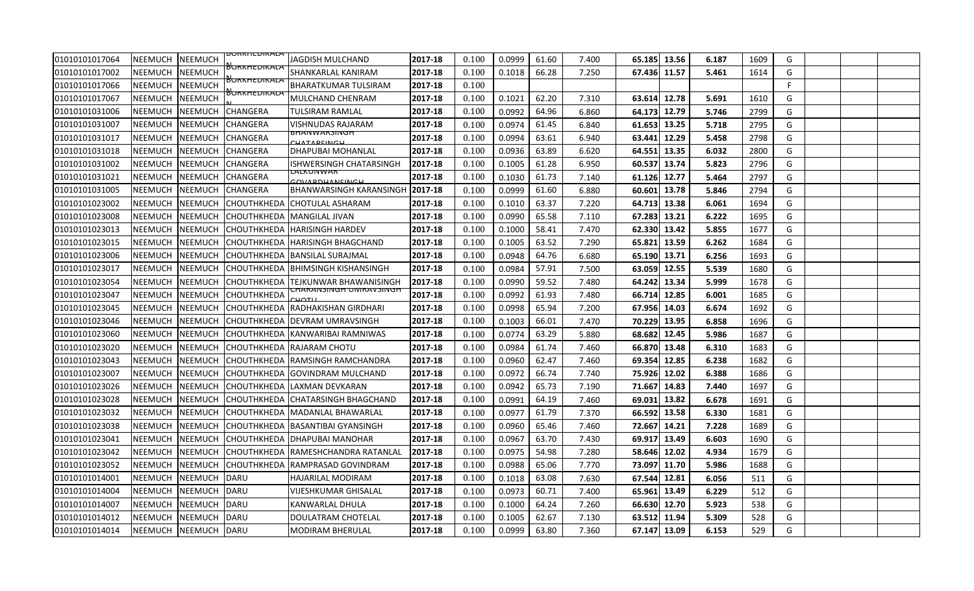| 01010101017064 | <b>NEEMUCH</b>       | <b>NEEMUCH</b> | <b>DUNNALA</b>      | JAGDISH MULCHAND                            | 2017-18 | 0.100 | 0.0999 | 61.60 | 7.400 | 65.185 13.56 |              | 6.187 | 1609 | G  |  |  |
|----------------|----------------------|----------------|---------------------|---------------------------------------------|---------|-------|--------|-------|-------|--------------|--------------|-------|------|----|--|--|
| 01010101017002 | NEEMUCH              | <b>NEEMUCH</b> | <b>BURNHEDINALA</b> | SHANKARLAL KANIRAM                          | 2017-18 | 0.100 | 0.1018 | 66.28 | 7.250 | 67.436 11.57 |              | 5.461 | 1614 | G  |  |  |
| 01010101017066 | <b>NEEMUCH</b>       | <b>NEEMUCH</b> | <b>DURKNEDIKALA</b> | <b>BHARATKUMAR TULSIRAM</b>                 | 2017-18 | 0.100 |        |       |       |              |              |       |      | F. |  |  |
| 01010101017067 | NEEMUCH              | <b>NEEMUCH</b> | <b>BURKHEDINAL</b>  | <b>MULCHAND CHENRAM</b>                     | 2017-18 | 0.100 | 0.1021 | 62.20 | 7.310 | 63.614 12.78 |              | 5.691 | 1610 | G  |  |  |
| 01010101031006 | NEEMUCH              | <b>NEEMUCH</b> | <b>CHANGERA</b>     | TULSIRAM RAMLAL                             | 2017-18 | 0.100 | 0.0992 | 64.96 | 6.860 | 64.173 12.79 |              | 5.746 | 2799 | G  |  |  |
| 01010101031007 | NEEMUCH              | <b>NEEMUCH</b> | <b>CHANGERA</b>     | <b>VISHNUDAS RAJARAM</b>                    | 2017-18 | 0.100 | 0.0974 | 61.45 | 6.840 |              | 61.653 13.25 | 5.718 | 2795 | G  |  |  |
| 01010101031017 | NEEMUCH              | <b>NEEMUCH</b> | <b>CHANGERA</b>     | <b>DUANANARSINGL</b><br><b>CUATADCINICU</b> | 2017-18 | 0.100 | 0.0994 | 63.61 | 6.940 | 63.441       | 12.29        | 5.458 | 2798 | G  |  |  |
| 01010101031018 | NEEMUCH              | <b>NEEMUCH</b> | <b>CHANGERA</b>     | DHAPUBAI MOHANLAL                           | 2017-18 | 0.100 | 0.0936 | 63.89 | 6.620 | 64.551       | 13.35        | 6.032 | 2800 | G  |  |  |
| 01010101031002 | NEEMUCH              | <b>NEEMUCH</b> | <b>CHANGERA</b>     | ISHWERSINGH CHATARSINGH                     | 2017-18 | 0.100 | 0.1005 | 61.28 | 6.950 | 60.537       | 13.74        | 5.823 | 2796 | G  |  |  |
| 01010101031021 | <b>NEEMUCH</b>       | <b>NEEMUCH</b> | <b>CHANGERA</b>     | LALNUNWAN<br>COVARDUANCINCU                 | 2017-18 | 0.100 | 0.1030 | 61.73 | 7.140 | 61.126       | 12.77        | 5.464 | 2797 | G  |  |  |
| 01010101031005 | <b>NEEMUCH</b>       | <b>NEEMUCH</b> | <b>CHANGERA</b>     | <b>BHANWARSINGH KARANSINGH</b>              | 2017-18 | 0.100 | 0.0999 | 61.60 | 6.880 | 60.601       | 13.78        | 5.846 | 2794 | G  |  |  |
| 01010101023002 | <b>NEEMUCH</b>       | <b>NEEMUCH</b> | <b>CHOUTHKHEDA</b>  | <b>CHOTULAL ASHARAM</b>                     | 2017-18 | 0.100 | 0.1010 | 63.37 | 7.220 | 64.713       | 13.38        | 6.061 | 1694 | G  |  |  |
| 01010101023008 | <b>NEEMUCH</b>       | <b>NEEMUCH</b> | <b>CHOUTHKHEDA</b>  | <b>MANGILAL JIVAN</b>                       | 2017-18 | 0.100 | 0.0990 | 65.58 | 7.110 | 67.283       | 13.21        | 6.222 | 1695 | G  |  |  |
| 01010101023013 | <b>NEEMUCH</b>       | <b>NEEMUCH</b> | <b>CHOUTHKHEDA</b>  | <b>HARISINGH HARDEV</b>                     | 2017-18 | 0.100 | 0.1000 | 58.41 | 7.470 | 62.330 13.42 |              | 5.855 | 1677 | G  |  |  |
| 01010101023015 | <b>NEEMUCH</b>       | <b>NEEMUCH</b> | <b>CHOUTHKHEDA</b>  | <b>HARISINGH BHAGCHAND</b>                  | 2017-18 | 0.100 | 0.1005 | 63.52 | 7.290 | 65.821       | 13.59        | 6.262 | 1684 | G  |  |  |
| 01010101023006 | <b>NEEMUCH</b>       | <b>NEEMUCH</b> |                     | CHOUTHKHEDA BANSILAL SURAJMAL               | 2017-18 | 0.100 | 0.0948 | 64.76 | 6.680 | 65.190 13.71 |              | 6.256 | 1693 | G  |  |  |
| 01010101023017 | <b>NEEMUCH</b>       | <b>NEEMUCH</b> |                     | CHOUTHKHEDA BHIMSINGH KISHANSINGH           | 2017-18 | 0.100 | 0.0984 | 57.91 | 7.500 | 63.059       | 12.55        | 5.539 | 1680 | G  |  |  |
| 01010101023054 | <b>NEEMUCH</b>       | <b>NEEMUCH</b> |                     | CHOUTHKHEDA TEJKUNWAR BHAWANISINGH          | 2017-18 | 0.100 | 0.0990 | 59.52 | 7.480 | 64.242       | 13.34        | 5.999 | 1678 | G  |  |  |
| 01010101023047 | <b>NEEMUCH</b>       | <b>NEEMUCH</b> | <b>CHOUTHKHEDA</b>  | <u> ENARAINSIINUN UMIRAVSIINUN</u>          | 2017-18 | 0.100 | 0.0992 | 61.93 | 7.480 | 66.714       | 12.85        | 6.001 | 1685 | G  |  |  |
| 01010101023045 | <b>NEEMUCH</b>       | <b>NEEMUCH</b> |                     | CHOUTHKHEDA RADHAKISHAN GIRDHARI            | 2017-18 | 0.100 | 0.0998 | 65.94 | 7.200 | 67.956       | 14.03        | 6.674 | 1692 | G  |  |  |
| 01010101023046 | NEEMUCH              | <b>NEEMUCH</b> |                     | CHOUTHKHEDA DEVRAM UMRAVSINGH               | 2017-18 | 0.100 | 0.1003 | 66.01 | 7.470 | 70.229 13.95 |              | 6.858 | 1696 | G  |  |  |
| 01010101023060 | NEEMUCH              | <b>NEEMUCH</b> |                     | CHOUTHKHEDA KANWARIBAI RAMNIWAS             | 2017-18 | 0.100 | 0.0774 | 63.29 | 5.880 | 68.682 12.45 |              | 5.986 | 1687 | G  |  |  |
| 01010101023020 | <b>NEEMUCH</b>       | <b>NEEMUCH</b> |                     | CHOUTHKHEDA RAJARAM CHOTU                   | 2017-18 | 0.100 | 0.0984 | 61.74 | 7.460 | 66.870 13.48 |              | 6.310 | 1683 | G  |  |  |
| 01010101023043 | NEEMUCH              | <b>NEEMUCH</b> |                     | CHOUTHKHEDA   RAMSINGH RAMCHANDRA           | 2017-18 | 0.100 | 0.0960 | 62.47 | 7.460 | 69.354 12.85 |              | 6.238 | 1682 | G  |  |  |
| 01010101023007 | NEEMUCH              | <b>NEEMUCH</b> |                     | CHOUTHKHEDA GOVINDRAM MULCHAND              | 2017-18 | 0.100 | 0.0972 | 66.74 | 7.740 | 75.926 12.02 |              | 6.388 | 1686 | G  |  |  |
| 01010101023026 | NEEMUCH              | <b>NEEMUCH</b> |                     | CHOUTHKHEDA LAXMAN DEVKARAN                 | 2017-18 | 0.100 | 0.0942 | 65.73 | 7.190 | 71.667 14.83 |              | 7.440 | 1697 | G  |  |  |
| 01010101023028 | NEEMUCH              | <b>NEEMUCH</b> |                     | CHOUTHKHEDA CHATARSINGH BHAGCHAND           | 2017-18 | 0.100 | 0.0991 | 64.19 | 7.460 | 69.031 13.82 |              | 6.678 | 1691 | G  |  |  |
| 01010101023032 | NEEMUCH              | <b>NEEMUCH</b> |                     | CHOUTHKHEDA   MADANLAL BHAWARLAL            | 2017-18 | 0.100 | 0.0977 | 61.79 | 7.370 | 66.592 13.58 |              | 6.330 | 1681 | G  |  |  |
| 01010101023038 | NEEMUCH              | <b>NEEMUCH</b> |                     | CHOUTHKHEDA BASANTIBAI GYANSINGH            | 2017-18 | 0.100 | 0.0960 | 65.46 | 7.460 | 72.667 14.21 |              | 7.228 | 1689 | G  |  |  |
| 01010101023041 | <b>NEEMUCH</b>       | <b>NEEMUCH</b> |                     | CHOUTHKHEDA DHAPUBAI MANOHAR                | 2017-18 | 0.100 | 0.0967 | 63.70 | 7.430 | 69.917 13.49 |              | 6.603 | 1690 | G  |  |  |
| 01010101023042 | <b>NEEMUCH</b>       | <b>NEEMUCH</b> |                     | CHOUTHKHEDA RAMESHCHANDRA RATANLAL          | 2017-18 | 0.100 | 0.0975 | 54.98 | 7.280 | 58.646 12.02 |              | 4.934 | 1679 | G  |  |  |
| 01010101023052 | <b>NEEMUCH</b>       | <b>NEEMUCH</b> |                     | CHOUTHKHEDA RAMPRASAD GOVINDRAM             | 2017-18 | 0.100 | 0.0988 | 65.06 | 7.770 | 73.097 11.70 |              | 5.986 | 1688 | G  |  |  |
| 01010101014001 | <b>NEEMUCH</b>       | <b>NEEMUCH</b> | <b>IDARU</b>        | IHAJARILAL MODIRAM                          | 2017-18 | 0.100 | 0.1018 | 63.08 | 7.630 | 67.544 12.81 |              | 6.056 | 511  | G  |  |  |
| 01010101014004 | <b>NEEMUCH</b>       | <b>NEEMUCH</b> | DARU                | VIJESHKUMAR GHISALAL                        | 2017-18 | 0.100 | 0.0973 | 60.71 | 7.400 | 65.961 13.49 |              | 6.229 | 512  | G  |  |  |
| 01010101014007 | <b>NEEMUCH</b>       | <b>NEEMUCH</b> | <b>IDARU</b>        | KANWARLAL DHULA                             | 2017-18 | 0.100 | 0.1000 | 64.24 | 7.260 | 66.630 12.70 |              | 5.923 | 538  | G  |  |  |
| 01010101014012 | <b>NEEMUCH</b>       | <b>NEEMUCH</b> | <b>DARU</b>         | <b>DOULATRAM CHOTELAL</b>                   | 2017-18 | 0.100 | 0.1005 | 62.67 | 7.130 | 63.512 11.94 |              | 5.309 | 528  | G  |  |  |
| 01010101014014 | NEEMUCH NEEMUCH DARU |                |                     | <b>MODIRAM BHERULAL</b>                     | 2017-18 | 0.100 | 0.0999 | 63.80 | 7.360 | 67.147 13.09 |              | 6.153 | 529  | G  |  |  |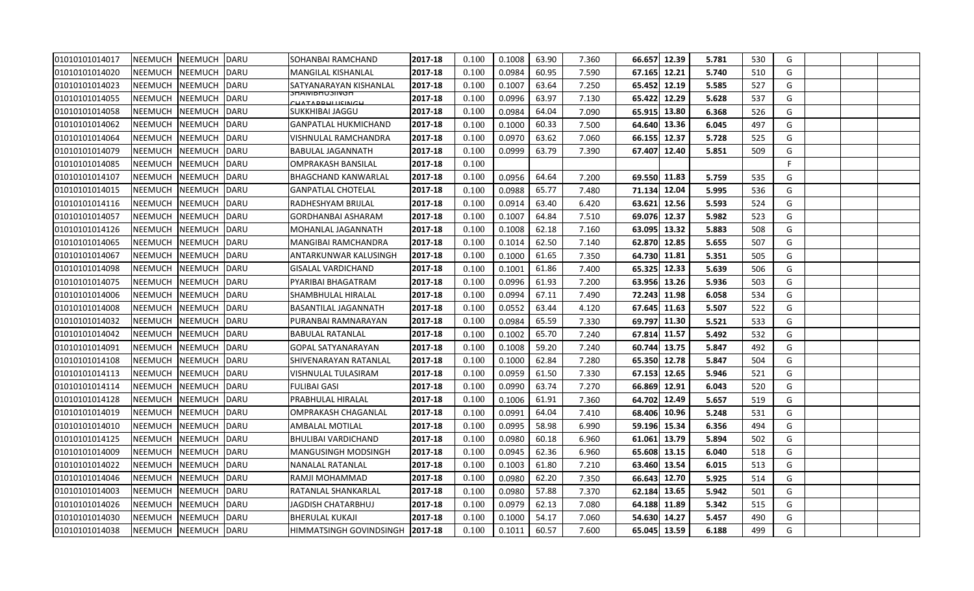| 01010101014017 | <b>NEEMUCH</b> | <b>NEEMUCH</b> | <b>DARU</b> | SOHANBAI RAMCHAND                        | 2017-18 | 0.100 | 0.1008 | 63.90 | 7.360 | 66.657       | 12.39 | 5.781 | 530 | G            |  |  |
|----------------|----------------|----------------|-------------|------------------------------------------|---------|-------|--------|-------|-------|--------------|-------|-------|-----|--------------|--|--|
| 01010101014020 | NEEMUCH        | <b>NEEMUCH</b> | <b>DARU</b> | MANGILAL KISHANLAL                       | 2017-18 | 0.100 | 0.0984 | 60.95 | 7.590 | 67.165       | 12.21 | 5.740 | 510 | G            |  |  |
| 01010101014023 | NEEMUCH        | <b>NEEMUCH</b> | <b>DARU</b> | SATYANARAYAN KISHANLAL                   | 2017-18 | 0.100 | 0.1007 | 63.64 | 7.250 | 65.452       | 12.19 | 5.585 | 527 | G            |  |  |
| 01010101014055 | NEEMUCH        | <b>NEEMUCH</b> | <b>DARU</b> | חסיווכטחמואות<br><b>CUATADDULLICINGU</b> | 2017-18 | 0.100 | 0.0996 | 63.97 | 7.130 | 65.422       | 12.29 | 5.628 | 537 | G            |  |  |
| 01010101014058 | NEEMUCH        | <b>NEEMUCH</b> | <b>DARU</b> | <b>SUKKHIBAI JAGGU</b>                   | 2017-18 | 0.100 | 0.0984 | 64.04 | 7.090 | 65.915       | 13.80 | 6.368 | 526 | G            |  |  |
| 01010101014062 | NEEMUCH        | <b>NEEMUCH</b> | <b>DARU</b> | <b>GANPATLAL HUKMICHAND</b>              | 2017-18 | 0.100 | 0.1000 | 60.33 | 7.500 | 64.640       | 13.36 | 6.045 | 497 | G            |  |  |
| 01010101014064 | NEEMUCH        | <b>NEEMUCH</b> | <b>DARU</b> | VISHNULAL RAMCHANDRA                     | 2017-18 | 0.100 | 0.0970 | 63.62 | 7.060 | 66.155       | 12.37 | 5.728 | 525 | G            |  |  |
| 01010101014079 | NEEMUCH        | <b>NEEMUCH</b> | <b>DARU</b> | <b>BABULAL JAGANNATH</b>                 | 2017-18 | 0.100 | 0.0999 | 63.79 | 7.390 | 67.407       | 12.40 | 5.851 | 509 | G            |  |  |
| 01010101014085 | <b>NEEMUCH</b> | <b>NEEMUCH</b> | <b>DARU</b> | OMPRAKASH BANSILAL                       | 2017-18 | 0.100 |        |       |       |              |       |       |     | $\mathsf{F}$ |  |  |
| 01010101014107 | <b>NEEMUCH</b> | <b>NEEMUCH</b> | <b>DARU</b> | <b>BHAGCHAND KANWARLAL</b>               | 2017-18 | 0.100 | 0.0956 | 64.64 | 7.200 | 69.550 11.83 |       | 5.759 | 535 | G            |  |  |
| 01010101014015 | <b>NEEMUCH</b> | <b>NEEMUCH</b> | <b>DARU</b> | <b>GANPATLAL CHOTELAL</b>                | 2017-18 | 0.100 | 0.0988 | 65.77 | 7.480 | 71.134       | 12.04 | 5.995 | 536 | G            |  |  |
| 01010101014116 | <b>NEEMUCH</b> | <b>NEEMUCH</b> | <b>DARU</b> | RADHESHYAM BRIJLAL                       | 2017-18 | 0.100 | 0.0914 | 63.40 | 6.420 | 63.621       | 12.56 | 5.593 | 524 | G            |  |  |
| 01010101014057 | NEEMUCH        | <b>NEEMUCH</b> | <b>DARU</b> | GORDHANBAI ASHARAM                       | 2017-18 | 0.100 | 0.1007 | 64.84 | 7.510 | 69.076       | 12.37 | 5.982 | 523 | G            |  |  |
| 01010101014126 | NEEMUCH        | <b>NEEMUCH</b> | <b>DARU</b> | MOHANLAL JAGANNATH                       | 2017-18 | 0.100 | 0.1008 | 62.18 | 7.160 | 63.095       | 13.32 | 5.883 | 508 | G            |  |  |
| 01010101014065 | NEEMUCH        | <b>NEEMUCH</b> | <b>DARU</b> | MANGIBAI RAMCHANDRA                      | 2017-18 | 0.100 | 0.1014 | 62.50 | 7.140 | 62.870       | 12.85 | 5.655 | 507 | G            |  |  |
| 01010101014067 | NEEMUCH        | NEEMUCH        | <b>DARU</b> | ANTARKUNWAR KALUSINGH                    | 2017-18 | 0.100 | 0.1000 | 61.65 | 7.350 | 64.730       | 11.81 | 5.351 | 505 | G            |  |  |
| 01010101014098 | NEEMUCH        | NEEMUCH        | <b>DARU</b> | GISALAL VARDICHAND                       | 2017-18 | 0.100 | 0.1001 | 61.86 | 7.400 | 65.325       | 12.33 | 5.639 | 506 | G            |  |  |
| 01010101014075 | NEEMUCH        | NEEMUCH        | <b>DARU</b> | PYARIBAI BHAGATRAM                       | 2017-18 | 0.100 | 0.0996 | 61.93 | 7.200 | 63.956       | 13.26 | 5.936 | 503 | G            |  |  |
| 01010101014006 | NEEMUCH        | <b>NEEMUCH</b> | <b>DARU</b> | SHAMBHULAL HIRALAL                       | 2017-18 | 0.100 | 0.0994 | 67.11 | 7.490 | 72.243       | 11.98 | 6.058 | 534 | G            |  |  |
| 01010101014008 | NEEMUCH        | <b>NEEMUCH</b> | <b>DARU</b> | BASANTILAL JAGANNATH                     | 2017-18 | 0.100 | 0.0552 | 63.44 | 4.120 | 67.645       | 11.63 | 5.507 | 522 | G            |  |  |
| 01010101014032 | NEEMUCH        | <b>NEEMUCH</b> | <b>DARU</b> | PURANBAI RAMNARAYAN                      | 2017-18 | 0.100 | 0.0984 | 65.59 | 7.330 | 69.797       | 11.30 | 5.521 | 533 | G            |  |  |
| 01010101014042 | NEEMUCH        | <b>NEEMUCH</b> | <b>DARU</b> | <b>BABULAL RATANLAL</b>                  | 2017-18 | 0.100 | 0.1002 | 65.70 | 7.240 | 67.814       | 11.57 | 5.492 | 532 | G            |  |  |
| 01010101014091 | <b>NEEMUCH</b> | <b>NEEMUCH</b> | <b>DARU</b> | GOPAL SATYANARAYAN                       | 2017-18 | 0.100 | 0.1008 | 59.20 | 7.240 | 60.744       | 13.75 | 5.847 | 492 | G            |  |  |
| 01010101014108 | <b>NEEMUCH</b> | <b>NEEMUCH</b> | <b>DARU</b> | SHIVENARAYAN RATANLAL                    | 2017-18 | 0.100 | 0.1000 | 62.84 | 7.280 | 65.350       | 12.78 | 5.847 | 504 | G            |  |  |
| 01010101014113 | <b>NEEMUCH</b> | <b>NEEMUCH</b> | <b>DARU</b> | VISHNULAL TULASIRAM                      | 2017-18 | 0.100 | 0.0959 | 61.50 | 7.330 | 67.153       | 12.65 | 5.946 | 521 | G            |  |  |
| 01010101014114 | <b>NEEMUCH</b> | <b>NEEMUCH</b> | <b>DARU</b> | <b>FULIBAI GASI</b>                      | 2017-18 | 0.100 | 0.0990 | 63.74 | 7.270 | 66.869       | 12.91 | 6.043 | 520 | G            |  |  |
| 01010101014128 | <b>NEEMUCH</b> | <b>NEEMUCH</b> | <b>DARU</b> | PRABHULAL HIRALAL                        | 2017-18 | 0.100 | 0.1006 | 61.91 | 7.360 | 64.702       | 12.49 | 5.657 | 519 | G            |  |  |
| 01010101014019 | <b>NEEMUCH</b> | <b>NEEMUCH</b> | <b>DARU</b> | OMPRAKASH CHAGANLAL                      | 2017-18 | 0.100 | 0.0991 | 64.04 | 7.410 | 68.406       | 10.96 | 5.248 | 531 | G            |  |  |
| 01010101014010 | <b>NEEMUCH</b> | <b>NEEMUCH</b> | <b>DARU</b> | AMBALAL MOTILAL                          | 2017-18 | 0.100 | 0.0995 | 58.98 | 6.990 | 59.196       | 15.34 | 6.356 | 494 | G            |  |  |
| 01010101014125 | NEEMUCH        | <b>NEEMUCH</b> | DARU        | <b>BHULIBAI VARDICHAND</b>               | 2017-18 | 0.100 | 0.0980 | 60.18 | 6.960 | 61.061 13.79 |       | 5.894 | 502 | G            |  |  |
| 01010101014009 | <b>NEEMUCH</b> | <b>NEEMUCH</b> | DARU        | MANGUSINGH MODSINGH                      | 2017-18 | 0.100 | 0.0945 | 62.36 | 6.960 | 65.608 13.15 |       | 6.040 | 518 | G            |  |  |
| 01010101014022 | <b>NEEMUCH</b> | <b>NEEMUCH</b> | DARU        | NANALAL RATANLAL                         | 2017-18 | 0.100 | 0.1003 | 61.80 | 7.210 | 63.460 13.54 |       | 6.015 | 513 | G            |  |  |
| 01010101014046 | NEEMUCH        | <b>NEEMUCH</b> | DARU        | RAMJI MOHAMMAD                           | 2017-18 | 0.100 | 0.0980 | 62.20 | 7.350 | 66.643 12.70 |       | 5.925 | 514 | G            |  |  |
| 01010101014003 | NEEMUCH        | <b>NEEMUCH</b> | DARU        | RATANLAL SHANKARLAL                      | 2017-18 | 0.100 | 0.0980 | 57.88 | 7.370 | 62.184 13.65 |       | 5.942 | 501 | G            |  |  |
| 01010101014026 | NEEMUCH        | <b>NEEMUCH</b> | <b>DARU</b> | JAGDISH CHATARBHUJ                       | 2017-18 | 0.100 | 0.0979 | 62.13 | 7.080 | 64.188 11.89 |       | 5.342 | 515 | G            |  |  |
| 01010101014030 | <b>NEEMUCH</b> | <b>NEEMUCH</b> | <b>DARU</b> | <b>BHERULAL KUKAJI</b>                   | 2017-18 | 0.100 | 0.1000 | 54.17 | 7.060 | 54.630 14.27 |       | 5.457 | 490 | G            |  |  |
| 01010101014038 | <b>NEEMUCH</b> | <b>NEEMUCH</b> | <b>DARU</b> | HIMMATSINGH GOVINDSINGH                  | 2017-18 | 0.100 | 0.1011 | 60.57 | 7.600 | 65.045 13.59 |       | 6.188 | 499 | G            |  |  |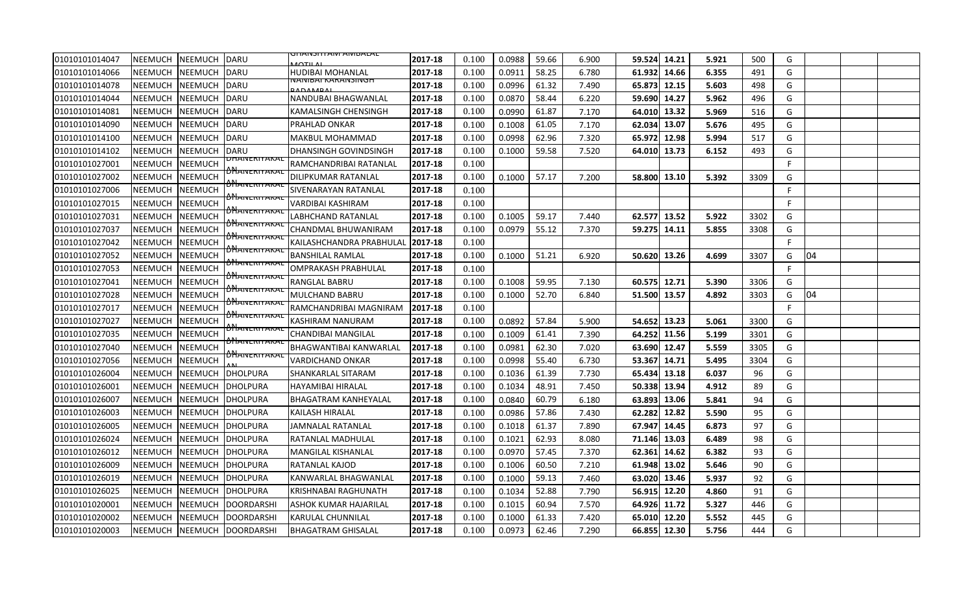| 01010101014047 | <b>NEEMUCH</b> | <b>NEEMUCH</b> | DARU                    | UNANJNI ANI ANIDALAL<br>$A$ $TII$               | 2017-18 | 0.100 | 0.0988 | 59.66 | 6.900 | 59.524       | 14.21        | 5.921 | 500  | G  |    |  |
|----------------|----------------|----------------|-------------------------|-------------------------------------------------|---------|-------|--------|-------|-------|--------------|--------------|-------|------|----|----|--|
| 01010101014066 | <b>NEEMUCH</b> | <b>NEEMUCH</b> | <b>DARU</b>             | HUDIBAI MOHANLAL                                | 2017-18 | 0.100 | 0.0911 | 58.25 | 6.780 | 61.932       | 14.66        | 6.355 | 491  | G  |    |  |
| 01010101014078 | <b>NEEMUCH</b> | <b>NEEMUCH</b> | <b>DARU</b>             | <u>NAINIDAI NANAINSIINUM</u><br><b>ADAMADAL</b> | 2017-18 | 0.100 | 0.0996 | 61.32 | 7.490 | 65.873       | 12.15        | 5.603 | 498  | G  |    |  |
| 01010101014044 | NEEMUCH        | <b>NEEMUCH</b> | DARU                    | NANDUBAI BHAGWANLAL                             | 2017-18 | 0.100 | 0.0870 | 58.44 | 6.220 | 59.690       | 14.27        | 5.962 | 496  | G  |    |  |
| 01010101014081 | <b>NEEMUCH</b> | <b>NEEMUCH</b> | <b>DARU</b>             | <b>KAMALSINGH CHENSINGH</b>                     | 2017-18 | 0.100 | 0.0990 | 61.87 | 7.170 | 64.010       | 13.32        | 5.969 | 516  | G  |    |  |
| 01010101014090 | NEEMUCH        | <b>NEEMUCH</b> | <b>DARU</b>             | <b>PRAHLAD ONKAR</b>                            | 2017-18 | 0.100 | 0.1008 | 61.05 | 7.170 | 62.034       | 13.07        | 5.676 | 495  | G  |    |  |
| 01010101014100 | NEEMUCH        | <b>NEEMUCH</b> | <b>DARU</b>             | <b>MAKBUL MOHAMMAD</b>                          | 2017-18 | 0.100 | 0.0998 | 62.96 | 7.320 | 65.972       | 12.98        | 5.994 | 517  | G  |    |  |
| 01010101014102 | NEEMUCH        | <b>NEEMUCH</b> | <b>DARU</b>             | DHANSINGH GOVINDSINGH                           | 2017-18 | 0.100 | 0.1000 | 59.58 | 7.520 | 64.010       | 13.73        | 6.152 | 493  | G  |    |  |
| 01010101027001 | <b>NEEMUCH</b> | <b>NEEMUCH</b> | UNAIVERITANAL           | RAMCHANDRIBAI RATANLAL                          | 2017-18 | 0.100 |        |       |       |              |              |       |      | F. |    |  |
| 01010101027002 | <b>NEEMUCH</b> | <b>NEEMUCH</b> | <b>UNAINERITANAL</b>    | <b>DILIPKUMAR RATANLAL</b>                      | 2017-18 | 0.100 | 0.1000 | 57.17 | 7.200 | 58.800       | 13.10        | 5.392 | 3309 | G  |    |  |
| 01010101027006 | <b>NEEMUCH</b> | <b>NEEMUCH</b> | <b>JUANENTANA</b>       | SIVENARAYAN RATANLAL                            | 2017-18 | 0.100 |        |       |       |              |              |       |      | F  |    |  |
| 01010101027015 | <b>NEEMUCH</b> | <b>NEEMUCH</b> | <b>JNAIVERITAKAI</b>    | <b>VARDIBAI KASHIRAM</b>                        | 2017-18 | 0.100 |        |       |       |              |              |       |      | F  |    |  |
| 01010101027031 | <b>NEEMUCH</b> | <b>NEEMUCH</b> | <b>UNAIVERITANAL</b>    | LABHCHAND RATANLAL                              | 2017-18 | 0.100 | 0.1005 | 59.17 | 7.440 | 62.577       | 13.52        | 5.922 | 3302 | G  |    |  |
| 01010101027037 | <b>NEEMUCH</b> | <b>NEEMUCH</b> | <b>UNAIVERITANAL</b>    | CHANDMAL BHUWANIRAM                             | 2017-18 | 0.100 | 0.0979 | 55.12 | 7.370 | 59.275       | 14.11        | 5.855 | 3308 | G  |    |  |
| 01010101027042 | <b>NEEMUCH</b> | <b>NEEMUCH</b> | <b>JNAIVERITANAL</b>    | KAILASHCHANDRA PRABHULAI                        | 2017-18 | 0.100 |        |       |       |              |              |       |      | F  |    |  |
| 01010101027052 | <b>NEEMUCH</b> | <b>NEEMUCH</b> | <b>JNANERITANAI</b>     | <b>BANSHILAL RAMLAL</b>                         | 2017-18 | 0.100 | 0.1000 | 51.21 | 6.920 | 50.620 13.26 |              | 4.699 | 3307 | G  | 04 |  |
| 01010101027053 | <b>NEEMUCH</b> | <b>NEEMUCH</b> | <del>JNANCRITANAI</del> | <b>OMPRAKASH PRABHULAL</b>                      | 2017-18 | 0.100 |        |       |       |              |              |       |      | F  |    |  |
| 01010101027041 | <b>NEEMUCH</b> | <b>NEEMUCH</b> | <b>JNAIVERITANAI</b>    | <b>RANGLAL BABRU</b>                            | 2017-18 | 0.100 | 0.1008 | 59.95 | 7.130 | 60.575       | 12.71        | 5.390 | 3306 | G  |    |  |
| 01010101027028 | <b>NEEMUCH</b> | <b>NEEMUCH</b> | <del>JNANCRITANAI</del> | <b>MULCHAND BABRU</b>                           | 2017-18 | 0.100 | 0.1000 | 52.70 | 6.840 | 51.500 13.57 |              | 4.892 | 3303 | G  | 04 |  |
| 01010101027017 | <b>NEEMUCH</b> | <b>NEEMUCH</b> | <del>JNANCRITANAI</del> | RAMCHANDRIBAI MAGNIRAM                          | 2017-18 | 0.100 |        |       |       |              |              |       |      | F. |    |  |
| 01010101027027 | <b>NEEMUCH</b> | <b>NEEMUCH</b> | <b>JNAINERITANAL</b>    | KASHIRAM NANURAM                                | 2017-18 | 0.100 | 0.0892 | 57.84 | 5.900 | 54.652 13.23 |              | 5.061 | 3300 | G  |    |  |
| 01010101027035 | <b>NEEMUCH</b> | <b>NEEMUCH</b> | <del>JNANERITANAI</del> | CHANDIBAI MANGILAL                              | 2017-18 | 0.100 | 0.1009 | 61.41 | 7.390 |              | 64.252 11.56 | 5.199 | 3301 | G  |    |  |
| 01010101027040 | <b>NEEMUCH</b> | <b>NEEMUCH</b> | <b>JNAIVERITANAL</b>    | <b>BHAGWANTIBAI KANWARLAL</b>                   | 2017-18 | 0.100 | 0.0981 | 62.30 | 7.020 | 63.690 12.47 |              | 5.559 | 3305 | G  |    |  |
| 01010101027056 | <b>NEEMUCH</b> | <b>NEEMUCH</b> | <b>UMAIVERITANAL</b>    | <b>VARDICHAND ONKAR</b>                         | 2017-18 | 0.100 | 0.0998 | 55.40 | 6.730 | 53.367 14.71 |              | 5.495 | 3304 | G  |    |  |
| 01010101026004 | <b>NEEMUCH</b> | <b>NEEMUCH</b> | <b>DHOLPURA</b>         | <b>SHANKARLAL SITARAM</b>                       | 2017-18 | 0.100 | 0.1036 | 61.39 | 7.730 | 65.434 13.18 |              | 6.037 | 96   | G  |    |  |
| 01010101026001 | <b>NEEMUCH</b> | <b>NEEMUCH</b> | <b>DHOLPURA</b>         | <b>HAYAMIBAI HIRALAL</b>                        | 2017-18 | 0.100 | 0.1034 | 48.91 | 7.450 | 50.338 13.94 |              | 4.912 | 89   | G  |    |  |
| 01010101026007 | <b>NEEMUCH</b> | <b>NEEMUCH</b> | <b>DHOLPURA</b>         | <b>BHAGATRAM KANHEYALAL</b>                     | 2017-18 | 0.100 | 0.0840 | 60.79 | 6.180 | 63.893 13.06 |              | 5.841 | 94   | G  |    |  |
| 01010101026003 | <b>NEEMUCH</b> | <b>NEEMUCH</b> | <b>DHOLPURA</b>         | <b>KAILASH HIRALAL</b>                          | 2017-18 | 0.100 | 0.0986 | 57.86 | 7.430 | 62.282 12.82 |              | 5.590 | 95   | G  |    |  |
| 01010101026005 | <b>NEEMUCH</b> | <b>NEEMUCH</b> | <b>DHOLPURA</b>         | <b>JAMNALAL RATANLAL</b>                        | 2017-18 | 0.100 | 0.1018 | 61.37 | 7.890 | 67.947 14.45 |              | 6.873 | 97   | G  |    |  |
| 01010101026024 | <b>NEEMUCH</b> | <b>NEEMUCH</b> | <b>DHOLPURA</b>         | <b>RATANLAL MADHULAL</b>                        | 2017-18 | 0.100 | 0.1021 | 62.93 | 8.080 | 71.146 13.03 |              | 6.489 | 98   | G  |    |  |
| 01010101026012 | <b>NEEMUCH</b> | <b>NEEMUCH</b> | <b>DHOLPURA</b>         | <b>MANGILAL KISHANLAL</b>                       | 2017-18 | 0.100 | 0.0970 | 57.45 | 7.370 | 62.361 14.62 |              | 6.382 | 93   | G  |    |  |
| 01010101026009 | <b>NEEMUCH</b> | <b>NEEMUCH</b> | <b>DHOLPURA</b>         | RATANLAL KAJOD                                  | 2017-18 | 0.100 | 0.1006 | 60.50 | 7.210 | 61.948 13.02 |              | 5.646 | 90   | G  |    |  |
| 01010101026019 | <b>NEEMUCH</b> | <b>NEEMUCH</b> | <b>DHOLPURA</b>         | KANWARLAL BHAGWANLAL                            | 2017-18 | 0.100 | 0.1000 | 59.13 | 7.460 | 63.020 13.46 |              | 5.937 | 92   | G  |    |  |
| 01010101026025 | <b>NEEMUCH</b> | <b>NEEMUCH</b> | <b>DHOLPURA</b>         | <b>KRISHNABAI RAGHUNATH</b>                     | 2017-18 | 0.100 | 0.1034 | 52.88 | 7.790 | 56.915 12.20 |              | 4.860 | 91   | G  |    |  |
| 01010101020001 | <b>NEEMUCH</b> | <b>NEEMUCH</b> | <b>DOORDARSHI</b>       | ASHOK KUMAR HAJARILAL                           | 2017-18 | 0.100 | 0.1015 | 60.94 | 7.570 | 64.926 11.72 |              | 5.327 | 446  | G  |    |  |
| 01010101020002 | <b>NEEMUCH</b> | <b>NEEMUCH</b> | <b>DOORDARSHI</b>       | IKARULAL CHUNNILAL                              | 2017-18 | 0.100 | 0.1000 | 61.33 | 7.420 | 65.010 12.20 |              | 5.552 | 445  | G  |    |  |
| 01010101020003 | <b>NEEMUCH</b> | <b>NEEMUCH</b> | DOORDARSHI              | <b>BHAGATRAM GHISALAL</b>                       | 2017-18 | 0.100 | 0.0973 | 62.46 | 7.290 | 66.855 12.30 |              | 5.756 | 444  | G  |    |  |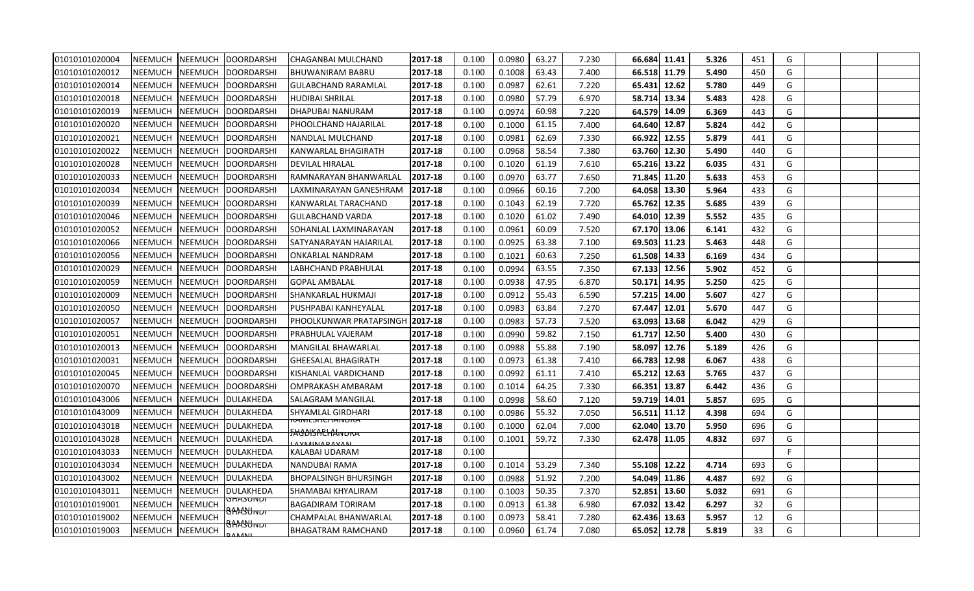| 01010101020004 | NEEMUCH        | <b>NEEMUCH</b> | <b>DOORDARSHI</b>        | CHAGANBAI MULCHAND                                    | 2017-18 | 0.100 | 0.0980 | 63.27 | 7.230 | 66.684 11.41 | 5.326 | 451 | G            |  |  |
|----------------|----------------|----------------|--------------------------|-------------------------------------------------------|---------|-------|--------|-------|-------|--------------|-------|-----|--------------|--|--|
| 01010101020012 | NEEMUCH        | <b>NEEMUCH</b> | <b>DOORDARSHI</b>        | <b>BHUWANIRAM BABRU</b>                               | 2017-18 | 0.100 | 0.1008 | 63.43 | 7.400 | 66.518 11.79 | 5.490 | 450 | G            |  |  |
| 01010101020014 | NEEMUCH        | <b>NEEMUCH</b> | <b>DOORDARSHI</b>        | <b>GULABCHAND RARAMLAL</b>                            | 2017-18 | 0.100 | 0.0987 | 62.61 | 7.220 | 65.431 12.62 | 5.780 | 449 | G            |  |  |
| 01010101020018 | NEEMUCH        | <b>NEEMUCH</b> | DOORDARSHI               | <b>HUDIBAI SHRILAL</b>                                | 2017-18 | 0.100 | 0.0980 | 57.79 | 6.970 | 58.714 13.34 | 5.483 | 428 | G            |  |  |
| 01010101020019 | NEEMUCH        | <b>NEEMUCH</b> | <b>DOORDARSHI</b>        | DHAPUBAI NANURAM                                      | 2017-18 | 0.100 | 0.0974 | 60.98 | 7.220 | 64.579 14.09 | 6.369 | 443 | G            |  |  |
| 01010101020020 | NEEMUCH        | <b>NEEMUCH</b> | <b>DOORDARSHI</b>        | PHOOLCHAND HAJARILAL                                  | 2017-18 | 0.100 | 0.1000 | 61.15 | 7.400 | 64.640 12.87 | 5.824 | 442 | G            |  |  |
| 01010101020021 | NEEMUCH        | <b>NEEMUCH</b> | <b>DOORDARSHI</b>        | NANDLAL MULCHAND                                      | 2017-18 | 0.100 | 0.0981 | 62.69 | 7.330 | 66.922 12.55 | 5.879 | 441 | G            |  |  |
| 01010101020022 | NEEMUCH        | <b>NEEMUCH</b> | <b>DOORDARSHI</b>        | KANWARLAL BHAGIRATH                                   | 2017-18 | 0.100 | 0.0968 | 58.54 | 7.380 | 63.760 12.30 | 5.490 | 440 | G            |  |  |
| 01010101020028 | NEEMUCH        | <b>NEEMUCH</b> | <b>DOORDARSHI</b>        | <b>DEVILAL HIRALAL</b>                                | 2017-18 | 0.100 | 0.1020 | 61.19 | 7.610 | 65.216 13.22 | 6.035 | 431 | G            |  |  |
| 01010101020033 | NEEMUCH        | <b>NEEMUCH</b> | DOORDARSHI               | RAMNARAYAN BHANWARLAL                                 | 2017-18 | 0.100 | 0.0970 | 63.77 | 7.650 | 71.845 11.20 | 5.633 | 453 | G            |  |  |
| 01010101020034 | NEEMUCH        | <b>NEEMUCH</b> | DOORDARSHI               | LAXMINARAYAN GANESHRAM                                | 2017-18 | 0.100 | 0.0966 | 60.16 | 7.200 | 64.058 13.30 | 5.964 | 433 | G            |  |  |
| 01010101020039 | NEEMUCH        | <b>NEEMUCH</b> | DOORDARSHI               | KANWARLAL TARACHAND                                   | 2017-18 | 0.100 | 0.1043 | 62.19 | 7.720 | 65.762 12.35 | 5.685 | 439 | G            |  |  |
| 01010101020046 | NEEMUCH        | <b>NEEMUCH</b> | DOORDARSHI               | GULABCHAND VARDA                                      | 2017-18 | 0.100 | 0.1020 | 61.02 | 7.490 | 64.010 12.39 | 5.552 | 435 | G            |  |  |
| 01010101020052 | NEEMUCH        | <b>NEEMUCH</b> | DOORDARSHI               | SOHANLAL LAXMINARAYAN                                 | 2017-18 | 0.100 | 0.0961 | 60.09 | 7.520 | 67.170 13.06 | 6.141 | 432 | G            |  |  |
| 01010101020066 | NEEMUCH        | <b>NEEMUCH</b> | DOORDARSHI               | SATYANARAYAN HAJARILAL                                | 2017-18 | 0.100 | 0.0925 | 63.38 | 7.100 | 69.503 11.23 | 5.463 | 448 | G            |  |  |
| 01010101020056 | NEEMUCH        | <b>NEEMUCH</b> | <b>DOORDARSHI</b>        | ONKARLAL NANDRAM                                      | 2017-18 | 0.100 | 0.1021 | 60.63 | 7.250 | 61.508 14.33 | 6.169 | 434 | G            |  |  |
| 01010101020029 | NEEMUCH        | <b>NEEMUCH</b> | <b>DOORDARSHI</b>        | LABHCHAND PRABHULAL                                   | 2017-18 | 0.100 | 0.0994 | 63.55 | 7.350 | 67.133 12.56 | 5.902 | 452 | G            |  |  |
| 01010101020059 | NEEMUCH        | <b>NEEMUCH</b> | <b>DOORDARSHI</b>        | <b>GOPAL AMBALAL</b>                                  | 2017-18 | 0.100 | 0.0938 | 47.95 | 6.870 | 50.171 14.95 | 5.250 | 425 | G            |  |  |
| 01010101020009 | NEEMUCH        | <b>NEEMUCH</b> | <b>DOORDARSHI</b>        | SHANKARLAL HUKMAJI                                    | 2017-18 | 0.100 | 0.0912 | 55.43 | 6.590 | 57.215 14.00 | 5.607 | 427 | G            |  |  |
| 01010101020050 | NEEMUCH        | <b>NEEMUCH</b> | <b>DOORDARSHI</b>        | PUSHPABAI KANHEYALAL                                  | 2017-18 | 0.100 | 0.0983 | 63.84 | 7.270 | 67.447 12.01 | 5.670 | 447 | G            |  |  |
| 01010101020057 | <b>NEEMUCH</b> | <b>NEEMUCH</b> | <b>DOORDARSHI</b>        | PHOOLKUNWAR PRATAPSINGH                               | 2017-18 | 0.100 | 0.0983 | 57.73 | 7.520 | 63.093 13.68 | 6.042 | 429 | G            |  |  |
| 01010101020051 | NEEMUCH        | <b>NEEMUCH</b> | <b>DOORDARSHI</b>        | <b>PRABHULAL VAJERAM</b>                              | 2017-18 | 0.100 | 0.0990 | 59.82 | 7.150 | 61.717 12.50 | 5.400 | 430 | G            |  |  |
| 01010101020013 | NEEMUCH        | <b>NEEMUCH</b> | <b>DOORDARSHI</b>        | <b>MANGILAL BHAWARLAL</b>                             | 2017-18 | 0.100 | 0.0988 | 55.88 | 7.190 | 58.097 12.76 | 5.189 | 426 | G            |  |  |
| 01010101020031 | NEEMUCH        | <b>NEEMUCH</b> | <b>DOORDARSHI</b>        | <b>GHEESALAL BHAGIRATH</b>                            | 2017-18 | 0.100 | 0.0973 | 61.38 | 7.410 | 66.783 12.98 | 6.067 | 438 | G            |  |  |
| 01010101020045 | NEEMUCH        | <b>NEEMUCH</b> | <b>DOORDARSHI</b>        | KISHANLAL VARDICHAND                                  | 2017-18 | 0.100 | 0.0992 | 61.11 | 7.410 | 65.212 12.63 | 5.765 | 437 | G            |  |  |
| 01010101020070 | NEEMUCH        | <b>NEEMUCH</b> | DOORDARSHI               | OMPRAKASH AMBARAM                                     | 2017-18 | 0.100 | 0.1014 | 64.25 | 7.330 | 66.351 13.87 | 6.442 | 436 | G            |  |  |
| 01010101043006 | NEEMUCH        | <b>NEEMUCH</b> | DULAKHEDA                | <b>SALAGRAM MANGILAL</b>                              | 2017-18 | 0.100 | 0.0998 | 58.60 | 7.120 | 59.719 14.01 | 5.857 | 695 | G            |  |  |
| 01010101043009 | NEEMUCH        | <b>NEEMUCH</b> | DULAKHEDA                | <b>SHYAMLAL GIRDHARI</b>                              | 2017-18 | 0.100 | 0.0986 | 55.32 | 7.050 | 56.511 11.12 | 4.398 | 694 | G            |  |  |
| 01010101043018 | NEEMUCH        | <b>NEEMUCH</b> | DULAKHEDA                | <b>MAIVIESNUNAINUMA</b><br><del>SHODISARIALNURA</del> | 2017-18 | 0.100 | 0.1000 | 62.04 | 7.000 | 62.040 13.70 | 5.950 | 696 | G            |  |  |
| 01010101043028 | NEEMUCH        | <b>NEEMUCH</b> | <b>DULAKHEDA</b>         | AVA JINIA DAVAN                                       | 2017-18 | 0.100 | 0.1001 | 59.72 | 7.330 | 62.478 11.05 | 4.832 | 697 | G            |  |  |
| 01010101043033 | NEEMUCH        | <b>NEEMUCH</b> | DULAKHEDA                | KALABAI UDARAM                                        | 2017-18 | 0.100 |        |       |       |              |       |     | $\mathsf{F}$ |  |  |
| 01010101043034 | NEEMUCH        | <b>NEEMUCH</b> | DULAKHEDA                | NANDUBAI RAMA                                         | 2017-18 | 0.100 | 0.1014 | 53.29 | 7.340 | 55.108 12.22 | 4.714 | 693 | G            |  |  |
| 01010101043002 | NEEMUCH        | <b>NEEMUCH</b> | DULAKHEDA                | <b>BHOPALSINGH BHURSINGH</b>                          | 2017-18 | 0.100 | 0.0988 | 51.92 | 7.200 | 54.049 11.86 | 4.487 | 692 | G            |  |  |
| 01010101043011 | NEEMUCH        | <b>NEEMUCH</b> | DULAKHEDA                | SHAMABAI KHYALIRAM                                    | 2017-18 | 0.100 | 0.1003 | 50.35 | 7.370 | 52.851 13.60 | 5.032 | 691 | G            |  |  |
| 01010101019001 | NEEMUCH        | <b>NEEMUCH</b> | งทหวบพิมา<br>ᠲᠲᡰᡶᡰᡐᡶᡰᢦᠦ᠇ | <b>BAGADIRAM TORIRAM</b>                              | 2017-18 | 0.100 | 0.0913 | 61.38 | 6.980 | 67.032 13.42 | 6.297 | 32  | G            |  |  |
| 01010101019002 | NEEMUCH        | <b>NEEMUCH</b> | ᠲᠲᡰ᠋ᢂᡱᡃᠯᢦ᠋ᡨ              | CHAMPALAL BHANWARLAL                                  | 2017-18 | 0.100 | 0.0973 | 58.41 | 7.280 | 62.436 13.63 | 5.957 | 12  | G            |  |  |
| 01010101019003 | <b>NEEMUCH</b> | <b>NEEMUCH</b> |                          | <b>BHAGATRAM RAMCHAND</b>                             | 2017-18 | 0.100 | 0.0960 | 61.74 | 7.080 | 65.052 12.78 | 5.819 | 33  | G            |  |  |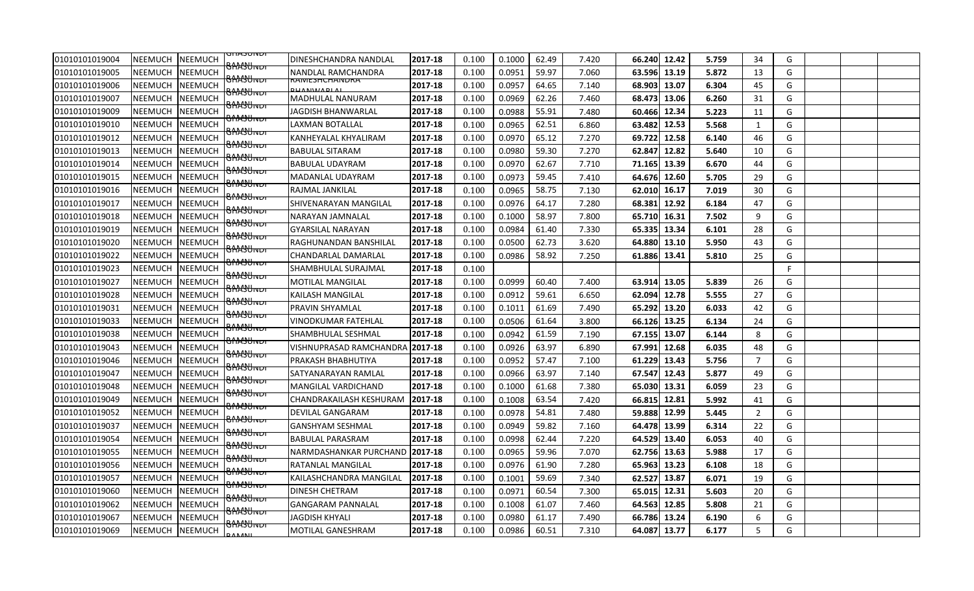| 01010101019004 | <b>NEEMUCH</b> | <b>NEEMUCH</b> | ועזוטנאחט                                       | DINESHCHANDRA NANDLAL                               | 2017-18 | 0.100 | 0.1000 | 62.49 | 7.420 | 66.240       | 12.42 | 5.759 | 34             | G  |  |  |
|----------------|----------------|----------------|-------------------------------------------------|-----------------------------------------------------|---------|-------|--------|-------|-------|--------------|-------|-------|----------------|----|--|--|
| 01010101019005 | NEEMUCH        | <b>NEEMUCH</b> | ᠲ <del>ᠲᠰᡗᢌ</del> ᡃᡰᠠᢦ <del>ᡨ</del>             | NANDLAL RAMCHANDRA                                  | 2017-18 | 0.100 | 0.0951 | 59.97 | 7.060 | 63.596       | 13.19 | 5.872 | 13             | G  |  |  |
| 01010101019006 | NEEMUCH        | <b>NEEMUCH</b> | <del>ჱᲩᢂ</del> ᢣᡰᠬᡨ                             | <b>TAIVIEJNUNAINURA</b><br><b>LIA NIVAZA DI A I</b> | 2017-18 | 0.100 | 0.0957 | 64.65 | 7.140 | 68.903 13.07 |       | 6.304 | 45             | G  |  |  |
| 01010101019007 | NEEMUCH        | <b>NEEMUCH</b> | <del>ჱስአየያ</del> ሁԽኮ                            | MADHULAL NANURAM                                    | 2017-18 | 0.100 | 0.0969 | 62.26 | 7.460 | 68.473       | 13.06 | 6.260 | 31             | G  |  |  |
| 01010101019009 | NEEMUCH        | <b>NEEMUCH</b> | ᠲᠲᡰ <del>ᢂᢃ</del> Ⴘᠠᢦ <del>ᡨ</del>              | JAGDISH BHANWARLAL                                  | 2017-18 | 0.100 | 0.0988 | 55.91 | 7.480 | 60.466       | 12.34 | 5.223 | 11             | G  |  |  |
| 01010101019010 | NEEMUCH        | <b>NEEMUCH</b> | ᠲᠲᡰᠡᡘᢒᡃᠣᡰᠬᠳ                                     | <b>LAXMAN BOTALLAL</b>                              | 2017-18 | 0.100 | 0.0965 | 62.51 | 6.860 | 63.482       | 12.53 | 5.568 | $\mathbf{1}$   | G  |  |  |
| 01010101019012 | NEEMUCH        | <b>NEEMUCH</b> | <del>ჱስአየያ</del> ሁԽኮ                            | KANHEYALAL KHYALIRAM                                | 2017-18 | 0.100 | 0.0970 | 65.12 | 7.270 | 69.722       | 12.58 | 6.140 | 46             | G  |  |  |
| 01010101019013 | NEEMUCH        | <b>NEEMUCH</b> | <del>ჱስአየያለም አ</del>                            | <b>BABULAL SITARAM</b>                              | 2017-18 | 0.100 | 0.0980 | 59.30 | 7.270 | 62.847       | 12.82 | 5.640 | 10             | G  |  |  |
| 01010101019014 | NEEMUCH        | <b>NEEMUCH</b> | <del>ჱስአየያሁԽኮ</del>                             | <b>BABULAL UDAYRAM</b>                              | 2017-18 | 0.100 | 0.0970 | 62.67 | 7.710 | 71.165       | 13.39 | 6.670 | 44             | G  |  |  |
| 01010101019015 | NEEMUCH        | <b>NEEMUCH</b> | <del>ჱስአየያለም አ</del><br>ᠲ <del>ᠬᠡᢂ</del> ᢣᡰ᠇ᠠᠳ  | MADANLAL UDAYRAM                                    | 2017-18 | 0.100 | 0.0973 | 59.45 | 7.410 | 64.676       | 12.60 | 5.705 | 29             | G  |  |  |
| 01010101019016 | NEEMUCH        | <b>NEEMUCH</b> | ᠲᠲᡰᠰ᠍᠍᠍᠍ᡐᡰᢐᠳ                                    | <b>RAJMAL JANKILAL</b>                              | 2017-18 | 0.100 | 0.0965 | 58.75 | 7.130 | 62.010       | 16.17 | 7.019 | 30             | G  |  |  |
| 01010101019017 | NEEMUCH        | <b>NEEMUCH</b> | <del>ჱስአየያሁԽኮ</del>                             | SHIVENARAYAN MANGILAL                               | 2017-18 | 0.100 | 0.0976 | 64.17 | 7.280 | 68.381       | 12.92 | 6.184 | 47             | G  |  |  |
| 01010101019018 | NEEMUCH        | <b>NEEMUCH</b> |                                                 | NARAYAN JAMNALAL                                    | 2017-18 | 0.100 | 0.1000 | 58.97 | 7.800 | 65.710       | 16.31 | 7.502 | 9              | G  |  |  |
| 01010101019019 | NEEMUCH        | <b>NEEMUCH</b> | <del>ჱስአየያለም አ</del>                            | <b>GYARSILAL NARAYAN</b>                            | 2017-18 | 0.100 | 0.0984 | 61.40 | 7.330 | 65.335       | 13.34 | 6.101 | 28             | G  |  |  |
| 01010101019020 | NEEMUCH        | <b>NEEMUCH</b> | <del>GAMSUND</del>                              | RAGHUNANDAN BANSHILAL                               | 2017-18 | 0.100 | 0.0500 | 62.73 | 3.620 | 64.880       | 13.10 | 5.950 | 43             | G  |  |  |
| 01010101019022 | NEEMUCH        | <b>NEEMUCH</b> | <del>ჱ</del> ᠰᠰ᠍᠍ᢒᡛᡰᢦ᠋ᡨ<br><del>GAASUNDT</del>  | CHANDARLAL DAMARLAL                                 | 2017-18 | 0.100 | 0.0986 | 58.92 | 7.250 | 61.886       | 13.41 | 5.810 | 25             | G  |  |  |
| 01010101019023 | NEEMUCH        | <b>NEEMUCH</b> | ᠳᠲᠲᡘᢒᡶᡰᠬᠳ                                       | SHAMBHULAL SURAJMAL                                 | 2017-18 | 0.100 |        |       |       |              |       |       |                | F. |  |  |
| 01010101019027 | NEEMUCH        | <b>NEEMUCH</b> |                                                 | <b>MOTILAL MANGILAL</b>                             | 2017-18 | 0.100 | 0.0999 | 60.40 | 7.400 | 63.914       | 13.05 | 5.839 | 26             | G  |  |  |
| 01010101019028 | <b>NEEMUCH</b> | <b>NEEMUCH</b> | <del>ჱስአየያ</del> ሁԽኮ<br>ᠲ <del>ᠰᢂᢃ</del> ᡃ᠌ᡰᢦ᠋ᠳ | <b>KAILASH MANGILAL</b>                             | 2017-18 | 0.100 | 0.0912 | 59.61 | 6.650 | 62.094       | 12.78 | 5.555 | 27             | G  |  |  |
| 01010101019031 | NEEMUCH        | <b>NEEMUCH</b> | <del>ჱስአየያሁԽԽ</del>                             | PRAVIN SHYAMLAL                                     | 2017-18 | 0.100 | 0.1011 | 61.69 | 7.490 | 65.292 13.20 |       | 6.033 | 42             | G  |  |  |
| 01010101019033 | NEEMUCH        | <b>NEEMUCH</b> | <del>ჱስአየያሁԽԽ</del>                             | <b>VINODKUMAR FATEHLAL</b>                          | 2017-18 | 0.100 | 0.0506 | 61.64 | 3.800 | 66.126       | 13.25 | 6.134 | 24             | G  |  |  |
| 01010101019038 | NEEMUCH        | <b>NEEMUCH</b> | ᠲ <del>ᠰᢂᢃ</del> ᡃ᠌ᡶᡰᡪ᠋ᡨ                        | SHAMBHULAL SESHMAL                                  | 2017-18 | 0.100 | 0.0942 | 61.59 | 7.190 | 67.155 13.07 |       | 6.144 | 8              | G  |  |  |
| 01010101019043 | NEEMUCH        | <b>NEEMUCH</b> | ᠲᠲᡰᡶᡘᢒᡶᡰᢦ᠋ᡨ                                     | VISHNUPRASAD RAMCHANDRA                             | 2017-18 | 0.100 | 0.0926 | 63.97 | 6.890 | 67.991       | 12.68 | 6.035 | 48             | G  |  |  |
| 01010101019046 | NEEMUCH        | <b>NEEMUCH</b> | ᠲᠲᡰᡶᡘᢒᡶᡰᢦ᠋ᡨ                                     | PRAKASH BHABHUTIYA                                  | 2017-18 | 0.100 | 0.0952 | 57.47 | 7.100 | 61.229       | 13.43 | 5.756 | $\overline{7}$ | G  |  |  |
| 01010101019047 | NEEMUCH        | <b>NEEMUCH</b> | ᠲ <del>ᠰᢂ</del> ᢣᡛᡰᢦᠳ                           | SATYANARAYAN RAMLAL                                 | 2017-18 | 0.100 | 0.0966 | 63.97 | 7.140 | 67.547       | 12.43 | 5.877 | 49             | G  |  |  |
| 01010101019048 | NEEMUCH        | <b>NEEMUCH</b> | <b>GAASUNDT</b>                                 | <b>MANGILAL VARDICHAND</b>                          | 2017-18 | 0.100 | 0.1000 | 61.68 | 7.380 | 65.030 13.31 |       | 6.059 | 23             | G  |  |  |
| 01010101019049 | NEEMUCH        | <b>NEEMUCH</b> | <del>ჱስአየያሁԽԽ</del>                             | CHANDRAKAILASH KESHURAM                             | 2017-18 | 0.100 | 0.1008 | 63.54 | 7.420 | 66.815 12.81 |       | 5.992 | 41             | G  |  |  |
| 01010101019052 | NEEMUCH        | <b>NEEMUCH</b> | <del>ჱስአየያሁԽԽ</del>                             | DEVILAL GANGARAM                                    | 2017-18 | 0.100 | 0.0978 | 54.81 | 7.480 | 59.888       | 12.99 | 5.445 | $\overline{2}$ | G  |  |  |
| 01010101019037 | NEEMUCH        | <b>NEEMUCH</b> | <b>BAASUwor</b>                                 | <b>GANSHYAM SESHMAL</b>                             | 2017-18 | 0.100 | 0.0949 | 59.82 | 7.160 | 64.478 13.99 |       | 6.314 | 22             | G  |  |  |
| 01010101019054 | <b>NEEMUCH</b> | <b>NEEMUCH</b> | <b>GAASUNDT</b>                                 | <b>BABULAL PARASRAM</b>                             | 2017-18 | 0.100 | 0.0998 | 62.44 | 7.220 | 64.529 13.40 |       | 6.053 | 40             | G  |  |  |
| 01010101019055 | NEEMUCH        | <b>NEEMUCH</b> | <del>ჱስአየያሁԽԽ</del>                             | NARMDASHANKAR PURCHAND                              | 2017-18 | 0.100 | 0.0965 | 59.96 | 7.070 | 62.756 13.63 |       | 5.988 | 17             | G  |  |  |
| 01010101019056 | NEEMUCH        | <b>NEEMUCH</b> | ᠲ <del>ᠰᠰ᠍᠍ᡃᢂᡕ</del> ᡉ᠇                         | RATANLAL MANGILAL                                   | 2017-18 | 0.100 | 0.0976 | 61.90 | 7.280 | 65.963 13.23 |       | 6.108 | 18             | G  |  |  |
| 01010101019057 | NEEMUCH        | <b>NEEMUCH</b> | ᠲ <del>ᠰᠰ᠍ᡃ᠌ᢂᡃᠬᠳ</del>                          | KAILASHCHANDRA MANGILAL                             | 2017-18 | 0.100 | 0.1001 | 59.69 | 7.340 | 62.527 13.87 |       | 6.071 | 19             | G  |  |  |
| 01010101019060 | NEEMUCH        | <b>NEEMUCH</b> | <b>GAASUNDT</b>                                 | <b>DINESH CHETRAM</b>                               | 2017-18 | 0.100 | 0.0971 | 60.54 | 7.300 | 65.015       | 12.31 | 5.603 | 20             | G  |  |  |
| 01010101019062 | NEEMUCH        | <b>NEEMUCH</b> | ᠲᠰᠰ᠍᠍ᡧᢦᡨ                                        | <b>GANGARAM PANNALAL</b>                            | 2017-18 | 0.100 | 0.1008 | 61.07 | 7.460 | 64.563 12.85 |       | 5.808 | 21             | G  |  |  |
| 01010101019067 | NEEMUCH        | <b>NEEMUCH</b> | ᠲᠲᡰᡶᡘᢒᡶᡰᢦ᠋ᡨ                                     | JAGDISH KHYALI                                      | 2017-18 | 0.100 | 0.0980 | 61.17 | 7.490 | 66.786       | 13.24 | 6.190 | 6              | G  |  |  |
| 01010101019069 | <b>NEEMUCH</b> | <b>NEEMUCH</b> |                                                 | MOTILAL GANESHRAM                                   | 2017-18 | 0.100 | 0.0986 | 60.51 | 7.310 | 64.087 13.77 |       | 6.177 | -5             | G  |  |  |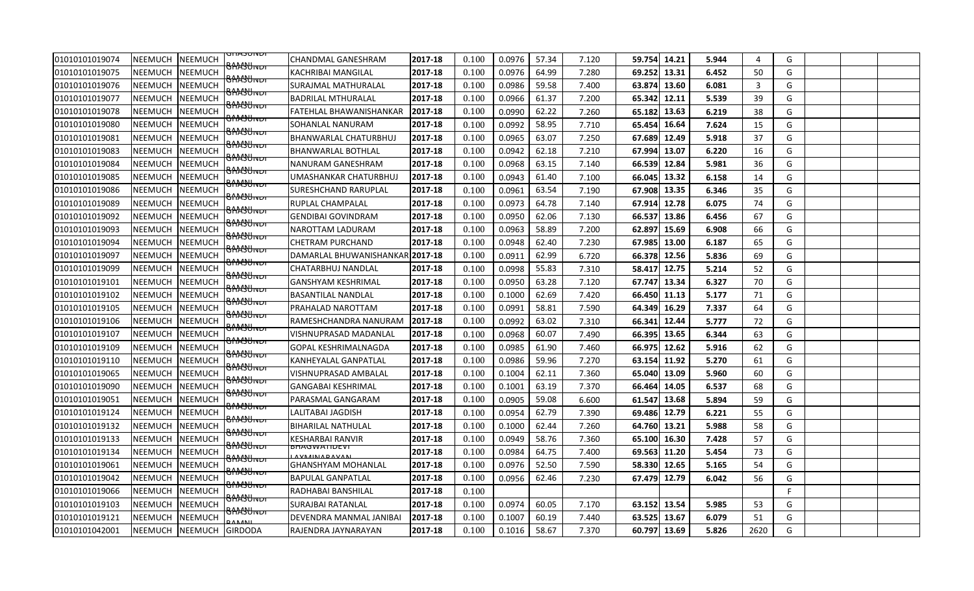| 01010101019074 | <b>NEEMUCH</b> | <b>NEEMUCH</b> | ועמוטכמחט                                 | <b>CHANDMAL GANESHRAM</b>    | 2017-18 | 0.100 | 0.0976 | 57.34 | 7.120 | 59.754       | 14.21 | 5.944 | 4    | G |  |  |
|----------------|----------------|----------------|-------------------------------------------|------------------------------|---------|-------|--------|-------|-------|--------------|-------|-------|------|---|--|--|
| 01010101019075 | NEEMUCH        | <b>NEEMUCH</b> | <del>GAASUND</del>                        | <b>KACHRIBAI MANGILAL</b>    | 2017-18 | 0.100 | 0.0976 | 64.99 | 7.280 | 69.252       | 13.31 | 6.452 | 50   | G |  |  |
| 01010101019076 | NEEMUCH        | <b>NEEMUCH</b> | <del>GAASUND</del>                        | SURAJMAL MATHURALAL          | 2017-18 | 0.100 | 0.0986 | 59.58 | 7.400 | 63.874       | 13.60 | 6.081 | 3    | G |  |  |
| 01010101019077 | NEEMUCH        | <b>NEEMUCH</b> | ᠲᠲᡰᠰ᠍᠍᠍᠍᠍᠍᠍᠍᠍ᡈᢗᠯᢐᠣ                        | <b>BADRILAL MTHURALAL</b>    | 2017-18 | 0.100 | 0.0966 | 61.37 | 7.200 | 65.342       | 12.11 | 5.539 | 39   | G |  |  |
| 01010101019078 | NEEMUCH        | <b>NEEMUCH</b> | ᠲᠲᡰᠡᡐᢒᡶᡰᢦᠦ᠇                               | FATEHLAL BHAWANISHANKAR      | 2017-18 | 0.100 | 0.0990 | 62.22 | 7.260 | 65.182       | 13.63 | 6.219 | 38   | G |  |  |
| 01010101019080 | NEEMUCH        | <b>NEEMUCH</b> | <b>GAASUNDT</b>                           | <b>SOHANLAL NANURAM</b>      | 2017-18 | 0.100 | 0.0992 | 58.95 | 7.710 | 65.454       | 16.64 | 7.624 | 15   | G |  |  |
| 01010101019081 | NEEMUCH        | <b>NEEMUCH</b> | ᠲᠲᡰᠰ᠍᠍᠍᠍᠍᠍᠍᠍᠍ᡈᢗᠯᢐᠣ                        | <b>BHANWARLAL CHATURBHUJ</b> | 2017-18 | 0.100 | 0.0965 | 63.07 | 7.250 | 67.689       | 12.49 | 5.918 | 37   | G |  |  |
| 01010101019083 | NEEMUCH        | <b>NEEMUCH</b> | <del>GAASUNDT</del><br>ᠲᠲᡰᠰ᠍᠍᠍᠍᠍᠍᠍᠍᠍ᡈᢗᠯᢐᠣ | <b>BHANWARLAL BOTHLAL</b>    | 2017-18 | 0.100 | 0.0942 | 62.18 | 7.210 | 67.994       | 13.07 | 6.220 | 16   | G |  |  |
| 01010101019084 | NEEMUCH        | <b>NEEMUCH</b> | ᠲᠲᡰᠰ᠍᠍᠍᠍᠍᠍᠍᠍᠍ᡈᢗᠯᢐᠣ                        | <b>NANURAM GANESHRAM</b>     | 2017-18 | 0.100 | 0.0968 | 63.15 | 7.140 | 66.539       | 12.84 | 5.981 | 36   | G |  |  |
| 01010101019085 | NEEMUCH        | <b>NEEMUCH</b> | <del>8ስ) (38 թ.)</del>                    | UMASHANKAR CHATURBHUJ        | 2017-18 | 0.100 | 0.0943 | 61.40 | 7.100 | 66.045       | 13.32 | 6.158 | 14   | G |  |  |
| 01010101019086 | NEEMUCH        | <b>NEEMUCH</b> | <b>GAASUNDT</b>                           | <b>SURESHCHAND RARUPLAL</b>  | 2017-18 | 0.100 | 0.0961 | 63.54 | 7.190 | 67.908       | 13.35 | 6.346 | 35   | G |  |  |
| 01010101019089 | NEEMUCH        | <b>NEEMUCH</b> | ᠲ <del>ᠰᢂᢃ</del> ᡃ᠌ᡰᢦᠳ                    | <b>RUPLAL CHAMPALAL</b>      | 2017-18 | 0.100 | 0.0973 | 64.78 | 7.140 | 67.914       | 12.78 | 6.075 | 74   | G |  |  |
| 01010101019092 | NEEMUCH        | <b>NEEMUCH</b> | ᠲ <del>ᠰᢂᢃ</del> ᡃ᠌ᡰᢦᠳ                    | <b>GENDIBAI GOVINDRAM</b>    | 2017-18 | 0.100 | 0.0950 | 62.06 | 7.130 | 66.537       | 13.86 | 6.456 | 67   | G |  |  |
| 01010101019093 | NEEMUCH        | <b>NEEMUCH</b> | ᠲ <del>ᠰᢂᢃ</del> ᡃ᠌ᡰᢦᠳ                    | NAROTTAM LADURAM             | 2017-18 | 0.100 | 0.0963 | 58.89 | 7.200 | 62.897       | 15.69 | 6.908 | 66   | G |  |  |
| 01010101019094 | NEEMUCH        | <b>NEEMUCH</b> | ᠲ <del>ᠰᢂᢃ</del> ᡃ᠌ᡰᢦᠳ                    | <b>CHETRAM PURCHAND</b>      | 2017-18 | 0.100 | 0.0948 | 62.40 | 7.230 | 67.985       | 13.00 | 6.187 | 65   | G |  |  |
| 01010101019097 | NEEMUCH        | <b>NEEMUCH</b> | ᠲ <del>ᠰᢂᢃ</del> ᡃ᠌ᡰᢦᠳ                    | DAMARLAL BHUWANISHANKAI      | 2017-18 | 0.100 | 0.0911 | 62.99 | 6.720 | 66.378       | 12.56 | 5.836 | 69   | G |  |  |
| 01010101019099 | <b>NEEMUCH</b> | <b>NEEMUCH</b> | ᡃ <del>ᢗ᠌᠌᠌᠌ᡴᡝ</del> ᡉ                    | CHATARBHUJ NANDLAL           | 2017-18 | 0.100 | 0.0998 | 55.83 | 7.310 | 58.417       | 12.75 | 5.214 | 52   | G |  |  |
| 01010101019101 | <b>NEEMUCH</b> | <b>NEEMUCH</b> | <del>ჱᲩᠡ᠍</del> ᢢᡰᢐᠳ                      | <b>GANSHYAM KESHRIMAL</b>    | 2017-18 | 0.100 | 0.0950 | 63.28 | 7.120 | 67.747       | 13.34 | 6.327 | 70   | G |  |  |
| 01010101019102 | <b>NEEMUCH</b> | <b>NEEMUCH</b> | <del>ჱስእ'ያ</del> ሁԽኮ                      | <b>BASANTILAL NANDLAL</b>    | 2017-18 | 0.100 | 0.1000 | 62.69 | 7.420 | 66.450 11.13 |       | 5.177 | 71   | G |  |  |
| 01010101019105 | <b>NEEMUCH</b> | <b>NEEMUCH</b> | <del>ჱስእ'ያ</del> ሁԽኮ                      | <b>PRAHALAD NAROTTAM</b>     | 2017-18 | 0.100 | 0.0991 | 58.81 | 7.590 | 64.349 16.29 |       | 7.337 | 64   | G |  |  |
| 01010101019106 | NEEMUCH        | <b>NEEMUCH</b> | <del>ჱᲩᢂ</del> ᠌ᡈᡃᡰᠬᠳ                     | RAMESHCHANDRA NANURAM        | 2017-18 | 0.100 | 0.0992 | 63.02 | 7.310 | 66.341       | 12.44 | 5.777 | 72   | G |  |  |
| 01010101019107 | NEEMUCH        | <b>NEEMUCH</b> | <del>ჱስእ'ያ</del> ሁԽኮ                      | <b>VISHNUPRASAD MADANLAL</b> | 2017-18 | 0.100 | 0.0968 | 60.07 | 7.490 | 66.395       | 13.65 | 6.344 | 63   | G |  |  |
| 01010101019109 | NEEMUCH        | <b>NEEMUCH</b> | ᠲᠲᡰᠡᡘᢒᡃᠣᡰ᠋ᡑ᠋ᠳ                             | <b>GOPAL KESHRIMALNAGDA</b>  | 2017-18 | 0.100 | 0.0985 | 61.90 | 7.460 | 66.975       | 12.62 | 5.916 | 62   | G |  |  |
| 01010101019110 | NEEMUCH        | <b>NEEMUCH</b> | ᠲᠲᡰᠡᡘᢒᡃᠣᡰ᠋ᡑ᠋ᠳ                             | <b>KANHEYALAL GANPATLAL</b>  | 2017-18 | 0.100 | 0.0986 | 59.96 | 7.270 | 63.154 11.92 |       | 5.270 | 61   | G |  |  |
| 01010101019065 | <b>NEEMUCH</b> | <b>NEEMUCH</b> | <del>ჱስአየያለም አ</del>                      | <b>VISHNUPRASAD AMBALAL</b>  | 2017-18 | 0.100 | 0.1004 | 62.11 | 7.360 | 65.040 13.09 |       | 5.960 | 60   | G |  |  |
| 01010101019090 | NEEMUCH        | <b>NEEMUCH</b> | <del>ჱስአየያለም አ</del>                      | <b>GANGABAI KESHRIMAL</b>    | 2017-18 | 0.100 | 0.1001 | 63.19 | 7.370 | 66.464       | 14.05 | 6.537 | 68   | G |  |  |
| 01010101019051 | <b>NEEMUCH</b> | <b>NEEMUCH</b> | <del>ჱስአየያለም አ</del>                      | PARASMAL GANGARAM            | 2017-18 | 0.100 | 0.0905 | 59.08 | 6.600 | 61.547 13.68 |       | 5.894 | 59   | G |  |  |
| 01010101019124 | NEEMUCH        | <b>NEEMUCH</b> | <del>ჱስአየያለም አ</del>                      | LALITABAI JAGDISH            | 2017-18 | 0.100 | 0.0954 | 62.79 | 7.390 | 69.486       | 12.79 | 6.221 | 55   | G |  |  |
| 01010101019132 | <b>NEEMUCH</b> | <b>NEEMUCH</b> | ᠲ <del>ᠬᠡᢂ</del> ᢣᡰ᠇ᠠᠳ                    | <b>BIHARILAL NATHULAL</b>    | 2017-18 | 0.100 | 0.1000 | 62.44 | 7.260 | 64.760 13.21 |       | 5.988 | 58   | G |  |  |
| 01010101019133 | NEEMUCH        | <b>NEEMUCH</b> | ᠲᠲᡰᢂᡷᡃᠣᡰ᠌ᡑᠳ                               | <b>KESHARBAI RANVIR</b>      | 2017-18 | 0.100 | 0.0949 | 58.76 | 7.360 | 65.100 16.30 |       | 7.428 | 57   | G |  |  |
| 01010101019134 | NEEMUCH        | <b>NEEMUCH</b> | ᠲ <del>ᠰᢂ</del> ᢣᡛᡰᢦᠳ                     | <b>DNAUWATIDEVI</b>          | 2017-18 | 0.100 | 0.0984 | 64.75 | 7.400 | 69.563 11.20 |       | 5.454 | 73   | G |  |  |
| 01010101019061 | NEEMUCH        | <b>NEEMUCH</b> | ᠲ <del>ᠰᢂ</del> ᢣᡛᡰᢦᠳ                     | GHANSHYAM MOHANLAL           | 2017-18 | 0.100 | 0.0976 | 52.50 | 7.590 | 58.330 12.65 |       | 5.165 | 54   | G |  |  |
| 01010101019042 | NEEMUCH        | <b>NEEMUCH</b> | ᠲ <del>ᠰᢂ</del> ᢣᡛᡰᢦᠳ                     | <b>BAPULAL GANPATLAL</b>     | 2017-18 | 0.100 | 0.0956 | 62.46 | 7.230 | 67.479 12.79 |       | 6.042 | 56   | G |  |  |
| 01010101019066 | NEEMUCH        | <b>NEEMUCH</b> | ᠲ <del>ᠰᢂᢃᡃ</del> ᡶᡰᡪ᠋ᡨ                   | RADHABAI BANSHILAL           | 2017-18 | 0.100 |        |       |       |              |       |       |      | F |  |  |
| 01010101019103 | NEEMUCH        | <b>NEEMUCH</b> | <b>BAASUnur</b>                           | <b>SURAJBAI RATANLAL</b>     | 2017-18 | 0.100 | 0.0974 | 60.05 | 7.170 | 63.152 13.54 |       | 5.985 | 53   | G |  |  |
| 01010101019121 | NEEMUCH        | <b>NEEMUCH</b> |                                           | DEVENDRA MANMAL JANIBAI      | 2017-18 | 0.100 | 0.1007 | 60.19 | 7.440 | 63.525 13.67 |       | 6.079 | 51   | G |  |  |
| 01010101042001 | <b>NEEMUCH</b> | <b>NEEMUCH</b> | <b>GIRDODA</b>                            | RAJENDRA JAYNARAYAN          | 2017-18 | 0.100 | 0.1016 | 58.67 | 7.370 | 60.797 13.69 |       | 5.826 | 2620 | G |  |  |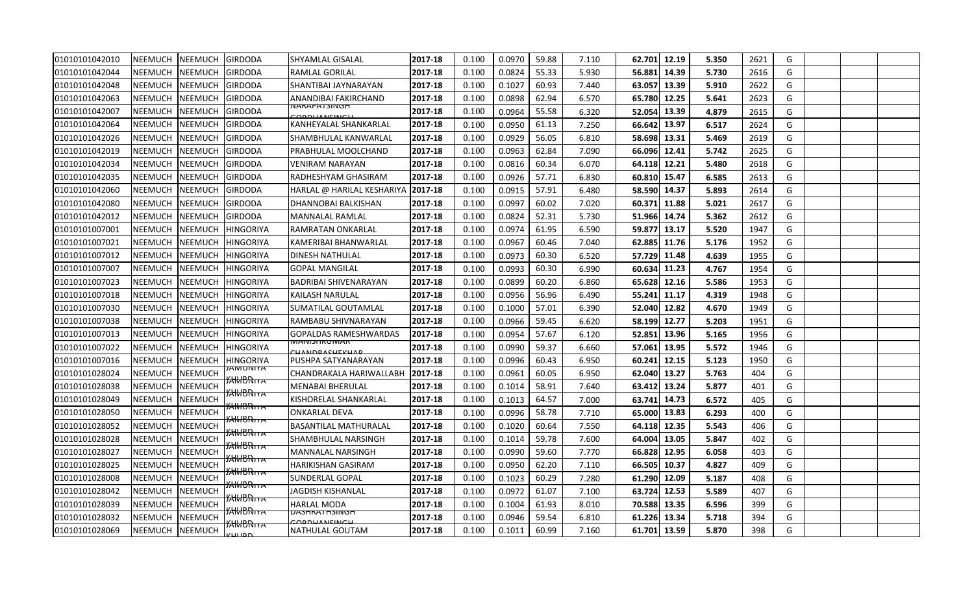| 01010101042010 | NEEMUCH        | <b>NEEMUCH</b> | <b>GIRDODA</b>                   | SHYAMLAL GISALAL                                 | 2017-18 | 0.100 | 0.0970 | 59.88 | 7.110 | 62.701       | 12.19 | 5.350 | 2621 | G |  |  |
|----------------|----------------|----------------|----------------------------------|--------------------------------------------------|---------|-------|--------|-------|-------|--------------|-------|-------|------|---|--|--|
| 01010101042044 | NEEMUCH        | <b>NEEMUCH</b> | <b>GIRDODA</b>                   | RAMLAL GORILAL                                   | 2017-18 | 0.100 | 0.0824 | 55.33 | 5.930 | 56.881       | 14.39 | 5.730 | 2616 | G |  |  |
| 01010101042048 | <b>NEEMUCH</b> | <b>NEEMUCH</b> | <b>GIRDODA</b>                   | SHANTIBAI JAYNARAYAN                             | 2017-18 | 0.100 | 0.1027 | 60.93 | 7.440 | 63.057 13.39 |       | 5.910 | 2622 | G |  |  |
| 01010101042063 | NEEMUCH        | NEEMUCH        | <b>GIRDODA</b>                   | ANANDIBAI FAKIRCHAND                             | 2017-18 | 0.100 | 0.0898 | 62.94 | 6.570 | 65.780       | 12.25 | 5.641 | 2623 | G |  |  |
| 01010101042007 | NEEMUCH        | <b>NEEMUCH</b> | <b>GIRDODA</b>                   | <u>INNAPATJIIVUN</u><br><b>CODDUANCINGU</b>      | 2017-18 | 0.100 | 0.0964 | 55.58 | 6.320 | 52.054 13.39 |       | 4.879 | 2615 | G |  |  |
| 01010101042064 | NEEMUCH        | <b>NEEMUCH</b> | <b>GIRDODA</b>                   | KANHEYALAL SHANKARLAL                            | 2017-18 | 0.100 | 0.0950 | 61.13 | 7.250 | 66.642 13.97 |       | 6.517 | 2624 | G |  |  |
| 01010101042026 | NEEMUCH        | <b>NEEMUCH</b> | <b>GIRDODA</b>                   | SHAMBHULAL KANWARLAL                             | 2017-18 | 0.100 | 0.0929 | 56.05 | 6.810 | 58.698 13.31 |       | 5.469 | 2619 | G |  |  |
| 01010101042019 | NEEMUCH        | <b>NEEMUCH</b> | <b>GIRDODA</b>                   | PRABHULAL MOOLCHAND                              | 2017-18 | 0.100 | 0.0963 | 62.84 | 7.090 | 66.096       | 12.41 | 5.742 | 2625 | G |  |  |
| 01010101042034 | <b>NEEMUCH</b> | <b>NEEMUCH</b> | <b>GIRDODA</b>                   | VENIRAM NARAYAN                                  | 2017-18 | 0.100 | 0.0816 | 60.34 | 6.070 | 64.118       | 12.21 | 5.480 | 2618 | G |  |  |
| 01010101042035 | NEEMUCH        | NEEMUCH        | <b>GIRDODA</b>                   | RADHESHYAM GHASIRAM                              | 2017-18 | 0.100 | 0.0926 | 57.71 | 6.830 | 60.810 15.47 |       | 6.585 | 2613 | G |  |  |
| 01010101042060 | NEEMUCH        | NEEMUCH        | <b>GIRDODA</b>                   | HARLAL @ HARILAL KESHARIYA                       | 2017-18 | 0.100 | 0.0915 | 57.91 | 6.480 | 58.590 14.37 |       | 5.893 | 2614 | G |  |  |
| 01010101042080 | <b>NEEMUCH</b> | <b>NEEMUCH</b> | <b>GIRDODA</b>                   | DHANNOBAI BALKISHAN                              | 2017-18 | 0.100 | 0.0997 | 60.02 | 7.020 | 60.371       | 11.88 | 5.021 | 2617 | G |  |  |
| 01010101042012 | NEEMUCH        | <b>NEEMUCH</b> | <b>GIRDODA</b>                   | MANNALAL RAMLAL                                  | 2017-18 | 0.100 | 0.0824 | 52.31 | 5.730 | 51.966       | 14.74 | 5.362 | 2612 | G |  |  |
| 01010101007001 | NEEMUCH        | <b>NEEMUCH</b> | <b>HINGORIYA</b>                 | RAMRATAN ONKARLAL                                | 2017-18 | 0.100 | 0.0974 | 61.95 | 6.590 | 59.877       | 13.17 | 5.520 | 1947 | G |  |  |
| 01010101007021 | NEEMUCH        | <b>NEEMUCH</b> | <b>HINGORIYA</b>                 | KAMERIBAI BHANWARLAL                             | 2017-18 | 0.100 | 0.0967 | 60.46 | 7.040 | 62.885       | 11.76 | 5.176 | 1952 | G |  |  |
| 01010101007012 | NEEMUCH        | <b>NEEMUCH</b> | <b>HINGORIYA</b>                 | DINESH NATHULAL                                  | 2017-18 | 0.100 | 0.0973 | 60.30 | 6.520 | 57.729 11.48 |       | 4.639 | 1955 | G |  |  |
| 01010101007007 | NEEMUCH        | <b>NEEMUCH</b> | HINGORIYA                        | GOPAL MANGILAL                                   | 2017-18 | 0.100 | 0.0993 | 60.30 | 6.990 | 60.634 11.23 |       | 4.767 | 1954 | G |  |  |
| 01010101007023 | NEEMUCH        | <b>NEEMUCH</b> | HINGORIYA                        | <b>BADRIBAI SHIVENARAYAN</b>                     | 2017-18 | 0.100 | 0.0899 | 60.20 | 6.860 | 65.628 12.16 |       | 5.586 | 1953 | G |  |  |
| 01010101007018 | NEEMUCH        | <b>NEEMUCH</b> | HINGORIYA                        | KAILASH NARULAL                                  | 2017-18 | 0.100 | 0.0956 | 56.96 | 6.490 | 55.241 11.17 |       | 4.319 | 1948 | G |  |  |
| 01010101007030 | NEEMUCH        | <b>NEEMUCH</b> | HINGORIYA                        | SUMATILAL GOUTAMLAL                              | 2017-18 | 0.100 | 0.1000 | 57.01 | 6.390 | 52.040 12.82 |       | 4.670 | 1949 | G |  |  |
| 01010101007038 | NEEMUCH        | <b>NEEMUCH</b> | HINGORIYA                        | RAMBABU SHIVNARAYAN                              | 2017-18 | 0.100 | 0.0966 | 59.45 | 6.620 | 58.199       | 12.77 | 5.203 | 1951 | G |  |  |
| 01010101007013 | NEEMUCH        | <b>NEEMUCH</b> | <b>HINGORIYA</b>                 | GOPALDAS RAMESHWARDAS                            | 2017-18 | 0.100 | 0.0954 | 57.67 | 6.120 | 52.851 13.96 |       | 5.165 | 1956 | G |  |  |
| 01010101007022 | <b>NEEMUCH</b> | <b>NEEMUCH</b> | HINGORIYA                        | <b>VIAINIJNNUIVIAN</b><br><b>UANDDACUEVUAD</b>   | 2017-18 | 0.100 | 0.0990 | 59.37 | 6.660 | 57.061 13.95 |       | 5.572 | 1946 | G |  |  |
| 01010101007016 | NEEMUCH        | <b>NEEMUCH</b> | HINGORIYA                        | PUSHPA SATYANARAYAN                              | 2017-18 | 0.100 | 0.0996 | 60.43 | 6.950 | 60.241       | 12.15 | 5.123 | 1950 | G |  |  |
| 01010101028024 | NEEMUCH        | <b>NEEMUCH</b> | AIVIUNITA<br><del>KHWBRira</del> | CHANDRAKALA HARIWALLABH                          | 2017-18 | 0.100 | 0.0961 | 60.05 | 6.950 | 62.040 13.27 |       | 5.763 | 404  | G |  |  |
| 01010101028038 | NEEMUCH        | <b>NEEMUCH</b> | <b>AWBRuta</b>                   | MENABAI BHERULAL                                 | 2017-18 | 0.100 | 0.1014 | 58.91 | 7.640 | 63.412       | 13.24 | 5.877 | 401  | G |  |  |
| 01010101028049 | NEEMUCH        | <b>NEEMUCH</b> | <del>AWBRITA</del>               | KISHORELAL SHANKARLAL                            | 2017-18 | 0.100 | 0.1013 | 64.57 | 7.000 | 63.741       | 14.73 | 6.572 | 405  | G |  |  |
| 01010101028050 | NEEMUCH        | <b>NEEMUCH</b> | <b>AWBRITA</b>                   | ONKARLAL DEVA                                    | 2017-18 | 0.100 | 0.0996 | 58.78 | 7.710 | 65.000       | 13.83 | 6.293 | 400  | G |  |  |
| 01010101028052 | NEEMUCH        | <b>NEEMUCH</b> | <b>AHHBR<sub>TTA</sub></b>       | BASANTILAL MATHURALAL                            | 2017-18 | 0.100 | 0.1020 | 60.64 | 7.550 | 64.118       | 12.35 | 5.543 | 406  | G |  |  |
| 01010101028028 | NEEMUCH        | <b>NEEMUCH</b> | <b>KHHBRTTA</b>                  | SHAMBHULAL NARSINGH                              | 2017-18 | 0.100 | 0.1014 | 59.78 | 7.600 | 64.004 13.05 |       | 5.847 | 402  | G |  |  |
| 01010101028027 | NEEMUCH        | <b>NEEMUCH</b> | <b>AIVIONTA</b>                  | MANNALAL NARSINGH                                | 2017-18 | 0.100 | 0.0990 | 59.60 | 7.770 | 66.828       | 12.95 | 6.058 | 403  | G |  |  |
| 01010101028025 | NEEMUCH        | <b>NEEMUCH</b> | <b>AIVIONTA</b>                  | HARIKISHAN GASIRAM                               | 2017-18 | 0.100 | 0.0950 | 62.20 | 7.110 | 66.505       | 10.37 | 4.827 | 409  | G |  |  |
| 01010101028008 | NEEMUCH        | <b>NEEMUCH</b> | <b>AWBRITA</b>                   | SUNDERLAL GOPAL                                  | 2017-18 | 0.100 | 0.1023 | 60.29 | 7.280 | 61.290 12.09 |       | 5.187 | 408  | G |  |  |
| 01010101028042 | <b>NEEMUCH</b> | <b>NEEMUCH</b> | <del>KHWBRira</del>              | IAGDISH KISHANLAL                                | 2017-18 | 0.100 | 0.0972 | 61.07 | 7.100 | 63.724 12.53 |       | 5.589 | 407  | G |  |  |
| 01010101028039 | NEEMUCH        | <b>NEEMUCH</b> | <del>KHWBRmA</del>               | HARLAL MODA                                      | 2017-18 | 0.100 | 0.1004 | 61.93 | 8.010 | 70.588 13.35 |       | 6.596 | 399  | G |  |  |
| 01010101028032 | NEEMUCH        | <b>NEEMUCH</b> | <b>AHHBRITA</b>                  | <u> חטאווכח ו אחדוכאל</u><br><b>CODDUANCINGU</b> | 2017-18 | 0.100 | 0.0946 | 59.54 | 6.810 | 61.226 13.34 |       | 5.718 | 394  | G |  |  |
| 01010101028069 | NEEMUCH        | <b>NEEMUCH</b> | шнов                             | NATHULAL GOUTAM                                  | 2017-18 | 0.100 | 0.1011 | 60.99 | 7.160 | 61.701 13.59 |       | 5.870 | 398  | G |  |  |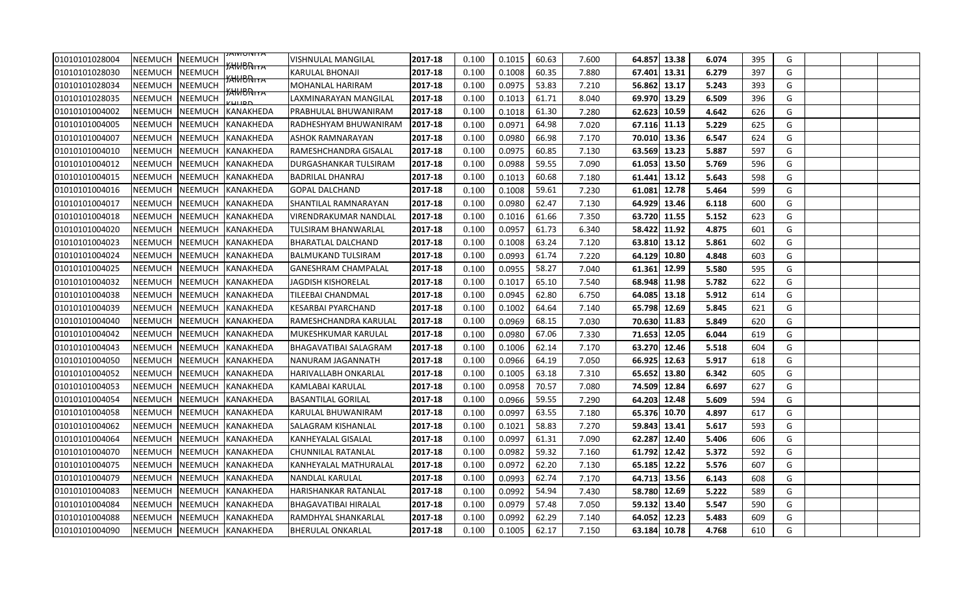| 01010101028004 | <b>NEEMUCH</b> | <b>NEEMUCH</b> | <b>JAIVIUIVITA</b>                   | <b>VISHNULAL MANGILAL</b>    | 2017-18 | 0.100 | 0.1015 | 60.63 | 7.600 | 64.857       | 13.38        | 6.074 | 395 | G |  |  |
|----------------|----------------|----------------|--------------------------------------|------------------------------|---------|-------|--------|-------|-------|--------------|--------------|-------|-----|---|--|--|
| 01010101028030 | NEEMUCH        | <b>NEEMUCH</b> | <b>KAWBRITA</b>                      | <b>KARULAL BHONAJI</b>       | 2017-18 | 0.100 | 0.1008 | 60.35 | 7.880 | 67.401       | 13.31        | 6.279 | 397 | G |  |  |
| 01010101028034 | NEEMUCH        | <b>NEEMUCH</b> | <b>KAWBRITA</b>                      | <b>MOHANLAL HARIRAM</b>      | 2017-18 | 0.100 | 0.0975 | 53.83 | 7.210 | 56.862       | 13.17        | 5.243 | 393 | G |  |  |
| 01010101028035 | NEEMUCH        | <b>NEEMUCH</b> | <del>KHHBRira</del><br><b>LILIDD</b> | LAXMINARAYAN MANGILAL        | 2017-18 | 0.100 | 0.1013 | 61.71 | 8.040 | 69.970       | 13.29        | 6.509 | 396 | G |  |  |
| 01010101004002 | NEEMUCH        | <b>NEEMUCH</b> | <b>KANAKHEDA</b>                     | PRABHULAL BHUWANIRAM         | 2017-18 | 0.100 | 0.1018 | 61.30 | 7.280 | 62.623       | 10.59        | 4.642 | 626 | G |  |  |
| 01010101004005 | NEEMUCH        | <b>NEEMUCH</b> | <b>KANAKHEDA</b>                     | <b>RADHESHYAM BHUWANIRAM</b> | 2017-18 | 0.100 | 0.0971 | 64.98 | 7.020 | 67.116       | 11.13        | 5.229 | 625 | G |  |  |
| 01010101004007 | NEEMUCH        | <b>NEEMUCH</b> | <b>KANAKHEDA</b>                     | <b>ASHOK RAMNARAYAN</b>      | 2017-18 | 0.100 | 0.0980 | 66.98 | 7.170 | 70.010       | 13.36        | 6.547 | 624 | G |  |  |
| 01010101004010 | NEEMUCH        | <b>NEEMUCH</b> | <b>KANAKHEDA</b>                     | RAMESHCHANDRA GISALAL        | 2017-18 | 0.100 | 0.0975 | 60.85 | 7.130 | 63.569 13.23 |              | 5.887 | 597 | G |  |  |
| 01010101004012 | NEEMUCH        | <b>NEEMUCH</b> | <b>KANAKHEDA</b>                     | <b>DURGASHANKAR TULSIRAM</b> | 2017-18 | 0.100 | 0.0988 | 59.55 | 7.090 | 61.053       | 13.50        | 5.769 | 596 | G |  |  |
| 01010101004015 | <b>NEEMUCH</b> | <b>NEEMUCH</b> | <b>KANAKHEDA</b>                     | <b>BADRILAL DHANRAJ</b>      | 2017-18 | 0.100 | 0.1013 | 60.68 | 7.180 | 61.441       | 13.12        | 5.643 | 598 | G |  |  |
| 01010101004016 | <b>NEEMUCH</b> | <b>NEEMUCH</b> | <b>KANAKHEDA</b>                     | <b>GOPAL DALCHAND</b>        | 2017-18 | 0.100 | 0.1008 | 59.61 | 7.230 | 61.081       | 12.78        | 5.464 | 599 | G |  |  |
| 01010101004017 | <b>NEEMUCH</b> | <b>NEEMUCH</b> | <b>KANAKHEDA</b>                     | SHANTILAL RAMNARAYAN         | 2017-18 | 0.100 | 0.0980 | 62.47 | 7.130 | 64.929       | 13.46        | 6.118 | 600 | G |  |  |
| 01010101004018 | <b>NEEMUCH</b> | <b>NEEMUCH</b> | <b>KANAKHEDA</b>                     | <b>VIRENDRAKUMAR NANDLAL</b> | 2017-18 | 0.100 | 0.1016 | 61.66 | 7.350 | 63.720       | 11.55        | 5.152 | 623 | G |  |  |
| 01010101004020 | <b>NEEMUCH</b> | <b>NEEMUCH</b> | <b>KANAKHEDA</b>                     | TULSIRAM BHANWARLAL          | 2017-18 | 0.100 | 0.0957 | 61.73 | 6.340 | 58.422       | 11.92        | 4.875 | 601 | G |  |  |
| 01010101004023 | <b>NEEMUCH</b> | <b>NEEMUCH</b> | <b>KANAKHEDA</b>                     | <b>BHARATLAL DALCHAND</b>    | 2017-18 | 0.100 | 0.1008 | 63.24 | 7.120 | 63.810       | 13.12        | 5.861 | 602 | G |  |  |
| 01010101004024 | <b>NEEMUCH</b> | <b>NEEMUCH</b> | KANAKHEDA                            | <b>BALMUKAND TULSIRAM</b>    | 2017-18 | 0.100 | 0.0993 | 61.74 | 7.220 | 64.129       | 10.80        | 4.848 | 603 | G |  |  |
| 01010101004025 | <b>NEEMUCH</b> | <b>NEEMUCH</b> | <b>KANAKHEDA</b>                     | <b>GANESHRAM CHAMPALAL</b>   | 2017-18 | 0.100 | 0.0955 | 58.27 | 7.040 | 61.361       | 12.99        | 5.580 | 595 | G |  |  |
| 01010101004032 | <b>NEEMUCH</b> | <b>NEEMUCH</b> | KANAKHEDA                            | <b>JAGDISH KISHORELAL</b>    | 2017-18 | 0.100 | 0.1017 | 65.10 | 7.540 | 68.948 11.98 |              | 5.782 | 622 | G |  |  |
| 01010101004038 | <b>NEEMUCH</b> | <b>NEEMUCH</b> | KANAKHEDA                            | <b>TILEEBAI CHANDMAL</b>     | 2017-18 | 0.100 | 0.0945 | 62.80 | 6.750 | 64.085       | 13.18        | 5.912 | 614 | G |  |  |
| 01010101004039 | <b>NEEMUCH</b> | <b>NEEMUCH</b> | KANAKHEDA                            | <b>KESARBAI PYARCHAND</b>    | 2017-18 | 0.100 | 0.1002 | 64.64 | 7.140 | 65.798 12.69 |              | 5.845 | 621 | G |  |  |
| 01010101004040 | NEEMUCH        | <b>NEEMUCH</b> | KANAKHEDA                            | RAMESHCHANDRA KARULAL        | 2017-18 | 0.100 | 0.0969 | 68.15 | 7.030 | 70.630 11.83 |              | 5.849 | 620 | G |  |  |
| 01010101004042 | NEEMUCH        | <b>NEEMUCH</b> | KANAKHEDA                            | MUKESHKUMAR KARULAL          | 2017-18 | 0.100 | 0.0980 | 67.06 | 7.330 | 71.653 12.05 |              | 6.044 | 619 | G |  |  |
| 01010101004043 | <b>NEEMUCH</b> | <b>NEEMUCH</b> | KANAKHEDA                            | BHAGAVATIBAI SALAGRAM        | 2017-18 | 0.100 | 0.1006 | 62.14 | 7.170 | 63.270 12.46 |              | 5.518 | 604 | G |  |  |
| 01010101004050 | NEEMUCH        | <b>NEEMUCH</b> | KANAKHEDA                            | NANURAM JAGANNATH            | 2017-18 | 0.100 | 0.0966 | 64.19 | 7.050 | 66.925 12.63 |              | 5.917 | 618 | G |  |  |
| 01010101004052 | NEEMUCH        | <b>NEEMUCH</b> | KANAKHEDA                            | <b>HARIVALLABH ONKARLAL</b>  | 2017-18 | 0.100 | 0.1005 | 63.18 | 7.310 | 65.652 13.80 |              | 6.342 | 605 | G |  |  |
| 01010101004053 | NEEMUCH        | <b>NEEMUCH</b> | KANAKHEDA                            | KAMLABAI KARULAL             | 2017-18 | 0.100 | 0.0958 | 70.57 | 7.080 | 74.509 12.84 |              | 6.697 | 627 | G |  |  |
| 01010101004054 | NEEMUCH        | <b>NEEMUCH</b> | KANAKHEDA                            | <b>BASANTILAL GORILAL</b>    | 2017-18 | 0.100 | 0.0966 | 59.55 | 7.290 | 64.203 12.48 |              | 5.609 | 594 | G |  |  |
| 01010101004058 | NEEMUCH        | <b>NEEMUCH</b> | KANAKHEDA                            | KARULAL BHUWANIRAM           | 2017-18 | 0.100 | 0.0997 | 63.55 | 7.180 | 65.376 10.70 |              | 4.897 | 617 | G |  |  |
| 01010101004062 | NEEMUCH        | <b>NEEMUCH</b> | <b>KANAKHEDA</b>                     | SALAGRAM KISHANLAL           | 2017-18 | 0.100 | 0.1021 | 58.83 | 7.270 | 59.843 13.41 |              | 5.617 | 593 | G |  |  |
| 01010101004064 | <b>NEEMUCH</b> | <b>NEEMUCH</b> | KANAKHEDA                            | <b>KANHEYALAL GISALAL</b>    | 2017-18 | 0.100 | 0.0997 | 61.31 | 7.090 | 62.287 12.40 |              | 5.406 | 606 | G |  |  |
| 01010101004070 | <b>NEEMUCH</b> | <b>NEEMUCH</b> | KANAKHEDA                            | <b>CHUNNILAL RATANLAL</b>    | 2017-18 | 0.100 | 0.0982 | 59.32 | 7.160 | 61.792 12.42 |              | 5.372 | 592 | G |  |  |
| 01010101004075 | <b>NEEMUCH</b> | <b>NEEMUCH</b> | KANAKHEDA                            | KANHEYALAL MATHURALAL        | 2017-18 | 0.100 | 0.0972 | 62.20 | 7.130 | 65.185 12.22 |              | 5.576 | 607 | G |  |  |
| 01010101004079 | <b>NEEMUCH</b> | <b>NEEMUCH</b> | KANAKHEDA                            | NANDLAL KARULAL              | 2017-18 | 0.100 | 0.0993 | 62.74 | 7.170 | 64.713 13.56 |              | 6.143 | 608 | G |  |  |
| 01010101004083 | <b>NEEMUCH</b> | <b>NEEMUCH</b> | KANAKHEDA                            | <b>HARISHANKAR RATANLAL</b>  | 2017-18 | 0.100 | 0.0992 | 54.94 | 7.430 | 58.780 12.69 |              | 5.222 | 589 | G |  |  |
| 01010101004084 | <b>NEEMUCH</b> | <b>NEEMUCH</b> | KANAKHEDA                            | BHAGAVATIBAI HIRALAL         | 2017-18 | 0.100 | 0.0979 | 57.48 | 7.050 | 59.132 13.40 |              | 5.547 | 590 | G |  |  |
| 01010101004088 | <b>NEEMUCH</b> | <b>NEEMUCH</b> | KANAKHEDA                            | RAMDHYAL SHANKARLAL          | 2017-18 | 0.100 | 0.0992 | 62.29 | 7.140 | 64.052 12.23 |              | 5.483 | 609 | G |  |  |
| 01010101004090 | <b>NEEMUCH</b> |                | NEEMUCH KANAKHEDA                    | <b>BHERULAL ONKARLAL</b>     | 2017-18 | 0.100 | 0.1005 | 62.17 | 7.150 |              | 63.184 10.78 | 4.768 | 610 | G |  |  |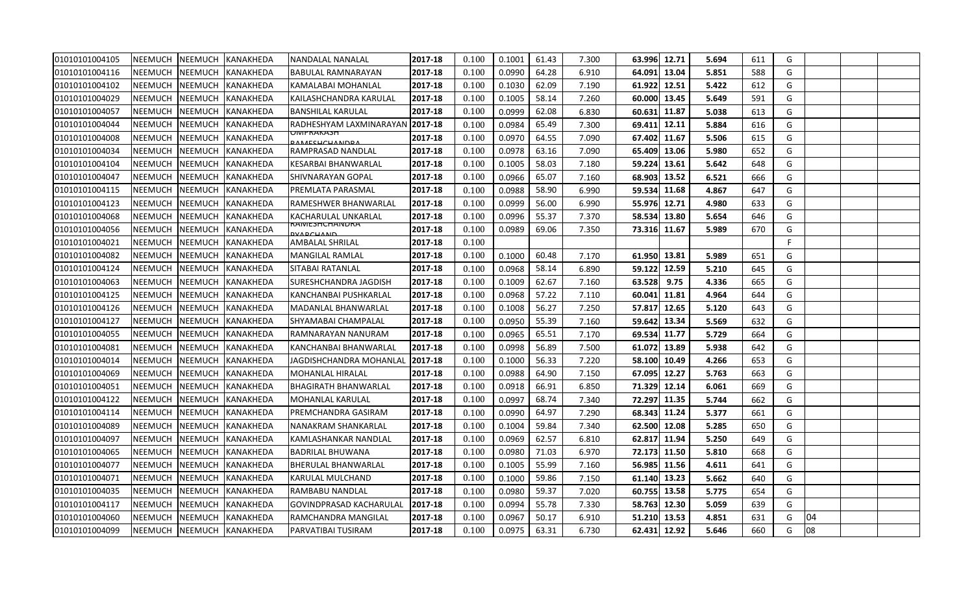| 01010101004105 | <b>NEEMUCH</b> | <b>NEEMUCH</b> | KANAKHEDA         | NANDALAL NANALAL                            | 2017-18 | 0.100 | 0.1001 | 61.43 | 7.300 | 63.996 12.71 |       | 5.694 | 611 | G |    |  |
|----------------|----------------|----------------|-------------------|---------------------------------------------|---------|-------|--------|-------|-------|--------------|-------|-------|-----|---|----|--|
| 01010101004116 | NEEMUCH        | <b>NEEMUCH</b> | KANAKHEDA         | BABULAL RAMNARAYAN                          | 2017-18 | 0.100 | 0.0990 | 64.28 | 6.910 | 64.091 13.04 |       | 5.851 | 588 | G |    |  |
| 01010101004102 | NEEMUCH        | <b>NEEMUCH</b> | KANAKHEDA         | KAMALABAI MOHANLAL                          | 2017-18 | 0.100 | 0.1030 | 62.09 | 7.190 | 61.922 12.51 |       | 5.422 | 612 | G |    |  |
| 01010101004029 | NEEMUCH        | <b>NEEMUCH</b> | <b>KANAKHEDA</b>  | KAILASHCHANDRA KARULAL                      | 2017-18 | 0.100 | 0.1005 | 58.14 | 7.260 | 60.000 13.45 |       | 5.649 | 591 | G |    |  |
| 01010101004057 | <b>NEEMUCH</b> | <b>NEEMUCH</b> | <b>KANAKHEDA</b>  | <b>BANSHILAL KARULAL</b>                    | 2017-18 | 0.100 | 0.0999 | 62.08 | 6.830 | 60.631 11.87 |       | 5.038 | 613 | G |    |  |
| 01010101004044 | NEEMUCH        | <b>NEEMUCH</b> | KANAKHEDA         | RADHESHYAM LAXMINARAYAN <b> 2017-18</b>     |         | 0.100 | 0.0984 | 65.49 | 7.300 | 69.411       | 12.11 | 5.884 | 616 | G |    |  |
| 01010101004008 | NEEMUCH        | <b>NEEMUCH</b> | <b>KANAKHEDA</b>  | <u>UIVIPRANASH</u><br><b>ANAECUCUANIDRA</b> | 2017-18 | 0.100 | 0.0970 | 64.55 | 7.090 | 67.402 11.67 |       | 5.506 | 615 | G |    |  |
| 01010101004034 | NEEMUCH        | <b>NEEMUCH</b> | <b>KANAKHEDA</b>  | IRAMPRASAD NANDLAL                          | 2017-18 | 0.100 | 0.0978 | 63.16 | 7.090 | 65.409       | 13.06 | 5.980 | 652 | G |    |  |
| 01010101004104 | NEEMUCH        | <b>NEEMUCH</b> | <b>KANAKHEDA</b>  | <b>KESARBAI BHANWARLAL</b>                  | 2017-18 | 0.100 | 0.1005 | 58.03 | 7.180 | 59.224       | 13.61 | 5.642 | 648 | G |    |  |
| 01010101004047 | NEEMUCH        | <b>NEEMUCH</b> | <b>KANAKHEDA</b>  | <b>SHIVNARAYAN GOPAL</b>                    | 2017-18 | 0.100 | 0.0966 | 65.07 | 7.160 | 68.903       | 13.52 | 6.521 | 666 | G |    |  |
| 01010101004115 | NEEMUCH        | <b>NEEMUCH</b> | <b>KANAKHEDA</b>  | PREMLATA PARASMAL                           | 2017-18 | 0.100 | 0.0988 | 58.90 | 6.990 | 59.534 11.68 |       | 4.867 | 647 | G |    |  |
| 01010101004123 | NEEMUCH        | <b>NEEMUCH</b> | <b>KANAKHEDA</b>  | <b>RAMESHWER BHANWARLAL</b>                 | 2017-18 | 0.100 | 0.0999 | 56.00 | 6.990 | 55.976       | 12.71 | 4.980 | 633 | G |    |  |
| 01010101004068 | NEEMUCH        | <b>NEEMUCH</b> | KANAKHEDA         | KACHARULAL UNKARLAL                         | 2017-18 | 0.100 | 0.0996 | 55.37 | 7.370 | 58.534 13.80 |       | 5.654 | 646 | G |    |  |
| 01010101004056 | NEEMUCH        | <b>NEEMUCH</b> | <b>KANAKHEDA</b>  | <b>MAIVIESNUNAINUMA</b><br>VADCHAND         | 2017-18 | 0.100 | 0.0989 | 69.06 | 7.350 | 73.316 11.67 |       | 5.989 | 670 | G |    |  |
| 01010101004021 | NEEMUCH        | <b>NEEMUCH</b> | <b>KANAKHEDA</b>  | <b>AMBALAL SHRILAL</b>                      | 2017-18 | 0.100 |        |       |       |              |       |       |     | F |    |  |
| 01010101004082 | NEEMUCH        | <b>NEEMUCH</b> | <b>KANAKHEDA</b>  | <b>MANGILAL RAMLAL</b>                      | 2017-18 | 0.100 | 0.1000 | 60.48 | 7.170 | 61.950 13.81 |       | 5.989 | 651 | G |    |  |
| 01010101004124 | NEEMUCH        | <b>NEEMUCH</b> | <b>KANAKHEDA</b>  | <b>SITABAI RATANLAL</b>                     | 2017-18 | 0.100 | 0.0968 | 58.14 | 6.890 | 59.122       | 12.59 | 5.210 | 645 | G |    |  |
| 01010101004063 | NEEMUCH        | <b>NEEMUCH</b> | <b>KANAKHEDA</b>  | <b>SURESHCHANDRA JAGDISH</b>                | 2017-18 | 0.100 | 0.1009 | 62.67 | 7.160 | 63.528       | 9.75  | 4.336 | 665 | G |    |  |
| 01010101004125 | NEEMUCH        | <b>NEEMUCH</b> | <b>KANAKHEDA</b>  | KANCHANBAI PUSHKARLAL                       | 2017-18 | 0.100 | 0.0968 | 57.22 | 7.110 | 60.041       | 11.81 | 4.964 | 644 | G |    |  |
| 01010101004126 | NEEMUCH        | <b>NEEMUCH</b> | KANAKHEDA         | MADANLAL BHANWARLAL                         | 2017-18 | 0.100 | 0.1008 | 56.27 | 7.250 | 57.817       | 12.65 | 5.120 | 643 | G |    |  |
| 01010101004127 | <b>NEEMUCH</b> | <b>NEEMUCH</b> | KANAKHEDA         | SHYAMABAI CHAMPALAL                         | 2017-18 | 0.100 | 0.0950 | 55.39 | 7.160 | 59.642       | 13.34 | 5.569 | 632 | G |    |  |
| 01010101004055 | <b>NEEMUCH</b> | <b>NEEMUCH</b> | <b>KANAKHEDA</b>  | RAMNARAYAN NANURAM                          | 2017-18 | 0.100 | 0.0965 | 65.51 | 7.170 | 69.534 11.77 |       | 5.729 | 664 | G |    |  |
| 01010101004081 | <b>NEEMUCH</b> | <b>NEEMUCH</b> | <b>KANAKHEDA</b>  | KANCHANBAI BHANWARLAL                       | 2017-18 | 0.100 | 0.0998 | 56.89 | 7.500 | 61.072 13.89 |       | 5.938 | 642 | G |    |  |
| 01010101004014 | NEEMUCH        | <b>NEEMUCH</b> | <b>KANAKHEDA</b>  | JAGDISHCHANDRA MOHANLAL                     | 2017-18 | 0.100 | 0.1000 | 56.33 | 7.220 | 58.100 10.49 |       | 4.266 | 653 | G |    |  |
| 01010101004069 | <b>NEEMUCH</b> | <b>NEEMUCH</b> | KANAKHEDA         | MOHANLAL HIRALAL                            | 2017-18 | 0.100 | 0.0988 | 64.90 | 7.150 | 67.095       | 12.27 | 5.763 | 663 | G |    |  |
| 01010101004051 | <b>NEEMUCH</b> | <b>NEEMUCH</b> | KANAKHEDA         | <b>BHAGIRATH BHANWARLAL</b>                 | 2017-18 | 0.100 | 0.0918 | 66.91 | 6.850 | 71.329 12.14 |       | 6.061 | 669 | G |    |  |
| 01010101004122 | NEEMUCH        | <b>NEEMUCH</b> | KANAKHEDA         | MOHANLAL KARULAL                            | 2017-18 | 0.100 | 0.0997 | 68.74 | 7.340 | 72.297 11.35 |       | 5.744 | 662 | G |    |  |
| 01010101004114 | NEEMUCH        | <b>NEEMUCH</b> | KANAKHEDA         | <b>PREMCHANDRA GASIRAM</b>                  | 2017-18 | 0.100 | 0.0990 | 64.97 | 7.290 | 68.343 11.24 |       | 5.377 | 661 | G |    |  |
| 01010101004089 | NEEMUCH        | <b>NEEMUCH</b> | KANAKHEDA         | NANAKRAM SHANKARLAL                         | 2017-18 | 0.100 | 0.1004 | 59.84 | 7.340 | 62.500 12.08 |       | 5.285 | 650 | G |    |  |
| 01010101004097 | NEEMUCH        | <b>NEEMUCH</b> | KANAKHEDA         | KAMLASHANKAR NANDLAL                        | 2017-18 | 0.100 | 0.0969 | 62.57 | 6.810 | 62.817 11.94 |       | 5.250 | 649 | G |    |  |
| 01010101004065 | NEEMUCH        | <b>NEEMUCH</b> | KANAKHEDA         | <b>BADRILAL BHUWANA</b>                     | 2017-18 | 0.100 | 0.0980 | 71.03 | 6.970 | 72.173 11.50 |       | 5.810 | 668 | G |    |  |
| 01010101004077 | <b>NEEMUCH</b> | <b>NEEMUCH</b> | KANAKHEDA         | <b>BHERULAL BHANWARLAL</b>                  | 2017-18 | 0.100 | 0.1005 | 55.99 | 7.160 | 56.985 11.56 |       | 4.611 | 641 | G |    |  |
| 01010101004071 | <b>NEEMUCH</b> | <b>NEEMUCH</b> | KANAKHEDA         | <b>KARULAL MULCHAND</b>                     | 2017-18 | 0.100 | 0.1000 | 59.86 | 7.150 | 61.140 13.23 |       | 5.662 | 640 | G |    |  |
| 01010101004035 | <b>NEEMUCH</b> | <b>NEEMUCH</b> | KANAKHEDA         | <b>RAMBABU NANDLAL</b>                      | 2017-18 | 0.100 | 0.0980 | 59.37 | 7.020 | 60.755 13.58 |       | 5.775 | 654 | G |    |  |
| 01010101004117 | <b>NEEMUCH</b> | <b>NEEMUCH</b> | KANAKHEDA         | GOVINDPRASAD KACHARULAL                     | 2017-18 | 0.100 | 0.0994 | 55.78 | 7.330 | 58.763 12.30 |       | 5.059 | 639 | G |    |  |
| 01010101004060 | NEEMUCH        | <b>NEEMUCH</b> | KANAKHEDA         | RAMCHANDRA MANGILAL                         | 2017-18 | 0.100 | 0.0967 | 50.17 | 6.910 | 51.210 13.53 |       | 4.851 | 631 | G | 04 |  |
| 01010101004099 | <b>NEEMUCH</b> |                | NEEMUCH KANAKHEDA | <b>PARVATIBAI TUSIRAM</b>                   | 2017-18 | 0.100 | 0.0975 | 63.31 | 6.730 | 62.431 12.92 |       | 5.646 | 660 | G | 08 |  |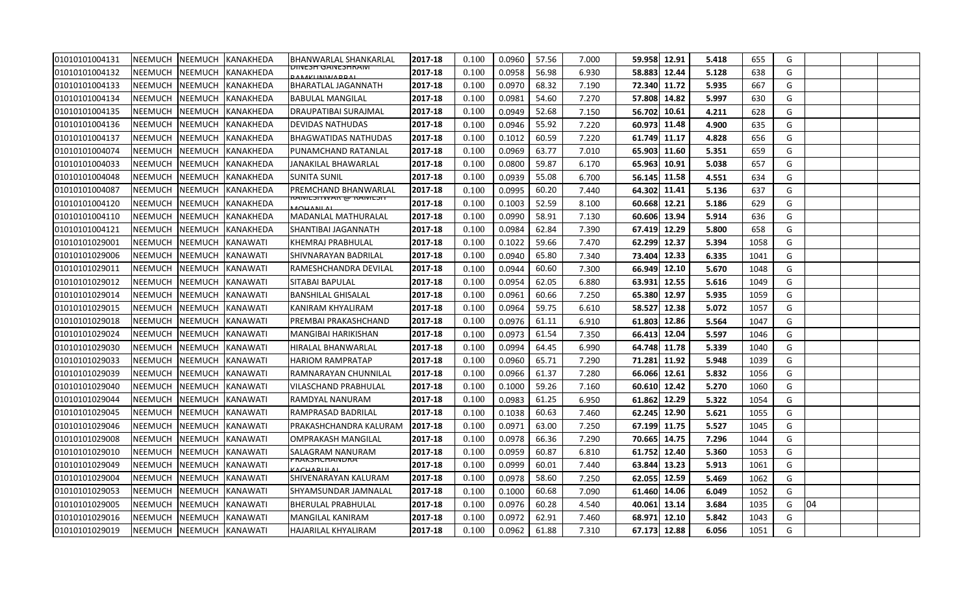| 01010101004131 | <b>NEEMUCH</b> | <b>NEEMUCH</b> | KANAKHEDA        | <b>BHANWARLAL SHANKARLAL</b>                    | 2017-18 | 0.100 | 0.0960 | 57.56 | 7.000 | 59.958 12.91 |       | 5.418 | 655  | G |    |  |
|----------------|----------------|----------------|------------------|-------------------------------------------------|---------|-------|--------|-------|-------|--------------|-------|-------|------|---|----|--|
| 01010101004132 | NEEMUCH        | <b>NEEMUCH</b> | KANAKHEDA        | <b>UINESH GAINESHRAIVI</b><br>A MAI IN BALADDAI | 2017-18 | 0.100 | 0.0958 | 56.98 | 6.930 | 58.883 12.44 |       | 5.128 | 638  | G |    |  |
| 01010101004133 | NEEMUCH        | <b>NEEMUCH</b> | KANAKHEDA        | <b>BHARATLAL JAGANNATH</b>                      | 2017-18 | 0.100 | 0.0970 | 68.32 | 7.190 | 72.340 11.72 |       | 5.935 | 667  | G |    |  |
| 01010101004134 | NEEMUCH        | <b>NEEMUCH</b> | <b>KANAKHEDA</b> | <b>BABULAL MANGILAL</b>                         | 2017-18 | 0.100 | 0.0981 | 54.60 | 7.270 | 57.808 14.82 |       | 5.997 | 630  | G |    |  |
| 01010101004135 | NEEMUCH        | <b>NEEMUCH</b> | <b>KANAKHEDA</b> | DRAUPATIBAI SURAJMAL                            | 2017-18 | 0.100 | 0.0949 | 52.68 | 7.150 | 56.702 10.61 |       | 4.211 | 628  | G |    |  |
| 01010101004136 | NEEMUCH        | <b>NEEMUCH</b> | KANAKHEDA        | IDEVIDAS NATHUDAS                               | 2017-18 | 0.100 | 0.0946 | 55.92 | 7.220 | 60.973 11.48 |       | 4.900 | 635  | G |    |  |
| 01010101004137 | NEEMUCH        | <b>NEEMUCH</b> | KANAKHEDA        | <b>BHAGWATIDAS NATHUDAS</b>                     | 2017-18 | 0.100 | 0.1012 | 60.59 | 7.220 | 61.749 11.17 |       | 4.828 | 656  | G |    |  |
| 01010101004074 | NEEMUCH        | <b>NEEMUCH</b> | KANAKHEDA        | PUNAMCHAND RATANLAL                             | 2017-18 | 0.100 | 0.0969 | 63.77 | 7.010 | 65.903 11.60 |       | 5.351 | 659  | G |    |  |
| 01010101004033 | NEEMUCH        | <b>NEEMUCH</b> | KANAKHEDA        | JANAKILAL BHAWARLAL                             | 2017-18 | 0.100 | 0.0800 | 59.87 | 6.170 | 65.963 10.91 |       | 5.038 | 657  | G |    |  |
| 01010101004048 | NEEMUCH        | <b>NEEMUCH</b> | <b>KANAKHEDA</b> | <b>SUNITA SUNIL</b>                             | 2017-18 | 0.100 | 0.0939 | 55.08 | 6.700 | 56.145 11.58 |       | 4.551 | 634  | G |    |  |
| 01010101004087 | NEEMUCH        | <b>NEEMUCH</b> | <b>KANAKHEDA</b> | <b>PREMCHAND BHANWARLAL</b>                     | 2017-18 | 0.100 | 0.0995 | 60.20 | 7.440 | 64.302 11.41 |       | 5.136 | 637  | G |    |  |
| 01010101004120 | NEEMUCH        | <b>NEEMUCH</b> | <b>KANAKHEDA</b> | <u>האועובאמער שטאואודאק</u><br>10111111         | 2017-18 | 0.100 | 0.1003 | 52.59 | 8.100 | 60.668 12.21 |       | 5.186 | 629  | G |    |  |
| 01010101004110 | NEEMUCH        | <b>NEEMUCH</b> | <b>KANAKHEDA</b> | <b>MADANLAL MATHURALAL</b>                      | 2017-18 | 0.100 | 0.0990 | 58.91 | 7.130 | 60.606 13.94 |       | 5.914 | 636  | G |    |  |
| 01010101004121 | NEEMUCH        | <b>NEEMUCH</b> | <b>KANAKHEDA</b> | SHANTIBAI JAGANNATH                             | 2017-18 | 0.100 | 0.0984 | 62.84 | 7.390 | 67.419 12.29 |       | 5.800 | 658  | G |    |  |
| 01010101029001 | NEEMUCH        | NEEMUCH        | <b>KANAWATI</b>  | KHEMRAJ PRABHULAL                               | 2017-18 | 0.100 | 0.1022 | 59.66 | 7.470 | 62.299 12.37 |       | 5.394 | 1058 | G |    |  |
| 01010101029006 | NEEMUCH        | NEEMUCH        | <b>KANAWATI</b>  | SHIVNARAYAN BADRILAL                            | 2017-18 | 0.100 | 0.0940 | 65.80 | 7.340 | 73.404 12.33 |       | 6.335 | 1041 | G |    |  |
| 01010101029011 | NEEMUCH        | <b>NEEMUCH</b> | KANAWATI         | RAMESHCHANDRA DEVILAL                           | 2017-18 | 0.100 | 0.0944 | 60.60 | 7.300 | 66.949 12.10 |       | 5.670 | 1048 | G |    |  |
| 01010101029012 | NEEMUCH        | <b>NEEMUCH</b> | KANAWATI         | <b>SITABAI BAPULAL</b>                          | 2017-18 | 0.100 | 0.0954 | 62.05 | 6.880 | 63.931       | 12.55 | 5.616 | 1049 | G |    |  |
| 01010101029014 | NEEMUCH        | <b>NEEMUCH</b> | <b>KANAWATI</b>  | <b>BANSHILAL GHISALAL</b>                       | 2017-18 | 0.100 | 0.0961 | 60.66 | 7.250 | 65.380 12.97 |       | 5.935 | 1059 | G |    |  |
| 01010101029015 | NEEMUCH        | <b>NEEMUCH</b> | <b>KANAWATI</b>  | KANIRAM KHYALIRAM                               | 2017-18 | 0.100 | 0.0964 | 59.75 | 6.610 | 58.527       | 12.38 | 5.072 | 1057 | G |    |  |
| 01010101029018 | NEEMUCH        | <b>NEEMUCH</b> | <b>KANAWATI</b>  | <b>PREMBAI PRAKASHCHAND</b>                     | 2017-18 | 0.100 | 0.0976 | 61.11 | 6.910 | 61.803       | 12.86 | 5.564 | 1047 | G |    |  |
| 01010101029024 | NEEMUCH        | <b>NEEMUCH</b> | <b>KANAWATI</b>  | <b>MANGIBAI HARIKISHAN</b>                      | 2017-18 | 0.100 | 0.0973 | 61.54 | 7.350 | 66.413 12.04 |       | 5.597 | 1046 | G |    |  |
| 01010101029030 | NEEMUCH        | <b>NEEMUCH</b> | <b>KANAWATI</b>  | <b>HIRALAL BHANWARLAL</b>                       | 2017-18 | 0.100 | 0.0994 | 64.45 | 6.990 | 64.748 11.78 |       | 5.339 | 1040 | G |    |  |
| 01010101029033 | NEEMUCH        | <b>NEEMUCH</b> | <b>KANAWATI</b>  | <b>HARIOM RAMPRATAP</b>                         | 2017-18 | 0.100 | 0.0960 | 65.71 | 7.290 | 71.281 11.92 |       | 5.948 | 1039 | G |    |  |
| 01010101029039 | NEEMUCH        | <b>NEEMUCH</b> | <b>KANAWATI</b>  | RAMNARAYAN CHUNNILAL                            | 2017-18 | 0.100 | 0.0966 | 61.37 | 7.280 | 66.066 12.61 |       | 5.832 | 1056 | G |    |  |
| 01010101029040 | NEEMUCH        | <b>NEEMUCH</b> | <b>KANAWATI</b>  | <b>VILASCHAND PRABHULAL</b>                     | 2017-18 | 0.100 | 0.1000 | 59.26 | 7.160 | 60.610 12.42 |       | 5.270 | 1060 | G |    |  |
| 01010101029044 | NEEMUCH        | <b>NEEMUCH</b> | <b>KANAWATI</b>  | RAMDYAL NANURAM                                 | 2017-18 | 0.100 | 0.0983 | 61.25 | 6.950 | 61.862 12.29 |       | 5.322 | 1054 | G |    |  |
| 01010101029045 | NEEMUCH        | <b>NEEMUCH</b> | <b>KANAWATI</b>  | RAMPRASAD BADRILAL                              | 2017-18 | 0.100 | 0.1038 | 60.63 | 7.460 | 62.245 12.90 |       | 5.621 | 1055 | G |    |  |
| 01010101029046 | NEEMUCH        | <b>NEEMUCH</b> | <b>KANAWATI</b>  | PRAKASHCHANDRA KALURAM                          | 2017-18 | 0.100 | 0.0971 | 63.00 | 7.250 | 67.199 11.75 |       | 5.527 | 1045 | G |    |  |
| 01010101029008 | NEEMUCH        | <b>NEEMUCH</b> | <b>KANAWATI</b>  | <b>OMPRAKASH MANGILAL</b>                       | 2017-18 | 0.100 | 0.0978 | 66.36 | 7.290 | 70.665 14.75 |       | 7.296 | 1044 | G |    |  |
| 01010101029010 | NEEMUCH        | <b>NEEMUCH</b> | <b>KANAWATI</b>  | <b>SALAGRAM NANURAM</b>                         | 2017-18 | 0.100 | 0.0959 | 60.87 | 6.810 | 61.752 12.40 |       | 5.360 | 1053 | G |    |  |
| 01010101029049 | NEEMUCH        | <b>NEEMUCH</b> | KANAWATI         | <u>*RANSHUHAINDRA</u><br>ACUADIIIA              | 2017-18 | 0.100 | 0.0999 | 60.01 | 7.440 | 63.844 13.23 |       | 5.913 | 1061 | G |    |  |
| 01010101029004 | NEEMUCH        | <b>NEEMUCH</b> | KANAWATI         | SHIVENARAYAN KALURAM                            | 2017-18 | 0.100 | 0.0978 | 58.60 | 7.250 | 62.055 12.59 |       | 5.469 | 1062 | G |    |  |
| 01010101029053 | NEEMUCH        | <b>NEEMUCH</b> | KANAWATI         | SHYAMSUNDAR JAMNALAL                            | 2017-18 | 0.100 | 0.1000 | 60.68 | 7.090 | 61.460 14.06 |       | 6.049 | 1052 | G |    |  |
| 01010101029005 | NEEMUCH        | <b>NEEMUCH</b> | KANAWATI         | <b>BHERULAL PRABHULAL</b>                       | 2017-18 | 0.100 | 0.0976 | 60.28 | 4.540 | 40.061 13.14 |       | 3.684 | 1035 | G | 04 |  |
| 01010101029016 | <b>NEEMUCH</b> | <b>NEEMUCH</b> | KANAWATI         | MANGILAL KANIRAM                                | 2017-18 | 0.100 | 0.0972 | 62.91 | 7.460 | 68.971 12.10 |       | 5.842 | 1043 | G |    |  |
| 01010101029019 | <b>NEEMUCH</b> | <b>NEEMUCH</b> | KANAWATI         | <b>HAJARILAL KHYALIRAM</b>                      | 2017-18 | 0.100 | 0.0962 | 61.88 | 7.310 | 67.173 12.88 |       | 6.056 | 1051 | G |    |  |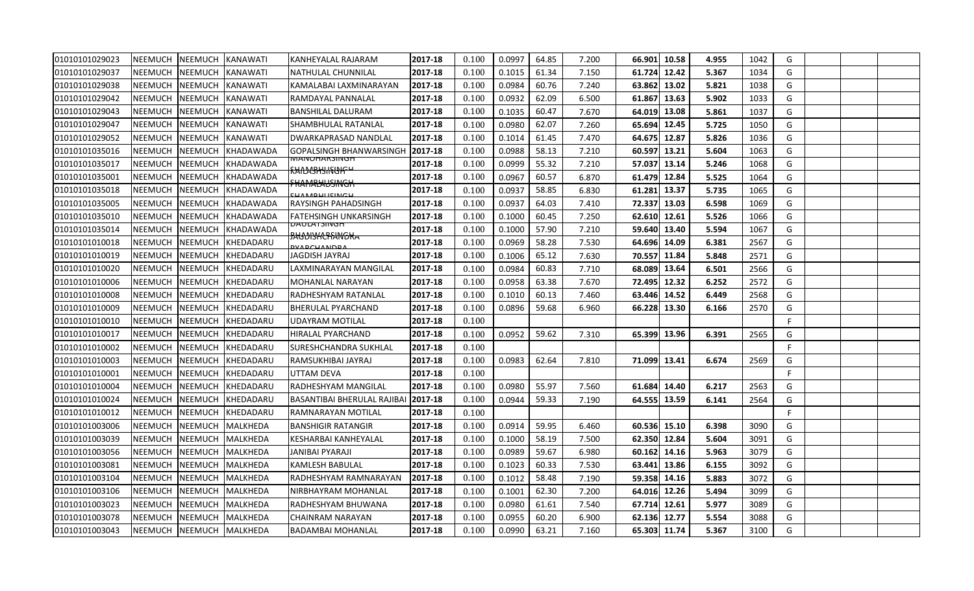| 01010101029023 | <b>NEEMUCH</b> | <b>NEEMUCH</b> | KANAWATI         | KANHEYALAL RAJARAM                               | 2017-18 | 0.100 | 0.0997 | 64.85 | 7.200 | 66.901 10.58 |       | 4.955 | 1042 | G            |  |  |
|----------------|----------------|----------------|------------------|--------------------------------------------------|---------|-------|--------|-------|-------|--------------|-------|-------|------|--------------|--|--|
| 01010101029037 | NEEMUCH        | <b>NEEMUCH</b> | <b>KANAWATI</b>  | NATHULAL CHUNNILAL                               | 2017-18 | 0.100 | 0.1015 | 61.34 | 7.150 | 61.724 12.42 |       | 5.367 | 1034 | G            |  |  |
| 01010101029038 | NEEMUCH        | <b>NEEMUCH</b> | <b>KANAWATI</b>  | KAMALABAI LAXMINARAYAN                           | 2017-18 | 0.100 | 0.0984 | 60.76 | 7.240 | 63.862 13.02 |       | 5.821 | 1038 | G            |  |  |
| 01010101029042 | <b>NEEMUCH</b> | <b>NEEMUCH</b> | <b>KANAWATI</b>  | RAMDAYAL PANNALAL                                | 2017-18 | 0.100 | 0.0932 | 62.09 | 6.500 | 61.867 13.63 |       | 5.902 | 1033 | G            |  |  |
| 01010101029043 | <b>NEEMUCH</b> | <b>NEEMUCH</b> | <b>KANAWATI</b>  | <b>BANSHILAL DALURAM</b>                         | 2017-18 | 0.100 | 0.1035 | 60.47 | 7.670 | 64.019       | 13.08 | 5.861 | 1037 | G            |  |  |
| 01010101029047 | <b>NEEMUCH</b> | <b>NEEMUCH</b> | <b>KANAWATI</b>  | <b>SHAMBHULAL RATANLAL</b>                       | 2017-18 | 0.100 | 0.0980 | 62.07 | 7.260 | 65.694       | 12.45 | 5.725 | 1050 | G            |  |  |
| 01010101029052 | <b>NEEMUCH</b> | <b>NEEMUCH</b> | <b>KANAWATI</b>  | <b>DWARKAPRASAD NANDLAL</b>                      | 2017-18 | 0.100 | 0.1014 | 61.45 | 7.470 | 64.675       | 12.87 | 5.826 | 1036 | G            |  |  |
| 01010101035016 | NEEMUCH        | <b>NEEMUCH</b> | KHADAWADA        | <b>GOPALSINGH BHANWARSINGH</b>                   | 2017-18 | 0.100 | 0.0988 | 58.13 | 7.210 | 60.597 13.21 |       | 5.604 | 1063 | G            |  |  |
| 01010101035017 | <b>NEEMUCH</b> | <b>NEEMUCH</b> | <b>KHADAWADA</b> | <b>MANUNARSINUN</b><br><del>килизнунган.</del>   | 2017-18 | 0.100 | 0.0999 | 55.32 | 7.210 | 57.037       | 13.14 | 5.246 | 1068 | G            |  |  |
| 01010101035001 | NEEMUCH        | <b>NEEMUCH</b> | KHADAWADA        | <b>FRAMALHUSINGH</b>                             | 2017-18 | 0.100 | 0.0967 | 60.57 | 6.870 | 61.479       | 12.84 | 5.525 | 1064 | G            |  |  |
| 01010101035018 | NEEMUCH        | <b>NEEMUCH</b> | <b>KHADAWADA</b> | <b>UAMPULICINGU</b>                              | 2017-18 | 0.100 | 0.0937 | 58.85 | 6.830 | 61.281       | 13.37 | 5.735 | 1065 | G            |  |  |
| 01010101035005 | NEEMUCH        | <b>NEEMUCH</b> | <b>KHADAWADA</b> | <b>RAYSINGH PAHADSINGH</b>                       | 2017-18 | 0.100 | 0.0937 | 64.03 | 7.410 | 72.337       | 13.03 | 6.598 | 1069 | G            |  |  |
| 01010101035010 | NEEMUCH        | <b>NEEMUCH</b> | <b>KHADAWADA</b> | FATEHSINGH UNKARSINGH                            | 2017-18 | 0.100 | 0.1000 | 60.45 | 7.250 | 62.610       | 12.61 | 5.526 | 1066 | G            |  |  |
| 01010101035014 | NEEMUCH        | <b>NEEMUCH</b> | <b>KHADAWADA</b> | <b>UAULATSINUN</b><br><del>BAGDISHCRFANGKA</del> | 2017-18 | 0.100 | 0.1000 | 57.90 | 7.210 | 59.640       | 13.40 | 5.594 | 1067 | G            |  |  |
| 01010101010018 | NEEMUCH        | <b>NEEMUCH</b> | KHEDADARU        | VADCHANDDA                                       | 2017-18 | 0.100 | 0.0969 | 58.28 | 7.530 | 64.696       | 14.09 | 6.381 | 2567 | G            |  |  |
| 01010101010019 | NEEMUCH        | <b>NEEMUCH</b> | KHEDADARU        | JAGDISH JAYRAJ                                   | 2017-18 | 0.100 | 0.1006 | 65.12 | 7.630 | 70.557       | 11.84 | 5.848 | 2571 | G            |  |  |
| 01010101010020 | NEEMUCH        | <b>NEEMUCH</b> | KHEDADARU        | LAXMINARAYAN MANGILAL                            | 2017-18 | 0.100 | 0.0984 | 60.83 | 7.710 | 68.089       | 13.64 | 6.501 | 2566 | G            |  |  |
| 01010101010006 | NEEMUCH        | <b>NEEMUCH</b> | KHEDADARU        | MOHANLAL NARAYAN                                 | 2017-18 | 0.100 | 0.0958 | 63.38 | 7.670 | 72.495       | 12.32 | 6.252 | 2572 | G            |  |  |
| 01010101010008 | NEEMUCH        | <b>NEEMUCH</b> | KHEDADARU        | RADHESHYAM RATANLAL                              | 2017-18 | 0.100 | 0.1010 | 60.13 | 7.460 | 63.446 14.52 |       | 6.449 | 2568 | G            |  |  |
| 01010101010009 | NEEMUCH        | <b>NEEMUCH</b> | KHEDADARU        | <b>BHERULAL PYARCHAND</b>                        | 2017-18 | 0.100 | 0.0896 | 59.68 | 6.960 | 66.228       | 13.30 | 6.166 | 2570 | G            |  |  |
| 01010101010010 | NEEMUCH        | <b>NEEMUCH</b> | KHEDADARU        | <b>UDAYRAM MOTILAL</b>                           | 2017-18 | 0.100 |        |       |       |              |       |       |      | F.           |  |  |
| 01010101010017 | <b>NEEMUCH</b> | <b>NEEMUCH</b> | KHEDADARU        | <b>HIRALAL PYARCHAND</b>                         | 2017-18 | 0.100 | 0.0952 | 59.62 | 7.310 | 65.399 13.96 |       | 6.391 | 2565 | G            |  |  |
| 01010101010002 | <b>NEEMUCH</b> | <b>NEEMUCH</b> | KHEDADARU        | SURESHCHANDRA SUKHLAL                            | 2017-18 | 0.100 |        |       |       |              |       |       |      | $\mathsf{F}$ |  |  |
| 01010101010003 | <b>NEEMUCH</b> | <b>NEEMUCH</b> | KHEDADARU        | RAMSUKHIBAI JAYRAJ                               | 2017-18 | 0.100 | 0.0983 | 62.64 | 7.810 | 71.099 13.41 |       | 6.674 | 2569 | G            |  |  |
| 01010101010001 | <b>NEEMUCH</b> | <b>NEEMUCH</b> | KHEDADARU        | <b>UTTAM DEVA</b>                                | 2017-18 | 0.100 |        |       |       |              |       |       |      | $\mathsf{F}$ |  |  |
| 01010101010004 | <b>NEEMUCH</b> | <b>NEEMUCH</b> | KHEDADARU        | <b>RADHESHYAM MANGILAL</b>                       | 2017-18 | 0.100 | 0.0980 | 55.97 | 7.560 | 61.684 14.40 |       | 6.217 | 2563 | G            |  |  |
| 01010101010024 | <b>NEEMUCH</b> | <b>NEEMUCH</b> | KHEDADARU        | <b>BASANTIBAI BHERULAL RAJIBAI</b>               | 2017-18 | 0.100 | 0.0944 | 59.33 | 7.190 | 64.555       | 13.59 | 6.141 | 2564 | G            |  |  |
| 01010101010012 | <b>NEEMUCH</b> | <b>NEEMUCH</b> | KHEDADARU        | RAMNARAYAN MOTILAL                               | 2017-18 | 0.100 |        |       |       |              |       |       |      | F.           |  |  |
| 01010101003006 | NEEMUCH        | <b>NEEMUCH</b> | MALKHEDA         | <b>BANSHIGIR RATANGIR</b>                        | 2017-18 | 0.100 | 0.0914 | 59.95 | 6.460 | 60.536 15.10 |       | 6.398 | 3090 | G            |  |  |
| 01010101003039 | <b>NEEMUCH</b> | <b>NEEMUCH</b> | MALKHEDA         | KESHARBAI KANHEYALAL                             | 2017-18 | 0.100 | 0.1000 | 58.19 | 7.500 | 62.350 12.84 |       | 5.604 | 3091 | G            |  |  |
| 01010101003056 | <b>NEEMUCH</b> | <b>NEEMUCH</b> | MALKHEDA         | JANIBAI PYARAJI                                  | 2017-18 | 0.100 | 0.0989 | 59.67 | 6.980 | 60.162 14.16 |       | 5.963 | 3079 | G            |  |  |
| 01010101003081 | NEEMUCH        | <b>NEEMUCH</b> | MALKHEDA         | KAMLESH BABULAL                                  | 2017-18 | 0.100 | 0.1023 | 60.33 | 7.530 | 63.441 13.86 |       | 6.155 | 3092 | G            |  |  |
| 01010101003104 | NEEMUCH        | <b>NEEMUCH</b> | MALKHEDA         | RADHESHYAM RAMNARAYAN                            | 2017-18 | 0.100 | 0.1012 | 58.48 | 7.190 | 59.358 14.16 |       | 5.883 | 3072 | G            |  |  |
| 01010101003106 | NEEMUCH        | <b>NEEMUCH</b> | MALKHEDA         | NIRBHAYRAM MOHANLAL                              | 2017-18 | 0.100 | 0.1001 | 62.30 | 7.200 | 64.016 12.26 |       | 5.494 | 3099 | G            |  |  |
| 01010101003023 | <b>NEEMUCH</b> | <b>NEEMUCH</b> | MALKHEDA         | RADHESHYAM BHUWANA                               | 2017-18 | 0.100 | 0.0980 | 61.61 | 7.540 | 67.714 12.61 |       | 5.977 | 3089 | G            |  |  |
| 01010101003078 | <b>NEEMUCH</b> | <b>NEEMUCH</b> | <b>MALKHEDA</b>  | CHAINRAM NARAYAN                                 | 2017-18 | 0.100 | 0.0955 | 60.20 | 6.900 | 62.136 12.77 |       | 5.554 | 3088 | G            |  |  |
| 01010101003043 | <b>NEEMUCH</b> |                | NEEMUCH MALKHEDA | BADAMBAI MOHANLAL                                | 2017-18 | 0.100 | 0.0990 | 63.21 | 7.160 | 65.303 11.74 |       | 5.367 | 3100 | G            |  |  |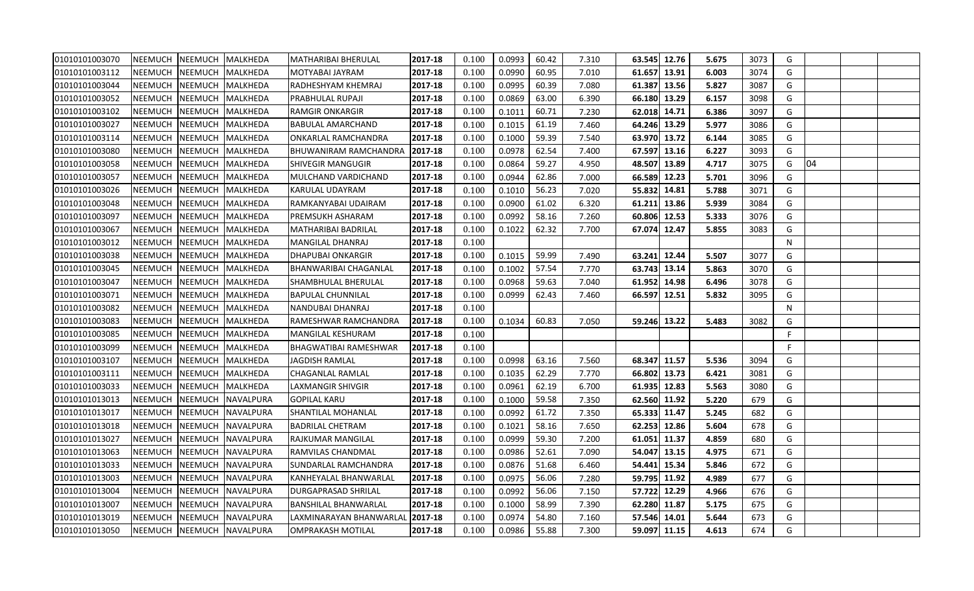| 01010101003070 | <b>NEEMUCH</b> | <b>NEEMUCH</b> | MALKHEDA         | <b>MATHARIBAI BHERULAL</b>   | 2017-18 | 0.100 | 0.0993 | 60.42 | 7.310 | 63.545 12.76 | 5.675 | 3073 | G |    |  |
|----------------|----------------|----------------|------------------|------------------------------|---------|-------|--------|-------|-------|--------------|-------|------|---|----|--|
| 01010101003112 | NEEMUCH        | <b>NEEMUCH</b> | <b>MALKHEDA</b>  | MOTYABAI JAYRAM              | 2017-18 | 0.100 | 0.0990 | 60.95 | 7.010 | 61.657 13.91 | 6.003 | 3074 | G |    |  |
| 01010101003044 | <b>NEEMUCH</b> | <b>NEEMUCH</b> | MALKHEDA         | RADHESHYAM KHEMRAJ           | 2017-18 | 0.100 | 0.0995 | 60.39 | 7.080 | 61.387 13.56 | 5.827 | 3087 | G |    |  |
| 01010101003052 | NEEMUCH        | <b>NEEMUCH</b> | <b>MALKHEDA</b>  | PRABHULAL RUPAJI             | 2017-18 | 0.100 | 0.0869 | 63.00 | 6.390 | 66.180 13.29 | 6.157 | 3098 | G |    |  |
| 01010101003102 | <b>NEEMUCH</b> | <b>NEEMUCH</b> | <b>MALKHEDA</b>  | RAMGIR ONKARGIR              | 2017-18 | 0.100 | 0.1011 | 60.71 | 7.230 | 62.018 14.71 | 6.386 | 3097 | G |    |  |
| 01010101003027 | <b>NEEMUCH</b> | <b>NEEMUCH</b> | <b>MALKHEDA</b>  | <b>BABULAL AMARCHAND</b>     | 2017-18 | 0.100 | 0.1015 | 61.19 | 7.460 | 64.246 13.29 | 5.977 | 3086 | G |    |  |
| 01010101003114 | <b>NEEMUCH</b> | <b>NEEMUCH</b> | <b>MALKHEDA</b>  | ONKARLAL RAMCHANDRA          | 2017-18 | 0.100 | 0.1000 | 59.39 | 7.540 | 63.970 13.72 | 6.144 | 3085 | G |    |  |
| 01010101003080 | <b>NEEMUCH</b> | <b>NEEMUCH</b> | <b>MALKHEDA</b>  | <b>BHUWANIRAM RAMCHANDRA</b> | 2017-18 | 0.100 | 0.0978 | 62.54 | 7.400 | 67.597 13.16 | 6.227 | 3093 | G |    |  |
| 01010101003058 | <b>NEEMUCH</b> | <b>NEEMUCH</b> | <b>MALKHEDA</b>  | <b>SHIVEGIR MANGUGIR</b>     | 2017-18 | 0.100 | 0.0864 | 59.27 | 4.950 | 48.507 13.89 | 4.717 | 3075 | G | 04 |  |
| 01010101003057 | <b>NEEMUCH</b> | <b>NEEMUCH</b> | <b>MALKHEDA</b>  | MULCHAND VARDICHAND          | 2017-18 | 0.100 | 0.0944 | 62.86 | 7.000 | 66.589 12.23 | 5.701 | 3096 | G |    |  |
| 01010101003026 | <b>NEEMUCH</b> | <b>NEEMUCH</b> | MALKHEDA         | KARULAL UDAYRAM              | 2017-18 | 0.100 | 0.1010 | 56.23 | 7.020 | 55.832 14.81 | 5.788 | 3071 | G |    |  |
| 01010101003048 | NEEMUCH        | <b>NEEMUCH</b> | MALKHEDA         | RAMKANYABAI UDAIRAM          | 2017-18 | 0.100 | 0.0900 | 61.02 | 6.320 | 61.211 13.86 | 5.939 | 3084 | G |    |  |
| 01010101003097 | <b>NEEMUCH</b> | <b>NEEMUCH</b> | MALKHEDA         | <b>PREMSUKH ASHARAM</b>      | 2017-18 | 0.100 | 0.0992 | 58.16 | 7.260 | 60.806 12.53 | 5.333 | 3076 | G |    |  |
| 01010101003067 | <b>NEEMUCH</b> | <b>NEEMUCH</b> | MALKHEDA         | <b>MATHARIBAI BADRILAL</b>   | 2017-18 | 0.100 | 0.1022 | 62.32 | 7.700 | 67.074 12.47 | 5.855 | 3083 | G |    |  |
| 01010101003012 | <b>NEEMUCH</b> | <b>NEEMUCH</b> | MALKHEDA         | <b>MANGILAL DHANRAJ</b>      | 2017-18 | 0.100 |        |       |       |              |       |      | N |    |  |
| 01010101003038 | <b>NEEMUCH</b> | <b>NEEMUCH</b> | <b>MALKHEDA</b>  | <b>DHAPUBAI ONKARGIR</b>     | 2017-18 | 0.100 | 0.1015 | 59.99 | 7.490 | 63.241 12.44 | 5.507 | 3077 | G |    |  |
| 01010101003045 | <b>NEEMUCH</b> | <b>NEEMUCH</b> | <b>MALKHEDA</b>  | <b>BHANWARIBAI CHAGANLAL</b> | 2017-18 | 0.100 | 0.1002 | 57.54 | 7.770 | 63.743 13.14 | 5.863 | 3070 | G |    |  |
| 01010101003047 | <b>NEEMUCH</b> | <b>NEEMUCH</b> | <b>MALKHEDA</b>  | <b>SHAMBHULAL BHERULAL</b>   | 2017-18 | 0.100 | 0.0968 | 59.63 | 7.040 | 61.952 14.98 | 6.496 | 3078 | G |    |  |
| 01010101003071 | <b>NEEMUCH</b> | <b>NEEMUCH</b> | <b>MALKHEDA</b>  | <b>BAPULAL CHUNNILAL</b>     | 2017-18 | 0.100 | 0.0999 | 62.43 | 7.460 | 66.597 12.51 | 5.832 | 3095 | G |    |  |
| 01010101003082 | <b>NEEMUCH</b> | <b>NEEMUCH</b> | <b>MALKHEDA</b>  | NANDUBAI DHANRAJ             | 2017-18 | 0.100 |        |       |       |              |       |      | N |    |  |
| 01010101003083 | <b>NEEMUCH</b> | <b>NEEMUCH</b> | MALKHEDA         | RAMESHWAR RAMCHANDRA         | 2017-18 | 0.100 | 0.1034 | 60.83 | 7.050 | 59.246 13.22 | 5.483 | 3082 | G |    |  |
| 01010101003085 | NEEMUCH        | <b>NEEMUCH</b> | MALKHEDA         | <b>MANGILAL KESHURAM</b>     | 2017-18 | 0.100 |        |       |       |              |       |      | F |    |  |
| 01010101003099 | <b>NEEMUCH</b> | <b>NEEMUCH</b> | MALKHEDA         | <b>BHAGWATIBAI RAMESHWAR</b> | 2017-18 | 0.100 |        |       |       |              |       |      | F |    |  |
| 01010101003107 | <b>NEEMUCH</b> | <b>NEEMUCH</b> | MALKHEDA         | JAGDISH RAMLAL               | 2017-18 | 0.100 | 0.0998 | 63.16 | 7.560 | 68.347 11.57 | 5.536 | 3094 | G |    |  |
| 01010101003111 | <b>NEEMUCH</b> | <b>NEEMUCH</b> | MALKHEDA         | <b>CHAGANLAL RAMLAL</b>      | 2017-18 | 0.100 | 0.1035 | 62.29 | 7.770 | 66.802 13.73 | 6.421 | 3081 | G |    |  |
| 01010101003033 | <b>NEEMUCH</b> | <b>NEEMUCH</b> | <b>MALKHEDA</b>  | LAXMANGIR SHIVGIR            | 2017-18 | 0.100 | 0.0961 | 62.19 | 6.700 | 61.935 12.83 | 5.563 | 3080 | G |    |  |
| 01010101013013 | <b>NEEMUCH</b> | <b>NEEMUCH</b> | NAVALPURA        | <b>GOPILAL KARU</b>          | 2017-18 | 0.100 | 0.1000 | 59.58 | 7.350 | 62.560 11.92 | 5.220 | 679  | G |    |  |
| 01010101013017 | <b>NEEMUCH</b> | <b>NEEMUCH</b> | NAVALPURA        | <b>SHANTILAL MOHANLAL</b>    | 2017-18 | 0.100 | 0.0992 | 61.72 | 7.350 | 65.333 11.47 | 5.245 | 682  | G |    |  |
| 01010101013018 | <b>NEEMUCH</b> | <b>NEEMUCH</b> | NAVALPURA        | <b>BADRILAL CHETRAM</b>      | 2017-18 | 0.100 | 0.1021 | 58.16 | 7.650 | 62.253 12.86 | 5.604 | 678  | G |    |  |
| 01010101013027 | <b>NEEMUCH</b> | <b>NEEMUCH</b> | NAVALPURA        | <b>RAJKUMAR MANGILAL</b>     | 2017-18 | 0.100 | 0.0999 | 59.30 | 7.200 | 61.051 11.37 | 4.859 | 680  | G |    |  |
| 01010101013063 | <b>NEEMUCH</b> | <b>NEEMUCH</b> | NAVALPURA        | RAMVILAS CHANDMAL            | 2017-18 | 0.100 | 0.0986 | 52.61 | 7.090 | 54.047 13.15 | 4.975 | 671  | G |    |  |
| 01010101013033 | <b>NEEMUCH</b> | <b>NEEMUCH</b> | <b>NAVALPURA</b> | SUNDARLAL RAMCHANDRA         | 2017-18 | 0.100 | 0.0876 | 51.68 | 6.460 | 54.441 15.34 | 5.846 | 672  | G |    |  |
| 01010101013003 | <b>NEEMUCH</b> | <b>NEEMUCH</b> | <b>NAVALPURA</b> | KANHEYALAL BHANWARLAL        | 2017-18 | 0.100 | 0.0975 | 56.06 | 7.280 | 59.795 11.92 | 4.989 | 677  | G |    |  |
| 01010101013004 | <b>NEEMUCH</b> | <b>NEEMUCH</b> | <b>NAVALPURA</b> | DURGAPRASAD SHRILAL          | 2017-18 | 0.100 | 0.0992 | 56.06 | 7.150 | 57.722 12.29 | 4.966 | 676  | G |    |  |
| 01010101013007 | <b>NEEMUCH</b> | <b>NEEMUCH</b> | NAVALPURA        | <b>BANSHILAL BHANWARLAL</b>  | 2017-18 | 0.100 | 0.1000 | 58.99 | 7.390 | 62.280 11.87 | 5.175 | 675  | G |    |  |
| 01010101013019 | <b>NEEMUCH</b> | <b>NEEMUCH</b> | NAVALPURA        | LAXMINARAYAN BHANWARLAL      | 2017-18 | 0.100 | 0.0974 | 54.80 | 7.160 | 57.546 14.01 | 5.644 | 673  | G |    |  |
| 01010101013050 | <b>NEEMUCH</b> | <b>NEEMUCH</b> | <b>NAVALPURA</b> | <b>OMPRAKASH MOTILAL</b>     | 2017-18 | 0.100 | 0.0986 | 55.88 | 7.300 | 59.097 11.15 | 4.613 | 674  | G |    |  |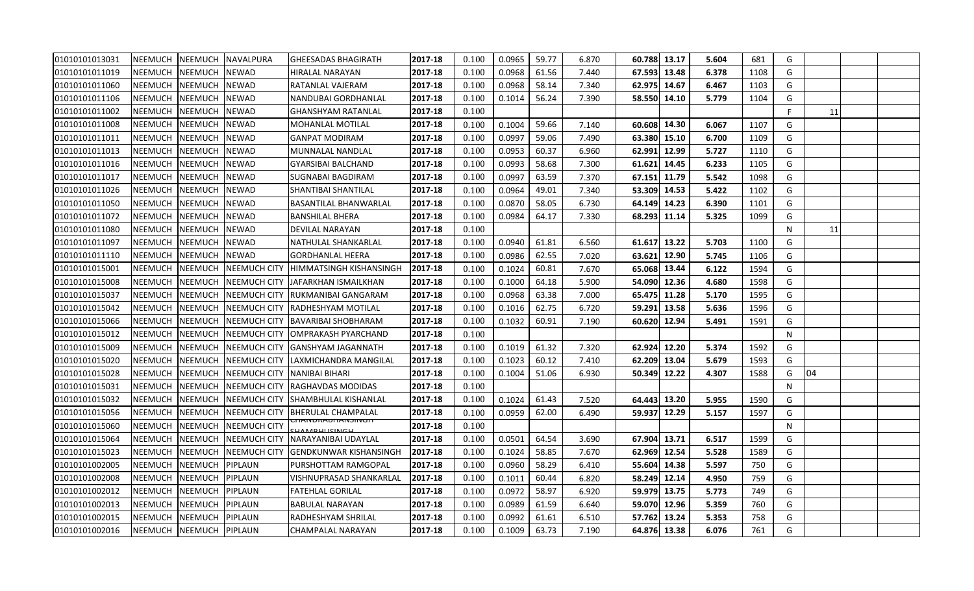| 01010101013031 | <b>NEEMUCH</b> | <b>NEEMUCH</b> | <b>NAVALPURA</b>    | <b>GHEESADAS BHAGIRATH</b>                            | 2017-18 | 0.100 | 0.0965 | 59.77 | 6.870 | 60.788 13.17 |       | 5.604 | 681  | G |    |  |
|----------------|----------------|----------------|---------------------|-------------------------------------------------------|---------|-------|--------|-------|-------|--------------|-------|-------|------|---|----|--|
| 01010101011019 | NEEMUCH        | <b>NEEMUCH</b> | <b>NEWAD</b>        | HIRALAL NARAYAN                                       | 2017-18 | 0.100 | 0.0968 | 61.56 | 7.440 | 67.593 13.48 |       | 6.378 | 1108 | G |    |  |
| 01010101011060 | NEEMUCH        | <b>NEEMUCH</b> | <b>NEWAD</b>        | RATANLAL VAJERAM                                      | 2017-18 | 0.100 | 0.0968 | 58.14 | 7.340 | 62.975 14.67 |       | 6.467 | 1103 | G |    |  |
| 01010101011106 | NEEMUCH        | <b>NEEMUCH</b> | <b>NEWAD</b>        | NANDUBAI GORDHANLAL                                   | 2017-18 | 0.100 | 0.1014 | 56.24 | 7.390 | 58.550 14.10 |       | 5.779 | 1104 | G |    |  |
| 01010101011002 | <b>NEEMUCH</b> | <b>NEEMUCH</b> | <b>NEWAD</b>        | GHANSHYAM RATANLAL                                    | 2017-18 | 0.100 |        |       |       |              |       |       |      | F | 11 |  |
| 01010101011008 | <b>NEEMUCH</b> | <b>NEEMUCH</b> | <b>NEWAD</b>        | MOHANLAL MOTILAL                                      | 2017-18 | 0.100 | 0.1004 | 59.66 | 7.140 | 60.608 14.30 |       | 6.067 | 1107 | G |    |  |
| 01010101011011 | NEEMUCH        | <b>NEEMUCH</b> | <b>NEWAD</b>        | GANPAT MODIRAM                                        | 2017-18 | 0.100 | 0.0997 | 59.06 | 7.490 | 63.380 15.10 |       | 6.700 | 1109 | G |    |  |
| 01010101011013 | NEEMUCH        | <b>NEEMUCH</b> | <b>NEWAD</b>        | MUNNALAL NANDLAL                                      | 2017-18 | 0.100 | 0.0953 | 60.37 | 6.960 | 62.991       | 12.99 | 5.727 | 1110 | G |    |  |
| 01010101011016 | NEEMUCH        | <b>NEEMUCH</b> | <b>NEWAD</b>        | GYARSIBAI BALCHAND                                    | 2017-18 | 0.100 | 0.0993 | 58.68 | 7.300 | 61.621       | 14.45 | 6.233 | 1105 | G |    |  |
| 01010101011017 | <b>NEEMUCH</b> | <b>NEEMUCH</b> | <b>NEWAD</b>        | SUGNABAI BAGDIRAM                                     | 2017-18 | 0.100 | 0.0997 | 63.59 | 7.370 | 67.151       | 11.79 | 5.542 | 1098 | G |    |  |
| 01010101011026 | NEEMUCH        | <b>NEEMUCH</b> | <b>NEWAD</b>        | SHANTIBAI SHANTILAL                                   | 2017-18 | 0.100 | 0.0964 | 49.01 | 7.340 | 53.309       | 14.53 | 5.422 | 1102 | G |    |  |
| 01010101011050 | <b>NEEMUCH</b> | <b>NEEMUCH</b> | <b>NEWAD</b>        | BASANTILAL BHANWARLAL                                 | 2017-18 | 0.100 | 0.0870 | 58.05 | 6.730 | 64.149       | 14.23 | 6.390 | 1101 | G |    |  |
| 01010101011072 | <b>NEEMUCH</b> | <b>NEEMUCH</b> | <b>NEWAD</b>        | <b>BANSHILAL BHERA</b>                                | 2017-18 | 0.100 | 0.0984 | 64.17 | 7.330 | 68.293       | 11.14 | 5.325 | 1099 | G |    |  |
| 01010101011080 | <b>NEEMUCH</b> | <b>NEEMUCH</b> | <b>NEWAD</b>        | DEVILAL NARAYAN                                       | 2017-18 | 0.100 |        |       |       |              |       |       |      | N | 11 |  |
| 01010101011097 | <b>NEEMUCH</b> | <b>NEEMUCH</b> | <b>NEWAD</b>        | NATHULAL SHANKARLAL                                   | 2017-18 | 0.100 | 0.0940 | 61.81 | 6.560 | 61.617       | 13.22 | 5.703 | 1100 | G |    |  |
| 01010101011110 | <b>NEEMUCH</b> | <b>NEEMUCH</b> | <b>NEWAD</b>        | GORDHANLAL HEERA                                      | 2017-18 | 0.100 | 0.0986 | 62.55 | 7.020 | 63.621       | 12.90 | 5.745 | 1106 | G |    |  |
| 01010101015001 | NEEMUCH        | <b>NEEMUCH</b> | <b>NEEMUCH CITY</b> | HIMMATSINGH KISHANSINGH                               | 2017-18 | 0.100 | 0.1024 | 60.81 | 7.670 | 65.068       | 13.44 | 6.122 | 1594 | G |    |  |
| 01010101015008 | NEEMUCH        | <b>NEEMUCH</b> | <b>NEEMUCH CITY</b> | JAFARKHAN ISMAILKHAN                                  | 2017-18 | 0.100 | 0.1000 | 64.18 | 5.900 | 54.090       | 12.36 | 4.680 | 1598 | G |    |  |
| 01010101015037 | NEEMUCH        | <b>NEEMUCH</b> | <b>NEEMUCH CITY</b> | RUKMANIBAI GANGARAM                                   | 2017-18 | 0.100 | 0.0968 | 63.38 | 7.000 | 65.475       | 11.28 | 5.170 | 1595 | G |    |  |
| 01010101015042 | NEEMUCH        | <b>NEEMUCH</b> | <b>NEEMUCH CITY</b> | RADHESHYAM MOTILAL                                    | 2017-18 | 0.100 | 0.1016 | 62.75 | 6.720 | 59.291       | 13.58 | 5.636 | 1596 | G |    |  |
| 01010101015066 | <b>NEEMUCH</b> | <b>NEEMUCH</b> | <b>NEEMUCH CITY</b> | <b>BAVARIBAI SHOBHARAM</b>                            | 2017-18 | 0.100 | 0.1032 | 60.91 | 7.190 | 60.620       | 12.94 | 5.491 | 1591 | G |    |  |
| 01010101015012 | <b>NEEMUCH</b> | <b>NEEMUCH</b> | <b>NEEMUCH CITY</b> | <b>OMPRAKASH PYARCHAND</b>                            | 2017-18 | 0.100 |        |       |       |              |       |       |      | N |    |  |
| 01010101015009 | NEEMUCH        | <b>NEEMUCH</b> | <b>NEEMUCH CITY</b> | <b>GANSHYAM JAGANNATH</b>                             | 2017-18 | 0.100 | 0.1019 | 61.32 | 7.320 | 62.924       | 12.20 | 5.374 | 1592 | G |    |  |
| 01010101015020 | NEEMUCH        | <b>NEEMUCH</b> | <b>NEEMUCH CITY</b> | LAXMICHANDRA MANGILAL                                 | 2017-18 | 0.100 | 0.1023 | 60.12 | 7.410 | 62.209 13.04 |       | 5.679 | 1593 | G |    |  |
| 01010101015028 | NEEMUCH        | <b>NEEMUCH</b> | <b>NEEMUCH CITY</b> | <b>NANIBAI BIHARI</b>                                 | 2017-18 | 0.100 | 0.1004 | 51.06 | 6.930 | 50.349       | 12.22 | 4.307 | 1588 | G | 04 |  |
| 01010101015031 | NEEMUCH        | <b>NEEMUCH</b> | <b>NEEMUCH CITY</b> | <b>RAGHAVDAS MODIDAS</b>                              | 2017-18 | 0.100 |        |       |       |              |       |       |      | N |    |  |
| 01010101015032 | NEEMUCH        | <b>NEEMUCH</b> | <b>NEEMUCH CITY</b> | SHAMBHULAL KISHANLAL                                  | 2017-18 | 0.100 | 0.1024 | 61.43 | 7.520 | 64.443 13.20 |       | 5.955 | 1590 | G |    |  |
| 01010101015056 | NEEMUCH        | <b>NEEMUCH</b> | <b>NEEMUCH CITY</b> | <b>BHERULAL CHAMPALAL</b>                             | 2017-18 | 0.100 | 0.0959 | 62.00 | 6.490 | 59.937       | 12.29 | 5.157 | 1597 | G |    |  |
| 01010101015060 | NEEMUCH        | <b>NEEMUCH</b> | <b>NEEMUCH CITY</b> | <del>.</del> ПАІЧИЛА В ПАІЧОП<br>$U$ ANAD $U$ ICINICH | 2017-18 | 0.100 |        |       |       |              |       |       |      | N |    |  |
| 01010101015064 | <b>NEEMUCH</b> | <b>NEEMUCH</b> | <b>NEEMUCH CITY</b> | NARAYANIBAI UDAYLAL                                   | 2017-18 | 0.100 | 0.0501 | 64.54 | 3.690 | 67.904 13.71 |       | 6.517 | 1599 | G |    |  |
| 01010101015023 | NEEMUCH        | <b>NEEMUCH</b> | <b>NEEMUCH CITY</b> | <b>GENDKUNWAR KISHANSINGH</b>                         | 2017-18 | 0.100 | 0.1024 | 58.85 | 7.670 | 62.969 12.54 |       | 5.528 | 1589 | G |    |  |
| 01010101002005 | NEEMUCH        | <b>NEEMUCH</b> | PIPLAUN             | PURSHOTTAM RAMGOPAL                                   | 2017-18 | 0.100 | 0.0960 | 58.29 | 6.410 | 55.604 14.38 |       | 5.597 | 750  | G |    |  |
| 01010101002008 | NEEMUCH        | <b>NEEMUCH</b> | PIPLAUN             | VISHNUPRASAD SHANKARLAL                               | 2017-18 | 0.100 | 0.1011 | 60.44 | 6.820 | 58.249 12.14 |       | 4.950 | 759  | G |    |  |
| 01010101002012 | <b>NEEMUCH</b> | <b>NEEMUCH</b> | PIPLAUN             | <b>FATEHLAL GORILAL</b>                               | 2017-18 | 0.100 | 0.0972 | 58.97 | 6.920 | 59.979 13.75 |       | 5.773 | 749  | G |    |  |
| 01010101002013 | <b>NEEMUCH</b> | <b>NEEMUCH</b> | PIPLAUN             | <b>BABULAL NARAYAN</b>                                | 2017-18 | 0.100 | 0.0989 | 61.59 | 6.640 | 59.070 12.96 |       | 5.359 | 760  | G |    |  |
| 01010101002015 | <b>NEEMUCH</b> | <b>NEEMUCH</b> | PIPLAUN             | RADHESHYAM SHRILAL                                    | 2017-18 | 0.100 | 0.0992 | 61.61 | 6.510 | 57.762 13.24 |       | 5.353 | 758  | G |    |  |
| 01010101002016 | <b>NEEMUCH</b> | <b>NEEMUCH</b> | PIPLAUN             | <b>CHAMPALAL NARAYAN</b>                              | 2017-18 | 0.100 | 0.1009 | 63.73 | 7.190 | 64.876 13.38 |       | 6.076 | 761  | G |    |  |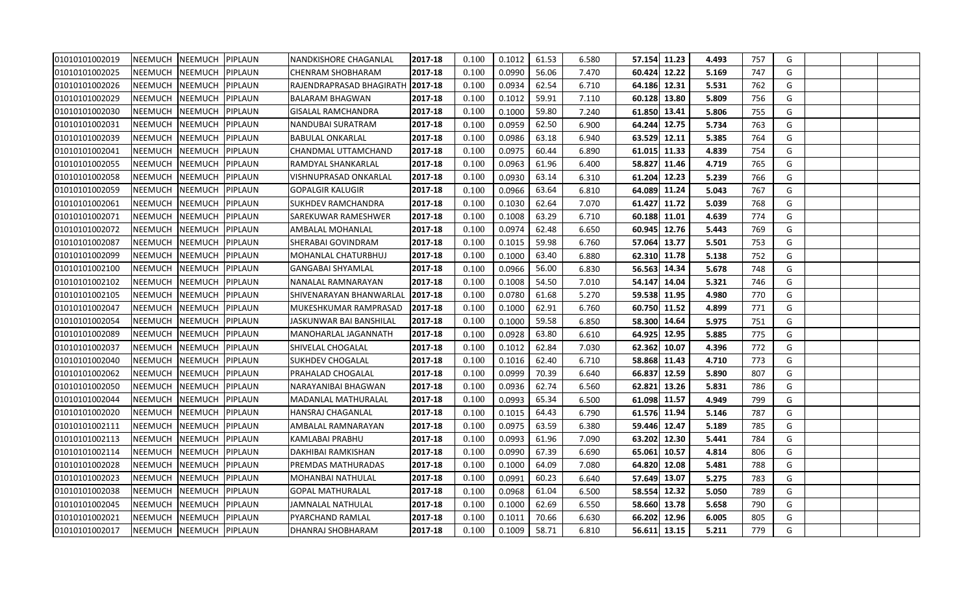| 01010101002019 | <b>NEEMUCH</b> | <b>NEEMUCH</b> | <b>PIPLAUN</b> | NANDKISHORE CHAGANLAL     | 2017-18 | 0.100 | 0.1012 | 61.53 | 6.580 | 57.154 11.23 |       | 4.493 | 757 | G |  |  |
|----------------|----------------|----------------|----------------|---------------------------|---------|-------|--------|-------|-------|--------------|-------|-------|-----|---|--|--|
| 01010101002025 | NEEMUCH        | <b>NEEMUCH</b> | PIPLAUN        | CHENRAM SHOBHARAM         | 2017-18 | 0.100 | 0.0990 | 56.06 | 7.470 | 60.424 12.22 |       | 5.169 | 747 | G |  |  |
| 01010101002026 | NEEMUCH        | <b>NEEMUCH</b> | PIPLAUN        | RAJENDRAPRASAD BHAGIRATH  | 2017-18 | 0.100 | 0.0934 | 62.54 | 6.710 | 64.186 12.31 |       | 5.531 | 762 | G |  |  |
| 01010101002029 | <b>NEEMUCH</b> | <b>NEEMUCH</b> | PIPLAUN        | <b>BALARAM BHAGWAN</b>    | 2017-18 | 0.100 | 0.1012 | 59.91 | 7.110 | 60.128 13.80 |       | 5.809 | 756 | G |  |  |
| 01010101002030 | <b>NEEMUCH</b> | <b>NEEMUCH</b> | PIPLAUN        | <b>GISALAL RAMCHANDRA</b> | 2017-18 | 0.100 | 0.1000 | 59.80 | 7.240 | 61.850 13.41 |       | 5.806 | 755 | G |  |  |
| 01010101002031 | NEEMUCH        | <b>NEEMUCH</b> | <b>PIPLAUN</b> | NANDUBAI SURATRAM         | 2017-18 | 0.100 | 0.0959 | 62.50 | 6.900 | 64.244       | 12.75 | 5.734 | 763 | G |  |  |
| 01010101002039 | <b>NEEMUCH</b> | <b>NEEMUCH</b> | <b>PIPLAUN</b> | <b>BABULAL ONKARLAL</b>   | 2017-18 | 0.100 | 0.0986 | 63.18 | 6.940 | 63.529       | 12.11 | 5.385 | 764 | G |  |  |
| 01010101002041 | NEEMUCH        | <b>NEEMUCH</b> | <b>PIPLAUN</b> | CHANDMAL UTTAMCHAND       | 2017-18 | 0.100 | 0.0975 | 60.44 | 6.890 | 61.015 11.33 |       | 4.839 | 754 | G |  |  |
| 01010101002055 | <b>NEEMUCH</b> | <b>NEEMUCH</b> | PIPLAUN        | RAMDYAL SHANKARLAL        | 2017-18 | 0.100 | 0.0963 | 61.96 | 6.400 | 58.827       | 11.46 | 4.719 | 765 | G |  |  |
| 01010101002058 | <b>NEEMUCH</b> | <b>NEEMUCH</b> | PIPLAUN        | VISHNUPRASAD ONKARLAL     | 2017-18 | 0.100 | 0.0930 | 63.14 | 6.310 | 61.204       | 12.23 | 5.239 | 766 | G |  |  |
| 01010101002059 | <b>NEEMUCH</b> | <b>NEEMUCH</b> | PIPLAUN        | <b>GOPALGIR KALUGIR</b>   | 2017-18 | 0.100 | 0.0966 | 63.64 | 6.810 | 64.089 11.24 |       | 5.043 | 767 | G |  |  |
| 01010101002061 | <b>NEEMUCH</b> | <b>NEEMUCH</b> | PIPLAUN        | <b>SUKHDEV RAMCHANDRA</b> | 2017-18 | 0.100 | 0.1030 | 62.64 | 7.070 | 61.427 11.72 |       | 5.039 | 768 | G |  |  |
| 01010101002071 | <b>NEEMUCH</b> | <b>NEEMUCH</b> | PIPLAUN        | SAREKUWAR RAMESHWER       | 2017-18 | 0.100 | 0.1008 | 63.29 | 6.710 | 60.188 11.01 |       | 4.639 | 774 | G |  |  |
| 01010101002072 | <b>NEEMUCH</b> | <b>NEEMUCH</b> | PIPLAUN        | AMBALAL MOHANLAL          | 2017-18 | 0.100 | 0.0974 | 62.48 | 6.650 | 60.945 12.76 |       | 5.443 | 769 | G |  |  |
| 01010101002087 | NEEMUCH        | <b>NEEMUCH</b> | PIPLAUN        | SHERABAI GOVINDRAM        | 2017-18 | 0.100 | 0.1015 | 59.98 | 6.760 | 57.064 13.77 |       | 5.501 | 753 | G |  |  |
| 01010101002099 | NEEMUCH        | <b>NEEMUCH</b> | PIPLAUN        | MOHANLAL CHATURBHUJ       | 2017-18 | 0.100 | 0.1000 | 63.40 | 6.880 | 62.310 11.78 |       | 5.138 | 752 | G |  |  |
| 01010101002100 | NEEMUCH        | <b>NEEMUCH</b> | PIPLAUN        | <b>GANGABAI SHYAMLAL</b>  | 2017-18 | 0.100 | 0.0966 | 56.00 | 6.830 | 56.563 14.34 |       | 5.678 | 748 | G |  |  |
| 01010101002102 | <b>NEEMUCH</b> | <b>NEEMUCH</b> | PIPLAUN        | NANALAL RAMNARAYAN        | 2017-18 | 0.100 | 0.1008 | 54.50 | 7.010 | 54.147       | 14.04 | 5.321 | 746 | G |  |  |
| 01010101002105 | <b>NEEMUCH</b> | <b>NEEMUCH</b> | PIPLAUN        | SHIVENARAYAN BHANWARLAI   | 2017-18 | 0.100 | 0.0780 | 61.68 | 5.270 | 59.538 11.95 |       | 4.980 | 770 | G |  |  |
| 01010101002047 | <b>NEEMUCH</b> | <b>NEEMUCH</b> | PIPLAUN        | MUKESHKUMAR RAMPRASAD     | 2017-18 | 0.100 | 0.1000 | 62.91 | 6.760 | 60.750 11.52 |       | 4.899 | 771 | G |  |  |
| 01010101002054 | <b>NEEMUCH</b> | <b>NEEMUCH</b> | PIPLAUN        | JASKUNWAR BAI BANSHILAL   | 2017-18 | 0.100 | 0.1000 | 59.58 | 6.850 | 58.300 14.64 |       | 5.975 | 751 | G |  |  |
| 01010101002089 | <b>NEEMUCH</b> | <b>NEEMUCH</b> | PIPLAUN        | MANOHARLAL JAGANNATH      | 2017-18 | 0.100 | 0.0928 | 63.80 | 6.610 | 64.925 12.95 |       | 5.885 | 775 | G |  |  |
| 01010101002037 | <b>NEEMUCH</b> | <b>NEEMUCH</b> | PIPLAUN        | SHIVELAL CHOGALAL         | 2017-18 | 0.100 | 0.1012 | 62.84 | 7.030 | 62.362       | 10.07 | 4.396 | 772 | G |  |  |
| 01010101002040 | <b>NEEMUCH</b> | <b>NEEMUCH</b> | PIPLAUN        | <b>SUKHDEV CHOGALAL</b>   | 2017-18 | 0.100 | 0.1016 | 62.40 | 6.710 | 58.868 11.43 |       | 4.710 | 773 | G |  |  |
| 01010101002062 | <b>NEEMUCH</b> | <b>NEEMUCH</b> | PIPLAUN        | PRAHALAD CHOGALAL         | 2017-18 | 0.100 | 0.0999 | 70.39 | 6.640 | 66.837       | 12.59 | 5.890 | 807 | G |  |  |
| 01010101002050 | <b>NEEMUCH</b> | <b>NEEMUCH</b> | PIPLAUN        | NARAYANIBAI BHAGWAN       | 2017-18 | 0.100 | 0.0936 | 62.74 | 6.560 | 62.821 13.26 |       | 5.831 | 786 | G |  |  |
| 01010101002044 | <b>NEEMUCH</b> | <b>NEEMUCH</b> | PIPLAUN        | MADANLAL MATHURALAL       | 2017-18 | 0.100 | 0.0993 | 65.34 | 6.500 | 61.098 11.57 |       | 4.949 | 799 | G |  |  |
| 01010101002020 | <b>NEEMUCH</b> | <b>NEEMUCH</b> | PIPLAUN        | HANSRAJ CHAGANLAL         | 2017-18 | 0.100 | 0.1015 | 64.43 | 6.790 | 61.576 11.94 |       | 5.146 | 787 | G |  |  |
| 01010101002111 | <b>NEEMUCH</b> | <b>NEEMUCH</b> | PIPLAUN        | AMBALAL RAMNARAYAN        | 2017-18 | 0.100 | 0.0975 | 63.59 | 6.380 | 59.446 12.47 |       | 5.189 | 785 | G |  |  |
| 01010101002113 | <b>NEEMUCH</b> | <b>NEEMUCH</b> | PIPLAUN        | KAMLABAI PRABHU           | 2017-18 | 0.100 | 0.0993 | 61.96 | 7.090 | 63.202 12.30 |       | 5.441 | 784 | G |  |  |
| 01010101002114 | <b>NEEMUCH</b> | <b>NEEMUCH</b> | PIPLAUN        | DAKHIBAI RAMKISHAN        | 2017-18 | 0.100 | 0.0990 | 67.39 | 6.690 | 65.061 10.57 |       | 4.814 | 806 | G |  |  |
| 01010101002028 | <b>NEEMUCH</b> | NEEMUCH        | PIPLAUN        | PREMDAS MATHURADAS        | 2017-18 | 0.100 | 0.1000 | 64.09 | 7.080 | 64.820 12.08 |       | 5.481 | 788 | G |  |  |
| 01010101002023 | NEEMUCH        | NEEMUCH        | PIPLAUN        | MOHANBAI NATHULAL         | 2017-18 | 0.100 | 0.0991 | 60.23 | 6.640 | 57.649 13.07 |       | 5.275 | 783 | G |  |  |
| 01010101002038 | NEEMUCH        | NEEMUCH        | PIPLAUN        | <b>GOPAL MATHURALAL</b>   | 2017-18 | 0.100 | 0.0968 | 61.04 | 6.500 | 58.554 12.32 |       | 5.050 | 789 | G |  |  |
| 01010101002045 | <b>NEEMUCH</b> | <b>NEEMUCH</b> | PIPLAUN        | JAMNALAL NATHULAL         | 2017-18 | 0.100 | 0.1000 | 62.69 | 6.550 | 58.660 13.78 |       | 5.658 | 790 | G |  |  |
| 01010101002021 | <b>NEEMUCH</b> | <b>NEEMUCH</b> | PIPLAUN        | PYARCHAND RAMLAL          | 2017-18 | 0.100 | 0.1011 | 70.66 | 6.630 | 66.202 12.96 |       | 6.005 | 805 | G |  |  |
| 01010101002017 | <b>NEEMUCH</b> | <b>NEEMUCH</b> | PIPLAUN        | DHANRAJ SHOBHARAM         | 2017-18 | 0.100 | 0.1009 | 58.71 | 6.810 | 56.611 13.15 |       | 5.211 | 779 | G |  |  |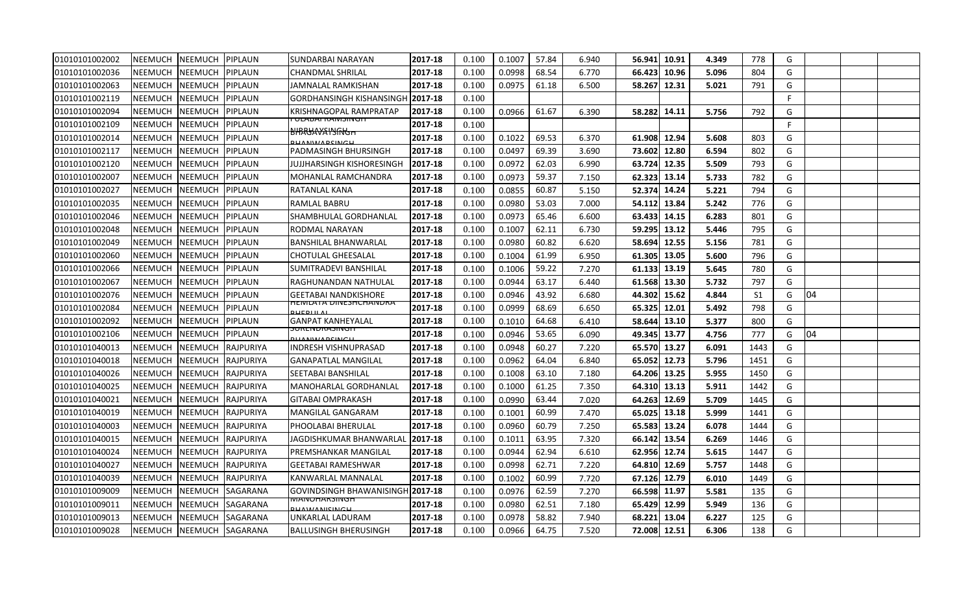| 01010101002002 | NEEMUCH        | <b>NEEMUCH</b> | PIPLAUN          | SUNDARBAI NARAYAN                                 | 2017-18 | 0.100 | 0.1007 | 57.84 | 6.940 | 56.941       | 10.91 | 4.349 | 778            | G  |    |  |
|----------------|----------------|----------------|------------------|---------------------------------------------------|---------|-------|--------|-------|-------|--------------|-------|-------|----------------|----|----|--|
| 01010101002036 | NEEMUCH        | <b>NEEMUCH</b> | PIPLAUN          | CHANDMAL SHRILAL                                  | 2017-18 | 0.100 | 0.0998 | 68.54 | 6.770 | 66.423       | 10.96 | 5.096 | 804            | G  |    |  |
| 01010101002063 | <b>NEEMUCH</b> | <b>NEEMUCH</b> | PIPLAUN          | JAMNALAL RAMKISHAN                                | 2017-18 | 0.100 | 0.0975 | 61.18 | 6.500 | 58.267       | 12.31 | 5.021 | 791            | G  |    |  |
| 01010101002119 | NEEMUCH        | NEEMUCH        | PIPLAUN          | GORDHANSINGH KISHANSINGH                          | 2017-18 | 0.100 |        |       |       |              |       |       |                | F. |    |  |
| 01010101002094 | NEEMUCH        | NEEMUCH        | PIPLAUN          | KRISHNAGOPAL RAMPRATAP                            | 2017-18 | 0.100 | 0.0966 | 61.67 | 6.390 | 58.282       | 14.11 | 5.756 | 792            | G  |    |  |
| 01010101002109 | NEEMUCH        | <b>NEEMUCH</b> | PIPLAUN          | <u>ULADAI KAMSINUT</u><br><del>BHAUAVAISNUn</del> | 2017-18 | 0.100 |        |       |       |              |       |       |                | F. |    |  |
| 01010101002014 | NEEMUCH        | <b>NEEMUCH</b> | PIPLAUN          | <b>UANIMADCINCU</b>                               | 2017-18 | 0.100 | 0.1022 | 69.53 | 6.370 | 61.908       | 12.94 | 5.608 | 803            | G  |    |  |
| 01010101002117 | NEEMUCH        | <b>NEEMUCH</b> | <b>PIPLAUN</b>   | IPADMASINGH BHURSINGH                             | 2017-18 | 0.100 | 0.0497 | 69.39 | 3.690 | 73.602       | 12.80 | 6.594 | 802            | G  |    |  |
| 01010101002120 | NEEMUCH        | <b>NEEMUCH</b> | <b>PIPLAUN</b>   | <b>JUJJHARSINGH KISHORESINGH</b>                  | 2017-18 | 0.100 | 0.0972 | 62.03 | 6.990 | 63.724       | 12.35 | 5.509 | 793            | G  |    |  |
| 01010101002007 | <b>NEEMUCH</b> | <b>NEEMUCH</b> | <b>PIPLAUN</b>   | MOHANLAL RAMCHANDRA                               | 2017-18 | 0.100 | 0.0973 | 59.37 | 7.150 | 62.323       | 13.14 | 5.733 | 782            | G  |    |  |
| 01010101002027 | <b>NEEMUCH</b> | <b>NEEMUCH</b> | <b>PIPLAUN</b>   | RATANLAL KANA                                     | 2017-18 | 0.100 | 0.0855 | 60.87 | 5.150 | 52.374       | 14.24 | 5.221 | 794            | G  |    |  |
| 01010101002035 | NEEMUCH        | <b>NEEMUCH</b> | <b>PIPLAUN</b>   | RAMLAL BABRU                                      | 2017-18 | 0.100 | 0.0980 | 53.03 | 7.000 | 54.112       | 13.84 | 5.242 | 776            | G  |    |  |
| 01010101002046 | NEEMUCH        | <b>NEEMUCH</b> | PIPLAUN          | SHAMBHULAL GORDHANLAL                             | 2017-18 | 0.100 | 0.0973 | 65.46 | 6.600 | 63.433       | 14.15 | 6.283 | 801            | G  |    |  |
| 01010101002048 | NEEMUCH        | <b>NEEMUCH</b> | PIPLAUN          | RODMAL NARAYAN                                    | 2017-18 | 0.100 | 0.1007 | 62.11 | 6.730 | 59.295       | 13.12 | 5.446 | 795            | G  |    |  |
| 01010101002049 | NEEMUCH        | <b>NEEMUCH</b> | PIPLAUN          | <b>BANSHILAL BHANWARLAL</b>                       | 2017-18 | 0.100 | 0.0980 | 60.82 | 6.620 | 58.694       | 12.55 | 5.156 | 781            | G  |    |  |
| 01010101002060 | NEEMUCH        | <b>NEEMUCH</b> | PIPLAUN          | CHOTULAL GHEESALAL                                | 2017-18 | 0.100 | 0.1004 | 61.99 | 6.950 | 61.305       | 13.05 | 5.600 | 796            | G  |    |  |
| 01010101002066 | NEEMUCH        | <b>NEEMUCH</b> | PIPLAUN          | SUMITRADEVI BANSHILAL                             | 2017-18 | 0.100 | 0.1006 | 59.22 | 7.270 | 61.133       | 13.19 | 5.645 | 780            | G  |    |  |
| 01010101002067 | NEEMUCH        | <b>NEEMUCH</b> | PIPLAUN          | RAGHUNANDAN NATHULAL                              | 2017-18 | 0.100 | 0.0944 | 63.17 | 6.440 | 61.568       | 13.30 | 5.732 | 797            | G  |    |  |
| 01010101002076 | NEEMUCH        | <b>NEEMUCH</b> | PIPLAUN          | GEETABAI NANDKISHORE                              | 2017-18 | 0.100 | 0.0946 | 43.92 | 6.680 | 44.302       | 15.62 | 4.844 | S <sub>1</sub> | G  | 04 |  |
| 01010101002084 | NEEMUCH        | <b>NEEMUCH</b> | <b>PIPLAUN</b>   | HEIVILATA DINESHUHAINDRA<br><b>LIEDLILAI</b>      | 2017-18 | 0.100 | 0.0999 | 68.69 | 6.650 | 65.325       | 12.01 | 5.492 | 798            | G  |    |  |
| 01010101002092 | <b>NEEMUCH</b> | <b>NEEMUCH</b> | PIPLAUN          | <b>GANPAT KANHEYALAL</b>                          | 2017-18 | 0.100 | 0.1010 | 64.68 | 6.410 | 58.644       | 13.10 | 5.377 | 800            | G  |    |  |
| 01010101002106 | <b>NEEMUCH</b> | NEEMUCH        | PIPLAUN          | <b>JUREINURAJIINUN</b><br><b>CHANNAADCINGLE</b>   | 2017-18 | 0.100 | 0.0946 | 53.65 | 6.090 | 49.345       | 13.77 | 4.756 | 777            | G  | 04 |  |
| 01010101040013 | <b>NEEMUCH</b> | <b>NEEMUCH</b> | <b>RAJPURIYA</b> | INDRESH VISHNUPRASAD                              | 2017-18 | 0.100 | 0.0948 | 60.27 | 7.220 | 65.570       | 13.27 | 6.091 | 1443           | G  |    |  |
| 01010101040018 | <b>NEEMUCH</b> | <b>NEEMUCH</b> | <b>RAJPURIYA</b> | <b>GANAPATLAL MANGILAL</b>                        | 2017-18 | 0.100 | 0.0962 | 64.04 | 6.840 | 65.052       | 12.73 | 5.796 | 1451           | G  |    |  |
| 01010101040026 | <b>NEEMUCH</b> | <b>NEEMUCH</b> | <b>RAJPURIYA</b> | SEETABAI BANSHILAL                                | 2017-18 | 0.100 | 0.1008 | 63.10 | 7.180 | 64.206       | 13.25 | 5.955 | 1450           | G  |    |  |
| 01010101040025 | <b>NEEMUCH</b> | <b>NEEMUCH</b> | <b>RAJPURIYA</b> | MANOHARLAL GORDHANLAL                             | 2017-18 | 0.100 | 0.1000 | 61.25 | 7.350 | 64.310       | 13.13 | 5.911 | 1442           | G  |    |  |
| 01010101040021 | <b>NEEMUCH</b> | <b>NEEMUCH</b> | <b>RAJPURIYA</b> | GITABAI OMPRAKASH                                 | 2017-18 | 0.100 | 0.0990 | 63.44 | 7.020 | 64.263       | 12.69 | 5.709 | 1445           | G  |    |  |
| 01010101040019 | NEEMUCH        | <b>NEEMUCH</b> | <b>RAJPURIYA</b> | <b>MANGILAL GANGARAM</b>                          | 2017-18 | 0.100 | 0.1001 | 60.99 | 7.470 | 65.025       | 13.18 | 5.999 | 1441           | G  |    |  |
| 01010101040003 | NEEMUCH        | <b>NEEMUCH</b> | <b>RAJPURIYA</b> | PHOOLABAI BHERULAL                                | 2017-18 | 0.100 | 0.0960 | 60.79 | 7.250 | 65.583       | 13.24 | 6.078 | 1444           | G  |    |  |
| 01010101040015 | NEEMUCH        | <b>NEEMUCH</b> | RAJPURIYA        | JAGDISHKUMAR BHANWARLAI                           | 2017-18 | 0.100 | 0.1011 | 63.95 | 7.320 | 66.142       | 13.54 | 6.269 | 1446           | G  |    |  |
| 01010101040024 | NEEMUCH        | <b>NEEMUCH</b> | <b>RAJPURIYA</b> | PREMSHANKAR MANGILAL                              | 2017-18 | 0.100 | 0.0944 | 62.94 | 6.610 | 62.956       | 12.74 | 5.615 | 1447           | G  |    |  |
| 01010101040027 | NEEMUCH        | <b>NEEMUCH</b> | <b>RAJPURIYA</b> | GEETABAI RAMESHWAR                                | 2017-18 | 0.100 | 0.0998 | 62.71 | 7.220 | 64.810 12.69 |       | 5.757 | 1448           | G  |    |  |
| 01010101040039 | NEEMUCH        | <b>NEEMUCH</b> | <b>RAJPURIYA</b> | KANWARLAL MANNALAL                                | 2017-18 | 0.100 | 0.1002 | 60.99 | 7.720 | 67.126 12.79 |       | 6.010 | 1449           | G  |    |  |
| 01010101009009 | <b>NEEMUCH</b> | <b>NEEMUCH</b> | SAGARANA         | GOVINDSINGH BHAWANISINGH                          | 2017-18 | 0.100 | 0.0976 | 62.59 | 7.270 | 66.598 11.97 |       | 5.581 | 135            | G  |    |  |
| 01010101009011 | NEEMUCH        | <b>NEEMUCH</b> | SAGARANA         | <b>MANUTARSINUT</b><br><b>DUAWANICINGU</b>        | 2017-18 | 0.100 | 0.0980 | 62.51 | 7.180 | 65.429 12.99 |       | 5.949 | 136            | G  |    |  |
| 01010101009013 | NEEMUCH        | <b>NEEMUCH</b> | SAGARANA         | UNKARLAL LADURAM                                  | 2017-18 | 0.100 | 0.0978 | 58.82 | 7.940 | 68.221       | 13.04 | 6.227 | 125            | G  |    |  |
| 01010101009028 | <b>NEEMUCH</b> | <b>NEEMUCH</b> | SAGARANA         | <b>BALLUSINGH BHERUSINGH</b>                      | 2017-18 | 0.100 | 0.0966 | 64.75 | 7.520 | 72.008 12.51 |       | 6.306 | 138            | G  |    |  |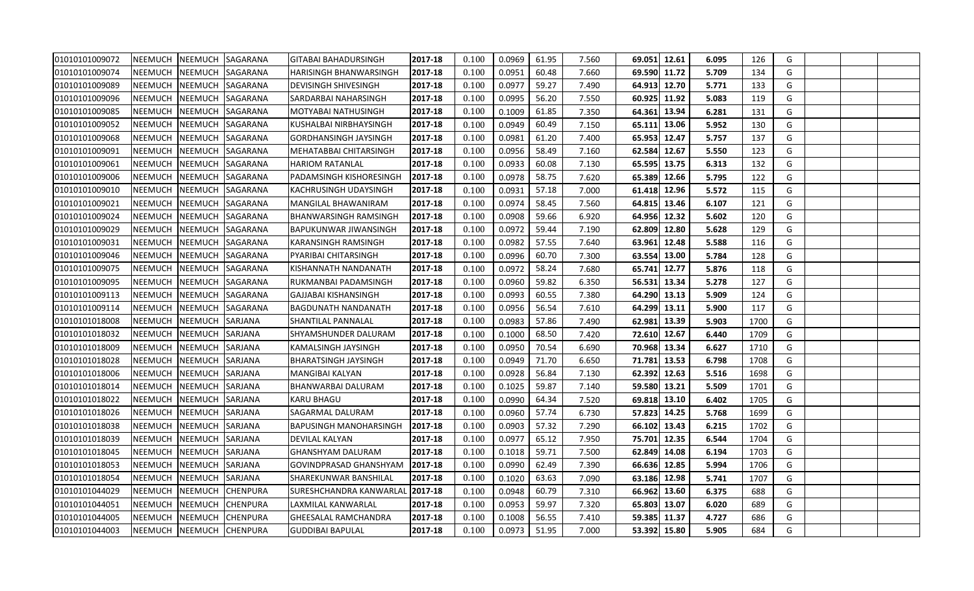| 01010101009072 | <b>NEEMUCH</b> | <b>NEEMUCH</b> | SAGARANA        | <b>GITABAI BAHADURSINGH</b>    | 2017-18 | 0.100 | 0.0969 | 61.95 | 7.560 | 69.051 12.61 |              | 6.095 | 126  | G |  |  |
|----------------|----------------|----------------|-----------------|--------------------------------|---------|-------|--------|-------|-------|--------------|--------------|-------|------|---|--|--|
| 01010101009074 | NEEMUCH        | <b>NEEMUCH</b> | SAGARANA        | HARISINGH BHANWARSINGH         | 2017-18 | 0.100 | 0.0951 | 60.48 | 7.660 | 69.590 11.72 |              | 5.709 | 134  | G |  |  |
| 01010101009089 | NEEMUCH        | <b>NEEMUCH</b> | SAGARANA        | DEVISINGH SHIVESINGH           | 2017-18 | 0.100 | 0.0977 | 59.27 | 7.490 |              | 64.913 12.70 | 5.771 | 133  | G |  |  |
| 01010101009096 | NEEMUCH        | <b>NEEMUCH</b> | SAGARANA        | SARDARBAI NAHARSINGH           | 2017-18 | 0.100 | 0.0995 | 56.20 | 7.550 | 60.925 11.92 |              | 5.083 | 119  | G |  |  |
| 01010101009085 | NEEMUCH        | <b>NEEMUCH</b> | SAGARANA        | MOTYABAI NATHUSINGH            | 2017-18 | 0.100 | 0.1009 | 61.85 | 7.350 | 64.361 13.94 |              | 6.281 | 131  | G |  |  |
| 01010101009052 | NEEMUCH        | <b>NEEMUCH</b> | SAGARANA        | KUSHALBAI NIRBHAYSINGH         | 2017-18 | 0.100 | 0.0949 | 60.49 | 7.150 | 65.111 13.06 |              | 5.952 | 130  | G |  |  |
| 01010101009068 | NEEMUCH        | <b>NEEMUCH</b> | SAGARANA        | GORDHANSINGH JAYSINGH          | 2017-18 | 0.100 | 0.0981 | 61.20 | 7.400 | 65.953 12.47 |              | 5.757 | 137  | G |  |  |
| 01010101009091 | NEEMUCH        | <b>NEEMUCH</b> | SAGARANA        | MEHATABBAI CHITARSINGH         | 2017-18 | 0.100 | 0.0956 | 58.49 | 7.160 | 62.584 12.67 |              | 5.550 | 123  | G |  |  |
| 01010101009061 | NEEMUCH        | <b>NEEMUCH</b> | SAGARANA        | <b>HARIOM RATANLAL</b>         | 2017-18 | 0.100 | 0.0933 | 60.08 | 7.130 | 65.595 13.75 |              | 6.313 | 132  | G |  |  |
| 01010101009006 | NEEMUCH        | <b>NEEMUCH</b> | SAGARANA        | <b>PADAMSINGH KISHORESINGH</b> | 2017-18 | 0.100 | 0.0978 | 58.75 | 7.620 | 65.389 12.66 |              | 5.795 | 122  | G |  |  |
| 01010101009010 | NEEMUCH        | <b>NEEMUCH</b> | SAGARANA        | <b>KACHRUSINGH UDAYSINGH</b>   | 2017-18 | 0.100 | 0.0931 | 57.18 | 7.000 | 61.418 12.96 |              | 5.572 | 115  | G |  |  |
| 01010101009021 | NEEMUCH        | <b>NEEMUCH</b> | SAGARANA        | <b>MANGILAL BHAWANIRAM</b>     | 2017-18 | 0.100 | 0.0974 | 58.45 | 7.560 | 64.815 13.46 |              | 6.107 | 121  | G |  |  |
| 01010101009024 | NEEMUCH        | <b>NEEMUCH</b> | SAGARANA        | <b>BHANWARSINGH RAMSINGH</b>   | 2017-18 | 0.100 | 0.0908 | 59.66 | 6.920 | 64.956 12.32 |              | 5.602 | 120  | G |  |  |
| 01010101009029 | NEEMUCH        | <b>NEEMUCH</b> | SAGARANA        | <b>BAPUKUNWAR JIWANSINGH</b>   | 2017-18 | 0.100 | 0.0972 | 59.44 | 7.190 | 62.809 12.80 |              | 5.628 | 129  | G |  |  |
| 01010101009031 | NEEMUCH        | <b>NEEMUCH</b> | SAGARANA        | <b>KARANSINGH RAMSINGH</b>     | 2017-18 | 0.100 | 0.0982 | 57.55 | 7.640 | 63.961 12.48 |              | 5.588 | 116  | G |  |  |
| 01010101009046 | NEEMUCH        | <b>NEEMUCH</b> | SAGARANA        | PYARIBAI CHITARSINGH           | 2017-18 | 0.100 | 0.0996 | 60.70 | 7.300 | 63.554 13.00 |              | 5.784 | 128  | G |  |  |
| 01010101009075 | NEEMUCH        | <b>NEEMUCH</b> | SAGARANA        | KISHANNATH NANDANATH           | 2017-18 | 0.100 | 0.0972 | 58.24 | 7.680 | 65.741 12.77 |              | 5.876 | 118  | G |  |  |
| 01010101009095 | NEEMUCH        | <b>NEEMUCH</b> | SAGARANA        | RUKMANBAI PADAMSINGH           | 2017-18 | 0.100 | 0.0960 | 59.82 | 6.350 | 56.531 13.34 |              | 5.278 | 127  | G |  |  |
| 01010101009113 | NEEMUCH        | <b>NEEMUCH</b> | SAGARANA        | <b>GAJJABAI KISHANSINGH</b>    | 2017-18 | 0.100 | 0.0993 | 60.55 | 7.380 | 64.290 13.13 |              | 5.909 | 124  | G |  |  |
| 01010101009114 | NEEMUCH        | <b>NEEMUCH</b> | SAGARANA        | <b>BAGDUNATH NANDANATH</b>     | 2017-18 | 0.100 | 0.0956 | 56.54 | 7.610 | 64.299 13.11 |              | 5.900 | 117  | G |  |  |
| 01010101018008 | NEEMUCH        | <b>NEEMUCH</b> | SARJANA         | SHANTILAL PANNALAL             | 2017-18 | 0.100 | 0.0983 | 57.86 | 7.490 | 62.981 13.39 |              | 5.903 | 1700 | G |  |  |
| 01010101018032 | NEEMUCH        | <b>NEEMUCH</b> | SARJANA         | SHYAMSHUNDER DALURAM           | 2017-18 | 0.100 | 0.1000 | 68.50 | 7.420 | 72.610 12.67 |              | 6.440 | 1709 | G |  |  |
| 01010101018009 | NEEMUCH        | <b>NEEMUCH</b> | SARJANA         | <b>KAMALSINGH JAYSINGH</b>     | 2017-18 | 0.100 | 0.0950 | 70.54 | 6.690 | 70.968 13.34 |              | 6.627 | 1710 | G |  |  |
| 01010101018028 | <b>NEEMUCH</b> | <b>NEEMUCH</b> | SARJANA         | <b>BHARATSINGH JAYSINGH</b>    | 2017-18 | 0.100 | 0.0949 | 71.70 | 6.650 | 71.781 13.53 |              | 6.798 | 1708 | G |  |  |
| 01010101018006 | <b>NEEMUCH</b> | <b>NEEMUCH</b> | SARJANA         | MANGIBAI KALYAN                | 2017-18 | 0.100 | 0.0928 | 56.84 | 7.130 | 62.392 12.63 |              | 5.516 | 1698 | G |  |  |
| 01010101018014 | <b>NEEMUCH</b> | <b>NEEMUCH</b> | SARJANA         | BHANWARBAI DALURAM             | 2017-18 | 0.100 | 0.1025 | 59.87 | 7.140 | 59.580 13.21 |              | 5.509 | 1701 | G |  |  |
| 01010101018022 | <b>NEEMUCH</b> | <b>NEEMUCH</b> | SARJANA         | <b>KARU BHAGU</b>              | 2017-18 | 0.100 | 0.0990 | 64.34 | 7.520 | 69.818 13.10 |              | 6.402 | 1705 | G |  |  |
| 01010101018026 | <b>NEEMUCH</b> | <b>NEEMUCH</b> | SARJANA         | SAGARMAL DALURAM               | 2017-18 | 0.100 | 0.0960 | 57.74 | 6.730 | 57.823 14.25 |              | 5.768 | 1699 | G |  |  |
| 01010101018038 | NEEMUCH        | <b>NEEMUCH</b> | SARJANA         | <b>BAPUSINGH MANOHARSINGH</b>  | 2017-18 | 0.100 | 0.0903 | 57.32 | 7.290 | 66.102 13.43 |              | 6.215 | 1702 | G |  |  |
| 01010101018039 | NEEMUCH        | <b>NEEMUCH</b> | SARJANA         | <b>DEVILAL KALYAN</b>          | 2017-18 | 0.100 | 0.0977 | 65.12 | 7.950 | 75.701 12.35 |              | 6.544 | 1704 | G |  |  |
| 01010101018045 | <b>NEEMUCH</b> | <b>NEEMUCH</b> | SARJANA         | <b>GHANSHYAM DALURAM</b>       | 2017-18 | 0.100 | 0.1018 | 59.71 | 7.500 | 62.849 14.08 |              | 6.194 | 1703 | G |  |  |
| 01010101018053 | NEEMUCH        | <b>NEEMUCH</b> | SARJANA         | <b>GOVINDPRASAD GHANSHYAM</b>  | 2017-18 | 0.100 | 0.0990 | 62.49 | 7.390 | 66.636 12.85 |              | 5.994 | 1706 | G |  |  |
| 01010101018054 | NEEMUCH        | <b>NEEMUCH</b> | SARJANA         | SHAREKUNWAR BANSHILAL          | 2017-18 | 0.100 | 0.1020 | 63.63 | 7.090 | 63.186 12.98 |              | 5.741 | 1707 | G |  |  |
| 01010101044029 | NEEMUCH        | <b>NEEMUCH</b> | <b>CHENPURA</b> | <b>SURESHCHANDRA KANWARLAL</b> | 2017-18 | 0.100 | 0.0948 | 60.79 | 7.310 | 66.962 13.60 |              | 6.375 | 688  | G |  |  |
| 01010101044051 | NEEMUCH        | <b>NEEMUCH</b> | <b>CHENPURA</b> | LAXMILAL KANWARLAL             | 2017-18 | 0.100 | 0.0953 | 59.97 | 7.320 | 65.803 13.07 |              | 6.020 | 689  | G |  |  |
| 01010101044005 | <b>NEEMUCH</b> | <b>NEEMUCH</b> | <b>CHENPURA</b> | <b>GHEESALAL RAMCHANDRA</b>    | 2017-18 | 0.100 | 0.1008 | 56.55 | 7.410 | 59.385 11.37 |              | 4.727 | 686  | G |  |  |
| 01010101044003 | <b>NEEMUCH</b> | <b>NEEMUCH</b> | <b>CHENPURA</b> | <b>GUDDIBAI BAPULAL</b>        | 2017-18 | 0.100 | 0.0973 | 51.95 | 7.000 |              | 53.392 15.80 | 5.905 | 684  | G |  |  |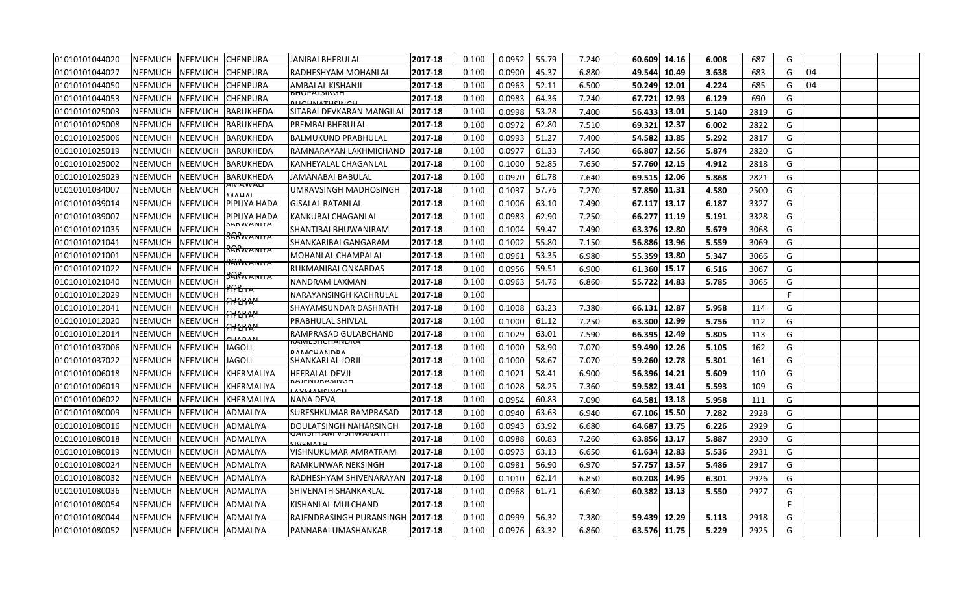| 01010101044020 | <b>NEEMUCH</b> | <b>NEEMUCH</b> | <b>CHENPURA</b>            | JANIBAI BHERULAL                                                                                                                                                                                                                                   | 2017-18 | 0.100 | 0.0952 | 55.79 | 7.240 | 60.609 14.16 |       | 6.008 | 687  | G |    |  |
|----------------|----------------|----------------|----------------------------|----------------------------------------------------------------------------------------------------------------------------------------------------------------------------------------------------------------------------------------------------|---------|-------|--------|-------|-------|--------------|-------|-------|------|---|----|--|
| 01010101044027 | NEEMUCH        | <b>NEEMUCH</b> | <b>CHENPURA</b>            | RADHESHYAM MOHANLAL                                                                                                                                                                                                                                | 2017-18 | 0.100 | 0.0900 | 45.37 | 6.880 | 49.544 10.49 |       | 3.638 | 683  | G | 04 |  |
| 01010101044050 | <b>NEEMUCH</b> | <b>NEEMUCH</b> | <b>CHENPURA</b>            | AMBALAL KISHANJI                                                                                                                                                                                                                                   | 2017-18 | 0.100 | 0.0963 | 52.11 | 6.500 | 50.249 12.01 |       | 4.224 | 685  | G | 04 |  |
| 01010101044053 | NEEMUCH        | NEEMUCH        | <b>CHENPURA</b>            | <b>DLIOLAL2IIAQLI</b><br><b>DI ICHNATHCINCH</b>                                                                                                                                                                                                    | 2017-18 | 0.100 | 0.0983 | 64.36 | 7.240 | 67.721 12.93 |       | 6.129 | 690  | G |    |  |
| 01010101025003 | <b>NEEMUCH</b> | NEEMUCH        | <b>BARUKHEDA</b>           | SITABAI DEVKARAN MANGILAL                                                                                                                                                                                                                          | 2017-18 | 0.100 | 0.0998 | 53.28 | 7.400 | 56.433 13.01 |       | 5.140 | 2819 | G |    |  |
| 01010101025008 | NEEMUCH        | NEEMUCH        | <b>BARUKHEDA</b>           | <b>PREMBAI BHERULAL</b>                                                                                                                                                                                                                            | 2017-18 | 0.100 | 0.0972 | 62.80 | 7.510 | 69.321       | 12.37 | 6.002 | 2822 | G |    |  |
| 01010101025006 | NEEMUCH        | NEEMUCH        | BARUKHEDA                  | BALMUKUND PRABHULAL                                                                                                                                                                                                                                | 2017-18 | 0.100 | 0.0993 | 51.27 | 7.400 | 54.582 13.85 |       | 5.292 | 2817 | G |    |  |
| 01010101025019 | NEEMUCH        | <b>NEEMUCH</b> | BARUKHEDA                  | IRAMNARAYAN LAKHMICHAND                                                                                                                                                                                                                            | 2017-18 | 0.100 | 0.0977 | 61.33 | 7.450 | 66.807       | 12.56 | 5.874 | 2820 | G |    |  |
| 01010101025002 | <b>NEEMUCH</b> | <b>NEEMUCH</b> | <b>BARUKHEDA</b>           | KANHEYALAL CHAGANLAL                                                                                                                                                                                                                               | 2017-18 | 0.100 | 0.1000 | 52.85 | 7.650 | 57.760       | 12.15 | 4.912 | 2818 | G |    |  |
| 01010101025029 | <b>NEEMUCH</b> | <b>NEEMUCH</b> | <b>BARUKHEDA</b>           | <b>JAMANABAI BABULAL</b>                                                                                                                                                                                                                           | 2017-18 | 0.100 | 0.0970 | 61.78 | 7.640 | 69.515       | 12.06 | 5.868 | 2821 | G |    |  |
| 01010101034007 | NEEMUCH        | <b>NEEMUCH</b> | <u>iviawali</u>            | UMRAVSINGH MADHOSINGH                                                                                                                                                                                                                              | 2017-18 | 0.100 | 0.1037 | 57.76 | 7.270 | 57.850       | 11.31 | 4.580 | 2500 | G |    |  |
| 01010101039014 | <b>NEEMUCH</b> | <b>NEEMUCH</b> | PIPLIYA HADA               | <b>GISALAL RATANLAL</b>                                                                                                                                                                                                                            | 2017-18 | 0.100 | 0.1006 | 63.10 | 7.490 | 67.117       | 13.17 | 6.187 | 3327 | G |    |  |
| 01010101039007 | <b>NEEMUCH</b> | <b>NEEMUCH</b> | PIPLIYA HADA               | KANKUBAI CHAGANLAL                                                                                                                                                                                                                                 | 2017-18 | 0.100 | 0.0983 | 62.90 | 7.250 | 66.277       | 11.19 | 5.191 | 3328 | G |    |  |
| 01010101021035 | <b>NEEMUCH</b> | <b>NEEMUCH</b> | <b>SANWANITA</b>           | SHANTIBAI BHUWANIRAM                                                                                                                                                                                                                               | 2017-18 | 0.100 | 0.1004 | 59.47 | 7.490 | 63.376       | 12.80 | 5.679 | 3068 | G |    |  |
| 01010101021041 | <b>NEEMUCH</b> | <b>NEEMUCH</b> | <b>SARwanita</b>           | SHANKARIBAI GANGARAM                                                                                                                                                                                                                               | 2017-18 | 0.100 | 0.1002 | 55.80 | 7.150 | 56.886       | 13.96 | 5.559 | 3069 | G |    |  |
| 01010101021001 | <b>NEEMUCH</b> | <b>NEEMUCH</b> | SARWANTTA                  | MOHANLAL CHAMPALAL                                                                                                                                                                                                                                 | 2017-18 | 0.100 | 0.0961 | 53.35 | 6.980 | 55.359 13.80 |       | 5.347 | 3066 | G |    |  |
| 01010101021022 | <b>NEEMUCH</b> | NEEMUCH        | SARWANTTA                  | RUKMANIBAI ONKARDAS                                                                                                                                                                                                                                | 2017-18 | 0.100 | 0.0956 | 59.51 | 6.900 | 61.360 15.17 |       | 6.516 | 3067 | G |    |  |
| 01010101021040 | <b>NEEMUCH</b> | <b>NEEMUCH</b> | <b>SARWANTA</b>            | NANDRAM LAXMAN                                                                                                                                                                                                                                     | 2017-18 | 0.100 | 0.0963 | 54.76 | 6.860 | 55.722       | 14.83 | 5.785 | 3065 | G |    |  |
| 01010101012029 | <b>NEEMUCH</b> | NEEMUCH        | ᠮᠻᢪᡶᡴ᠌᠊᠌ᠷ<br><b>FILLRA</b> | NARAYANSINGH KACHRULAL                                                                                                                                                                                                                             | 2017-18 | 0.100 |        |       |       |              |       |       |      | F |    |  |
| 01010101012041 | <b>NEEMUCH</b> | NEEMUCH        | <b>FILLRA</b>              | SHAYAMSUNDAR DASHRATH                                                                                                                                                                                                                              | 2017-18 | 0.100 | 0.1008 | 63.23 | 7.380 | 66.131       | 12.87 | 5.958 | 114  | G |    |  |
| 01010101012020 | <b>NEEMUCH</b> | <b>NEEMUCH</b> | <b>FILLRA</b>              | <b>PRABHULAL SHIVLAL</b>                                                                                                                                                                                                                           | 2017-18 | 0.100 | 0.1000 | 61.12 | 7.250 | 63.300       | 12.99 | 5.756 | 112  | G |    |  |
| 01010101012014 | <b>NEEMUCH</b> | NEEMUCH        | 111011                     | RAMPRASAD GULABCHAND                                                                                                                                                                                                                               | 2017-18 | 0.100 | 0.1029 | 63.01 | 7.590 | 66.395 12.49 |       | 5.805 | 113  | G |    |  |
| 01010101037006 | <b>NEEMUCH</b> | <b>NEEMUCH</b> | <b>JAGOLI</b>              | RAIVIEJNUNAINURA<br>$0.111C$ $0.11C$ $0.11C$ $0.11C$ $0.11C$ $0.11C$ $0.11C$ $0.11C$ $0.11C$ $0.11C$ $0.11C$ $0.11C$ $0.11C$ $0.11C$ $0.11C$ $0.11C$ $0.11C$ $0.11C$ $0.11C$ $0.11C$ $0.11C$ $0.11C$ $0.11C$ $0.11C$ $0.11C$ $0.11C$ $0.11C$ $0.1$ | 2017-18 | 0.100 | 0.1000 | 58.90 | 7.070 | 59.490       | 12.26 | 5.105 | 162  | G |    |  |
| 01010101037022 | <b>NEEMUCH</b> | <b>NEEMUCH</b> | <b>JAGOLI</b>              | <b>SHANKARLAL JORJI</b>                                                                                                                                                                                                                            | 2017-18 | 0.100 | 0.1000 | 58.67 | 7.070 | 59.260       | 12.78 | 5.301 | 161  | G |    |  |
| 01010101006018 | <b>NEEMUCH</b> | <b>NEEMUCH</b> | KHERMALIYA                 | <b>HEERALAL DEVJI</b>                                                                                                                                                                                                                              | 2017-18 | 0.100 | 0.1021 | 58.41 | 6.900 | 56.396       | 14.21 | 5.609 | 110  | G |    |  |
| 01010101006019 | <b>NEEMUCH</b> | <b>NEEMUCH</b> | KHERMALIYA                 | <u>YAJEINUKASIINUM</u><br><b>AVAAANCINICI</b>                                                                                                                                                                                                      | 2017-18 | 0.100 | 0.1028 | 58.25 | 7.360 | 59.582       | 13.41 | 5.593 | 109  | G |    |  |
| 01010101006022 | <b>NEEMUCH</b> | <b>NEEMUCH</b> | KHERMALIYA                 | <b>NANA DEVA</b>                                                                                                                                                                                                                                   | 2017-18 | 0.100 | 0.0954 | 60.83 | 7.090 | 64.581       | 13.18 | 5.958 | 111  | G |    |  |
| 01010101080009 | <b>NEEMUCH</b> | <b>NEEMUCH</b> | ADMALIYA                   | SURESHKUMAR RAMPRASAD                                                                                                                                                                                                                              | 2017-18 | 0.100 | 0.0940 | 63.63 | 6.940 | 67.106       | 15.50 | 7.282 | 2928 | G |    |  |
| 01010101080016 | <b>NEEMUCH</b> | <b>NEEMUCH</b> | ADMALIYA                   | DOULATSINGH NAHARSINGH                                                                                                                                                                                                                             | 2017-18 | 0.100 | 0.0943 | 63.92 | 6.680 | 64.687       | 13.75 | 6.226 | 2929 | G |    |  |
| 01010101080018 | NEEMUCH        | <b>NEEMUCH</b> | ADMALIYA                   | <u> ANSIHAIVI VIJNVAINALI</u><br>$\cdots$ $\cdots$                                                                                                                                                                                                 | 2017-18 | 0.100 | 0.0988 | 60.83 | 7.260 | 63.856       | 13.17 | 5.887 | 2930 | G |    |  |
| 01010101080019 | NEEMUCH        | <b>NEEMUCH</b> | ADMALIYA                   | VISHNUKUMAR AMRATRAM                                                                                                                                                                                                                               | 2017-18 | 0.100 | 0.0973 | 63.13 | 6.650 | 61.634 12.83 |       | 5.536 | 2931 | G |    |  |
| 01010101080024 | NEEMUCH        | <b>NEEMUCH</b> | ADMALIYA                   | <b>RAMKUNWAR NEKSINGH</b>                                                                                                                                                                                                                          | 2017-18 | 0.100 | 0.0981 | 56.90 | 6.970 | 57.757 13.57 |       | 5.486 | 2917 | G |    |  |
| 01010101080032 | NEEMUCH        | <b>NEEMUCH</b> | ADMALIYA                   | RADHESHYAM SHIVENARAYAN                                                                                                                                                                                                                            | 2017-18 | 0.100 | 0.1010 | 62.14 | 6.850 | 60.208       | 14.95 | 6.301 | 2926 | G |    |  |
| 01010101080036 | <b>NEEMUCH</b> | <b>NEEMUCH</b> | ADMALIYA                   | SHIVENATH SHANKARLAL                                                                                                                                                                                                                               | 2017-18 | 0.100 | 0.0968 | 61.71 | 6.630 | 60.382 13.13 |       | 5.550 | 2927 | G |    |  |
| 01010101080054 | <b>NEEMUCH</b> | <b>NEEMUCH</b> | ADMALIYA                   | KISHANLAL MULCHAND                                                                                                                                                                                                                                 | 2017-18 | 0.100 |        |       |       |              |       |       |      | F |    |  |
| 01010101080044 | <b>NEEMUCH</b> | <b>NEEMUCH</b> | ADMALIYA                   | RAJENDRASINGH PURANSINGH                                                                                                                                                                                                                           | 2017-18 | 0.100 | 0.0999 | 56.32 | 7.380 | 59.439 12.29 |       | 5.113 | 2918 | G |    |  |
| 01010101080052 | <b>NEEMUCH</b> | <b>NEEMUCH</b> | <b>ADMALIYA</b>            | PANNABAI UMASHANKAR                                                                                                                                                                                                                                | 2017-18 | 0.100 | 0.0976 | 63.32 | 6.860 | 63.576 11.75 |       | 5.229 | 2925 | G |    |  |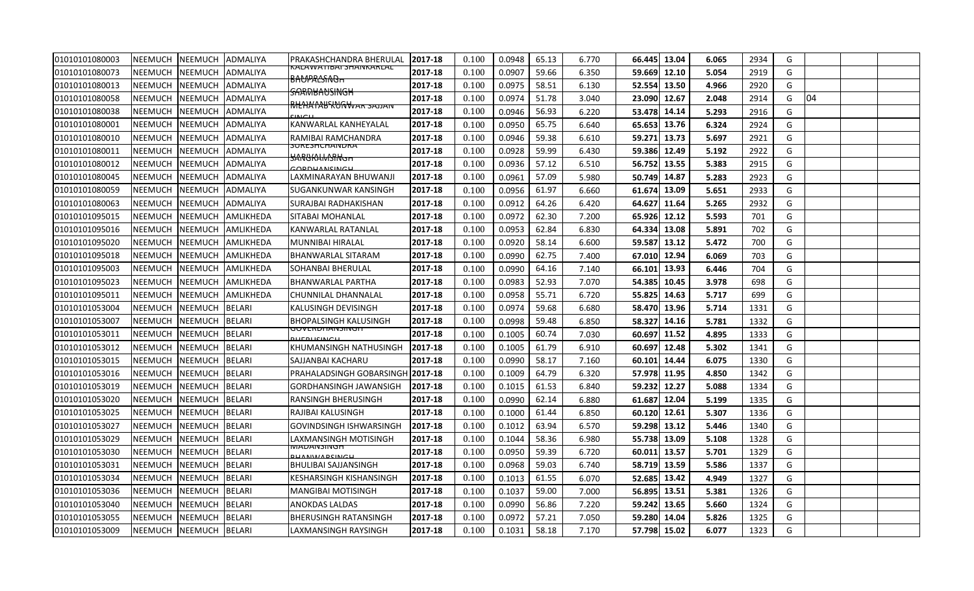| 01010101080003 | <b>NEEMUCH</b> | <b>NEEMUCH</b> | ADMALIYA        | <b>PRAKASHCHANDRA BHERULAL</b>             | 2017-18 | 0.100 | 0.0948 | 65.13 | 6.770 | 66.445 13.04 |       | 6.065 | 2934 | G |    |  |
|----------------|----------------|----------------|-----------------|--------------------------------------------|---------|-------|--------|-------|-------|--------------|-------|-------|------|---|----|--|
| 01010101080073 | NEEMUCH        | <b>NEEMUCH</b> | ADMALIYA        | <u> NALAWATIDAI SHAINNANLAL</u>            | 2017-18 | 0.100 | 0.0907 | 59.66 | 6.350 | 59.669       | 12.10 | 5.054 | 2919 | G |    |  |
| 01010101080013 | NEEMUCH        | <b>NEEMUCH</b> | ADMALIYA        | <del>BAUPRLSMGH</del>                      | 2017-18 | 0.100 | 0.0975 | 58.51 | 6.130 | 52.554 13.50 |       | 4.966 | 2920 | G |    |  |
| 01010101080058 | NEEMUCH        | NEEMUCH        | ADMALIYA        | <b>SARDBAUSINGH</b>                        | 2017-18 | 0.100 | 0.0974 | 51.78 | 3.040 | 23.090       | 12.67 | 2.048 | 2914 | G | 04 |  |
| 01010101080038 | <b>NEEMUCH</b> | NEEMUCH        | ADMALIYA        | RHAAKAAUSKUN VAN JAJJAN<br>7100C           | 2017-18 | 0.100 | 0.0946 | 56.93 | 6.220 | 53.478 14.14 |       | 5.293 | 2916 | G |    |  |
| 01010101080001 | NEEMUCH        | NEEMUCH        | <b>ADMALIYA</b> | KANWARLAL KANHEYALAL                       | 2017-18 | 0.100 | 0.0950 | 65.75 | 6.640 | 65.653       | 13.76 | 6.324 | 2924 | G |    |  |
| 01010101080010 | NEEMUCH        | <b>NEEMUCH</b> | IADMALIYA       | IRAMIBAI RAMCHANDRA                        | 2017-18 | 0.100 | 0.0946 | 59.38 | 6.610 | 59.271       | 13.73 | 5.697 | 2921 | G |    |  |
| 01010101080011 | <b>NEEMUCH</b> | <b>NEEMUCH</b> | <b>ADMALIYA</b> | <b>SURESNUNAINURA</b>                      | 2017-18 | 0.100 | 0.0928 | 59.99 | 6.430 | 59.386       | 12.49 | 5.192 | 2922 | G |    |  |
| 01010101080012 | <b>NEEMUCH</b> | <b>NEEMUCH</b> | <b>ADMALIYA</b> | <b>YARGKAMSRNom</b><br>ODDULANCINICU       | 2017-18 | 0.100 | 0.0936 | 57.12 | 6.510 | 56.752       | 13.55 | 5.383 | 2915 | G |    |  |
| 01010101080045 | <b>NEEMUCH</b> | <b>NEEMUCH</b> | ADMALIYA        | LAXMINARAYAN BHUWANJI                      | 2017-18 | 0.100 | 0.0961 | 57.09 | 5.980 | 50.749       | 14.87 | 5.283 | 2923 | G |    |  |
| 01010101080059 | <b>NEEMUCH</b> | <b>NEEMUCH</b> | ADMALIYA        | <b>SUGANKUNWAR KANSINGH</b>                | 2017-18 | 0.100 | 0.0956 | 61.97 | 6.660 | 61.674       | 13.09 | 5.651 | 2933 | G |    |  |
| 01010101080063 | <b>NEEMUCH</b> | <b>NEEMUCH</b> | ADMALIYA        | SURAJBAI RADHAKISHAN                       | 2017-18 | 0.100 | 0.0912 | 64.26 | 6.420 | 64.627       | 11.64 | 5.265 | 2932 | G |    |  |
| 01010101095015 | <b>NEEMUCH</b> | <b>NEEMUCH</b> | AMLIKHEDA       | <b>SITABAI MOHANLAL</b>                    | 2017-18 | 0.100 | 0.0972 | 62.30 | 7.200 | 65.926       | 12.12 | 5.593 | 701  | G |    |  |
| 01010101095016 | <b>NEEMUCH</b> | NEEMUCH        | AMLIKHEDA       | KANWARLAL RATANLAL                         | 2017-18 | 0.100 | 0.0953 | 62.84 | 6.830 | 64.334       | 13.08 | 5.891 | 702  | G |    |  |
| 01010101095020 | <b>NEEMUCH</b> | NEEMUCH        | AMLIKHEDA       | MUNNIBAI HIRALAL                           | 2017-18 | 0.100 | 0.0920 | 58.14 | 6.600 | 59.587       | 13.12 | 5.472 | 700  | G |    |  |
| 01010101095018 | <b>NEEMUCH</b> | NEEMUCH        | AMLIKHEDA       | <b>BHANWARLAL SITARAM</b>                  | 2017-18 | 0.100 | 0.0990 | 62.75 | 7.400 | 67.010       | 12.94 | 6.069 | 703  | G |    |  |
| 01010101095003 | <b>NEEMUCH</b> | NEEMUCH        | AMLIKHEDA       | <b>SOHANBAI BHERULAL</b>                   | 2017-18 | 0.100 | 0.0990 | 64.16 | 7.140 | 66.101       | 13.93 | 6.446 | 704  | G |    |  |
| 01010101095023 | <b>NEEMUCH</b> | NEEMUCH        | AMLIKHEDA       | <b>BHANWARLAL PARTHA</b>                   | 2017-18 | 0.100 | 0.0983 | 52.93 | 7.070 | 54.385       | 10.45 | 3.978 | 698  | G |    |  |
| 01010101095011 | <b>NEEMUCH</b> | NEEMUCH        | AMLIKHEDA       | CHUNNILAL DHANNALAL                        | 2017-18 | 0.100 | 0.0958 | 55.71 | 6.720 | 55.825       | 14.63 | 5.717 | 699  | G |    |  |
| 01010101053004 | <b>NEEMUCH</b> | NEEMUCH        | <b>BELARI</b>   | <b>KALUSINGH DEVISINGH</b>                 | 2017-18 | 0.100 | 0.0974 | 59.68 | 6.680 | 58.470       | 13.96 | 5.714 | 1331 | G |    |  |
| 01010101053007 | <b>NEEMUCH</b> | NEEMUCH        | <b>BELARI</b>   | <b>BHOPALSINGH KALUSINGH</b>               | 2017-18 | 0.100 | 0.0998 | 59.48 | 6.850 | 58.327       | 14.16 | 5.781 | 1332 | G |    |  |
| 01010101053011 | <b>NEEMUCH</b> | NEEMUCH        | <b>BELARI</b>   | <del>uuverunaivuivun</del>                 | 2017-18 | 0.100 | 0.1005 | 60.74 | 7.030 | 60.697       | 11.52 | 4.895 | 1333 | G |    |  |
| 01010101053012 | <b>NEEMUCH</b> | <b>NEEMUCH</b> | <b>BELARI</b>   | KHUMANSINGH NATHUSINGH                     | 2017-18 | 0.100 | 0.1005 | 61.79 | 6.910 | 60.697       | 12.48 | 5.302 | 1341 | G |    |  |
| 01010101053015 | <b>NEEMUCH</b> | <b>NEEMUCH</b> | <b>BELARI</b>   | SAJJANBAI KACHARU                          | 2017-18 | 0.100 | 0.0990 | 58.17 | 7.160 | 60.101       | 14.44 | 6.075 | 1330 | G |    |  |
| 01010101053016 | <b>NEEMUCH</b> | <b>NEEMUCH</b> | <b>BELARI</b>   | PRAHALADSINGH GOBARSINGH                   | 2017-18 | 0.100 | 0.1009 | 64.79 | 6.320 | 57.978       | 11.95 | 4.850 | 1342 | G |    |  |
| 01010101053019 | <b>NEEMUCH</b> | <b>NEEMUCH</b> | <b>BELARI</b>   | GORDHANSINGH JAWANSIGH                     | 2017-18 | 0.100 | 0.1015 | 61.53 | 6.840 | 59.232       | 12.27 | 5.088 | 1334 | G |    |  |
| 01010101053020 | <b>NEEMUCH</b> | <b>NEEMUCH</b> | <b>BELARI</b>   | <b>RANSINGH BHERUSINGH</b>                 | 2017-18 | 0.100 | 0.0990 | 62.14 | 6.880 | 61.687       | 12.04 | 5.199 | 1335 | G |    |  |
| 01010101053025 | <b>NEEMUCH</b> | <b>NEEMUCH</b> | <b>BELARI</b>   | RAJIBAI KALUSINGH                          | 2017-18 | 0.100 | 0.1000 | 61.44 | 6.850 | 60.120       | 12.61 | 5.307 | 1336 | G |    |  |
| 01010101053027 | <b>NEEMUCH</b> | <b>NEEMUCH</b> | <b>BELARI</b>   | GOVINDSINGH ISHWARSINGH                    | 2017-18 | 0.100 | 0.1012 | 63.94 | 6.570 | 59.298       | 13.12 | 5.446 | 1340 | G |    |  |
| 01010101053029 | <b>NEEMUCH</b> | <b>NEEMUCH</b> | <b>BELARI</b>   | LAXMANSINGH MOTISINGH                      | 2017-18 | 0.100 | 0.1044 | 58.36 | 6.980 | 55.738       | 13.09 | 5.108 | 1328 | G |    |  |
| 01010101053030 | <b>NEEMUCH</b> | <b>NEEMUCH</b> | <b>BELARI</b>   | <b>MADANJINUN</b><br><b>DUANIMADCINICL</b> | 2017-18 | 0.100 | 0.0950 | 59.39 | 6.720 | 60.011       | 13.57 | 5.701 | 1329 | G |    |  |
| 01010101053031 | <b>NEEMUCH</b> | <b>NEEMUCH</b> | <b>BELARI</b>   | <b>BHULIBAI SAJJANSINGH</b>                | 2017-18 | 0.100 | 0.0968 | 59.03 | 6.740 | 58.719 13.59 |       | 5.586 | 1337 | G |    |  |
| 01010101053034 | <b>NEEMUCH</b> | <b>NEEMUCH</b> | <b>BELARI</b>   | KESHARSINGH KISHANSINGH                    | 2017-18 | 0.100 | 0.1013 | 61.55 | 6.070 | 52.685       | 13.42 | 4.949 | 1327 | G |    |  |
| 01010101053036 | <b>NEEMUCH</b> | <b>NEEMUCH</b> | <b>BELARI</b>   | <b>MANGIBAI MOTISINGH</b>                  | 2017-18 | 0.100 | 0.1037 | 59.00 | 7.000 | 56.895       | 13.51 | 5.381 | 1326 | G |    |  |
| 01010101053040 | NEEMUCH        | <b>NEEMUCH</b> | <b>BELARI</b>   | ANOKDAS LALDAS                             | 2017-18 | 0.100 | 0.0990 | 56.86 | 7.220 | 59.242 13.65 |       | 5.660 | 1324 | G |    |  |
| 01010101053055 | <b>NEEMUCH</b> | <b>NEEMUCH</b> | <b>BELARI</b>   | <b>BHERUSINGH RATANSINGH</b>               | 2017-18 | 0.100 | 0.0972 | 57.21 | 7.050 | 59.280 14.04 |       | 5.826 | 1325 | G |    |  |
| 01010101053009 | <b>NEEMUCH</b> | <b>NEEMUCH</b> | <b>BELARI</b>   | LAXMANSINGH RAYSINGH                       | 2017-18 | 0.100 | 0.1031 | 58.18 | 7.170 | 57.798 15.02 |       | 6.077 | 1323 | G |    |  |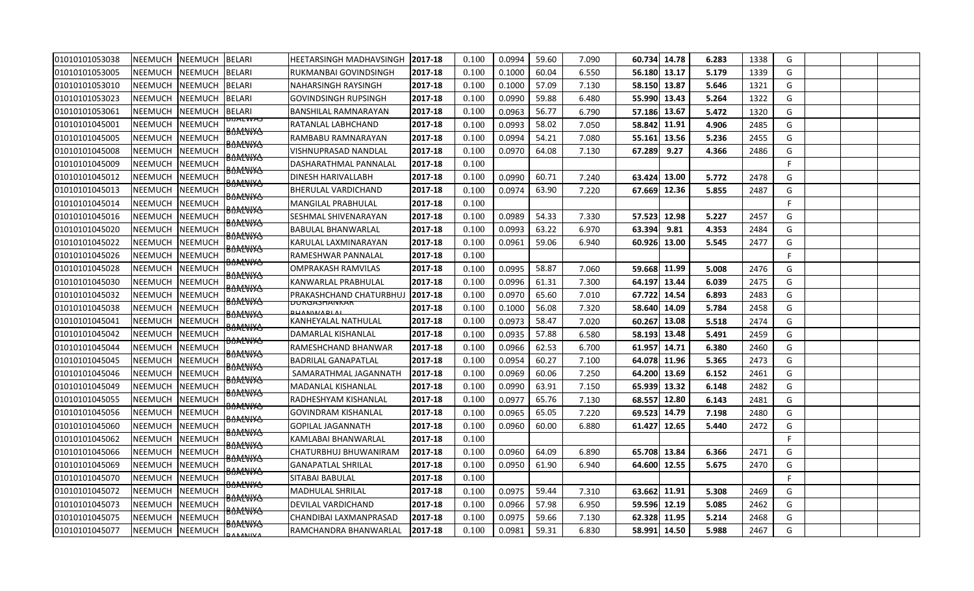| 01010101053038 | <b>NEEMUCH</b> | <b>NEEMUCH</b> | <b>BELARI</b>                     | <b>HEETARSINGH MADHAVSINGH</b>                                                        | 2017-18 | 0.100 | 0.0994 | 59.60 | 7.090 | 60.734 14.78 |       | 6.283 | 1338 | G            |  |  |
|----------------|----------------|----------------|-----------------------------------|---------------------------------------------------------------------------------------|---------|-------|--------|-------|-------|--------------|-------|-------|------|--------------|--|--|
| 01010101053005 | NEEMUCH        | <b>NEEMUCH</b> | <b>BELARI</b>                     | RUKMANBAI GOVINDSINGH                                                                 | 2017-18 | 0.100 | 0.1000 | 60.04 | 6.550 | 56.180 13.17 |       | 5.179 | 1339 | G            |  |  |
| 01010101053010 | NEEMUCH        | <b>NEEMUCH</b> | <b>BELARI</b>                     | NAHARSINGH RAYSINGH                                                                   | 2017-18 | 0.100 | 0.1000 | 57.09 | 7.130 | 58.150 13.87 |       | 5.646 | 1321 | G            |  |  |
| 01010101053023 | NEEMUCH        | <b>NEEMUCH</b> | <b>BELARI</b>                     | GOVINDSINGH RUPSINGH                                                                  | 2017-18 | 0.100 | 0.0990 | 59.88 | 6.480 | 55.990 13.43 |       | 5.264 | 1322 | G            |  |  |
| 01010101053061 | NEEMUCH        | <b>NEEMUCH</b> | <b>BELARI</b>                     | <b>BANSHILAL RAMNARAYAN</b>                                                           | 2017-18 | 0.100 | 0.0963 | 56.77 | 6.790 | 57.186 13.67 |       | 5.472 | 1320 | G            |  |  |
| 01010101045001 | NEEMUCH        | <b>NEEMUCH</b> | <b>DIJALWAS</b><br><b>BAALWAS</b> | RATANLAL LABHCHAND                                                                    | 2017-18 | 0.100 | 0.0993 | 58.02 | 7.050 | 58.842 11.91 |       | 4.906 | 2485 | G            |  |  |
| 01010101045005 | NEEMUCH        | <b>NEEMUCH</b> | <b>BAALWAS</b>                    | RAMBABU RAMNARAYAN                                                                    | 2017-18 | 0.100 | 0.0994 | 54.21 | 7.080 | 55.161       | 13.56 | 5.236 | 2455 | G            |  |  |
| 01010101045008 | NEEMUCH        | <b>NEEMUCH</b> | <b>BOALWAS</b>                    | VISHNUPRASAD NANDLAL                                                                  | 2017-18 | 0.100 | 0.0970 | 64.08 | 7.130 | 67.289       | 9.27  | 4.366 | 2486 | G            |  |  |
| 01010101045009 | NEEMUCH        | <b>NEEMUCH</b> | <b>BOALWAS</b>                    | DASHARATHMAL PANNALAL                                                                 | 2017-18 | 0.100 |        |       |       |              |       |       |      | $\mathsf{F}$ |  |  |
| 01010101045012 | NEEMUCH        | <b>NEEMUCH</b> | BAALWXS                           | DINESH HARIVALLABH                                                                    | 2017-18 | 0.100 | 0.0990 | 60.71 | 7.240 | 63.424 13.00 |       | 5.772 | 2478 | G            |  |  |
| 01010101045013 | NEEMUCH        | <b>NEEMUCH</b> | BOALWAS                           | <b>BHERULAL VARDICHAND</b>                                                            | 2017-18 | 0.100 | 0.0974 | 63.90 | 7.220 | 67.669       | 12.36 | 5.855 | 2487 | G            |  |  |
| 01010101045014 | NEEMUCH        | <b>NEEMUCH</b> | <b>BOALWAS</b>                    | <b>MANGILAL PRABHULAL</b>                                                             | 2017-18 | 0.100 |        |       |       |              |       |       |      | F            |  |  |
| 01010101045016 | NEEMUCH        | <b>NEEMUCH</b> | <b>BOALWAS</b>                    | SESHMAL SHIVENARAYAN                                                                  | 2017-18 | 0.100 | 0.0989 | 54.33 | 7.330 | 57.523 12.98 |       | 5.227 | 2457 | G            |  |  |
| 01010101045020 | NEEMUCH        | <b>NEEMUCH</b> | <b>BOALWAS</b>                    | <b>BABULAL BHANWARLAL</b>                                                             | 2017-18 | 0.100 | 0.0993 | 63.22 | 6.970 | 63.394       | 9.81  | 4.353 | 2484 | G            |  |  |
| 01010101045022 | NEEMUCH        | <b>NEEMUCH</b> | <b>BAALWAS</b>                    | KARULAL LAXMINARAYAN                                                                  | 2017-18 | 0.100 | 0.0961 | 59.06 | 6.940 | 60.926       | 13.00 | 5.545 | 2477 | G            |  |  |
| 01010101045026 | NEEMUCH        | <b>NEEMUCH</b> | <b>BAALWAS</b>                    | RAMESHWAR PANNALAL                                                                    | 2017-18 | 0.100 |        |       |       |              |       |       |      | F            |  |  |
| 01010101045028 | NEEMUCH        | <b>NEEMUCH</b> |                                   | <b>OMPRAKASH RAMVILAS</b>                                                             | 2017-18 | 0.100 | 0.0995 | 58.87 | 7.060 | 59.668 11.99 |       | 5.008 | 2476 | G            |  |  |
| 01010101045030 | NEEMUCH        | <b>NEEMUCH</b> | <b>BOALWAS</b>                    | KANWARLAL PRABHULAL                                                                   | 2017-18 | 0.100 | 0.0996 | 61.31 | 7.300 | 64.197       | 13.44 | 6.039 | 2475 | G            |  |  |
| 01010101045032 | NEEMUCH        | <b>NEEMUCH</b> | <b>BOALWAS</b>                    | PRAKASHCHAND CHATURBHUJ                                                               | 2017-18 | 0.100 | 0.0970 | 65.60 | 7.010 | 67.722 14.54 |       | 6.893 | 2483 | G            |  |  |
| 01010101045038 | NEEMUCH        | <b>NEEMUCH</b> | <b>BOALWAS</b><br><b>BOALWAS</b>  | UUNUAJNAINNAN<br>$\begin{array}{c}\n1 & 0 & 0 \\ 0 & 1 & 0 \\ 0 & 0 & 0\n\end{array}$ | 2017-18 | 0.100 | 0.1000 | 56.08 | 7.320 | 58.640       | 14.09 | 5.784 | 2458 | G            |  |  |
| 01010101045041 | NEEMUCH        | <b>NEEMUCH</b> | <b>BAALWAS</b>                    | KANHEYALAL NATHULAL                                                                   | 2017-18 | 0.100 | 0.0973 | 58.47 | 7.020 | 60.267       | 13.08 | 5.518 | 2474 | G            |  |  |
| 01010101045042 | NEEMUCH        | <b>NEEMUCH</b> | <b>BAALWAS</b>                    | DAMARLAL KISHANLAL                                                                    | 2017-18 | 0.100 | 0.0935 | 57.88 | 6.580 | 58.193 13.48 |       | 5.491 | 2459 | G            |  |  |
| 01010101045044 | NEEMUCH        | <b>NEEMUCH</b> | BOALWAS                           | RAMESHCHAND BHANWAR                                                                   | 2017-18 | 0.100 | 0.0966 | 62.53 | 6.700 | 61.957       | 14.71 | 6.380 | 2460 | G            |  |  |
| 01010101045045 | NEEMUCH        | <b>NEEMUCH</b> | BOALWAS                           | <b>BADRILAL GANAPATLAL</b>                                                            | 2017-18 | 0.100 | 0.0954 | 60.27 | 7.100 | 64.078 11.96 |       | 5.365 | 2473 | G            |  |  |
| 01010101045046 | NEEMUCH        | <b>NEEMUCH</b> | <b>BOALWAS</b>                    | SAMARATHMAL JAGANNATH                                                                 | 2017-18 | 0.100 | 0.0969 | 60.06 | 7.250 | 64.200       | 13.69 | 6.152 | 2461 | G            |  |  |
| 01010101045049 | NEEMUCH        | <b>NEEMUCH</b> | <b>BAALWAS</b>                    | MADANLAL KISHANLAL                                                                    | 2017-18 | 0.100 | 0.0990 | 63.91 | 7.150 | 65.939       | 13.32 | 6.148 | 2482 | G            |  |  |
| 01010101045055 | NEEMUCH        | <b>NEEMUCH</b> | <b>BAALWAS</b>                    | RADHESHYAM KISHANLAL                                                                  | 2017-18 | 0.100 | 0.0977 | 65.76 | 7.130 | 68.557       | 12.80 | 6.143 | 2481 | G            |  |  |
| 01010101045056 | NEEMUCH        | <b>NEEMUCH</b> | <b>BAALWAS</b>                    | GOVINDRAM KISHANLAL                                                                   | 2017-18 | 0.100 | 0.0965 | 65.05 | 7.220 | 69.523       | 14.79 | 7.198 | 2480 | G            |  |  |
| 01010101045060 | NEEMUCH        | <b>NEEMUCH</b> | <b>BAALWXS</b>                    | GOPILAL JAGANNATH                                                                     | 2017-18 | 0.100 | 0.0960 | 60.00 | 6.880 | 61.427       | 12.65 | 5.440 | 2472 | G            |  |  |
| 01010101045062 | NEEMUCH        | <b>NEEMUCH</b> | <b>BOALWAS</b>                    | KAMLABAI BHANWARLAL                                                                   | 2017-18 | 0.100 |        |       |       |              |       |       |      | $\mathsf{F}$ |  |  |
| 01010101045066 | NEEMUCH        | <b>NEEMUCH</b> | <b>BAALWAS</b>                    | CHATURBHUJ BHUWANIRAM                                                                 | 2017-18 | 0.100 | 0.0960 | 64.09 | 6.890 | 65.708 13.84 |       | 6.366 | 2471 | G            |  |  |
| 01010101045069 | NEEMUCH        | <b>NEEMUCH</b> | <b>BAALWAS</b>                    | <b>GANAPATLAL SHRILAL</b>                                                             | 2017-18 | 0.100 | 0.0950 | 61.90 | 6.940 | 64.600       | 12.55 | 5.675 | 2470 | G            |  |  |
| 01010101045070 | NEEMUCH        | <b>NEEMUCH</b> | <b>BAALWAS</b>                    | SITABAI BABULAL                                                                       | 2017-18 | 0.100 |        |       |       |              |       |       |      | F.           |  |  |
| 01010101045072 | NEEMUCH        | <b>NEEMUCH</b> | <b>BAALWAS</b>                    | <b>MADHULAL SHRILAL</b>                                                               | 2017-18 | 0.100 | 0.0975 | 59.44 | 7.310 | 63.662 11.91 |       | 5.308 | 2469 | G            |  |  |
| 01010101045073 | NEEMUCH        | <b>NEEMUCH</b> | <b>BAALWXS</b>                    | DEVILAL VARDICHAND                                                                    | 2017-18 | 0.100 | 0.0966 | 57.98 | 6.950 | 59.596 12.19 |       | 5.085 | 2462 | G            |  |  |
| 01010101045075 | NEEMUCH        | <b>NEEMUCH</b> | <b>BOALWAS</b>                    | CHANDIBAI LAXMANPRASAD                                                                | 2017-18 | 0.100 | 0.0975 | 59.66 | 7.130 | 62.328 11.95 |       | 5.214 | 2468 | G            |  |  |
| 01010101045077 | <b>NEEMUCH</b> | <b>NEEMUCH</b> |                                   | RAMCHANDRA BHANWARLAL                                                                 | 2017-18 | 0.100 | 0.0981 | 59.31 | 6.830 | 58.991 14.50 |       | 5.988 | 2467 | G            |  |  |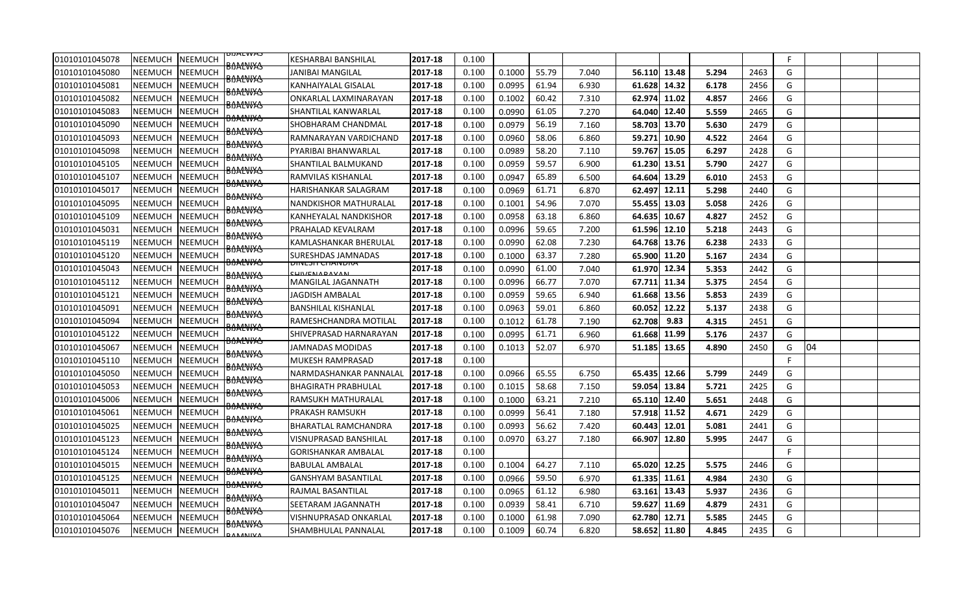| 01010101045078 | <b>NEEMUCH</b> | <b>NEEMUCH</b> | <b>DIJALWAS</b>                      | <b>KESHARBAI BANSHILAL</b>                    | 2017-18 | 0.100 |        |       |       |              |       |       |      | -F           |    |  |
|----------------|----------------|----------------|--------------------------------------|-----------------------------------------------|---------|-------|--------|-------|-------|--------------|-------|-------|------|--------------|----|--|
| 01010101045080 | NEEMUCH        | <b>NEEMUCH</b> | <b>BAALWAS</b>                       | JANIBAI MANGILAL                              | 2017-18 | 0.100 | 0.1000 | 55.79 | 7.040 | 56.110       | 13.48 | 5.294 | 2463 | G            |    |  |
| 01010101045081 | NEEMUCH        | <b>NEEMUCH</b> | <b>BAALWAS</b>                       | KANHAIYALAL GISALAL                           | 2017-18 | 0.100 | 0.0995 | 61.94 | 6.930 | 61.628       | 14.32 | 6.178 | 2456 | G            |    |  |
| 01010101045082 | NEEMUCH        | <b>NEEMUCH</b> | <b>BAALWXS</b>                       | ONKARLAL LAXMINARAYAN                         | 2017-18 | 0.100 | 0.1002 | 60.42 | 7.310 | 62.974       | 11.02 | 4.857 | 2466 | G            |    |  |
| 01010101045083 | NEEMUCH        | <b>NEEMUCH</b> | <b>BOALWAS</b>                       | <b>SHANTILAL KANWARLAL</b>                    | 2017-18 | 0.100 | 0.0990 | 61.05 | 7.270 | 64.040       | 12.40 | 5.559 | 2465 | G            |    |  |
| 01010101045090 | NEEMUCH        | <b>NEEMUCH</b> |                                      | <b>SHOBHARAM CHANDMAL</b>                     | 2017-18 | 0.100 | 0.0979 | 56.19 | 7.160 | 58.703       | 13.70 | 5.630 | 2479 | G            |    |  |
| 01010101045093 | NEEMUCH        | <b>NEEMUCH</b> | BOALWAS                              | RAMNARAYAN VARDICHAND                         | 2017-18 | 0.100 | 0.0960 | 58.06 | 6.860 | 59.271       | 10.90 | 4.522 | 2464 | G            |    |  |
| 01010101045098 | NEEMUCH        | <b>NEEMUCH</b> | <b>BOALWAS</b><br><b>BAALWAS</b>     | PYARIBAI BHANWARLAL                           | 2017-18 | 0.100 | 0.0989 | 58.20 | 7.110 | 59.767       | 15.05 | 6.297 | 2428 | G            |    |  |
| 01010101045105 | NEEMUCH        | <b>NEEMUCH</b> | <del>BAALWXS</del>                   | <b>SHANTILAL BALMUKAND</b>                    | 2017-18 | 0.100 | 0.0959 | 59.57 | 6.900 | 61.230       | 13.51 | 5.790 | 2427 | G            |    |  |
| 01010101045107 | NEEMUCH        | <b>NEEMUCH</b> | <b>BAALWXS</b>                       | <b>RAMVILAS KISHANLAL</b>                     | 2017-18 | 0.100 | 0.0947 | 65.89 | 6.500 | 64.604       | 13.29 | 6.010 | 2453 | G            |    |  |
| 01010101045017 | NEEMUCH        | <b>NEEMUCH</b> | BAALWAS                              | <b>HARISHANKAR SALAGRAM</b>                   | 2017-18 | 0.100 | 0.0969 | 61.71 | 6.870 | 62.497       | 12.11 | 5.298 | 2440 | G            |    |  |
| 01010101045095 | NEEMUCH        | <b>NEEMUCH</b> | <b>BAALWAS</b>                       | NANDKISHOR MATHURALAL                         | 2017-18 | 0.100 | 0.1001 | 54.96 | 7.070 | 55.455       | 13.03 | 5.058 | 2426 | G            |    |  |
| 01010101045109 | NEEMUCH        | <b>NEEMUCH</b> |                                      | <b>KANHEYALAL NANDKISHOR</b>                  | 2017-18 | 0.100 | 0.0958 | 63.18 | 6.860 | 64.635       | 10.67 | 4.827 | 2452 | G            |    |  |
| 01010101045031 | NEEMUCH        | <b>NEEMUCH</b> | <del>BAALWXS</del><br><b>BOALWAS</b> | <b>PRAHALAD KEVALRAM</b>                      | 2017-18 | 0.100 | 0.0996 | 59.65 | 7.200 | 61.596       | 12.10 | 5.218 | 2443 | G            |    |  |
| 01010101045119 | NEEMUCH        | <b>NEEMUCH</b> | <b>BOALWAS</b>                       | <b>KAMLASHANKAR BHERULAL</b>                  | 2017-18 | 0.100 | 0.0990 | 62.08 | 7.230 | 64.768       | 13.76 | 6.238 | 2433 | G            |    |  |
| 01010101045120 | <b>NEEMUCH</b> | <b>NEEMUCH</b> | <b>BOALWAS</b>                       | SURESHDAS JAMNADAS                            | 2017-18 | 0.100 | 0.1000 | 63.37 | 7.280 | 65.900       | 11.20 | 5.167 | 2434 | G            |    |  |
| 01010101045043 | <b>NEEMUCH</b> | <b>NEEMUCH</b> | <b>BAALWAS</b>                       | <u>DIINESH CHAINDRA</u><br><b>UIVENADAVAN</b> | 2017-18 | 0.100 | 0.0990 | 61.00 | 7.040 | 61.970       | 12.34 | 5.353 | 2442 | G            |    |  |
| 01010101045112 | <b>NEEMUCH</b> | <b>NEEMUCH</b> | <b>BAALWAS</b>                       | MANGILAL JAGANNATH                            | 2017-18 | 0.100 | 0.0996 | 66.77 | 7.070 | 67.711       | 11.34 | 5.375 | 2454 | G            |    |  |
| 01010101045121 | <b>NEEMUCH</b> | <b>NEEMUCH</b> | <b>BAALWAS</b>                       | <b>JAGDISH AMBALAL</b>                        | 2017-18 | 0.100 | 0.0959 | 59.65 | 6.940 | 61.668 13.56 |       | 5.853 | 2439 | G            |    |  |
| 01010101045091 | NEEMUCH        | <b>NEEMUCH</b> | <b>BAALWAS</b>                       | <b>BANSHILAL KISHANLAL</b>                    | 2017-18 | 0.100 | 0.0963 | 59.01 | 6.860 | 60.052       | 12.22 | 5.137 | 2438 | G            |    |  |
| 01010101045094 | NEEMUCH        | <b>NEEMUCH</b> | <b>BAALWAS</b>                       | RAMESHCHANDRA MOTILAL                         | 2017-18 | 0.100 | 0.1012 | 61.78 | 7.190 | 62.708       | 9.83  | 4.315 | 2451 | G            |    |  |
| 01010101045122 | NEEMUCH        | <b>NEEMUCH</b> | <b>BAALWAS</b>                       | SHIVEPRASAD HARNARAYAN                        | 2017-18 | 0.100 | 0.0995 | 61.71 | 6.960 | 61.668 11.99 |       | 5.176 | 2437 | G            |    |  |
| 01010101045067 | NEEMUCH        | <b>NEEMUCH</b> | <b>BOALWAS</b>                       | <b>JAMNADAS MODIDAS</b>                       | 2017-18 | 0.100 | 0.1013 | 52.07 | 6.970 | 51.185       | 13.65 | 4.890 | 2450 | G            | 04 |  |
| 01010101045110 | NEEMUCH        | <b>NEEMUCH</b> | <b>BOALWAS</b>                       | MUKESH RAMPRASAD                              | 2017-18 | 0.100 |        |       |       |              |       |       |      | F.           |    |  |
| 01010101045050 | NEEMUCH        | <b>NEEMUCH</b> | <b>BOALWAS</b>                       | NARMDASHANKAR PANNALAL                        | 2017-18 | 0.100 | 0.0966 | 65.55 | 6.750 | 65.435 12.66 |       | 5.799 | 2449 | G            |    |  |
| 01010101045053 | NEEMUCH        | <b>NEEMUCH</b> | <b>BOALWAS</b>                       | <b>BHAGIRATH PRABHULAL</b>                    | 2017-18 | 0.100 | 0.1015 | 58.68 | 7.150 | 59.054 13.84 |       | 5.721 | 2425 | G            |    |  |
| 01010101045006 | NEEMUCH        | <b>NEEMUCH</b> | <b>BAALWAS</b>                       | <b>RAMSUKH MATHURALAL</b>                     | 2017-18 | 0.100 | 0.1000 | 63.21 | 7.210 | 65.110 12.40 |       | 5.651 | 2448 | G            |    |  |
| 01010101045061 | NEEMUCH        | <b>NEEMUCH</b> | <b>BAALWAS</b>                       | PRAKASH RAMSUKH                               | 2017-18 | 0.100 | 0.0999 | 56.41 | 7.180 | 57.918 11.52 |       | 4.671 | 2429 | G            |    |  |
| 01010101045025 | NEEMUCH        | <b>NEEMUCH</b> | BAALWXS                              | BHARATLAL RAMCHANDRA                          | 2017-18 | 0.100 | 0.0993 | 56.62 | 7.420 | 60.443 12.01 |       | 5.081 | 2441 | G            |    |  |
| 01010101045123 | <b>NEEMUCH</b> | <b>NEEMUCH</b> | <b>BAALWAS</b>                       | VISNUPRASAD BANSHILAL                         | 2017-18 | 0.100 | 0.0970 | 63.27 | 7.180 | 66.907 12.80 |       | 5.995 | 2447 | G            |    |  |
| 01010101045124 | <b>NEEMUCH</b> | <b>NEEMUCH</b> | <b>BAALWAS</b>                       | GORISHANKAR AMBALAL                           | 2017-18 | 0.100 |        |       |       |              |       |       |      | $\mathsf{F}$ |    |  |
| 01010101045015 | NEEMUCH        | <b>NEEMUCH</b> | <b>BAALWAS</b>                       | <b>BABULAL AMBALAL</b>                        | 2017-18 | 0.100 | 0.1004 | 64.27 | 7.110 | 65.020 12.25 |       | 5.575 | 2446 | G            |    |  |
| 01010101045125 | NEEMUCH        | <b>NEEMUCH</b> | <b>BAALWAS</b>                       | GANSHYAM BASANTILAL                           | 2017-18 | 0.100 | 0.0966 | 59.50 | 6.970 | 61.335 11.61 |       | 4.984 | 2430 | G            |    |  |
| 01010101045011 | NEEMUCH        | <b>NEEMUCH</b> | <b>BAALWAS</b>                       | RAJMAL BASANTILAL                             | 2017-18 | 0.100 | 0.0965 | 61.12 | 6.980 | 63.161 13.43 |       | 5.937 | 2436 | G            |    |  |
| 01010101045047 | NEEMUCH        | <b>NEEMUCH</b> | BAALWXS                              | SEETARAM JAGANNATH                            | 2017-18 | 0.100 | 0.0939 | 58.41 | 6.710 | 59.627 11.69 |       | 4.879 | 2431 | G            |    |  |
| 01010101045064 | NEEMUCH        | <b>NEEMUCH</b> | BAALWAS                              | VISHNUPRASAD ONKARLAL                         | 2017-18 | 0.100 | 0.1000 | 61.98 | 7.090 | 62.780 12.71 |       | 5.585 | 2445 | G            |    |  |
| 01010101045076 | <b>NEEMUCH</b> | <b>NEEMUCH</b> | <b>ARANIIVA</b>                      | SHAMBHULAL PANNALAL                           | 2017-18 | 0.100 | 0.1009 | 60.74 | 6.820 | 58.652 11.80 |       | 4.845 | 2435 | G            |    |  |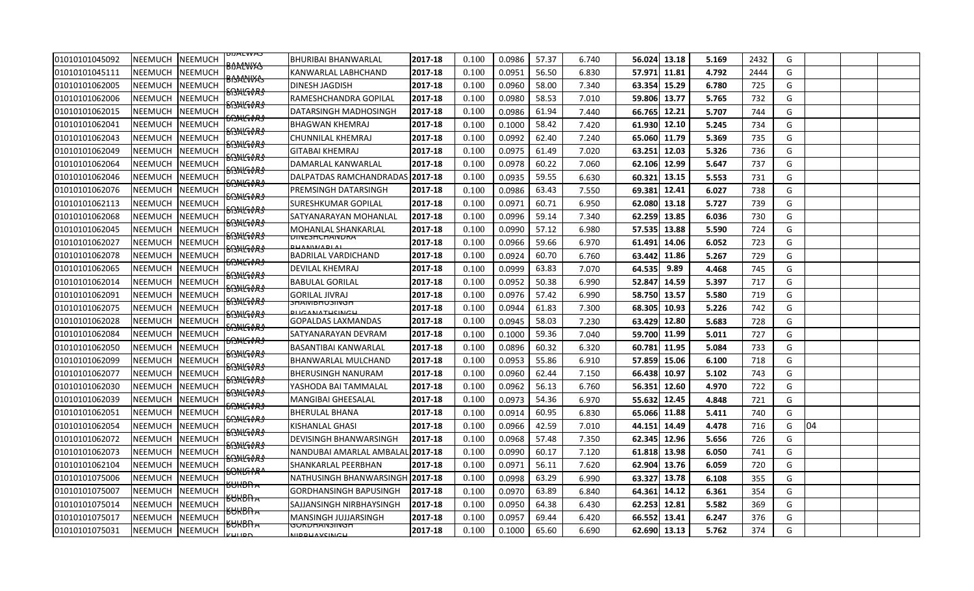| 01010101045092 | <b>NEEMUCH</b> | <b>NEEMUCH</b> | <b>DIJALWAS</b><br><b>BOALWAS</b>          | <b>BHURIBAI BHANWARLAL</b>                            | 2017-18 | 0.100 | 0.0986 | 57.37 | 6.740 | 56.024       | 13.18 | 5.169 | 2432 | G |    |  |
|----------------|----------------|----------------|--------------------------------------------|-------------------------------------------------------|---------|-------|--------|-------|-------|--------------|-------|-------|------|---|----|--|
| 01010101045111 | NEEMUCH        | <b>NEEMUCH</b> | <del>BASALWAS</del>                        | KANWARLAL LABHCHAND                                   | 2017-18 | 0.100 | 0.0951 | 56.50 | 6.830 | 57.971       | 11.81 | 4.792 | 2444 | G |    |  |
| 01010101062005 | NEEMUCH        | <b>NEEMUCH</b> | <del>SBNLWRS</del>                         | DINESH JAGDISH                                        | 2017-18 | 0.100 | 0.0960 | 58.00 | 7.340 | 63.354       | 15.29 | 6.780 | 725  | G |    |  |
| 01010101062006 | <b>NEEMUCH</b> | NEEMUCH        | <b>SANIGORS</b>                            | RAMESHCHANDRA GOPILAL                                 | 2017-18 | 0.100 | 0.0980 | 58.53 | 7.010 | 59.806       | 13.77 | 5.765 | 732  | G |    |  |
| 01010101062015 | NEEMUCH        | <b>NEEMUCH</b> | <del>S∩NƘ</del> vas                        | DATARSINGH MADHOSINGH                                 | 2017-18 | 0.100 | 0.0986 | 61.94 | 7.440 | 66.765       | 12.21 | 5.707 | 744  | G |    |  |
| 01010101062041 | NEEMUCH        | <b>NEEMUCH</b> | <b>SGAHEWAS</b>                            | <b>BHAGWAN KHEMRAJ</b>                                | 2017-18 | 0.100 | 0.1000 | 58.42 | 7.420 | 61.930       | 12.10 | 5.245 | 734  | G |    |  |
| 01010101062043 | NEEMUCH        | <b>NEEMUCH</b> |                                            | CHUNNILAL KHEMRAJ                                     | 2017-18 | 0.100 | 0.0992 | 62.40 | 7.240 | 65.060       | 11.79 | 5.369 | 735  | G |    |  |
| 01010101062049 | <b>NEEMUCH</b> | <b>NEEMUCH</b> | <del>SBNLWRS</del>                         | <b>GITABAI KHEMRAJ</b>                                | 2017-18 | 0.100 | 0.0975 | 61.49 | 7.020 | 63.251       | 12.03 | 5.326 | 736  | G |    |  |
| 01010101062064 | <b>NEEMUCH</b> | <b>NEEMUCH</b> | <del>SBNLWRS</del>                         | DAMARLAL KANWARLAL                                    | 2017-18 | 0.100 | 0.0978 | 60.22 | 7.060 | 62.106       | 12.99 | 5.647 | 737  | G |    |  |
| 01010101062046 | NEEMUCH        | NEEMUCH        | <del>SBNLWRS</del><br><del>S∩NLG≬RS</del>  | DALPATDAS RAMCHANDRADA!                               | 2017-18 | 0.100 | 0.0935 | 59.55 | 6.630 | 60.321       | 13.15 | 5.553 | 731  | G |    |  |
| 01010101062076 | NEEMUCH        | NEEMUCH        | <b>SGAHEWAS</b>                            | PREMSINGH DATARSINGH                                  | 2017-18 | 0.100 | 0.0986 | 63.43 | 7.550 | 69.381       | 12.41 | 6.027 | 738  | G |    |  |
| 01010101062113 | NEEMUCH        | <b>NEEMUCH</b> |                                            | <b>SURESHKUMAR GOPILAL</b>                            | 2017-18 | 0.100 | 0.0971 | 60.71 | 6.950 | 62.080       | 13.18 | 5.727 | 739  | G |    |  |
| 01010101062068 | NEEMUCH        | <b>NEEMUCH</b> | <b>SOCHLWAS</b>                            | SATYANARAYAN MOHANLAL                                 | 2017-18 | 0.100 | 0.0996 | 59.14 | 7.340 | 62.259       | 13.85 | 6.036 | 730  | G |    |  |
| 01010101062045 | NEEMUCH        | <b>NEEMUCH</b> | <b>SAHEWAS</b>                             | MOHANLAL SHANKARLAL                                   | 2017-18 | 0.100 | 0.0990 | 57.12 | 6.980 | 57.535       | 13.88 | 5.590 | 724  | G |    |  |
| 01010101062027 | NEEMUCH        | <b>NEEMUCH</b> | <del>SBNEWRS</del>                         | <b>JINESHUHAINDRA</b><br><b>UANBALADIAL</b>           | 2017-18 | 0.100 | 0.0966 | 59.66 | 6.970 | 61.491       | 14.06 | 6.052 | 723  | G |    |  |
| 01010101062078 | NEEMUCH        | <b>NEEMUCH</b> | <del>SBNLWAS</del>                         | BADRILAL VARDICHAND                                   | 2017-18 | 0.100 | 0.0924 | 60.70 | 6.760 | 63.442       | 11.86 | 5.267 | 729  | G |    |  |
| 01010101062065 | <b>NEEMUCH</b> | NEEMUCH        | <del>SBNLWAS</del>                         | <b>DEVILAL KHEMRAJ</b>                                | 2017-18 | 0.100 | 0.0999 | 63.83 | 7.070 | 64.535       | 9.89  | 4.468 | 745  | G |    |  |
| 01010101062014 | NEEMUCH        | NEEMUCH        | <b>SGSALGORS</b>                           | <b>BABULAL GORILAL</b>                                | 2017-18 | 0.100 | 0.0952 | 50.38 | 6.990 | 52.847       | 14.59 | 5.397 | 717  | G |    |  |
| 01010101062091 | NEEMUCH        | NEEMUCH        | <del>SBNLWRS</del>                         | <b>GORILAL JIVRAJ</b>                                 | 2017-18 | 0.100 | 0.0976 | 57.42 | 6.990 | 58.750       | 13.57 | 5.580 | 719  | G |    |  |
| 01010101062075 | NEEMUCH        | NEEMUCH        | <del>SBNLWAS</del>                         | noviicunaiviAna<br><b>LICANATUCINCU</b>               | 2017-18 | 0.100 | 0.0944 | 61.83 | 7.300 | 68.305       | 10.93 | 5.226 | 742  | G |    |  |
| 01010101062028 | NEEMUCH        | NEEMUCH        | <b>SANCWAS</b>                             | <b>GOPALDAS LAXMANDAS</b>                             | 2017-18 | 0.100 | 0.0945 | 58.03 | 7.230 | 63.429       | 12.80 | 5.683 | 728  | G |    |  |
| 01010101062084 | NEEMUCH        | NEEMUCH        | <b>SGAHCORS</b><br><del>SBNLWRS</del>      | SATYANARAYAN DEVRAM                                   | 2017-18 | 0.100 | 0.1000 | 59.36 | 7.040 | 59.700       | 11.99 | 5.011 | 727  | G |    |  |
| 01010101062050 | NEEMUCH        | NEEMUCH        | <b>SGAHEGARS</b>                           | <b>BASANTIBAI KANWARLAL</b>                           | 2017-18 | 0.100 | 0.0896 | 60.32 | 6.320 | 60.781       | 11.95 | 5.084 | 733  | G |    |  |
| 01010101062099 | NEEMUCH        | NEEMUCH        | <b>SASHEWAS</b>                            | BHANWARLAL MULCHAND                                   | 2017-18 | 0.100 | 0.0953 | 55.86 | 6.910 | 57.859       | 15.06 | 6.100 | 718  | G |    |  |
| 01010101062077 | NEEMUCH        | NEEMUCH        |                                            | <b>BHERUSINGH NANURAM</b>                             | 2017-18 | 0.100 | 0.0960 | 62.44 | 7.150 | 66.438       | 10.97 | 5.102 | 743  | G |    |  |
| 01010101062030 | NEEMUCH        | NEEMUCH        | <del>SBALGORS</del><br><del>SBALGORS</del> | YASHODA BAI TAMMALAL                                  | 2017-18 | 0.100 | 0.0962 | 56.13 | 6.760 | 56.351       | 12.60 | 4.970 | 722  | G |    |  |
| 01010101062039 | NEEMUCH        | NEEMUCH        | <b>SASHEWAS</b>                            | MANGIBAI GHEESALAL                                    | 2017-18 | 0.100 | 0.0973 | 54.36 | 6.970 | 55.632       | 12.45 | 4.848 | 721  | G |    |  |
| 01010101062051 | NEEMUCH        | NEEMUCH        | <del>SBNLWRS</del>                         | BHERULAL BHANA                                        | 2017-18 | 0.100 | 0.0914 | 60.95 | 6.830 | 65.066       | 11.88 | 5.411 | 740  | G |    |  |
| 01010101062054 | NEEMUCH        | NEEMUCH        | <b>SANICORS</b>                            | KISHANLAL GHASI                                       | 2017-18 | 0.100 | 0.0966 | 42.59 | 7.010 | 44.151       | 14.49 | 4.478 | 716  | G | 04 |  |
| 01010101062072 | NEEMUCH        | NEEMUCH        | <b>SGAHEGARS</b>                           | DEVISINGH BHANWARSINGH                                | 2017-18 | 0.100 | 0.0968 | 57.48 | 7.350 | 62.345       | 12.96 | 5.656 | 726  | G |    |  |
| 01010101062073 | NEEMUCH        | NEEMUCH        | <del>SBNLWRS</del>                         | NANDUBAI AMARLAL AMBALAL                              | 2017-18 | 0.100 | 0.0990 | 60.17 | 7.120 | 61.818       | 13.98 | 6.050 | 741  | G |    |  |
| 01010101062104 | NEEMUCH        | NEEMUCH        | <b>SONIGAR</b>                             | SHANKARLAL PEERBHAN                                   | 2017-18 | 0.100 | 0.0971 | 56.11 | 7.620 | 62.904       | 13.76 | 6.059 | 720  | G |    |  |
| 01010101075006 | NEEMUCH        | NEEMUCH        | <del>KUKBRA</del>                          | NATHUSINGH BHANWARSINGH                               | 2017-18 | 0.100 | 0.0998 | 63.29 | 6.990 | 63.327       | 13.78 | 6.108 | 355  | G |    |  |
| 01010101075007 | NEEMUCH        | NEEMUCH        | <del>KUKBRA</del>                          | GORDHANSINGH BAPUSINGH                                | 2017-18 | 0.100 | 0.0970 | 63.89 | 6.840 | 64.361       | 14.12 | 6.361 | 354  | G |    |  |
| 01010101075014 | NEEMUCH        | NEEMUCH        | <del>KUKBNA</del>                          | SAJJANSINGH NIRBHAYSINGH                              | 2017-18 | 0.100 | 0.0950 | 64.38 | 6.430 | 62.253       | 12.81 | 5.582 | 369  | G |    |  |
| 01010101075017 | NEEMUCH        | NEEMUCH        | <del>SUKBRA</del>                          | MANSINGH JUJJARSINGH                                  | 2017-18 | 0.100 | 0.0957 | 69.44 | 6.420 | 66.552       | 13.41 | 6.247 | 376  | G |    |  |
| 01010101075031 | NEEMUCH        | <b>NEEMUCH</b> | حمينيت                                     | <del>un an an an daoc</del><br><b>UIDDLIAVCINICLE</b> | 2017-18 | 0.100 | 0.1000 | 65.60 | 6.690 | 62.690 13.13 |       | 5.762 | 374  | G |    |  |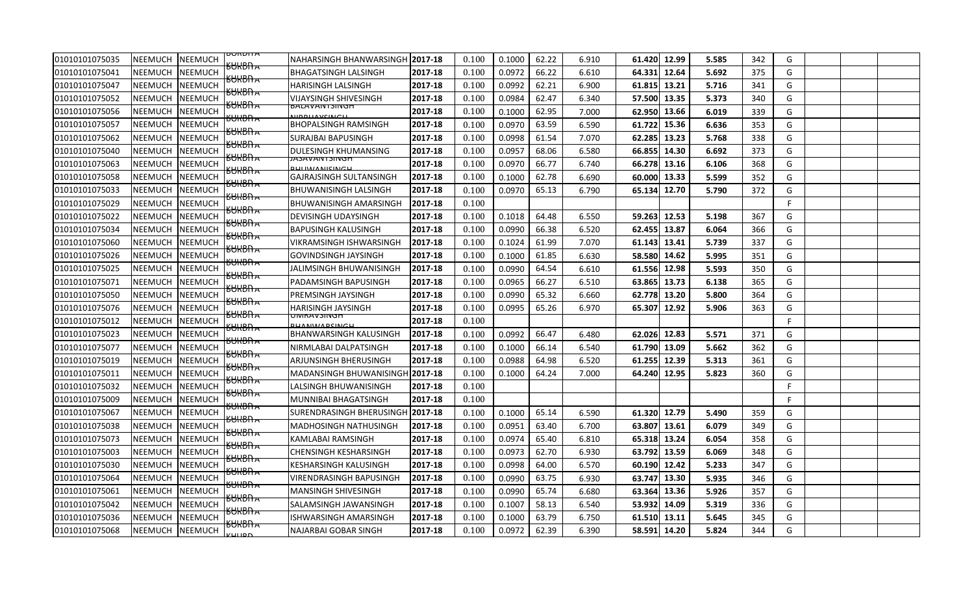| 01010101075035 | <b>NEEMUCH</b> | <b>NEEMUCH</b> | <b>BURUITA</b>                          | NAHARSINGH BHANWARSINGH 2017-18                   |         | 0.100 | 0.1000 | 62.22 | 6.910 | 61.420 12.99 |       | 5.585 | 342 | G            |  |  |
|----------------|----------------|----------------|-----------------------------------------|---------------------------------------------------|---------|-------|--------|-------|-------|--------------|-------|-------|-----|--------------|--|--|
| 01010101075041 | NEEMUCH        | <b>NEEMUCH</b> | <del>KUKBRA</del>                       | <b>BHAGATSINGH LALSINGH</b>                       | 2017-18 | 0.100 | 0.0972 | 66.22 | 6.610 | 64.331       | 12.64 | 5.692 | 375 | G            |  |  |
| 01010101075047 | NEEMUCH        | <b>NEEMUCH</b> | <del>sukBRA</del>                       | <b>HARISINGH LALSINGH</b>                         | 2017-18 | 0.100 | 0.0992 | 62.21 | 6.900 | 61.815       | 13.21 | 5.716 | 341 | G            |  |  |
| 01010101075052 | NEEMUCH        | <b>NEEMUCH</b> | <del>≼∪kBR</del><br>ӫѠҌҎ                | VIJAYSINGH SHIVESINGH                             | 2017-18 | 0.100 | 0.0984 | 62.47 | 6.340 | 57.500       | 13.35 | 5.373 | 340 | G            |  |  |
| 01010101075056 | NEEMUCH        | <b>NEEMUCH</b> |                                         | <del>ALAVANTSINUN</del><br><b>IIDDUAVCINICU</b>   | 2017-18 | 0.100 | 0.1000 | 62.95 | 7.000 | 62.950       | 13.66 | 6.019 | 339 | G            |  |  |
| 01010101075057 | NEEMUCH        | <b>NEEMUCH</b> | <del>SUKBRA</del>                       | <b>BHOPALSINGH RAMSINGH</b>                       | 2017-18 | 0.100 | 0.0970 | 63.59 | 6.590 | 61.722       | 15.36 | 6.636 | 353 | G            |  |  |
| 01010101075062 | NEEMUCH        | <b>NEEMUCH</b> | <del>КUКBR д</del>                      | SURAJBAI BAPUSINGH                                | 2017-18 | 0.100 | 0.0998 | 61.54 | 7.070 | 62.285       | 13.23 | 5.768 | 338 | G            |  |  |
| 01010101075040 | NEEMUCH        | <b>NEEMUCH</b> | <del>к∪кв∩</del> я                      | DULESINGH KHUMANSING                              | 2017-18 | 0.100 | 0.0957 | 68.06 | 6.580 | 66.855       | 14.30 | 6.692 | 373 | G            |  |  |
| 01010101075063 | NEEMUCH        | <b>NEEMUCH</b> | <del>к∪кв∩</del> я                      | <u> חטמווכ ו מוא</u> עאו<br><b>ULINIANICINICU</b> | 2017-18 | 0.100 | 0.0970 | 66.77 | 6.740 | 66.278       | 13.16 | 6.106 | 368 | G            |  |  |
| 01010101075058 | NEEMUCH        | <b>NEEMUCH</b> | <del>SUKBRA</del>                       | <b>GAJRAJSINGH SULTANSINGH</b>                    | 2017-18 | 0.100 | 0.1000 | 62.78 | 6.690 | 60.000       | 13.33 | 5.599 | 352 | G            |  |  |
| 01010101075033 | NEEMUCH        | <b>NEEMUCH</b> | <del>iUkB∩⊿</del>                       | <b>BHUWANISINGH LALSINGH</b>                      | 2017-18 | 0.100 | 0.0970 | 65.13 | 6.790 | 65.134       | 12.70 | 5.790 | 372 | G            |  |  |
| 01010101075029 | NEEMUCH        | <b>NEEMUCH</b> | <del>SUKBRA</del>                       | BHUWANISINGH AMARSINGH                            | 2017-18 | 0.100 |        |       |       |              |       |       |     | F            |  |  |
| 01010101075022 | NEEMUCH        | <b>NEEMUCH</b> | <del>SUKBRA</del>                       | <b>DEVISINGH UDAYSINGH</b>                        | 2017-18 | 0.100 | 0.1018 | 64.48 | 6.550 | 59.263 12.53 |       | 5.198 | 367 | G            |  |  |
| 01010101075034 | NEEMUCH        | <b>NEEMUCH</b> | <del>SUKBRA</del>                       | <b>BAPUSINGH KALUSINGH</b>                        | 2017-18 | 0.100 | 0.0990 | 66.38 | 6.520 | 62.455       | 13.87 | 6.064 | 366 | G            |  |  |
| 01010101075060 | NEEMUCH        | <b>NEEMUCH</b> | <del>sukBRA</del>                       | <b>VIKRAMSINGH ISHWARSINGH</b>                    | 2017-18 | 0.100 | 0.1024 | 61.99 | 7.070 | 61.143 13.41 |       | 5.739 | 337 | G            |  |  |
| 01010101075026 | <b>NEEMUCH</b> | <b>NEEMUCH</b> | <del>КUКBR д</del>                      | <b>GOVINDSINGH JAYSINGH</b>                       | 2017-18 | 0.100 | 0.1000 | 61.85 | 6.630 | 58.580       | 14.62 | 5.995 | 351 | G            |  |  |
| 01010101075025 | <b>NEEMUCH</b> | <b>NEEMUCH</b> | <del>киквћ д</del>                      | JALIMSINGH BHUWANISINGH                           | 2017-18 | 0.100 | 0.0990 | 64.54 | 6.610 | 61.556       | 12.98 | 5.593 | 350 | G            |  |  |
| 01010101075071 | <b>NEEMUCH</b> | <b>NEEMUCH</b> | <del>SUKBRA</del>                       | <b>PADAMSINGH BAPUSINGH</b>                       | 2017-18 | 0.100 | 0.0965 | 66.27 | 6.510 | 63.865       | 13.73 | 6.138 | 365 | G            |  |  |
| 01010101075050 | <b>NEEMUCH</b> | <b>NEEMUCH</b> | <del>SUKBRA</del>                       | PREMSINGH JAYSINGH                                | 2017-18 | 0.100 | 0.0990 | 65.32 | 6.660 | 62.778       | 13.20 | 5.800 | 364 | G            |  |  |
| 01010101075076 | NEEMUCH        | <b>NEEMUCH</b> | <del>SUKBRA</del>                       | HARISINGH JAYSINGH                                | 2017-18 | 0.100 | 0.0995 | 65.26 | 6.970 | 65.307       | 12.92 | 5.906 | 363 | G            |  |  |
| 01010101075012 | NEEMUCH        | <b>NEEMUCH</b> | <del>SUKBRA</del>                       | <del>UMIKAVSINGH</del><br><b>JANIMADCINICLE</b>   | 2017-18 | 0.100 |        |       |       |              |       |       |     | F.           |  |  |
| 01010101075023 | NEEMUCH        | <b>NEEMUCH</b> | <del>SUKBRA</del><br><del>SUKBRA</del>  | BHANWARSINGH KALUSINGH                            | 2017-18 | 0.100 | 0.0992 | 66.47 | 6.480 | 62.026 12.83 |       | 5.571 | 371 | G            |  |  |
| 01010101075077 | NEEMUCH        | <b>NEEMUCH</b> | <del>SUKBRA</del>                       | INIRMLABAI DALPATSINGH                            | 2017-18 | 0.100 | 0.1000 | 66.14 | 6.540 | 61.790 13.09 |       | 5.662 | 362 | G            |  |  |
| 01010101075019 | NEEMUCH        | <b>NEEMUCH</b> | <del>KUKBRA</del>                       | ARJUNSINGH BHERUSINGH                             | 2017-18 | 0.100 | 0.0988 | 64.98 | 6.520 | 61.255       | 12.39 | 5.313 | 361 | G            |  |  |
| 01010101075011 | NEEMUCH        | <b>NEEMUCH</b> |                                         | MADANSINGH BHUWANISINGH 2017-18                   |         | 0.100 | 0.1000 | 64.24 | 7.000 | 64.240       | 12.95 | 5.823 | 360 | G            |  |  |
| 01010101075032 | NEEMUCH        | <b>NEEMUCH</b> | <del>KUKBRA</del><br><del>KUKBRA</del>  | LALSINGH BHUWANISINGH                             | 2017-18 | 0.100 |        |       |       |              |       |       |     | F.           |  |  |
| 01010101075009 | NEEMUCH        | <b>NEEMUCH</b> |                                         | MUNNIBAI BHAGATSINGH                              | 2017-18 | 0.100 |        |       |       |              |       |       |     | $\mathsf{F}$ |  |  |
| 01010101075067 | NEEMUCH        | <b>NEEMUCH</b> | <del>киквћ д</del>                      | SURENDRASINGH BHERUSINGH 2017-18                  |         | 0.100 | 0.1000 | 65.14 | 6.590 | 61.320 12.79 |       | 5.490 | 359 | G            |  |  |
| 01010101075038 | NEEMUCH        | <b>NEEMUCH</b> | <del>KUKBRA</del><br><del>íUkBN A</del> | MADHOSINGH NATHUSINGH                             | 2017-18 | 0.100 | 0.0951 | 63.40 | 6.700 | 63.807 13.61 |       | 6.079 | 349 | G            |  |  |
| 01010101075073 | NEEMUCH        | <b>NEEMUCH</b> |                                         | <b>KAMLABAI RAMSINGH</b>                          | 2017-18 | 0.100 | 0.0974 | 65.40 | 6.810 | 65.318 13.24 |       | 6.054 | 358 | G            |  |  |
| 01010101075003 | NEEMUCH        | <b>NEEMUCH</b> | <del>SUKBRA</del>                       | CHENSINGH KESHARSINGH                             | 2017-18 | 0.100 | 0.0973 | 62.70 | 6.930 | 63.792 13.59 |       | 6.069 | 348 | G            |  |  |
| 01010101075030 | NEEMUCH        | <b>NEEMUCH</b> | <del>SUKBRA</del>                       | KESHARSINGH KALUSINGH                             | 2017-18 | 0.100 | 0.0998 | 64.00 | 6.570 | 60.190 12.42 |       | 5.233 | 347 | G            |  |  |
| 01010101075064 | NEEMUCH        | <b>NEEMUCH</b> | <del>SUKBRA</del>                       | VIRENDRASINGH BAPUSINGH                           | 2017-18 | 0.100 | 0.0990 | 63.75 | 6.930 | 63.747 13.30 |       | 5.935 | 346 | G            |  |  |
| 01010101075061 | NEEMUCH        | <b>NEEMUCH</b> | <del>SUKBRA</del>                       | MANSINGH SHIVESINGH                               | 2017-18 | 0.100 | 0.0990 | 65.74 | 6.680 | 63.364 13.36 |       | 5.926 | 357 | G            |  |  |
| 01010101075042 | NEEMUCH        | <b>NEEMUCH</b> | <del>SUKBRA</del><br><del>SUKBRA</del>  | SALAMSINGH JAWANSINGH                             | 2017-18 | 0.100 | 0.1007 | 58.13 | 6.540 | 53.932 14.09 |       | 5.319 | 336 | G            |  |  |
| 01010101075036 | NEEMUCH        | <b>NEEMUCH</b> | <del>SUKBRA</del>                       | ISHWARSINGH AMARSINGH                             | 2017-18 | 0.100 | 0.1000 | 63.79 | 6.750 | 61.510 13.11 |       | 5.645 | 345 | G            |  |  |
| 01010101075068 | <b>NEEMUCH</b> | <b>NEEMUCH</b> | حميس                                    | NAJARBAI GOBAR SINGH                              | 2017-18 | 0.100 | 0.0972 | 62.39 | 6.390 | 58.591 14.20 |       | 5.824 | 344 | G            |  |  |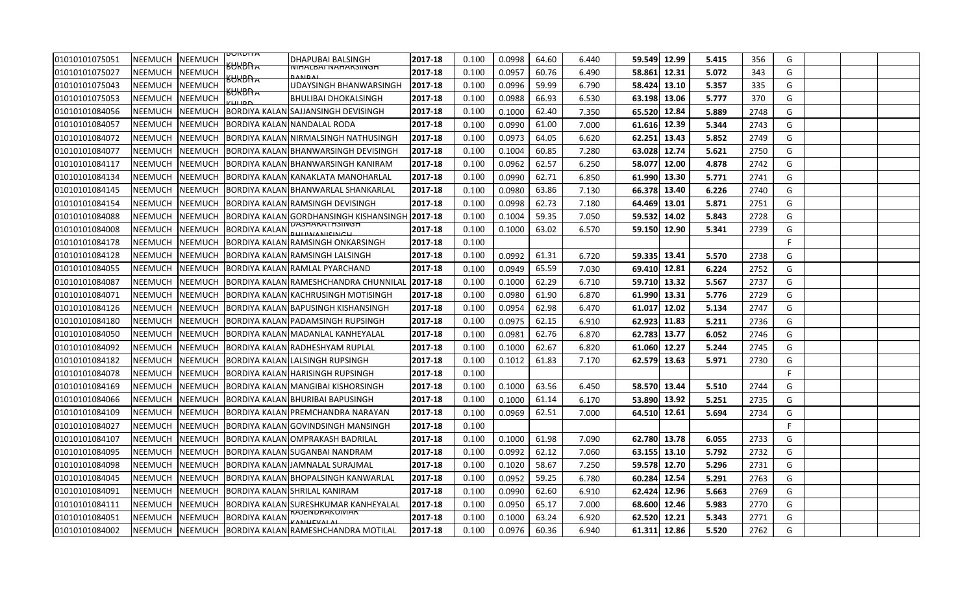|                |                |                | <b>BURUITA</b>       |                                                      |         |       |        |       |       |              |       |      |   |  |  |
|----------------|----------------|----------------|----------------------|------------------------------------------------------|---------|-------|--------|-------|-------|--------------|-------|------|---|--|--|
| 01010101075051 | <b>NEEMUCH</b> | <b>NEEMUCH</b> | <b>KUKBRA</b>        | <b>DHAPUBAI BALSINGH</b><br>NINALDAI INANANJIINUN    | 2017-18 | 0.100 | 0.0998 | 64.60 | 6.440 | 59.549 12.99 | 5.415 | 356  | G |  |  |
| 01010101075027 | NEEMUCH        | <b>NEEMUCH</b> | <b>KUKDRA</b>        | ANID AI                                              | 2017-18 | 0.100 | 0.0957 | 60.76 | 6.490 | 58.861 12.31 | 5.072 | 343  | G |  |  |
| 01010101075043 | NEEMUCH        | <b>NEEMUCH</b> | <b>KUKBRA</b>        | UDAYSINGH BHANWARSINGH                               | 2017-18 | 0.100 | 0.0996 | 59.99 | 6.790 | 58.424 13.10 | 5.357 | 335  | G |  |  |
| 01010101075053 | NEEMUCH        | <b>NEEMUCH</b> | <b>LILIDD</b>        | <b>BHULIBAI DHOKALSINGH</b>                          | 2017-18 | 0.100 | 0.0988 | 66.93 | 6.530 | 63.198 13.06 | 5.777 | 370  | G |  |  |
| 01010101084056 | NEEMUCH        | <b>NEEMUCH</b> |                      | BORDIYA KALAN SAJJANSINGH DEVISINGH                  | 2017-18 | 0.100 | 0.1000 | 62.40 | 7.350 | 65.520 12.84 | 5.889 | 2748 | G |  |  |
| 01010101084057 | NEEMUCH        | <b>NEEMUCH</b> |                      | BORDIYA KALAN NANDALAL RODA                          | 2017-18 | 0.100 | 0.0990 | 61.00 | 7.000 | 61.616 12.39 | 5.344 | 2743 | G |  |  |
| 01010101084072 | NEEMUCH        | <b>NEEMUCH</b> |                      | BORDIYA KALAN NIRMALSINGH NATHUSINGH                 | 2017-18 | 0.100 | 0.0973 | 64.05 | 6.620 | 62.251 13.43 | 5.852 | 2749 | G |  |  |
| 01010101084077 | NEEMUCH        | <b>NEEMUCH</b> |                      | BORDIYA KALAN BHANWARSINGH DEVISINGH                 | 2017-18 | 0.100 | 0.1004 | 60.85 | 7.280 | 63.028 12.74 | 5.621 | 2750 | G |  |  |
| 01010101084117 | NEEMUCH        | <b>NEEMUCH</b> |                      | BORDIYA KALAN BHANWARSINGH KANIRAM                   | 2017-18 | 0.100 | 0.0962 | 62.57 | 6.250 | 58.077 12.00 | 4.878 | 2742 | G |  |  |
| 01010101084134 | NEEMUCH        | <b>NEEMUCH</b> |                      | BORDIYA KALAN KANAKLATA MANOHARLAL                   | 2017-18 | 0.100 | 0.0990 | 62.71 | 6.850 | 61.990 13.30 | 5.771 | 2741 | G |  |  |
| 01010101084145 | NEEMUCH        | <b>NEEMUCH</b> |                      | BORDIYA KALAN BHANWARLAL SHANKARLAL                  | 2017-18 | 0.100 | 0.0980 | 63.86 | 7.130 | 66.378 13.40 | 6.226 | 2740 | G |  |  |
| 01010101084154 | NEEMUCH        | <b>NEEMUCH</b> |                      | BORDIYA KALAN RAMSINGH DEVISINGH                     | 2017-18 | 0.100 | 0.0998 | 62.73 | 7.180 | 64.469 13.01 | 5.871 | 2751 | G |  |  |
| 01010101084088 | NEEMUCH        | <b>NEEMUCH</b> |                      | BORDIYA KALAN GORDHANSINGH KISHANSINGH               | 2017-18 | 0.100 | 0.1004 | 59.35 | 7.050 | 59.532 14.02 | 5.843 | 2728 | G |  |  |
| 01010101084008 | NEEMUCH        | <b>NEEMUCH</b> | <b>BORDIYA KALAN</b> | <del>UASHARATHSINGH</del><br>$L$ III) $M$ ANICINICLI | 2017-18 | 0.100 | 0.1000 | 63.02 | 6.570 | 59.150 12.90 | 5.341 | 2739 | G |  |  |
| 01010101084178 | NEEMUCH        | <b>NEEMUCH</b> |                      | BORDIYA KALAN RAMSINGH ONKARSINGH                    | 2017-18 | 0.100 |        |       |       |              |       |      | F |  |  |
| 01010101084128 | NEEMUCH        | <b>NEEMUCH</b> |                      | BORDIYA KALAN RAMSINGH LALSINGH                      | 2017-18 | 0.100 | 0.0992 | 61.31 | 6.720 | 59.335 13.41 | 5.570 | 2738 | G |  |  |
| 01010101084055 | NEEMUCH        | <b>NEEMUCH</b> |                      | BORDIYA KALAN RAMLAL PYARCHAND                       | 2017-18 | 0.100 | 0.0949 | 65.59 | 7.030 | 69.410 12.81 | 6.224 | 2752 | G |  |  |
| 01010101084087 | NEEMUCH        | <b>NEEMUCH</b> |                      | BORDIYA KALAN RAMESHCHANDRA CHUNNILAL                | 2017-18 | 0.100 | 0.1000 | 62.29 | 6.710 | 59.710 13.32 | 5.567 | 2737 | G |  |  |
| 01010101084071 | NEEMUCH        | <b>NEEMUCH</b> |                      | BORDIYA KALAN KACHRUSINGH MOTISINGH                  | 2017-18 | 0.100 | 0.0980 | 61.90 | 6.870 | 61.990 13.31 | 5.776 | 2729 | G |  |  |
| 01010101084126 | NEEMUCH        | <b>NEEMUCH</b> |                      | BORDIYA KALAN BAPUSINGH KISHANSINGH                  | 2017-18 | 0.100 | 0.0954 | 62.98 | 6.470 | 61.017 12.02 | 5.134 | 2747 | G |  |  |
| 01010101084180 | NEEMUCH        | <b>NEEMUCH</b> |                      | BORDIYA KALAN PADAMSINGH RUPSINGH                    | 2017-18 | 0.100 | 0.0975 | 62.15 | 6.910 | 62.923 11.83 | 5.211 | 2736 | G |  |  |
| 01010101084050 | <b>NEEMUCH</b> | <b>NEEMUCH</b> |                      | BORDIYA KALAN MADANLAL KANHEYALAL                    | 2017-18 | 0.100 | 0.0981 | 62.76 | 6.870 | 62.783 13.77 | 6.052 | 2746 | G |  |  |
| 01010101084092 | <b>NEEMUCH</b> | <b>NEEMUCH</b> |                      | BORDIYA KALAN RADHESHYAM RUPLAL                      | 2017-18 | 0.100 | 0.1000 | 62.67 | 6.820 | 61.060 12.27 | 5.244 | 2745 | G |  |  |
| 01010101084182 | NEEMUCH        | <b>NEEMUCH</b> |                      | BORDIYA KALAN LALSINGH RUPSINGH                      | 2017-18 | 0.100 | 0.1012 | 61.83 | 7.170 | 62.579 13.63 | 5.971 | 2730 | G |  |  |
| 01010101084078 | NEEMUCH        | <b>NEEMUCH</b> |                      | BORDIYA KALAN HARISINGH RUPSINGH                     | 2017-18 | 0.100 |        |       |       |              |       |      | F |  |  |
| 01010101084169 | NEEMUCH        | <b>NEEMUCH</b> |                      | BORDIYA KALAN MANGIBAI KISHORSINGH                   | 2017-18 | 0.100 | 0.1000 | 63.56 | 6.450 | 58.570 13.44 | 5.510 | 2744 | G |  |  |
| 01010101084066 | NEEMUCH        | <b>NEEMUCH</b> |                      | BORDIYA KALAN BHURIBAI BAPUSINGH                     | 2017-18 | 0.100 | 0.1000 | 61.14 | 6.170 | 53.890 13.92 | 5.251 | 2735 | G |  |  |
| 01010101084109 | NEEMUCH        | <b>NEEMUCH</b> |                      | BORDIYA KALAN PREMCHANDRA NARAYAN                    | 2017-18 | 0.100 | 0.0969 | 62.51 | 7.000 | 64.510 12.61 | 5.694 | 2734 | G |  |  |
| 01010101084027 | NEEMUCH        | <b>NEEMUCH</b> |                      | BORDIYA KALAN GOVINDSINGH MANSINGH                   | 2017-18 | 0.100 |        |       |       |              |       |      | F |  |  |
| 01010101084107 | NEEMUCH        | <b>NEEMUCH</b> |                      | BORDIYA KALAN OMPRAKASH BADRILAL                     | 2017-18 | 0.100 | 0.1000 | 61.98 | 7.090 | 62.780 13.78 | 6.055 | 2733 | G |  |  |
| 01010101084095 | NEEMUCH        | <b>NEEMUCH</b> |                      | BORDIYA KALAN SUGANBAI NANDRAM                       | 2017-18 | 0.100 | 0.0992 | 62.12 | 7.060 | 63.155 13.10 | 5.792 | 2732 | G |  |  |
| 01010101084098 | NEEMUCH        | <b>NEEMUCH</b> |                      | BORDIYA KALAN JAMNALAL SURAJMAL                      | 2017-18 | 0.100 | 0.1020 | 58.67 | 7.250 | 59.578 12.70 | 5.296 | 2731 | G |  |  |
| 01010101084045 | NEEMUCH        | <b>NEEMUCH</b> |                      | BORDIYA KALAN BHOPALSINGH KANWARLAL                  | 2017-18 | 0.100 | 0.0952 | 59.25 | 6.780 | 60.284 12.54 | 5.291 | 2763 | G |  |  |
| 01010101084091 | NEEMUCH        | <b>NEEMUCH</b> |                      | BORDIYA KALAN SHRILAL KANIRAM                        | 2017-18 | 0.100 | 0.0990 | 62.60 | 6.910 | 62.424 12.96 | 5.663 | 2769 | G |  |  |
| 01010101084111 | NEEMUCH        | <b>NEEMUCH</b> |                      | BORDIYA KALAN SURESHKUMAR KANHEYALAL                 | 2017-18 | 0.100 | 0.0950 | 65.17 | 7.000 | 68.600 12.46 | 5.983 | 2770 | G |  |  |
| 01010101084051 | <b>NEEMUCH</b> | <b>NEEMUCH</b> | <b>BORDIYA KALAN</b> | <b>YAJEIYUNANUIVIAN</b>                              | 2017-18 | 0.100 | 0.1000 | 63.24 | 6.920 | 62.520 12.21 | 5.343 | 2771 | G |  |  |
| 01010101084002 | <b>NEEMUCH</b> |                |                      | NEEMUCH BORDIYA KALAN RAMESHCHANDRA MOTILAL          | 2017-18 | 0.100 | 0.0976 | 60.36 | 6.940 | 61.311 12.86 | 5.520 | 2762 | G |  |  |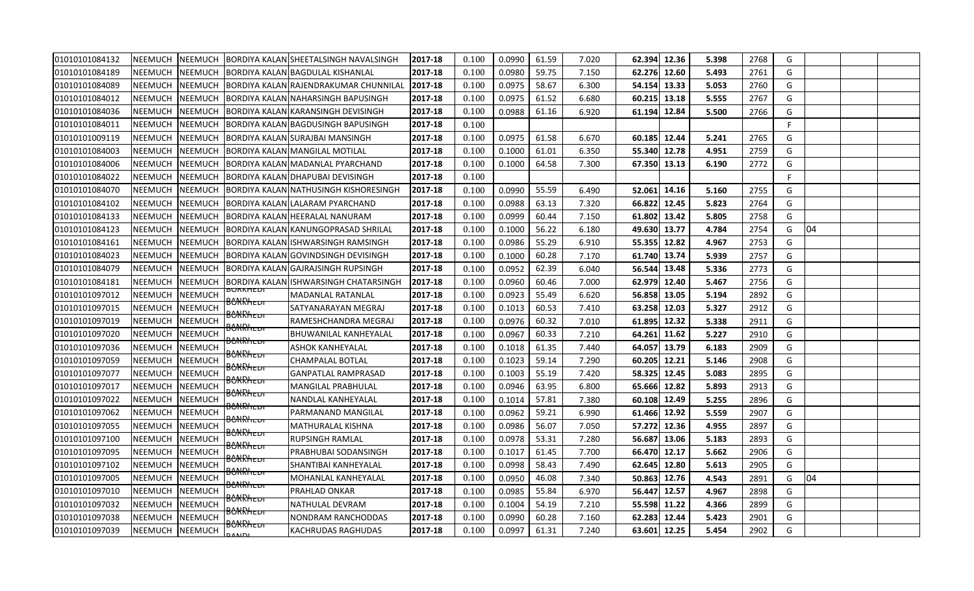| 01010101084132 | NEEMUCH        |                 |                                        | NEEMUCH BORDIYA KALAN SHEETALSINGH NAVALSINGH | 2017-18 | 0.100 | 0.0990 | 61.59 | 7.020 | 62.394 12.36 |       | 5.398 | 2768 | G            |    |  |
|----------------|----------------|-----------------|----------------------------------------|-----------------------------------------------|---------|-------|--------|-------|-------|--------------|-------|-------|------|--------------|----|--|
| 01010101084189 | NEEMUCH        | <b>NEEMUCH</b>  |                                        | <b>IBORDIYA KALANIBAGDULAL KISHANLAL</b>      | 2017-18 | 0.100 | 0.0980 | 59.75 | 7.150 | 62.276 12.60 |       | 5.493 | 2761 | G            |    |  |
| 01010101084089 | <b>NEEMUCH</b> | <b>NEEMUCH</b>  |                                        | BORDIYA KALAN RAJENDRAKUMAR CHUNNILAL         | 2017-18 | 0.100 | 0.0975 | 58.67 | 6.300 | 54.154 13.33 |       | 5.053 | 2760 | G            |    |  |
| 01010101084012 | <b>NEEMUCH</b> | <b>NEEMUCH</b>  |                                        | <b>BORDIYA KALAN NAHARSINGH BAPUSINGH</b>     | 2017-18 | 0.100 | 0.0975 | 61.52 | 6.680 | 60.215 13.18 |       | 5.555 | 2767 | G            |    |  |
| 01010101084036 | NEEMUCH        | <b>NEEMUCH</b>  |                                        | BORDIYA KALAN KARANSINGH DEVISINGH            | 2017-18 | 0.100 | 0.0988 | 61.16 | 6.920 | 61.194 12.84 |       | 5.500 | 2766 | G            |    |  |
| 01010101084011 | NEEMUCH        | <b>NEEMUCH</b>  |                                        | BORDIYA KALAN BAGDUSINGH BAPUSINGH            | 2017-18 | 0.100 |        |       |       |              |       |       |      | F.           |    |  |
| 01010101009119 | NEEMUCH        | <b>NEEMUCH</b>  |                                        | BORDIYA KALAN SURAJBAI MANSINGH               | 2017-18 | 0.100 | 0.0975 | 61.58 | 6.670 | 60.185 12.44 |       | 5.241 | 2765 | G            |    |  |
| 01010101084003 | NEEMUCH        | <b>NEEMUCH</b>  |                                        | BORDIYA KALAN MANGILAL MOTILAL                | 2017-18 | 0.100 | 0.1000 | 61.01 | 6.350 | 55.340 12.78 |       | 4.951 | 2759 | G            |    |  |
| 01010101084006 | NEEMUCH        | <b>NEEMUCH</b>  |                                        | BORDIYA KALAN MADANLAL PYARCHAND              | 2017-18 | 0.100 | 0.1000 | 64.58 | 7.300 | 67.350 13.13 |       | 6.190 | 2772 | G            |    |  |
| 01010101084022 | NEEMUCH        | <b>NEEMUCH</b>  |                                        | <b>BORDIYA KALANIDHAPUBAI DEVISINGH</b>       | 2017-18 | 0.100 |        |       |       |              |       |       |      | $\mathsf{F}$ |    |  |
| 01010101084070 | NEEMUCH        | <b>INEEMUCH</b> |                                        | BORDIYA KALAN NATHUSINGH KISHORESINGH         | 2017-18 | 0.100 | 0.0990 | 55.59 | 6.490 | 52.061 14.16 |       | 5.160 | 2755 | G            |    |  |
| 01010101084102 | NEEMUCH        | <b>NEEMUCH</b>  |                                        | BORDIYA KALAN LALARAM PYARCHAND               | 2017-18 | 0.100 | 0.0988 | 63.13 | 7.320 | 66.822 12.45 |       | 5.823 | 2764 | G            |    |  |
| 01010101084133 | NEEMUCH        | <b>NEEMUCH</b>  |                                        | BORDIYA KALAN HEERALAL NANURAM                | 2017-18 | 0.100 | 0.0999 | 60.44 | 7.150 | 61.802 13.42 |       | 5.805 | 2758 | G            |    |  |
| 01010101084123 | <b>NEEMUCH</b> | <b>NEEMUCH</b>  |                                        | BORDIYA KALAN KANUNGOPRASAD SHRILAL           | 2017-18 | 0.100 | 0.1000 | 56.22 | 6.180 | 49.630 13.77 |       | 4.784 | 2754 | G            | 04 |  |
| 01010101084161 | <b>NEEMUCH</b> | <b>NEEMUCH</b>  |                                        | BORDIYA KALAN ISHWARSINGH RAMSINGH            | 2017-18 | 0.100 | 0.0986 | 55.29 | 6.910 | 55.355 12.82 |       | 4.967 | 2753 | G            |    |  |
| 01010101084023 | NEEMUCH        | <b>NEEMUCH</b>  |                                        | BORDIYA KALAN GOVINDSINGH DEVISINGH           | 2017-18 | 0.100 | 0.1000 | 60.28 | 7.170 | 61.740 13.74 |       | 5.939 | 2757 | G            |    |  |
| 01010101084079 | NEEMUCH        | <b>NEEMUCH</b>  |                                        | BORDIYA KALAN GAJRAJSINGH RUPSINGH            | 2017-18 | 0.100 | 0.0952 | 62.39 | 6.040 | 56.544 13.48 |       | 5.336 | 2773 | G            |    |  |
| 01010101084181 | <b>NEEMUCH</b> | <b>NEEMUCH</b>  |                                        | <b>BORDIYA KALAN ISHWARSINGH CHATARSINGH</b>  | 2017-18 | 0.100 | 0.0960 | 60.46 | 7.000 | 62.979 12.40 |       | 5.467 | 2756 | G            |    |  |
| 01010101097012 | <b>NEEMUCH</b> | <b>NEEMUCH</b>  | <b>DURNNEDI</b><br><del>BONRHEDT</del> | MADANLAL RATANLAL                             | 2017-18 | 0.100 | 0.0923 | 55.49 | 6.620 | 56.858 13.05 |       | 5.194 | 2892 | G            |    |  |
| 01010101097015 | NEEMUCH        | <b>NEEMUCH</b>  | <del>BONRHEDT</del>                    | SATYANARAYAN MEGRAJ                           | 2017-18 | 0.100 | 0.1013 | 60.53 | 7.410 | 63.258 12.03 |       | 5.327 | 2912 | G            |    |  |
| 01010101097019 | NEEMUCH        | <b>NEEMUCH</b>  | ᠍ <del>᠐ᢗᢂᠺᡰᡄ</del> ᠳ                  | RAMESHCHANDRA MEGRAJ                          | 2017-18 | 0.100 | 0.0976 | 60.32 | 7.010 | 61.895       | 12.32 | 5.338 | 2911 | G            |    |  |
| 01010101097020 | NEEMUCH        | <b>NEEMUCH</b>  | ᠍ <del>ᢃᡃᢕ᠋᠍ᠺᠺᡰᡄ</del> ᠳ               | BHUWANILAL KANHEYALAL                         | 2017-18 | 0.100 | 0.0967 | 60.33 | 7.210 | 64.261 11.62 |       | 5.227 | 2910 | G            |    |  |
| 01010101097036 | NEEMUCH        | <b>NEEMUCH</b>  | <b>BONRHEDT</b>                        | <b>ASHOK KANHEYALAL</b>                       | 2017-18 | 0.100 | 0.1018 | 61.35 | 7.440 | 64.057 13.79 |       | 6.183 | 2909 | G            |    |  |
| 01010101097059 | NEEMUCH        | <b>NEEMUCH</b>  | <b>BONRHEDT</b>                        | CHAMPALAL BOTLAL                              | 2017-18 | 0.100 | 0.1023 | 59.14 | 7.290 | 60.205       | 12.21 | 5.146 | 2908 | G            |    |  |
| 01010101097077 | NEEMUCH        | <b>NEEMUCH</b>  | <b>BONRHEDT</b>                        | <b>GANPATLAL RAMPRASAD</b>                    | 2017-18 | 0.100 | 0.1003 | 55.19 | 7.420 | 58.325       | 12.45 | 5.083 | 2895 | G            |    |  |
| 01010101097017 | <b>NEEMUCH</b> | <b>NEEMUCH</b>  | <b>BONRHEDT</b>                        | <b>MANGILAL PRABHULAL</b>                     | 2017-18 | 0.100 | 0.0946 | 63.95 | 6.800 | 65.666       | 12.82 | 5.893 | 2913 | G            |    |  |
| 01010101097022 | NEEMUCH        | <b>NEEMUCH</b>  | <b>BONRHEDT</b>                        | NANDLAL KANHEYALAL                            | 2017-18 | 0.100 | 0.1014 | 57.81 | 7.380 | 60.108 12.49 |       | 5.255 | 2896 | G            |    |  |
| 01010101097062 | NEEMUCH        | <b>NEEMUCH</b>  | <del>BONRHEDT</del>                    | PARMANAND MANGILAL                            | 2017-18 | 0.100 | 0.0962 | 59.21 | 6.990 | 61.466 12.92 |       | 5.559 | 2907 | G            |    |  |
| 01010101097055 | NEEMUCH        | <b>NEEMUCH</b>  | <b>JONNHEDT</b>                        | MATHURALAL KISHNA                             | 2017-18 | 0.100 | 0.0986 | 56.07 | 7.050 | 57.272 12.36 |       | 4.955 | 2897 | G            |    |  |
| 01010101097100 | NEEMUCH        | <b>NEEMUCH</b>  | <b>BONRHEDT</b>                        | <b>RUPSINGH RAMLAL</b>                        | 2017-18 | 0.100 | 0.0978 | 53.31 | 7.280 | 56.687 13.06 |       | 5.183 | 2893 | G            |    |  |
| 01010101097095 | NEEMUCH        | <b>NEEMUCH</b>  | <b>BONRHEDT</b>                        | PRABHUBAI SODANSINGH                          | 2017-18 | 0.100 | 0.1017 | 61.45 | 7.700 | 66.470 12.17 |       | 5.662 | 2906 | G            |    |  |
| 01010101097102 | NEEMUCH        | <b>NEEMUCH</b>  | <b>BONRHEDT</b>                        | SHANTIBAI KANHEYALAL                          | 2017-18 | 0.100 | 0.0998 | 58.43 | 7.490 | 62.645 12.80 |       | 5.613 | 2905 | G            |    |  |
| 01010101097005 | NEEMUCH        | <b>NEEMUCH</b>  | <b>BONRHEDT</b>                        | MOHANLAL KANHEYALAL                           | 2017-18 | 0.100 | 0.0950 | 46.08 | 7.340 | 50.863 12.76 |       | 4.543 | 2891 | G            | 04 |  |
| 01010101097010 | NEEMUCH        | <b>NEEMUCH</b>  | <del>BONRHEDT</del>                    | PRAHLAD ONKAR                                 | 2017-18 | 0.100 | 0.0985 | 55.84 | 6.970 | 56.447 12.57 |       | 4.967 | 2898 | G            |    |  |
| 01010101097032 | NEEMUCH        | <b>NEEMUCH</b>  | <b>BONRHEDT</b>                        | NATHULAL DEVRAM                               | 2017-18 | 0.100 | 0.1004 | 54.19 | 7.210 | 55.598 11.22 |       | 4.366 | 2899 | G            |    |  |
| 01010101097038 | NEEMUCH        | <b>NEEMUCH</b>  | <b>BONRHEDT</b>                        | NONDRAM RANCHODDAS                            | 2017-18 | 0.100 | 0.0990 | 60.28 | 7.160 | 62.283 12.44 |       | 5.423 | 2901 | G            |    |  |
| 01010101097039 | <b>NEEMUCH</b> | <b>NEEMUCH</b>  |                                        | <b>KACHRUDAS RAGHUDAS</b>                     | 2017-18 | 0.100 | 0.0997 | 61.31 | 7.240 | 63.601 12.25 |       | 5.454 | 2902 | G            |    |  |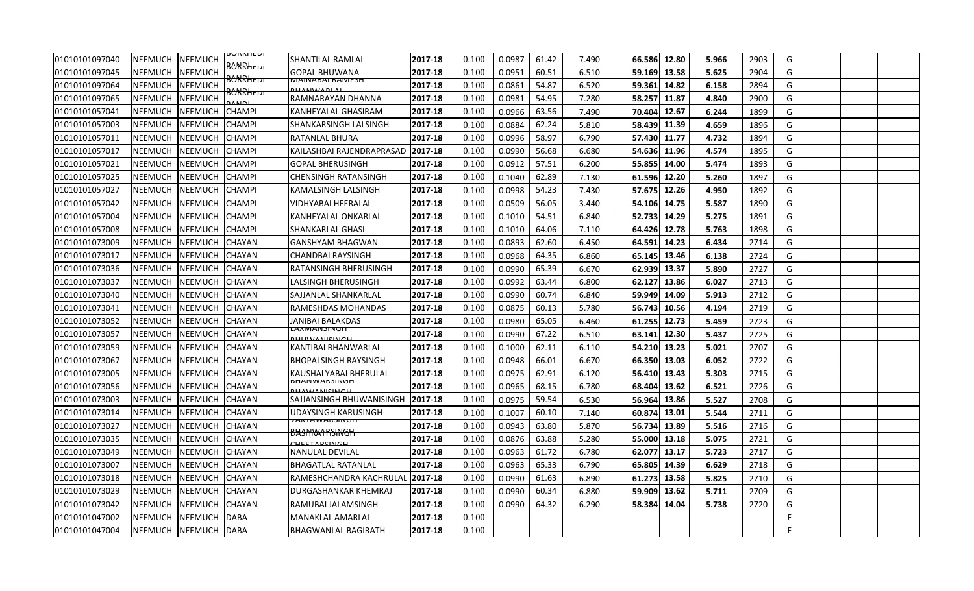| 01010101097040 | <b>NEEMUCH</b> | <b>NEEMUCH</b> | <b>DUNNNEDI</b> | SHANTILAL RAMLAL                                      | 2017-18 | 0.100 | 0.0987 | 61.42 | 7.490 | 66.586 12.80 |       | 5.966 | 2903 | G |  |  |
|----------------|----------------|----------------|-----------------|-------------------------------------------------------|---------|-------|--------|-------|-------|--------------|-------|-------|------|---|--|--|
| 01010101097045 | NEEMUCH        | <b>NEEMUCH</b> | <b>BONRHEDT</b> | <b>GOPAL BHUWANA</b>                                  | 2017-18 |       |        |       |       |              |       |       |      |   |  |  |
|                |                | <b>NEEMUCH</b> | <b>BONRHEDT</b> | VIAIIVADAI KAIVIEJN                                   |         | 0.100 | 0.0951 | 60.51 | 6.510 | 59.169 13.58 |       | 5.625 | 2904 | G |  |  |
| 01010101097064 | NEEMUCH        |                | <b>BONRHEDT</b> | <b>ILIA NIMIA DI AL</b>                               | 2017-18 | 0.100 | 0.0861 | 54.87 | 6.520 | 59.361 14.82 |       | 6.158 | 2894 | G |  |  |
| 01010101097065 | NEEMUCH        | <b>NEEMUCH</b> | <b>ANDL</b>     | RAMNARAYAN DHANNA                                     | 2017-18 | 0.100 | 0.0981 | 54.95 | 7.280 | 58.257       | 11.87 | 4.840 | 2900 | G |  |  |
| 01010101057041 | <b>NEEMUCH</b> | <b>NEEMUCH</b> | <b>CHAMPI</b>   | KANHEYALAL GHASIRAM                                   | 2017-18 | 0.100 | 0.0966 | 63.56 | 7.490 | 70.404       | 12.67 | 6.244 | 1899 | G |  |  |
| 01010101057003 | NEEMUCH        | <b>NEEMUCH</b> | <b>CHAMPI</b>   | <b>SHANKARSINGH LALSINGH</b>                          | 2017-18 | 0.100 | 0.0884 | 62.24 | 5.810 | 58.439 11.39 |       | 4.659 | 1896 | G |  |  |
| 01010101057011 | <b>NEEMUCH</b> | <b>NEEMUCH</b> | <b>CHAMPI</b>   | <b>RATANLAL BHURA</b>                                 | 2017-18 | 0.100 | 0.0996 | 58.97 | 6.790 | 57.430 11.77 |       | 4.732 | 1894 | G |  |  |
| 01010101057017 | <b>NEEMUCH</b> | <b>NEEMUCH</b> | <b>CHAMPI</b>   | KAILASHBAI RAJENDRAPRASAD   2017-18                   |         | 0.100 | 0.0990 | 56.68 | 6.680 | 54.636 11.96 |       | 4.574 | 1895 | G |  |  |
| 01010101057021 | NEEMUCH        | NEEMUCH        | <b>CHAMPI</b>   | <b>GOPAL BHERUSINGH</b>                               | 2017-18 | 0.100 | 0.0912 | 57.51 | 6.200 | 55.855 14.00 |       | 5.474 | 1893 | G |  |  |
| 01010101057025 | NEEMUCH        | <b>NEEMUCH</b> | <b>CHAMPI</b>   | <b>CHENSINGH RATANSINGH</b>                           | 2017-18 | 0.100 | 0.1040 | 62.89 | 7.130 | 61.596 12.20 |       | 5.260 | 1897 | G |  |  |
| 01010101057027 | NEEMUCH        | <b>NEEMUCH</b> | <b>CHAMPI</b>   | <b>KAMALSINGH LALSINGH</b>                            | 2017-18 | 0.100 | 0.0998 | 54.23 | 7.430 | 57.675 12.26 |       | 4.950 | 1892 | G |  |  |
| 01010101057042 | NEEMUCH        | <b>NEEMUCH</b> | <b>CHAMPI</b>   | <b>VIDHYABAI HEERALAL</b>                             | 2017-18 | 0.100 | 0.0509 | 56.05 | 3.440 | 54.106       | 14.75 | 5.587 | 1890 | G |  |  |
| 01010101057004 | NEEMUCH        | <b>NEEMUCH</b> | <b>CHAMPI</b>   | KANHEYALAL ONKARLAL                                   | 2017-18 | 0.100 | 0.1010 | 54.51 | 6.840 | 52.733       | 14.29 | 5.275 | 1891 | G |  |  |
| 01010101057008 | NEEMUCH        | <b>NEEMUCH</b> | <b>CHAMPI</b>   | <b>SHANKARLAL GHASI</b>                               | 2017-18 | 0.100 | 0.1010 | 64.06 | 7.110 | 64.426       | 12.78 | 5.763 | 1898 | G |  |  |
| 01010101073009 | NEEMUCH        | <b>NEEMUCH</b> | <b>CHAYAN</b>   | <b>GANSHYAM BHAGWAN</b>                               | 2017-18 | 0.100 | 0.0893 | 62.60 | 6.450 | 64.591       | 14.23 | 6.434 | 2714 | G |  |  |
| 01010101073017 | NEEMUCH        | <b>NEEMUCH</b> | <b>CHAYAN</b>   | <b>CHANDBAI RAYSINGH</b>                              | 2017-18 | 0.100 | 0.0968 | 64.35 | 6.860 | 65.145 13.46 |       | 6.138 | 2724 | G |  |  |
| 01010101073036 | NEEMUCH        | <b>NEEMUCH</b> | <b>CHAYAN</b>   | RATANSINGH BHERUSINGH                                 | 2017-18 | 0.100 | 0.0990 | 65.39 | 6.670 | 62.939 13.37 |       | 5.890 | 2727 | G |  |  |
| 01010101073037 | NEEMUCH        | <b>NEEMUCH</b> | <b>CHAYAN</b>   | LALSINGH BHERUSINGH                                   | 2017-18 | 0.100 | 0.0992 | 63.44 | 6.800 | 62.127 13.86 |       | 6.027 | 2713 | G |  |  |
| 01010101073040 | NEEMUCH        | <b>NEEMUCH</b> | <b>CHAYAN</b>   | SAJJANLAL SHANKARLAL                                  | 2017-18 | 0.100 | 0.0990 | 60.74 | 6.840 | 59.949 14.09 |       | 5.913 | 2712 | G |  |  |
| 01010101073041 | <b>NEEMUCH</b> | <b>NEEMUCH</b> | <b>CHAYAN</b>   | <b>RAMESHDAS MOHANDAS</b>                             | 2017-18 | 0.100 | 0.0875 | 60.13 | 5.780 | 56.743 10.56 |       | 4.194 | 2719 | G |  |  |
| 01010101073052 | <b>NEEMUCH</b> | <b>NEEMUCH</b> | <b>CHAYAN</b>   | <b>JANIBAI BALAKDAS</b>                               | 2017-18 | 0.100 | 0.0980 | 65.05 | 6.460 | 61.255 12.73 |       | 5.459 | 2723 | G |  |  |
| 01010101073057 | <b>NEEMUCH</b> | <b>NEEMUCH</b> | <b>CHAYAN</b>   | <u> AAMANSINGH</u><br>$1$ III IMAANICINI $\subset$ LI | 2017-18 | 0.100 | 0.0990 | 67.22 | 6.510 | 63.141 12.30 |       | 5.437 | 2725 | G |  |  |
| 01010101073059 | <b>NEEMUCH</b> | <b>NEEMUCH</b> | <b>CHAYAN</b>   | KANTIBAI BHANWARLAL                                   | 2017-18 | 0.100 | 0.1000 | 62.11 | 6.110 | 54.210 13.23 |       | 5.021 | 2707 | G |  |  |
| 01010101073067 | <b>NEEMUCH</b> | <b>NEEMUCH</b> | <b>CHAYAN</b>   | <b>BHOPALSINGH RAYSINGH</b>                           | 2017-18 | 0.100 | 0.0948 | 66.01 | 6.670 | 66.350 13.03 |       | 6.052 | 2722 | G |  |  |
| 01010101073005 | <b>NEEMUCH</b> | <b>NEEMUCH</b> | <b>CHAYAN</b>   | KAUSHALYABAI BHERULAL                                 | 2017-18 | 0.100 | 0.0975 | 62.91 | 6.120 | 56.410 13.43 |       | 5.303 | 2715 | G |  |  |
| 01010101073056 | <b>NEEMUCH</b> | <b>NEEMUCH</b> | <b>CHAYAN</b>   | <b>NUTHER WANNER</b>                                  | 2017-18 | 0.100 | 0.0965 | 68.15 | 6.780 | 68.404 13.62 |       | 6.521 | 2726 | G |  |  |
| 01010101073003 | <b>NEEMUCH</b> | <b>NEEMUCH</b> | <b>CHAYAN</b>   | SAJJANSINGH BHUWANISINGH                              | 2017-18 | 0.100 | 0.0975 | 59.54 | 6.530 | 56.964 13.86 |       | 5.527 | 2708 | G |  |  |
| 01010101073014 | <b>NEEMUCH</b> | <b>NEEMUCH</b> | <b>CHAYAN</b>   | <b>UDAYSINGH KARUSINGH</b>                            | 2017-18 | 0.100 | 0.1007 | 60.10 | 7.140 | 60.874 13.01 |       | 5.544 | 2711 | G |  |  |
| 01010101073027 | NEEMUCH        | <b>NEEMUCH</b> | <b>CHAYAN</b>   | <b>UUUIICANVAN</b>                                    | 2017-18 | 0.100 | 0.0943 | 63.80 | 5.870 | 56.734 13.89 |       | 5.516 | 2716 | G |  |  |
| 01010101073035 | NEEMUCH        | <b>NEEMUCH</b> | <b>CHAYAN</b>   | <b>BH SANAA RSINGH</b>                                | 2017-18 | 0.100 | 0.0876 | 63.88 | 5.280 | 55.000 13.18 |       | 5.075 | 2721 | G |  |  |
| 01010101073049 | <b>NEEMUCH</b> | <b>NEEMUCH</b> | <b>CHAYAN</b>   | CUEETADCINCU<br><b>NANULAL DEVILAL</b>                | 2017-18 | 0.100 | 0.0963 | 61.72 | 6.780 | 62.077 13.17 |       | 5.723 | 2717 | G |  |  |
| 01010101073007 | NEEMUCH        | <b>NEEMUCH</b> | <b>CHAYAN</b>   | <b>BHAGATLAL RATANLAL</b>                             | 2017-18 | 0.100 | 0.0963 | 65.33 | 6.790 | 65.805 14.39 |       | 6.629 | 2718 | G |  |  |
| 01010101073018 | NEEMUCH        | <b>NEEMUCH</b> | <b>CHAYAN</b>   | RAMESHCHANDRA KACHRULAL                               | 2017-18 | 0.100 | 0.0990 | 61.63 | 6.890 | 61.273 13.58 |       | 5.825 | 2710 | G |  |  |
| 01010101073029 | NEEMUCH        | <b>NEEMUCH</b> | <b>CHAYAN</b>   | <b>DURGASHANKAR KHEMRAJ</b>                           | 2017-18 | 0.100 | 0.0990 | 60.34 | 6.880 | 59.909 13.62 |       | 5.711 | 2709 | G |  |  |
| 01010101073042 | NEEMUCH        | <b>NEEMUCH</b> | <b>CHAYAN</b>   | RAMUBAI JALAMSINGH                                    | 2017-18 | 0.100 | 0.0990 | 64.32 | 6.290 | 58.384 14.04 |       | 5.738 | 2720 | G |  |  |
| 01010101047002 | <b>NEEMUCH</b> | <b>NEEMUCH</b> | <b>DABA</b>     | <b>MANAKLAL AMARLAL</b>                               | 2017-18 | 0.100 |        |       |       |              |       |       |      | F |  |  |
| 01010101047004 | <b>NEEMUCH</b> | <b>NEEMUCH</b> | DABA            | <b>BHAGWANLAL BAGIRATH</b>                            | 2017-18 | 0.100 |        |       |       |              |       |       |      | F |  |  |
|                |                |                |                 |                                                       |         |       |        |       |       |              |       |       |      |   |  |  |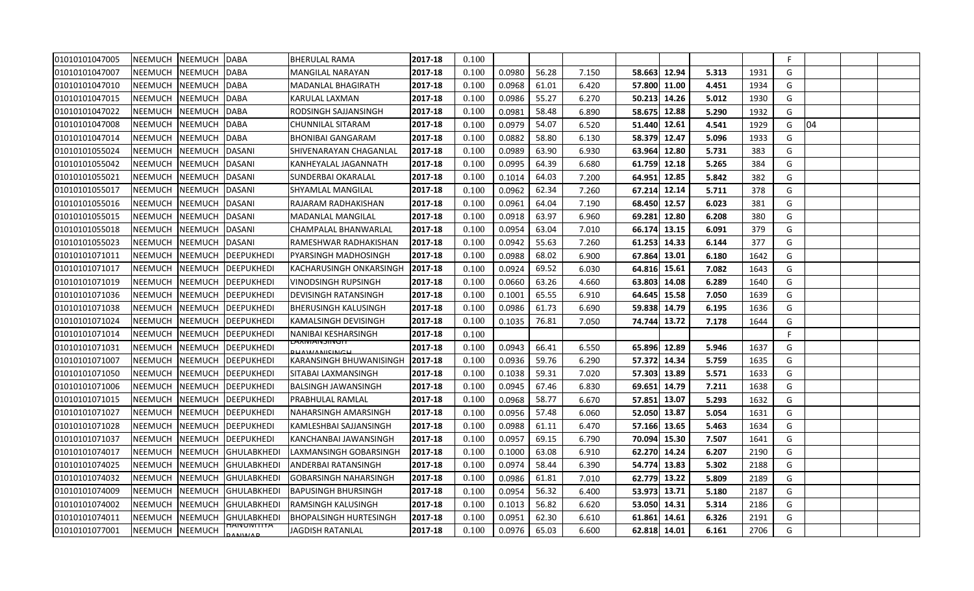| 01010101047005 | <b>NEEMUCH</b> | <b>NEEMUCH</b> | <b>DABA</b>          | <b>BHERULAL RAMA</b>                                                                                                                    | 2017-18 | 0.100 |        |       |       |              |              |       |      | F |    |  |
|----------------|----------------|----------------|----------------------|-----------------------------------------------------------------------------------------------------------------------------------------|---------|-------|--------|-------|-------|--------------|--------------|-------|------|---|----|--|
| 01010101047007 | NEEMUCH        | INEEMUCH       | <b>DABA</b>          | <b>MANGILAL NARAYAN</b>                                                                                                                 | 2017-18 | 0.100 | 0.0980 | 56.28 | 7.150 | 58.663 12.94 |              | 5.313 | 1931 | G |    |  |
| 01010101047010 | NEEMUCH        | <b>NEEMUCH</b> | <b>DABA</b>          | <b>MADANLAL BHAGIRATH</b>                                                                                                               | 2017-18 | 0.100 | 0.0968 | 61.01 | 6.420 | 57.800 11.00 |              | 4.451 | 1934 | G |    |  |
| 01010101047015 | NEEMUCH        | <b>NEEMUCH</b> | <b>DABA</b>          | <b>KARULAL LAXMAN</b>                                                                                                                   | 2017-18 | 0.100 | 0.0986 | 55.27 | 6.270 |              | 50.213 14.26 | 5.012 | 1930 | G |    |  |
| 01010101047022 | NEEMUCH        | <b>NEEMUCH</b> | <b>DABA</b>          | RODSINGH SAJJANSINGH                                                                                                                    | 2017-18 | 0.100 | 0.0981 | 58.48 | 6.890 | 58.675 12.88 |              | 5.290 | 1932 | G |    |  |
| 01010101047008 | NEEMUCH        | <b>NEEMUCH</b> | <b>DABA</b>          | <b>CHUNNILAL SITARAM</b>                                                                                                                | 2017-18 | 0.100 | 0.0979 | 54.07 | 6.520 | 51.440 12.61 |              | 4.541 | 1929 | G | 04 |  |
| 01010101047014 | NEEMUCH        | <b>NEEMUCH</b> | <b>DABA</b>          | <b>BHONIBAI GANGARAM</b>                                                                                                                | 2017-18 | 0.100 | 0.0882 | 58.80 | 6.130 | 58.379 12.47 |              | 5.096 | 1933 | G |    |  |
| 01010101055024 | NEEMUCH        | NEEMUCH        | <b>DASANI</b>        | SHIVENARAYAN CHAGANLAL                                                                                                                  | 2017-18 | 0.100 | 0.0989 | 63.90 | 6.930 | 63.964 12.80 |              | 5.731 | 383  | G |    |  |
| 01010101055042 | NEEMUCH        | <b>NEEMUCH</b> | DASANI               | KANHEYALAL JAGANNATH                                                                                                                    | 2017-18 | 0.100 | 0.0995 | 64.39 | 6.680 | 61.759 12.18 |              | 5.265 | 384  | G |    |  |
| 01010101055021 | NEEMUCH        | <b>NEEMUCH</b> | <b>DASANI</b>        | SUNDERBAI OKARALAL                                                                                                                      | 2017-18 | 0.100 | 0.1014 | 64.03 | 7.200 | 64.951 12.85 |              | 5.842 | 382  | G |    |  |
| 01010101055017 | NEEMUCH        | <b>NEEMUCH</b> | <b>DASANI</b>        | <b>SHYAMLAL MANGILAL</b>                                                                                                                | 2017-18 | 0.100 | 0.0962 | 62.34 | 7.260 | 67.214 12.14 |              | 5.711 | 378  | G |    |  |
| 01010101055016 | NEEMUCH        | <b>NEEMUCH</b> | <b>DASANI</b>        | RAJARAM RADHAKISHAN                                                                                                                     | 2017-18 | 0.100 | 0.0961 | 64.04 | 7.190 | 68.450 12.57 |              | 6.023 | 381  | G |    |  |
| 01010101055015 | NEEMUCH        | <b>NEEMUCH</b> | DASANI               | <b>MADANLAL MANGILAL</b>                                                                                                                | 2017-18 | 0.100 | 0.0918 | 63.97 | 6.960 | 69.281 12.80 |              | 6.208 | 380  | G |    |  |
| 01010101055018 | NEEMUCH        | <b>NEEMUCH</b> | <b>DASANI</b>        | CHAMPALAL BHANWARLAL                                                                                                                    | 2017-18 | 0.100 | 0.0954 | 63.04 | 7.010 | 66.174 13.15 |              | 6.091 | 379  | G |    |  |
| 01010101055023 | NEEMUCH        | <b>NEEMUCH</b> | <b>DASANI</b>        | RAMESHWAR RADHAKISHAN                                                                                                                   | 2017-18 | 0.100 | 0.0942 | 55.63 | 7.260 | 61.253 14.33 |              | 6.144 | 377  | G |    |  |
| 01010101071011 | NEEMUCH        | <b>NEEMUCH</b> | <b>DEEPUKHEDI</b>    | <b>PYARSINGH MADHOSINGH</b>                                                                                                             | 2017-18 | 0.100 | 0.0988 | 68.02 | 6.900 | 67.864 13.01 |              | 6.180 | 1642 | G |    |  |
| 01010101071017 | NEEMUCH        | <b>NEEMUCH</b> | <b>DEEPUKHEDI</b>    | KACHARUSINGH ONKARSINGH                                                                                                                 | 2017-18 | 0.100 | 0.0924 | 69.52 | 6.030 | 64.816 15.61 |              | 7.082 | 1643 | G |    |  |
| 01010101071019 | NEEMUCH        | <b>NEEMUCH</b> | DEEPUKHEDI           | <b>VINODSINGH RUPSINGH</b>                                                                                                              | 2017-18 | 0.100 | 0.0660 | 63.26 | 4.660 | 63.803 14.08 |              | 6.289 | 1640 | G |    |  |
| 01010101071036 | NEEMUCH        | <b>NEEMUCH</b> | DEEPUKHEDI           | <b>DEVISINGH RATANSINGH</b>                                                                                                             | 2017-18 | 0.100 | 0.1001 | 65.55 | 6.910 | 64.645 15.58 |              | 7.050 | 1639 | G |    |  |
| 01010101071038 | NEEMUCH        | <b>NEEMUCH</b> | <b>DEEPUKHED</b>     | BHERUSINGH KALUSINGH                                                                                                                    | 2017-18 | 0.100 | 0.0986 | 61.73 | 6.690 | 59.838 14.79 |              | 6.195 | 1636 | G |    |  |
| 01010101071024 | NEEMUCH        | <b>NEEMUCH</b> | DEEPUKHEDI           | KAMALSINGH DEVISINGH                                                                                                                    | 2017-18 | 0.100 | 0.1035 | 76.81 | 7.050 | 74.744 13.72 |              | 7.178 | 1644 | G |    |  |
| 01010101071014 | NEEMUCH        | <b>NEEMUCH</b> | <b>DEEPUKHEDI</b>    | NANIBAI KESHARSINGH                                                                                                                     | 2017-18 | 0.100 |        |       |       |              |              |       |      | F |    |  |
| 01010101071031 | NEEMUCH        | <b>NEEMUCH</b> | <b>DEEPUKHEDI</b>    | LAAIVIAIVSIIVUT<br>$\begin{array}{c}\n1 & 1 & 1 & 1 & 1 & 1 & 1 \\ 1 & 1 & 1 & 1 & 1 & 1 & 1 \\ 1 & 1 & 1 & 1 & 1 & 1 & 1\n\end{array}$ | 2017-18 | 0.100 | 0.0943 | 66.41 | 6.550 | 65.896 12.89 |              | 5.946 | 1637 | G |    |  |
| 01010101071007 | NEEMUCH        | <b>NEEMUCH</b> | DEEPUKHEDI           | KARANSINGH BHUWANISINGH                                                                                                                 | 2017-18 | 0.100 | 0.0936 | 59.76 | 6.290 | 57.372 14.34 |              | 5.759 | 1635 | G |    |  |
| 01010101071050 | NEEMUCH        | <b>NEEMUCH</b> | DEEPUKHEDI           | SITABAI LAXMANSINGH                                                                                                                     | 2017-18 | 0.100 | 0.1038 | 59.31 | 7.020 | 57.303 13.89 |              | 5.571 | 1633 | G |    |  |
| 01010101071006 | NEEMUCH        | <b>NEEMUCH</b> | DEEPUKHEDI           | <b>BALSINGH JAWANSINGH</b>                                                                                                              | 2017-18 | 0.100 | 0.0945 | 67.46 | 6.830 | 69.651 14.79 |              | 7.211 | 1638 | G |    |  |
| 01010101071015 | NEEMUCH        | <b>NEEMUCH</b> | <b>DEEPUKHEDI</b>    | PRABHULAL RAMLAL                                                                                                                        | 2017-18 | 0.100 | 0.0968 | 58.77 | 6.670 | 57.851 13.07 |              | 5.293 | 1632 | G |    |  |
| 01010101071027 | NEEMUCH        | <b>NEEMUCH</b> | <b>DEEPUKHEDI</b>    | NAHARSINGH AMARSINGH                                                                                                                    | 2017-18 | 0.100 | 0.0956 | 57.48 | 6.060 | 52.050 13.87 |              | 5.054 | 1631 | G |    |  |
| 01010101071028 | NEEMUCH        | <b>NEEMUCH</b> | DEEPUKHEDI           | KAMLESHBAI SAJJANSINGH                                                                                                                  | 2017-18 | 0.100 | 0.0988 | 61.11 | 6.470 | 57.166 13.65 |              | 5.463 | 1634 | G |    |  |
| 01010101071037 | NEEMUCH        | <b>NEEMUCH</b> | DEEPUKHEDI           | KANCHANBAI JAWANSINGH                                                                                                                   | 2017-18 | 0.100 | 0.0957 | 69.15 | 6.790 | 70.094 15.30 |              | 7.507 | 1641 | G |    |  |
| 01010101074017 | NEEMUCH        | <b>NEEMUCH</b> | GHULABKHEDI          | LAXMANSINGH GOBARSINGH                                                                                                                  | 2017-18 | 0.100 | 0.1000 | 63.08 | 6.910 | 62.270 14.24 |              | 6.207 | 2190 | G |    |  |
| 01010101074025 | NEEMUCH        | <b>NEEMUCH</b> | GHULABKHEDI          | ANDERBAI RATANSINGH                                                                                                                     | 2017-18 | 0.100 | 0.0974 | 58.44 | 6.390 | 54.774 13.83 |              | 5.302 | 2188 | G |    |  |
| 01010101074032 | NEEMUCH        | <b>NEEMUCH</b> | <b>GHULABKHEDI</b>   | GOBARSINGH NAHARSINGH                                                                                                                   | 2017-18 | 0.100 | 0.0986 | 61.81 | 7.010 | 62.779 13.22 |              | 5.809 | 2189 | G |    |  |
| 01010101074009 | NEEMUCH        | <b>NEEMUCH</b> | <b>GHULABKHEDI</b>   | <b>BAPUSINGH BHURSINGH</b>                                                                                                              | 2017-18 | 0.100 | 0.0954 | 56.32 | 6.400 | 53.973 13.71 |              | 5.180 | 2187 | G |    |  |
| 01010101074002 | NEEMUCH        | <b>NEEMUCH</b> | GHULABKHEDI          | RAMSINGH KALUSINGH                                                                                                                      | 2017-18 | 0.100 | 0.1013 | 56.82 | 6.620 | 53.050 14.31 |              | 5.314 | 2186 | G |    |  |
| 01010101074011 | NEEMUCH        | NEEMUCH        | GHULABKHEDI          | <b>BHOPALSINGH HURTESINGH</b>                                                                                                           | 2017-18 | 0.100 | 0.0951 | 62.30 | 6.610 | 61.861 14.61 |              | 6.326 | 2191 | G |    |  |
| 01010101077001 | <b>NEEMUCH</b> | <b>NEEMUCH</b> | <del>ianumiita</del> | JAGDISH RATANLAL                                                                                                                        | 2017-18 | 0.100 | 0.0976 | 65.03 | 6.600 | 62.818 14.01 |              | 6.161 | 2706 | G |    |  |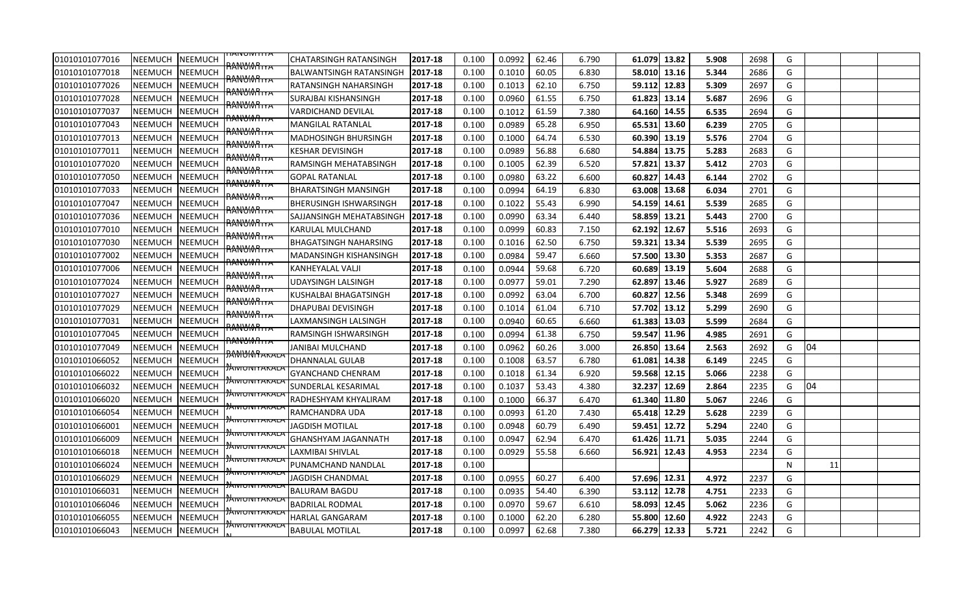| 01010101077016 | <b>NEEMUCH</b> | <b>NEEMUCH</b> | <b>TAINUIVITTITA</b>                                    | <b>CHATARSINGH RATANSINGH</b> | 2017-18 | 0.100 | 0.0992 | 62.46 | 6.790 | 61.079       | 13.82 | 5.908 | 2698 | G |    |  |
|----------------|----------------|----------------|---------------------------------------------------------|-------------------------------|---------|-------|--------|-------|-------|--------------|-------|-------|------|---|----|--|
| 01010101077018 | NEEMUCH        | <b>NEEMUCH</b> | <del>RANVMRπ</del>                                      | BALWANTSINGH RATANSINGH       | 2017-18 | 0.100 | 0.1010 | 60.05 | 6.830 | 58.010       | 13.16 | 5.344 | 2686 | G |    |  |
| 01010101077026 | NEEMUCH        | <b>NEEMUCH</b> | ᠲ <del>ᡘᡊᡟ᠔ᡃ᠌ᢙᡗ᠋᠇᠇</del> ᡔ<br>ᠲ <del>ᡘᡊᡟ᠔ᡃ᠌ᢙᡗ</del> ᠇᠇ᡔ | RATANSINGH NAHARSINGH         | 2017-18 | 0.100 | 0.1013 | 62.10 | 6.750 | 59.112       | 12.83 | 5.309 | 2697 | G |    |  |
| 01010101077028 | <b>NEEMUCH</b> | NEEMUCH        | <b>ANVOIOR 117</b>                                      | SURAJBAI KISHANSINGH          | 2017-18 | 0.100 | 0.0960 | 61.55 | 6.750 | 61.823       | 13.14 | 5.687 | 2696 | G |    |  |
| 01010101077037 | NEEMUCH        | <b>NEEMUCH</b> | <b>RANVIORTTA</b>                                       | VARDICHAND DEVILAL            | 2017-18 | 0.100 | 0.1012 | 61.59 | 7.380 | 64.160       | 14.55 | 6.535 | 2694 | G |    |  |
| 01010101077043 | NEEMUCH        | <b>NEEMUCH</b> | <del>RANVMRTTP</del>                                    | <b>MANGILAL RATANLAL</b>      | 2017-18 | 0.100 | 0.0989 | 65.28 | 6.950 | 65.531       | 13.60 | 6.239 | 2705 | G |    |  |
| 01010101077013 | <b>NEEMUCH</b> | <b>NEEMUCH</b> | <del>RANVMRTTA</del>                                    | MADHOSINGH BHURSINGH          | 2017-18 | 0.100 | 0.1000 | 64.74 | 6.530 | 60.390       | 13.19 | 5.576 | 2704 | G |    |  |
| 01010101077011 | <b>NEEMUCH</b> | <b>NEEMUCH</b> | <b>AANVMATTA</b>                                        | KESHAR DEVISINGH              | 2017-18 | 0.100 | 0.0989 | 56.88 | 6.680 | 54.884       | 13.75 | 5.283 | 2683 | G |    |  |
| 01010101077020 | NEEMUCH        | <b>NEEMUCH</b> | <del>RANVMRTTA</del>                                    | RAMSINGH MEHATABSINGH         | 2017-18 | 0.100 | 0.1005 | 62.39 | 6.520 | 57.821       | 13.37 | 5.412 | 2703 | G |    |  |
| 01010101077050 | <b>NEEMUCH</b> | <b>NEEMUCH</b> | ᠲᠲᠰᡫᡃᡉᠱᡉᡗ᠇᠇ᡔ                                            | GOPAL RATANLAL                | 2017-18 | 0.100 | 0.0980 | 63.22 | 6.600 | 60.827       | 14.43 | 6.144 | 2702 | G |    |  |
| 01010101077033 | NEEMUCH        | <b>NEEMUCH</b> | <b>AANVIORTTE</b>                                       | <b>BHARATSINGH MANSINGH</b>   | 2017-18 | 0.100 | 0.0994 | 64.19 | 6.830 | 63.008       | 13.68 | 6.034 | 2701 | G |    |  |
| 01010101077047 | <b>NEEMUCH</b> | <b>NEEMUCH</b> | ᠲ <del>ᡘᠰᡃ᠔ᡃᡝᡐ</del> ᡣ᠇᠇ᡔ                               | BHERUSINGH ISHWARSINGH        | 2017-18 | 0.100 | 0.1022 | 55.43 | 6.990 | 54.159       | 14.61 | 5.539 | 2685 | G |    |  |
| 01010101077036 | NEEMUCH        | <b>NEEMUCH</b> | ᡃ <del>ᡰ᠋᠋ᡘᠰᡃᡃᢗᠰᡐᡗ</del> ᠇᠇ <i>᠇</i>                    | SAJJANSINGH MEHATABSINGH      | 2017-18 | 0.100 | 0.0990 | 63.34 | 6.440 | 58.859       | 13.21 | 5.443 | 2700 | G |    |  |
| 01010101077010 | NEEMUCH        | <b>NEEMUCH</b> | ᡃ <del>ᡰ᠋᠋ᡘᠰᡃᡃᢗᠰᡐᡅ᠋᠇᠇</del>                             | KARULAL MULCHAND              | 2017-18 | 0.100 | 0.0999 | 60.83 | 7.150 | 62.192       | 12.67 | 5.516 | 2693 | G |    |  |
| 01010101077030 | NEEMUCH        | <b>NEEMUCH</b> | ᡃ <del>ᡰ᠋᠋ᡘᠰᡃ᠔ᡃᡰᡐ</del> ᠬ᠇᠇                             | <b>BHAGATSINGH NAHARSING</b>  | 2017-18 | 0.100 | 0.1016 | 62.50 | 6.750 | 59.321       | 13.34 | 5.539 | 2695 | G |    |  |
| 01010101077002 | NEEMUCH        | <b>NEEMUCH</b> | ᠰ᠋ <del>ᢂᢂ</del> ᠌ᡃ᠌ᡃᢥᠰ᠍                                | MADANSINGH KISHANSINGH        | 2017-18 | 0.100 | 0.0984 | 59.47 | 6.660 | 57.500       | 13.30 | 5.353 | 2687 | G |    |  |
| 01010101077006 | <b>NEEMUCH</b> | NEEMUCH        | <b>ANWMATTA</b>                                         | KANHEYALAL VALJI              | 2017-18 | 0.100 | 0.0944 | 59.68 | 6.720 | 60.689       | 13.19 | 5.604 | 2688 | G |    |  |
| 01010101077024 | NEEMUCH        | NEEMUCH        | ᠲᠲ <del>ᠷᢂ᠔ᡃᡝᡐ᠓</del> ᠇᠇ <del>᠇</del>                   | UDAYSINGH LALSINGH            | 2017-18 | 0.100 | 0.0977 | 59.01 | 7.290 | 62.897       | 13.46 | 5.927 | 2689 | G |    |  |
| 01010101077027 | NEEMUCH        | NEEMUCH        | ᠲᡘᡰ᠋ᢞ᠋ᡋᡰᡐᠰᡐᡗᠯ᠇᠇᠌᠇                                       | KUSHALBAI BHAGATSINGH         | 2017-18 | 0.100 | 0.0992 | 63.04 | 6.700 | 60.827       | 12.56 | 5.348 | 2699 | G |    |  |
| 01010101077029 | NEEMUCH        | NEEMUCH        | <b>AANOMATTA</b>                                        | <b>DHAPUBAI DEVISINGH</b>     | 2017-18 | 0.100 | 0.1014 | 61.04 | 6.710 | 57.702       | 13.12 | 5.299 | 2690 | G |    |  |
| 01010101077031 | NEEMUCH        | NEEMUCH        | <b>AANVINTTA</b>                                        | LAXMANSINGH LALSINGH          | 2017-18 | 0.100 | 0.0940 | 60.65 | 6.660 | 61.383       | 13.03 | 5.599 | 2684 | G |    |  |
| 01010101077045 | NEEMUCH        | NEEMUCH        | <b>AANVMATTA</b>                                        | RAMSINGH ISHWARSINGH          | 2017-18 | 0.100 | 0.0994 | 61.38 | 6.750 | 59.547       | 11.96 | 4.985 | 2691 | G |    |  |
| 01010101077049 | NEEMUCH        | NEEMUCH        | <del>ANUMPANAL</del>                                    | JANIBAI MULCHAND              | 2017-18 | 0.100 | 0.0962 | 60.26 | 3.000 | 26.850       | 13.64 | 2.563 | 2692 | G | 04 |  |
| 01010101066052 | NEEMUCH        | NEEMUCH        |                                                         | DHANNALAL GULAB               | 2017-18 | 0.100 | 0.1008 | 63.57 | 6.780 | 61.081       | 14.38 | 6.149 | 2245 | G |    |  |
| 01010101066022 | NEEMUCH        | NEEMUCH        | <del>AMUNITANAL/</del>                                  | GYANCHAND CHENRAM             | 2017-18 | 0.100 | 0.1018 | 61.34 | 6.920 | 59.568       | 12.15 | 5.066 | 2238 | G |    |  |
| 01010101066032 | NEEMUCH        | NEEMUCH        | <del>AMUNITANAL</del>                                   | SUNDERLAL KESARIMAL           | 2017-18 | 0.100 | 0.1037 | 53.43 | 4.380 | 32.237       | 12.69 | 2.864 | 2235 | G | 04 |  |
| 01010101066020 | NEEMUCH        | NEEMUCH        | <del>AMUNITANAL</del>                                   | RADHESHYAM KHYALIRAM          | 2017-18 | 0.100 | 0.1000 | 66.37 | 6.470 | 61.340       | 11.80 | 5.067 | 2246 | G |    |  |
| 01010101066054 | NEEMUCH        | NEEMUCH        | <u>AIVIUNITANALA</u>                                    | RAMCHANDRA UDA                | 2017-18 | 0.100 | 0.0993 | 61.20 | 7.430 | 65.418       | 12.29 | 5.628 | 2239 | G |    |  |
| 01010101066001 | NEEMUCH        | NEEMUCH        | <del>AMUNITANAL/</del>                                  | IAGDISH MOTILAL               | 2017-18 | 0.100 | 0.0948 | 60.79 | 6.490 | 59.451       | 12.72 | 5.294 | 2240 | G |    |  |
| 01010101066009 | NEEMUCH        | NEEMUCH        | <b>AIVIUINITANAL</b>                                    | GHANSHYAM JAGANNATH           | 2017-18 | 0.100 | 0.0947 | 62.94 | 6.470 | 61.426 11.71 |       | 5.035 | 2244 | G |    |  |
| 01010101066018 | NEEMUCH        | NEEMUCH        | <del>AMUNITANAL/</del>                                  | AXMIBAI SHIVLAL               | 2017-18 | 0.100 | 0.0929 | 55.58 | 6.660 | 56.921       | 12.43 | 4.953 | 2234 | G |    |  |
| 01010101066024 | NEEMUCH        | NEEMUCH        | <u>AMUNITANALA</u>                                      | PUNAMCHAND NANDLAL            | 2017-18 | 0.100 |        |       |       |              |       |       |      | N | 11 |  |
| 01010101066029 | NEEMUCH        | NEEMUCH        | <del>AMUNITANALA</del>                                  | AGDISH CHANDMAL               | 2017-18 | 0.100 | 0.0955 | 60.27 | 6.400 | 57.696       | 12.31 | 4.972 | 2237 | G |    |  |
| 01010101066031 | NEEMUCH        | NEEMUCH        | AIVIUNITANALA                                           | BALURAM BAGDU                 | 2017-18 | 0.100 | 0.0935 | 54.40 | 6.390 | 53.112       | 12.78 | 4.751 | 2233 | G |    |  |
| 01010101066046 | NEEMUCH        | NEEMUCH        | <u>AIVIUINITANALA</u>                                   | BADRILAL RODMAL               | 2017-18 | 0.100 | 0.0970 | 59.67 | 6.610 | 58.093 12.45 |       | 5.062 | 2236 | G |    |  |
| 01010101066055 | NEEMUCH        | NEEMUCH        | <b>AIVIUINITANAL</b>                                    | HARLAL GANGARAM               | 2017-18 | 0.100 | 0.1000 | 62.20 | 6.280 | 55.800       | 12.60 | 4.922 | 2243 | G |    |  |
| 01010101066043 | NEEMUCH        | <b>NEEMUCH</b> | <u>AIVIUNITANALA</u>                                    | <b>BABULAL MOTILAL</b>        | 2017-18 | 0.100 | 0.0997 | 62.68 | 7.380 | 66.279       | 12.33 | 5.721 | 2242 | G |    |  |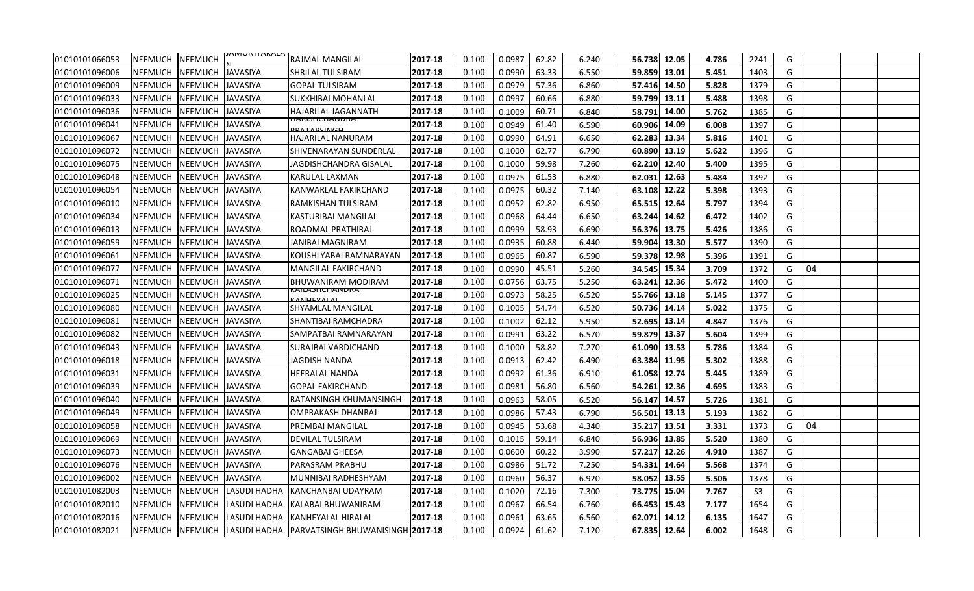| 01010101066053 | <b>NEEMUCH</b> | <b>NEEMUCH</b> | <b>JAIVIUNITANALA</b> | RAJMAL MANGILAL                               | 2017-18 | 0.100 | 0.0987 | 62.82 | 6.240 | 56.738       | 12.05 | 4.786 | 2241           | G |    |  |
|----------------|----------------|----------------|-----------------------|-----------------------------------------------|---------|-------|--------|-------|-------|--------------|-------|-------|----------------|---|----|--|
| 01010101096006 | <b>NEEMUCH</b> | <b>NEEMUCH</b> | <b>JAVASIYA</b>       | <b>SHRILAL TULSIRAM</b>                       | 2017-18 | 0.100 | 0.0990 | 63.33 | 6.550 | 59.859       | 13.01 | 5.451 | 1403           | G |    |  |
| 01010101096009 | <b>NEEMUCH</b> | <b>NEEMUCH</b> | <b>JAVASIYA</b>       | <b>GOPAL TULSIRAM</b>                         | 2017-18 | 0.100 | 0.0979 | 57.36 | 6.860 | 57.416       | 14.50 | 5.828 | 1379           | G |    |  |
| 01010101096033 | NEEMUCH        | <b>NEEMUCH</b> | <b>JAVASIYA</b>       | <b>SUKKHIBAI MOHANLAL</b>                     | 2017-18 | 0.100 | 0.0997 | 60.66 | 6.880 | 59.799       | 13.11 | 5.488 | 1398           | G |    |  |
| 01010101096036 | NEEMUCH        | <b>NEEMUCH</b> | <b>JAVASIYA</b>       | <b>HAJARILAL JAGANNATH</b>                    | 2017-18 | 0.100 | 0.1009 | 60.71 | 6.840 | 58.791       | 14.00 | 5.762 | 1385           | G |    |  |
| 01010101096041 | <b>NEEMUCH</b> | <b>NEEMUCH</b> | <b>JAVASIYA</b>       | <u> HANISHLHAINUNA</u><br><b>DATADCINICH</b>  | 2017-18 | 0.100 | 0.0949 | 61.40 | 6.590 | 60.906       | 14.09 | 6.008 | 1397           | G |    |  |
| 01010101096067 | <b>NEEMUCH</b> | <b>NEEMUCH</b> | <b>JAVASIYA</b>       | <b>HAJARILAL NANURAM</b>                      | 2017-18 | 0.100 | 0.0990 | 64.91 | 6.650 | 62.283       | 13.34 | 5.816 | 1401           | G |    |  |
| 01010101096072 | <b>NEEMUCH</b> | <b>NEEMUCH</b> | <b>JAVASIYA</b>       | SHIVENARAYAN SUNDERLAL                        | 2017-18 | 0.100 | 0.1000 | 62.77 | 6.790 | 60.890       | 13.19 | 5.622 | 1396           | G |    |  |
| 01010101096075 | <b>NEEMUCH</b> | <b>NEEMUCH</b> | <b>JAVASIYA</b>       | JAGDISHCHANDRA GISALAL                        | 2017-18 | 0.100 | 0.1000 | 59.98 | 7.260 | 62.210       | 12.40 | 5.400 | 1395           | G |    |  |
| 01010101096048 | <b>NEEMUCH</b> | <b>NEEMUCH</b> | <b>JAVASIYA</b>       | KARULAL LAXMAN                                | 2017-18 | 0.100 | 0.0975 | 61.53 | 6.880 | 62.031       | 12.63 | 5.484 | 1392           | G |    |  |
| 01010101096054 | <b>NEEMUCH</b> | <b>NEEMUCH</b> | <b>JAVASIYA</b>       | KANWARLAL FAKIRCHAND                          | 2017-18 | 0.100 | 0.0975 | 60.32 | 7.140 | 63.108       | 12.22 | 5.398 | 1393           | G |    |  |
| 01010101096010 | <b>NEEMUCH</b> | <b>NEEMUCH</b> | <b>JAVASIYA</b>       | RAMKISHAN TULSIRAM                            | 2017-18 | 0.100 | 0.0952 | 62.82 | 6.950 | 65.515       | 12.64 | 5.797 | 1394           | G |    |  |
| 01010101096034 | <b>NEEMUCH</b> | <b>NEEMUCH</b> | <b>JAVASIYA</b>       | KASTURIBAI MANGILAL                           | 2017-18 | 0.100 | 0.0968 | 64.44 | 6.650 | 63.244       | 14.62 | 6.472 | 1402           | G |    |  |
| 01010101096013 | <b>NEEMUCH</b> | <b>NEEMUCH</b> | <b>JAVASIYA</b>       | ROADMAL PRATHIRAJ                             | 2017-18 | 0.100 | 0.0999 | 58.93 | 6.690 | 56.376       | 13.75 | 5.426 | 1386           | G |    |  |
| 01010101096059 | <b>NEEMUCH</b> | <b>NEEMUCH</b> | <b>JAVASIYA</b>       | JANIBAI MAGNIRAM                              | 2017-18 | 0.100 | 0.0935 | 60.88 | 6.440 | 59.904       | 13.30 | 5.577 | 1390           | G |    |  |
| 01010101096061 | <b>NEEMUCH</b> | <b>NEEMUCH</b> | <b>JAVASIYA</b>       | KOUSHLYABAI RAMNARAYAN                        | 2017-18 | 0.100 | 0.0965 | 60.87 | 6.590 | 59.378       | 12.98 | 5.396 | 1391           | G |    |  |
| 01010101096077 | <b>NEEMUCH</b> | <b>NEEMUCH</b> | <b>JAVASIYA</b>       | MANGILAL FAKIRCHAND                           | 2017-18 | 0.100 | 0.0990 | 45.51 | 5.260 | 34.545 15.34 |       | 3.709 | 1372           | G | 04 |  |
| 01010101096071 | <b>NEEMUCH</b> | <b>NEEMUCH</b> | <b>JAVASIYA</b>       | BHUWANIRAM MODIRAM                            | 2017-18 | 0.100 | 0.0756 | 63.75 | 5.250 | 63.241       | 12.36 | 5.472 | 1400           | G |    |  |
| 01010101096025 | <b>NEEMUCH</b> | <b>NEEMUCH</b> | <b>JAVASIYA</b>       | <u>AILASHUHAINUNA</u><br>$A$ MILITY ALA       | 2017-18 | 0.100 | 0.0973 | 58.25 | 6.520 | 55.766       | 13.18 | 5.145 | 1377           | G |    |  |
| 01010101096080 | <b>NEEMUCH</b> | <b>NEEMUCH</b> | <b>JAVASIYA</b>       | SHYAMLAL MANGILAL                             | 2017-18 | 0.100 | 0.1005 | 54.74 | 6.520 | 50.736       | 14.14 | 5.022 | 1375           | G |    |  |
| 01010101096081 | <b>NEEMUCH</b> | <b>NEEMUCH</b> | <b>JAVASIYA</b>       | <b>SHANTIBAI RAMCHADRA</b>                    | 2017-18 | 0.100 | 0.1002 | 62.12 | 5.950 | 52.695 13.14 |       | 4.847 | 1376           | G |    |  |
| 01010101096082 | <b>NEEMUCH</b> | <b>NEEMUCH</b> | <b>JAVASIYA</b>       | SAMPATBAI RAMNARAYAN                          | 2017-18 | 0.100 | 0.0991 | 63.22 | 6.570 | 59.879 13.37 |       | 5.604 | 1399           | G |    |  |
| 01010101096043 | <b>NEEMUCH</b> | <b>NEEMUCH</b> | <b>JAVASIYA</b>       | SURAJBAI VARDICHAND                           | 2017-18 | 0.100 | 0.1000 | 58.82 | 7.270 | 61.090 13.53 |       | 5.786 | 1384           | G |    |  |
| 01010101096018 | NEEMUCH        | <b>NEEMUCH</b> | <b>JAVASIYA</b>       | <b>JAGDISH NANDA</b>                          | 2017-18 | 0.100 | 0.0913 | 62.42 | 6.490 | 63.384 11.95 |       | 5.302 | 1388           | G |    |  |
| 01010101096031 | NEEMUCH        | <b>NEEMUCH</b> | <b>JAVASIYA</b>       | <b>HEERALAL NANDA</b>                         | 2017-18 | 0.100 | 0.0992 | 61.36 | 6.910 | 61.058 12.74 |       | 5.445 | 1389           | G |    |  |
| 01010101096039 | NEEMUCH        | <b>NEEMUCH</b> | <b>JAVASIYA</b>       | <b>GOPAL FAKIRCHAND</b>                       | 2017-18 | 0.100 | 0.0981 | 56.80 | 6.560 | 54.261 12.36 |       | 4.695 | 1383           | G |    |  |
| 01010101096040 | NEEMUCH        | <b>NEEMUCH</b> | <b>JAVASIYA</b>       | RATANSINGH KHUMANSINGH                        | 2017-18 | 0.100 | 0.0963 | 58.05 | 6.520 | 56.147 14.57 |       | 5.726 | 1381           | G |    |  |
| 01010101096049 | NEEMUCH        | <b>NEEMUCH</b> | <b>JAVASIYA</b>       | OMPRAKASH DHANRAJ                             | 2017-18 | 0.100 | 0.0986 | 57.43 | 6.790 | 56.501       | 13.13 | 5.193 | 1382           | G |    |  |
| 01010101096058 | NEEMUCH        | <b>NEEMUCH</b> | <b>JAVASIYA</b>       | PREMBAI MANGILAL                              | 2017-18 | 0.100 | 0.0945 | 53.68 | 4.340 | 35.217 13.51 |       | 3.331 | 1373           | G | 04 |  |
| 01010101096069 | NEEMUCH        | <b>NEEMUCH</b> | <b>JAVASIYA</b>       | <b>DEVILAL TULSIRAM</b>                       | 2017-18 | 0.100 | 0.1015 | 59.14 | 6.840 | 56.936 13.85 |       | 5.520 | 1380           | G |    |  |
| 01010101096073 | NEEMUCH        | <b>NEEMUCH</b> | <b>JAVASIYA</b>       | <b>GANGABAI GHEESA</b>                        | 2017-18 | 0.100 | 0.0600 | 60.22 | 3.990 | 57.217 12.26 |       | 4.910 | 1387           | G |    |  |
| 01010101096076 | NEEMUCH        | <b>NEEMUCH</b> | <b>JAVASIYA</b>       | <b>PARASRAM PRABHU</b>                        | 2017-18 | 0.100 | 0.0986 | 51.72 | 7.250 | 54.331 14.64 |       | 5.568 | 1374           | G |    |  |
| 01010101096002 | NEEMUCH        | <b>NEEMUCH</b> | <b>JAVASIYA</b>       | MUNNIBAI RADHESHYAM                           | 2017-18 | 0.100 | 0.0960 | 56.37 | 6.920 | 58.052 13.55 |       | 5.506 | 1378           | G |    |  |
| 01010101082003 | NEEMUCH        | <b>NEEMUCH</b> | LASUDI HADHA          | KANCHANBAI UDAYRAM                            | 2017-18 | 0.100 | 0.1020 | 72.16 | 7.300 | 73.775 15.04 |       | 7.767 | S <sub>3</sub> | G |    |  |
| 01010101082010 | NEEMUCH        | <b>NEEMUCH</b> | LASUDI HADHA          | KALABAI BHUWANIRAM                            | 2017-18 | 0.100 | 0.0967 | 66.54 | 6.760 | 66.453 15.43 |       | 7.177 | 1654           | G |    |  |
| 01010101082016 | NEEMUCH        | <b>NEEMUCH</b> | LASUDI HADHA          | <b>I</b> KANHEYALAL HIRALAL                   | 2017-18 | 0.100 | 0.0961 | 63.65 | 6.560 | 62.071       | 14.12 | 6.135 | 1647           | G |    |  |
| 01010101082021 | <b>NEEMUCH</b> | <b>NEEMUCH</b> |                       | LASUDI HADHA PARVATSINGH BHUWANISINGH 2017-18 |         | 0.100 | 0.0924 | 61.62 | 7.120 | 67.835 12.64 |       | 6.002 | 1648           | G |    |  |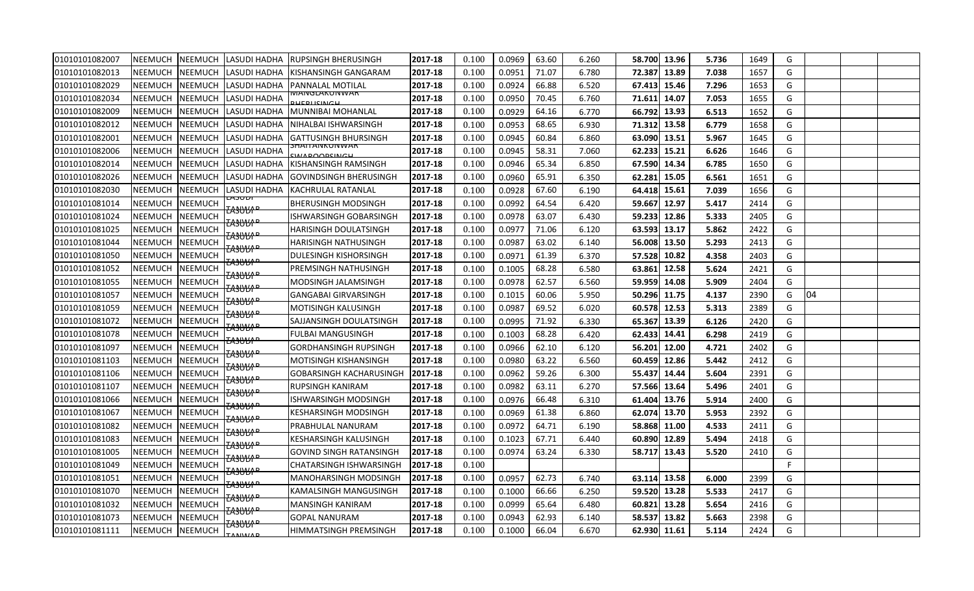| 01010101082007 | <b>NEEMUCH</b> | <b>NEEMUCH</b> | <b>LASUDI HADHA</b>                                     | <b>RUPSINGH BHERUSINGH</b>                  | 2017-18 | 0.100 | 0.0969 | 63.60 | 6.260 | 58.700 13.96 | 5.736 | 1649 | G |    |  |
|----------------|----------------|----------------|---------------------------------------------------------|---------------------------------------------|---------|-------|--------|-------|-------|--------------|-------|------|---|----|--|
| 01010101082013 | NEEMUCH        | <b>NEEMUCH</b> | LASUDI HADHA                                            | KISHANSINGH GANGARAM                        | 2017-18 | 0.100 | 0.0951 | 71.07 | 6.780 | 72.387 13.89 | 7.038 | 1657 | G |    |  |
| 01010101082029 | NEEMUCH        | <b>NEEMUCH</b> | LASUDI HADHA                                            | IPANNALAL MOTILAL                           | 2017-18 | 0.100 | 0.0924 | 66.88 | 6.520 | 67.413 15.46 | 7.296 | 1653 | G |    |  |
| 01010101082034 | NEEMUCH        | <b>NEEMUCH</b> | <b>LASUDI HADHA</b>                                     | <u>VIANULANUNWAN</u><br><b>ULEDI ICINCU</b> | 2017-18 | 0.100 | 0.0950 | 70.45 | 6.760 | 71.611 14.07 | 7.053 | 1655 | G |    |  |
| 01010101082009 | NEEMUCH        | <b>NEEMUCH</b> | LASUDI HADHA                                            | MUNNIBAI MOHANLAL                           | 2017-18 | 0.100 | 0.0929 | 64.16 | 6.770 | 66.792 13.93 | 6.513 | 1652 | G |    |  |
| 01010101082012 | NEEMUCH        | <b>NEEMUCH</b> | LASUDI HADHA                                            | NIHALBAI ISHWARSINGH                        | 2017-18 | 0.100 | 0.0953 | 68.65 | 6.930 | 71.312 13.58 | 6.779 | 1658 | G |    |  |
| 01010101082001 | NEEMUCH        | <b>NEEMUCH</b> | LASUDI HADHA                                            | <b>GATTUSINGH BHURSINGH</b>                 | 2017-18 | 0.100 | 0.0945 | 60.84 | 6.860 | 63.090 13.51 | 5.967 | 1645 | G |    |  |
| 01010101082006 | NEEMUCH        | <b>NEEMUCH</b> | LASUDI HADHA                                            | <b>SHAH ANNUNWAN</b><br><b>MAROODCINICH</b> | 2017-18 | 0.100 | 0.0945 | 58.31 | 7.060 | 62.233 15.21 | 6.626 | 1646 | G |    |  |
| 01010101082014 | NEEMUCH        | <b>NEEMUCH</b> | LASUDI HADHA                                            | KISHANSINGH RAMSINGH                        | 2017-18 | 0.100 | 0.0946 | 65.34 | 6.850 | 67.590 14.34 | 6.785 | 1650 | G |    |  |
| 01010101082026 | NEEMUCH        | <b>NEEMUCH</b> | <b>LASUDI HADHA</b>                                     | <b>GOVINDSINGH BHERUSINGH</b>               | 2017-18 | 0.100 | 0.0960 | 65.91 | 6.350 | 62.281 15.05 | 6.561 | 1651 | G |    |  |
| 01010101082030 | NEEMUCH        | <b>NEEMUCH</b> | LASUDI HADHA                                            | KACHRULAL RATANLAL                          | 2017-18 | 0.100 | 0.0928 | 67.60 | 6.190 | 64.418 15.61 | 7.039 | 1656 | G |    |  |
| 01010101081014 | NEEMUCH        | <b>NEEMUCH</b> | <u>אט</u> כא.                                           | <b>BHERUSINGH MODSINGH</b>                  | 2017-18 | 0.100 | 0.0992 | 64.54 | 6.420 | 59.667 12.97 | 5.417 | 2414 | G |    |  |
| 01010101081024 | NEEMUCH        | <b>NEEMUCH</b> | <del>EASULIAR</del>                                     | ISHWARSINGH GOBARSINGH                      | 2017-18 | 0.100 | 0.0978 | 63.07 | 6.430 | 59.233 12.86 | 5.333 | 2405 | G |    |  |
| 01010101081025 | NEEMUCH        | <b>NEEMUCH</b> | <del>EASULIAR</del>                                     | HARISINGH DOULATSINGH                       | 2017-18 | 0.100 | 0.0977 | 71.06 | 6.120 | 63.593 13.17 | 5.862 | 2422 | G |    |  |
| 01010101081044 | NEEMUCH        | <b>NEEMUCH</b> | <b>EA<del>SULIA P</del></b>                             | <b>HARISINGH NATHUSINGH</b>                 | 2017-18 | 0.100 | 0.0987 | 63.02 | 6.140 | 56.008 13.50 | 5.293 | 2413 | G |    |  |
| 01010101081050 | NEEMUCH        | <b>NEEMUCH</b> | <b>EA<del>SULIA P</del></b>                             | <b>DULESINGH KISHORSINGH</b>                | 2017-18 | 0.100 | 0.0971 | 61.39 | 6.370 | 57.528 10.82 | 4.358 | 2403 | G |    |  |
| 01010101081052 | NEEMUCH        | <b>NEEMUCH</b> | <b>EA<del>SULIA P</del></b>                             | <b>PREMSINGH NATHUSINGH</b>                 | 2017-18 | 0.100 | 0.1005 | 68.28 | 6.580 | 63.861 12.58 | 5.624 | 2421 | G |    |  |
| 01010101081055 | NEEMUCH        | <b>NEEMUCH</b> | <b>TASULLAP</b>                                         | MODSINGH JALAMSINGH                         | 2017-18 | 0.100 | 0.0978 | 62.57 | 6.560 | 59.959 14.08 | 5.909 | 2404 | G |    |  |
| 01010101081057 | NEEMUCH        | NEEMUCH        | <del>TASUW P</del>                                      | GANGABAI GIRVARSINGH                        | 2017-18 | 0.100 | 0.1015 | 60.06 | 5.950 | 50.296 11.75 | 4.137 | 2390 | G | 04 |  |
| 01010101081059 | NEEMUCH        | <b>NEEMUCH</b> | <del>TASUW P</del>                                      | MOTISINGH KALUSINGH                         | 2017-18 | 0.100 | 0.0987 | 69.52 | 6.020 | 60.578 12.53 | 5.313 | 2389 | G |    |  |
| 01010101081072 | NEEMUCH        | <b>NEEMUCH</b> | <b>TASULAR</b>                                          | SAJJANSINGH DOULATSINGH                     | 2017-18 | 0.100 | 0.0995 | 71.92 | 6.330 | 65.367 13.39 | 6.126 | 2420 | G |    |  |
| 01010101081078 | NEEMUCH        | <b>NEEMUCH</b> | <b>EASULLAR</b><br><b>EASULLAR</b>                      | <b>FULBAI MANGUSINGH</b>                    | 2017-18 | 0.100 | 0.1003 | 68.28 | 6.420 | 62.433 14.41 | 6.298 | 2419 | G |    |  |
| 01010101081097 | NEEMUCH        | <b>NEEMUCH</b> | <b>TASULAR</b>                                          | <b>GORDHANSINGH RUPSINGH</b>                | 2017-18 | 0.100 | 0.0966 | 62.10 | 6.120 | 56.201 12.00 | 4.721 | 2402 | G |    |  |
| 01010101081103 | NEEMUCH        | <b>NEEMUCH</b> | <b>TASULAR</b>                                          | <b>MOTISINGH KISHANSINGH</b>                | 2017-18 | 0.100 | 0.0980 | 63.22 | 6.560 | 60.459 12.86 | 5.442 | 2412 | G |    |  |
| 01010101081106 | NEEMUCH        | <b>NEEMUCH</b> |                                                         | <b>GOBARSINGH KACHARUSINGH</b>              | 2017-18 | 0.100 | 0.0962 | 59.26 | 6.300 | 55.437 14.44 | 5.604 | 2391 | G |    |  |
| 01010101081107 | NEEMUCH        | <b>NEEMUCH</b> | <del>EASULIA P</del>                                    | <b>RUPSINGH KANIRAM</b>                     | 2017-18 | 0.100 | 0.0982 | 63.11 | 6.270 | 57.566 13.64 | 5.496 | 2401 | G |    |  |
| 01010101081066 | NEEMUCH        | <b>NEEMUCH</b> | <del>EASULIA P</del>                                    | <b>ISHWARSINGH MODSINGH</b>                 | 2017-18 | 0.100 | 0.0976 | 66.48 | 6.310 | 61.404 13.76 | 5.914 | 2400 | G |    |  |
| 01010101081067 | NEEMUCH        | <b>NEEMUCH</b> | <b>EA<del>SULIA P</del></b>                             | KESHARSINGH MODSINGH                        | 2017-18 | 0.100 | 0.0969 | 61.38 | 6.860 | 62.074 13.70 | 5.953 | 2392 | G |    |  |
| 01010101081082 | NEEMUCH        | <b>NEEMUCH</b> | <b>EA<del>SULIA P</del></b><br><b>EA<del>SUWP</del></b> | PRABHULAL NANURAM                           | 2017-18 | 0.100 | 0.0972 | 64.71 | 6.190 | 58.868 11.00 | 4.533 | 2411 | G |    |  |
| 01010101081083 | NEEMUCH        | NEEMUCH        | <b>TASULLAP</b>                                         | KESHARSINGH KALUSINGH                       | 2017-18 | 0.100 | 0.1023 | 67.71 | 6.440 | 60.890 12.89 | 5.494 | 2418 | G |    |  |
| 01010101081005 | NEEMUCH        | NEEMUCH        | <del>TASUW P</del>                                      | <b>GOVIND SINGH RATANSINGH</b>              | 2017-18 | 0.100 | 0.0974 | 63.24 | 6.330 | 58.717 13.43 | 5.520 | 2410 | G |    |  |
| 01010101081049 | NEEMUCH        | <b>NEEMUCH</b> |                                                         | CHATARSINGH ISHWARSINGH                     | 2017-18 | 0.100 |        |       |       |              |       |      | F |    |  |
| 01010101081051 | NEEMUCH        | <b>NEEMUCH</b> | <del>TASUW P</del><br><b>EASULLAR</b>                   | <b>MANOHARSINGH MODSINGH</b>                | 2017-18 | 0.100 | 0.0957 | 62.73 | 6.740 | 63.114 13.58 | 6.000 | 2399 | G |    |  |
| 01010101081070 | NEEMUCH        | <b>NEEMUCH</b> | <del>TASULA P</del>                                     | <b>KAMALSINGH MANGUSINGH</b>                | 2017-18 | 0.100 | 0.1000 | 66.66 | 6.250 | 59.520 13.28 | 5.533 | 2417 | G |    |  |
| 01010101081032 | NEEMUCH        | <b>NEEMUCH</b> | <b>EA<del>SUWP</del></b>                                | <b>MANSINGH KANIRAM</b>                     | 2017-18 | 0.100 | 0.0999 | 65.64 | 6.480 | 60.821 13.28 | 5.654 | 2416 | G |    |  |
| 01010101081073 | NEEMUCH        | <b>NEEMUCH</b> | <b>TASULAR</b>                                          | <b>GOPAL NANURAM</b>                        | 2017-18 | 0.100 | 0.0943 | 62.93 | 6.140 | 58.537 13.82 | 5.663 | 2398 | G |    |  |
| 01010101081111 | <b>NEEMUCH</b> | <b>NEEMUCH</b> | $\lambda$ MIMIAD                                        | HIMMATSINGH PREMSINGH                       | 2017-18 | 0.100 | 0.1000 | 66.04 | 6.670 | 62.930 11.61 | 5.114 | 2424 | G |    |  |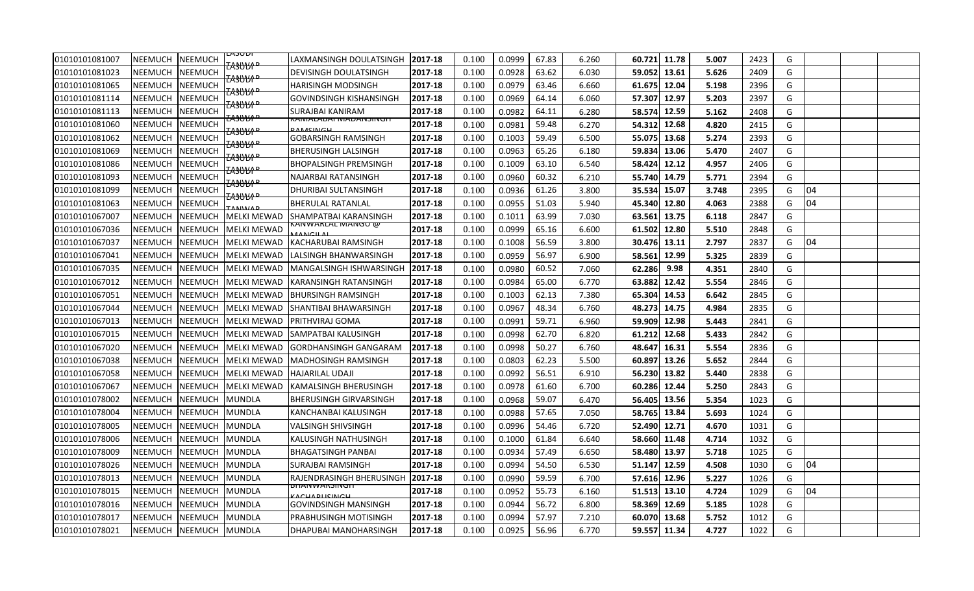|                |                |                | <u> เหวบมา</u>                             |                                                |          |       |        |       |       |              |              |       |      |   |    |  |
|----------------|----------------|----------------|--------------------------------------------|------------------------------------------------|----------|-------|--------|-------|-------|--------------|--------------|-------|------|---|----|--|
| 01010101081007 | <b>NEEMUCH</b> | <b>NEEMUCH</b> | <del>TASUW P</del>                         | LAXMANSINGH DOULATSINGH                        | 12017-18 | 0.100 | 0.0999 | 67.83 | 6.260 | 60.721 11.78 |              | 5.007 | 2423 | G |    |  |
| 01010101081023 | NEEMUCH        | <b>NEEMUCH</b> | <del>TASUW P</del>                         | <b>DEVISINGH DOULATSINGH</b>                   | 2017-18  | 0.100 | 0.0928 | 63.62 | 6.030 | 59.052       | 13.61        | 5.626 | 2409 | G |    |  |
| 01010101081065 | NEEMUCH        | <b>NEEMUCH</b> | <del>TASULIA P</del>                       | <b>HARISINGH MODSINGH</b>                      | 2017-18  | 0.100 | 0.0979 | 63.46 | 6.660 | 61.675       | 12.04        | 5.198 | 2396 | G |    |  |
| 01010101081114 | NEEMUCH        | NEEMUCH        | <b>TASULAP</b>                             | <b>GOVINDSINGH KISHANSINGH</b>                 | 2017-18  | 0.100 | 0.0969 | 64.14 | 6.060 | 57.307       | 12.97        | 5.203 | 2397 | G |    |  |
| 01010101081113 | NEEMUCH        | <b>NEEMUCH</b> | <b>TASULAR</b>                             | SURAJBAI KANIRAM                               | 2017-18  | 0.100 | 0.0982 | 64.11 | 6.280 | 58.574       | 12.59        | 5.162 | 2408 | G |    |  |
| 01010101081060 | NEEMUCH        | <b>NEEMUCH</b> | <del>TASULA P</del>                        | NAIVIALADAI IVIADAIVOIIVUN<br><b>A MCINICH</b> | 2017-18  | 0.100 | 0.0981 | 59.48 | 6.270 | 54.312       | 12.68        | 4.820 | 2415 | G |    |  |
| 01010101081062 | NEEMUCH        | <b>NEEMUCH</b> | <del>TASUW P</del>                         | <b>GOBARSINGH RAMSINGH</b>                     | 2017-18  | 0.100 | 0.1003 | 59.49 | 6.500 | 55.075       | 13.68        | 5.274 | 2393 | G |    |  |
| 01010101081069 | NEEMUCH        | <b>NEEMUCH</b> |                                            | IBHERUSINGH LALSINGH                           | 2017-18  | 0.100 | 0.0963 | 65.26 | 6.180 | 59.834       | 13.06        | 5.470 | 2407 | G |    |  |
| 01010101081086 | NEEMUCH        | <b>NEEMUCH</b> | <del>TASUW P</del>                         | <b>BHOPALSINGH PREMSINGH</b>                   | 2017-18  | 0.100 | 0.1009 | 63.10 | 6.540 | 58.424       | 12.12        | 4.957 | 2406 | G |    |  |
| 01010101081093 | NEEMUCH        | <b>NEEMUCH</b> | <del>TASUW P</del><br><b>TASULAP</b>       | NAJARBAI RATANSINGH                            | 2017-18  | 0.100 | 0.0960 | 60.32 | 6.210 | 55.740 14.79 |              | 5.771 | 2394 | G |    |  |
| 01010101081099 | NEEMUCH        | <b>NEEMUCH</b> |                                            | <b>DHURIBAI SULTANSINGH</b>                    | 2017-18  | 0.100 | 0.0936 | 61.26 | 3.800 | 35.534 15.07 |              | 3.748 | 2395 | G | 04 |  |
| 01010101081063 | NEEMUCH        | <b>NEEMUCH</b> | <b>EA<del>SUW P</del></b><br><b>ANIMAD</b> | <b>BHERULAL RATANLAL</b>                       | 2017-18  | 0.100 | 0.0955 | 51.03 | 5.940 | 45.340 12.80 |              | 4.063 | 2388 | G | 04 |  |
| 01010101067007 | NEEMUCH        | <b>NEEMUCH</b> | MELKI MEWAD                                | ISHAMPATBAI KARANSINGH                         | 2017-18  | 0.100 | 0.1011 | 63.99 | 7.030 | 63.561 13.75 |              | 6.118 | 2847 | G |    |  |
| 01010101067036 | NEEMUCH        | <b>NEEMUCH</b> | <b>MELKI MEWAD</b>                         | ש טטאואוואר א די האטארא ג                      | 2017-18  | 0.100 | 0.0999 | 65.16 | 6.600 | 61.502 12.80 |              | 5.510 | 2848 | G |    |  |
| 01010101067037 | NEEMUCH        | <b>NEEMUCH</b> | <b>MELKI MEWAD</b>                         | KACHARUBAI RAMSINGH                            | 2017-18  | 0.100 | 0.1008 | 56.59 | 3.800 | 30.476       | 13.11        | 2.797 | 2837 | G | 04 |  |
| 01010101067041 | NEEMUCH        | <b>NEEMUCH</b> | <b>MELKI MEWAD</b>                         | <b>LALSINGH BHANWARSINGH</b>                   | 2017-18  | 0.100 | 0.0959 | 56.97 | 6.900 | 58.561       | 12.99        | 5.325 | 2839 | G |    |  |
| 01010101067035 | NEEMUCH        | <b>NEEMUCH</b> | <b>MELKI MEWAD</b>                         | <b>MANGALSINGH ISHWARSINGH</b>                 | 2017-18  | 0.100 | 0.0980 | 60.52 | 7.060 | 62.286       | 9.98         | 4.351 | 2840 | G |    |  |
| 01010101067012 | <b>NEEMUCH</b> | <b>NEEMUCH</b> | <b>MELKI MEWAD</b>                         | KARANSINGH RATANSINGH                          | 2017-18  | 0.100 | 0.0984 | 65.00 | 6.770 | 63.882       | 12.42        | 5.554 | 2846 | G |    |  |
| 01010101067051 | <b>NEEMUCH</b> | <b>NEEMUCH</b> | <b>MELKI MEWAD</b>                         | <b>BHURSINGH RAMSINGH</b>                      | 2017-18  | 0.100 | 0.1003 | 62.13 | 7.380 | 65.304 14.53 |              | 6.642 | 2845 | G |    |  |
| 01010101067044 | <b>NEEMUCH</b> | <b>NEEMUCH</b> | <b>MELKI MEWAD</b>                         | SHANTIBAI BHAWARSINGH                          | 2017-18  | 0.100 | 0.0967 | 48.34 | 6.760 | 48.273       | 14.75        | 4.984 | 2835 | G |    |  |
| 01010101067013 | <b>NEEMUCH</b> | <b>NEEMUCH</b> | <b>MELKI MEWAD</b>                         | <b>PRITHVIRAJ GOMA</b>                         | 2017-18  | 0.100 | 0.0991 | 59.71 | 6.960 | 59.909 12.98 |              | 5.443 | 2841 | G |    |  |
| 01010101067015 | NEEMUCH        | <b>NEEMUCH</b> | <b>MELKI MEWAD</b>                         | SAMPATBAI KALUSINGH                            | 2017-18  | 0.100 | 0.0998 | 62.70 | 6.820 | 61.212       | 12.68        | 5.433 | 2842 | G |    |  |
| 01010101067020 | NEEMUCH        | <b>NEEMUCH</b> | <b>MELKI MEWAD</b>                         | <b>GORDHANSINGH GANGARAM</b>                   | 2017-18  | 0.100 | 0.0998 | 50.27 | 6.760 | 48.647 16.31 |              | 5.554 | 2836 | G |    |  |
| 01010101067038 | NEEMUCH        | <b>NEEMUCH</b> | <b>MELKI MEWAD</b>                         | <b>MADHOSINGH RAMSINGH</b>                     | 2017-18  | 0.100 | 0.0803 | 62.23 | 5.500 | 60.897 13.26 |              | 5.652 | 2844 | G |    |  |
| 01010101067058 | NEEMUCH        | <b>NEEMUCH</b> | <b>MELKI MEWAD</b>                         | <b>HAJARILAL UDAJI</b>                         | 2017-18  | 0.100 | 0.0992 | 56.51 | 6.910 | 56.230 13.82 |              | 5.440 | 2838 | G |    |  |
| 01010101067067 | NEEMUCH        | <b>NEEMUCH</b> | <b>MELKI MEWAD</b>                         | <b>KAMALSINGH BHERUSINGH</b>                   | 2017-18  | 0.100 | 0.0978 | 61.60 | 6.700 | 60.286 12.44 |              | 5.250 | 2843 | G |    |  |
| 01010101078002 | NEEMUCH        | <b>NEEMUCH</b> | <b>MUNDLA</b>                              | <b>BHERUSINGH GIRVARSINGH</b>                  | 2017-18  | 0.100 | 0.0968 | 59.07 | 6.470 | 56.405 13.56 |              | 5.354 | 1023 | G |    |  |
| 01010101078004 | NEEMUCH        | <b>NEEMUCH</b> | <b>MUNDLA</b>                              | KANCHANBAI KALUSINGH                           | 2017-18  | 0.100 | 0.0988 | 57.65 | 7.050 | 58.765 13.84 |              | 5.693 | 1024 | G |    |  |
| 01010101078005 | NEEMUCH        | <b>NEEMUCH</b> | <b>MUNDLA</b>                              | <b>VALSINGH SHIVSINGH</b>                      | 2017-18  | 0.100 | 0.0996 | 54.46 | 6.720 | 52.490 12.71 |              | 4.670 | 1031 | G |    |  |
| 01010101078006 | NEEMUCH        | <b>NEEMUCH</b> | MUNDLA                                     | KALUSINGH NATHUSINGH                           | 2017-18  | 0.100 | 0.1000 | 61.84 | 6.640 | 58.660 11.48 |              | 4.714 | 1032 | G |    |  |
| 01010101078009 | NEEMUCH        | <b>NEEMUCH</b> | MUNDLA                                     | <b>BHAGATSINGH PANBAI</b>                      | 2017-18  | 0.100 | 0.0934 | 57.49 | 6.650 | 58.480 13.97 |              | 5.718 | 1025 | G |    |  |
| 01010101078026 | NEEMUCH        | <b>NEEMUCH</b> | MUNDLA                                     | <b>SURAJBAI RAMSINGH</b>                       | 2017-18  | 0.100 | 0.0994 | 54.50 | 6.530 | 51.147 12.59 |              | 4.508 | 1030 | G | 04 |  |
| 01010101078013 | NEEMUCH        | <b>NEEMUCH</b> | MUNDLA                                     | <b>RAJENDRASINGH BHERUSINGH</b>                | 2017-18  | 0.100 | 0.0990 | 59.59 | 6.700 | 57.616 12.96 |              | 5.227 | 1026 | G |    |  |
| 01010101078015 | NEEMUCH        | <b>NEEMUCH</b> | <b>MUNDLA</b>                              | <b>NUTHERANVARDED</b><br>ACUADUCINCH           | 2017-18  | 0.100 | 0.0952 | 55.73 | 6.160 | 51.513 13.10 |              | 4.724 | 1029 | G | 04 |  |
| 01010101078016 | NEEMUCH        | <b>NEEMUCH</b> | MUNDLA                                     | IGOVINDSINGH MANSINGH                          | 2017-18  | 0.100 | 0.0944 | 56.72 | 6.800 | 58.369 12.69 |              | 5.185 | 1028 | G |    |  |
| 01010101078017 | <b>NEEMUCH</b> | <b>NEEMUCH</b> | MUNDLA                                     | IPRABHUSINGH MOTISINGH                         | 2017-18  | 0.100 | 0.0994 | 57.97 | 7.210 | 60.070 13.68 |              | 5.752 | 1012 | G |    |  |
| 01010101078021 | <b>NEEMUCH</b> | <b>NEEMUCH</b> | <b>MUNDLA</b>                              | DHAPUBAI MANOHARSINGH                          | 2017-18  | 0.100 | 0.0925 | 56.96 | 6.770 |              | 59.557 11.34 | 4.727 | 1022 | G |    |  |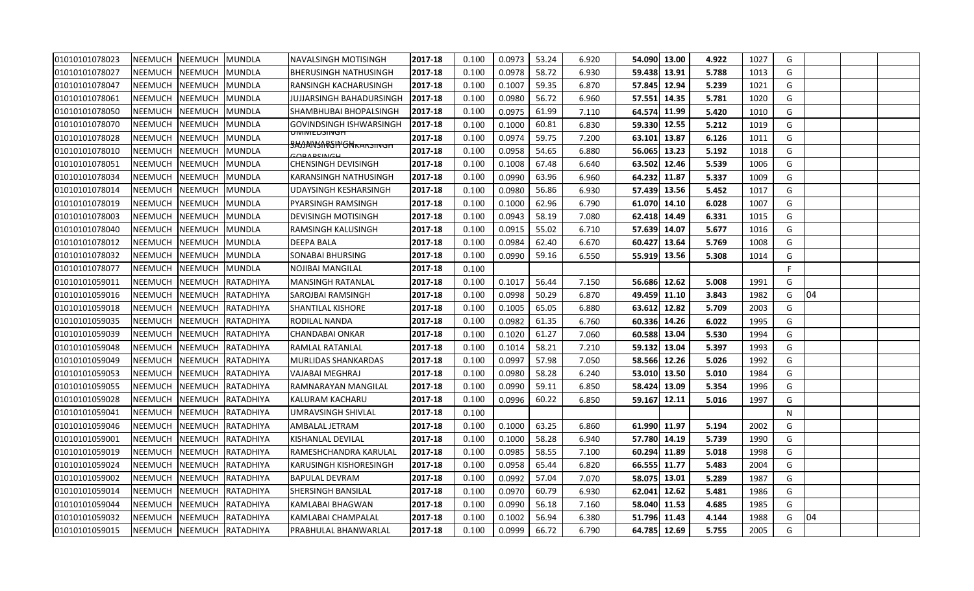| 01010101078023 | <b>NEEMUCH</b> | <b>NEEMUCH</b> | <b>MUNDLA</b>    | NAVALSINGH MOTISINGH                           | 2017-18 | 0.100 | 0.0973 | 53.24 | 6.920 | 54.090 13.00 |       | 4.922 | 1027 | G |    |  |
|----------------|----------------|----------------|------------------|------------------------------------------------|---------|-------|--------|-------|-------|--------------|-------|-------|------|---|----|--|
| 01010101078027 | <b>NEEMUCH</b> | <b>NEEMUCH</b> | <b>MUNDLA</b>    | BHERUSINGH NATHUSINGH                          | 2017-18 | 0.100 | 0.0978 | 58.72 | 6.930 | 59.438 13.91 |       | 5.788 | 1013 | G |    |  |
| 01010101078047 | <b>NEEMUCH</b> | <b>NEEMUCH</b> | <b>MUNDLA</b>    | RANSINGH KACHARUSINGH                          | 2017-18 | 0.100 | 0.1007 | 59.35 | 6.870 | 57.845       | 12.94 | 5.239 | 1021 | G |    |  |
| 01010101078061 | NEEMUCH        | <b>NEEMUCH</b> | <b>MUNDLA</b>    | JUJJARSINGH BAHADURSINGH                       | 2017-18 | 0.100 | 0.0980 | 56.72 | 6.960 | 57.551       | 14.35 | 5.781 | 1020 | G |    |  |
| 01010101078050 | NEEMUCH        | <b>NEEMUCH</b> | <b>MUNDLA</b>    | SHAMBHUBAI BHOPALSINGH                         | 2017-18 | 0.100 | 0.0975 | 61.99 | 7.110 | 64.574 11.99 |       | 5.420 | 1010 | G |    |  |
| 01010101078070 | NEEMUCH        | <b>NEEMUCH</b> | <b>MUNDLA</b>    | GOVINDSINGH ISHWARSINGH                        | 2017-18 | 0.100 | 0.1000 | 60.81 | 6.830 | 59.330       | 12.55 | 5.212 | 1019 | G |    |  |
| 01010101078028 | NEEMUCH        | <b>NEEMUCH</b> | <b>MUNDLA</b>    | uminensiinau<br><b>SAJJAIWSINGH'GHKARSINGH</b> | 2017-18 | 0.100 | 0.0974 | 59.75 | 7.200 | 63.101       | 13.87 | 6.126 | 1011 | G |    |  |
| 01010101078010 | NEEMUCH        | <b>NEEMUCH</b> | <b>MUNDLA</b>    | <b>ORADCINCH</b>                               | 2017-18 | 0.100 | 0.0958 | 54.65 | 6.880 | 56.065       | 13.23 | 5.192 | 1018 | G |    |  |
| 01010101078051 | NEEMUCH        | <b>NEEMUCH</b> | <b>MUNDLA</b>    | CHENSINGH DEVISINGH                            | 2017-18 | 0.100 | 0.1008 | 67.48 | 6.640 | 63.502       | 12.46 | 5.539 | 1006 | G |    |  |
| 01010101078034 | <b>NEEMUCH</b> | <b>NEEMUCH</b> | <b>MUNDLA</b>    | KARANSINGH NATHUSINGH                          | 2017-18 | 0.100 | 0.0990 | 63.96 | 6.960 | 64.232       | 11.87 | 5.337 | 1009 | G |    |  |
| 01010101078014 | NEEMUCH        | <b>NEEMUCH</b> | <b>MUNDLA</b>    | UDAYSINGH KESHARSINGH                          | 2017-18 | 0.100 | 0.0980 | 56.86 | 6.930 | 57.439       | 13.56 | 5.452 | 1017 | G |    |  |
| 01010101078019 | NEEMUCH        | <b>NEEMUCH</b> | <b>MUNDLA</b>    | PYARSINGH RAMSINGH                             | 2017-18 | 0.100 | 0.1000 | 62.96 | 6.790 | 61.070       | 14.10 | 6.028 | 1007 | G |    |  |
| 01010101078003 | NEEMUCH        | <b>NEEMUCH</b> | <b>MUNDLA</b>    | <b>DEVISINGH MOTISINGH</b>                     | 2017-18 | 0.100 | 0.0943 | 58.19 | 7.080 | 62.418       | 14.49 | 6.331 | 1015 | G |    |  |
| 01010101078040 | <b>NEEMUCH</b> | <b>NEEMUCH</b> | <b>MUNDLA</b>    | RAMSINGH KALUSINGH                             | 2017-18 | 0.100 | 0.0915 | 55.02 | 6.710 | 57.639       | 14.07 | 5.677 | 1016 | G |    |  |
| 01010101078012 | <b>NEEMUCH</b> | <b>NEEMUCH</b> | <b>MUNDLA</b>    | <b>DEEPA BALA</b>                              | 2017-18 | 0.100 | 0.0984 | 62.40 | 6.670 | 60.427       | 13.64 | 5.769 | 1008 | G |    |  |
| 01010101078032 | NEEMUCH        | <b>NEEMUCH</b> | <b>MUNDLA</b>    | SONABAI BHURSING                               | 2017-18 | 0.100 | 0.0990 | 59.16 | 6.550 | 55.919       | 13.56 | 5.308 | 1014 | G |    |  |
| 01010101078077 | NEEMUCH        | NEEMUCH        | <b>MUNDLA</b>    | NOJIBAI MANGILAL                               | 2017-18 | 0.100 |        |       |       |              |       |       |      | F |    |  |
| 01010101059011 | NEEMUCH        | <b>NEEMUCH</b> | RATADHIYA        | <b>MANSINGH RATANLAL</b>                       | 2017-18 | 0.100 | 0.1017 | 56.44 | 7.150 | 56.686       | 12.62 | 5.008 | 1991 | G |    |  |
| 01010101059016 | NEEMUCH        | <b>NEEMUCH</b> | RATADHIYA        | <b>SAROJBAI RAMSINGH</b>                       | 2017-18 | 0.100 | 0.0998 | 50.29 | 6.870 | 49.459       | 11.10 | 3.843 | 1982 | G | 04 |  |
| 01010101059018 | NEEMUCH        | <b>NEEMUCH</b> | RATADHIYA        | <b>SHANTILAL KISHORE</b>                       | 2017-18 | 0.100 | 0.1005 | 65.05 | 6.880 | 63.612       | 12.82 | 5.709 | 2003 | G |    |  |
| 01010101059035 | <b>NEEMUCH</b> | <b>NEEMUCH</b> | RATADHIYA        | RODILAL NANDA                                  | 2017-18 | 0.100 | 0.0982 | 61.35 | 6.760 | 60.336       | 14.26 | 6.022 | 1995 | G |    |  |
| 01010101059039 | <b>NEEMUCH</b> | <b>NEEMUCH</b> | RATADHIYA        | CHANDABAI ONKAR                                | 2017-18 | 0.100 | 0.1020 | 61.27 | 7.060 | 60.588       | 13.04 | 5.530 | 1994 | G |    |  |
| 01010101059048 | <b>NEEMUCH</b> | <b>NEEMUCH</b> | RATADHIYA        | RAMLAL RATANLAL                                | 2017-18 | 0.100 | 0.1014 | 58.21 | 7.210 | 59.132       | 13.04 | 5.397 | 1993 | G |    |  |
| 01010101059049 | NEEMUCH        | <b>NEEMUCH</b> | RATADHIYA        | <b>MURLIDAS SHANKARDAS</b>                     | 2017-18 | 0.100 | 0.0997 | 57.98 | 7.050 | 58.566       | 12.26 | 5.026 | 1992 | G |    |  |
| 01010101059053 | NEEMUCH        | <b>NEEMUCH</b> | RATADHIYA        | <b>VAJABAI MEGHRAJ</b>                         | 2017-18 | 0.100 | 0.0980 | 58.28 | 6.240 | 53.010 13.50 |       | 5.010 | 1984 | G |    |  |
| 01010101059055 | NEEMUCH        | <b>NEEMUCH</b> | RATADHIYA        | RAMNARAYAN MANGILAL                            | 2017-18 | 0.100 | 0.0990 | 59.11 | 6.850 | 58.424 13.09 |       | 5.354 | 1996 | G |    |  |
| 01010101059028 | NEEMUCH        | <b>NEEMUCH</b> | RATADHIYA        | KALURAM KACHARU                                | 2017-18 | 0.100 | 0.0996 | 60.22 | 6.850 | 59.167       | 12.11 | 5.016 | 1997 | G |    |  |
| 01010101059041 | NEEMUCH        | <b>NEEMUCH</b> | RATADHIYA        | UMRAVSINGH SHIVLAL                             | 2017-18 | 0.100 |        |       |       |              |       |       |      | N |    |  |
| 01010101059046 | <b>NEEMUCH</b> | NEEMUCH        | RATADHIYA        | AMBALAL JETRAM                                 | 2017-18 | 0.100 | 0.1000 | 63.25 | 6.860 | 61.990 11.97 |       | 5.194 | 2002 | G |    |  |
| 01010101059001 | NEEMUCH        | <b>NEEMUCH</b> | <b>RATADHIYA</b> | KISHANLAL DEVILAL                              | 2017-18 | 0.100 | 0.1000 | 58.28 | 6.940 | 57.780 14.19 |       | 5.739 | 1990 | G |    |  |
| 01010101059019 | NEEMUCH        | <b>NEEMUCH</b> | <b>RATADHIYA</b> | RAMESHCHANDRA KARULAL                          | 2017-18 | 0.100 | 0.0985 | 58.55 | 7.100 | 60.294 11.89 |       | 5.018 | 1998 | G |    |  |
| 01010101059024 | NEEMUCH        | <b>NEEMUCH</b> | RATADHIYA        | <b>KARUSINGH KISHORESINGH</b>                  | 2017-18 | 0.100 | 0.0958 | 65.44 | 6.820 | 66.555 11.77 |       | 5.483 | 2004 | G |    |  |
| 01010101059002 | NEEMUCH        | <b>NEEMUCH</b> | RATADHIYA        | <b>BAPULAL DEVRAM</b>                          | 2017-18 | 0.100 | 0.0992 | 57.04 | 7.070 | 58.075 13.01 |       | 5.289 | 1987 | G |    |  |
| 01010101059014 | NEEMUCH        | <b>NEEMUCH</b> | RATADHIYA        | <b>SHERSINGH BANSILAL</b>                      | 2017-18 | 0.100 | 0.0970 | 60.79 | 6.930 | 62.041 12.62 |       | 5.481 | 1986 | G |    |  |
| 01010101059044 | <b>NEEMUCH</b> | <b>NEEMUCH</b> | RATADHIYA        | KAMLABAI BHAGWAN                               | 2017-18 | 0.100 | 0.0990 | 56.18 | 7.160 | 58.040 11.53 |       | 4.685 | 1985 | G |    |  |
| 01010101059032 | <b>NEEMUCH</b> | <b>NEEMUCH</b> | RATADHIYA        | KAMLABAI CHAMPALAL                             | 2017-18 | 0.100 | 0.1002 | 56.94 | 6.380 | 51.796 11.43 |       | 4.144 | 1988 | G | 04 |  |
| 01010101059015 | <b>NEEMUCH</b> | <b>NEEMUCH</b> | RATADHIYA        | PRABHULAL BHANWARLAL                           | 2017-18 | 0.100 | 0.0999 | 66.72 | 6.790 | 64.785 12.69 |       | 5.755 | 2005 | G |    |  |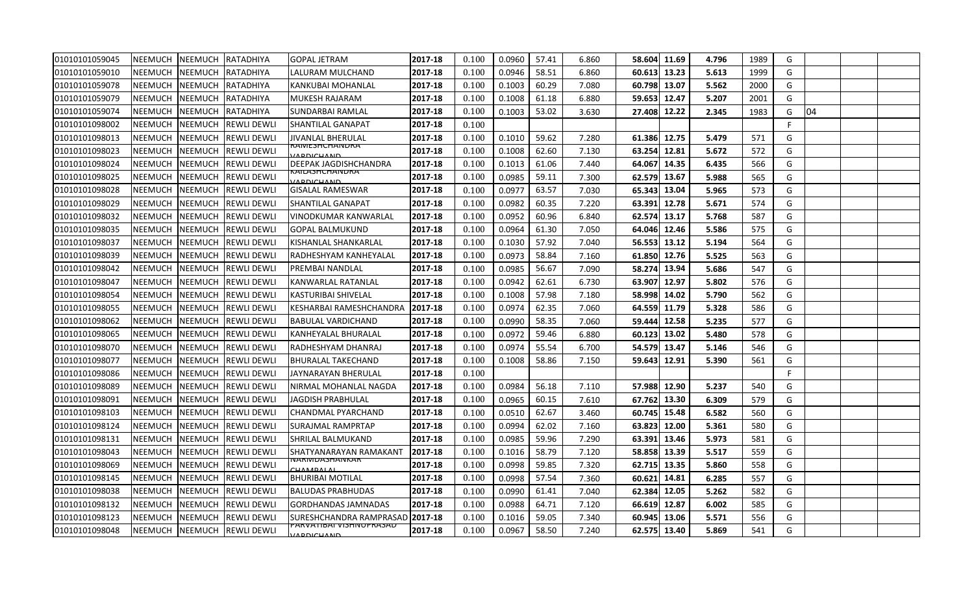| 01010101059045 | <b>NEEMUCH</b> | <b>NEEMUCH</b> | RATADHIYA          | <b>GOPAL JETRAM</b>                                | 2017-18 | 0.100 | 0.0960 | 57.41 | 6.860 | 58.604 11.69 | 4.796 | 1989 | G |    |  |
|----------------|----------------|----------------|--------------------|----------------------------------------------------|---------|-------|--------|-------|-------|--------------|-------|------|---|----|--|
| 01010101059010 | NEEMUCH        | <b>NEEMUCH</b> | RATADHIYA          | LALURAM MULCHAND                                   | 2017-18 | 0.100 | 0.0946 | 58.51 | 6.860 | 60.613 13.23 | 5.613 | 1999 | G |    |  |
| 01010101059078 | NEEMUCH        | <b>NEEMUCH</b> | RATADHIYA          | KANKUBAI MOHANLAL                                  | 2017-18 | 0.100 | 0.1003 | 60.29 | 7.080 | 60.798 13.07 | 5.562 | 2000 | G |    |  |
| 01010101059079 | NEEMUCH        | NEEMUCH        | RATADHIYA          | <b>MUKESH RAJARAM</b>                              | 2017-18 | 0.100 | 0.1008 | 61.18 | 6.880 | 59.653 12.47 | 5.207 | 2001 | G |    |  |
| 01010101059074 | NEEMUCH        | <b>NEEMUCH</b> | RATADHIYA          | SUNDARBAI RAMLAL                                   | 2017-18 | 0.100 | 0.1003 | 53.02 | 3.630 | 27.408 12.22 | 2.345 | 1983 | G | 04 |  |
| 01010101098002 | NEEMUCH        | <b>NEEMUCH</b> | <b>REWLI DEWLI</b> | <b>SHANTILAL GANAPAT</b>                           | 2017-18 | 0.100 |        |       |       |              |       |      | F |    |  |
| 01010101098013 | NEEMUCH        | <b>NEEMUCH</b> | <b>REWLI DEWLI</b> | JIVANLAL BHERULAL                                  | 2017-18 | 0.100 | 0.1010 | 59.62 | 7.280 | 61.386 12.75 | 5.479 | 571  | G |    |  |
| 01010101098023 | NEEMUCH        | <b>NEEMUCH</b> | <b>REWLI DEWLI</b> | <u>SAIVIESNUNAINUKA</u><br>ADDICHAIN               | 2017-18 | 0.100 | 0.1008 | 62.60 | 7.130 | 63.254 12.81 | 5.672 | 572  | G |    |  |
| 01010101098024 | NEEMUCH        | <b>NEEMUCH</b> | <b>REWLI DEWLI</b> | DEEPAK JAGDISHCHANDRA                              | 2017-18 | 0.100 | 0.1013 | 61.06 | 7.440 | 64.067 14.35 | 6.435 | 566  | G |    |  |
| 01010101098025 | NEEMUCH        | <b>NEEMUCH</b> | <b>REWLI DEWLI</b> | <u>\AILAJNUNAI\UKA</u><br>$\Lambda$ DDICHAND       | 2017-18 | 0.100 | 0.0985 | 59.11 | 7.300 | 62.579 13.67 | 5.988 | 565  | G |    |  |
| 01010101098028 | NEEMUCH        | <b>NEEMUCH</b> | <b>REWLI DEWLI</b> | <b>GISALAL RAMESWAR</b>                            | 2017-18 | 0.100 | 0.0977 | 63.57 | 7.030 | 65.343 13.04 | 5.965 | 573  | G |    |  |
| 01010101098029 | NEEMUCH        | <b>NEEMUCH</b> | <b>REWLI DEWLI</b> | <b>SHANTILAL GANAPAT</b>                           | 2017-18 | 0.100 | 0.0982 | 60.35 | 7.220 | 63.391 12.78 | 5.671 | 574  | G |    |  |
| 01010101098032 | NEEMUCH        | <b>NEEMUCH</b> | <b>REWLI DEWLI</b> | VINODKUMAR KANWARLAL                               | 2017-18 | 0.100 | 0.0952 | 60.96 | 6.840 | 62.574 13.17 | 5.768 | 587  | G |    |  |
| 01010101098035 | NEEMUCH        | <b>NEEMUCH</b> | <b>REWLI DEWLI</b> | <b>GOPAL BALMUKUND</b>                             | 2017-18 | 0.100 | 0.0964 | 61.30 | 7.050 | 64.046 12.46 | 5.586 | 575  | G |    |  |
| 01010101098037 | NEEMUCH        | <b>NEEMUCH</b> | <b>REWLI DEWLI</b> | KISHANLAL SHANKARLAL                               | 2017-18 | 0.100 | 0.1030 | 57.92 | 7.040 | 56.553 13.12 | 5.194 | 564  | G |    |  |
| 01010101098039 | NEEMUCH        | <b>NEEMUCH</b> | <b>REWLI DEWLI</b> | RADHESHYAM KANHEYALAL                              | 2017-18 | 0.100 | 0.0973 | 58.84 | 7.160 | 61.850 12.76 | 5.525 | 563  | G |    |  |
| 01010101098042 | NEEMUCH        | <b>NEEMUCH</b> | <b>REWLI DEWLI</b> | <b>PREMBAI NANDLAL</b>                             | 2017-18 | 0.100 | 0.0985 | 56.67 | 7.090 | 58.274 13.94 | 5.686 | 547  | G |    |  |
| 01010101098047 | NEEMUCH        | <b>NEEMUCH</b> | <b>REWLI DEWLI</b> | KANWARLAL RATANLAL                                 | 2017-18 | 0.100 | 0.0942 | 62.61 | 6.730 | 63.907 12.97 | 5.802 | 576  | G |    |  |
| 01010101098054 | NEEMUCH        | <b>NEEMUCH</b> | <b>REWLI DEWLI</b> | KASTURIBAI SHIVELAL                                | 2017-18 | 0.100 | 0.1008 | 57.98 | 7.180 | 58.998 14.02 | 5.790 | 562  | G |    |  |
| 01010101098055 | NEEMUCH        | <b>NEEMUCH</b> | <b>REWLI DEWLI</b> | KESHARBAI RAMESHCHANDRA                            | 2017-18 | 0.100 | 0.0974 | 62.35 | 7.060 | 64.559 11.79 | 5.328 | 586  | G |    |  |
| 01010101098062 | NEEMUCH        | <b>NEEMUCH</b> | <b>REWLI DEWLI</b> | <b>BABULAL VARDICHAND</b>                          | 2017-18 | 0.100 | 0.0990 | 58.35 | 7.060 | 59.444 12.58 | 5.235 | 577  | G |    |  |
| 01010101098065 | NEEMUCH        | <b>NEEMUCH</b> | <b>REWLI DEWLI</b> | KANHEYALAL BHURALAL                                | 2017-18 | 0.100 | 0.0972 | 59.46 | 6.880 | 60.123 13.02 | 5.480 | 578  | G |    |  |
| 01010101098070 | NEEMUCH        | <b>NEEMUCH</b> | <b>REWLI DEWLI</b> | RADHESHYAM DHANRAJ                                 | 2017-18 | 0.100 | 0.0974 | 55.54 | 6.700 | 54.579 13.47 | 5.146 | 546  | G |    |  |
| 01010101098077 | NEEMUCH        | <b>NEEMUCH</b> | <b>REWLI DEWLI</b> | <b>BHURALAL TAKECHAND</b>                          | 2017-18 | 0.100 | 0.1008 | 58.86 | 7.150 | 59.643 12.91 | 5.390 | 561  | G |    |  |
| 01010101098086 | NEEMUCH        | <b>NEEMUCH</b> | <b>REWLI DEWLI</b> | JAYNARAYAN BHERULAL                                | 2017-18 | 0.100 |        |       |       |              |       |      | F |    |  |
| 01010101098089 | NEEMUCH        | <b>NEEMUCH</b> | <b>REWLI DEWLI</b> | NIRMAL MOHANLAL NAGDA                              | 2017-18 | 0.100 | 0.0984 | 56.18 | 7.110 | 57.988 12.90 | 5.237 | 540  | G |    |  |
| 01010101098091 | NEEMUCH        | <b>NEEMUCH</b> | <b>REWLI DEWLI</b> | <b>JAGDISH PRABHULAL</b>                           | 2017-18 | 0.100 | 0.0965 | 60.15 | 7.610 | 67.762 13.30 | 6.309 | 579  | G |    |  |
| 01010101098103 | NEEMUCH        | <b>NEEMUCH</b> | <b>REWLI DEWLI</b> | CHANDMAL PYARCHAND                                 | 2017-18 | 0.100 | 0.0510 | 62.67 | 3.460 | 60.745 15.48 | 6.582 | 560  | G |    |  |
| 01010101098124 | NEEMUCH        | <b>NEEMUCH</b> | <b>REWLI DEWLI</b> | SURAJMAL RAMPRTAP                                  | 2017-18 | 0.100 | 0.0994 | 62.02 | 7.160 | 63.823 12.00 | 5.361 | 580  | G |    |  |
| 01010101098131 | NEEMUCH        | <b>NEEMUCH</b> | <b>REWLI DEWLI</b> | SHRILAL BALMUKAND                                  | 2017-18 | 0.100 | 0.0985 | 59.96 | 7.290 | 63.391 13.46 | 5.973 | 581  | G |    |  |
| 01010101098043 | NEEMUCH        | <b>NEEMUCH</b> | <b>REWLI DEWLI</b> | SHATYANARAYAN RAMAKANT                             | 2017-18 | 0.100 | 0.1016 | 58.79 | 7.120 | 58.858 13.39 | 5.517 | 559  | G |    |  |
| 01010101098069 | NEEMUCH        | <b>NEEMUCH</b> | <b>REWLI DEWLI</b> | <b>VANIVIDASHAIVNAN</b><br>11111101111             | 2017-18 | 0.100 | 0.0998 | 59.85 | 7.320 | 62.715 13.35 | 5.860 | 558  | G |    |  |
| 01010101098145 | NEEMUCH        | <b>NEEMUCH</b> | <b>REWLI DEWLI</b> | <b>BHURIBAI MOTILAL</b>                            | 2017-18 | 0.100 | 0.0998 | 57.54 | 7.360 | 60.621 14.81 | 6.285 | 557  | G |    |  |
| 01010101098038 | NEEMUCH        | <b>NEEMUCH</b> | <b>REWLI DEWLI</b> | <b>BALUDAS PRABHUDAS</b>                           | 2017-18 | 0.100 | 0.0990 | 61.41 | 7.040 | 62.384 12.05 | 5.262 | 582  | G |    |  |
| 01010101098132 | NEEMUCH        | <b>NEEMUCH</b> | <b>REWLI DEWLI</b> | <b>GORDHANDAS JAMNADAS</b>                         | 2017-18 | 0.100 | 0.0988 | 64.71 | 7.120 | 66.619 12.87 | 6.002 | 585  | G |    |  |
| 01010101098123 | NEEMUCH        | <b>NEEMUCH</b> | <b>REWLI DEWLI</b> | SURESHCHANDRA RAMPRASAD 2017-18                    |         | 0.100 | 0.1016 | 59.05 | 7.340 | 60.945 13.06 | 5.571 | 556  | G |    |  |
| 01010101098048 | <b>NEEMUCH</b> | <b>NEEMUCH</b> | <b>REWLI DEWLI</b> | <u>ARVATIDAI VISHINUPRASAU</u><br><b>ADDICUAND</b> | 2017-18 | 0.100 | 0.0967 | 58.50 | 7.240 | 62.575 13.40 | 5.869 | 541  | G |    |  |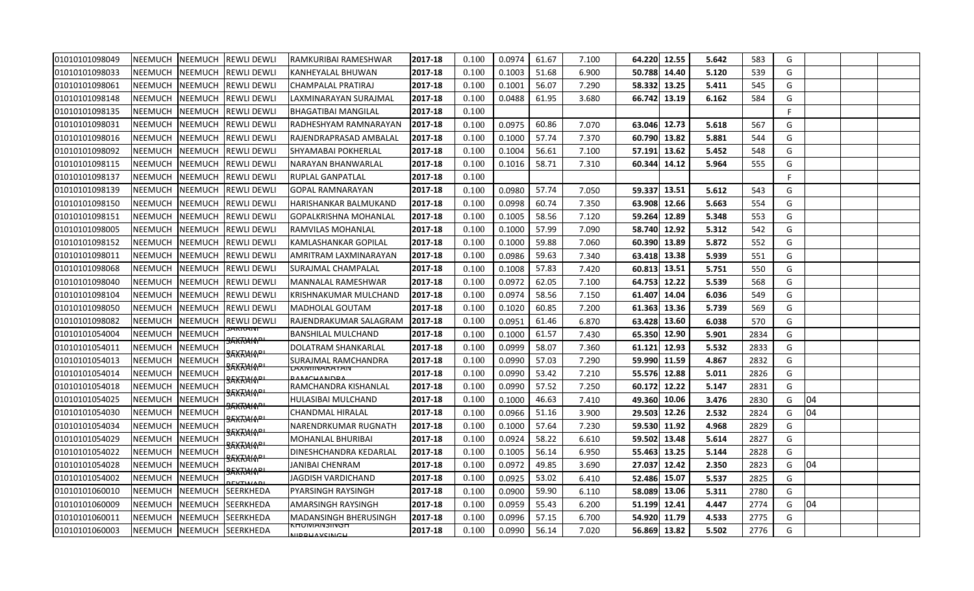| 01010101098049 | <b>NEEMUCH</b> | <b>NEEMUCH</b> | <b>REWLI DEWLI</b>                          | RAMKURIBAI RAMESHWAR                   | 2017-18 | 0.100 | 0.0974 | 61.67 | 7.100 | 64.220 12.55 | 5.642 | 583  | G |    |  |
|----------------|----------------|----------------|---------------------------------------------|----------------------------------------|---------|-------|--------|-------|-------|--------------|-------|------|---|----|--|
| 01010101098033 | NEEMUCH        | <b>NEEMUCH</b> | <b>REWLI DEWLI</b>                          | KANHEYALAL BHUWAN                      | 2017-18 | 0.100 | 0.1003 | 51.68 | 6.900 | 50.788 14.40 | 5.120 | 539  | G |    |  |
| 01010101098061 | NEEMUCH        | <b>NEEMUCH</b> | <b>REWLI DEWLI</b>                          | <b>CHAMPALAL PRATIRAJ</b>              | 2017-18 | 0.100 | 0.1001 | 56.07 | 7.290 | 58.332 13.25 | 5.411 | 545  | G |    |  |
| 01010101098148 | NEEMUCH        | <b>NEEMUCH</b> | <b>REWLI DEWLI</b>                          | LAXMINARAYAN SURAJMAL                  | 2017-18 | 0.100 | 0.0488 | 61.95 | 3.680 | 66.742 13.19 | 6.162 | 584  | G |    |  |
| 01010101098135 | NEEMUCH        | <b>NEEMUCH</b> | <b>REWLI DEWLI</b>                          | <b>BHAGATIBAI MANGILAL</b>             | 2017-18 | 0.100 |        |       |       |              |       |      | F |    |  |
| 01010101098031 | NEEMUCH        | <b>NEEMUCH</b> | <b>REWLI DEWLI</b>                          | RADHESHYAM RAMNARAYAN                  | 2017-18 | 0.100 | 0.0975 | 60.86 | 7.070 | 63.046 12.73 | 5.618 | 567  | G |    |  |
| 01010101098016 | NEEMUCH        | <b>NEEMUCH</b> | <b>REWLI DEWLI</b>                          | RAJENDRAPRASAD AMBALAL                 | 2017-18 | 0.100 | 0.1000 | 57.74 | 7.370 | 60.790 13.82 | 5.881 | 544  | G |    |  |
| 01010101098092 | NEEMUCH        | <b>NEEMUCH</b> | <b>REWLI DEWLI</b>                          | SHYAMABAI POKHERLAL                    | 2017-18 | 0.100 | 0.1004 | 56.61 | 7.100 | 57.191 13.62 | 5.452 | 548  | G |    |  |
| 01010101098115 | NEEMUCH        | <b>NEEMUCH</b> | <b>REWLI DEWLI</b>                          | NARAYAN BHANWARLAL                     | 2017-18 | 0.100 | 0.1016 | 58.71 | 7.310 | 60.344 14.12 | 5.964 | 555  | G |    |  |
| 01010101098137 | NEEMUCH        | <b>NEEMUCH</b> | <b>REWLI DEWLI</b>                          | <b>RUPLAL GANPATLAL</b>                | 2017-18 | 0.100 |        |       |       |              |       |      | F |    |  |
| 01010101098139 | NEEMUCH        | <b>NEEMUCH</b> | <b>REWLI DEWLI</b>                          | <b>GOPAL RAMNARAYAN</b>                | 2017-18 | 0.100 | 0.0980 | 57.74 | 7.050 | 59.337 13.51 | 5.612 | 543  | G |    |  |
| 01010101098150 | NEEMUCH        | <b>NEEMUCH</b> | <b>REWLI DEWLI</b>                          | HARISHANKAR BALMUKAND                  | 2017-18 | 0.100 | 0.0998 | 60.74 | 7.350 | 63.908 12.66 | 5.663 | 554  | G |    |  |
| 01010101098151 | NEEMUCH        | <b>NEEMUCH</b> | <b>REWLI DEWLI</b>                          | <b>GOPALKRISHNA MOHANLAL</b>           | 2017-18 | 0.100 | 0.1005 | 58.56 | 7.120 | 59.264 12.89 | 5.348 | 553  | G |    |  |
| 01010101098005 | NEEMUCH        | <b>NEEMUCH</b> | <b>REWLI DEWLI</b>                          | <b>RAMVILAS MOHANLAL</b>               | 2017-18 | 0.100 | 0.1000 | 57.99 | 7.090 | 58.740 12.92 | 5.312 | 542  | G |    |  |
| 01010101098152 | NEEMUCH        | <b>NEEMUCH</b> | <b>REWLI DEWLI</b>                          | KAMLASHANKAR GOPILAL                   | 2017-18 | 0.100 | 0.1000 | 59.88 | 7.060 | 60.390 13.89 | 5.872 | 552  | G |    |  |
| 01010101098011 | NEEMUCH        | <b>NEEMUCH</b> | <b>REWLI DEWLI</b>                          | AMRITRAM LAXMINARAYAN                  | 2017-18 | 0.100 | 0.0986 | 59.63 | 7.340 | 63.418 13.38 | 5.939 | 551  | G |    |  |
| 01010101098068 | NEEMUCH        | <b>NEEMUCH</b> | <b>REWLI DEWLI</b>                          | SURAJMAL CHAMPALAL                     | 2017-18 | 0.100 | 0.1008 | 57.83 | 7.420 | 60.813 13.51 | 5.751 | 550  | G |    |  |
| 01010101098040 | NEEMUCH        | <b>NEEMUCH</b> | <b>REWLI DEWLI</b>                          | MANNALAL RAMESHWAR                     | 2017-18 | 0.100 | 0.0972 | 62.05 | 7.100 | 64.753 12.22 | 5.539 | 568  | G |    |  |
| 01010101098104 | NEEMUCH        | <b>NEEMUCH</b> | <b>REWLI DEWLI</b>                          | KRISHNAKUMAR MULCHAND                  | 2017-18 | 0.100 | 0.0974 | 58.56 | 7.150 | 61.407 14.04 | 6.036 | 549  | G |    |  |
| 01010101098050 | NEEMUCH        | <b>NEEMUCH</b> | <b>REWLI DEWLI</b>                          | <b>MADHOLAL GOUTAM</b>                 | 2017-18 | 0.100 | 0.1020 | 60.85 | 7.200 | 61.363 13.36 | 5.739 | 569  | G |    |  |
| 01010101098082 | NEEMUCH        | <b>NEEMUCH</b> | <b>REWLI DEWLI</b>                          | RAJENDRAKUMAR SALAGRAM                 | 2017-18 | 0.100 | 0.0951 | 61.46 | 6.870 | 63.428 13.60 | 6.038 | 570  | G |    |  |
| 01010101054004 | NEEMUCH        | <b>NEEMUCH</b> | <b>ANNAIVI</b><br><b>BAKTAKAPH</b>          | <b>BANSHILAL MULCHAND</b>              | 2017-18 | 0.100 | 0.1000 | 61.57 | 7.430 | 65.350 12.90 | 5.901 | 2834 | G |    |  |
| 01010101054011 | NEEMUCH        | <b>NEEMUCH</b> | <b>BAXTAKAPL</b>                            | DOLATRAM SHANKARLAL                    | 2017-18 | 0.100 | 0.0999 | 58.07 | 7.360 | 61.121 12.93 | 5.532 | 2833 | G |    |  |
| 01010101054013 | NEEMUCH        | <b>NEEMUCH</b> |                                             | SURAJMAL RAMCHANDRA                    | 2017-18 | 0.100 | 0.0990 | 57.03 | 7.290 | 59.990 11.59 | 4.867 | 2832 | G |    |  |
| 01010101054014 | NEEMUCH        | <b>NEEMUCH</b> | <b>BAXTAKAPL</b>                            | <u>LAAIVIIIVAKATAIV</u><br>ANACHANIDDA | 2017-18 | 0.100 | 0.0990 | 53.42 | 7.210 | 55.576 12.88 | 5.011 | 2826 | G |    |  |
| 01010101054018 | NEEMUCH        | <b>NEEMUCH</b> | <b>BAKTAKAPH</b>                            | RAMCHANDRA KISHANLAL                   | 2017-18 | 0.100 | 0.0990 | 57.52 | 7.250 | 60.172 12.22 | 5.147 | 2831 | G |    |  |
| 01010101054025 | NEEMUCH        | <b>NEEMUCH</b> | Э <del>ЛХТХА (АР</del><br><b>SAKTYAKAPH</b> | HULASIBAI MULCHAND                     | 2017-18 | 0.100 | 0.1000 | 46.63 | 7.410 | 49.360 10.06 | 3.476 | 2830 | G | 04 |  |
| 01010101054030 | NEEMUCH        | <b>NEEMUCH</b> | <b>SAKTYAKAPH</b>                           | CHANDMAL HIRALAL                       | 2017-18 | 0.100 | 0.0966 | 51.16 | 3.900 | 29.503 12.26 | 2.532 | 2824 | G | 04 |  |
| 01010101054034 | NEEMUCH        | <b>NEEMUCH</b> | З <del>АКТАКАРЧ</del>                       | NARENDRKUMAR RUGNATH                   | 2017-18 | 0.100 | 0.1000 | 57.64 | 7.230 | 59.530 11.92 | 4.968 | 2829 | G |    |  |
| 01010101054029 | NEEMUCH        | <b>NEEMUCH</b> | <del>вактакари</del>                        | <b>MOHANLAL BHURIBAI</b>               | 2017-18 | 0.100 | 0.0924 | 58.22 | 6.610 | 59.502 13.48 | 5.614 | 2827 | G |    |  |
| 01010101054022 | NEEMUCH        | <b>NEEMUCH</b> | <b>BAKTAKAPH</b>                            | DINESHCHANDRA KEDARLAL                 | 2017-18 | 0.100 | 0.1005 | 56.14 | 6.950 | 55.463 13.25 | 5.144 | 2828 | G |    |  |
| 01010101054028 | NEEMUCH        | <b>NEEMUCH</b> |                                             | <b>JANIBAI CHENRAM</b>                 | 2017-18 | 0.100 | 0.0972 | 49.85 | 3.690 | 27.037 12.42 | 2.350 | 2823 | G | 04 |  |
| 01010101054002 | NEEMUCH        | <b>NEEMUCH</b> | <b>SAKTAKAPL</b><br><b>EVTWADL</b>          | JAGDISH VARDICHAND                     | 2017-18 | 0.100 | 0.0925 | 53.02 | 6.410 | 52.486 15.07 | 5.537 | 2825 | G |    |  |
| 01010101060010 | NEEMUCH        | <b>NEEMUCH</b> | <b>SEERKHEDA</b>                            | <b>PYARSINGH RAYSINGH</b>              | 2017-18 | 0.100 | 0.0900 | 59.90 | 6.110 | 58.089 13.06 | 5.311 | 2780 | G |    |  |
| 01010101060009 | NEEMUCH        | <b>NEEMUCH</b> | <b>SEERKHEDA</b>                            | <b>AMARSINGH RAYSINGH</b>              | 2017-18 | 0.100 | 0.0959 | 55.43 | 6.200 | 51.199 12.41 | 4.447 | 2774 | G | 04 |  |
| 01010101060011 | NEEMUCH        | <b>NEEMUCH</b> | <b>SEERKHEDA</b>                            | <b>MADANSINGH BHERUSINGH</b>           | 2017-18 | 0.100 | 0.0996 | 57.15 | 6.700 | 54.920 11.79 | 4.533 | 2775 | G |    |  |
| 01010101060003 | <b>NEEMUCH</b> | <b>NEEMUCH</b> | SEERKHEDA                                   | חטוווכווואווטח<br><b>UDDUAVCINICU</b>  | 2017-18 | 0.100 | 0.0990 | 56.14 | 7.020 | 56.869 13.82 | 5.502 | 2776 | G |    |  |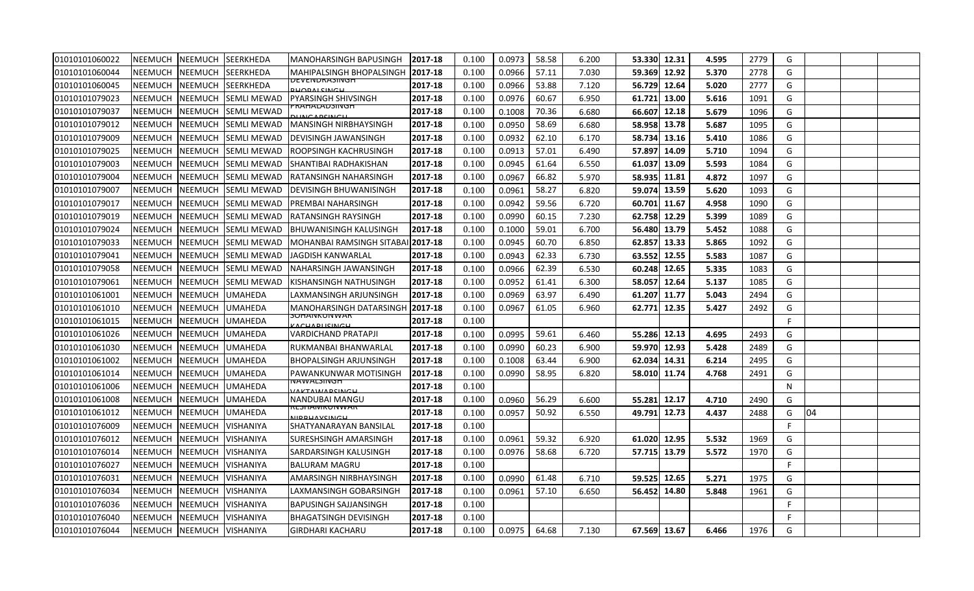| 01010101060022 | <b>NEEMUCH</b> | <b>NEEMUCH</b>  | <b>SEERKHEDA</b>    | <b>MANOHARSINGH BAPUSINGH</b>                 | 2017-18          | 0.100 | 0.0973 | 58.58 | 6.200 |              | 53.330 12.31 | 4.595 | 2779 | G            |    |  |
|----------------|----------------|-----------------|---------------------|-----------------------------------------------|------------------|-------|--------|-------|-------|--------------|--------------|-------|------|--------------|----|--|
| 01010101060044 | NEEMUCH        | <b>NEEMUCH</b>  | <b>SEERKHEDA</b>    | MAHIPALSINGH BHOPALSINGH                      | 2017-18          | 0.100 | 0.0966 | 57.11 | 7.030 | 59.369 12.92 |              | 5.370 | 2778 | G            |    |  |
| 01010101060045 | NEEMUCH        | <b>NEEMUCH</b>  | <b>SEERKHEDA</b>    | <b>DEVEINDRASIINGH</b><br><b>UODALCINICU</b>  | 2017-18          | 0.100 | 0.0966 | 53.88 | 7.120 |              | 56.729 12.64 | 5.020 | 2777 | G            |    |  |
| 01010101079023 | <b>NEEMUCH</b> | <b>NEEMUCH</b>  | <b>ISEMLI MEWAD</b> | IPYARSINGH SHIVSINGH                          | 2017-18          | 0.100 | 0.0976 | 60.67 | 6.950 | 61.721 13.00 |              | 5.616 | 1091 | G            |    |  |
| 01010101079037 | <b>NEEMUCH</b> | <b>NEEMUCH</b>  | <b>SEMLI MEWAD</b>  | <u>NANALAD3INON</u><br><b>LINICADCINICU</b>   | 2017-18          | 0.100 | 0.1008 | 70.36 | 6.680 | 66.607       | 12.18        | 5.679 | 1096 | G            |    |  |
| 01010101079012 | <b>NEEMUCH</b> | <b>NEEMUCH</b>  | <b>SEMLI MEWAD</b>  | MANSINGH NIRBHAYSINGH                         | 2017-18          | 0.100 | 0.0950 | 58.69 | 6.680 | 58.958       | 13.78        | 5.687 | 1095 | G            |    |  |
| 01010101079009 | <b>NEEMUCH</b> | <b>NEEMUCH</b>  | <b>SEMLI MEWAD</b>  | <b>DEVISINGH JAWANSINGH</b>                   | 2017-18          | 0.100 | 0.0932 | 62.10 | 6.170 | 58.734 13.16 |              | 5.410 | 1086 | G            |    |  |
| 01010101079025 | NEEMUCH        | <b>NEEMUCH</b>  | <b>SEMLI MEWAD</b>  | ROOPSINGH KACHRUSINGH                         | 2017-18          | 0.100 | 0.0913 | 57.01 | 6.490 | 57.897       | 14.09        | 5.710 | 1094 | G            |    |  |
| 01010101079003 | NEEMUCH        | <b>NEEMUCH</b>  | <b>SEMLI MEWAD</b>  | SHANTIBAI RADHAKISHAN                         | 2017-18          | 0.100 | 0.0945 | 61.64 | 6.550 | 61.037       | 13.09        | 5.593 | 1084 | G            |    |  |
| 01010101079004 | NEEMUCH        | <b>NEEMUCH</b>  | <b>SEMLI MEWAD</b>  | RATANSINGH NAHARSINGH                         | 2017-18          | 0.100 | 0.0967 | 66.82 | 5.970 | 58.935       | 11.81        | 4.872 | 1097 | G            |    |  |
| 01010101079007 | NEEMUCH        | <b>NEEMUCH</b>  | <b>SEMLI MEWAD</b>  | <b>DEVISINGH BHUWANISINGH</b>                 | 2017-18          | 0.100 | 0.0961 | 58.27 | 6.820 | 59.074       | 13.59        | 5.620 | 1093 | G            |    |  |
| 01010101079017 | NEEMUCH        | <b>NEEMUCH</b>  | <b>SEMLI MEWAD</b>  | PREMBAI NAHARSINGH                            | 2017-18          | 0.100 | 0.0942 | 59.56 | 6.720 | 60.701       | 11.67        | 4.958 | 1090 | G            |    |  |
| 01010101079019 | NEEMUCH        | <b>NEEMUCH</b>  | <b>SEMLI MEWAD</b>  | <b>RATANSINGH RAYSINGH</b>                    | 2017-18          | 0.100 | 0.0990 | 60.15 | 7.230 | 62.758       | 12.29        | 5.399 | 1089 | G            |    |  |
| 01010101079024 | NEEMUCH        | <b>NEEMUCH</b>  | <b>SEMLI MEWAD</b>  | <b>BHUWANISINGH KALUSINGH</b>                 | 2017-18          | 0.100 | 0.1000 | 59.01 | 6.700 | 56.480       | 13.79        | 5.452 | 1088 | G            |    |  |
| 01010101079033 | NEEMUCH        | <b>NEEMUCH</b>  | <b>SEMLI MEWAD</b>  | MOHANBAI RAMSINGH SITABA                      | l <b>2017-18</b> | 0.100 | 0.0945 | 60.70 | 6.850 | 62.857       | 13.33        | 5.865 | 1092 | G            |    |  |
| 01010101079041 | NEEMUCH        | <b>NEEMUCH</b>  | <b>SEMLI MEWAD</b>  | JAGDISH KANWARLAL                             | 2017-18          | 0.100 | 0.0943 | 62.33 | 6.730 | 63.552       | 12.55        | 5.583 | 1087 | G            |    |  |
| 01010101079058 | NEEMUCH        | <b>NEEMUCH</b>  | <b>SEMLI MEWAD</b>  | <b>NAHARSINGH JAWANSINGH</b>                  | 2017-18          | 0.100 | 0.0966 | 62.39 | 6.530 | 60.248       | 12.65        | 5.335 | 1083 | G            |    |  |
| 01010101079061 | <b>NEEMUCH</b> | <b>NEEMUCH</b>  | <b>SEMLI MEWAD</b>  | KISHANSINGH NATHUSINGH                        | 2017-18          | 0.100 | 0.0952 | 61.41 | 6.300 | 58.057       | 12.64        | 5.137 | 1085 | G            |    |  |
| 01010101061001 | <b>NEEMUCH</b> | <b>NEEMUCH</b>  | <b>UMAHEDA</b>      | LAXMANSINGH ARJUNSINGH                        | 2017-18          | 0.100 | 0.0969 | 63.97 | 6.490 | 61.207       | 11.77        | 5.043 | 2494 | G            |    |  |
| 01010101061010 | NEEMUCH        | <b>NEEMUCH</b>  | <b>UMAHEDA</b>      | MANOHARSINGH DATARSINGH                       | 2017-18          | 0.100 | 0.0967 | 61.05 | 6.960 | 62.771       | 12.35        | 5.427 | 2492 | G            |    |  |
| 01010101061015 | NEEMUCH        | <b>NEEMUCH</b>  | <b>UMAHEDA</b>      | <b>SUNAINNUINWAR</b><br>ACUADUCINCU           | 2017-18          | 0.100 |        |       |       |              |              |       |      | F.           |    |  |
| 01010101061026 | <b>NEEMUCH</b> | <b>NEEMUCH</b>  | <b>UMAHEDA</b>      | <b>VARDICHAND PRATAPJI</b>                    | 2017-18          | 0.100 | 0.0995 | 59.61 | 6.460 | 55.286 12.13 |              | 4.695 | 2493 | G            |    |  |
| 01010101061030 | <b>NEEMUCH</b> | <b>NEEMUCH</b>  | <b>UMAHEDA</b>      | RUKMANBAI BHANWARLAL                          | 2017-18          | 0.100 | 0.0990 | 60.23 | 6.900 | 59.970 12.93 |              | 5.428 | 2489 | G            |    |  |
| 01010101061002 | <b>NEEMUCH</b> | <b>NEEMUCH</b>  | <b>UMAHEDA</b>      | <b>BHOPALSINGH ARJUNSINGH</b>                 | 2017-18          | 0.100 | 0.1008 | 63.44 | 6.900 | 62.034 14.31 |              | 6.214 | 2495 | G            |    |  |
| 01010101061014 | <b>NEEMUCH</b> | <b>NEEMUCH</b>  | <b>UMAHEDA</b>      | PAWANKUNWAR MOTISINGH                         | 2017-18          | 0.100 | 0.0990 | 58.95 | 6.820 | 58.010 11.74 |              | 4.768 | 2491 | G            |    |  |
| 01010101061006 | <b>NEEMUCH</b> | <b>NEEMUCH</b>  | <b>UMAHEDA</b>      | <b>TURITLAIN THE</b><br><b>AVTAMIADCINICL</b> | 2017-18          | 0.100 |        |       |       |              |              |       |      | N            |    |  |
| 01010101061008 | <b>NEEMUCH</b> | <b>NEEMUCH</b>  | <b>UMAHEDA</b>      | NANDUBAI MANGU                                | 2017-18          | 0.100 | 0.0960 | 56.29 | 6.600 | 55.281       | 12.17        | 4.710 | 2490 | G            |    |  |
| 01010101061012 | <b>NEEMUCH</b> | <b>NEEMUCH</b>  | <b>UMAHEDA</b>      | <u>\ESHAIVINUINWAR</u><br><b>UDDUAVCINICI</b> | 2017-18          | 0.100 | 0.0957 | 50.92 | 6.550 | 49.791       | 12.73        | 4.437 | 2488 | G            | 04 |  |
| 01010101076009 | NEEMUCH        | <b>NEEMUCH</b>  | <b>VISHANIYA</b>    | SHATYANARAYAN BANSILAL                        | 2017-18          | 0.100 |        |       |       |              |              |       |      | F.           |    |  |
| 01010101076012 | NEEMUCH        | <b>NEEMUCH</b>  | <b>VISHANIYA</b>    | ISURESHSINGH AMARSINGH                        | 2017-18          | 0.100 | 0.0961 | 59.32 | 6.920 | 61.020 12.95 |              | 5.532 | 1969 | G            |    |  |
| 01010101076014 | NEEMUCH        | <b>NEEMUCH</b>  | <b>VISHANIYA</b>    | SARDARSINGH KALUSINGH                         | 2017-18          | 0.100 | 0.0976 | 58.68 | 6.720 | 57.715 13.79 |              | 5.572 | 1970 | G            |    |  |
| 01010101076027 | <b>NEEMUCH</b> | <b>NEEMUCH</b>  | <b>VISHANIYA</b>    | <b>BALURAM MAGRU</b>                          | 2017-18          | 0.100 |        |       |       |              |              |       |      | F.           |    |  |
| 01010101076031 | NEEMUCH        | <b>NEEMUCH</b>  | <b>VISHANIYA</b>    | <b>AMARSINGH NIRBHAYSINGH</b>                 | 2017-18          | 0.100 | 0.0990 | 61.48 | 6.710 | 59.525 12.65 |              | 5.271 | 1975 | G            |    |  |
| 01010101076034 | NEEMUCH        | <b>NEEMUCH</b>  | <b>VISHANIYA</b>    | LAXMANSINGH GOBARSINGH                        | 2017-18          | 0.100 | 0.0961 | 57.10 | 6.650 | 56.452 14.80 |              | 5.848 | 1961 | G            |    |  |
| 01010101076036 | <b>NEEMUCH</b> | <b>INEEMUCH</b> | <b>VISHANIYA</b>    | BAPUSINGH SAJJANSINGH                         | 2017-18          | 0.100 |        |       |       |              |              |       |      | $\mathsf{F}$ |    |  |
| 01010101076040 | <b>NEEMUCH</b> | <b>NEEMUCH</b>  | <b>VISHANIYA</b>    | IBHAGATSINGH DEVISINGH                        | 2017-18          | 0.100 |        |       |       |              |              |       |      | F            |    |  |
| 01010101076044 | <b>NEEMUCH</b> | <b>NEEMUCH</b>  | <b>VISHANIYA</b>    | <b>I</b> GIRDHARI KACHARU                     | 2017-18          | 0.100 | 0.0975 | 64.68 | 7.130 | 67.569 13.67 |              | 6.466 | 1976 | G            |    |  |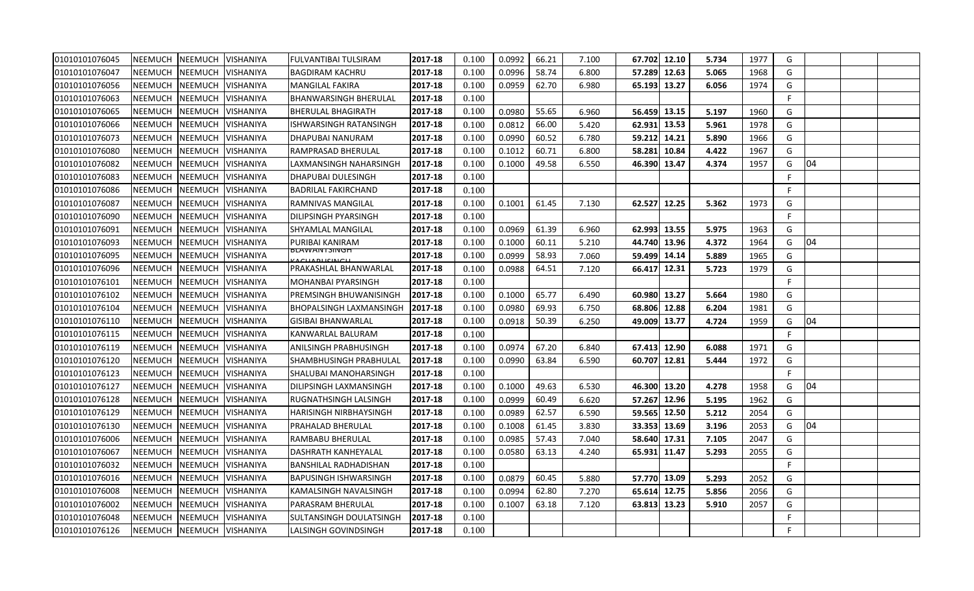| 01010101076045 | NEEMUCH        | <b>NEEMUCH</b> | <b>VISHANIYA</b> | <b>FULVANTIBAI TULSIRAM</b>                   | 2017-18 | 0.100 | 0.0992 | 66.21 | 7.100 | 67.702 12.10 |       | 5.734 | 1977 | G            |    |  |
|----------------|----------------|----------------|------------------|-----------------------------------------------|---------|-------|--------|-------|-------|--------------|-------|-------|------|--------------|----|--|
| 01010101076047 | NEEMUCH        | <b>NEEMUCH</b> | <b>VISHANIYA</b> | <b>BAGDIRAM KACHRU</b>                        | 2017-18 | 0.100 | 0.0996 | 58.74 | 6.800 | 57.289 12.63 |       | 5.065 | 1968 | G            |    |  |
| 01010101076056 | NEEMUCH        | <b>NEEMUCH</b> | <b>VISHANIYA</b> | MANGILAL FAKIRA                               | 2017-18 | 0.100 | 0.0959 | 62.70 | 6.980 | 65.193 13.27 |       | 6.056 | 1974 | G            |    |  |
| 01010101076063 | NEEMUCH        | <b>NEEMUCH</b> | <b>VISHANIYA</b> | <b>BHANWARSINGH BHERULAL</b>                  | 2017-18 | 0.100 |        |       |       |              |       |       |      | F            |    |  |
| 01010101076065 | NEEMUCH        | <b>NEEMUCH</b> | <b>VISHANIYA</b> | <b>BHERULAL BHAGIRATH</b>                     | 2017-18 | 0.100 | 0.0980 | 55.65 | 6.960 | 56.459 13.15 |       | 5.197 | 1960 | G            |    |  |
| 01010101076066 | NEEMUCH        | <b>NEEMUCH</b> | <b>VISHANIYA</b> | ISHWARSINGH RATANSINGH                        | 2017-18 | 0.100 | 0.0812 | 66.00 | 5.420 | 62.931       | 13.53 | 5.961 | 1978 | G            |    |  |
| 01010101076073 | NEEMUCH        | <b>NEEMUCH</b> | <b>VISHANIYA</b> | DHAPUBAI NANURAM                              | 2017-18 | 0.100 | 0.0990 | 60.52 | 6.780 | 59.212 14.21 |       | 5.890 | 1966 | G            |    |  |
| 01010101076080 | <b>NEEMUCH</b> | <b>NEEMUCH</b> | <b>VISHANIYA</b> | RAMPRASAD BHERULAL                            | 2017-18 | 0.100 | 0.1012 | 60.71 | 6.800 | 58.281       | 10.84 | 4.422 | 1967 | G            |    |  |
| 01010101076082 | NEEMUCH        | <b>NEEMUCH</b> | <b>VISHANIYA</b> | LAXMANSINGH NAHARSINGH                        | 2017-18 | 0.100 | 0.1000 | 49.58 | 6.550 | 46.390       | 13.47 | 4.374 | 1957 | G            | 04 |  |
| 01010101076083 | <b>NEEMUCH</b> | <b>NEEMUCH</b> | <b>VISHANIYA</b> | DHAPUBAI DULESINGH                            | 2017-18 | 0.100 |        |       |       |              |       |       |      | F.           |    |  |
| 01010101076086 | <b>NEEMUCH</b> | <b>NEEMUCH</b> | <b>VISHANIYA</b> | <b>BADRILAL FAKIRCHAND</b>                    | 2017-18 | 0.100 |        |       |       |              |       |       |      | $\mathsf{F}$ |    |  |
| 01010101076087 | <b>NEEMUCH</b> | <b>NEEMUCH</b> | <b>VISHANIYA</b> | RAMNIVAS MANGILAL                             | 2017-18 | 0.100 | 0.1001 | 61.45 | 7.130 | 62.527       | 12.25 | 5.362 | 1973 | G            |    |  |
| 01010101076090 | <b>NEEMUCH</b> | <b>NEEMUCH</b> | <b>VISHANIYA</b> | DILIPSINGH PYARSINGH                          | 2017-18 | 0.100 |        |       |       |              |       |       |      | $\mathsf{F}$ |    |  |
| 01010101076091 | NEEMUCH        | <b>NEEMUCH</b> | <b>VISHANIYA</b> | <b>SHYAMLAL MANGILAL</b>                      | 2017-18 | 0.100 | 0.0969 | 61.39 | 6.960 | 62.993 13.55 |       | 5.975 | 1963 | G            |    |  |
| 01010101076093 | NEEMUCH        | <b>NEEMUCH</b> | <b>VISHANIYA</b> | PURIBAI KANIRAM                               | 2017-18 | 0.100 | 0.1000 | 60.11 | 5.210 | 44.740 13.96 |       | 4.372 | 1964 | G            | 04 |  |
| 01010101076095 | <b>NEEMUCH</b> | <b>NEEMUCH</b> | <b>VISHANIYA</b> | <b>DLAWANI SIINUT</b><br><b>ACHADLICINICH</b> | 2017-18 | 0.100 | 0.0999 | 58.93 | 7.060 | 59.499 14.14 |       | 5.889 | 1965 | G            |    |  |
| 01010101076096 | <b>NEEMUCH</b> | <b>NEEMUCH</b> | <b>VISHANIYA</b> | PRAKASHLAL BHANWARLAL                         | 2017-18 | 0.100 | 0.0988 | 64.51 | 7.120 | 66.417 12.31 |       | 5.723 | 1979 | G            |    |  |
| 01010101076101 | <b>NEEMUCH</b> | <b>NEEMUCH</b> | <b>VISHANIYA</b> | MOHANBAI PYARSINGH                            | 2017-18 | 0.100 |        |       |       |              |       |       |      | F.           |    |  |
| 01010101076102 | <b>NEEMUCH</b> | <b>NEEMUCH</b> | <b>VISHANIYA</b> | <b>PREMSINGH BHUWANISINGH</b>                 | 2017-18 | 0.100 | 0.1000 | 65.77 | 6.490 | 60.980 13.27 |       | 5.664 | 1980 | G            |    |  |
| 01010101076104 | <b>NEEMUCH</b> | <b>NEEMUCH</b> | <b>VISHANIYA</b> | <b>BHOPALSINGH LAXMANSINGH</b>                | 2017-18 | 0.100 | 0.0980 | 69.93 | 6.750 | 68.806       | 12.88 | 6.204 | 1981 | G            |    |  |
| 01010101076110 | NEEMUCH        | <b>NEEMUCH</b> | <b>VISHANIYA</b> | <b>GISIBAI BHANWARLAL</b>                     | 2017-18 | 0.100 | 0.0918 | 50.39 | 6.250 | 49.009 13.77 |       | 4.724 | 1959 | G            | 04 |  |
| 01010101076115 | NEEMUCH        | <b>NEEMUCH</b> | <b>VISHANIYA</b> | KANWARLAL BALURAM                             | 2017-18 | 0.100 |        |       |       |              |       |       |      | F            |    |  |
| 01010101076119 | NEEMUCH        | <b>NEEMUCH</b> | <b>VISHANIYA</b> | ANILSINGH PRABHUSINGH                         | 2017-18 | 0.100 | 0.0974 | 67.20 | 6.840 | 67.413       | 12.90 | 6.088 | 1971 | G            |    |  |
| 01010101076120 | NEEMUCH        | <b>NEEMUCH</b> | <b>VISHANIYA</b> | SHAMBHUSINGH PRABHULAL                        | 2017-18 | 0.100 | 0.0990 | 63.84 | 6.590 | 60.707       | 12.81 | 5.444 | 1972 | G            |    |  |
| 01010101076123 | <b>NEEMUCH</b> | <b>NEEMUCH</b> | <b>VISHANIYA</b> | <b>SHALUBAI MANOHARSINGH</b>                  | 2017-18 | 0.100 |        |       |       |              |       |       |      | F.           |    |  |
| 01010101076127 | <b>NEEMUCH</b> | <b>NEEMUCH</b> | <b>VISHANIYA</b> | DILIPSINGH LAXMANSINGH                        | 2017-18 | 0.100 | 0.1000 | 49.63 | 6.530 | 46.300       | 13.20 | 4.278 | 1958 | G            | 04 |  |
| 01010101076128 | <b>NEEMUCH</b> | <b>NEEMUCH</b> | <b>VISHANIYA</b> | RUGNATHSINGH LALSINGH                         | 2017-18 | 0.100 | 0.0999 | 60.49 | 6.620 | 57.267       | 12.96 | 5.195 | 1962 | G            |    |  |
| 01010101076129 | <b>NEEMUCH</b> | <b>NEEMUCH</b> | <b>VISHANIYA</b> | HARISINGH NIRBHAYSINGH                        | 2017-18 | 0.100 | 0.0989 | 62.57 | 6.590 | 59.565       | 12.50 | 5.212 | 2054 | G            |    |  |
| 01010101076130 | <b>NEEMUCH</b> | <b>NEEMUCH</b> | <b>VISHANIYA</b> | PRAHALAD BHERULAL                             | 2017-18 | 0.100 | 0.1008 | 61.45 | 3.830 | 33.353 13.69 |       | 3.196 | 2053 | G            | 04 |  |
| 01010101076006 | NEEMUCH        | <b>NEEMUCH</b> | <b>VISHANIYA</b> | RAMBABU BHERULAL                              | 2017-18 | 0.100 | 0.0985 | 57.43 | 7.040 | 58.640 17.31 |       | 7.105 | 2047 | G            |    |  |
| 01010101076067 | <b>NEEMUCH</b> | <b>NEEMUCH</b> | <b>VISHANIYA</b> | DASHRATH KANHEYALAL                           | 2017-18 | 0.100 | 0.0580 | 63.13 | 4.240 | 65.931       | 11.47 | 5.293 | 2055 | G            |    |  |
| 01010101076032 | <b>NEEMUCH</b> | <b>NEEMUCH</b> | <b>VISHANIYA</b> | <b>BANSHILAL RADHADISHAN</b>                  | 2017-18 | 0.100 |        |       |       |              |       |       |      | $\mathsf{F}$ |    |  |
| 01010101076016 | <b>NEEMUCH</b> | <b>NEEMUCH</b> | <b>VISHANIYA</b> | <b>BAPUSINGH ISHWARSINGH</b>                  | 2017-18 | 0.100 | 0.0879 | 60.45 | 5.880 | 57.770 13.09 |       | 5.293 | 2052 | G            |    |  |
| 01010101076008 | NEEMUCH        | <b>NEEMUCH</b> | <b>VISHANIYA</b> | KAMALSINGH NAVALSINGH                         | 2017-18 | 0.100 | 0.0994 | 62.80 | 7.270 | 65.614       | 12.75 | 5.856 | 2056 | G            |    |  |
| 01010101076002 | <b>NEEMUCH</b> | <b>NEEMUCH</b> | <b>VISHANIYA</b> | <b>PARASRAM BHERULAL</b>                      | 2017-18 | 0.100 | 0.1007 | 63.18 | 7.120 | 63.813       | 13.23 | 5.910 | 2057 | G            |    |  |
| 01010101076048 | <b>NEEMUCH</b> | <b>NEEMUCH</b> | <b>VISHANIYA</b> | SULTANSINGH DOULATSINGH                       | 2017-18 | 0.100 |        |       |       |              |       |       |      | F.           |    |  |
| 01010101076126 | <b>NEEMUCH</b> | <b>NEEMUCH</b> | <b>VISHANIYA</b> | LALSINGH GOVINDSINGH                          | 2017-18 | 0.100 |        |       |       |              |       |       |      | F            |    |  |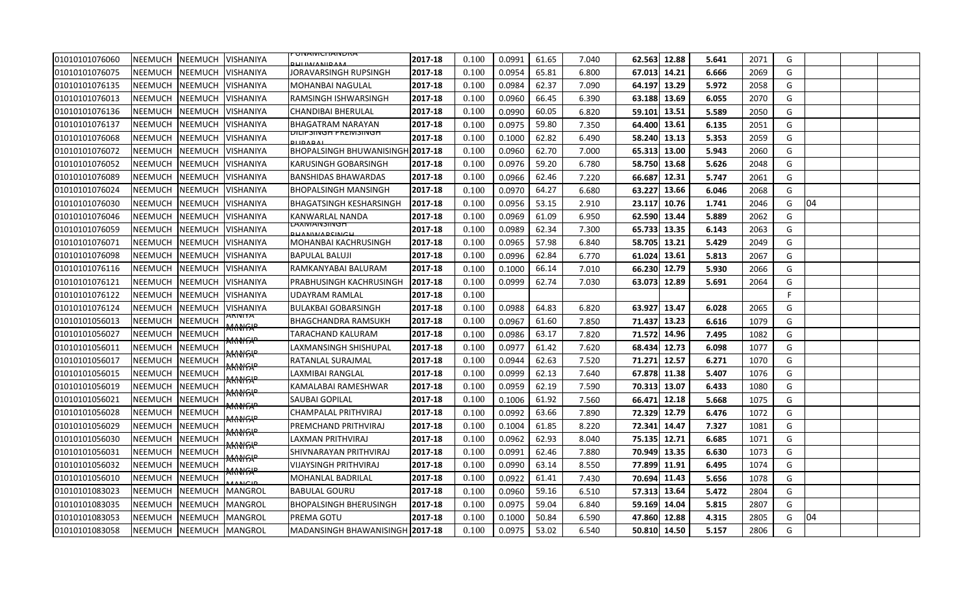| 01010101076060 | <b>NEEMUCH</b> | <b>NEEMUCH</b> | <b>VISHANIYA</b>          | <u>PUNAIVICHAINDRA</u><br><b>JLJI IVA/A NIID A N</b> | 2017-18 | 0.100 | 0.0991 | 61.65 | 7.040 | 62.563       | 12.88        | 5.641 | 2071 | G |    |  |
|----------------|----------------|----------------|---------------------------|------------------------------------------------------|---------|-------|--------|-------|-------|--------------|--------------|-------|------|---|----|--|
| 01010101076075 | <b>NEEMUCH</b> | <b>NEEMUCH</b> | <b>VISHANIYA</b>          | JORAVARSINGH RUPSINGH                                | 2017-18 | 0.100 | 0.0954 | 65.81 | 6.800 | 67.013       | 14.21        | 6.666 | 2069 | G |    |  |
| 01010101076135 | <b>NEEMUCH</b> | <b>NEEMUCH</b> | <b>VISHANIYA</b>          | <b>MOHANBAI NAGULAL</b>                              | 2017-18 | 0.100 | 0.0984 | 62.37 | 7.090 | 64.197       | 13.29        | 5.972 | 2058 | G |    |  |
| 01010101076013 | <b>NEEMUCH</b> | NEEMUCH        | <b>VISHANIYA</b>          | <b>RAMSINGH ISHWARSINGH</b>                          | 2017-18 | 0.100 | 0.0960 | 66.45 | 6.390 | 63.188       | 13.69        | 6.055 | 2070 | G |    |  |
| 01010101076136 | <b>NEEMUCH</b> | <b>NEEMUCH</b> | <b>VISHANIYA</b>          | CHANDIBAI BHERULAL                                   | 2017-18 | 0.100 | 0.0990 | 60.05 | 6.820 | 59.101       | 13.51        | 5.589 | 2050 | G |    |  |
| 01010101076137 | <b>NEEMUCH</b> | <b>NEEMUCH</b> | <b>VISHANIYA</b>          | <b>BHAGATRAM NARAYAN</b>                             | 2017-18 | 0.100 | 0.0975 | 59.80 | 7.350 | 64.400       | 13.61        | 6.135 | 2051 | G |    |  |
| 01010101076068 | <b>NEEMUCH</b> | <b>NEEMUCH</b> | <b>VISHANIYA</b>          | חטוווכווואז חטוווכדוש<br>۱۱ ממחונר                   | 2017-18 | 0.100 | 0.1000 | 62.82 | 6.490 | 58.240 13.13 |              | 5.353 | 2059 | G |    |  |
| 01010101076072 | <b>NEEMUCH</b> | <b>NEEMUCH</b> | <b>VISHANIYA</b>          | BHOPALSINGH BHUWANISINGH 2017-18                     |         | 0.100 | 0.0960 | 62.70 | 7.000 | 65.313       | 13.00        | 5.943 | 2060 | G |    |  |
| 01010101076052 | <b>NEEMUCH</b> | <b>NEEMUCH</b> | <b>VISHANIYA</b>          | <b>KARUSINGH GOBARSINGH</b>                          | 2017-18 | 0.100 | 0.0976 | 59.20 | 6.780 | 58.750       | 13.68        | 5.626 | 2048 | G |    |  |
| 01010101076089 | <b>NEEMUCH</b> | NEEMUCH        | <b>VISHANIYA</b>          | <b>BANSHIDAS BHAWARDAS</b>                           | 2017-18 | 0.100 | 0.0966 | 62.46 | 7.220 | 66.687       | 12.31        | 5.747 | 2061 | G |    |  |
| 01010101076024 | <b>NEEMUCH</b> | <b>NEEMUCH</b> | <b>VISHANIYA</b>          | <b>BHOPALSINGH MANSINGH</b>                          | 2017-18 | 0.100 | 0.0970 | 64.27 | 6.680 | 63.227       | 13.66        | 6.046 | 2068 | G |    |  |
| 01010101076030 | <b>NEEMUCH</b> | <b>NEEMUCH</b> | <b>VISHANIYA</b>          | <b>BHAGATSINGH KESHARSINGH</b>                       | 2017-18 | 0.100 | 0.0956 | 53.15 | 2.910 | 23.117       | 10.76        | 1.741 | 2046 | G | 04 |  |
| 01010101076046 | <b>NEEMUCH</b> | <b>NEEMUCH</b> | <b>VISHANIYA</b>          | KANWARLAL NANDA                                      | 2017-18 | 0.100 | 0.0969 | 61.09 | 6.950 | 62.590       | 13.44        | 5.889 | 2062 | G |    |  |
| 01010101076059 | <b>NEEMUCH</b> | <b>NEEMUCH</b> | <b>VISHANIYA</b>          | LAAIVIAINJIINUN                                      | 2017-18 | 0.100 | 0.0989 | 62.34 | 7.300 | 65.733       | 13.35        | 6.143 | 2063 | G |    |  |
| 01010101076071 | <b>NEEMUCH</b> | <b>NEEMUCH</b> | <b>VISHANIYA</b>          | <b>MOHANBAI KACHRUSINGH</b>                          | 2017-18 | 0.100 | 0.0965 | 57.98 | 6.840 | 58.705       | 13.21        | 5.429 | 2049 | G |    |  |
| 01010101076098 | <b>NEEMUCH</b> | <b>NEEMUCH</b> | <b>VISHANIYA</b>          | <b>BAPULAL BALUJI</b>                                | 2017-18 | 0.100 | 0.0996 | 62.84 | 6.770 | 61.024       | 13.61        | 5.813 | 2067 | G |    |  |
| 01010101076116 | <b>NEEMUCH</b> | <b>NEEMUCH</b> | <b>VISHANIYA</b>          | RAMKANYABAI BALURAM                                  | 2017-18 | 0.100 | 0.1000 | 66.14 | 7.010 | 66.230       | 12.79        | 5.930 | 2066 | G |    |  |
| 01010101076121 | <b>NEEMUCH</b> | <b>NEEMUCH</b> | <b>VISHANIYA</b>          | <b>PRABHUSINGH KACHRUSINGH</b>                       | 2017-18 | 0.100 | 0.0999 | 62.74 | 7.030 | 63.073       | 12.89        | 5.691 | 2064 | G |    |  |
| 01010101076122 | <b>NEEMUCH</b> | <b>NEEMUCH</b> | <b>VISHANIYA</b>          | UDAYRAM RAMLAL                                       | 2017-18 | 0.100 |        |       |       |              |              |       |      | E |    |  |
| 01010101076124 | <b>NEEMUCH</b> | <b>NEEMUCH</b> | VISHANIYA                 | <b>BULAKBAI GOBARSINGH</b>                           | 2017-18 | 0.100 | 0.0988 | 64.83 | 6.820 | 63.927 13.47 |              | 6.028 | 2065 | G |    |  |
| 01010101056013 | <b>NEEMUCH</b> | <b>NEEMUCH</b> | <b>INNITA</b>             | <b>BHAGCHANDRA RAMSUKH</b>                           | 2017-18 | 0.100 | 0.0967 | 61.60 | 7.850 | 71.437 13.23 |              | 6.616 | 1079 | G |    |  |
| 01010101056027 | NEEMUCH        | <b>NEEMUCH</b> | <b>\{\\\\f`\\`</b>        | TARACHAND KALURAM                                    | 2017-18 | 0.100 | 0.0986 | 63.17 | 7.820 | 71.572       | 14.96        | 7.495 | 1082 | G |    |  |
| 01010101056011 | NEEMUCH        | <b>NEEMUCH</b> | <b>\{\\\\f`\\`</b>        | LAXMANSINGH SHISHUPAL                                | 2017-18 | 0.100 | 0.0977 | 61.42 | 7.620 | 68.434       | 12.73        | 6.098 | 1077 | G |    |  |
| 01010101056017 | <b>NEEMUCH</b> | <b>NEEMUCH</b> | <b>AKANGAP</b>            | RATANLAL SURAJMAL                                    | 2017-18 | 0.100 | 0.0944 | 62.63 | 7.520 | 71.271       | 12.57        | 6.271 | 1070 | G |    |  |
| 01010101056015 | <b>NEEMUCH</b> | <b>NEEMUCH</b> | <b>AKANGAP</b>            | LAXMIBAI RANGLAL                                     | 2017-18 | 0.100 | 0.0999 | 62.13 | 7.640 | 67.878 11.38 |              | 5.407 | 1076 | G |    |  |
| 01010101056019 | <b>NEEMUCH</b> | <b>NEEMUCH</b> | <b>AKNIFAP</b>            | KAMALABAI RAMESHWAR                                  | 2017-18 | 0.100 | 0.0959 | 62.19 | 7.590 | 70.313 13.07 |              | 6.433 | 1080 | G |    |  |
| 01010101056021 | <b>NEEMUCH</b> | <b>NEEMUCH</b> | <b>AKNIFAP</b>            | <b>SAUBAI GOPILAL</b>                                | 2017-18 | 0.100 | 0.1006 | 61.92 | 7.560 | 66.471 12.18 |              | 5.668 | 1075 | G |    |  |
| 01010101056028 | <b>NEEMUCH</b> | <b>NEEMUCH</b> | <b>AKNIFAP</b>            | <b>CHAMPALAL PRITHVIRAJ</b>                          | 2017-18 | 0.100 | 0.0992 | 63.66 | 7.890 | 72.329 12.79 |              | 6.476 | 1072 | G |    |  |
| 01010101056029 | <b>NEEMUCH</b> | <b>NEEMUCH</b> | <b>AKNIFAP</b>            | PREMCHAND PRITHVIRAJ                                 | 2017-18 | 0.100 | 0.1004 | 61.85 | 8.220 | 72.341 14.47 |              | 7.327 | 1081 | G |    |  |
| 01010101056030 | <b>NEEMUCH</b> | <b>NEEMUCH</b> | <b>AAANFAP</b>            | LAXMAN PRITHVIRAJ                                    | 2017-18 | 0.100 | 0.0962 | 62.93 | 8.040 | 75.135 12.71 |              | 6.685 | 1071 | G |    |  |
| 01010101056031 | <b>NEEMUCH</b> | <b>NEEMUCH</b> | <b>AKNIFAP</b>            | SHIVNARAYAN PRITHVIRAJ                               | 2017-18 | 0.100 | 0.0991 | 62.46 | 7.880 | 70.949 13.35 |              | 6.630 | 1073 | G |    |  |
| 01010101056032 | <b>NEEMUCH</b> | <b>NEEMUCH</b> | AKNIFA <sup>R</sup>       | <b>VIJAYSINGH PRITHVIRAJ</b>                         | 2017-18 | 0.100 | 0.0990 | 63.14 | 8.550 | 77.899 11.91 |              | 6.495 | 1074 | G |    |  |
| 01010101056010 | <b>NEEMUCH</b> | <b>NEEMUCH</b> | <b>\{\\\\f\\`</b><br>MCID | <b>MOHANLAL BADRILAL</b>                             | 2017-18 | 0.100 | 0.0922 | 61.41 | 7.430 | 70.694 11.43 |              | 5.656 | 1078 | G |    |  |
| 01010101083023 | <b>NEEMUCH</b> | <b>NEEMUCH</b> | MANGROL                   | <b>BABULAL GOURU</b>                                 | 2017-18 | 0.100 | 0.0960 | 59.16 | 6.510 | 57.313 13.64 |              | 5.472 | 2804 | G |    |  |
| 01010101083035 | <b>NEEMUCH</b> | <b>NEEMUCH</b> | <b>MANGROL</b>            | <b>BHOPALSINGH BHERUSINGH</b>                        | 2017-18 | 0.100 | 0.0975 | 59.04 | 6.840 | 59.169 14.04 |              | 5.815 | 2807 | G |    |  |
| 01010101083053 | <b>NEEMUCH</b> | <b>NEEMUCH</b> | <b>MANGROL</b>            | <b>PREMA GOTU</b>                                    | 2017-18 | 0.100 | 0.1000 | 50.84 | 6.590 | 47.860 12.88 |              | 4.315 | 2805 | G | 04 |  |
| 01010101083058 | <b>NEEMUCH</b> | <b>NEEMUCH</b> | <b>MANGROL</b>            | <b>MADANSINGH BHAWANISINGH 2017-18</b>               |         | 0.100 | 0.0975 | 53.02 | 6.540 |              | 50.810 14.50 | 5.157 | 2806 | G |    |  |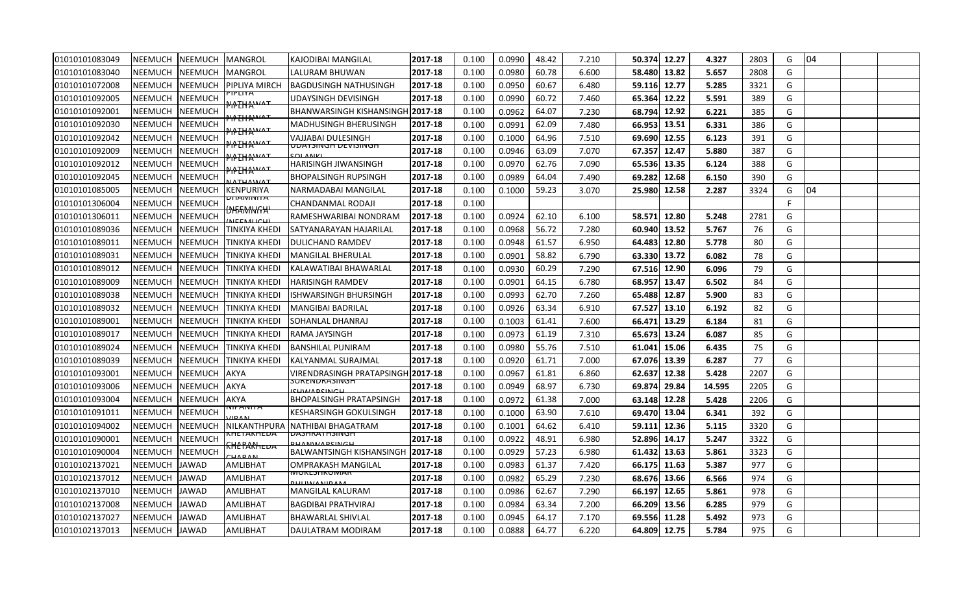| 01010101083049 | NEEMUCH        | <b>NEEMUCH</b> | MANGROL                                         | KAJODIBAI MANGILAL                                | 2017-18 | 0.100 | 0.0990 | 48.42 | 7.210 | 50.374 12.27 |              | 4.327  | 2803 | G | 04 |  |
|----------------|----------------|----------------|-------------------------------------------------|---------------------------------------------------|---------|-------|--------|-------|-------|--------------|--------------|--------|------|---|----|--|
| 01010101083040 | NEEMUCH        | <b>NEEMUCH</b> | <b>MANGROL</b>                                  | LALURAM BHUWAN                                    | 2017-18 | 0.100 | 0.0980 | 60.78 | 6.600 | 58.480 13.82 |              | 5.657  | 2808 | G |    |  |
| 01010101072008 | NEEMUCH        | <b>NEEMUCH</b> | <b>PIPLIYA MIRCH</b>                            | BAGDUSINGH NATHUSINGH                             | 2017-18 | 0.100 | 0.0950 | 60.67 | 6.480 | 59.116 12.77 |              | 5.285  | 3321 | G |    |  |
| 01010101092005 | NEEMUCH        | <b>NEEMUCH</b> | TITLITA<br><b>HOEHANAT</b>                      | UDAYSINGH DEVISINGH                               | 2017-18 | 0.100 | 0.0990 | 60.72 | 7.460 | 65.364       | 12.22        | 5.591  | 389  | G |    |  |
| 01010101092001 | NEEMUCH        | <b>NEEMUCH</b> | <del>YPTHAW^T</del>                             | BHANWARSINGH KISHANSINGH 2017-18                  |         | 0.100 | 0.0962 | 64.07 | 7.230 | 68.794       | 12.92        | 6.221  | 385  | G |    |  |
| 01010101092030 | NEEMUCH        | <b>NEEMUCH</b> | <del>ሃሶፒዘ ጰ\^^*</del>                           | MADHUSINGH BHERUSINGH                             | 2017-18 | 0.100 | 0.0991 | 62.09 | 7.480 | 66.953       | 13.51        | 6.331  | 386  | G |    |  |
| 01010101092042 | NEEMUCH        | <b>NEEMUCH</b> |                                                 | lVAJJABAI DULESINGH                               | 2017-18 | 0.100 | 0.1000 | 64.96 | 7.510 | 69.690       | 12.55        | 6.123  | 391  | G |    |  |
| 01010101092009 | NEEMUCH        | <b>NEEMUCH</b> | <del>ካንፒዘ አነ^^*</del><br><del>ካንፒዘ A'''^*</del> | חטוווכוסטע חטוווכזאעט<br>$\bigcap$ ANIVI          | 2017-18 | 0.100 | 0.0946 | 63.09 | 7.070 | 67.357       | 12.47        | 5.880  | 387  | G |    |  |
| 01010101092012 | NEEMUCH        | <b>NEEMUCH</b> | <del>YPTHAW^T</del>                             | <b>HARISINGH JIWANSINGH</b>                       | 2017-18 | 0.100 | 0.0970 | 62.76 | 7.090 | 65.536       | 13.35        | 6.124  | 388  | G |    |  |
| 01010101092045 | NEEMUCH        | <b>NEEMUCH</b> | TUAWAT                                          | <b>BHOPALSINGH RUPSINGH</b>                       | 2017-18 | 0.100 | 0.0989 | 64.04 | 7.490 | 69.282       | 12.68        | 6.150  | 390  | G |    |  |
| 01010101085005 | NEEMUCH        | <b>NEEMUCH</b> | <b>KENPURIYA</b>                                | NARMADABAI MANGILAL                               | 2017-18 | 0.100 | 0.1000 | 59.23 | 3.070 | 25.980       | 12.58        | 2.287  | 3324 | G | 04 |  |
| 01010101306004 | NEEMUCH        | <b>NEEMUCH</b> | <b>JNAIVIIVITA</b>                              | CHANDANMAL RODAJI                                 | 2017-18 | 0.100 |        |       |       |              |              |        |      | F |    |  |
| 01010101306011 | NEEMUCH        | <b>NEEMUCH</b> | <del>игамнин</del><br><b>FFMILOU</b>            | RAMESHWARIBAI NONDRAM                             | 2017-18 | 0.100 | 0.0924 | 62.10 | 6.100 | 58.571       | 12.80        | 5.248  | 2781 | G |    |  |
| 01010101089036 | NEEMUCH        | <b>NEEMUCH</b> | <b>TINKIYA KHEDI</b>                            | SATYANARAYAN HAJARILAL                            | 2017-18 | 0.100 | 0.0968 | 56.72 | 7.280 | 60.940       | 13.52        | 5.767  | 76   | G |    |  |
| 01010101089011 | NEEMUCH        | <b>NEEMUCH</b> | <b>TINKIYA KHEDI</b>                            | <b>DULICHAND RAMDEV</b>                           | 2017-18 | 0.100 | 0.0948 | 61.57 | 6.950 | 64.483       | 12.80        | 5.778  | 80   | G |    |  |
| 01010101089031 | NEEMUCH        | <b>NEEMUCH</b> | <b>TINKIYA KHEDI</b>                            | <b>MANGILAL BHERULAL</b>                          | 2017-18 | 0.100 | 0.0901 | 58.82 | 6.790 | 63.330       | 13.72        | 6.082  | 78   | G |    |  |
| 01010101089012 | NEEMUCH        | <b>NEEMUCH</b> | <b>TINKIYA KHEDI</b>                            | KALAWATIBAI BHAWARLAL                             | 2017-18 | 0.100 | 0.0930 | 60.29 | 7.290 | 67.516       | 12.90        | 6.096  | 79   | G |    |  |
| 01010101089009 | NEEMUCH        | <b>NEEMUCH</b> | <b>TINKIYA KHEDI</b>                            | <b>HARISINGH RAMDEV</b>                           | 2017-18 | 0.100 | 0.0901 | 64.15 | 6.780 | 68.957       | 13.47        | 6.502  | 84   | G |    |  |
| 01010101089038 | NEEMUCH        | <b>NEEMUCH</b> | <b>TINKIYA KHEDI</b>                            | ISHWARSINGH BHURSINGH                             | 2017-18 | 0.100 | 0.0993 | 62.70 | 7.260 | 65.488       | 12.87        | 5.900  | 83   | G |    |  |
| 01010101089032 | NEEMUCH        | <b>NEEMUCH</b> | <b>TINKIYA KHEDI</b>                            | <b>MANGIBAI BADRILAL</b>                          | 2017-18 | 0.100 | 0.0926 | 63.34 | 6.910 | 67.527       | 13.10        | 6.192  | 82   | G |    |  |
| 01010101089001 | NEEMUCH        | <b>NEEMUCH</b> | <b>TINKIYA KHEDI</b>                            | <b>SOHANLAL DHANRAJ</b>                           | 2017-18 | 0.100 | 0.1003 | 61.41 | 7.600 | 66.471       | 13.29        | 6.184  | 81   | G |    |  |
| 01010101089017 | NEEMUCH        | <b>NEEMUCH</b> | <b>TINKIYA KHEDI</b>                            | <b>RAMA JAYSINGH</b>                              | 2017-18 | 0.100 | 0.0973 | 61.19 | 7.310 | 65.673       | 13.24        | 6.087  | 85   | G |    |  |
| 01010101089024 | NEEMUCH        | <b>NEEMUCH</b> | <b>TINKIYA KHEDI</b>                            | <b>BANSHILAL PUNIRAM</b>                          | 2017-18 | 0.100 | 0.0980 | 55.76 | 7.510 | 61.041       | 15.06        | 6.435  | 75   | G |    |  |
| 01010101089039 | NEEMUCH        | <b>NEEMUCH</b> | <b>TINKIYA KHEDI</b>                            | KALYANMAL SURAJMAL                                | 2017-18 | 0.100 | 0.0920 | 61.71 | 7.000 | 67.076       | 13.39        | 6.287  | 77   | G |    |  |
| 01010101093001 | <b>NEEMUCH</b> | <b>NEEMUCH</b> | <b>AKYA</b>                                     | VIRENDRASINGH PRATAPSINGH 2017-18                 |         | 0.100 | 0.0967 | 61.81 | 6.860 | 62.637       | 12.38        | 5.428  | 2207 | G |    |  |
| 01010101093006 | NEEMUCH        | <b>NEEMUCH</b> | <b>AKYA</b>                                     | <b>UREINURASIINUN</b><br>$C1 B1 B2 B1 B2 B1$      | 2017-18 | 0.100 | 0.0949 | 68.97 | 6.730 | 69.874       | 29.84        | 14.595 | 2205 | G |    |  |
| 01010101093004 | NEEMUCH        | <b>NEEMUCH</b> | <b>AKYA</b>                                     | <b>BHOPALSINGH PRATAPSINGH</b>                    | 2017-18 | 0.100 | 0.0972 | 61.38 | 7.000 | 63.148 12.28 |              | 5.428  | 2206 | G |    |  |
| 01010101091011 | <b>NEEMUCH</b> | <b>NEEMUCH</b> | <b>VIPAIVITA</b>                                | <b>KESHARSINGH GOKULSINGH</b>                     | 2017-18 | 0.100 | 0.1000 | 63.90 | 7.610 | 69.470 13.04 |              | 6.341  | 392  | G |    |  |
| 01010101094002 | <b>NEEMUCH</b> | <b>NEEMUCH</b> | NILKANTHPURA                                    | NATHIBAI BHAGATRAM                                | 2017-18 | 0.100 | 0.1001 | 64.62 | 6.410 | 59.111       | 12.36        | 5.115  | 3320 | G |    |  |
| 01010101090001 | <b>NEEMUCH</b> | <b>NEEMUCH</b> | .nctanncua                                      | <u> חטיוונח ו אחתנאל</u><br><b>DUANIMADCINICU</b> | 2017-18 | 0.100 | 0.0922 | 48.91 | 6.980 | 52.896       | 14.17        | 5.247  | 3322 | G |    |  |
| 01010101090004 | <b>NEEMUCH</b> | <b>NEEMUCH</b> | <b>CHARANTEDA</b>                               | <b>BALWANTSINGH KISHANSINGH</b>                   | 2017-18 | 0.100 | 0.0929 | 57.23 | 6.980 | 61.432 13.63 |              | 5.861  | 3323 | G |    |  |
| 01010102137021 | NEEMUCH        | <b>JAWAD</b>   | AMLIBHAT                                        | OMPRAKASH MANGILAL                                | 2017-18 | 0.100 | 0.0983 | 61.37 | 7.420 | 66.175 11.63 |              | 5.387  | 977  | G |    |  |
| 01010102137012 | NEEMUCH        | JAWAD          | <b>AMLIBHAT</b>                                 | <u>WUNESHNUIVIAN</u><br>0 111 114 / A 11 11 0 A 1 | 2017-18 | 0.100 | 0.0982 | 65.29 | 7.230 | 68.676 13.66 |              | 6.566  | 974  | G |    |  |
| 01010102137010 | NEEMUCH        | JAWAD          | <b>AMLIBHAT</b>                                 | MANGILAL KALURAM                                  | 2017-18 | 0.100 | 0.0986 | 62.67 | 7.290 | 66.197 12.65 |              | 5.861  | 978  | G |    |  |
| 01010102137008 | NEEMUCH        | <b>JAWAD</b>   | <b>AMLIBHAT</b>                                 | BAGDIBAI PRATHVIRAJ                               | 2017-18 | 0.100 | 0.0984 | 63.34 | 7.200 | 66.209 13.56 |              | 6.285  | 979  | G |    |  |
| 01010102137027 | <b>NEEMUCH</b> | <b>JAWAD</b>   | <b>AMLIBHAT</b>                                 | IBHAWARLAL SHIVLAL                                | 2017-18 | 0.100 | 0.0945 | 64.17 | 7.170 | 69.556 11.28 |              | 5.492  | 973  | G |    |  |
| 01010102137013 | NEEMUCH JAWAD  |                | <b>AMLIBHAT</b>                                 | DAULATRAM MODIRAM                                 | 2017-18 | 0.100 | 0.0888 | 64.77 | 6.220 |              | 64.809 12.75 | 5.784  | 975  | G |    |  |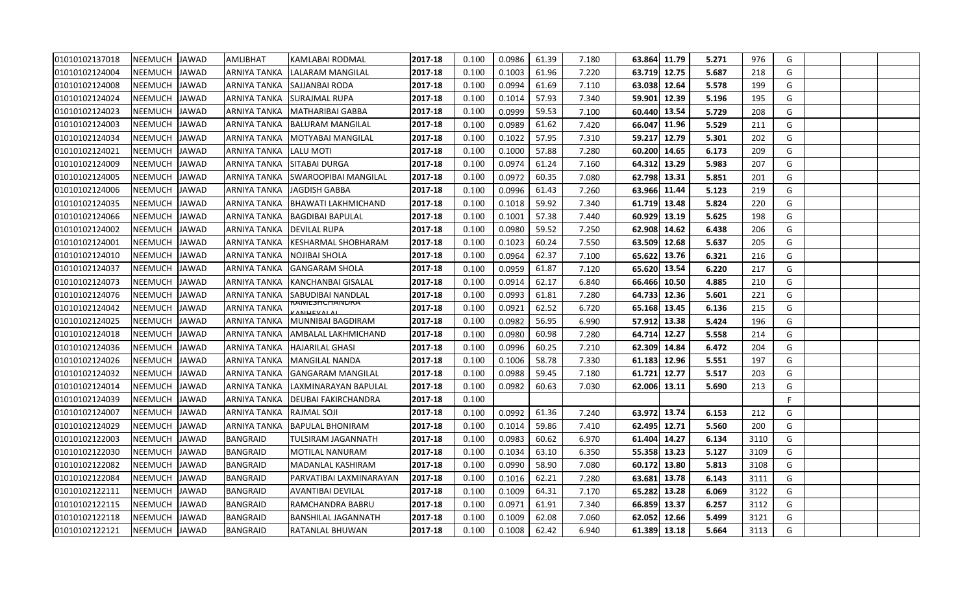| 01010102137018 | NEEMUCH JAWAD  |              | <b>AMLIBHAT</b>     | KAMLABAI RODMAL             | 2017-18 | 0.100 | 0.0986 | 61.39 | 7.180 | 63.864 11.79 |              | 5.271 | 976  | G |  |  |
|----------------|----------------|--------------|---------------------|-----------------------------|---------|-------|--------|-------|-------|--------------|--------------|-------|------|---|--|--|
| 01010102124004 | NEEMUCH        | JAWAD        | <b>ARNIYA TANKA</b> | LALARAM MANGILAL            | 2017-18 | 0.100 | 0.1003 | 61.96 | 7.220 |              | 63.719 12.75 | 5.687 | 218  | G |  |  |
| 01010102124008 | NEEMUCH        | <b>JAWAD</b> | <b>ARNIYA TANKA</b> | SAJJANBAI RODA              | 2017-18 | 0.100 | 0.0994 | 61.69 | 7.110 | 63.038 12.64 |              | 5.578 | 199  | G |  |  |
| 01010102124024 | NEEMUCH        | <b>JAWAD</b> | ARNIYA TANKA        | SURAJMAL RUPA               | 2017-18 | 0.100 | 0.1014 | 57.93 | 7.340 | 59.901 12.39 |              | 5.196 | 195  | G |  |  |
| 01010102124023 | NEEMUCH        | JAWAD        | <b>ARNIYA TANKA</b> | <b>MATHARIBAI GABBA</b>     | 2017-18 | 0.100 | 0.0999 | 59.53 | 7.100 | 60.440 13.54 |              | 5.729 | 208  | G |  |  |
| 01010102124003 | NEEMUCH        | JAWAD        | <b>ARNIYA TANKA</b> | <b>BALURAM MANGILAL</b>     | 2017-18 | 0.100 | 0.0989 | 61.62 | 7.420 | 66.047 11.96 |              | 5.529 | 211  | G |  |  |
| 01010102124034 | NEEMUCH        | JAWAD        | <b>ARNIYA TANKA</b> | MOTYABAI MANGILAL           | 2017-18 | 0.100 | 0.1022 | 57.95 | 7.310 | 59.217 12.79 |              | 5.301 | 202  | G |  |  |
| 01010102124021 | <b>NEEMUCH</b> | JAWAD        | <b>ARNIYA TANKA</b> | <b>LALU MOTI</b>            | 2017-18 | 0.100 | 0.1000 | 57.88 | 7.280 | 60.200 14.65 |              | 6.173 | 209  | G |  |  |
| 01010102124009 | <b>NEEMUCH</b> | JAWAD        | <b>ARNIYA TANKA</b> | <b>SITABAI DURGA</b>        | 2017-18 | 0.100 | 0.0974 | 61.24 | 7.160 | 64.312 13.29 |              | 5.983 | 207  | G |  |  |
| 01010102124005 | NEEMUCH        | JAWAD        | <b>ARNIYA TANKA</b> | <b>SWAROOPIBAI MANGILAL</b> | 2017-18 | 0.100 | 0.0972 | 60.35 | 7.080 | 62.798 13.31 |              | 5.851 | 201  | G |  |  |
| 01010102124006 | <b>NEEMUCH</b> | <b>JAWAD</b> | <b>ARNIYA TANKA</b> | JAGDISH GABBA               | 2017-18 | 0.100 | 0.0996 | 61.43 | 7.260 | 63.966 11.44 |              | 5.123 | 219  | G |  |  |
| 01010102124035 | NEEMUCH        | <b>JAWAD</b> | <b>ARNIYA TANKA</b> | <b>BHAWATI LAKHMICHAND</b>  | 2017-18 | 0.100 | 0.1018 | 59.92 | 7.340 | 61.719 13.48 |              | 5.824 | 220  | G |  |  |
| 01010102124066 | <b>NEEMUCH</b> | <b>JAWAD</b> | <b>ARNIYA TANKA</b> | <b>BAGDIBAI BAPULAL</b>     | 2017-18 | 0.100 | 0.1001 | 57.38 | 7.440 | 60.929 13.19 |              | 5.625 | 198  | G |  |  |
| 01010102124002 | <b>NEEMUCH</b> | <b>JAWAD</b> | <b>ARNIYA TANKA</b> | <b>DEVILAL RUPA</b>         | 2017-18 | 0.100 | 0.0980 | 59.52 | 7.250 | 62.908 14.62 |              | 6.438 | 206  | G |  |  |
| 01010102124001 | NEEMUCH        | <b>JAWAD</b> | <b>ARNIYA TANKA</b> | <b>KESHARMAL SHOBHARAM</b>  | 2017-18 | 0.100 | 0.1023 | 60.24 | 7.550 | 63.509 12.68 |              | 5.637 | 205  | G |  |  |
| 01010102124010 | NEEMUCH        | JAWAD        | <b>ARNIYA TANKA</b> | <b>NOJIBAI SHOLA</b>        | 2017-18 | 0.100 | 0.0964 | 62.37 | 7.100 | 65.622 13.76 |              | 6.321 | 216  | G |  |  |
| 01010102124037 | NEEMUCH        | JAWAD        | <b>ARNIYA TANKA</b> | <b>GANGARAM SHOLA</b>       | 2017-18 | 0.100 | 0.0959 | 61.87 | 7.120 | 65.620 13.54 |              | 6.220 | 217  | G |  |  |
| 01010102124073 | NEEMUCH        | <b>JAWAD</b> | <b>ARNIYA TANKA</b> | KANCHANBAI GISALAL          | 2017-18 | 0.100 | 0.0914 | 62.17 | 6.840 | 66.466 10.50 |              | 4.885 | 210  | G |  |  |
| 01010102124076 | NEEMUCH        | <b>JAWAD</b> | <b>ARNIYA TANKA</b> | <b>SABUDIBAI NANDLAL</b>    | 2017-18 | 0.100 | 0.0993 | 61.81 | 7.280 | 64.733 12.36 |              | 5.601 | 221  | G |  |  |
| 01010102124042 | <b>NEEMUCH</b> | <b>JAWAD</b> | <b>ARNIYA TANKA</b> | <u>SAIVIESNUNAISUNA</u>     | 2017-18 | 0.100 | 0.0921 | 62.52 | 6.720 | 65.168 13.45 |              | 6.136 | 215  | G |  |  |
| 01010102124025 | <b>NEEMUCH</b> | JAWAD        | <b>ARNIYA TANKA</b> | MUNNIBAI BAGDIRAM           | 2017-18 | 0.100 | 0.0982 | 56.95 | 6.990 | 57.912 13.38 |              | 5.424 | 196  | G |  |  |
| 01010102124018 | NEEMUCH        | <b>JAWAD</b> | <b>ARNIYA TANKA</b> | AMBALAL LAKHMICHAND         | 2017-18 | 0.100 | 0.0980 | 60.98 | 7.280 | 64.714 12.27 |              | 5.558 | 214  | G |  |  |
| 01010102124036 | NEEMUCH        | <b>JAWAD</b> | <b>ARNIYA TANKA</b> | <b>HAJARILAL GHASI</b>      | 2017-18 | 0.100 | 0.0996 | 60.25 | 7.210 | 62.309 14.84 |              | 6.472 | 204  | G |  |  |
| 01010102124026 | <b>NEEMUCH</b> | <b>JAWAD</b> | <b>ARNIYA TANKA</b> | <b>MANGILAL NANDA</b>       | 2017-18 | 0.100 | 0.1006 | 58.78 | 7.330 | 61.183 12.96 |              | 5.551 | 197  | G |  |  |
| 01010102124032 | <b>NEEMUCH</b> | <b>JAWAD</b> | <b>ARNIYA TANKA</b> | <b>GANGARAM MANGILAL</b>    | 2017-18 | 0.100 | 0.0988 | 59.45 | 7.180 | 61.721 12.77 |              | 5.517 | 203  | G |  |  |
| 01010102124014 | NEEMUCH        | <b>JAWAD</b> | <b>ARNIYA TANKA</b> | LAXMINARAYAN BAPULAL        | 2017-18 | 0.100 | 0.0982 | 60.63 | 7.030 | 62.006 13.11 |              | 5.690 | 213  | G |  |  |
| 01010102124039 | NEEMUCH        | <b>JAWAD</b> | <b>ARNIYA TANKA</b> | DEUBAI FAKIRCHANDRA         | 2017-18 | 0.100 |        |       |       |              |              |       |      | E |  |  |
| 01010102124007 | NEEMUCH        | JAWAD        | <b>ARNIYA TANKA</b> | RAJMAL SOJI                 | 2017-18 | 0.100 | 0.0992 | 61.36 | 7.240 | 63.972 13.74 |              | 6.153 | 212  | G |  |  |
| 01010102124029 | NEEMUCH        | JAWAD        | <b>ARNIYA TANKA</b> | <b>BAPULAL BHONIRAM</b>     | 2017-18 | 0.100 | 0.1014 | 59.86 | 7.410 | 62.495 12.71 |              | 5.560 | 200  | G |  |  |
| 01010102122003 | NEEMUCH        | JAWAD        | <b>BANGRAID</b>     | TULSIRAM JAGANNATH          | 2017-18 | 0.100 | 0.0983 | 60.62 | 6.970 | 61.404 14.27 |              | 6.134 | 3110 | G |  |  |
| 01010102122030 | <b>NEEMUCH</b> | <b>JAWAD</b> | <b>BANGRAID</b>     | <b>MOTILAL NANURAM</b>      | 2017-18 | 0.100 | 0.1034 | 63.10 | 6.350 | 55.358 13.23 |              | 5.127 | 3109 | G |  |  |
| 01010102122082 | NEEMUCH        | JAWAD        | <b>BANGRAID</b>     | MADANLAL KASHIRAM           | 2017-18 | 0.100 | 0.0990 | 58.90 | 7.080 | 60.172 13.80 |              | 5.813 | 3108 | G |  |  |
| 01010102122084 | NEEMUCH        | JAWAD        | <b>BANGRAID</b>     | PARVATIBAI LAXMINARAYAN     | 2017-18 | 0.100 | 0.1016 | 62.21 | 7.280 | 63.681 13.78 |              | 6.143 | 3111 | G |  |  |
| 01010102122111 | <b>NEEMUCH</b> | JAWAD        | <b>BANGRAID</b>     | <b>AVANTIBAI DEVILAL</b>    | 2017-18 | 0.100 | 0.1009 | 64.31 | 7.170 | 65.282 13.28 |              | 6.069 | 3122 | G |  |  |
| 01010102122115 | <b>NEEMUCH</b> | JAWAD        | <b>BANGRAID</b>     | RAMCHANDRA BABRU            | 2017-18 | 0.100 | 0.0971 | 61.91 | 7.340 | 66.859 13.37 |              | 6.257 | 3112 | G |  |  |
| 01010102122118 | <b>NEEMUCH</b> | JAWAD        | <b>BANGRAID</b>     | <b>BANSHILAL JAGANNATH</b>  | 2017-18 | 0.100 | 0.1009 | 62.08 | 7.060 | 62.052 12.66 |              | 5.499 | 3121 | G |  |  |
| 01010102122121 | NEEMUCH JAWAD  |              | <b>BANGRAID</b>     | <b>RATANLAL BHUWAN</b>      | 2017-18 | 0.100 | 0.1008 | 62.42 | 6.940 | 61.389 13.18 |              | 5.664 | 3113 | G |  |  |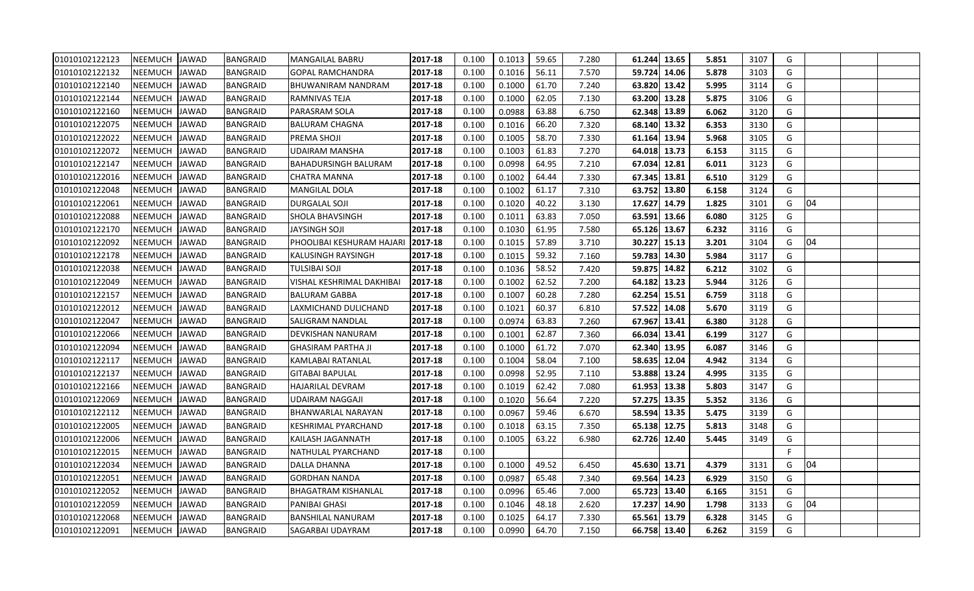| 01010102122123 | NEEMUCH JAWAD  |              | <b>BANGRAID</b> | <b>MANGAILAL BABRU</b>     | 2017-18 | 0.100 | 0.1013 | 59.65 | 7.280 | 61.244 13.65 | 5.851 | 3107 | G |    |  |
|----------------|----------------|--------------|-----------------|----------------------------|---------|-------|--------|-------|-------|--------------|-------|------|---|----|--|
| 01010102122132 | NEEMUCH        | JAWAD        | <b>BANGRAID</b> | GOPAL RAMCHANDRA           | 2017-18 | 0.100 | 0.1016 | 56.11 | 7.570 | 59.724 14.06 | 5.878 | 3103 | G |    |  |
| 01010102122140 | NEEMUCH        | <b>JAWAD</b> | <b>BANGRAID</b> | BHUWANIRAM NANDRAM         | 2017-18 | 0.100 | 0.1000 | 61.70 | 7.240 | 63.820 13.42 | 5.995 | 3114 | G |    |  |
| 01010102122144 | NEEMUCH        | JAWAD        | <b>BANGRAID</b> | RAMNIVAS TEJA              | 2017-18 | 0.100 | 0.1000 | 62.05 | 7.130 | 63.200 13.28 | 5.875 | 3106 | G |    |  |
| 01010102122160 | NEEMUCH        | JAWAD        | <b>BANGRAID</b> | PARASRAM SOLA              | 2017-18 | 0.100 | 0.0988 | 63.88 | 6.750 | 62.348 13.89 | 6.062 | 3120 | G |    |  |
| 01010102122075 | NEEMUCH        | JAWAD        | <b>BANGRAID</b> | <b>BALURAM CHAGNA</b>      | 2017-18 | 0.100 | 0.1016 | 66.20 | 7.320 | 68.140 13.32 | 6.353 | 3130 | G |    |  |
| 01010102122022 | NEEMUCH        | JAWAD        | <b>BANGRAID</b> | PREMA SHOJI                | 2017-18 | 0.100 | 0.1005 | 58.70 | 7.330 | 61.164 13.94 | 5.968 | 3105 | G |    |  |
| 01010102122072 | <b>NEEMUCH</b> | <b>JAWAD</b> | <b>BANGRAID</b> | UDAIRAM MANSHA             | 2017-18 | 0.100 | 0.1003 | 61.83 | 7.270 | 64.018 13.73 | 6.153 | 3115 | G |    |  |
| 01010102122147 | <b>NEEMUCH</b> | <b>JAWAD</b> | <b>BANGRAID</b> | BAHADURSINGH BALURAM       | 2017-18 | 0.100 | 0.0998 | 64.95 | 7.210 | 67.034 12.81 | 6.011 | 3123 | G |    |  |
| 01010102122016 | <b>NEEMUCH</b> | <b>JAWAD</b> | <b>BANGRAID</b> | <b>CHATRA MANNA</b>        | 2017-18 | 0.100 | 0.1002 | 64.44 | 7.330 | 67.345 13.81 | 6.510 | 3129 | G |    |  |
| 01010102122048 | <b>NEEMUCH</b> | <b>JAWAD</b> | <b>BANGRAID</b> | <b>MANGILAL DOLA</b>       | 2017-18 | 0.100 | 0.1002 | 61.17 | 7.310 | 63.752 13.80 | 6.158 | 3124 | G |    |  |
| 01010102122061 | <b>NEEMUCH</b> | <b>JAWAD</b> | <b>BANGRAID</b> | DURGALAL SOJI              | 2017-18 | 0.100 | 0.1020 | 40.22 | 3.130 | 17.627 14.79 | 1.825 | 3101 | G | 04 |  |
| 01010102122088 | <b>NEEMUCH</b> | <b>JAWAD</b> | <b>BANGRAID</b> | SHOLA BHAVSINGH            | 2017-18 | 0.100 | 0.1011 | 63.83 | 7.050 | 63.591 13.66 | 6.080 | 3125 | G |    |  |
| 01010102122170 | <b>NEEMUCH</b> | <b>JAWAD</b> | <b>BANGRAID</b> | <b>JAYSINGH SOJI</b>       | 2017-18 | 0.100 | 0.1030 | 61.95 | 7.580 | 65.126 13.67 | 6.232 | 3116 | G |    |  |
| 01010102122092 | NEEMUCH        | <b>JAWAD</b> | <b>BANGRAID</b> | PHOOLIBAI KESHURAM HAJARI  | 2017-18 | 0.100 | 0.1015 | 57.89 | 3.710 | 30.227 15.13 | 3.201 | 3104 | G | 04 |  |
| 01010102122178 | NEEMUCH        | JAWAD        | <b>BANGRAID</b> | KALUSINGH RAYSINGH         | 2017-18 | 0.100 | 0.1015 | 59.32 | 7.160 | 59.783 14.30 | 5.984 | 3117 | G |    |  |
| 01010102122038 | NEEMUCH        | JAWAD        | <b>BANGRAID</b> | <b>TULSIBAI SOJI</b>       | 2017-18 | 0.100 | 0.1036 | 58.52 | 7.420 | 59.875 14.82 | 6.212 | 3102 | G |    |  |
| 01010102122049 | NEEMUCH        | <b>JAWAD</b> | <b>BANGRAID</b> | VISHAL KESHRIMAL DAKHIBAI  | 2017-18 | 0.100 | 0.1002 | 62.52 | 7.200 | 64.182 13.23 | 5.944 | 3126 | G |    |  |
| 01010102122157 | NEEMUCH        | <b>JAWAD</b> | <b>BANGRAID</b> | <b>BALURAM GABBA</b>       | 2017-18 | 0.100 | 0.1007 | 60.28 | 7.280 | 62.254 15.51 | 6.759 | 3118 | G |    |  |
| 01010102122012 | NEEMUCH        | JAWAD        | <b>BANGRAID</b> | LAXMICHAND DULICHAND       | 2017-18 | 0.100 | 0.1021 | 60.37 | 6.810 | 57.522 14.08 | 5.670 | 3119 | G |    |  |
| 01010102122047 | NEEMUCH        | <b>JAWAD</b> | <b>BANGRAID</b> | SALIGRAM NANDLAL           | 2017-18 | 0.100 | 0.0974 | 63.83 | 7.260 | 67.967 13.41 | 6.380 | 3128 | G |    |  |
| 01010102122066 | NEEMUCH        | <b>JAWAD</b> | <b>BANGRAID</b> | DEVKISHAN NANURAM          | 2017-18 | 0.100 | 0.1001 | 62.87 | 7.360 | 66.034 13.41 | 6.199 | 3127 | G |    |  |
| 01010102122094 | <b>NEEMUCH</b> | <b>JAWAD</b> | <b>BANGRAID</b> | <b>GHASIRAM PARTHA JI</b>  | 2017-18 | 0.100 | 0.1000 | 61.72 | 7.070 | 62.340 13.95 | 6.087 | 3146 | G |    |  |
| 01010102122117 | <b>NEEMUCH</b> | <b>JAWAD</b> | <b>BANGRAID</b> | KAMLABAI RATANLAL          | 2017-18 | 0.100 | 0.1004 | 58.04 | 7.100 | 58.635 12.04 | 4.942 | 3134 | G |    |  |
| 01010102122137 | <b>NEEMUCH</b> | <b>JAWAD</b> | <b>BANGRAID</b> | <b>GITABAI BAPULAL</b>     | 2017-18 | 0.100 | 0.0998 | 52.95 | 7.110 | 53.888 13.24 | 4.995 | 3135 | G |    |  |
| 01010102122166 | <b>NEEMUCH</b> | <b>JAWAD</b> | <b>BANGRAID</b> | HAJARILAL DEVRAM           | 2017-18 | 0.100 | 0.1019 | 62.42 | 7.080 | 61.953 13.38 | 5.803 | 3147 | G |    |  |
| 01010102122069 | NEEMUCH        | <b>JAWAD</b> | <b>BANGRAID</b> | UDAIRAM NAGGAJI            | 2017-18 | 0.100 | 0.1020 | 56.64 | 7.220 | 57.275 13.35 | 5.352 | 3136 | G |    |  |
| 01010102122112 | NEEMUCH        | <b>JAWAD</b> | <b>BANGRAID</b> | BHANWARLAL NARAYAN         | 2017-18 | 0.100 | 0.0967 | 59.46 | 6.670 | 58.594 13.35 | 5.475 | 3139 | G |    |  |
| 01010102122005 | NEEMUCH        | <b>JAWAD</b> | <b>BANGRAID</b> | <b>KESHRIMAL PYARCHAND</b> | 2017-18 | 0.100 | 0.1018 | 63.15 | 7.350 | 65.138 12.75 | 5.813 | 3148 | G |    |  |
| 01010102122006 | NEEMUCH        | <b>JAWAD</b> | <b>BANGRAID</b> | KAILASH JAGANNATH          | 2017-18 | 0.100 | 0.1005 | 63.22 | 6.980 | 62.726 12.40 | 5.445 | 3149 | G |    |  |
| 01010102122015 | NEEMUCH        | <b>JAWAD</b> | <b>BANGRAID</b> | NATHULAL PYARCHAND         | 2017-18 | 0.100 |        |       |       |              |       |      | F |    |  |
| 01010102122034 | NEEMUCH        | <b>JAWAD</b> | <b>BANGRAID</b> | DALLA DHANNA               | 2017-18 | 0.100 | 0.1000 | 49.52 | 6.450 | 45.630 13.71 | 4.379 | 3131 | G | 04 |  |
| 01010102122051 | NEEMUCH        | JAWAD        | <b>BANGRAID</b> | <b>GORDHAN NANDA</b>       | 2017-18 | 0.100 | 0.0987 | 65.48 | 7.340 | 69.564 14.23 | 6.929 | 3150 | G |    |  |
| 01010102122052 | <b>NEEMUCH</b> | <b>JAWAD</b> | <b>BANGRAID</b> | <b>BHAGATRAM KISHANLAL</b> | 2017-18 | 0.100 | 0.0996 | 65.46 | 7.000 | 65.723 13.40 | 6.165 | 3151 | G |    |  |
| 01010102122059 | <b>NEEMUCH</b> | JAWAD        | <b>BANGRAID</b> | PANIBAI GHASI              | 2017-18 | 0.100 | 0.1046 | 48.18 | 2.620 | 17.237 14.90 | 1.798 | 3133 | G | 04 |  |
| 01010102122068 | <b>NEEMUCH</b> | <b>JAWAD</b> | <b>BANGRAID</b> | <b>BANSHILAL NANURAM</b>   | 2017-18 | 0.100 | 0.1025 | 64.17 | 7.330 | 65.561 13.79 | 6.328 | 3145 | G |    |  |
| 01010102122091 | NEEMUCH JAWAD  |              | <b>BANGRAID</b> | <b>SAGARBAI UDAYRAM</b>    | 2017-18 | 0.100 | 0.0990 | 64.70 | 7.150 | 66.758 13.40 | 6.262 | 3159 | G |    |  |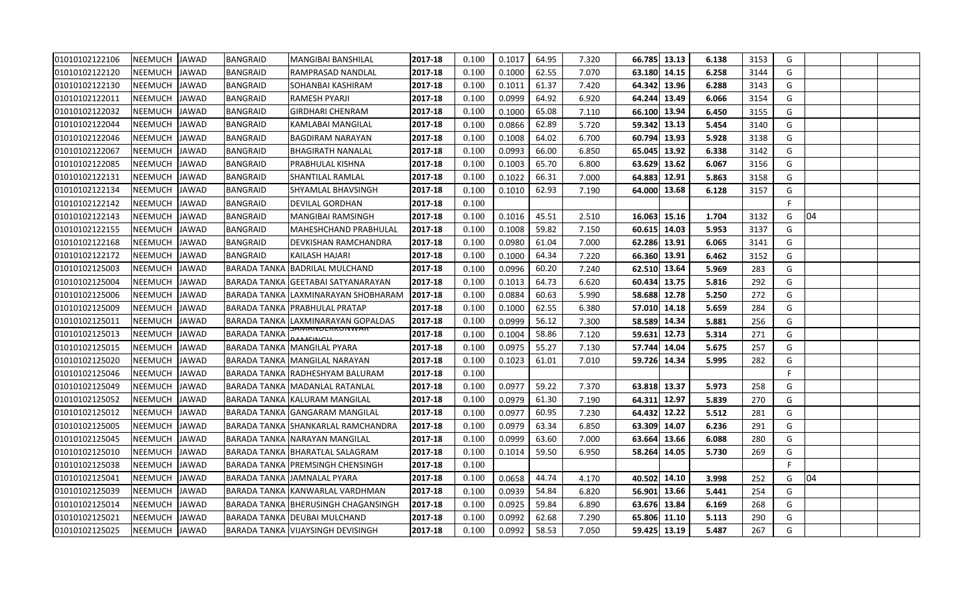| 01010102122106 | NEEMUCH JAWAD  |              | <b>BANGRAID</b>     | <b>MANGIBAI BANSHILAL</b>                 | 2017-18 | 0.100 | 0.1017 | 64.95 | 7.320 | 66.785 13.13 | 6.138 | 3153 | G |    |  |
|----------------|----------------|--------------|---------------------|-------------------------------------------|---------|-------|--------|-------|-------|--------------|-------|------|---|----|--|
| 01010102122120 | NEEMUCH        | JAWAD        | <b>BANGRAID</b>     | RAMPRASAD NANDLAL                         | 2017-18 | 0.100 | 0.1000 | 62.55 | 7.070 | 63.180 14.15 | 6.258 | 3144 | G |    |  |
| 01010102122130 | NEEMUCH        | <b>JAWAD</b> | <b>BANGRAID</b>     | SOHANBAI KASHIRAM                         | 2017-18 | 0.100 | 0.1011 | 61.37 | 7.420 | 64.342 13.96 | 6.288 | 3143 | G |    |  |
| 01010102122011 | NEEMUCH        | JAWAD        | <b>BANGRAID</b>     | RAMESH PYARJI                             | 2017-18 | 0.100 | 0.0999 | 64.92 | 6.920 | 64.244 13.49 | 6.066 | 3154 | G |    |  |
| 01010102122032 | NEEMUCH        | JAWAD        | <b>BANGRAID</b>     | <b>GIRDHARI CHENRAM</b>                   | 2017-18 | 0.100 | 0.1000 | 65.08 | 7.110 | 66.100 13.94 | 6.450 | 3155 | G |    |  |
| 01010102122044 | NEEMUCH        | JAWAD        | <b>BANGRAID</b>     | KAMLABAI MANGILAL                         | 2017-18 | 0.100 | 0.0866 | 62.89 | 5.720 | 59.342 13.13 | 5.454 | 3140 | G |    |  |
| 01010102122046 | NEEMUCH        | JAWAD        | <b>BANGRAID</b>     | <b>BAGDIRAM NARAYAN</b>                   | 2017-18 | 0.100 | 0.1008 | 64.02 | 6.700 | 60.794 13.93 | 5.928 | 3138 | G |    |  |
| 01010102122067 | <b>NEEMUCH</b> | <b>JAWAD</b> | <b>BANGRAID</b>     | <b>BHAGIRATH NANALAL</b>                  | 2017-18 | 0.100 | 0.0993 | 66.00 | 6.850 | 65.045 13.92 | 6.338 | 3142 | G |    |  |
| 01010102122085 | <b>NEEMUCH</b> | <b>JAWAD</b> | <b>BANGRAID</b>     | PRABHULAL KISHNA                          | 2017-18 | 0.100 | 0.1003 | 65.70 | 6.800 | 63.629 13.62 | 6.067 | 3156 | G |    |  |
| 01010102122131 | <b>NEEMUCH</b> | JAWAD        | <b>BANGRAID</b>     | SHANTILAL RAMLAL                          | 2017-18 | 0.100 | 0.1022 | 66.31 | 7.000 | 64.883 12.91 | 5.863 | 3158 | G |    |  |
| 01010102122134 | <b>NEEMUCH</b> | <b>JAWAD</b> | <b>BANGRAID</b>     | SHYAMLAL BHAVSINGH                        | 2017-18 | 0.100 | 0.1010 | 62.93 | 7.190 | 64.000 13.68 | 6.128 | 3157 | G |    |  |
| 01010102122142 | <b>NEEMUCH</b> | <b>JAWAD</b> | <b>BANGRAID</b>     | <b>DEVILAL GORDHAN</b>                    | 2017-18 | 0.100 |        |       |       |              |       |      | F |    |  |
| 01010102122143 | NEEMUCH        | <b>JAWAD</b> | <b>BANGRAID</b>     | <b>MANGIBAI RAMSINGH</b>                  | 2017-18 | 0.100 | 0.1016 | 45.51 | 2.510 | 16.063 15.16 | 1.704 | 3132 | G | 04 |  |
| 01010102122155 | NEEMUCH        | <b>JAWAD</b> | <b>BANGRAID</b>     | <b>MAHESHCHAND PRABHULAL</b>              | 2017-18 | 0.100 | 0.1008 | 59.82 | 7.150 | 60.615 14.03 | 5.953 | 3137 | G |    |  |
| 01010102122168 | NEEMUCH        | JAWAD        | <b>BANGRAID</b>     | DEVKISHAN RAMCHANDRA                      | 2017-18 | 0.100 | 0.0980 | 61.04 | 7.000 | 62.286 13.91 | 6.065 | 3141 | G |    |  |
| 01010102122172 | NEEMUCH        | JAWAD        | <b>BANGRAID</b>     | <b>KAILASH HAJARI</b>                     | 2017-18 | 0.100 | 0.1000 | 64.34 | 7.220 | 66.360 13.91 | 6.462 | 3152 | G |    |  |
| 01010102125003 | NEEMUCH        | JAWAD        | <b>BARADA TANKA</b> | <b>BADRILAL MULCHAND</b>                  | 2017-18 | 0.100 | 0.0996 | 60.20 | 7.240 | 62.510 13.64 | 5.969 | 283  | G |    |  |
| 01010102125004 | NEEMUCH        | JAWAD        | <b>BARADA TANKA</b> | <b>GEETABAI SATYANARAYAN</b>              | 2017-18 | 0.100 | 0.1013 | 64.73 | 6.620 | 60.434 13.75 | 5.816 | 292  | G |    |  |
| 01010102125006 | NEEMUCH        | JAWAD        |                     | BARADA TANKA LAXMINARAYAN SHOBHARAM       | 2017-18 | 0.100 | 0.0884 | 60.63 | 5.990 | 58.688 12.78 | 5.250 | 272  | G |    |  |
| 01010102125009 | NEEMUCH        | JAWAD        |                     | <b>BARADA TANKA PRABHULAL PRATAP</b>      | 2017-18 | 0.100 | 0.1000 | 62.55 | 6.380 | 57.010 14.18 | 5.659 | 284  | G |    |  |
| 01010102125011 | <b>NEEMUCH</b> | <b>JAWAD</b> |                     | BARADA TANKA LAXMINARAYAN GOPALDAS        | 2017-18 | 0.100 | 0.0999 | 56.12 | 7.300 | 58.589 14.34 | 5.881 | 256  | G |    |  |
| 01010102125013 | <b>NEEMUCH</b> | <b>JAWAD</b> | <b>BARADA TANKA</b> | <u>AMANDERRUNWAR</u><br><b>AMACINICLI</b> | 2017-18 | 0.100 | 0.1004 | 58.86 | 7.120 | 59.631 12.73 | 5.314 | 271  | G |    |  |
| 01010102125015 | <b>NEEMUCH</b> | <b>JAWAD</b> |                     | <b>BARADA TANKA MANGILAL PYARA</b>        | 2017-18 | 0.100 | 0.0975 | 55.27 | 7.130 | 57.744 14.04 | 5.675 | 257  | G |    |  |
| 01010102125020 | <b>NEEMUCH</b> | <b>JAWAD</b> |                     | BARADA TANKA MANGILAL NARAYAN             | 2017-18 | 0.100 | 0.1023 | 61.01 | 7.010 | 59.726 14.34 | 5.995 | 282  | G |    |  |
| 01010102125046 | <b>NEEMUCH</b> | <b>JAWAD</b> |                     | BARADA TANKA RADHESHYAM BALURAM           | 2017-18 | 0.100 |        |       |       |              |       |      | F |    |  |
| 01010102125049 | <b>NEEMUCH</b> | <b>JAWAD</b> |                     | BARADA TANKA MADANLAL RATANLAL            | 2017-18 | 0.100 | 0.0977 | 59.22 | 7.370 | 63.818 13.37 | 5.973 | 258  | G |    |  |
| 01010102125052 | NEEMUCH        | <b>JAWAD</b> |                     | <b>BARADA TANKA KALURAM MANGILAL</b>      | 2017-18 | 0.100 | 0.0979 | 61.30 | 7.190 | 64.311 12.97 | 5.839 | 270  | G |    |  |
| 01010102125012 | NEEMUCH        | <b>JAWAD</b> |                     | <b>BARADA TANKA GANGARAM MANGILAL</b>     | 2017-18 | 0.100 | 0.0977 | 60.95 | 7.230 | 64.432 12.22 | 5.512 | 281  | G |    |  |
| 01010102125005 | <b>NEEMUCH</b> | <b>JAWAD</b> |                     | BARADA TANKA SHANKARLAL RAMCHANDRA        | 2017-18 | 0.100 | 0.0979 | 63.34 | 6.850 | 63.309 14.07 | 6.236 | 291  | G |    |  |
| 01010102125045 | NEEMUCH        | <b>JAWAD</b> |                     | <b>BARADA TANKA NARAYAN MANGILAL</b>      | 2017-18 | 0.100 | 0.0999 | 63.60 | 7.000 | 63.664 13.66 | 6.088 | 280  | G |    |  |
| 01010102125010 | NEEMUCH        | JAWAD        |                     | BARADA TANKA BHARATLAL SALAGRAM           | 2017-18 | 0.100 | 0.1014 | 59.50 | 6.950 | 58.264 14.05 | 5.730 | 269  | G |    |  |
| 01010102125038 | NEEMUCH        | JAWAD        |                     | <b>BARADA TANKA PREMSINGH CHENSINGH</b>   | 2017-18 | 0.100 |        |       |       |              |       |      | F |    |  |
| 01010102125041 | NEEMUCH        | JAWAD        |                     | BARADA TANKA JAMNALAL PYARA               | 2017-18 | 0.100 | 0.0658 | 44.74 | 4.170 | 40.502 14.10 | 3.998 | 252  | G | 04 |  |
| 01010102125039 | <b>NEEMUCH</b> | <b>JAWAD</b> |                     | BARADA TANKA KANWARLAL VARDHMAN           | 2017-18 | 0.100 | 0.0939 | 54.84 | 6.820 | 56.901 13.66 | 5.441 | 254  | G |    |  |
| 01010102125014 | NEEMUCH        | JAWAD        |                     | BARADA TANKA (BHERUSINGH CHAGANSINGH      | 2017-18 | 0.100 | 0.0925 | 59.84 | 6.890 | 63.676 13.84 | 6.169 | 268  | G |    |  |
| 01010102125021 | <b>NEEMUCH</b> | <b>JAWAD</b> |                     | BARADA TANKA DEUBAI MULCHAND              | 2017-18 | 0.100 | 0.0992 | 62.68 | 7.290 | 65.806 11.10 | 5.113 | 290  | G |    |  |
| 01010102125025 | NEEMUCH JAWAD  |              |                     | <b>BARADA TANKA VIJAYSINGH DEVISINGH</b>  | 2017-18 | 0.100 | 0.0992 | 58.53 | 7.050 | 59.425 13.19 | 5.487 | 267  | G |    |  |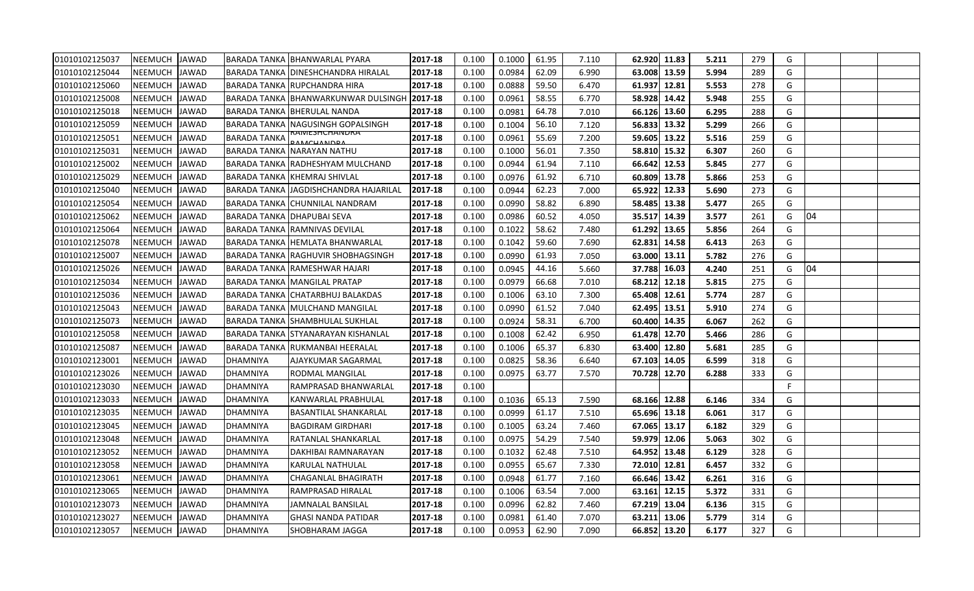| 01010102125037 | NEEMUCH JAWAD  |              |                     | BARADA TANKA  BHANWARLAL PYARA              | 2017-18 | 0.100 | 0.1000 | 61.95 | 7.110 | 62.920 11.83 | 5.211 | 279 | G  |    |  |
|----------------|----------------|--------------|---------------------|---------------------------------------------|---------|-------|--------|-------|-------|--------------|-------|-----|----|----|--|
| 01010102125044 | <b>NEEMUCH</b> | <b>JAWAD</b> |                     | BARADA TANKA DINESHCHANDRA HIRALAL          | 2017-18 | 0.100 | 0.0984 | 62.09 | 6.990 | 63.008 13.59 | 5.994 | 289 | G  |    |  |
| 01010102125060 | <b>NEEMUCH</b> | JAWAD        |                     | BARADA TANKA RUPCHANDRA HIRA                | 2017-18 | 0.100 | 0.0888 | 59.50 | 6.470 | 61.937 12.81 | 5.553 | 278 | G  |    |  |
| 01010102125008 | <b>NEEMUCH</b> | JAWAD        |                     | BARADA TANKA BHANWARKUNWAR DULSINGH 2017-18 |         | 0.100 | 0.0961 | 58.55 | 6.770 | 58.928 14.42 | 5.948 | 255 | G  |    |  |
| 01010102125018 | NEEMUCH        | JAWAD        |                     | BARADA TANKA BHERULAL NANDA                 | 2017-18 | 0.100 | 0.0981 | 64.78 | 7.010 | 66.126 13.60 | 6.295 | 288 | G  |    |  |
| 01010102125059 | <b>NEEMUCH</b> | <b>JAWAD</b> |                     | <b>BARADA TANKA NAGUSINGH GOPALSINGH</b>    | 2017-18 | 0.100 | 0.1004 | 56.10 | 7.120 | 56.833 13.32 | 5.299 | 266 | G  |    |  |
| 01010102125051 | <b>NEEMUCH</b> | <b>JAWAD</b> | <b>BARADA TANKA</b> | <u> КАІVІЕ ЭПСПАІЧИКА</u>                   | 2017-18 | 0.100 | 0.0961 | 55.69 | 7.200 | 59.605 13.22 | 5.516 | 259 | G  |    |  |
| 01010102125031 | <b>NEEMUCH</b> | <b>JAWAD</b> |                     | BARADA TANKA NARAYAN NATHU                  | 2017-18 | 0.100 | 0.1000 | 56.01 | 7.350 | 58.810 15.32 | 6.307 | 260 | G  |    |  |
| 01010102125002 | <b>NEEMUCH</b> | <b>JAWAD</b> |                     | BARADA TANKA RADHESHYAM MULCHAND            | 2017-18 | 0.100 | 0.0944 | 61.94 | 7.110 | 66.642 12.53 | 5.845 | 277 | G  |    |  |
| 01010102125029 | <b>NEEMUCH</b> | <b>JAWAD</b> |                     | <b>BARADA TANKA KHEMRAJ SHIVLAL</b>         | 2017-18 | 0.100 | 0.0976 | 61.92 | 6.710 | 60.809 13.78 | 5.866 | 253 | G  |    |  |
| 01010102125040 | <b>NEEMUCH</b> | <b>JAWAD</b> |                     | BARADA TANKA JJAGDISHCHANDRA HAJARILAL      | 2017-18 | 0.100 | 0.0944 | 62.23 | 7.000 | 65.922 12.33 | 5.690 | 273 | G  |    |  |
| 01010102125054 | <b>NEEMUCH</b> | <b>JAWAD</b> |                     | BARADA TANKA ICHUNNILAL NANDRAM             | 2017-18 | 0.100 | 0.0990 | 58.82 | 6.890 | 58.485 13.38 | 5.477 | 265 | G  |    |  |
| 01010102125062 | <b>NEEMUCH</b> | <b>JAWAD</b> |                     | BARADA TANKA IDHAPUBAI SEVA                 | 2017-18 | 0.100 | 0.0986 | 60.52 | 4.050 | 35.517 14.39 | 3.577 | 261 | G  | 04 |  |
| 01010102125064 | <b>NEEMUCH</b> | <b>JAWAD</b> |                     | <b>BARADA TANKA RAMNIVAS DEVILAL</b>        | 2017-18 | 0.100 | 0.1022 | 58.62 | 7.480 | 61.292 13.65 | 5.856 | 264 | G  |    |  |
| 01010102125078 | <b>NEEMUCH</b> | <b>JAWAD</b> |                     | <b>BARADA TANKA HEMLATA BHANWARLAL</b>      | 2017-18 | 0.100 | 0.1042 | 59.60 | 7.690 | 62.831 14.58 | 6.413 | 263 | G  |    |  |
| 01010102125007 | <b>NEEMUCH</b> | <b>JAWAD</b> |                     | <b>BARADA TANKA RAGHUVIR SHOBHAGSINGH</b>   | 2017-18 | 0.100 | 0.0990 | 61.93 | 7.050 | 63.000 13.11 | 5.782 | 276 | G  |    |  |
| 01010102125026 | <b>NEEMUCH</b> | <b>JAWAD</b> |                     | BARADA TANKA RAMESHWAR HAJARI               | 2017-18 | 0.100 | 0.0945 | 44.16 | 5.660 | 37.788 16.03 | 4.240 | 251 | G  | 04 |  |
| 01010102125034 | <b>NEEMUCH</b> | <b>JAWAD</b> |                     | <b>BARADA TANKA MANGILAL PRATAP</b>         | 2017-18 | 0.100 | 0.0979 | 66.68 | 7.010 | 68.212 12.18 | 5.815 | 275 | G  |    |  |
| 01010102125036 | <b>NEEMUCH</b> | <b>JAWAD</b> |                     | BARADA TANKA CHATARBHUJ BALAKDAS            | 2017-18 | 0.100 | 0.1006 | 63.10 | 7.300 | 65.408 12.61 | 5.774 | 287 | G  |    |  |
| 01010102125043 | <b>NEEMUCH</b> | <b>JAWAD</b> |                     | BARADA TANKA IMULCHAND MANGILAL             | 2017-18 | 0.100 | 0.0990 | 61.52 | 7.040 | 62.495 13.51 | 5.910 | 274 | G  |    |  |
| 01010102125073 | <b>NEEMUCH</b> | <b>JAWAD</b> |                     | BARADA TANKA SHAMBHULAL SUKHLAL             | 2017-18 | 0.100 | 0.0924 | 58.31 | 6.700 | 60.400 14.35 | 6.067 | 262 | G  |    |  |
| 01010102125058 | <b>NEEMUCH</b> | <b>JAWAD</b> |                     | <b>BARADA TANKA STYANARAYAN KISHANLAL</b>   | 2017-18 | 0.100 | 0.1008 | 62.42 | 6.950 | 61.478 12.70 | 5.466 | 286 | G  |    |  |
| 01010102125087 | <b>NEEMUCH</b> | <b>JAWAD</b> |                     | <b>BARADA TANKA RUKMANBAI HEERALAL</b>      | 2017-18 | 0.100 | 0.1006 | 65.37 | 6.830 | 63.400 12.80 | 5.681 | 285 | G  |    |  |
| 01010102123001 | <b>NEEMUCH</b> | <b>JAWAD</b> | <b>DHAMNIYA</b>     | AJAYKUMAR SAGARMAL                          | 2017-18 | 0.100 | 0.0825 | 58.36 | 6.640 | 67.103 14.05 | 6.599 | 318 | G  |    |  |
| 01010102123026 | <b>NEEMUCH</b> | <b>JAWAD</b> | <b>DHAMNIYA</b>     | RODMAL MANGILAL                             | 2017-18 | 0.100 | 0.0975 | 63.77 | 7.570 | 70.728 12.70 | 6.288 | 333 | G  |    |  |
| 01010102123030 | <b>NEEMUCH</b> | <b>JAWAD</b> | <b>DHAMNIYA</b>     | RAMPRASAD BHANWARLAL                        | 2017-18 | 0.100 |        |       |       |              |       |     | F. |    |  |
| 01010102123033 | <b>NEEMUCH</b> | <b>JAWAD</b> | <b>DHAMNIYA</b>     | KANWARLAL PRABHULAL                         | 2017-18 | 0.100 | 0.1036 | 65.13 | 7.590 | 68.166 12.88 | 6.146 | 334 | G  |    |  |
| 01010102123035 | <b>NEEMUCH</b> | <b>JAWAD</b> | <b>DHAMNIYA</b>     | BASANTILAL SHANKARLAL                       | 2017-18 | 0.100 | 0.0999 | 61.17 | 7.510 | 65.696 13.18 | 6.061 | 317 | G  |    |  |
| 01010102123045 | <b>NEEMUCH</b> | JAWAD        | <b>DHAMNIYA</b>     | <b>BAGDIRAM GIRDHARI</b>                    | 2017-18 | 0.100 | 0.1005 | 63.24 | 7.460 | 67.065 13.17 | 6.182 | 329 | G  |    |  |
| 01010102123048 | <b>NEEMUCH</b> | <b>JAWAD</b> | <b>DHAMNIYA</b>     | RATANLAL SHANKARLAL                         | 2017-18 | 0.100 | 0.0975 | 54.29 | 7.540 | 59.979 12.06 | 5.063 | 302 | G  |    |  |
| 01010102123052 | <b>NEEMUCH</b> | <b>JAWAD</b> | <b>DHAMNIYA</b>     | DAKHIBAI RAMNARAYAN                         | 2017-18 | 0.100 | 0.1032 | 62.48 | 7.510 | 64.952 13.48 | 6.129 | 328 | G  |    |  |
| 01010102123058 | <b>NEEMUCH</b> | <b>JAWAD</b> | <b>DHAMNIYA</b>     | KARULAL NATHULAL                            | 2017-18 | 0.100 | 0.0955 | 65.67 | 7.330 | 72.010 12.81 | 6.457 | 332 | G  |    |  |
| 01010102123061 | <b>NEEMUCH</b> | JAWAD        | <b>DHAMNIYA</b>     | CHAGANLAL BHAGIRATH                         | 2017-18 | 0.100 | 0.0948 | 61.77 | 7.160 | 66.646 13.42 | 6.261 | 316 | G  |    |  |
| 01010102123065 | <b>NEEMUCH</b> | JAWAD        | DHAMNIYA            | RAMPRASAD HIRALAL                           | 2017-18 | 0.100 | 0.1006 | 63.54 | 7.000 | 63.161 12.15 | 5.372 | 331 | G  |    |  |
| 01010102123073 | <b>NEEMUCH</b> | JAWAD        | <b>DHAMNIYA</b>     | JAMNALAL BANSILAL                           | 2017-18 | 0.100 | 0.0996 | 62.82 | 7.460 | 67.219 13.04 | 6.136 | 315 | G  |    |  |
| 01010102123027 | <b>NEEMUCH</b> | JAWAD        | <b>DHAMNIYA</b>     | GHASI NANDA PATIDAR                         | 2017-18 | 0.100 | 0.0981 | 61.40 | 7.070 | 63.211 13.06 | 5.779 | 314 | G  |    |  |
| 01010102123057 | NEEMUCH JAWAD  |              | <b>DHAMNIYA</b>     | SHOBHARAM JAGGA                             | 2017-18 | 0.100 | 0.0953 | 62.90 | 7.090 | 66.852 13.20 | 6.177 | 327 | G  |    |  |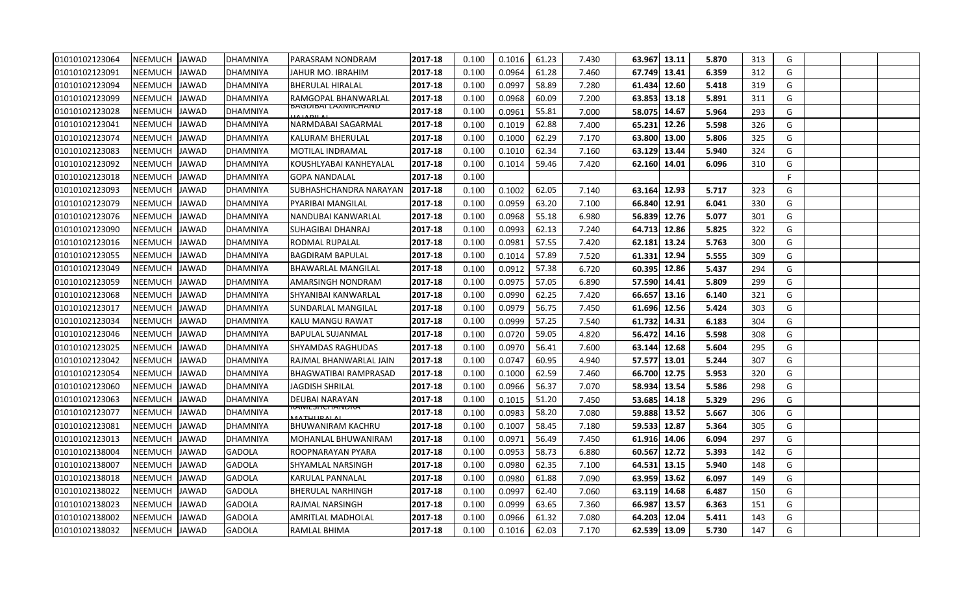| 01010102123064 | NEEMUCH JAWAD  |              | <b>DHAMNIYA</b> | <b>PARASRAM NONDRAM</b>                                | 2017-18 | 0.100 | 0.1016 | 61.23 | 7.430 | 63.967 13.11 |              | 5.870 | 313 | G  |  |  |
|----------------|----------------|--------------|-----------------|--------------------------------------------------------|---------|-------|--------|-------|-------|--------------|--------------|-------|-----|----|--|--|
| 01010102123091 | NEEMUCH        | JAWAD        | DHAMNIYA        | JAHUR MO. IBRAHIM                                      | 2017-18 | 0.100 | 0.0964 | 61.28 | 7.460 | 67.749 13.41 |              | 6.359 | 312 | G  |  |  |
| 01010102123094 | NEEMUCH        | JAWAD        | <b>DHAMNIYA</b> | <b>BHERULAL HIRALAL</b>                                | 2017-18 | 0.100 | 0.0997 | 58.89 | 7.280 |              | 61.434 12.60 | 5.418 | 319 | G  |  |  |
| 01010102123099 | NEEMUCH        | JAWAD        | <b>DHAMNIYA</b> | RAMGOPAL BHANWARLAL                                    | 2017-18 | 0.100 | 0.0968 | 60.09 | 7.200 |              | 63.853 13.18 | 5.891 | 311 | G  |  |  |
| 01010102123028 | NEEMUCH        | <b>JAWAD</b> | DHAMNIYA        | <u>DAUUIDAI LAAIVIIUNAIVU</u><br>IA IA DILA I          | 2017-18 | 0.100 | 0.0961 | 55.81 | 7.000 | 58.075 14.67 |              | 5.964 | 293 | G  |  |  |
| 01010102123041 | <b>NEEMUCH</b> | <b>JAWAD</b> | DHAMNIYA        | NARMDABAI SAGARMAL                                     | 2017-18 | 0.100 | 0.1019 | 62.88 | 7.400 | 65.231 12.26 |              | 5.598 | 326 | G  |  |  |
| 01010102123074 | <b>NEEMUCH</b> | <b>JAWAD</b> | <b>DHAMNIYA</b> | <b>KALURAM BHERULAL</b>                                | 2017-18 | 0.100 | 0.1000 | 62.29 | 7.170 | 63.800 13.00 |              | 5.806 | 325 | G  |  |  |
| 01010102123083 | NEEMUCH        | <b>JAWAD</b> | <b>DHAMNIYA</b> | <b>MOTILAL INDRAMAL</b>                                | 2017-18 | 0.100 | 0.1010 | 62.34 | 7.160 | 63.129 13.44 |              | 5.940 | 324 | G  |  |  |
| 01010102123092 | NEEMUCH        | <b>JAWAD</b> | <b>DHAMNIYA</b> | KOUSHLYABAI KANHEYALAL                                 | 2017-18 | 0.100 | 0.1014 | 59.46 | 7.420 | 62.160 14.01 |              | 6.096 | 310 | G  |  |  |
| 01010102123018 | NEEMUCH        | <b>JAWAD</b> | <b>DHAMNIYA</b> | <b>GOPA NANDALAL</b>                                   | 2017-18 | 0.100 |        |       |       |              |              |       |     | F. |  |  |
| 01010102123093 | <b>NEEMUCH</b> | <b>JAWAD</b> | <b>DHAMNIYA</b> | SUBHASHCHANDRA NARAYAN                                 | 2017-18 | 0.100 | 0.1002 | 62.05 | 7.140 | 63.164 12.93 |              | 5.717 | 323 | G  |  |  |
| 01010102123079 | <b>NEEMUCH</b> | <b>JAWAD</b> | <b>DHAMNIYA</b> | <b>PYARIBAI MANGILAL</b>                               | 2017-18 | 0.100 | 0.0959 | 63.20 | 7.100 | 66.840       | 12.91        | 6.041 | 330 | G  |  |  |
| 01010102123076 | NEEMUCH        | JAWAD        | <b>DHAMNIYA</b> | NANDUBAI KANWARLAL                                     | 2017-18 | 0.100 | 0.0968 | 55.18 | 6.980 |              | 56.839 12.76 | 5.077 | 301 | G  |  |  |
| 01010102123090 | NEEMUCH        | <b>JAWAD</b> | <b>DHAMNIYA</b> | SUHAGIBAI DHANRAJ                                      | 2017-18 | 0.100 | 0.0993 | 62.13 | 7.240 | 64.713       | 12.86        | 5.825 | 322 | G  |  |  |
| 01010102123016 | NEEMUCH        | <b>JAWAD</b> | <b>DHAMNIYA</b> | <b>RODMAL RUPALAL</b>                                  | 2017-18 | 0.100 | 0.0981 | 57.55 | 7.420 | 62.181       | 13.24        | 5.763 | 300 | G  |  |  |
| 01010102123055 | NEEMUCH        | <b>JAWAD</b> | <b>DHAMNIYA</b> | <b>BAGDIRAM BAPULAL</b>                                | 2017-18 | 0.100 | 0.1014 | 57.89 | 7.520 | 61.331       | 12.94        | 5.555 | 309 | G  |  |  |
| 01010102123049 | NEEMUCH        | <b>JAWAD</b> | <b>DHAMNIYA</b> | <b>BHAWARLAL MANGILAL</b>                              | 2017-18 | 0.100 | 0.0912 | 57.38 | 6.720 | 60.395       | 12.86        | 5.437 | 294 | G  |  |  |
| 01010102123059 | NEEMUCH        | <b>JAWAD</b> | <b>DHAMNIYA</b> | <b>AMARSINGH NONDRAM</b>                               | 2017-18 | 0.100 | 0.0975 | 57.05 | 6.890 | 57.590       | 14.41        | 5.809 | 299 | G  |  |  |
| 01010102123068 | <b>NEEMUCH</b> | <b>JAWAD</b> | <b>DHAMNIYA</b> | SHYANIBAI KANWARLAL                                    | 2017-18 | 0.100 | 0.0990 | 62.25 | 7.420 | 66.657       | 13.16        | 6.140 | 321 | G  |  |  |
| 01010102123017 | NEEMUCH        | JAWAD        | <b>DHAMNIYA</b> | <b>SUNDARLAL MANGILAL</b>                              | 2017-18 | 0.100 | 0.0979 | 56.75 | 7.450 | 61.696       | 12.56        | 5.424 | 303 | G  |  |  |
| 01010102123034 | <b>NEEMUCH</b> | <b>JAWAD</b> | <b>DHAMNIYA</b> | <b>KALU MANGU RAWAT</b>                                | 2017-18 | 0.100 | 0.0999 | 57.25 | 7.540 | 61.732       | 14.31        | 6.183 | 304 | G  |  |  |
| 01010102123046 | <b>NEEMUCH</b> | <b>JAWAD</b> | <b>DHAMNIYA</b> | <b>BAPULAL SUJANMAL</b>                                | 2017-18 | 0.100 | 0.0720 | 59.05 | 4.820 | 56.472       | 14.16        | 5.598 | 308 | G  |  |  |
| 01010102123025 | <b>NEEMUCH</b> | <b>JAWAD</b> | <b>DHAMNIYA</b> | <b>SHYAMDAS RAGHUDAS</b>                               | 2017-18 | 0.100 | 0.0970 | 56.41 | 7.600 | 63.144 12.68 |              | 5.604 | 295 | G  |  |  |
| 01010102123042 | <b>NEEMUCH</b> | <b>JAWAD</b> | <b>DHAMNIYA</b> | RAJMAL BHANWARLAL JAIN                                 | 2017-18 | 0.100 | 0.0747 | 60.95 | 4.940 | 57.577 13.01 |              | 5.244 | 307 | G  |  |  |
| 01010102123054 | <b>NEEMUCH</b> | <b>JAWAD</b> | <b>DHAMNIYA</b> | <b>BHAGWATIBAI RAMPRASAD</b>                           | 2017-18 | 0.100 | 0.1000 | 62.59 | 7.460 | 66.700 12.75 |              | 5.953 | 320 | G  |  |  |
| 01010102123060 | NEEMUCH        | <b>JAWAD</b> | <b>DHAMNIYA</b> | <b>JAGDISH SHRILAL</b>                                 | 2017-18 | 0.100 | 0.0966 | 56.37 | 7.070 | 58.934 13.54 |              | 5.586 | 298 | G  |  |  |
| 01010102123063 | NEEMUCH        | <b>JAWAD</b> | <b>DHAMNIYA</b> | DEUBAI NARAYAN                                         | 2017-18 | 0.100 | 0.1015 | 51.20 | 7.450 | 53.685 14.18 |              | 5.329 | 296 | G  |  |  |
| 01010102123077 | NEEMUCH        | JAWAD        | <b>DHAMNIYA</b> | <u> КАІVІЕ ЭПСПАІЧИКА</u><br>$A \wedge T$ $B \wedge T$ | 2017-18 | 0.100 | 0.0983 | 58.20 | 7.080 | 59.888 13.52 |              | 5.667 | 306 | G  |  |  |
| 01010102123081 | NEEMUCH        | JAWAD        | <b>DHAMNIYA</b> | BHUWANIRAM KACHRU                                      | 2017-18 | 0.100 | 0.1007 | 58.45 | 7.180 | 59.533 12.87 |              | 5.364 | 305 | G  |  |  |
| 01010102123013 | <b>NEEMUCH</b> | JAWAD        | <b>DHAMNIYA</b> | MOHANLAL BHUWANIRAM                                    | 2017-18 | 0.100 | 0.0971 | 56.49 | 7.450 | 61.916 14.06 |              | 6.094 | 297 | G  |  |  |
| 01010102138004 | <b>NEEMUCH</b> | JAWAD        | <b>GADOLA</b>   | ROOPNARAYAN PYARA                                      | 2017-18 | 0.100 | 0.0953 | 58.73 | 6.880 | 60.567 12.72 |              | 5.393 | 142 | G  |  |  |
| 01010102138007 | NEEMUCH        | JAWAD        | <b>GADOLA</b>   | <b>SHYAMLAL NARSINGH</b>                               | 2017-18 | 0.100 | 0.0980 | 62.35 | 7.100 | 64.531 13.15 |              | 5.940 | 148 | G  |  |  |
| 01010102138018 | NEEMUCH        | JAWAD        | <b>GADOLA</b>   | <b>KARULAL PANNALAL</b>                                | 2017-18 | 0.100 | 0.0980 | 61.88 | 7.090 | 63.959 13.62 |              | 6.097 | 149 | G  |  |  |
| 01010102138022 | <b>NEEMUCH</b> | JAWAD        | <b>GADOLA</b>   | <b>BHERULAL NARHINGH</b>                               | 2017-18 | 0.100 | 0.0997 | 62.40 | 7.060 | 63.119 14.68 |              | 6.487 | 150 | G  |  |  |
| 01010102138023 | <b>NEEMUCH</b> | JAWAD        | <b>GADOLA</b>   | RAJMAL NARSINGH                                        | 2017-18 | 0.100 | 0.0999 | 63.65 | 7.360 | 66.987 13.57 |              | 6.363 | 151 | G  |  |  |
| 01010102138002 | NEEMUCH        | JAWAD        | <b>GADOLA</b>   | <b>AMRITLAL MADHOLAL</b>                               | 2017-18 | 0.100 | 0.0966 | 61.32 | 7.080 | 64.203 12.04 |              | 5.411 | 143 | G  |  |  |
| 01010102138032 | NEEMUCH JAWAD  |              | <b>GADOLA</b>   | RAMLAL BHIMA                                           | 2017-18 | 0.100 | 0.1016 | 62.03 | 7.170 | 62.539 13.09 |              | 5.730 | 147 | G  |  |  |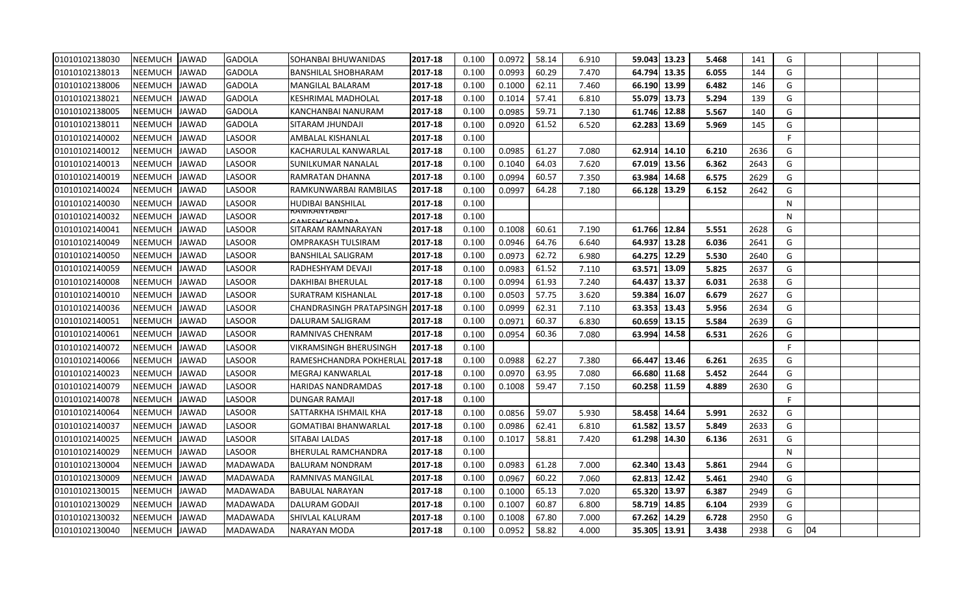| 01010102138030 | <b>NEEMUCH</b> | JAWAD        | <b>GADOLA</b>   | SOHANBAI BHUWANIDAS                           | 2017-18 | 0.100 | 0.0972 | 58.14 | 6.910 | 59.043 13.23 | 5.468 | 141  | G |    |  |
|----------------|----------------|--------------|-----------------|-----------------------------------------------|---------|-------|--------|-------|-------|--------------|-------|------|---|----|--|
| 01010102138013 | NEEMUCH        | JAWAD        | GADOLA          | <b>BANSHILAL SHOBHARAM</b>                    | 2017-18 | 0.100 | 0.0993 | 60.29 | 7.470 | 64.794 13.35 | 6.055 | 144  | G |    |  |
| 01010102138006 | NEEMUCH        | JAWAD        | GADOLA          | <b>MANGILAL BALARAM</b>                       | 2017-18 | 0.100 | 0.1000 | 62.11 | 7.460 | 66.190 13.99 | 6.482 | 146  | G |    |  |
| 01010102138021 | NEEMUCH        | JAWAD        | <b>GADOLA</b>   | <b>KESHRIMAL MADHOLAL</b>                     | 2017-18 | 0.100 | 0.1014 | 57.41 | 6.810 | 55.079 13.73 | 5.294 | 139  | G |    |  |
| 01010102138005 | NEEMUCH        | JAWAD        | <b>GADOLA</b>   | KANCHANBAI NANURAM                            | 2017-18 | 0.100 | 0.0985 | 59.71 | 7.130 | 61.746 12.88 | 5.567 | 140  | G |    |  |
| 01010102138011 | NEEMUCH        | <b>JAWAD</b> | <b>GADOLA</b>   | ISITARAM JHUNDAJI                             | 2017-18 | 0.100 | 0.0920 | 61.52 | 6.520 | 62.283 13.69 | 5.969 | 145  | G |    |  |
| 01010102140002 | NEEMUCH        | JAWAD        | LASOOR          | AMBALAL KISHANLAL                             | 2017-18 | 0.100 |        |       |       |              |       |      | F |    |  |
| 01010102140012 | <b>NEEMUCH</b> | JAWAD        | LASOOR          | KACHARULAL KANWARLAL                          | 2017-18 | 0.100 | 0.0985 | 61.27 | 7.080 | 62.914 14.10 | 6.210 | 2636 | G |    |  |
| 01010102140013 | <b>NEEMUCH</b> | JAWAD        | LASOOR          | <b>SUNILKUMAR NANALAL</b>                     | 2017-18 | 0.100 | 0.1040 | 64.03 | 7.620 | 67.019 13.56 | 6.362 | 2643 | G |    |  |
| 01010102140019 | NEEMUCH        | JAWAD        | LASOOR          | RAMRATAN DHANNA                               | 2017-18 | 0.100 | 0.0994 | 60.57 | 7.350 | 63.984 14.68 | 6.575 | 2629 | G |    |  |
| 01010102140024 | NEEMUCH        | JAWAD        | LASOOR          | RAMKUNWARBAI RAMBILAS                         | 2017-18 | 0.100 | 0.0997 | 64.28 | 7.180 | 66.128 13.29 | 6.152 | 2642 | G |    |  |
| 01010102140030 | NEEMUCH        | <b>JAWAD</b> | LASOOR          | <b>HUDIBAI BANSHILAL</b>                      | 2017-18 | 0.100 |        |       |       |              |       |      | N |    |  |
| 01010102140032 | NEEMUCH        | JAWAD        | LASOOR          | <b>TAIVINAIN TADAI</b><br><b>ANECUCUANIDA</b> | 2017-18 | 0.100 |        |       |       |              |       |      | N |    |  |
| 01010102140041 | NEEMUCH        | JAWAD        | LASOOR          | SITARAM RAMNARAYAN                            | 2017-18 | 0.100 | 0.1008 | 60.61 | 7.190 | 61.766 12.84 | 5.551 | 2628 | G |    |  |
| 01010102140049 | NEEMUCH        | JAWAD        | LASOOR          | OMPRAKASH TULSIRAM                            | 2017-18 | 0.100 | 0.0946 | 64.76 | 6.640 | 64.937 13.28 | 6.036 | 2641 | G |    |  |
| 01010102140050 | NEEMUCH        | <b>JAWAD</b> | LASOOR          | <b>BANSHILAL SALIGRAM</b>                     | 2017-18 | 0.100 | 0.0973 | 62.72 | 6.980 | 64.275 12.29 | 5.530 | 2640 | G |    |  |
| 01010102140059 | NEEMUCH        | <b>JAWAD</b> | LASOOR          | RADHESHYAM DEVAJI                             | 2017-18 | 0.100 | 0.0983 | 61.52 | 7.110 | 63.571 13.09 | 5.825 | 2637 | G |    |  |
| 01010102140008 | NEEMUCH        | <b>JAWAD</b> | LASOOR          | <b>DAKHIBAI BHERULAL</b>                      | 2017-18 | 0.100 | 0.0994 | 61.93 | 7.240 | 64.437 13.37 | 6.031 | 2638 | G |    |  |
| 01010102140010 | NEEMUCH        | <b>JAWAD</b> | LASOOR          | <b>SURATRAM KISHANLAL</b>                     | 2017-18 | 0.100 | 0.0503 | 57.75 | 3.620 | 59.384 16.07 | 6.679 | 2627 | G |    |  |
| 01010102140036 | NEEMUCH        | <b>JAWAD</b> | LASOOR          | <b>CHANDRASINGH PRATAPSINGH</b>               | 2017-18 | 0.100 | 0.0999 | 62.31 | 7.110 | 63.353 13.43 | 5.956 | 2634 | G |    |  |
| 01010102140051 | <b>NEEMUCH</b> | <b>JAWAD</b> | LASOOR          | <b>DALURAM SALIGRAM</b>                       | 2017-18 | 0.100 | 0.0971 | 60.37 | 6.830 | 60.659 13.15 | 5.584 | 2639 | G |    |  |
| 01010102140061 | <b>NEEMUCH</b> | <b>JAWAD</b> | LASOOR          | <b>RAMNIVAS CHENRAM</b>                       | 2017-18 | 0.100 | 0.0954 | 60.36 | 7.080 | 63.994 14.58 | 6.531 | 2626 | G |    |  |
| 01010102140072 | <b>NEEMUCH</b> | JAWAD        | LASOOR          | <b>VIKRAMSINGH BHERUSINGH</b>                 | 2017-18 | 0.100 |        |       |       |              |       |      | F |    |  |
| 01010102140066 | <b>NEEMUCH</b> | JAWAD        | LASOOR          | RAMESHCHANDRA POKHERLAI                       | 2017-18 | 0.100 | 0.0988 | 62.27 | 7.380 | 66.447 13.46 | 6.261 | 2635 | G |    |  |
| 01010102140023 | <b>NEEMUCH</b> | <b>JAWAD</b> | LASOOR          | <b>MEGRAJ KANWARLAL</b>                       | 2017-18 | 0.100 | 0.0970 | 63.95 | 7.080 | 66.680 11.68 | 5.452 | 2644 | G |    |  |
| 01010102140079 | NEEMUCH        | <b>JAWAD</b> | LASOOR          | <b>HARIDAS NANDRAMDAS</b>                     | 2017-18 | 0.100 | 0.1008 | 59.47 | 7.150 | 60.258 11.59 | 4.889 | 2630 | G |    |  |
| 01010102140078 | NEEMUCH        | <b>JAWAD</b> | LASOOR          | <b>DUNGAR RAMAJI</b>                          | 2017-18 | 0.100 |        |       |       |              |       |      | F |    |  |
| 01010102140064 | NEEMUCH        | <b>JAWAD</b> | LASOOR          | SATTARKHA ISHMAIL KHA                         | 2017-18 | 0.100 | 0.0856 | 59.07 | 5.930 | 58.458 14.64 | 5.991 | 2632 | G |    |  |
| 01010102140037 | <b>NEEMUCH</b> | JAWAD        | LASOOR          | <b>GOMATIBAI BHANWARLAL</b>                   | 2017-18 | 0.100 | 0.0986 | 62.41 | 6.810 | 61.582 13.57 | 5.849 | 2633 | G |    |  |
| 01010102140025 | <b>NEEMUCH</b> | JAWAD        | LASOOR          | <b>SITABAI LALDAS</b>                         | 2017-18 | 0.100 | 0.1017 | 58.81 | 7.420 | 61.298 14.30 | 6.136 | 2631 | G |    |  |
| 01010102140029 | <b>NEEMUCH</b> | <b>JAWAD</b> | LASOOR          | <b>BHERULAL RAMCHANDRA</b>                    | 2017-18 | 0.100 |        |       |       |              |       |      | N |    |  |
| 01010102130004 | <b>NEEMUCH</b> | <b>JAWAD</b> | MADAWADA        | <b>BALURAM NONDRAM</b>                        | 2017-18 | 0.100 | 0.0983 | 61.28 | 7.000 | 62.340 13.43 | 5.861 | 2944 | G |    |  |
| 01010102130009 | <b>NEEMUCH</b> | <b>JAWAD</b> | MADAWADA        | <b>RAMNIVAS MANGILAL</b>                      | 2017-18 | 0.100 | 0.0967 | 60.22 | 7.060 | 62.813 12.42 | 5.461 | 2940 | G |    |  |
| 01010102130015 | <b>NEEMUCH</b> | <b>JAWAD</b> | MADAWADA        | <b>BABULAL NARAYAN</b>                        | 2017-18 | 0.100 | 0.1000 | 65.13 | 7.020 | 65.320 13.97 | 6.387 | 2949 | G |    |  |
| 01010102130029 | NEEMUCH        | <b>JAWAD</b> | MADAWADA        | DALURAM GODAJI                                | 2017-18 | 0.100 | 0.1007 | 60.87 | 6.800 | 58.719 14.85 | 6.104 | 2939 | G |    |  |
| 01010102130032 | <b>NEEMUCH</b> | <b>JAWAD</b> | <b>MADAWADA</b> | SHIVLAL KALURAM                               | 2017-18 | 0.100 | 0.1008 | 67.80 | 7.000 | 67.262 14.29 | 6.728 | 2950 | G |    |  |
| 01010102130040 | <b>NEEMUCH</b> | JAWAD        | <b>MADAWADA</b> | NARAYAN MODA                                  | 2017-18 | 0.100 | 0.0952 | 58.82 | 4.000 | 35.305 13.91 | 3.438 | 2938 | G | 04 |  |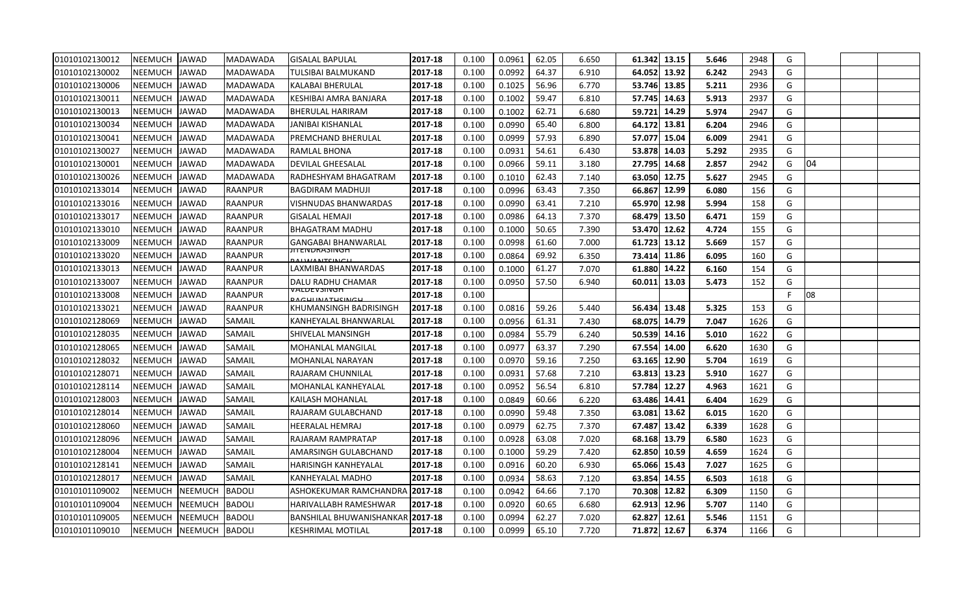| 01010102130012 | NEEMUCH JAWAD  |                | <b>MADAWADA</b> | <b>GISALAL BAPULAL</b>                           | 2017-18 | 0.100 | 0.0961 | 62.05 | 6.650 |              | 61.342 13.15 | 5.646 | 2948 | G  |    |  |
|----------------|----------------|----------------|-----------------|--------------------------------------------------|---------|-------|--------|-------|-------|--------------|--------------|-------|------|----|----|--|
| 01010102130002 | NEEMUCH        | <b>JAWAD</b>   | <b>MADAWADA</b> | TULSIBAI BALMUKAND                               | 2017-18 | 0.100 | 0.0992 | 64.37 | 6.910 |              | 64.052 13.92 | 6.242 | 2943 | G  |    |  |
| 01010102130006 | NEEMUCH        | JAWAD          | <b>MADAWADA</b> | KALABAI BHERULAL                                 | 2017-18 | 0.100 | 0.1025 | 56.96 | 6.770 |              | 53.746 13.85 | 5.211 | 2936 | G  |    |  |
| 01010102130011 | NEEMUCH        | JAWAD          | <b>MADAWADA</b> | KESHIBAI AMRA BANJARA                            | 2017-18 | 0.100 | 0.1002 | 59.47 | 6.810 |              | 57.745 14.63 | 5.913 | 2937 | G  |    |  |
| 01010102130013 | NEEMUCH        | JAWAD          | <b>MADAWADA</b> | BHERULAL HARIRAM                                 | 2017-18 | 0.100 | 0.1002 | 62.71 | 6.680 |              | 59.721 14.29 | 5.974 | 2947 | G  |    |  |
| 01010102130034 | NEEMUCH        | JAWAD          | <b>MADAWADA</b> | JANIBAI KISHANLAL                                | 2017-18 | 0.100 | 0.0990 | 65.40 | 6.800 |              | 64.172 13.81 | 6.204 | 2946 | G  |    |  |
| 01010102130041 | NEEMUCH        | <b>JAWAD</b>   | <b>MADAWADA</b> | PREMCHAND BHERULAL                               | 2017-18 | 0.100 | 0.0999 | 57.93 | 6.890 |              | 57.077 15.04 | 6.009 | 2941 | G  |    |  |
| 01010102130027 | NEEMUCH        | <b>JAWAD</b>   | <b>MADAWADA</b> | RAMLAL BHONA                                     | 2017-18 | 0.100 | 0.0931 | 54.61 | 6.430 |              | 53.878 14.03 | 5.292 | 2935 | G  |    |  |
| 01010102130001 | NEEMUCH        | <b>JAWAD</b>   | <b>MADAWADA</b> | DEVILAL GHEESALAL                                | 2017-18 | 0.100 | 0.0966 | 59.11 | 3.180 | 27.795 14.68 |              | 2.857 | 2942 | G  | 04 |  |
| 01010102130026 | <b>NEEMUCH</b> | <b>JAWAD</b>   | <b>MADAWADA</b> | RADHESHYAM BHAGATRAM                             | 2017-18 | 0.100 | 0.1010 | 62.43 | 7.140 |              | 63.050 12.75 | 5.627 | 2945 | G  |    |  |
| 01010102133014 | NEEMUCH        | <b>JAWAD</b>   | <b>RAANPUR</b>  | <b>BAGDIRAM MADHUJI</b>                          | 2017-18 | 0.100 | 0.0996 | 63.43 | 7.350 |              | 66.867 12.99 | 6.080 | 156  | G  |    |  |
| 01010102133016 | NEEMUCH        | <b>JAWAD</b>   | <b>RAANPUR</b>  | VISHNUDAS BHANWARDAS                             | 2017-18 | 0.100 | 0.0990 | 63.41 | 7.210 | 65.970       | 12.98        | 5.994 | 158  | G  |    |  |
| 01010102133017 | NEEMUCH        | <b>JAWAD</b>   | <b>RAANPUR</b>  | GISALAL HEMAJI                                   | 2017-18 | 0.100 | 0.0986 | 64.13 | 7.370 | 68.479       | 13.50        | 6.471 | 159  | G  |    |  |
| 01010102133010 | NEEMUCH        | <b>JAWAD</b>   | <b>RAANPUR</b>  | <b>BHAGATRAM MADHU</b>                           | 2017-18 | 0.100 | 0.1000 | 50.65 | 7.390 | 53.470       | 12.62        | 4.724 | 155  | G  |    |  |
| 01010102133009 | NEEMUCH        | <b>JAWAD</b>   | <b>RAANPUR</b>  | <b>GANGABAI BHANWARLAL</b>                       | 2017-18 | 0.100 | 0.0998 | 61.60 | 7.000 | 61.723       | 13.12        | 5.669 | 157  | G  |    |  |
| 01010102133020 | NEEMUCH        | <b>JAWAD</b>   | <b>RAANPUR</b>  | <b>IMANTCINICLI</b>                              | 2017-18 | 0.100 | 0.0864 | 69.92 | 6.350 |              | 73.414 11.86 | 6.095 | 160  | G  |    |  |
| 01010102133013 | NEEMUCH        | <b>JAWAD</b>   | <b>RAANPUR</b>  | LAXMIBAI BHANWARDAS                              | 2017-18 | 0.100 | 0.1000 | 61.27 | 7.070 | 61.880       | 14.22        | 6.160 | 154  | G  |    |  |
| 01010102133007 | NEEMUCH        | <b>JAWAD</b>   | <b>RAANPUR</b>  | DALU RADHU CHAMAR                                | 2017-18 | 0.100 | 0.0950 | 57.50 | 6.940 | 60.011       | 13.03        | 5.473 | 152  | G  |    |  |
| 01010102133008 | NEEMUCH        | <b>JAWAD</b>   | <b>RAANPUR</b>  | <u>VALUE V SIINUM</u><br><i>ACULINIATUCINICU</i> | 2017-18 | 0.100 |        |       |       |              |              |       |      | F. | 08 |  |
| 01010102133021 | NEEMUCH        | <b>JAWAD</b>   | <b>RAANPUR</b>  | KHUMANSINGH BADRISINGH                           | 2017-18 | 0.100 | 0.0816 | 59.26 | 5.440 | 56.434       | 13.48        | 5.325 | 153  | G  |    |  |
| 01010102128069 | NEEMUCH        | <b>JAWAD</b>   | SAMAIL          | KANHEYALAL BHANWARLAL                            | 2017-18 | 0.100 | 0.0956 | 61.31 | 7.430 | 68.075       | 14.79        | 7.047 | 1626 | G  |    |  |
| 01010102128035 | NEEMUCH        | <b>JAWAD</b>   | SAMAIL          | SHIVELAL MANSINGH                                | 2017-18 | 0.100 | 0.0984 | 55.79 | 6.240 | 50.539       | 14.16        | 5.010 | 1622 | G  |    |  |
| 01010102128065 | NEEMUCH        | <b>JAWAD</b>   | SAMAIL          | MOHANLAL MANGILAL                                | 2017-18 | 0.100 | 0.0977 | 63.37 | 7.290 | 67.554       | 14.00        | 6.620 | 1630 | G  |    |  |
| 01010102128032 | NEEMUCH        | <b>JAWAD</b>   | SAMAIL          | MOHANLAL NARAYAN                                 | 2017-18 | 0.100 | 0.0970 | 59.16 | 7.250 |              | 63.165 12.90 | 5.704 | 1619 | G  |    |  |
| 01010102128071 | <b>NEEMUCH</b> | <b>JAWAD</b>   | SAMAIL          | RAJARAM CHUNNILAL                                | 2017-18 | 0.100 | 0.0931 | 57.68 | 7.210 | 63.813       | 13.23        | 5.910 | 1627 | G  |    |  |
| 01010102128114 | <b>NEEMUCH</b> | <b>JAWAD</b>   | SAMAIL          | MOHANLAL KANHEYALAL                              | 2017-18 | 0.100 | 0.0952 | 56.54 | 6.810 | 57.784       | 12.27        | 4.963 | 1621 | G  |    |  |
| 01010102128003 | <b>NEEMUCH</b> | <b>JAWAD</b>   | SAMAIL          | KAILASH MOHANLAL                                 | 2017-18 | 0.100 | 0.0849 | 60.66 | 6.220 | 63.486       | 14.41        | 6.404 | 1629 | G  |    |  |
| 01010102128014 | <b>NEEMUCH</b> | <b>JAWAD</b>   | SAMAIL          | RAJARAM GULABCHAND                               | 2017-18 | 0.100 | 0.0990 | 59.48 | 7.350 |              | 63.081 13.62 | 6.015 | 1620 | G  |    |  |
| 01010102128060 | NEEMUCH        | <b>JAWAD</b>   | SAMAIL          | HEERALAL HEMRAJ                                  | 2017-18 | 0.100 | 0.0979 | 62.75 | 7.370 |              | 67.487 13.42 | 6.339 | 1628 | G  |    |  |
| 01010102128096 | NEEMUCH        | <b>JAWAD</b>   | SAMAIL          | RAJARAM RAMPRATAP                                | 2017-18 | 0.100 | 0.0928 | 63.08 | 7.020 |              | 68.168 13.79 | 6.580 | 1623 | G  |    |  |
| 01010102128004 | NEEMUCH        | <b>JAWAD</b>   | SAMAIL          | AMARSINGH GULABCHAND                             | 2017-18 | 0.100 | 0.1000 | 59.29 | 7.420 |              | 62.850 10.59 | 4.659 | 1624 | G  |    |  |
| 01010102128141 | NEEMUCH        | <b>JAWAD</b>   | SAMAIL          | HARISINGH KANHEYALAL                             | 2017-18 | 0.100 | 0.0916 | 60.20 | 6.930 |              | 65.066 15.43 | 7.027 | 1625 | G  |    |  |
| 01010102128017 | NEEMUCH        | <b>JAWAD</b>   | SAMAIL          | KANHEYALAL MADHO                                 | 2017-18 | 0.100 | 0.0934 | 58.63 | 7.120 |              | 63.854 14.55 | 6.503 | 1618 | G  |    |  |
| 01010101109002 | NEEMUCH        | <b>NEEMUCH</b> | <b>BADOLI</b>   | ASHOKEKUMAR RAMCHANDRA 2017-18                   |         | 0.100 | 0.0942 | 64.66 | 7.170 | 70.308 12.82 |              | 6.309 | 1150 | G  |    |  |
| 01010101109004 | NEEMUCH        | <b>NEEMUCH</b> | BADOLI          | HARIVALLABH RAMESHWAR                            | 2017-18 | 0.100 | 0.0920 | 60.65 | 6.680 |              | 62.913 12.96 | 5.707 | 1140 | G  |    |  |
| 01010101109005 | NEEMUCH        | <b>NEEMUCH</b> | <b>BADOLI</b>   | <b>BANSHILAL BHUWANISHANKAR 2017-18</b>          |         | 0.100 | 0.0994 | 62.27 | 7.020 |              | 62.827 12.61 | 5.546 | 1151 | G  |    |  |
| 01010101109010 | <b>NEEMUCH</b> | NEEMUCH BADOLI |                 | <b>KESHRIMAL MOTILAL</b>                         | 2017-18 | 0.100 | 0.0999 | 65.10 | 7.720 | 71.872 12.67 |              | 6.374 | 1166 | G  |    |  |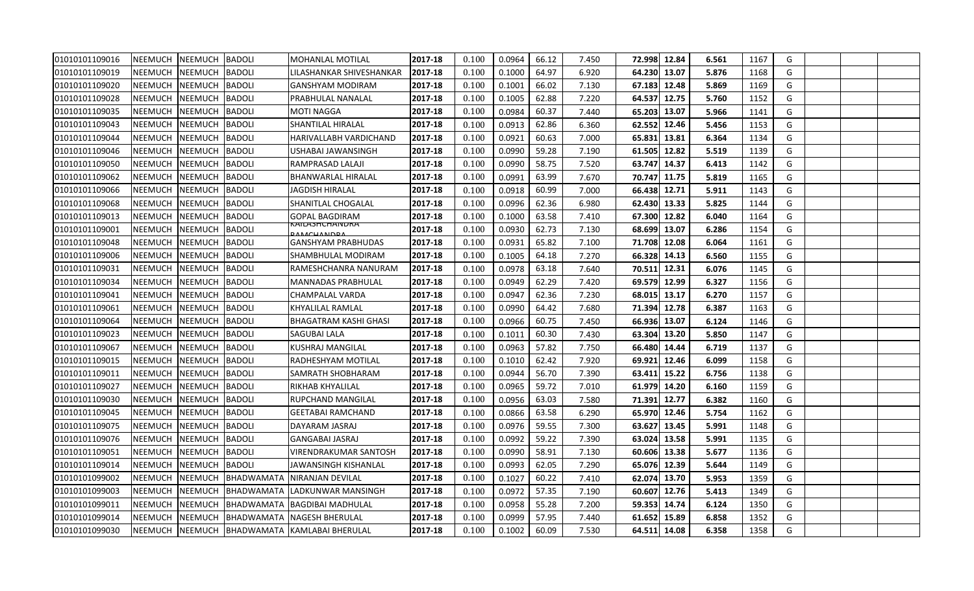| 01010101109016 | NEEMUCH        | <b>NEEMUCH</b> | <b>BADOLI</b>     | <b>MOHANLAL MOTILAL</b>              | 2017-18 | 0.100 | 0.0964 | 66.12 | 7.450 | 72.998 12.84 |       | 6.561 | 1167 | G |  |  |
|----------------|----------------|----------------|-------------------|--------------------------------------|---------|-------|--------|-------|-------|--------------|-------|-------|------|---|--|--|
| 01010101109019 | NEEMUCH        | <b>NEEMUCH</b> | <b>BADOLI</b>     | ILASHANKAR SHIVESHANKAR.             | 2017-18 | 0.100 | 0.1000 | 64.97 | 6.920 | 64.230 13.07 |       | 5.876 | 1168 | G |  |  |
| 01010101109020 | NEEMUCH        | <b>NEEMUCH</b> | <b>BADOLI</b>     | GANSHYAM MODIRAM                     | 2017-18 | 0.100 | 0.1001 | 66.02 | 7.130 | 67.183       | 12.48 | 5.869 | 1169 | G |  |  |
| 01010101109028 | NEEMUCH        | <b>NEEMUCH</b> | <b>BADOLI</b>     | PRABHULAL NANALAL                    | 2017-18 | 0.100 | 0.1005 | 62.88 | 7.220 | 64.537       | 12.75 | 5.760 | 1152 | G |  |  |
| 01010101109035 | NEEMUCH        | <b>NEEMUCH</b> | <b>BADOLI</b>     | MOTI NAGGA                           | 2017-18 | 0.100 | 0.0984 | 60.37 | 7.440 | 65.203       | 13.07 | 5.966 | 1141 | G |  |  |
| 01010101109043 | NEEMUCH        | <b>NEEMUCH</b> | <b>BADOLI</b>     | <b>SHANTILAL HIRALAL</b>             | 2017-18 | 0.100 | 0.0913 | 62.86 | 6.360 | 62.552       | 12.46 | 5.456 | 1153 | G |  |  |
| 01010101109044 | NEEMUCH        | <b>NEEMUCH</b> | <b>BADOLI</b>     | HARIVALLABH VARDICHAND               | 2017-18 | 0.100 | 0.0921 | 60.63 | 7.000 | 65.831       | 13.81 | 6.364 | 1134 | G |  |  |
| 01010101109046 | <b>NEEMUCH</b> | <b>NEEMUCH</b> | <b>BADOLI</b>     | USHABAI JAWANSINGH                   | 2017-18 | 0.100 | 0.0990 | 59.28 | 7.190 | 61.505       | 12.82 | 5.519 | 1139 | G |  |  |
| 01010101109050 | NEEMUCH        | <b>NEEMUCH</b> | <b>BADOLI</b>     | RAMPRASAD LALAJI                     | 2017-18 | 0.100 | 0.0990 | 58.75 | 7.520 | 63.747       | 14.37 | 6.413 | 1142 | G |  |  |
| 01010101109062 | <b>NEEMUCH</b> | <b>NEEMUCH</b> | <b>BADOLI</b>     | <b>BHANWARLAL HIRALAL</b>            | 2017-18 | 0.100 | 0.0991 | 63.99 | 7.670 | 70.747       | 11.75 | 5.819 | 1165 | G |  |  |
| 01010101109066 | NEEMUCH        | <b>NEEMUCH</b> | <b>BADOLI</b>     | JAGDISH HIRALAL                      | 2017-18 | 0.100 | 0.0918 | 60.99 | 7.000 | 66.438       | 12.71 | 5.911 | 1143 | G |  |  |
| 01010101109068 | NEEMUCH        | <b>NEEMUCH</b> | <b>BADOLI</b>     | SHANITLAL CHOGALAL                   | 2017-18 | 0.100 | 0.0996 | 62.36 | 6.980 | 62.430       | 13.33 | 5.825 | 1144 | G |  |  |
| 01010101109013 | NEEMUCH        | <b>NEEMUCH</b> | <b>BADOLI</b>     | GOPAL BAGDIRAM                       | 2017-18 | 0.100 | 0.1000 | 63.58 | 7.410 | 67.300       | 12.82 | 6.040 | 1164 | G |  |  |
| 01010101109001 | NEEMUCH        | <b>NEEMUCH</b> | <b>BADOLI</b>     | <u>\AILAJNUNAI\UKA</u><br>AMACHANIDA | 2017-18 | 0.100 | 0.0930 | 62.73 | 7.130 | 68.699       | 13.07 | 6.286 | 1154 | G |  |  |
| 01010101109048 | NEEMUCH        | <b>NEEMUCH</b> | <b>BADOLI</b>     | <b>GANSHYAM PRABHUDAS</b>            | 2017-18 | 0.100 | 0.0931 | 65.82 | 7.100 | 71.708       | 12.08 | 6.064 | 1161 | G |  |  |
| 01010101109006 | NEEMUCH        | NEEMUCH        | <b>BADOLI</b>     | SHAMBHULAL MODIRAM                   | 2017-18 | 0.100 | 0.1005 | 64.18 | 7.270 | 66.328       | 14.13 | 6.560 | 1155 | G |  |  |
| 01010101109031 | NEEMUCH        | NEEMUCH        | <b>BADOLI</b>     | RAMESHCHANRA NANURAM                 | 2017-18 | 0.100 | 0.0978 | 63.18 | 7.640 | 70.511       | 12.31 | 6.076 | 1145 | G |  |  |
| 01010101109034 | <b>NEEMUCH</b> | <b>NEEMUCH</b> | <b>BADOLI</b>     | MANNADAS PRABHULAL                   | 2017-18 | 0.100 | 0.0949 | 62.29 | 7.420 | 69.579       | 12.99 | 6.327 | 1156 | G |  |  |
| 01010101109041 | <b>NEEMUCH</b> | <b>NEEMUCH</b> | <b>BADOLI</b>     | CHAMPALAL VARDA                      | 2017-18 | 0.100 | 0.0947 | 62.36 | 7.230 | 68.015       | 13.17 | 6.270 | 1157 | G |  |  |
| 01010101109061 | <b>NEEMUCH</b> | <b>NEEMUCH</b> | <b>BADOLI</b>     | KHYALILAL RAMLAL                     | 2017-18 | 0.100 | 0.0990 | 64.42 | 7.680 | 71.394       | 12.78 | 6.387 | 1163 | G |  |  |
| 01010101109064 | NEEMUCH        | <b>NEEMUCH</b> | <b>BADOLI</b>     | <b>BHAGATRAM KASHI GHASI</b>         | 2017-18 | 0.100 | 0.0966 | 60.75 | 7.450 | 66.936       | 13.07 | 6.124 | 1146 | G |  |  |
| 01010101109023 | <b>NEEMUCH</b> | <b>NEEMUCH</b> | <b>BADOLI</b>     | SAGUBAI LALA                         | 2017-18 | 0.100 | 0.1011 | 60.30 | 7.430 | 63.304 13.20 |       | 5.850 | 1147 | G |  |  |
| 01010101109067 | NEEMUCH        | <b>NEEMUCH</b> | <b>BADOLI</b>     | KUSHRAJ MANGILAL                     | 2017-18 | 0.100 | 0.0963 | 57.82 | 7.750 | 66.480       | 14.44 | 6.719 | 1137 | G |  |  |
| 01010101109015 | NEEMUCH        | <b>NEEMUCH</b> | <b>BADOLI</b>     | RADHESHYAM MOTILAL                   | 2017-18 | 0.100 | 0.1010 | 62.42 | 7.920 | 69.921       | 12.46 | 6.099 | 1158 | G |  |  |
| 01010101109011 | <b>NEEMUCH</b> | <b>NEEMUCH</b> | <b>BADOLI</b>     | SAMRATH SHOBHARAM                    | 2017-18 | 0.100 | 0.0944 | 56.70 | 7.390 | 63.411       | 15.22 | 6.756 | 1138 | G |  |  |
| 01010101109027 | <b>NEEMUCH</b> | <b>NEEMUCH</b> | <b>BADOLI</b>     | RIKHAB KHYALILAL                     | 2017-18 | 0.100 | 0.0965 | 59.72 | 7.010 | 61.979 14.20 |       | 6.160 | 1159 | G |  |  |
| 01010101109030 | <b>NEEMUCH</b> | <b>NEEMUCH</b> | <b>BADOLI</b>     | RUPCHAND MANGILAL                    | 2017-18 | 0.100 | 0.0956 | 63.03 | 7.580 | 71.391       | 12.77 | 6.382 | 1160 | G |  |  |
| 01010101109045 | <b>NEEMUCH</b> | <b>NEEMUCH</b> | <b>BADOLI</b>     | GEETABAI RAMCHAND                    | 2017-18 | 0.100 | 0.0866 | 63.58 | 6.290 | 65.970       | 12.46 | 5.754 | 1162 | G |  |  |
| 01010101109075 | NEEMUCH        | <b>NEEMUCH</b> | <b>BADOLI</b>     | DAYARAM JASRAJ                       | 2017-18 | 0.100 | 0.0976 | 59.55 | 7.300 | 63.627       | 13.45 | 5.991 | 1148 | G |  |  |
| 01010101109076 | NEEMUCH        | <b>NEEMUCH</b> | <b>BADOLI</b>     | <b>GANGABAI JASRAJ</b>               | 2017-18 | 0.100 | 0.0992 | 59.22 | 7.390 | 63.024 13.58 |       | 5.991 | 1135 | G |  |  |
| 01010101109051 | NEEMUCH        | <b>NEEMUCH</b> | <b>BADOLI</b>     | VIRENDRAKUMAR SANTOSH                | 2017-18 | 0.100 | 0.0990 | 58.91 | 7.130 | 60.606 13.38 |       | 5.677 | 1136 | G |  |  |
| 01010101109014 | NEEMUCH        | <b>NEEMUCH</b> | <b>BADOLI</b>     | <b>JAWANSINGH KISHANLAL</b>          | 2017-18 | 0.100 | 0.0993 | 62.05 | 7.290 | 65.076 12.39 |       | 5.644 | 1149 | G |  |  |
| 01010101099002 | NEEMUCH        | <b>NEEMUCH</b> | <b>BHADWAMATA</b> | NIRANJAN DEVILAL                     | 2017-18 | 0.100 | 0.1027 | 60.22 | 7.410 | 62.074 13.70 |       | 5.953 | 1359 | G |  |  |
| 01010101099003 | NEEMUCH        | <b>NEEMUCH</b> | <b>BHADWAMATA</b> | LADKUNWAR MANSINGH                   | 2017-18 | 0.100 | 0.0972 | 57.35 | 7.190 | 60.607 12.76 |       | 5.413 | 1349 | G |  |  |
| 01010101099011 | <b>NEEMUCH</b> | <b>NEEMUCH</b> | <b>BHADWAMATA</b> | <b>BAGDIBAI MADHULAL</b>             | 2017-18 | 0.100 | 0.0958 | 55.28 | 7.200 | 59.353 14.74 |       | 6.124 | 1350 | G |  |  |
| 01010101099014 | <b>NEEMUCH</b> | <b>NEEMUCH</b> | <b>BHADWAMATA</b> | <b>NAGESH BHERULAL</b>               | 2017-18 | 0.100 | 0.0999 | 57.95 | 7.440 | 61.652       | 15.89 | 6.858 | 1352 | G |  |  |
| 01010101099030 | <b>NEEMUCH</b> | <b>NEEMUCH</b> |                   | BHADWAMATA KAMLABAI BHERULAL         | 2017-18 | 0.100 | 0.1002 | 60.09 | 7.530 | 64.511 14.08 |       | 6.358 | 1358 | G |  |  |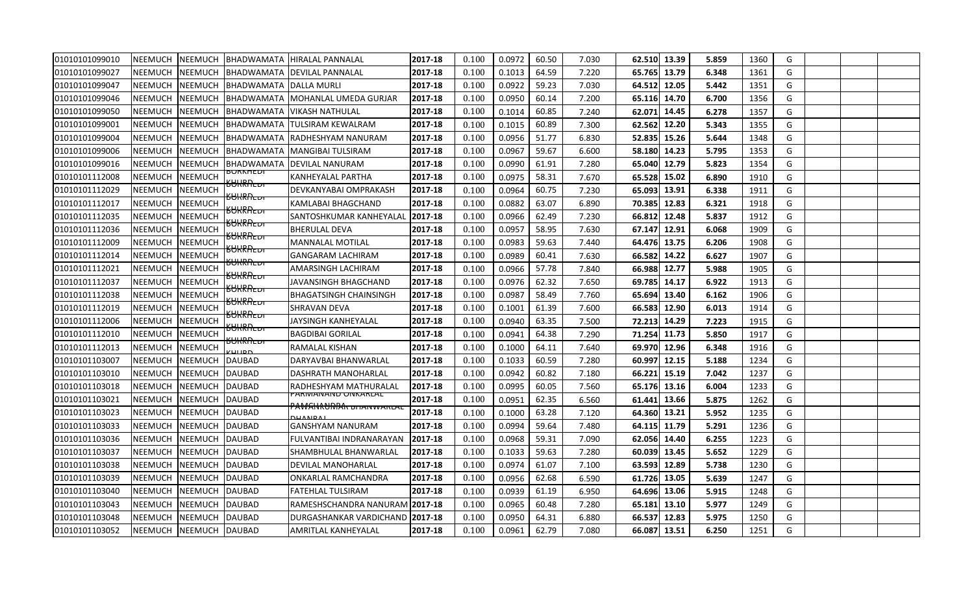| 01010101099010 | <b>NEEMUCH</b> | <b>NEEMUCH</b> |                                  | BHADWAMATA HIRALAL PANNALAL                         | 2017-18 | 0.100 | 0.0972 | 60.50 | 7.030 | 62.510 13.39 | 5.859 | 1360 | G |  |  |
|----------------|----------------|----------------|----------------------------------|-----------------------------------------------------|---------|-------|--------|-------|-------|--------------|-------|------|---|--|--|
| 01010101099027 | NEEMUCH        | <b>NEEMUCH</b> | BHADWAMATA                       | <b>DEVILAL PANNALAL</b>                             | 2017-18 | 0.100 | 0.1013 | 64.59 | 7.220 | 65.765 13.79 | 6.348 | 1361 | G |  |  |
| 01010101099047 | NEEMUCH        | <b>NEEMUCH</b> | BHADWAMATA DALLA MURLI           |                                                     | 2017-18 | 0.100 | 0.0922 | 59.23 | 7.030 | 64.512 12.05 | 5.442 | 1351 | G |  |  |
| 01010101099046 | NEEMUCH        | <b>NEEMUCH</b> | BHADWAMATA                       | MOHANLAL UMEDA GURJAR                               | 2017-18 | 0.100 | 0.0950 | 60.14 | 7.200 | 65.116 14.70 | 6.700 | 1356 | G |  |  |
| 01010101099050 | NEEMUCH        | <b>NEEMUCH</b> | BHADWAMATA                       | <b>VIKASH NATHULAL</b>                              | 2017-18 | 0.100 | 0.1014 | 60.85 | 7.240 | 62.071 14.45 | 6.278 | 1357 | G |  |  |
| 01010101099001 | NEEMUCH        | <b>NEEMUCH</b> |                                  | BHADWAMATA TULSIRAM KEWALRAM                        | 2017-18 | 0.100 | 0.1015 | 60.89 | 7.300 | 62.562 12.20 | 5.343 | 1355 | G |  |  |
| 01010101099004 | NEEMUCH        | <b>NEEMUCH</b> | BHADWAMATA                       | RADHESHYAM NANURAM                                  | 2017-18 | 0.100 | 0.0956 | 51.77 | 6.830 | 52.835 15.26 | 5.644 | 1348 | G |  |  |
| 01010101099006 | NEEMUCH        | <b>NEEMUCH</b> | <b>BHADWAMATA</b>                | IMANGIBAI TULSIRAM                                  | 2017-18 | 0.100 | 0.0967 | 59.67 | 6.600 | 58.180 14.23 | 5.795 | 1353 | G |  |  |
| 01010101099016 | NEEMUCH        | <b>NEEMUCH</b> | <b>BHADWAMATA</b>                | <b>DEVILAL NANURAM</b>                              | 2017-18 | 0.100 | 0.0990 | 61.91 | 7.280 | 65.040 12.79 | 5.823 | 1354 | G |  |  |
| 01010101112008 | NEEMUCH        | <b>NEEMUCH</b> | וש                               | KANHEYALAL PARTHA                                   | 2017-18 | 0.100 | 0.0975 | 58.31 | 7.670 | 65.528 15.02 | 6.890 | 1910 | G |  |  |
| 01010101112029 | NEEMUCH        | <b>NEEMUCH</b> | <del>;UKRAcor</del>              | DEVKANYABAI OMPRAKASH                               | 2017-18 | 0.100 | 0.0964 | 60.75 | 7.230 | 65.093 13.91 | 6.338 | 1911 | G |  |  |
| 01010101112017 | NEEMUCH        | <b>NEEMUCH</b> | <b>KUKRAEDT</b>                  | KAMLABAI BHAGCHAND                                  | 2017-18 | 0.100 | 0.0882 | 63.07 | 6.890 | 70.385 12.83 | 6.321 | 1918 | G |  |  |
| 01010101112035 | NEEMUCH        | <b>NEEMUCH</b> | <del>KUKRALDI</del>              | SANTOSHKUMAR KANHEYALAI                             | 2017-18 | 0.100 | 0.0966 | 62.49 | 7.230 | 66.812 12.48 | 5.837 | 1912 | G |  |  |
| 01010101112036 | NEEMUCH        | <b>NEEMUCH</b> | <del>KUKRAcor</del>              | <b>BHERULAL DEVA</b>                                | 2017-18 | 0.100 | 0.0957 | 58.95 | 7.630 | 67.147 12.91 | 6.068 | 1909 | G |  |  |
| 01010101112009 | NEEMUCH        | <b>NEEMUCH</b> | <del>KUKRAcor</del>              | <b>MANNALAL MOTILAL</b>                             | 2017-18 | 0.100 | 0.0983 | 59.63 | 7.440 | 64.476 13.75 | 6.206 | 1908 | G |  |  |
| 01010101112014 | NEEMUCH        | <b>NEEMUCH</b> | <del>KUKRAcor</del>              | <b>GANGARAM LACHIRAM</b>                            | 2017-18 | 0.100 | 0.0989 | 60.41 | 7.630 | 66.582 14.22 | 6.627 | 1907 | G |  |  |
| 01010101112021 | NEEMUCH        | <b>NEEMUCH</b> | <del>KUKRAEDI</del>              | <b>AMARSINGH LACHIRAM</b>                           | 2017-18 | 0.100 | 0.0966 | 57.78 | 7.840 | 66.988 12.77 | 5.988 | 1905 | G |  |  |
| 01010101112037 | NEEMUCH        | <b>NEEMUCH</b> | <b>KUKRAcor</b>                  | JAVANSINGH BHAGCHAND                                | 2017-18 | 0.100 | 0.0976 | 62.32 | 7.650 | 69.785 14.17 | 6.922 | 1913 | G |  |  |
| 01010101112038 | NEEMUCH        | <b>NEEMUCH</b> | <b>KUKRAEDT</b>                  | <b>BHAGATSINGH CHAINSINGH</b>                       | 2017-18 | 0.100 | 0.0987 | 58.49 | 7.760 | 65.694 13.40 | 6.162 | 1906 | G |  |  |
| 01010101112019 | NEEMUCH        | <b>NEEMUCH</b> | <b>KUKRAcut</b>                  | <b>SHRAVAN DEVA</b>                                 | 2017-18 | 0.100 | 0.1001 | 61.39 | 7.600 | 66.583 12.90 | 6.013 | 1914 | G |  |  |
| 01010101112006 | NEEMUCH        | <b>NEEMUCH</b> | <b>KUKRAcon</b>                  | JAYSINGH KANHEYALAL                                 | 2017-18 | 0.100 | 0.0940 | 63.35 | 7.500 | 72.213 14.29 | 7.223 | 1915 | G |  |  |
| 01010101112010 | NEEMUCH        | <b>NEEMUCH</b> | <b>KUKRAcon</b>                  | <b>BAGDIBAI GORILAL</b>                             | 2017-18 | 0.100 | 0.0941 | 64.38 | 7.290 | 71.254 11.73 | 5.850 | 1917 | G |  |  |
| 01010101112013 | <b>NEEMUCH</b> | <b>NEEMUCH</b> | <b>KUKRAcor</b><br><b>LILIDD</b> | RAMALAL KISHAN                                      | 2017-18 | 0.100 | 0.1000 | 64.11 | 7.640 | 69.970 12.96 | 6.348 | 1916 | G |  |  |
| 01010101103007 | <b>NEEMUCH</b> | <b>NEEMUCH</b> | DAUBAD                           | DARYAVBAI BHANWARLAL                                | 2017-18 | 0.100 | 0.1033 | 60.59 | 7.280 | 60.997 12.15 | 5.188 | 1234 | G |  |  |
| 01010101103010 | <b>NEEMUCH</b> | <b>NEEMUCH</b> | <b>DAUBAD</b>                    | DASHRATH MANOHARLAL                                 | 2017-18 | 0.100 | 0.0942 | 60.82 | 7.180 | 66.221 15.19 | 7.042 | 1237 | G |  |  |
| 01010101103018 | <b>NEEMUCH</b> | <b>NEEMUCH</b> | <b>DAUBAD</b>                    | RADHESHYAM MATHURALAL                               | 2017-18 | 0.100 | 0.0995 | 60.05 | 7.560 | 65.176 13.16 | 6.004 | 1233 | G |  |  |
| 01010101103021 | NEEMUCH        | <b>NEEMUCH</b> | <b>DAUBAD</b>                    | 'ANNIANAND UNNANLAL                                 | 2017-18 | 0.100 | 0.0951 | 62.35 | 6.560 | 61.441 13.66 | 5.875 | 1262 | G |  |  |
| 01010101103023 | NEEMUCH        | <b>NEEMUCH</b> | <b>DAUBAD</b>                    | PA <del>WANAUMAR bhaivwarlp</del><br>$\overline{a}$ | 2017-18 | 0.100 | 0.1000 | 63.28 | 7.120 | 64.360 13.21 | 5.952 | 1235 | G |  |  |
| 01010101103033 | NEEMUCH        | <b>NEEMUCH</b> | <b>DAUBAD</b>                    | <b>GANSHYAM NANURAM</b>                             | 2017-18 | 0.100 | 0.0994 | 59.64 | 7.480 | 64.115 11.79 | 5.291 | 1236 | G |  |  |
| 01010101103036 | NEEMUCH        | <b>NEEMUCH</b> | <b>DAUBAD</b>                    | FULVANTIBAI INDRANARAYAN                            | 2017-18 | 0.100 | 0.0968 | 59.31 | 7.090 | 62.056 14.40 | 6.255 | 1223 | G |  |  |
| 01010101103037 | NEEMUCH        | <b>NEEMUCH</b> | <b>DAUBAD</b>                    | SHAMBHULAL BHANWARLAL                               | 2017-18 | 0.100 | 0.1033 | 59.63 | 7.280 | 60.039 13.45 | 5.652 | 1229 | G |  |  |
| 01010101103038 | NEEMUCH        | <b>NEEMUCH</b> | DAUBAD                           | DEVILAL MANOHARLAL                                  | 2017-18 | 0.100 | 0.0974 | 61.07 | 7.100 | 63.593 12.89 | 5.738 | 1230 | G |  |  |
| 01010101103039 | NEEMUCH        | NEEMUCH        | DAUBAD                           | ONKARLAL RAMCHANDRA                                 | 2017-18 | 0.100 | 0.0956 | 62.68 | 6.590 | 61.726 13.05 | 5.639 | 1247 | G |  |  |
| 01010101103040 | <b>NEEMUCH</b> | <b>NEEMUCH</b> | <b>DAUBAD</b>                    | FATEHLAL TULSIRAM                                   | 2017-18 | 0.100 | 0.0939 | 61.19 | 6.950 | 64.696 13.06 | 5.915 | 1248 | G |  |  |
| 01010101103043 | NEEMUCH        | <b>NEEMUCH</b> | DAUBAD                           | RAMESHSCHANDRA NANURAM <b>  2017-18</b>             |         | 0.100 | 0.0965 | 60.48 | 7.280 | 65.181 13.10 | 5.977 | 1249 | G |  |  |
| 01010101103048 | NEEMUCH        | <b>NEEMUCH</b> | DAUBAD                           | DURGASHANKAR VARDICHAND 2017-18                     |         | 0.100 | 0.0950 | 64.31 | 6.880 | 66.537 12.83 | 5.975 | 1250 | G |  |  |
| 01010101103052 | <b>NEEMUCH</b> | NEEMUCH DAUBAD |                                  | <b>AMRITLAL KANHEYALAL</b>                          | 2017-18 | 0.100 | 0.0961 | 62.79 | 7.080 | 66.087 13.51 | 6.250 | 1251 | G |  |  |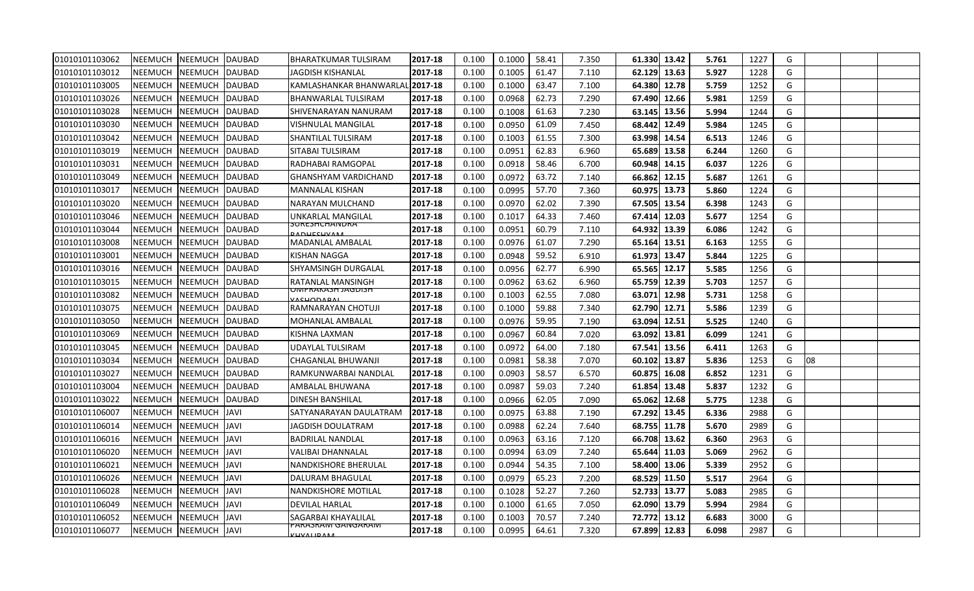| 01010101103062 | <b>NEEMUCH</b> | <b>NEEMUCH</b> | <b>DAUBAD</b> | <b>BHARATKUMAR TULSIRAM</b>                     | 2017-18 | 0.100 | 0.1000 | 58.41 | 7.350 | 61.330 13.42 |       | 5.761 | 1227 | G |    |  |
|----------------|----------------|----------------|---------------|-------------------------------------------------|---------|-------|--------|-------|-------|--------------|-------|-------|------|---|----|--|
| 01010101103012 | NEEMUCH        | <b>NEEMUCH</b> | <b>DAUBAD</b> | IAGDISH KISHANLAL                               | 2017-18 | 0.100 | 0.1005 | 61.47 | 7.110 | 62.129 13.63 |       | 5.927 | 1228 | G |    |  |
| 01010101103005 | <b>NEEMUCH</b> | <b>NEEMUCH</b> | <b>DAUBAD</b> | KAMLASHANKAR BHANWARLAL <b> 2017-18</b>         |         | 0.100 | 0.1000 | 63.47 | 7.100 | 64.380 12.78 |       | 5.759 | 1252 | G |    |  |
| 01010101103026 | NEEMUCH        | NEEMUCH        | DAUBAD        | BHANWARLAL TULSIRAM                             | 2017-18 | 0.100 | 0.0968 | 62.73 | 7.290 | 67.490 12.66 |       | 5.981 | 1259 | G |    |  |
| 01010101103028 | NEEMUCH        | <b>NEEMUCH</b> | DAUBAD        | SHIVENARAYAN NANURAM                            | 2017-18 | 0.100 | 0.1008 | 61.63 | 7.230 | 63.145 13.56 |       | 5.994 | 1244 | G |    |  |
| 01010101103030 | NEEMUCH        | <b>NEEMUCH</b> | DAUBAD        | VISHNULAL MANGILAL                              | 2017-18 | 0.100 | 0.0950 | 61.09 | 7.450 | 68.442 12.49 |       | 5.984 | 1245 | G |    |  |
| 01010101103042 | NEEMUCH        | <b>NEEMUCH</b> | DAUBAD        | SHANTILAL TULSIRAM                              | 2017-18 | 0.100 | 0.1003 | 61.55 | 7.300 | 63.998 14.54 |       | 6.513 | 1246 | G |    |  |
| 01010101103019 | NEEMUCH        | <b>NEEMUCH</b> | DAUBAD        | SITABAI TULSIRAM                                | 2017-18 | 0.100 | 0.0951 | 62.83 | 6.960 | 65.689 13.58 |       | 6.244 | 1260 | G |    |  |
| 01010101103031 | NEEMUCH        | <b>NEEMUCH</b> | <b>DAUBAD</b> | RADHABAI RAMGOPAL                               | 2017-18 | 0.100 | 0.0918 | 58.46 | 6.700 | 60.948 14.15 |       | 6.037 | 1226 | G |    |  |
| 01010101103049 | NEEMUCH        | NEEMUCH        | DAUBAD        | GHANSHYAM VARDICHAND                            | 2017-18 | 0.100 | 0.0972 | 63.72 | 7.140 | 66.862       | 12.15 | 5.687 | 1261 | G |    |  |
| 01010101103017 | NEEMUCH        | NEEMUCH        | DAUBAD        | MANNALAL KISHAN                                 | 2017-18 | 0.100 | 0.0995 | 57.70 | 7.360 | 60.975 13.73 |       | 5.860 | 1224 | G |    |  |
| 01010101103020 | NEEMUCH        | NEEMUCH        | DAUBAD        | NARAYAN MULCHAND                                | 2017-18 | 0.100 | 0.0970 | 62.02 | 7.390 | 67.505 13.54 |       | 6.398 | 1243 | G |    |  |
| 01010101103046 | NEEMUCH        | <b>NEEMUCH</b> | <b>DAUBAD</b> | UNKARLAL MANGILAL                               | 2017-18 | 0.100 | 0.1017 | 64.33 | 7.460 | 67.414       | 12.03 | 5.677 | 1254 | G |    |  |
| 01010101103044 | NEEMUCH        | <b>NEEMUCH</b> | <b>DAUBAD</b> | งบิหันวิทินที่ศึกษาส<br><b>ANUECUVANA</b>       | 2017-18 | 0.100 | 0.0951 | 60.79 | 7.110 | 64.932 13.39 |       | 6.086 | 1242 | G |    |  |
| 01010101103008 | NEEMUCH        | <b>NEEMUCH</b> | DAUBAD        | MADANLAL AMBALAL                                | 2017-18 | 0.100 | 0.0976 | 61.07 | 7.290 | 65.164 13.51 |       | 6.163 | 1255 | G |    |  |
| 01010101103001 | NEEMUCH        | <b>NEEMUCH</b> | DAUBAD        | KISHAN NAGGA                                    | 2017-18 | 0.100 | 0.0948 | 59.52 | 6.910 | 61.973 13.47 |       | 5.844 | 1225 | G |    |  |
| 01010101103016 | NEEMUCH        | <b>NEEMUCH</b> | <b>DAUBAD</b> | SHYAMSINGH DURGALAL                             | 2017-18 | 0.100 | 0.0956 | 62.77 | 6.990 | 65.565       | 12.17 | 5.585 | 1256 | G |    |  |
| 01010101103015 | NEEMUCH        | <b>NEEMUCH</b> | <b>DAUBAD</b> | RATANLAL MANSINGH                               | 2017-18 | 0.100 | 0.0962 | 63.62 | 6.960 | 65.759       | 12.39 | 5.703 | 1257 | G |    |  |
| 01010101103082 | NEEMUCH        | <b>NEEMUCH</b> | <b>DAUBAD</b> | <b>HCIUDAL HCAANHIVIU</b><br>$\lambda$ CHODADAL | 2017-18 | 0.100 | 0.1003 | 62.55 | 7.080 | 63.071       | 12.98 | 5.731 | 1258 | G |    |  |
| 01010101103075 | NEEMUCH        | <b>NEEMUCH</b> | <b>DAUBAD</b> | RAMNARAYAN CHOTUJI                              | 2017-18 | 0.100 | 0.1000 | 59.88 | 7.340 | 62.790       | 12.71 | 5.586 | 1239 | G |    |  |
| 01010101103050 | NEEMUCH        | <b>NEEMUCH</b> | <b>DAUBAD</b> | MOHANLAL AMBALAL                                | 2017-18 | 0.100 | 0.0976 | 59.95 | 7.190 | 63.094 12.51 |       | 5.525 | 1240 | G |    |  |
| 01010101103069 | NEEMUCH        | NEEMUCH        | <b>DAUBAD</b> | KISHNA LAXMAN                                   | 2017-18 | 0.100 | 0.0967 | 60.84 | 7.020 | 63.092       | 13.81 | 6.099 | 1241 | G |    |  |
| 01010101103045 | NEEMUCH        | <b>NEEMUCH</b> | <b>DAUBAD</b> | UDAYLAL TULSIRAM                                | 2017-18 | 0.100 | 0.0972 | 64.00 | 7.180 | 67.541 13.56 |       | 6.411 | 1263 | G |    |  |
| 01010101103034 | NEEMUCH        | <b>NEEMUCH</b> | <b>DAUBAD</b> | CHAGANLAL BHUWANJI                              | 2017-18 | 0.100 | 0.0981 | 58.38 | 7.070 | 60.102       | 13.87 | 5.836 | 1253 | G | 08 |  |
| 01010101103027 | NEEMUCH        | <b>NEEMUCH</b> | <b>DAUBAD</b> | RAMKUNWARBAI NANDLAL                            | 2017-18 | 0.100 | 0.0903 | 58.57 | 6.570 | 60.875       | 16.08 | 6.852 | 1231 | G |    |  |
| 01010101103004 | NEEMUCH        | <b>NEEMUCH</b> | <b>DAUBAD</b> | AMBALAL BHUWANA                                 | 2017-18 | 0.100 | 0.0987 | 59.03 | 7.240 | 61.854 13.48 |       | 5.837 | 1232 | G |    |  |
| 01010101103022 | NEEMUCH        | <b>NEEMUCH</b> | DAUBAD        | DINESH BANSHILAL                                | 2017-18 | 0.100 | 0.0966 | 62.05 | 7.090 | 65.062       | 12.68 | 5.775 | 1238 | G |    |  |
| 01010101106007 | NEEMUCH        | NEEMUCH        | JAVI          | SATYANARAYAN DAULATRAM                          | 2017-18 | 0.100 | 0.0975 | 63.88 | 7.190 | 67.292       | 13.45 | 6.336 | 2988 | G |    |  |
| 01010101106014 | NEEMUCH        | <b>NEEMUCH</b> | JAVI          | IAGDISH DOULATRAM                               | 2017-18 | 0.100 | 0.0988 | 62.24 | 7.640 | 68.755 11.78 |       | 5.670 | 2989 | G |    |  |
| 01010101106016 | NEEMUCH        | <b>NEEMUCH</b> | JAVI          | <b>BADRILAL NANDLAL</b>                         | 2017-18 | 0.100 | 0.0963 | 63.16 | 7.120 | 66.708 13.62 |       | 6.360 | 2963 | G |    |  |
| 01010101106020 | NEEMUCH        | <b>NEEMUCH</b> | JAVI          | VALIBAI DHANNALAL                               | 2017-18 | 0.100 | 0.0994 | 63.09 | 7.240 | 65.644 11.03 |       | 5.069 | 2962 | G |    |  |
| 01010101106021 | NEEMUCH        | <b>NEEMUCH</b> | JAVI          | NANDKISHORE BHERULAL                            | 2017-18 | 0.100 | 0.0944 | 54.35 | 7.100 | 58.400 13.06 |       | 5.339 | 2952 | G |    |  |
| 01010101106026 | NEEMUCH        | <b>NEEMUCH</b> | JAVI          | DALURAM BHAGULAL                                | 2017-18 | 0.100 | 0.0979 | 65.23 | 7.200 | 68.529 11.50 |       | 5.517 | 2964 | G |    |  |
| 01010101106028 | NEEMUCH        | NEEMUCH        | JAVI          | NANDKISHORE MOTILAL                             | 2017-18 | 0.100 | 0.1028 | 52.27 | 7.260 | 52.733 13.77 |       | 5.083 | 2985 | G |    |  |
| 01010101106049 | NEEMUCH        | NEEMUCH        | JAVI          | DEVILAL HARLAL                                  | 2017-18 | 0.100 | 0.1000 | 61.65 | 7.050 | 62.090 13.79 |       | 5.994 | 2984 | G |    |  |
| 01010101106052 | NEEMUCH        | <b>NEEMUCH</b> | JAVI          | SAGARBAI KHAYALILAL                             | 2017-18 | 0.100 | 0.1003 | 70.57 | 7.240 | 72.772       | 13.12 | 6.683 | 3000 | G |    |  |
| 01010101106077 | NEEMUCH        | <b>NEEMUCH</b> | JAVI          | <b>PARAJRAIVI GAINGARAIVI</b><br>$2$ LIVALIDARA | 2017-18 | 0.100 | 0.0995 | 64.61 | 7.320 | 67.899       | 12.83 | 6.098 | 2987 | G |    |  |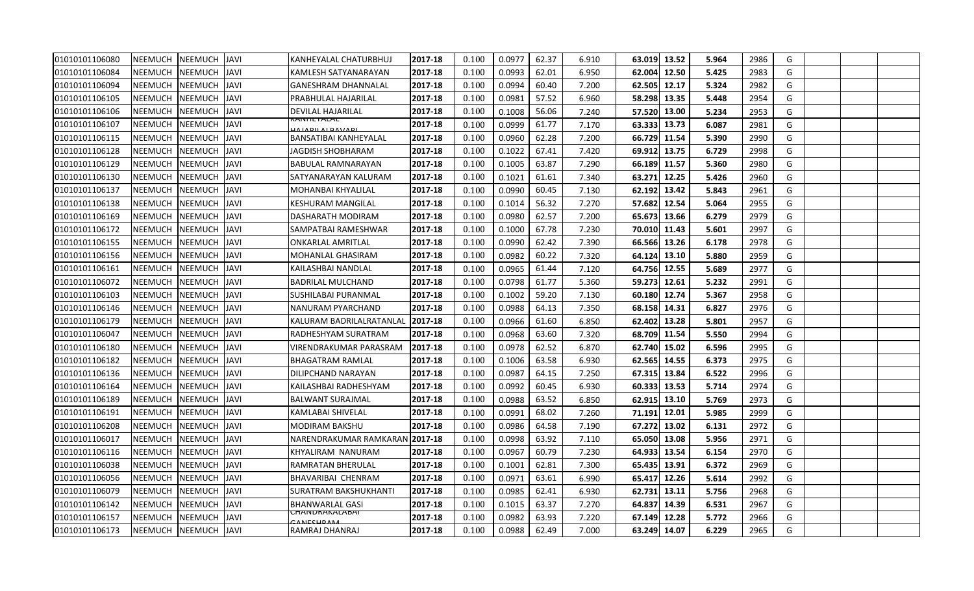| 01010101106080 | NEEMUCH        | <b>NEEMUCH</b> | <b>JAVI</b> | KANHEYALAL CHATURBHUJ                       | 2017-18 | 0.100 | 0.0977 | 62.37 | 6.910 | 63.019 13.52 |       | 5.964 | 2986 | G |  |  |
|----------------|----------------|----------------|-------------|---------------------------------------------|---------|-------|--------|-------|-------|--------------|-------|-------|------|---|--|--|
| 01010101106084 | NEEMUCH        | <b>NEEMUCH</b> | JAVI        | KAMLESH SATYANARAYAN                        | 2017-18 | 0.100 | 0.0993 | 62.01 | 6.950 | 62.004       | 12.50 | 5.425 | 2983 | G |  |  |
| 01010101106094 | NEEMUCH        | <b>NEEMUCH</b> | <b>JAVI</b> | GANESHRAM DHANNALAL                         | 2017-18 | 0.100 | 0.0994 | 60.40 | 7.200 | 62.505       | 12.17 | 5.324 | 2982 | G |  |  |
| 01010101106105 | NEEMUCH        | <b>NEEMUCH</b> | JAVI        | PRABHULAL HAJARILAL                         | 2017-18 | 0.100 | 0.0981 | 57.52 | 6.960 | 58.298       | 13.35 | 5.448 | 2954 | G |  |  |
| 01010101106106 | NEEMUCH        | <b>NEEMUCH</b> | JAVI        | <b>DEVILAL HAJARILAL</b>                    | 2017-18 | 0.100 | 0.1008 | 56.06 | 7.240 | 57.520       | 13.00 | 5.234 | 2953 | G |  |  |
| 01010101106107 | NEEMUCH        | <b>NEEMUCH</b> | JAVI        | <u> ANTETALAL</u><br>LADIL ALD AVADI        | 2017-18 | 0.100 | 0.0999 | 61.77 | 7.170 | 63.333       | 13.73 | 6.087 | 2981 | G |  |  |
| 01010101106115 | NEEMUCH        | <b>NEEMUCH</b> | JAVI        | BANSATIBAI KANHEYALAL                       | 2017-18 | 0.100 | 0.0960 | 62.28 | 7.200 | 66.729       | 11.54 | 5.390 | 2990 | G |  |  |
| 01010101106128 | NEEMUCH        | <b>NEEMUCH</b> | JAVI        | JAGDISH SHOBHARAM                           | 2017-18 | 0.100 | 0.1022 | 67.41 | 7.420 | 69.912       | 13.75 | 6.729 | 2998 | G |  |  |
| 01010101106129 | NEEMUCH        | <b>NEEMUCH</b> | JAVI        | <b>BABULAL RAMNARAYAN</b>                   | 2017-18 | 0.100 | 0.1005 | 63.87 | 7.290 | 66.189       | 11.57 | 5.360 | 2980 | G |  |  |
| 01010101106130 | NEEMUCH        | <b>NEEMUCH</b> | JAVI        | SATYANARAYAN KALURAM                        | 2017-18 | 0.100 | 0.1021 | 61.61 | 7.340 | 63.271       | 12.25 | 5.426 | 2960 | G |  |  |
| 01010101106137 | NEEMUCH        | <b>NEEMUCH</b> | JAVI        | MOHANBAI KHYALILAL                          | 2017-18 | 0.100 | 0.0990 | 60.45 | 7.130 | 62.192       | 13.42 | 5.843 | 2961 | G |  |  |
| 01010101106138 | NEEMUCH        | <b>NEEMUCH</b> | <b>JAVI</b> | KESHURAM MANGILAL                           | 2017-18 | 0.100 | 0.1014 | 56.32 | 7.270 | 57.682       | 12.54 | 5.064 | 2955 | G |  |  |
| 01010101106169 | NEEMUCH        | <b>NEEMUCH</b> | JAVI        | DASHARATH MODIRAM                           | 2017-18 | 0.100 | 0.0980 | 62.57 | 7.200 | 65.673       | 13.66 | 6.279 | 2979 | G |  |  |
| 01010101106172 | <b>NEEMUCH</b> | <b>NEEMUCH</b> | <b>JAVI</b> | SAMPATBAI RAMESHWAR                         | 2017-18 | 0.100 | 0.1000 | 67.78 | 7.230 | 70.010       | 11.43 | 5.601 | 2997 | G |  |  |
| 01010101106155 | <b>NEEMUCH</b> | <b>NEEMUCH</b> | <b>JAVI</b> | <b>ONKARLAL AMRITLAL</b>                    | 2017-18 | 0.100 | 0.0990 | 62.42 | 7.390 | 66.566       | 13.26 | 6.178 | 2978 | G |  |  |
| 01010101106156 | <b>NEEMUCH</b> | <b>NEEMUCH</b> | <b>JAVI</b> | MOHANLAL GHASIRAM                           | 2017-18 | 0.100 | 0.0982 | 60.22 | 7.320 | 64.124       | 13.10 | 5.880 | 2959 | G |  |  |
| 01010101106161 | NEEMUCH        | NEEMUCH        | JAVI        | KAILASHBAI NANDLAL                          | 2017-18 | 0.100 | 0.0965 | 61.44 | 7.120 | 64.756       | 12.55 | 5.689 | 2977 | G |  |  |
| 01010101106072 | NEEMUCH        | NEEMUCH        | <b>JAVI</b> | <b>BADRILAL MULCHAND</b>                    | 2017-18 | 0.100 | 0.0798 | 61.77 | 5.360 | 59.273       | 12.61 | 5.232 | 2991 | G |  |  |
| 01010101106103 | NEEMUCH        | NEEMUCH        | <b>JAVI</b> | SUSHILABAI PURANMAL                         | 2017-18 | 0.100 | 0.1002 | 59.20 | 7.130 | 60.180       | 12.74 | 5.367 | 2958 | G |  |  |
| 01010101106146 | NEEMUCH        | NEEMUCH        | <b>JAVI</b> | NANURAM PYARCHAND                           | 2017-18 | 0.100 | 0.0988 | 64.13 | 7.350 | 68.158       | 14.31 | 6.827 | 2976 | G |  |  |
| 01010101106179 | NEEMUCH        | NEEMUCH        | <b>JAVI</b> | KALURAM BADRILALRATANLAL                    | 2017-18 | 0.100 | 0.0966 | 61.60 | 6.850 | 62.402       | 13.28 | 5.801 | 2957 | G |  |  |
| 01010101106047 | NEEMUCH        | <b>NEEMUCH</b> | <b>JAVI</b> | RADHESHYAM SURATRAM                         | 2017-18 | 0.100 | 0.0968 | 63.60 | 7.320 | 68.709       | 11.54 | 5.550 | 2994 | G |  |  |
| 01010101106180 | NEEMUCH        | <b>NEEMUCH</b> | <b>JAVI</b> | VIRENDRAKUMAR PARASRAM                      | 2017-18 | 0.100 | 0.0978 | 62.52 | 6.870 | 62.740       | 15.02 | 6.596 | 2995 | G |  |  |
| 01010101106182 | NEEMUCH        | <b>NEEMUCH</b> | <b>JAVI</b> | <b>BHAGATRAM RAMLAL</b>                     | 2017-18 | 0.100 | 0.1006 | 63.58 | 6.930 | 62.565       | 14.55 | 6.373 | 2975 | G |  |  |
| 01010101106136 | NEEMUCH        | <b>NEEMUCH</b> | <b>JAVI</b> | DILIPCHAND NARAYAN                          | 2017-18 | 0.100 | 0.0987 | 64.15 | 7.250 | 67.315       | 13.84 | 6.522 | 2996 | G |  |  |
| 01010101106164 | NEEMUCH        | <b>NEEMUCH</b> | <b>JAVI</b> | KAILASHBAI RADHESHYAM                       | 2017-18 | 0.100 | 0.0992 | 60.45 | 6.930 | 60.333       | 13.53 | 5.714 | 2974 | G |  |  |
| 01010101106189 | NEEMUCH        | <b>NEEMUCH</b> | <b>JAVI</b> | <b>BALWANT SURAJMAL</b>                     | 2017-18 | 0.100 | 0.0988 | 63.52 | 6.850 | 62.915       | 13.10 | 5.769 | 2973 | G |  |  |
| 01010101106191 | NEEMUCH        | <b>NEEMUCH</b> | <b>JAVI</b> | KAMLABAI SHIVELAL                           | 2017-18 | 0.100 | 0.0991 | 68.02 | 7.260 | 71.191       | 12.01 | 5.985 | 2999 | G |  |  |
| 01010101106208 | NEEMUCH        | <b>NEEMUCH</b> | JAVI        | MODIRAM BAKSHU                              | 2017-18 | 0.100 | 0.0986 | 64.58 | 7.190 | 67.272       | 13.02 | 6.131 | 2972 | G |  |  |
| 01010101106017 | NEEMUCH        | <b>NEEMUCH</b> | <b>JAVI</b> | NARENDRAKUMAR RAMKARAN 2017-18              |         | 0.100 | 0.0998 | 63.92 | 7.110 | 65.050       | 13.08 | 5.956 | 2971 | G |  |  |
| 01010101106116 | NEEMUCH        | <b>NEEMUCH</b> | <b>JAVI</b> | KHYALIRAM NANURAM                           | 2017-18 | 0.100 | 0.0967 | 60.79 | 7.230 | 64.933 13.54 |       | 6.154 | 2970 | G |  |  |
| 01010101106038 | NEEMUCH        | <b>NEEMUCH</b> | JAVI        | RAMRATAN BHERULAL                           | 2017-18 | 0.100 | 0.1001 | 62.81 | 7.300 | 65.435 13.91 |       | 6.372 | 2969 | G |  |  |
| 01010101106056 | NEEMUCH        | <b>NEEMUCH</b> | JAVI        | BHAVARIBAI CHENRAM                          | 2017-18 | 0.100 | 0.0971 | 63.61 | 6.990 | 65.417       | 12.26 | 5.614 | 2992 | G |  |  |
| 01010101106079 | NEEMUCH        | <b>NEEMUCH</b> | <b>JAVI</b> | SURATRAM BAKSHUKHANTI                       | 2017-18 | 0.100 | 0.0985 | 62.41 | 6.930 | 62.731       | 13.11 | 5.756 | 2968 | G |  |  |
| 01010101106142 | NEEMUCH        | <b>NEEMUCH</b> | <b>JAVI</b> | <b>BHANWARLAL GASI</b>                      | 2017-18 | 0.100 | 0.1015 | 63.37 | 7.270 | 64.837 14.39 |       | 6.531 | 2967 | G |  |  |
| 01010101106157 | NEEMUCH        | <b>NEEMUCH</b> | <b>JAVI</b> | <b>JOURNAL AND AT A LABAT</b><br>CANECUDANA | 2017-18 | 0.100 | 0.0982 | 63.93 | 7.220 | 67.149       | 12.28 | 5.772 | 2966 | G |  |  |
| 01010101106173 | <b>NEEMUCH</b> | <b>NEEMUCH</b> | <b>JAVI</b> | RAMRAJ DHANRAJ                              | 2017-18 | 0.100 | 0.0988 | 62.49 | 7.000 | 63.249 14.07 |       | 6.229 | 2965 | G |  |  |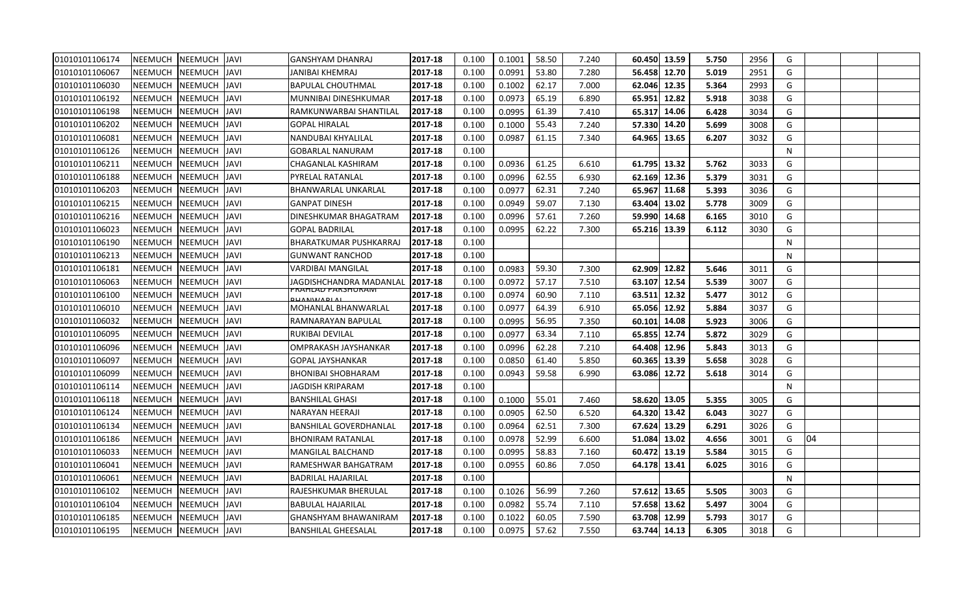| 01010101106174 | NEEMUCH        | <b>NEEMUCH</b> | <b>JAVI</b> | GANSHYAM DHANRAJ                         | 2017-18 | 0.100 | 0.1001 | 58.50 | 7.240 | 60.450 13.59 |       | 5.750 | 2956 | G  |    |  |
|----------------|----------------|----------------|-------------|------------------------------------------|---------|-------|--------|-------|-------|--------------|-------|-------|------|----|----|--|
| 01010101106067 | NEEMUCH        | <b>NEEMUCH</b> | JAVI        | IANIBAI KHEMRAJ                          | 2017-18 | 0.100 | 0.0991 | 53.80 | 7.280 | 56.458 12.70 |       | 5.019 | 2951 | G  |    |  |
| 01010101106030 | NEEMUCH        | <b>NEEMUCH</b> | <b>JAVI</b> | <b>BAPULAL CHOUTHMAL</b>                 | 2017-18 | 0.100 | 0.1002 | 62.17 | 7.000 | 62.046 12.35 |       | 5.364 | 2993 | G  |    |  |
| 01010101106192 | NEEMUCH        | <b>NEEMUCH</b> | JAVI        | MUNNIBAI DINESHKUMAR                     | 2017-18 | 0.100 | 0.0973 | 65.19 | 6.890 | 65.951       | 12.82 | 5.918 | 3038 | G  |    |  |
| 01010101106198 | NEEMUCH        | <b>NEEMUCH</b> | JAVI        | RAMKUNWARBAI SHANTILAL                   | 2017-18 | 0.100 | 0.0995 | 61.39 | 7.410 | 65.317       | 14.06 | 6.428 | 3034 | G  |    |  |
| 01010101106202 | NEEMUCH        | <b>NEEMUCH</b> | JAVI        | GOPAL HIRALAL                            | 2017-18 | 0.100 | 0.1000 | 55.43 | 7.240 | 57.330       | 14.20 | 5.699 | 3008 | G  |    |  |
| 01010101106081 | NEEMUCH        | <b>NEEMUCH</b> | JAVI        | NANDUBAI KHYALILAL                       | 2017-18 | 0.100 | 0.0987 | 61.15 | 7.340 | 64.965       | 13.65 | 6.207 | 3032 | G  |    |  |
| 01010101106126 | NEEMUCH        | <b>NEEMUCH</b> | <b>JAVI</b> | GOBARLAL NANURAM                         | 2017-18 | 0.100 |        |       |       |              |       |       |      | N  |    |  |
| 01010101106211 | <b>NEEMUCH</b> | <b>NEEMUCH</b> | <b>JAVI</b> | CHAGANLAL KASHIRAM                       | 2017-18 | 0.100 | 0.0936 | 61.25 | 6.610 | 61.795       | 13.32 | 5.762 | 3033 | G  |    |  |
| 01010101106188 | <b>NEEMUCH</b> | <b>NEEMUCH</b> | <b>JAVI</b> | <b>PYRELAL RATANLAL</b>                  | 2017-18 | 0.100 | 0.0996 | 62.55 | 6.930 | 62.169       | 12.36 | 5.379 | 3031 | G  |    |  |
| 01010101106203 | <b>NEEMUCH</b> | <b>NEEMUCH</b> | JAVI        | <b>BHANWARLAL UNKARLAL</b>               | 2017-18 | 0.100 | 0.0977 | 62.31 | 7.240 | 65.967       | 11.68 | 5.393 | 3036 | G  |    |  |
| 01010101106215 | <b>NEEMUCH</b> | <b>NEEMUCH</b> | JAVI        | GANPAT DINESH                            | 2017-18 | 0.100 | 0.0949 | 59.07 | 7.130 | 63.404       | 13.02 | 5.778 | 3009 | G  |    |  |
| 01010101106216 | NEEMUCH        | <b>NEEMUCH</b> | JAVI        | DINESHKUMAR BHAGATRAM                    | 2017-18 | 0.100 | 0.0996 | 57.61 | 7.260 | 59.990       | 14.68 | 6.165 | 3010 | G  |    |  |
| 01010101106023 | NEEMUCH        | <b>NEEMUCH</b> | JAVI        | GOPAL BADRILAL                           | 2017-18 | 0.100 | 0.0995 | 62.22 | 7.300 | 65.216       | 13.39 | 6.112 | 3030 | G  |    |  |
| 01010101106190 | NEEMUCH        | <b>NEEMUCH</b> | JAVI        | BHARATKUMAR PUSHKARRAJ                   | 2017-18 | 0.100 |        |       |       |              |       |       |      | N  |    |  |
| 01010101106213 | NEEMUCH        | <b>NEEMUCH</b> | JAVI        | GUNWANT RANCHOD                          | 2017-18 | 0.100 |        |       |       |              |       |       |      | N. |    |  |
| 01010101106181 | NEEMUCH        | <b>NEEMUCH</b> | JAVI        | VARDIBAI MANGILAL                        | 2017-18 | 0.100 | 0.0983 | 59.30 | 7.300 | 62.909       | 12.82 | 5.646 | 3011 | G  |    |  |
| 01010101106063 | NEEMUCH        | <b>NEEMUCH</b> | JAVI        | JAGDISHCHANDRA MADANLAL                  | 2017-18 | 0.100 | 0.0972 | 57.17 | 7.510 | 63.107       | 12.54 | 5.539 | 3007 | G  |    |  |
| 01010101106100 | NEEMUCH        | <b>NEEMUCH</b> | JAVI        | PRANLAU PARSNURAIVI<br><b>UANIMADIAL</b> | 2017-18 | 0.100 | 0.0974 | 60.90 | 7.110 | 63.511       | 12.32 | 5.477 | 3012 | G  |    |  |
| 01010101106010 | NEEMUCH        | <b>NEEMUCH</b> | JAVI        | MOHANLAL BHANWARLAL                      | 2017-18 | 0.100 | 0.0977 | 64.39 | 6.910 | 65.056       | 12.92 | 5.884 | 3037 | G  |    |  |
| 01010101106032 | <b>NEEMUCH</b> | <b>NEEMUCH</b> | <b>JAVI</b> | RAMNARAYAN BAPULAL                       | 2017-18 | 0.100 | 0.0995 | 56.95 | 7.350 | 60.101       | 14.08 | 5.923 | 3006 | G  |    |  |
| 01010101106095 | <b>NEEMUCH</b> | <b>NEEMUCH</b> | <b>JAVI</b> | RUKIBAI DEVILAL                          | 2017-18 | 0.100 | 0.0977 | 63.34 | 7.110 | 65.855       | 12.74 | 5.872 | 3029 | G  |    |  |
| 01010101106096 | <b>NEEMUCH</b> | <b>NEEMUCH</b> | JAVI        | OMPRAKASH JAYSHANKAR                     | 2017-18 | 0.100 | 0.0996 | 62.28 | 7.210 | 64.408       | 12.96 | 5.843 | 3013 | G  |    |  |
| 01010101106097 | <b>NEEMUCH</b> | <b>NEEMUCH</b> | JAVI        | GOPAL JAYSHANKAR                         | 2017-18 | 0.100 | 0.0850 | 61.40 | 5.850 | 60.365       | 13.39 | 5.658 | 3028 | G  |    |  |
| 01010101106099 | <b>NEEMUCH</b> | <b>NEEMUCH</b> | JAVI        | <b>BHONIBAI SHOBHARAM</b>                | 2017-18 | 0.100 | 0.0943 | 59.58 | 6.990 | 63.086       | 12.72 | 5.618 | 3014 | G  |    |  |
| 01010101106114 | <b>NEEMUCH</b> | <b>NEEMUCH</b> | <b>JAVI</b> | JAGDISH KRIPARAM                         | 2017-18 | 0.100 |        |       |       |              |       |       |      | N  |    |  |
| 01010101106118 | <b>NEEMUCH</b> | <b>NEEMUCH</b> | <b>JAVI</b> | <b>BANSHILAL GHASI</b>                   | 2017-18 | 0.100 | 0.1000 | 55.01 | 7.460 | 58.620       | 13.05 | 5.355 | 3005 | G  |    |  |
| 01010101106124 | NEEMUCH        | <b>NEEMUCH</b> | <b>JAVI</b> | NARAYAN HEERAJI                          | 2017-18 | 0.100 | 0.0905 | 62.50 | 6.520 | 64.320 13.42 |       | 6.043 | 3027 | G  |    |  |
| 01010101106134 | <b>NEEMUCH</b> | <b>NEEMUCH</b> | JAVI        | <b>BANSHILAL GOVERDHANLAL</b>            | 2017-18 | 0.100 | 0.0964 | 62.51 | 7.300 | 67.624 13.29 |       | 6.291 | 3026 | G  |    |  |
| 01010101106186 | <b>NEEMUCH</b> | <b>NEEMUCH</b> | JAVI        | <b>BHONIRAM RATANLAL</b>                 | 2017-18 | 0.100 | 0.0978 | 52.99 | 6.600 | 51.084 13.02 |       | 4.656 | 3001 | G  | 04 |  |
| 01010101106033 | <b>NEEMUCH</b> | <b>NEEMUCH</b> | <b>JAVI</b> | MANGILAL BALCHAND                        | 2017-18 | 0.100 | 0.0995 | 58.83 | 7.160 | 60.472       | 13.19 | 5.584 | 3015 | G  |    |  |
| 01010101106041 | <b>NEEMUCH</b> | <b>NEEMUCH</b> | JAVI        | RAMESHWAR BAHGATRAM                      | 2017-18 | 0.100 | 0.0955 | 60.86 | 7.050 | 64.178 13.41 |       | 6.025 | 3016 | G  |    |  |
| 01010101106061 | <b>NEEMUCH</b> | <b>NEEMUCH</b> | JAVI        | <b>BADRILAL HAJARILAL</b>                | 2017-18 | 0.100 |        |       |       |              |       |       |      | N  |    |  |
| 01010101106102 | <b>NEEMUCH</b> | <b>NEEMUCH</b> | JAVI        | RAJESHKUMAR BHERULAL                     | 2017-18 | 0.100 | 0.1026 | 56.99 | 7.260 | 57.612 13.65 |       | 5.505 | 3003 | G  |    |  |
| 01010101106104 | NEEMUCH        | <b>NEEMUCH</b> | JAVI        | <b>BABULAL HAJARILAL</b>                 | 2017-18 | 0.100 | 0.0982 | 55.74 | 7.110 | 57.658 13.62 |       | 5.497 | 3004 | G  |    |  |
| 01010101106185 | NEEMUCH        | <b>NEEMUCH</b> | JAVI        | GHANSHYAM BHAWANIRAM                     | 2017-18 | 0.100 | 0.1022 | 60.05 | 7.590 | 63.708 12.99 |       | 5.793 | 3017 | G  |    |  |
| 01010101106195 | <b>NEEMUCH</b> | NEEMUCH JAVI   |             | <b>BANSHILAL GHEESALAL</b>               | 2017-18 | 0.100 | 0.0975 | 57.62 | 7.550 | 63.744 14.13 |       | 6.305 | 3018 | G  |    |  |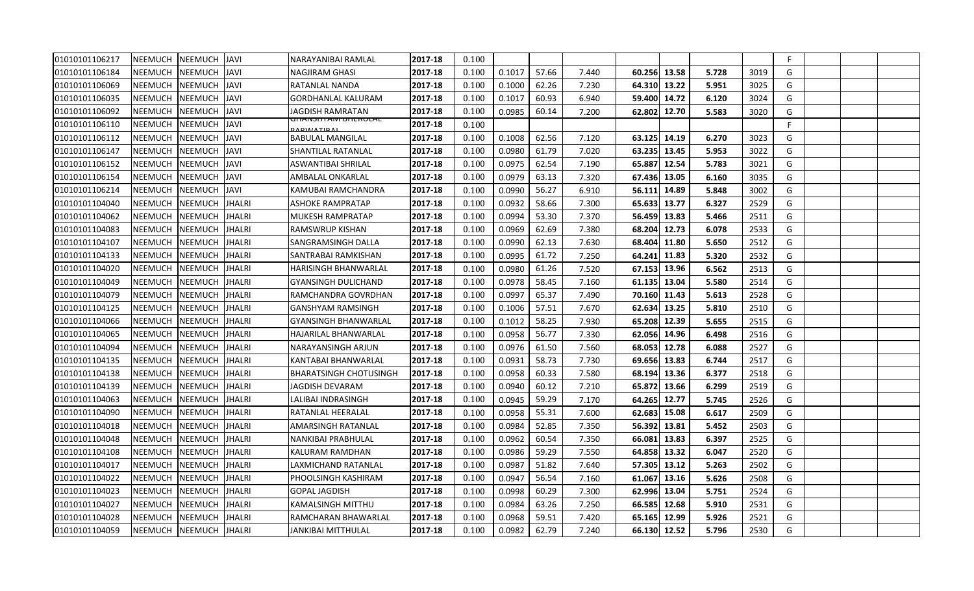| 01010101106217 | <b>NEEMUCH</b> | <b>NEEMUCH</b> | <b>JAVI</b>   | NARAYANIBAI RAMLAL                               | 2017-18 | 0.100 |        |       |       |              |              |       |      | $\mathsf{F}$ |  |  |
|----------------|----------------|----------------|---------------|--------------------------------------------------|---------|-------|--------|-------|-------|--------------|--------------|-------|------|--------------|--|--|
| 01010101106184 | NEEMUCH        | <b>NEEMUCH</b> | <b>JAVI</b>   | <b>NAGJIRAM GHASI</b>                            | 2017-18 | 0.100 | 0.1017 | 57.66 | 7.440 |              | 60.256 13.58 | 5.728 | 3019 | G            |  |  |
| 01010101106069 | NEEMUCH        | <b>NEEMUCH</b> | <b>JAVI</b>   | <b>RATANLAL NANDA</b>                            | 2017-18 | 0.100 | 0.1000 | 62.26 | 7.230 | 64.310 13.22 |              | 5.951 | 3025 | G            |  |  |
| 01010101106035 | <b>NEEMUCH</b> | <b>NEEMUCH</b> | <b>JAVI</b>   | <b>GORDHANLAL KALURAM</b>                        | 2017-18 | 0.100 | 0.1017 | 60.93 | 6.940 | 59.400 14.72 |              | 6.120 | 3024 | G            |  |  |
| 01010101106092 | NEEMUCH        | <b>NEEMUCH</b> | <b>JAVI</b>   | <b>JAGDISH RAMRATAN</b>                          | 2017-18 | 0.100 | 0.0985 | 60.14 | 7.200 |              | 62.802 12.70 | 5.583 | 3020 | G            |  |  |
| 01010101106110 | NEEMUCH        | <b>NEEMUCH</b> | <b>JAVI</b>   | <b>JNAINJNTAINI BNERULAL</b><br><b>ADMATIOAL</b> | 2017-18 | 0.100 |        |       |       |              |              |       |      | F            |  |  |
| 01010101106112 | NEEMUCH        | <b>NEEMUCH</b> | <b>JAVI</b>   | <b>BABULAL MANGILAL</b>                          | 2017-18 | 0.100 | 0.1008 | 62.56 | 7.120 |              | 63.125 14.19 | 6.270 | 3023 | G            |  |  |
| 01010101106147 | NEEMUCH        | <b>NEEMUCH</b> | <b>JAVI</b>   | SHANTILAL RATANLAL                               | 2017-18 | 0.100 | 0.0980 | 61.79 | 7.020 |              | 63.235 13.45 | 5.953 | 3022 | G            |  |  |
| 01010101106152 | NEEMUCH        | <b>NEEMUCH</b> | <b>JAVI</b>   | <b>ASWANTIBAI SHRILAL</b>                        | 2017-18 | 0.100 | 0.0975 | 62.54 | 7.190 |              | 65.887 12.54 | 5.783 | 3021 | G            |  |  |
| 01010101106154 | NEEMUCH        | <b>NEEMUCH</b> | <b>JAVI</b>   | <b>AMBALAL ONKARLAL</b>                          | 2017-18 | 0.100 | 0.0979 | 63.13 | 7.320 | 67.436 13.05 |              | 6.160 | 3035 | G            |  |  |
| 01010101106214 | NEEMUCH        | <b>NEEMUCH</b> | <b>JAVI</b>   | KAMUBAI RAMCHANDRA                               | 2017-18 | 0.100 | 0.0990 | 56.27 | 6.910 |              | 56.111 14.89 | 5.848 | 3002 | G            |  |  |
| 01010101104040 | NEEMUCH        | <b>NEEMUCH</b> | <b>JHALRI</b> | <b>ASHOKE RAMPRATAP</b>                          | 2017-18 | 0.100 | 0.0932 | 58.66 | 7.300 |              | 65.633 13.77 | 6.327 | 2529 | G            |  |  |
| 01010101104062 | NEEMUCH        | <b>NEEMUCH</b> | <b>JHALRI</b> | <b>MUKESH RAMPRATAP</b>                          | 2017-18 | 0.100 | 0.0994 | 53.30 | 7.370 |              | 56.459 13.83 | 5.466 | 2511 | G            |  |  |
| 01010101104083 | NEEMUCH        | <b>NEEMUCH</b> | <b>JHALRI</b> | <b>RAMSWRUP KISHAN</b>                           | 2017-18 | 0.100 | 0.0969 | 62.69 | 7.380 | 68.204 12.73 |              | 6.078 | 2533 | G            |  |  |
| 01010101104107 | NEEMUCH        | <b>NEEMUCH</b> | <b>JHALRI</b> | <b>SANGRAMSINGH DALLA</b>                        | 2017-18 | 0.100 | 0.0990 | 62.13 | 7.630 |              | 68.404 11.80 | 5.650 | 2512 | G            |  |  |
| 01010101104133 | NEEMUCH        | <b>NEEMUCH</b> | <b>JHALRI</b> | SANTRABAI RAMKISHAN                              | 2017-18 | 0.100 | 0.0995 | 61.72 | 7.250 | 64.241 11.83 |              | 5.320 | 2532 | G            |  |  |
| 01010101104020 | NEEMUCH        | <b>NEEMUCH</b> | <b>JHALRI</b> | <b>HARISINGH BHANWARLAL</b>                      | 2017-18 | 0.100 | 0.0980 | 61.26 | 7.520 |              | 67.153 13.96 | 6.562 | 2513 | G            |  |  |
| 01010101104049 | NEEMUCH        | <b>NEEMUCH</b> | <b>JHALRI</b> | <b>GYANSINGH DULICHAND</b>                       | 2017-18 | 0.100 | 0.0978 | 58.45 | 7.160 |              | 61.135 13.04 | 5.580 | 2514 | G            |  |  |
| 01010101104079 | NEEMUCH        | <b>NEEMUCH</b> | <b>JHALRI</b> | RAMCHANDRA GOVRDHAN                              | 2017-18 | 0.100 | 0.0997 | 65.37 | 7.490 | 70.160 11.43 |              | 5.613 | 2528 | G            |  |  |
| 01010101104125 | NEEMUCH        | <b>NEEMUCH</b> | <b>JHALRI</b> | <b>GANSHYAM RAMSINGH</b>                         | 2017-18 | 0.100 | 0.1006 | 57.51 | 7.670 | 62.634 13.25 |              | 5.810 | 2510 | G            |  |  |
| 01010101104066 | NEEMUCH        | <b>NEEMUCH</b> | <b>JHALRI</b> | <b>GYANSINGH BHANWARLAL</b>                      | 2017-18 | 0.100 | 0.1012 | 58.25 | 7.930 |              | 65.208 12.39 | 5.655 | 2515 | G            |  |  |
| 01010101104065 | NEEMUCH        | <b>NEEMUCH</b> | <b>JHALRI</b> | <b>HAJARILAL BHANWARLAL</b>                      | 2017-18 | 0.100 | 0.0958 | 56.77 | 7.330 | 62.056 14.96 |              | 6.498 | 2516 | G            |  |  |
| 01010101104094 | NEEMUCH        | <b>NEEMUCH</b> | <b>JHALRI</b> | <b>NARAYANSINGH ARJUN</b>                        | 2017-18 | 0.100 | 0.0976 | 61.50 | 7.560 | 68.053 12.78 |              | 6.088 | 2527 | G            |  |  |
| 01010101104135 | <b>NEEMUCH</b> | <b>NEEMUCH</b> | <b>JHALRI</b> | KANTABAI BHANWARLAL                              | 2017-18 | 0.100 | 0.0931 | 58.73 | 7.730 | 69.656 13.83 |              | 6.744 | 2517 | G            |  |  |
| 01010101104138 | <b>NEEMUCH</b> | <b>NEEMUCH</b> | <b>JHALRI</b> | <b>BHARATSINGH CHOTUSINGH</b>                    | 2017-18 | 0.100 | 0.0958 | 60.33 | 7.580 | 68.194 13.36 |              | 6.377 | 2518 | G            |  |  |
| 01010101104139 | <b>NEEMUCH</b> | <b>NEEMUCH</b> | <b>JHALRI</b> | JAGDISH DEVARAM                                  | 2017-18 | 0.100 | 0.0940 | 60.12 | 7.210 |              | 65.872 13.66 | 6.299 | 2519 | G            |  |  |
| 01010101104063 | <b>NEEMUCH</b> | <b>NEEMUCH</b> | <b>JHALRI</b> | LALIBAI INDRASINGH                               | 2017-18 | 0.100 | 0.0945 | 59.29 | 7.170 | 64.265 12.77 |              | 5.745 | 2526 | G            |  |  |
| 01010101104090 | NEEMUCH        | <b>NEEMUCH</b> | <b>JHALRI</b> | RATANLAL HEERALAL                                | 2017-18 | 0.100 | 0.0958 | 55.31 | 7.600 |              | 62.683 15.08 | 6.617 | 2509 | G            |  |  |
| 01010101104018 | NEEMUCH        | <b>NEEMUCH</b> | <b>JHALRI</b> | <b>AMARSINGH RATANLAL</b>                        | 2017-18 | 0.100 | 0.0984 | 52.85 | 7.350 | 56.392 13.81 |              | 5.452 | 2503 | G            |  |  |
| 01010101104048 | NEEMUCH        | <b>NEEMUCH</b> | <b>JHALRI</b> | NANKIBAI PRABHULAL                               | 2017-18 | 0.100 | 0.0962 | 60.54 | 7.350 |              | 66.081 13.83 | 6.397 | 2525 | G            |  |  |
| 01010101104108 | NEEMUCH        | <b>NEEMUCH</b> | <b>JHALRI</b> | KALURAM RAMDHAN                                  | 2017-18 | 0.100 | 0.0986 | 59.29 | 7.550 |              | 64.858 13.32 | 6.047 | 2520 | G            |  |  |
| 01010101104017 | NEEMUCH        | <b>NEEMUCH</b> | <b>JHALRI</b> | LAXMICHAND RATANLAL                              | 2017-18 | 0.100 | 0.0987 | 51.82 | 7.640 |              | 57.305 13.12 | 5.263 | 2502 | G            |  |  |
| 01010101104022 | NEEMUCH        | <b>NEEMUCH</b> | <b>JHALRI</b> | <b>PHOOLSINGH KASHIRAM</b>                       | 2017-18 | 0.100 | 0.0947 | 56.54 | 7.160 |              | 61.067 13.16 | 5.626 | 2508 | G            |  |  |
| 01010101104023 | NEEMUCH        | <b>NEEMUCH</b> | <b>JHALRI</b> | <b>GOPAL JAGDISH</b>                             | 2017-18 | 0.100 | 0.0998 | 60.29 | 7.300 | 62.996 13.04 |              | 5.751 | 2524 | G            |  |  |
| 01010101104027 | NEEMUCH        | <b>NEEMUCH</b> | <b>JHALRI</b> | <b>KAMALSINGH MITTHU</b>                         | 2017-18 | 0.100 | 0.0984 | 63.26 | 7.250 |              | 66.585 12.68 | 5.910 | 2531 | G            |  |  |
| 01010101104028 | <b>NEEMUCH</b> | <b>NEEMUCH</b> | <b>JHALRI</b> | RAMCHARAN BHAWARLAL                              | 2017-18 | 0.100 | 0.0968 | 59.51 | 7.420 |              | 65.165 12.99 | 5.926 | 2521 | G            |  |  |
| 01010101104059 | <b>NEEMUCH</b> | <b>NEEMUCH</b> | <b>JHALRI</b> | JANKIBAI MITTHULAL                               | 2017-18 | 0.100 | 0.0982 | 62.79 | 7.240 |              | 66.130 12.52 | 5.796 | 2530 | G            |  |  |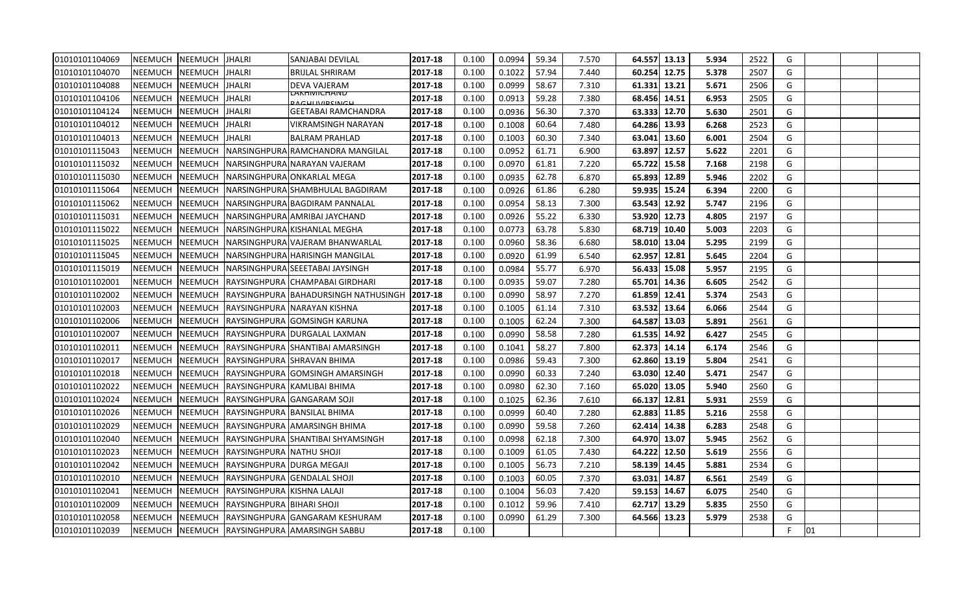| 01010101104069 | <b>NEEMUCH</b> | NEEMUCH         | <b>JHALRI</b>                     | <b>SANJABAI DEVILAL</b>                       | 2017-18 | 0.100 | 0.0994 | 59.34 | 7.570 | 64.557 13.13 | 5.934 | 2522 | G |    |  |
|----------------|----------------|-----------------|-----------------------------------|-----------------------------------------------|---------|-------|--------|-------|-------|--------------|-------|------|---|----|--|
| 01010101104070 | NEEMUCH        | <b>NEEMUCH</b>  | <b>JHALRI</b>                     | <b>BRIJLAL SHRIRAM</b>                        | 2017-18 | 0.100 | 0.1022 | 57.94 | 7.440 | 60.254 12.75 | 5.378 | 2507 | G |    |  |
| 01010101104088 | NEEMUCH        | <b>NEEMUCH</b>  | <b>JHALRI</b>                     | DEVA VAJERAM                                  | 2017-18 | 0.100 | 0.0999 | 58.67 | 7.310 | 61.331 13.21 | 5.671 | 2506 | G |    |  |
| 01010101104106 | NEEMUCH        | <b>NEEMUCH</b>  | <b>JHALRI</b>                     | <u>LANNIVIIUNAINU</u><br><b>ACULIVIDEINCU</b> | 2017-18 | 0.100 | 0.0913 | 59.28 | 7.380 | 68.456 14.51 | 6.953 | 2505 | G |    |  |
| 01010101104124 | NEEMUCH        | <b>NEEMUCH</b>  | <b>JHALRI</b>                     | GEETABAI RAMCHANDRA                           | 2017-18 | 0.100 | 0.0936 | 56.30 | 7.370 | 63.333 12.70 | 5.630 | 2501 | G |    |  |
| 01010101104012 | NEEMUCH        | <b>NEEMUCH</b>  | <b>JHALRI</b>                     | VIKRAMSINGH NARAYAN                           | 2017-18 | 0.100 | 0.1008 | 60.64 | 7.480 | 64.286 13.93 | 6.268 | 2523 | G |    |  |
| 01010101104013 | NEEMUCH        | <b>NEEMUCH</b>  | <b>JHALRI</b>                     | <b>BALRAM PRAHLAD</b>                         | 2017-18 | 0.100 | 0.1003 | 60.30 | 7.340 | 63.041 13.60 | 6.001 | 2504 | G |    |  |
| 01010101115043 | <b>NEEMUCH</b> | <b>NEEMUCH</b>  |                                   | INARSINGHPURAIRAMCHANDRA MANGILAL             | 2017-18 | 0.100 | 0.0952 | 61.71 | 6.900 | 63.897 12.57 | 5.622 | 2201 | G |    |  |
| 01010101115032 | <b>NEEMUCH</b> | <b>NEEMUCH</b>  |                                   | INARSINGHPURAINARAYAN VAJERAM                 | 2017-18 | 0.100 | 0.0970 | 61.81 | 7.220 | 65.722 15.58 | 7.168 | 2198 | G |    |  |
| 01010101115030 | <b>NEEMUCH</b> | <b>NEEMUCH</b>  |                                   | INARSINGHPURAIONKARLAL MEGA                   | 2017-18 | 0.100 | 0.0935 | 62.78 | 6.870 | 65.893 12.89 | 5.946 | 2202 | G |    |  |
| 01010101115064 | NEEMUCH        | <b>NEEMUCH</b>  |                                   | NARSINGHPURA SHAMBHULAL BAGDIRAM              | 2017-18 | 0.100 | 0.0926 | 61.86 | 6.280 | 59.935 15.24 | 6.394 | 2200 | G |    |  |
| 01010101115062 | <b>NEEMUCH</b> | <b>NEEMUCH</b>  |                                   | NARSINGHPURA BAGDIRAM PANNALAL                | 2017-18 | 0.100 | 0.0954 | 58.13 | 7.300 | 63.543 12.92 | 5.747 | 2196 | G |    |  |
| 01010101115031 | <b>NEEMUCH</b> | <b>NEEMUCH</b>  |                                   | NARSINGHPURA AMRIBAI JAYCHAND                 | 2017-18 | 0.100 | 0.0926 | 55.22 | 6.330 | 53.920 12.73 | 4.805 | 2197 | G |    |  |
| 01010101115022 | NEEMUCH        | <b>NEEMUCH</b>  |                                   | NARSINGHPURA KISHANLAL MEGHA                  | 2017-18 | 0.100 | 0.0773 | 63.78 | 5.830 | 68.719 10.40 | 5.003 | 2203 | G |    |  |
| 01010101115025 | NEEMUCH        | <b>NEEMUCH</b>  |                                   | NARSINGHPURA VAJERAM BHANWARLAL               | 2017-18 | 0.100 | 0.0960 | 58.36 | 6.680 | 58.010 13.04 | 5.295 | 2199 | G |    |  |
| 01010101115045 | NEEMUCH        | <b>NEEMUCH</b>  |                                   | NARSINGHPURA HARISINGH MANGILAL               | 2017-18 | 0.100 | 0.0920 | 61.99 | 6.540 | 62.957 12.81 | 5.645 | 2204 | G |    |  |
| 01010101115019 | NEEMUCH        | <b>NEEMUCH</b>  |                                   | NARSINGHPURA SEEETABAI JAYSINGH               | 2017-18 | 0.100 | 0.0984 | 55.77 | 6.970 | 56.433 15.08 | 5.957 | 2195 | G |    |  |
| 01010101102001 | NEEMUCH        | <b>NEEMUCH</b>  |                                   | <b>RAYSINGHPURA CHAMPABAI GIRDHARI</b>        | 2017-18 | 0.100 | 0.0935 | 59.07 | 7.280 | 65.701 14.36 | 6.605 | 2542 | G |    |  |
| 01010101102002 | NEEMUCH        | <b>NEEMUCH</b>  |                                   | RAYSINGHPURA BAHADURSINGH NATHUSINGH          | 2017-18 | 0.100 | 0.0990 | 58.97 | 7.270 | 61.859 12.41 | 5.374 | 2543 | G |    |  |
| 01010101102003 | NEEMUCH        | <b>NEEMUCH</b>  |                                   | RAYSINGHPURA NARAYAN KISHNA                   | 2017-18 | 0.100 | 0.1005 | 61.14 | 7.310 | 63.532 13.64 | 6.066 | 2544 | G |    |  |
| 01010101102006 | NEEMUCH        | <b>INEEMUCH</b> |                                   | RAYSINGHPURA GOMSINGH KARUNA                  | 2017-18 | 0.100 | 0.1005 | 62.24 | 7.300 | 64.587 13.03 | 5.891 | 2561 | G |    |  |
| 01010101102007 | <b>NEEMUCH</b> | <b>NEEMUCH</b>  |                                   | <b>IRAYSINGHPURA IDURGALAL LAXMAN</b>         | 2017-18 | 0.100 | 0.0990 | 58.58 | 7.280 | 61.535 14.92 | 6.427 | 2545 | G |    |  |
| 01010101102011 | <b>NEEMUCH</b> | <b>NEEMUCH</b>  |                                   | RAYSINGHPURA SHANTIBAI AMARSINGH              | 2017-18 | 0.100 | 0.1041 | 58.27 | 7.800 | 62.373 14.14 | 6.174 | 2546 | G |    |  |
| 01010101102017 | <b>NEEMUCH</b> | <b>NEEMUCH</b>  |                                   | RAYSINGHPURA SHRAVAN BHIMA                    | 2017-18 | 0.100 | 0.0986 | 59.43 | 7.300 | 62.860 13.19 | 5.804 | 2541 | G |    |  |
| 01010101102018 | <b>NEEMUCH</b> | <b>NEEMUCH</b>  |                                   | RAYSINGHPURA GOMSINGH AMARSINGH               | 2017-18 | 0.100 | 0.0990 | 60.33 | 7.240 | 63.030 12.40 | 5.471 | 2547 | G |    |  |
| 01010101102022 | <b>NEEMUCH</b> | <b>NEEMUCH</b>  |                                   | RAYSINGHPURA KAMLIBAI BHIMA                   | 2017-18 | 0.100 | 0.0980 | 62.30 | 7.160 | 65.020 13.05 | 5.940 | 2560 | G |    |  |
| 01010101102024 | NEEMUCH        | <b>NEEMUCH</b>  |                                   | RAYSINGHPURA GANGARAM SOJI                    | 2017-18 | 0.100 | 0.1025 | 62.36 | 7.610 | 66.137 12.81 | 5.931 | 2559 | G |    |  |
| 01010101102026 | NEEMUCH        | <b>NEEMUCH</b>  |                                   | RAYSINGHPURA BANSILAL BHIMA                   | 2017-18 | 0.100 | 0.0999 | 60.40 | 7.280 | 62.883 11.85 | 5.216 | 2558 | G |    |  |
| 01010101102029 | NEEMUCH        | <b>NEEMUCH</b>  |                                   | RAYSINGHPURA AMARSINGH BHIMA                  | 2017-18 | 0.100 | 0.0990 | 59.58 | 7.260 | 62.414 14.38 | 6.283 | 2548 | G |    |  |
| 01010101102040 | NEEMUCH        | <b>NEEMUCH</b>  |                                   | RAYSINGHPURA SHANTIBAI SHYAMSINGH             | 2017-18 | 0.100 | 0.0998 | 62.18 | 7.300 | 64.970 13.07 | 5.945 | 2562 | G |    |  |
| 01010101102023 | NEEMUCH        | <b>NEEMUCH</b>  | RAYSINGHPURA NATHU SHOJI          |                                               | 2017-18 | 0.100 | 0.1009 | 61.05 | 7.430 | 64.222 12.50 | 5.619 | 2556 | G |    |  |
| 01010101102042 | NEEMUCH        | <b>NEEMUCH</b>  | RAYSINGHPURA DURGA MEGAJI         |                                               | 2017-18 | 0.100 | 0.1005 | 56.73 | 7.210 | 58.139 14.45 | 5.881 | 2534 | G |    |  |
| 01010101102010 | NEEMUCH        | <b>NEEMUCH</b>  |                                   | <b>RAYSINGHPURA GENDALAL SHOJI</b>            | 2017-18 | 0.100 | 0.1003 | 60.05 | 7.370 | 63.031 14.87 | 6.561 | 2549 | G |    |  |
| 01010101102041 | <b>NEEMUCH</b> | <b>NEEMUCH</b>  | <b>RAYSINGHPURA KISHNA LALAJI</b> |                                               | 2017-18 | 0.100 | 0.1004 | 56.03 | 7.420 | 59.153 14.67 | 6.075 | 2540 | G |    |  |
| 01010101102009 | NEEMUCH        | <b>NEEMUCH</b>  | <b>IRAYSINGHPURA BIHARI SHOJI</b> |                                               | 2017-18 | 0.100 | 0.1012 | 59.96 | 7.410 | 62.717 13.29 | 5.835 | 2550 | G |    |  |
| 01010101102058 | <b>NEEMUCH</b> | <b>NEEMUCH</b>  |                                   | <b>RAYSINGHPURA GANGARAM KESHURAM</b>         | 2017-18 | 0.100 | 0.0990 | 61.29 | 7.300 | 64.566 13.23 | 5.979 | 2538 | G |    |  |
| 01010101102039 | <b>NEEMUCH</b> |                 |                                   | NEEMUCH RAYSINGHPURA AMARSINGH SABBU          | 2017-18 | 0.100 |        |       |       |              |       |      | F | 01 |  |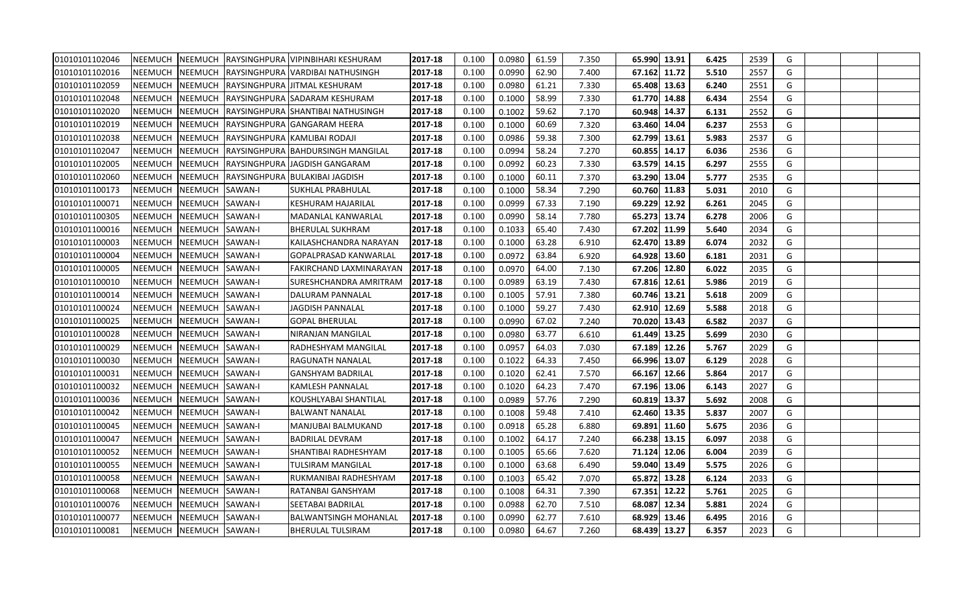| 01010101102046 | <b>NEEMUCH</b> | <b>NEEMUCH</b>  |                     | RAYSINGHPURA VIPINBIHARI KESHURAM  | 2017-18 | 0.100 | 0.0980 | 61.59 | 7.350 | 65.990 13.91 | 6.425 | 2539 | G |  |  |
|----------------|----------------|-----------------|---------------------|------------------------------------|---------|-------|--------|-------|-------|--------------|-------|------|---|--|--|
| 01010101102016 | NEEMUCH        | <b>NEEMUCH</b>  |                     | RAYSINGHPURA VARDIBAI NATHUSINGH   | 2017-18 | 0.100 | 0.0990 | 62.90 | 7.400 | 67.162 11.72 | 5.510 | 2557 | G |  |  |
| 01010101102059 | <b>NEEMUCH</b> | <b>NEEMUCH</b>  |                     | RAYSINGHPURA JITMAL KESHURAM       | 2017-18 | 0.100 | 0.0980 | 61.21 | 7.330 | 65.408 13.63 | 6.240 | 2551 | G |  |  |
| 01010101102048 | NEEMUCH        | <b>NEEMUCH</b>  |                     | RAYSINGHPURA SADARAM KESHURAM      | 2017-18 | 0.100 | 0.1000 | 58.99 | 7.330 | 61.770 14.88 | 6.434 | 2554 | G |  |  |
| 01010101102020 | NEEMUCH        | <b>NEEMUCH</b>  |                     | RAYSINGHPURA  SHANTIBAI NATHUSINGH | 2017-18 | 0.100 | 0.1002 | 59.62 | 7.170 | 60.948 14.37 | 6.131 | 2552 | G |  |  |
| 01010101102019 | NEEMUCH        | <b>NEEMUCH</b>  |                     | RAYSINGHPURA  GANGARAM HEERA       | 2017-18 | 0.100 | 0.1000 | 60.69 | 7.320 | 63.460 14.04 | 6.237 | 2553 | G |  |  |
| 01010101102038 | NEEMUCH        | <b>NEEMUCH</b>  |                     | RAYSINGHPURA KAMLIBAI RODAJI       | 2017-18 | 0.100 | 0.0986 | 59.38 | 7.300 | 62.799 13.61 | 5.983 | 2537 | G |  |  |
| 01010101102047 | NEEMUCH        | <b>NEEMUCH</b>  |                     | RAYSINGHPURA BAHDURSINGH MANGILAL  | 2017-18 | 0.100 | 0.0994 | 58.24 | 7.270 | 60.855 14.17 | 6.036 | 2536 | G |  |  |
| 01010101102005 | NEEMUCH        | <b>NEEMUCH</b>  |                     | RAYSINGHPURA JJAGDISH GANGARAM     | 2017-18 | 0.100 | 0.0992 | 60.23 | 7.330 | 63.579 14.15 | 6.297 | 2555 | G |  |  |
| 01010101102060 | NEEMUCH        | <b>NEEMUCH</b>  | <b>RAYSINGHPURA</b> | <b>BULAKIBAI JAGDISH</b>           | 2017-18 | 0.100 | 0.1000 | 60.11 | 7.370 | 63.290 13.04 | 5.777 | 2535 | G |  |  |
| 01010101100173 | <b>NEEMUCH</b> | <b>NEEMUCH</b>  | SAWAN-I             | <b>SUKHLAL PRABHULAL</b>           | 2017-18 | 0.100 | 0.1000 | 58.34 | 7.290 | 60.760 11.83 | 5.031 | 2010 | G |  |  |
| 01010101100071 | <b>NEEMUCH</b> | <b>NEEMUCH</b>  | SAWAN-I             | <b>KESHURAM HAJARILAL</b>          | 2017-18 | 0.100 | 0.0999 | 67.33 | 7.190 | 69.229 12.92 | 6.261 | 2045 | G |  |  |
| 01010101100305 | <b>NEEMUCH</b> | <b>NEEMUCH</b>  | SAWAN-I             | MADANLAL KANWARLAL                 | 2017-18 | 0.100 | 0.0990 | 58.14 | 7.780 | 65.273 13.74 | 6.278 | 2006 | G |  |  |
| 01010101100016 | <b>NEEMUCH</b> | <b>NEEMUCH</b>  | SAWAN-I             | <b>BHERULAL SUKHRAM</b>            | 2017-18 | 0.100 | 0.1033 | 65.40 | 7.430 | 67.202 11.99 | 5.640 | 2034 | G |  |  |
| 01010101100003 | <b>NEEMUCH</b> | <b>NEEMUCH</b>  | SAWAN-I             | KAILASHCHANDRA NARAYAN             | 2017-18 | 0.100 | 0.1000 | 63.28 | 6.910 | 62.470 13.89 | 6.074 | 2032 | G |  |  |
| 01010101100004 | NEEMUCH        | <b>NEEMUCH</b>  | SAWAN-I             | <b>GOPALPRASAD KANWARLAL</b>       | 2017-18 | 0.100 | 0.0972 | 63.84 | 6.920 | 64.928 13.60 | 6.181 | 2031 | G |  |  |
| 01010101100005 | NEEMUCH        | <b>NEEMUCH</b>  | SAWAN-I             | <b>FAKIRCHAND LAXMINARAYAN</b>     | 2017-18 | 0.100 | 0.0970 | 64.00 | 7.130 | 67.206 12.80 | 6.022 | 2035 | G |  |  |
| 01010101100010 | NEEMUCH        | <b>NEEMUCH</b>  | SAWAN-I             | SURESHCHANDRA AMRITRAM             | 2017-18 | 0.100 | 0.0989 | 63.19 | 7.430 | 67.816 12.61 | 5.986 | 2019 | G |  |  |
| 01010101100014 | NEEMUCH        | <b>NEEMUCH</b>  | SAWAN-I             | DALURAM PANNALAL                   | 2017-18 | 0.100 | 0.1005 | 57.91 | 7.380 | 60.746 13.21 | 5.618 | 2009 | G |  |  |
| 01010101100024 | NEEMUCH        | <b>NEEMUCH</b>  | SAWAN-I             | <b>JAGDISH PANNALAL</b>            | 2017-18 | 0.100 | 0.1000 | 59.27 | 7.430 | 62.910 12.69 | 5.588 | 2018 | G |  |  |
| 01010101100025 | NEEMUCH        | <b>NEEMUCH</b>  | SAWAN-I             | <b>GOPAL BHERULAL</b>              | 2017-18 | 0.100 | 0.0990 | 67.02 | 7.240 | 70.020 13.43 | 6.582 | 2037 | G |  |  |
| 01010101100028 | NEEMUCH        | <b>NEEMUCH</b>  | SAWAN-I             | NIRANJAN MANGILAL                  | 2017-18 | 0.100 | 0.0980 | 63.77 | 6.610 | 61.449 13.25 | 5.699 | 2030 | G |  |  |
| 01010101100029 | NEEMUCH        | <b>NEEMUCH</b>  | SAWAN-I             | RADHESHYAM MANGILAL                | 2017-18 | 0.100 | 0.0957 | 64.03 | 7.030 | 67.189 12.26 | 5.767 | 2029 | G |  |  |
| 01010101100030 | <b>NEEMUCH</b> | <b>NEEMUCH</b>  | SAWAN-I             | <b>RAGUNATH NANALAL</b>            | 2017-18 | 0.100 | 0.1022 | 64.33 | 7.450 | 66.996 13.07 | 6.129 | 2028 | G |  |  |
| 01010101100031 | <b>NEEMUCH</b> | <b>NEEMUCH</b>  | SAWAN-I             | <b>GANSHYAM BADRILAL</b>           | 2017-18 | 0.100 | 0.1020 | 62.41 | 7.570 | 66.167 12.66 | 5.864 | 2017 | G |  |  |
| 01010101100032 | <b>NEEMUCH</b> | <b>NEEMUCH</b>  | SAWAN-I             | <b>KAMLESH PANNALAL</b>            | 2017-18 | 0.100 | 0.1020 | 64.23 | 7.470 | 67.196 13.06 | 6.143 | 2027 | G |  |  |
| 01010101100036 | <b>NEEMUCH</b> | <b>NEEMUCH</b>  | SAWAN-I             | KOUSHLYABAI SHANTILAL              | 2017-18 | 0.100 | 0.0989 | 57.76 | 7.290 | 60.819 13.37 | 5.692 | 2008 | G |  |  |
| 01010101100042 | <b>NEEMUCH</b> | <b>NEEMUCH</b>  | SAWAN-I             | <b>BALWANT NANALAL</b>             | 2017-18 | 0.100 | 0.1008 | 59.48 | 7.410 | 62.460 13.35 | 5.837 | 2007 | G |  |  |
| 01010101100045 | <b>NEEMUCH</b> | <b>NEEMUCH</b>  | SAWAN-I             | MANJUBAI BALMUKAND                 | 2017-18 | 0.100 | 0.0918 | 65.28 | 6.880 | 69.891 11.60 | 5.675 | 2036 | G |  |  |
| 01010101100047 | <b>NEEMUCH</b> | <b>NEEMUCH</b>  | SAWAN-I             | <b>BADRILAL DEVRAM</b>             | 2017-18 | 0.100 | 0.1002 | 64.17 | 7.240 | 66.238 13.15 | 6.097 | 2038 | G |  |  |
| 01010101100052 | NEEMUCH        | <b>NEEMUCH</b>  | SAWAN-I             | SHANTIBAI RADHESHYAM               | 2017-18 | 0.100 | 0.1005 | 65.66 | 7.620 | 71.124 12.06 | 6.004 | 2039 | G |  |  |
| 01010101100055 | <b>NEEMUCH</b> | <b>NEEMUCH</b>  | SAWAN-I             | <b>TULSIRAM MANGILAL</b>           | 2017-18 | 0.100 | 0.1000 | 63.68 | 6.490 | 59.040 13.49 | 5.575 | 2026 | G |  |  |
| 01010101100058 | NEEMUCH        | <b>NEEMUCH</b>  | SAWAN-I             | RUKMANIBAI RADHESHYAM              | 2017-18 | 0.100 | 0.1003 | 65.42 | 7.070 | 65.872 13.28 | 6.124 | 2033 | G |  |  |
| 01010101100068 | NEEMUCH        | <b>NEEMUCH</b>  | SAWAN-I             | RATANBAI GANSHYAM                  | 2017-18 | 0.100 | 0.1008 | 64.31 | 7.390 | 67.351 12.22 | 5.761 | 2025 | G |  |  |
| 01010101100076 | <b>NEEMUCH</b> | <b>NEEMUCH</b>  | SAWAN-I             | <b>SEETABAI BADRILAL</b>           | 2017-18 | 0.100 | 0.0988 | 62.70 | 7.510 | 68.087 12.34 | 5.881 | 2024 | G |  |  |
| 01010101100077 | <b>NEEMUCH</b> | <b>NEEMUCH</b>  | SAWAN-I             | <b>BALWANTSINGH MOHANLAL</b>       | 2017-18 | 0.100 | 0.0990 | 62.77 | 7.610 | 68.929 13.46 | 6.495 | 2016 | G |  |  |
| 01010101100081 | <b>NEEMUCH</b> | NEEMUCH SAWAN-I |                     | <b>BHERULAL TULSIRAM</b>           | 2017-18 | 0.100 | 0.0980 | 64.67 | 7.260 | 68.439 13.27 | 6.357 | 2023 | G |  |  |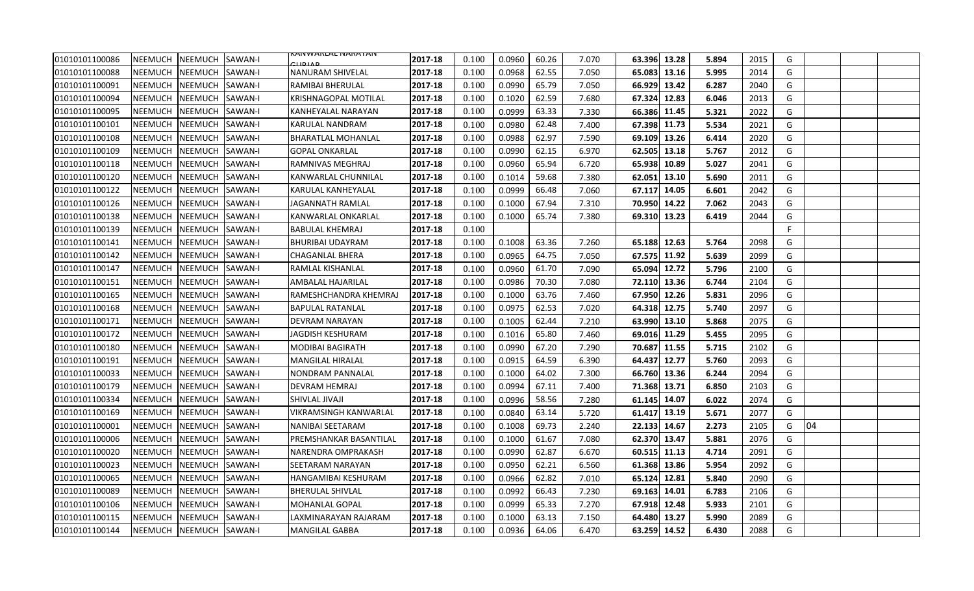| 01010101100086 | <b>NEEMUCH</b> | <b>NEEMUCH</b> | SAWAN-I | NAIVWANLAL IVANATAIV<br>ممنقبية | 2017-18 | 0.100 | 0.0960 | 60.26 | 7.070 | 63.396       | 13.28 | 5.894 | 2015 | G  |    |  |
|----------------|----------------|----------------|---------|---------------------------------|---------|-------|--------|-------|-------|--------------|-------|-------|------|----|----|--|
| 01010101100088 | <b>NEEMUCH</b> | <b>NEEMUCH</b> | SAWAN-I | NANURAM SHIVELAL                | 2017-18 | 0.100 | 0.0968 | 62.55 | 7.050 | 65.083       | 13.16 | 5.995 | 2014 | G  |    |  |
| 01010101100091 | <b>NEEMUCH</b> | <b>NEEMUCH</b> | SAWAN-I | RAMIBAI BHERULAL                | 2017-18 | 0.100 | 0.0990 | 65.79 | 7.050 | 66.929       | 13.42 | 6.287 | 2040 | G  |    |  |
| 01010101100094 | NEEMUCH        | <b>NEEMUCH</b> | SAWAN-I | KRISHNAGOPAL MOTILAL            | 2017-18 | 0.100 | 0.1020 | 62.59 | 7.680 | 67.324       | 12.83 | 6.046 | 2013 | G  |    |  |
| 01010101100095 | NEEMUCH        | <b>NEEMUCH</b> | SAWAN-I | KANHEYALAL NARAYAN              | 2017-18 | 0.100 | 0.0999 | 63.33 | 7.330 | 66.386       | 11.45 | 5.321 | 2022 | G  |    |  |
| 01010101100101 | NEEMUCH        | <b>NEEMUCH</b> | SAWAN-I | KARULAL NANDRAM                 | 2017-18 | 0.100 | 0.0980 | 62.48 | 7.400 | 67.398       | 11.73 | 5.534 | 2021 | G  |    |  |
| 01010101100108 | NEEMUCH        | <b>NEEMUCH</b> | SAWAN-I | <b>BHARATLAL MOHANLAL</b>       | 2017-18 | 0.100 | 0.0988 | 62.97 | 7.590 | 69.109       | 13.26 | 6.414 | 2020 | G  |    |  |
| 01010101100109 | NEEMUCH        | <b>NEEMUCH</b> | SAWAN-I | GOPAL ONKARLAL                  | 2017-18 | 0.100 | 0.0990 | 62.15 | 6.970 | 62.505       | 13.18 | 5.767 | 2012 | G  |    |  |
| 01010101100118 | NEEMUCH        | <b>NEEMUCH</b> | SAWAN-I | RAMNIVAS MEGHRAJ                | 2017-18 | 0.100 | 0.0960 | 65.94 | 6.720 | 65.938       | 10.89 | 5.027 | 2041 | G  |    |  |
| 01010101100120 | NEEMUCH        | NEEMUCH        | SAWAN-I | KANWARLAL CHUNNILAL             | 2017-18 | 0.100 | 0.1014 | 59.68 | 7.380 | 62.051       | 13.10 | 5.690 | 2011 | G  |    |  |
| 01010101100122 | NEEMUCH        | <b>NEEMUCH</b> | SAWAN-I | KARULAL KANHEYALAL              | 2017-18 | 0.100 | 0.0999 | 66.48 | 7.060 | 67.117       | 14.05 | 6.601 | 2042 | G  |    |  |
| 01010101100126 | NEEMUCH        | <b>NEEMUCH</b> | SAWAN-I | JAGANNATH RAMLAL                | 2017-18 | 0.100 | 0.1000 | 67.94 | 7.310 | 70.950       | 14.22 | 7.062 | 2043 | G  |    |  |
| 01010101100138 | NEEMUCH        | <b>NEEMUCH</b> | SAWAN-I | KANWARLAL ONKARLAL              | 2017-18 | 0.100 | 0.1000 | 65.74 | 7.380 | 69.310       | 13.23 | 6.419 | 2044 | G  |    |  |
| 01010101100139 | NEEMUCH        | <b>NEEMUCH</b> | SAWAN-I | <b>BABULAL KHEMRAJ</b>          | 2017-18 | 0.100 |        |       |       |              |       |       |      | F. |    |  |
| 01010101100141 | NEEMUCH        | <b>NEEMUCH</b> | SAWAN-I | <b>BHURIBAI UDAYRAM</b>         | 2017-18 | 0.100 | 0.1008 | 63.36 | 7.260 | 65.188       | 12.63 | 5.764 | 2098 | G  |    |  |
| 01010101100142 | NEEMUCH        | <b>NEEMUCH</b> | SAWAN-I | CHAGANLAL BHERA                 | 2017-18 | 0.100 | 0.0965 | 64.75 | 7.050 | 67.575       | 11.92 | 5.639 | 2099 | G  |    |  |
| 01010101100147 | <b>NEEMUCH</b> | <b>NEEMUCH</b> | SAWAN-I | RAMLAL KISHANLAL                | 2017-18 | 0.100 | 0.0960 | 61.70 | 7.090 | 65.094       | 12.72 | 5.796 | 2100 | G  |    |  |
| 01010101100151 | NEEMUCH        | <b>NEEMUCH</b> | SAWAN-I | AMBALAL HAJARILAL               | 2017-18 | 0.100 | 0.0986 | 70.30 | 7.080 | 72.110       | 13.36 | 6.744 | 2104 | G  |    |  |
| 01010101100165 | NEEMUCH        | <b>NEEMUCH</b> | SAWAN-I | RAMESHCHANDRA KHEMRAJ           | 2017-18 | 0.100 | 0.1000 | 63.76 | 7.460 | 67.950       | 12.26 | 5.831 | 2096 | G  |    |  |
| 01010101100168 | NEEMUCH        | <b>NEEMUCH</b> | SAWAN-I | <b>BAPULAL RATANLAL</b>         | 2017-18 | 0.100 | 0.0975 | 62.53 | 7.020 | 64.318       | 12.75 | 5.740 | 2097 | G  |    |  |
| 01010101100171 | NEEMUCH        | <b>NEEMUCH</b> | SAWAN-I | DEVRAM NARAYAN                  | 2017-18 | 0.100 | 0.1005 | 62.44 | 7.210 | 63.990       | 13.10 | 5.868 | 2075 | G  |    |  |
| 01010101100172 | NEEMUCH        | <b>NEEMUCH</b> | SAWAN-I | JAGDISH KESHURAM                | 2017-18 | 0.100 | 0.1016 | 65.80 | 7.460 | 69.016 11.29 |       | 5.455 | 2095 | G  |    |  |
| 01010101100180 | NEEMUCH        | <b>NEEMUCH</b> | SAWAN-I | <b>MODIBAI BAGIRATH</b>         | 2017-18 | 0.100 | 0.0990 | 67.20 | 7.290 | 70.687       | 11.55 | 5.715 | 2102 | G  |    |  |
| 01010101100191 | NEEMUCH        | <b>NEEMUCH</b> | SAWAN-I | <b>MANGILAL HIRALAL</b>         | 2017-18 | 0.100 | 0.0915 | 64.59 | 6.390 | 64.437       | 12.77 | 5.760 | 2093 | G  |    |  |
| 01010101100033 | NEEMUCH        | <b>NEEMUCH</b> | SAWAN-I | NONDRAM PANNALAL                | 2017-18 | 0.100 | 0.1000 | 64.02 | 7.300 | 66.760       | 13.36 | 6.244 | 2094 | G  |    |  |
| 01010101100179 | NEEMUCH        | <b>NEEMUCH</b> | SAWAN-I | DEVRAM HEMRAJ                   | 2017-18 | 0.100 | 0.0994 | 67.11 | 7.400 | 71.368 13.71 |       | 6.850 | 2103 | G  |    |  |
| 01010101100334 | NEEMUCH        | <b>NEEMUCH</b> | SAWAN-I | <b>SHIVLAL JIVAJI</b>           | 2017-18 | 0.100 | 0.0996 | 58.56 | 7.280 | 61.145 14.07 |       | 6.022 | 2074 | G  |    |  |
| 01010101100169 | NEEMUCH        | <b>NEEMUCH</b> | SAWAN-I | VIKRAMSINGH KANWARLAL           | 2017-18 | 0.100 | 0.0840 | 63.14 | 5.720 | 61.417       | 13.19 | 5.671 | 2077 | G  |    |  |
| 01010101100001 | NEEMUCH        | <b>NEEMUCH</b> | SAWAN-I | NANIBAI SEETARAM                | 2017-18 | 0.100 | 0.1008 | 69.73 | 2.240 | 22.133 14.67 |       | 2.273 | 2105 | G  | 04 |  |
| 01010101100006 | NEEMUCH        | <b>NEEMUCH</b> | SAWAN-I | PREMSHANKAR BASANTILAL          | 2017-18 | 0.100 | 0.1000 | 61.67 | 7.080 | 62.370 13.47 |       | 5.881 | 2076 | G  |    |  |
| 01010101100020 | NEEMUCH        | <b>NEEMUCH</b> | SAWAN-I | NARENDRA OMPRAKASH              | 2017-18 | 0.100 | 0.0990 | 62.87 | 6.670 | 60.515 11.13 |       | 4.714 | 2091 | G  |    |  |
| 01010101100023 | NEEMUCH        | <b>NEEMUCH</b> | SAWAN-I | SEETARAM NARAYAN                | 2017-18 | 0.100 | 0.0950 | 62.21 | 6.560 | 61.368 13.86 |       | 5.954 | 2092 | G  |    |  |
| 01010101100065 | NEEMUCH        | <b>NEEMUCH</b> | SAWAN-I | HANGAMIBAI KESHURAM             | 2017-18 | 0.100 | 0.0966 | 62.82 | 7.010 | 65.124 12.81 |       | 5.840 | 2090 | G  |    |  |
| 01010101100089 | NEEMUCH        | <b>NEEMUCH</b> | SAWAN-I | <b>BHERULAL SHIVLAL</b>         | 2017-18 | 0.100 | 0.0992 | 66.43 | 7.230 | 69.163 14.01 |       | 6.783 | 2106 | G  |    |  |
| 01010101100106 | NEEMUCH        | <b>NEEMUCH</b> | SAWAN-I | <b>MOHANLAL GOPAL</b>           | 2017-18 | 0.100 | 0.0999 | 65.33 | 7.270 | 67.918 12.48 |       | 5.933 | 2101 | G  |    |  |
| 01010101100115 | NEEMUCH        | <b>NEEMUCH</b> | SAWAN-I | LAXMINARAYAN RAJARAM            | 2017-18 | 0.100 | 0.1000 | 63.13 | 7.150 | 64.480 13.27 |       | 5.990 | 2089 | G  |    |  |
| 01010101100144 | <b>NEEMUCH</b> | <b>NEEMUCH</b> | SAWAN-I | <b>MANGILAL GABBA</b>           | 2017-18 | 0.100 | 0.0936 | 64.06 | 6.470 | 63.259 14.52 |       | 6.430 | 2088 | G  |    |  |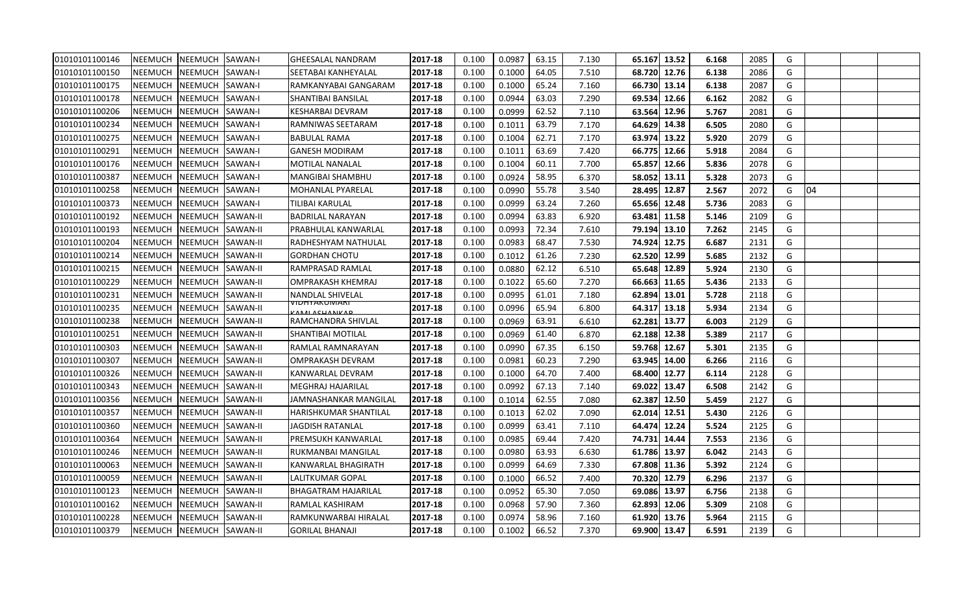| 01010101100146 | NEEMUCH        | <b>NEEMUCH</b> | SAWAN-I         | <b>GHEESALAL NANDRAM</b>        | 2017-18 | 0.100 | 0.0987 | 63.15 | 7.130 | 65.167 13.52 |       | 6.168 | 2085 | G |    |  |
|----------------|----------------|----------------|-----------------|---------------------------------|---------|-------|--------|-------|-------|--------------|-------|-------|------|---|----|--|
| 01010101100150 | NEEMUCH        | <b>NEEMUCH</b> | SAWAN-I         | SEETABAI KANHEYALAL             | 2017-18 | 0.100 | 0.1000 | 64.05 | 7.510 | 68.720       | 12.76 | 6.138 | 2086 | G |    |  |
| 01010101100175 | <b>NEEMUCH</b> | <b>NEEMUCH</b> | SAWAN-I         | RAMKANYABAI GANGARAM            | 2017-18 | 0.100 | 0.1000 | 65.24 | 7.160 | 66.730 13.14 |       | 6.138 | 2087 | G |    |  |
| 01010101100178 | NEEMUCH        | <b>NEEMUCH</b> | SAWAN-I         | SHANTIBAI BANSILAL              | 2017-18 | 0.100 | 0.0944 | 63.03 | 7.290 | 69.534 12.66 |       | 6.162 | 2082 | G |    |  |
| 01010101100206 | NEEMUCH        | <b>NEEMUCH</b> | SAWAN-I         | KESHARBAI DEVRAM                | 2017-18 | 0.100 | 0.0999 | 62.52 | 7.110 | 63.564       | 12.96 | 5.767 | 2081 | G |    |  |
| 01010101100234 | NEEMUCH        | <b>NEEMUCH</b> | SAWAN-I         | RAMNIWAS SEETARAM               | 2017-18 | 0.100 | 0.1011 | 63.79 | 7.170 | 64.629       | 14.38 | 6.505 | 2080 | G |    |  |
| 01010101100275 | NEEMUCH        | <b>NEEMUCH</b> | SAWAN-I         | <b>BABULAL RAMA</b>             | 2017-18 | 0.100 | 0.1004 | 62.71 | 7.170 | 63.974       | 13.22 | 5.920 | 2079 | G |    |  |
| 01010101100291 | NEEMUCH        | <b>NEEMUCH</b> | <b>SAWAN-I</b>  | <b>GANESH MODIRAM</b>           | 2017-18 | 0.100 | 0.1011 | 63.69 | 7.420 | 66.775       | 12.66 | 5.918 | 2084 | G |    |  |
| 01010101100176 | NEEMUCH        | <b>NEEMUCH</b> | SAWAN-I         | <b>MOTILAL NANALAL</b>          | 2017-18 | 0.100 | 0.1004 | 60.11 | 7.700 | 65.857       | 12.66 | 5.836 | 2078 | G |    |  |
| 01010101100387 | <b>NEEMUCH</b> | <b>NEEMUCH</b> | SAWAN-I         | MANGIBAI SHAMBHU                | 2017-18 | 0.100 | 0.0924 | 58.95 | 6.370 | 58.052       | 13.11 | 5.328 | 2073 | G |    |  |
| 01010101100258 | <b>NEEMUCH</b> | <b>NEEMUCH</b> | SAWAN-I         | MOHANLAL PYARELAL               | 2017-18 | 0.100 | 0.0990 | 55.78 | 3.540 | 28.495       | 12.87 | 2.567 | 2072 | G | 04 |  |
| 01010101100373 | NEEMUCH        | <b>NEEMUCH</b> | SAWAN-I         | TILIBAI KARULAL                 | 2017-18 | 0.100 | 0.0999 | 63.24 | 7.260 | 65.656       | 12.48 | 5.736 | 2083 | G |    |  |
| 01010101100192 | NEEMUCH        | <b>NEEMUCH</b> | SAWAN-II        | <b>BADRILAL NARAYAN</b>         | 2017-18 | 0.100 | 0.0994 | 63.83 | 6.920 | 63.481       | 11.58 | 5.146 | 2109 | G |    |  |
| 01010101100193 | NEEMUCH        | <b>NEEMUCH</b> | SAWAN-II        | PRABHULAL KANWARLAL             | 2017-18 | 0.100 | 0.0993 | 72.34 | 7.610 | 79.194       | 13.10 | 7.262 | 2145 | G |    |  |
| 01010101100204 | NEEMUCH        | <b>NEEMUCH</b> | <b>SAWAN-II</b> | RADHESHYAM NATHULAL             | 2017-18 | 0.100 | 0.0983 | 68.47 | 7.530 | 74.924       | 12.75 | 6.687 | 2131 | G |    |  |
| 01010101100214 | NEEMUCH        | <b>NEEMUCH</b> | SAWAN-II        | <b>GORDHAN CHOTU</b>            | 2017-18 | 0.100 | 0.1012 | 61.26 | 7.230 | 62.520       | 12.99 | 5.685 | 2132 | G |    |  |
| 01010101100215 | NEEMUCH        | <b>NEEMUCH</b> | SAWAN-II        | RAMPRASAD RAMLAL                | 2017-18 | 0.100 | 0.0880 | 62.12 | 6.510 | 65.648       | 12.89 | 5.924 | 2130 | G |    |  |
| 01010101100229 | NEEMUCH        | <b>NEEMUCH</b> | SAWAN-II        | OMPRAKASH KHEMRAJ               | 2017-18 | 0.100 | 0.1022 | 65.60 | 7.270 | 66.663       | 11.65 | 5.436 | 2133 | G |    |  |
| 01010101100231 | NEEMUCH        | <b>NEEMUCH</b> | SAWAN-II        | NANDLAL SHIVELAL                | 2017-18 | 0.100 | 0.0995 | 61.01 | 7.180 | 62.894       | 13.01 | 5.728 | 2118 | G |    |  |
| 01010101100235 | NEEMUCH        | <b>NEEMUCH</b> | SAWAN-II        | VIDNIANUIVIANI<br>AMILACUANIZAD | 2017-18 | 0.100 | 0.0996 | 65.94 | 6.800 | 64.317       | 13.18 | 5.934 | 2134 | G |    |  |
| 01010101100238 | <b>NEEMUCH</b> | <b>NEEMUCH</b> | SAWAN-II        | RAMCHANDRA SHIVLAL              | 2017-18 | 0.100 | 0.0969 | 63.91 | 6.610 | 62.281       | 13.77 | 6.003 | 2129 | G |    |  |
| 01010101100251 | <b>NEEMUCH</b> | <b>NEEMUCH</b> | SAWAN-II        | <b>SHANTIBAI MOTILAL</b>        | 2017-18 | 0.100 | 0.0969 | 61.40 | 6.870 | 62.188       | 12.38 | 5.389 | 2117 | G |    |  |
| 01010101100303 | NEEMUCH        | <b>NEEMUCH</b> | <b>SAWAN-II</b> | RAMLAL RAMNARAYAN               | 2017-18 | 0.100 | 0.0990 | 67.35 | 6.150 | 59.768       | 12.67 | 5.301 | 2135 | G |    |  |
| 01010101100307 | NEEMUCH        | <b>NEEMUCH</b> | <b>SAWAN-II</b> | <b>OMPRAKASH DEVRAM</b>         | 2017-18 | 0.100 | 0.0981 | 60.23 | 7.290 | 63.945       | 14.00 | 6.266 | 2116 | G |    |  |
| 01010101100326 | NEEMUCH        | <b>NEEMUCH</b> | <b>SAWAN-II</b> | KANWARLAL DEVRAM                | 2017-18 | 0.100 | 0.1000 | 64.70 | 7.400 | 68.400       | 12.77 | 6.114 | 2128 | G |    |  |
| 01010101100343 | <b>NEEMUCH</b> | <b>NEEMUCH</b> | <b>SAWAN-II</b> | MEGHRAJ HAJARILAL               | 2017-18 | 0.100 | 0.0992 | 67.13 | 7.140 | 69.022       | 13.47 | 6.508 | 2142 | G |    |  |
| 01010101100356 | <b>NEEMUCH</b> | <b>NEEMUCH</b> | <b>SAWAN-II</b> | JAMNASHANKAR MANGILAL           | 2017-18 | 0.100 | 0.1014 | 62.55 | 7.080 | 62.387       | 12.50 | 5.459 | 2127 | G |    |  |
| 01010101100357 | NEEMUCH        | <b>NEEMUCH</b> | <b>SAWAN-II</b> | HARISHKUMAR SHANTILAL           | 2017-18 | 0.100 | 0.1013 | 62.02 | 7.090 | 62.014       | 12.51 | 5.430 | 2126 | G |    |  |
| 01010101100360 | NEEMUCH        | <b>NEEMUCH</b> | <b>SAWAN-II</b> | <b>JAGDISH RATANLAL</b>         | 2017-18 | 0.100 | 0.0999 | 63.41 | 7.110 | 64.474       | 12.24 | 5.524 | 2125 | G |    |  |
| 01010101100364 | NEEMUCH        | <b>NEEMUCH</b> | <b>SAWAN-II</b> | <b>PREMSUKH KANWARLAL</b>       | 2017-18 | 0.100 | 0.0985 | 69.44 | 7.420 | 74.731       | 14.44 | 7.553 | 2136 | G |    |  |
| 01010101100246 | <b>NEEMUCH</b> | <b>NEEMUCH</b> | SAWAN-II        | RUKMANBAI MANGILAL              | 2017-18 | 0.100 | 0.0980 | 63.93 | 6.630 | 61.786 13.97 |       | 6.042 | 2143 | G |    |  |
| 01010101100063 | <b>NEEMUCH</b> | <b>NEEMUCH</b> | SAWAN-II        | KANWARLAL BHAGIRATH             | 2017-18 | 0.100 | 0.0999 | 64.69 | 7.330 | 67.808 11.36 |       | 5.392 | 2124 | G |    |  |
| 01010101100059 | <b>NEEMUCH</b> | <b>NEEMUCH</b> | SAWAN-II        | LALITKUMAR GOPAL                | 2017-18 | 0.100 | 0.1000 | 66.52 | 7.400 | 70.320 12.79 |       | 6.296 | 2137 | G |    |  |
| 01010101100123 | <b>NEEMUCH</b> | <b>NEEMUCH</b> | <b>SAWAN-II</b> | <b>BHAGATRAM HAJARILAL</b>      | 2017-18 | 0.100 | 0.0952 | 65.30 | 7.050 | 69.086 13.97 |       | 6.756 | 2138 | G |    |  |
| 01010101100162 | NEEMUCH        | <b>NEEMUCH</b> | SAWAN-II        | RAMLAL KASHIRAM                 | 2017-18 | 0.100 | 0.0968 | 57.90 | 7.360 | 62.893 12.06 |       | 5.309 | 2108 | G |    |  |
| 01010101100228 | NEEMUCH        | <b>NEEMUCH</b> | SAWAN-II        | RAMKUNWARBAI HIRALAL            | 2017-18 | 0.100 | 0.0974 | 58.96 | 7.160 | 61.920 13.76 |       | 5.964 | 2115 | G |    |  |
| 01010101100379 | <b>NEEMUCH</b> | <b>NEEMUCH</b> | SAWAN-II        | <b>GORILAL BHANAJI</b>          | 2017-18 | 0.100 | 0.1002 | 66.52 | 7.370 | 69.900 13.47 |       | 6.591 | 2139 | G |    |  |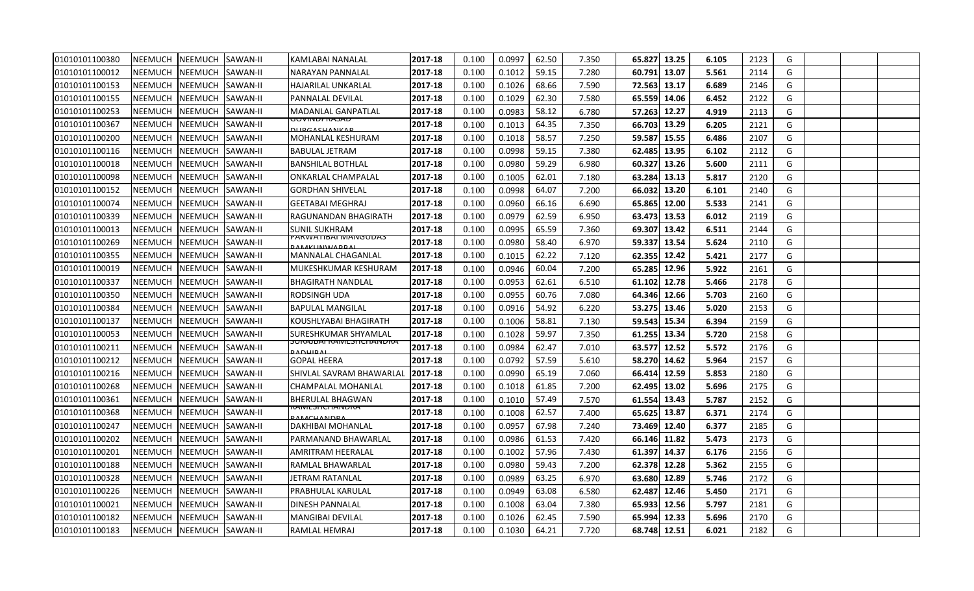| 01010101100380 | NEEMUCH        | <b>NEEMUCH</b> | <b>SAWAN-II</b> | KAMLABAI NANALAL                                       | 2017-18 | 0.100 | 0.0997 | 62.50 | 7.350 | 65.827       | 13.25 | 6.105 | 2123 | G |  |  |
|----------------|----------------|----------------|-----------------|--------------------------------------------------------|---------|-------|--------|-------|-------|--------------|-------|-------|------|---|--|--|
| 01010101100012 | NEEMUCH        | <b>NEEMUCH</b> | SAWAN-II        | NARAYAN PANNALAL                                       | 2017-18 | 0.100 | 0.1012 | 59.15 | 7.280 | 60.791       | 13.07 | 5.561 | 2114 | G |  |  |
| 01010101100153 | NEEMUCH        | <b>NEEMUCH</b> | SAWAN-II        | HAJARILAL UNKARLAL                                     | 2017-18 | 0.100 | 0.1026 | 68.66 | 7.590 | 72.563 13.17 |       | 6.689 | 2146 | G |  |  |
| 01010101100155 | NEEMUCH        | <b>NEEMUCH</b> | SAWAN-II        | <b>PANNALAL DEVILAL</b>                                | 2017-18 | 0.100 | 0.1029 | 62.30 | 7.580 | 65.559       | 14.06 | 6.452 | 2122 | G |  |  |
| 01010101100253 | NEEMUCH        | <b>NEEMUCH</b> | SAWAN-II        | MADANLAL GANPATLAL                                     | 2017-18 | 0.100 | 0.0983 | 58.12 | 6.780 | 57.263       | 12.27 | 4.919 | 2113 | G |  |  |
| 01010101100367 | NEEMUCH        | <b>NEEMUCH</b> | SAWAN-II        | <b>JUVIIVUPRASAD</b><br><b>NUDCACHANIKAD</b>           | 2017-18 | 0.100 | 0.1013 | 64.35 | 7.350 | 66.703       | 13.29 | 6.205 | 2121 | G |  |  |
| 01010101100200 | NEEMUCH        | <b>NEEMUCH</b> | SAWAN-II        | MOHANLAL KESHURAM                                      | 2017-18 | 0.100 | 0.1018 | 58.57 | 7.250 | 59.587       | 15.55 | 6.486 | 2107 | G |  |  |
| 01010101100116 | NEEMUCH        | <b>NEEMUCH</b> | SAWAN-II        | <b>BABULAL JETRAM</b>                                  | 2017-18 | 0.100 | 0.0998 | 59.15 | 7.380 | 62.485       | 13.95 | 6.102 | 2112 | G |  |  |
| 01010101100018 | NEEMUCH        | <b>NEEMUCH</b> | SAWAN-II        | <b>BANSHILAL BOTHLAL</b>                               | 2017-18 | 0.100 | 0.0980 | 59.29 | 6.980 | 60.327       | 13.26 | 5.600 | 2111 | G |  |  |
| 01010101100098 | NEEMUCH        | <b>NEEMUCH</b> | SAWAN-II        | ONKARLAL CHAMPALAL                                     | 2017-18 | 0.100 | 0.1005 | 62.01 | 7.180 | 63.284       | 13.13 | 5.817 | 2120 | G |  |  |
| 01010101100152 | NEEMUCH        | <b>NEEMUCH</b> | SAWAN-II        | <b>GORDHAN SHIVELAL</b>                                | 2017-18 | 0.100 | 0.0998 | 64.07 | 7.200 | 66.032       | 13.20 | 6.101 | 2140 | G |  |  |
| 01010101100074 | NEEMUCH        | <b>NEEMUCH</b> | SAWAN-II        | GEETABAI MEGHRAJ                                       | 2017-18 | 0.100 | 0.0960 | 66.16 | 6.690 | 65.865       | 12.00 | 5.533 | 2141 | G |  |  |
| 01010101100339 | NEEMUCH        | <b>NEEMUCH</b> | SAWAN-II        | RAGUNANDAN BHAGIRATH                                   | 2017-18 | 0.100 | 0.0979 | 62.59 | 6.950 | 63.473       | 13.53 | 6.012 | 2119 | G |  |  |
| 01010101100013 | <b>NEEMUCH</b> | <b>NEEMUCH</b> | SAWAN-II        | <b>SUNIL SUKHRAM</b>                                   | 2017-18 | 0.100 | 0.0995 | 65.59 | 7.360 | 69.307       | 13.42 | 6.511 | 2144 | G |  |  |
| 01010101100269 | <b>NEEMUCH</b> | <b>NEEMUCH</b> | SAWAN-II        | <b>ANWATIDAI MANGULAS</b><br><b>ANAIZILINIMAZADDAL</b> | 2017-18 | 0.100 | 0.0980 | 58.40 | 6.970 | 59.337       | 13.54 | 5.624 | 2110 | G |  |  |
| 01010101100355 | NEEMUCH        | NEEMUCH        | SAWAN-II        | MANNALAL CHAGANLAL                                     | 2017-18 | 0.100 | 0.1015 | 62.22 | 7.120 | 62.355       | 12.42 | 5.421 | 2177 | G |  |  |
| 01010101100019 | NEEMUCH        | NEEMUCH        | <b>SAWAN-II</b> | MUKESHKUMAR KESHURAM                                   | 2017-18 | 0.100 | 0.0946 | 60.04 | 7.200 | 65.285       | 12.96 | 5.922 | 2161 | G |  |  |
| 01010101100337 | NEEMUCH        | NEEMUCH        | <b>SAWAN-II</b> | <b>BHAGIRATH NANDLAL</b>                               | 2017-18 | 0.100 | 0.0953 | 62.61 | 6.510 | 61.102       | 12.78 | 5.466 | 2178 | G |  |  |
| 01010101100350 | NEEMUCH        | NEEMUCH        | SAWAN-II        | RODSINGH UDA                                           | 2017-18 | 0.100 | 0.0955 | 60.76 | 7.080 | 64.346       | 12.66 | 5.703 | 2160 | G |  |  |
| 01010101100384 | NEEMUCH        | NEEMUCH        | SAWAN-II        | <b>BAPULAL MANGILAL</b>                                | 2017-18 | 0.100 | 0.0916 | 54.92 | 6.220 | 53.275       | 13.46 | 5.020 | 2153 | G |  |  |
| 01010101100137 | NEEMUCH        | NEEMUCH        | SAWAN-II        | KOUSHLYABAI BHAGIRATH                                  | 2017-18 | 0.100 | 0.1006 | 58.81 | 7.130 | 59.543       | 15.34 | 6.394 | 2159 | G |  |  |
| 01010101100053 | <b>NEEMUCH</b> | <b>NEEMUCH</b> | <b>SAWAN-II</b> | SURESHKUMAR SHYAMLAL                                   | 2017-18 | 0.100 | 0.1028 | 59.97 | 7.350 | 61.255       | 13.34 | 5.720 | 2158 | G |  |  |
| 01010101100211 | NEEMUCH        | <b>NEEMUCH</b> | SAWAN-II        | SUKAJDAI KAIVIESNUNAINUKA<br>$\lambda$                 | 2017-18 | 0.100 | 0.0984 | 62.47 | 7.010 | 63.577       | 12.52 | 5.572 | 2176 | G |  |  |
| 01010101100212 | NEEMUCH        | <b>NEEMUCH</b> | SAWAN-II        | GOPAL HEERA                                            | 2017-18 | 0.100 | 0.0792 | 57.59 | 5.610 | 58.270       | 14.62 | 5.964 | 2157 | G |  |  |
| 01010101100216 | NEEMUCH        | <b>NEEMUCH</b> | SAWAN-II        | SHIVLAL SAVRAM BHAWARLAI                               | 2017-18 | 0.100 | 0.0990 | 65.19 | 7.060 | 66.414       | 12.59 | 5.853 | 2180 | G |  |  |
| 01010101100268 | NEEMUCH        | <b>NEEMUCH</b> | SAWAN-II        | CHAMPALAL MOHANLAL                                     | 2017-18 | 0.100 | 0.1018 | 61.85 | 7.200 | 62.495       | 13.02 | 5.696 | 2175 | G |  |  |
| 01010101100361 | NEEMUCH        | <b>NEEMUCH</b> | SAWAN-II        | <b>BHERULAL BHAGWAN</b>                                | 2017-18 | 0.100 | 0.1010 | 57.49 | 7.570 | 61.554       | 13.43 | 5.787 | 2152 | G |  |  |
| 01010101100368 | NEEMUCH        | <b>NEEMUCH</b> | SAWAN-II        | <u>MIVIESHCHAINDRA</u><br>ABACIIABIDD                  | 2017-18 | 0.100 | 0.1008 | 62.57 | 7.400 | 65.625       | 13.87 | 6.371 | 2174 | G |  |  |
| 01010101100247 | NEEMUCH        | <b>NEEMUCH</b> | SAWAN-II        | DAKHIBAI MOHANLAL                                      | 2017-18 | 0.100 | 0.0957 | 67.98 | 7.240 | 73.469       | 12.40 | 6.377 | 2185 | G |  |  |
| 01010101100202 | NEEMUCH        | <b>NEEMUCH</b> | SAWAN-II        | PARMANAND BHAWARLAL                                    | 2017-18 | 0.100 | 0.0986 | 61.53 | 7.420 | 66.146 11.82 |       | 5.473 | 2173 | G |  |  |
| 01010101100201 | NEEMUCH        | <b>NEEMUCH</b> | SAWAN-II        | AMRITRAM HEERALAL                                      | 2017-18 | 0.100 | 0.1002 | 57.96 | 7.430 | 61.397 14.37 |       | 6.176 | 2156 | G |  |  |
| 01010101100188 | NEEMUCH        | NEEMUCH        | SAWAN-II        | RAMLAL BHAWARLAL                                       | 2017-18 | 0.100 | 0.0980 | 59.43 | 7.200 | 62.378 12.28 |       | 5.362 | 2155 | G |  |  |
| 01010101100328 | NEEMUCH        | NEEMUCH        | SAWAN-II        | JETRAM RATANLAL                                        | 2017-18 | 0.100 | 0.0989 | 63.25 | 6.970 | 63.680 12.89 |       | 5.746 | 2172 | G |  |  |
| 01010101100226 | NEEMUCH        | <b>NEEMUCH</b> | SAWAN-II        | <b>PRABHULAL KARULAL</b>                               | 2017-18 | 0.100 | 0.0949 | 63.08 | 6.580 | 62.487 12.46 |       | 5.450 | 2171 | G |  |  |
| 01010101100021 | NEEMUCH        | <b>NEEMUCH</b> | SAWAN-II        | DINESH PANNALAL                                        | 2017-18 | 0.100 | 0.1008 | 63.04 | 7.380 | 65.933 12.56 |       | 5.797 | 2181 | G |  |  |
| 01010101100182 | NEEMUCH        | <b>NEEMUCH</b> | SAWAN-II        | MANGIBAI DEVILAL                                       | 2017-18 | 0.100 | 0.1026 | 62.45 | 7.590 | 65.994 12.33 |       | 5.696 | 2170 | G |  |  |
| 01010101100183 | <b>NEEMUCH</b> | <b>NEEMUCH</b> | SAWAN-II        | <b>RAMLAL HEMRAJ</b>                                   | 2017-18 | 0.100 | 0.1030 | 64.21 | 7.720 | 68.748 12.51 |       | 6.021 | 2182 | G |  |  |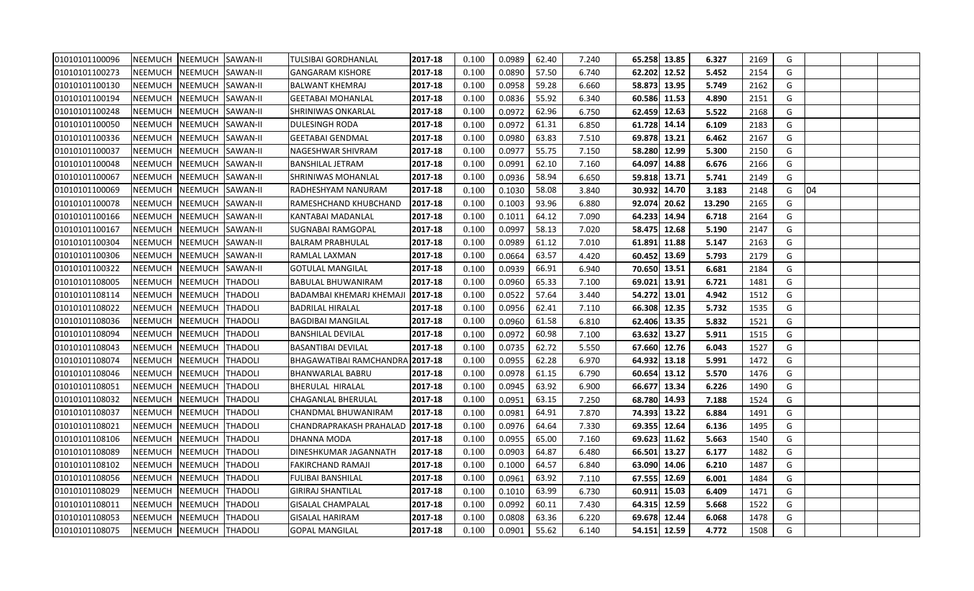| 01010101100096 | NEEMUCH        | <b>NEEMUCH</b> | SAWAN-II        | TULSIBAI GORDHANLAL             | 2017-18 | 0.100 | 0.0989 | 62.40 | 7.240 | 65.258 13.85 |       | 6.327  | 2169 | G |    |  |
|----------------|----------------|----------------|-----------------|---------------------------------|---------|-------|--------|-------|-------|--------------|-------|--------|------|---|----|--|
| 01010101100273 | NEEMUCH        | <b>NEEMUCH</b> | SAWAN-II        | GANGARAM KISHORE                | 2017-18 | 0.100 | 0.0890 | 57.50 | 6.740 | 62.202 12.52 |       | 5.452  | 2154 | G |    |  |
| 01010101100130 | <b>NEEMUCH</b> | <b>NEEMUCH</b> | SAWAN-II        | <b>BALWANT KHEMRAJ</b>          | 2017-18 | 0.100 | 0.0958 | 59.28 | 6.660 | 58.873 13.95 |       | 5.749  | 2162 | G |    |  |
| 01010101100194 | NEEMUCH        | <b>NEEMUCH</b> | SAWAN-II        | GEETABAI MOHANLAL               | 2017-18 | 0.100 | 0.0836 | 55.92 | 6.340 | 60.586 11.53 |       | 4.890  | 2151 | G |    |  |
| 01010101100248 | NEEMUCH        | <b>NEEMUCH</b> | SAWAN-II        | <b>SHRINIWAS ONKARLAL</b>       | 2017-18 | 0.100 | 0.0972 | 62.96 | 6.750 | 62.459       | 12.63 | 5.522  | 2168 | G |    |  |
| 01010101100050 | NEEMUCH        | <b>NEEMUCH</b> | SAWAN-II        | DULESINGH RODA                  | 2017-18 | 0.100 | 0.0972 | 61.31 | 6.850 | 61.728       | 14.14 | 6.109  | 2183 | G |    |  |
| 01010101100336 | NEEMUCH        | <b>NEEMUCH</b> | SAWAN-II        | GEETABAI GENDMAL                | 2017-18 | 0.100 | 0.0980 | 63.83 | 7.510 | 69.878       | 13.21 | 6.462  | 2167 | G |    |  |
| 01010101100037 | NEEMUCH        | <b>NEEMUCH</b> | SAWAN-II        | NAGESHWAR SHIVRAM               | 2017-18 | 0.100 | 0.0977 | 55.75 | 7.150 | 58.280       | 12.99 | 5.300  | 2150 | G |    |  |
| 01010101100048 | <b>NEEMUCH</b> | <b>NEEMUCH</b> | SAWAN-II        | <b>BANSHILAL JETRAM</b>         | 2017-18 | 0.100 | 0.0991 | 62.10 | 7.160 | 64.097       | 14.88 | 6.676  | 2166 | G |    |  |
| 01010101100067 | <b>NEEMUCH</b> | <b>NEEMUCH</b> | SAWAN-II        | <b>SHRINIWAS MOHANLAL</b>       | 2017-18 | 0.100 | 0.0936 | 58.94 | 6.650 | 59.818       | 13.71 | 5.741  | 2149 | G |    |  |
| 01010101100069 | NEEMUCH        | <b>NEEMUCH</b> | SAWAN-II        | RADHESHYAM NANURAM              | 2017-18 | 0.100 | 0.1030 | 58.08 | 3.840 | 30.932       | 14.70 | 3.183  | 2148 | G | 04 |  |
| 01010101100078 | NEEMUCH        | <b>NEEMUCH</b> | SAWAN-II        | RAMESHCHAND KHUBCHAND           | 2017-18 | 0.100 | 0.1003 | 93.96 | 6.880 | 92.074       | 20.62 | 13.290 | 2165 | G |    |  |
| 01010101100166 | NEEMUCH        | <b>NEEMUCH</b> | SAWAN-II        | KANTABAI MADANLAL               | 2017-18 | 0.100 | 0.1011 | 64.12 | 7.090 | 64.233       | 14.94 | 6.718  | 2164 | G |    |  |
| 01010101100167 | <b>NEEMUCH</b> | <b>NEEMUCH</b> | SAWAN-II        | SUGNABAI RAMGOPAL               | 2017-18 | 0.100 | 0.0997 | 58.13 | 7.020 | 58.475       | 12.68 | 5.190  | 2147 | G |    |  |
| 01010101100304 | <b>NEEMUCH</b> | <b>NEEMUCH</b> | SAWAN-II        | <b>BALRAM PRABHULAL</b>         | 2017-18 | 0.100 | 0.0989 | 61.12 | 7.010 | 61.891       | 11.88 | 5.147  | 2163 | G |    |  |
| 01010101100306 | <b>NEEMUCH</b> | <b>NEEMUCH</b> | SAWAN-II        | RAMLAL LAXMAN                   | 2017-18 | 0.100 | 0.0664 | 63.57 | 4.420 | 60.452       | 13.69 | 5.793  | 2179 | G |    |  |
| 01010101100322 | <b>NEEMUCH</b> | <b>NEEMUCH</b> | <b>SAWAN-II</b> | <b>GOTULAL MANGILAL</b>         | 2017-18 | 0.100 | 0.0939 | 66.91 | 6.940 | 70.650       | 13.51 | 6.681  | 2184 | G |    |  |
| 01010101108005 | NEEMUCH        | <b>NEEMUCH</b> | <b>THADOLI</b>  | <b>BABULAL BHUWANIRAM</b>       | 2017-18 | 0.100 | 0.0960 | 65.33 | 7.100 | 69.021       | 13.91 | 6.721  | 1481 | G |    |  |
| 01010101108114 | NEEMUCH        | <b>NEEMUCH</b> | <b>THADOLI</b>  | <b>BADAMBAI KHEMARJ KHEMAJI</b> | 2017-18 | 0.100 | 0.0522 | 57.64 | 3.440 | 54.272       | 13.01 | 4.942  | 1512 | G |    |  |
| 01010101108022 | NEEMUCH        | <b>NEEMUCH</b> | <b>THADOLI</b>  | <b>BADRILAL HIRALAL</b>         | 2017-18 | 0.100 | 0.0956 | 62.41 | 7.110 | 66.308       | 12.35 | 5.732  | 1535 | G |    |  |
| 01010101108036 | NEEMUCH        | <b>NEEMUCH</b> | <b>THADOLI</b>  | <b>BAGDIBAI MANGILAL</b>        | 2017-18 | 0.100 | 0.0960 | 61.58 | 6.810 | 62.406       | 13.35 | 5.832  | 1521 | G |    |  |
| 01010101108094 | NEEMUCH        | <b>NEEMUCH</b> | <b>THADOLI</b>  | <b>BANSHILAL DEVILAL</b>        | 2017-18 | 0.100 | 0.0972 | 60.98 | 7.100 | 63.632       | 13.27 | 5.911  | 1515 | G |    |  |
| 01010101108043 | NEEMUCH        | <b>NEEMUCH</b> | <b>THADOLI</b>  | <b>BASANTIBAI DEVILAL</b>       | 2017-18 | 0.100 | 0.0735 | 62.72 | 5.550 | 67.660       | 12.76 | 6.043  | 1527 | G |    |  |
| 01010101108074 | <b>NEEMUCH</b> | <b>NEEMUCH</b> | <b>THADOLI</b>  | BHAGAWATIBAI RAMCHANDRA         | 2017-18 | 0.100 | 0.0955 | 62.28 | 6.970 | 64.932       | 13.18 | 5.991  | 1472 | G |    |  |
| 01010101108046 | <b>NEEMUCH</b> | <b>NEEMUCH</b> | <b>THADOLI</b>  | <b>BHANWARLAL BABRU</b>         | 2017-18 | 0.100 | 0.0978 | 61.15 | 6.790 | 60.654       | 13.12 | 5.570  | 1476 | G |    |  |
| 01010101108051 | <b>NEEMUCH</b> | <b>NEEMUCH</b> | <b>THADOLI</b>  | BHERULAL HIRALAL                | 2017-18 | 0.100 | 0.0945 | 63.92 | 6.900 | 66.677       | 13.34 | 6.226  | 1490 | G |    |  |
| 01010101108032 | NEEMUCH        | <b>NEEMUCH</b> | <b>THADOLI</b>  | CHAGANLAL BHERULAL              | 2017-18 | 0.100 | 0.0951 | 63.15 | 7.250 | 68.780       | 14.93 | 7.188  | 1524 | G |    |  |
| 01010101108037 | NEEMUCH        | <b>NEEMUCH</b> | <b>THADOLI</b>  | CHANDMAL BHUWANIRAM             | 2017-18 | 0.100 | 0.0981 | 64.91 | 7.870 | 74.393 13.22 |       | 6.884  | 1491 | G |    |  |
| 01010101108021 | <b>NEEMUCH</b> | <b>NEEMUCH</b> | <b>THADOLI</b>  | CHANDRAPRAKASH PRAHALAD         | 2017-18 | 0.100 | 0.0976 | 64.64 | 7.330 | 69.355       | 12.64 | 6.136  | 1495 | G |    |  |
| 01010101108106 | <b>NEEMUCH</b> | <b>NEEMUCH</b> | <b>THADOLI</b>  | DHANNA MODA                     | 2017-18 | 0.100 | 0.0955 | 65.00 | 7.160 | 69.623 11.62 |       | 5.663  | 1540 | G |    |  |
| 01010101108089 | <b>NEEMUCH</b> | <b>NEEMUCH</b> | <b>THADOLI</b>  | DINESHKUMAR JAGANNATH           | 2017-18 | 0.100 | 0.0903 | 64.87 | 6.480 | 66.501 13.27 |       | 6.177  | 1482 | G |    |  |
| 01010101108102 | <b>NEEMUCH</b> | <b>NEEMUCH</b> | <b>THADOLI</b>  | FAKIRCHAND RAMAJI               | 2017-18 | 0.100 | 0.1000 | 64.57 | 6.840 | 63.090 14.06 |       | 6.210  | 1487 | G |    |  |
| 01010101108056 | <b>NEEMUCH</b> | <b>NEEMUCH</b> | <b>THADOLI</b>  | FULIBAI BANSHILAL               | 2017-18 | 0.100 | 0.0961 | 63.92 | 7.110 | 67.555 12.69 |       | 6.001  | 1484 | G |    |  |
| 01010101108029 | <b>NEEMUCH</b> | <b>NEEMUCH</b> | <b>THADOLI</b>  | <b>GIRIRAJ SHANTILAL</b>        | 2017-18 | 0.100 | 0.1010 | 63.99 | 6.730 | 60.911 15.03 |       | 6.409  | 1471 | G |    |  |
| 01010101108011 | <b>NEEMUCH</b> | <b>NEEMUCH</b> | <b>THADOLI</b>  | <b>GISALAL CHAMPALAL</b>        | 2017-18 | 0.100 | 0.0992 | 60.11 | 7.430 | 64.315 12.59 |       | 5.668  | 1522 | G |    |  |
| 01010101108053 | <b>NEEMUCH</b> | <b>NEEMUCH</b> | <b>THADOLI</b>  | <b>GISALAL HARIRAM</b>          | 2017-18 | 0.100 | 0.0808 | 63.36 | 6.220 | 69.678 12.44 |       | 6.068  | 1478 | G |    |  |
| 01010101108075 | <b>NEEMUCH</b> | <b>NEEMUCH</b> | <b>THADOLI</b>  | <b>GOPAL MANGILAL</b>           | 2017-18 | 0.100 | 0.0901 | 55.62 | 6.140 | 54.151 12.59 |       | 4.772  | 1508 | G |    |  |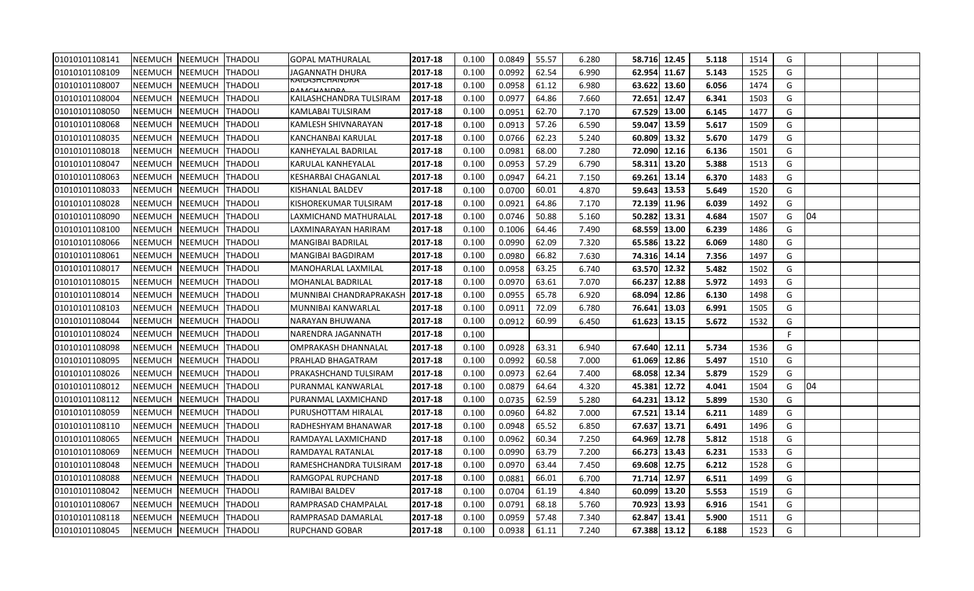| 01010101108141 | <b>NEEMUCH</b> | <b>NEEMUCH</b> | <b>THADOLI</b> | <b>GOPAL MATHURALAL</b>  | 2017-18 | 0.100 | 0.0849 | 55.57 | 6.280 | 58.716 12.45 |       | 5.118 | 1514 | G  |    |  |
|----------------|----------------|----------------|----------------|--------------------------|---------|-------|--------|-------|-------|--------------|-------|-------|------|----|----|--|
| 01010101108109 | NEEMUCH        | <b>NEEMUCH</b> | <b>THADOLI</b> | JAGANNATH DHURA          | 2017-18 | 0.100 | 0.0992 | 62.54 | 6.990 | 62.954 11.67 |       | 5.143 | 1525 | G  |    |  |
| 01010101108007 | <b>NEEMUCH</b> | <b>NEEMUCH</b> | <b>THADOLI</b> | <u>\AILASHCHAINDRA</u>   | 2017-18 | 0.100 | 0.0958 | 61.12 | 6.980 | 63.622 13.60 |       | 6.056 | 1474 | G  |    |  |
| 01010101108004 | NEEMUCH        | <b>NEEMUCH</b> | <b>THADOLI</b> | KAILASHCHANDRA TULSIRAM  | 2017-18 | 0.100 | 0.0977 | 64.86 | 7.660 | 72.651       | 12.47 | 6.341 | 1503 | G  |    |  |
| 01010101108050 | NEEMUCH        | <b>NEEMUCH</b> | <b>THADOLI</b> | <b>KAMLABAI TULSIRAM</b> | 2017-18 | 0.100 | 0.0951 | 62.70 | 7.170 | 67.529       | 13.00 | 6.145 | 1477 | G  |    |  |
| 01010101108068 | NEEMUCH        | <b>NEEMUCH</b> | <b>THADOLI</b> | KAMLESH SHIVNARAYAN      | 2017-18 | 0.100 | 0.0913 | 57.26 | 6.590 | 59.047       | 13.59 | 5.617 | 1509 | G  |    |  |
| 01010101108035 | NEEMUCH        | <b>NEEMUCH</b> | <b>THADOLI</b> | KANCHANBAI KARULAL       | 2017-18 | 0.100 | 0.0766 | 62.23 | 5.240 | 60.809       | 13.32 | 5.670 | 1479 | G  |    |  |
| 01010101108018 | NEEMUCH        | <b>NEEMUCH</b> | <b>THADOLI</b> | KANHEYALAL BADRILAL      | 2017-18 | 0.100 | 0.0981 | 68.00 | 7.280 | 72.090       | 12.16 | 6.136 | 1501 | G  |    |  |
| 01010101108047 | NEEMUCH        | <b>NEEMUCH</b> | <b>THADOLI</b> | KARULAL KANHEYALAL       | 2017-18 | 0.100 | 0.0953 | 57.29 | 6.790 | 58.311       | 13.20 | 5.388 | 1513 | G  |    |  |
| 01010101108063 | NEEMUCH        | <b>NEEMUCH</b> | <b>THADOLI</b> | KESHARBAI CHAGANLAL      | 2017-18 | 0.100 | 0.0947 | 64.21 | 7.150 | 69.261       | 13.14 | 6.370 | 1483 | G  |    |  |
| 01010101108033 | NEEMUCH        | <b>NEEMUCH</b> | <b>THADOLI</b> | KISHANLAL BALDEV         | 2017-18 | 0.100 | 0.0700 | 60.01 | 4.870 | 59.643       | 13.53 | 5.649 | 1520 | G  |    |  |
| 01010101108028 | NEEMUCH        | <b>NEEMUCH</b> | <b>THADOLI</b> | KISHOREKUMAR TULSIRAM    | 2017-18 | 0.100 | 0.0921 | 64.86 | 7.170 | 72.139       | 11.96 | 6.039 | 1492 | G  |    |  |
| 01010101108090 | NEEMUCH        | <b>NEEMUCH</b> | <b>THADOLI</b> | LAXMICHAND MATHURALAL    | 2017-18 | 0.100 | 0.0746 | 50.88 | 5.160 | 50.282       | 13.31 | 4.684 | 1507 | G  | 04 |  |
| 01010101108100 | <b>NEEMUCH</b> | <b>NEEMUCH</b> | <b>THADOLI</b> | LAXMINARAYAN HARIRAM     | 2017-18 | 0.100 | 0.1006 | 64.46 | 7.490 | 68.559       | 13.00 | 6.239 | 1486 | G  |    |  |
| 01010101108066 | NEEMUCH        | <b>NEEMUCH</b> | <b>THADOLI</b> | <b>MANGIBAI BADRILAL</b> | 2017-18 | 0.100 | 0.0990 | 62.09 | 7.320 | 65.586       | 13.22 | 6.069 | 1480 | G  |    |  |
| 01010101108061 | <b>NEEMUCH</b> | <b>NEEMUCH</b> | <b>THADOLI</b> | MANGIBAI BAGDIRAM        | 2017-18 | 0.100 | 0.0980 | 66.82 | 7.630 | 74.316       | 14.14 | 7.356 | 1497 | G  |    |  |
| 01010101108017 | <b>NEEMUCH</b> | <b>NEEMUCH</b> | <b>THADOLI</b> | MANOHARLAL LAXMILAL      | 2017-18 | 0.100 | 0.0958 | 63.25 | 6.740 | 63.570       | 12.32 | 5.482 | 1502 | G  |    |  |
| 01010101108015 | NEEMUCH        | <b>NEEMUCH</b> | <b>THADOLI</b> | MOHANLAL BADRILAL        | 2017-18 | 0.100 | 0.0970 | 63.61 | 7.070 | 66.237       | 12.88 | 5.972 | 1493 | G  |    |  |
| 01010101108014 | NEEMUCH        | <b>NEEMUCH</b> | <b>THADOLI</b> | MUNNIBAI CHANDRAPRAKASH  | 2017-18 | 0.100 | 0.0955 | 65.78 | 6.920 | 68.094       | 12.86 | 6.130 | 1498 | G  |    |  |
| 01010101108103 | NEEMUCH        | <b>NEEMUCH</b> | <b>THADOLI</b> | MUNNIBAI KANWARLAL       | 2017-18 | 0.100 | 0.0911 | 72.09 | 6.780 | 76.641       | 13.03 | 6.991 | 1505 | G  |    |  |
| 01010101108044 | NEEMUCH        | <b>NEEMUCH</b> | <b>THADOLI</b> | NARAYAN BHUWANA          | 2017-18 | 0.100 | 0.0912 | 60.99 | 6.450 | 61.623       | 13.15 | 5.672 | 1532 | G  |    |  |
| 01010101108024 | <b>NEEMUCH</b> | <b>NEEMUCH</b> | <b>THADOLI</b> | NARENDRA JAGANNATH       | 2017-18 | 0.100 |        |       |       |              |       |       |      | F. |    |  |
| 01010101108098 | <b>NEEMUCH</b> | <b>NEEMUCH</b> | <b>THADOLI</b> | OMPRAKASH DHANNALAL      | 2017-18 | 0.100 | 0.0928 | 63.31 | 6.940 | 67.640       | 12.11 | 5.734 | 1536 | G  |    |  |
| 01010101108095 | NEEMUCH        | <b>NEEMUCH</b> | <b>THADOLI</b> | PRAHLAD BHAGATRAM        | 2017-18 | 0.100 | 0.0992 | 60.58 | 7.000 | 61.069       | 12.86 | 5.497 | 1510 | G  |    |  |
| 01010101108026 | NEEMUCH        | <b>NEEMUCH</b> | <b>THADOLI</b> | PRAKASHCHAND TULSIRAM    | 2017-18 | 0.100 | 0.0973 | 62.64 | 7.400 | 68.058       | 12.34 | 5.879 | 1529 | G  |    |  |
| 01010101108012 | NEEMUCH        | <b>NEEMUCH</b> | <b>THADOLI</b> | PURANMAL KANWARLAL       | 2017-18 | 0.100 | 0.0879 | 64.64 | 4.320 | 45.381       | 12.72 | 4.041 | 1504 | G  | 04 |  |
| 01010101108112 | NEEMUCH        | <b>NEEMUCH</b> | <b>THADOLI</b> | PURANMAL LAXMICHAND      | 2017-18 | 0.100 | 0.0735 | 62.59 | 5.280 | 64.231       | 13.12 | 5.899 | 1530 | G  |    |  |
| 01010101108059 | NEEMUCH        | <b>NEEMUCH</b> | <b>THADOLI</b> | PURUSHOTTAM HIRALAL      | 2017-18 | 0.100 | 0.0960 | 64.82 | 7.000 | 67.521       | 13.14 | 6.211 | 1489 | G  |    |  |
| 01010101108110 | NEEMUCH        | <b>NEEMUCH</b> | <b>THADOLI</b> | RADHESHYAM BHANAWAR      | 2017-18 | 0.100 | 0.0948 | 65.52 | 6.850 | 67.637       | 13.71 | 6.491 | 1496 | G  |    |  |
| 01010101108065 | <b>NEEMUCH</b> | <b>NEEMUCH</b> | <b>THADOLI</b> | RAMDAYAL LAXMICHAND      | 2017-18 | 0.100 | 0.0962 | 60.34 | 7.250 | 64.969       | 12.78 | 5.812 | 1518 | G  |    |  |
| 01010101108069 | <b>NEEMUCH</b> | <b>NEEMUCH</b> | <b>THADOLI</b> | RAMDAYAL RATANLAL        | 2017-18 | 0.100 | 0.0990 | 63.79 | 7.200 | 66.273 13.43 |       | 6.231 | 1533 | G  |    |  |
| 01010101108048 | <b>NEEMUCH</b> | <b>NEEMUCH</b> | <b>THADOLI</b> | RAMESHCHANDRA TULSIRAM   | 2017-18 | 0.100 | 0.0970 | 63.44 | 7.450 | 69.608 12.75 |       | 6.212 | 1528 | G  |    |  |
| 01010101108088 | NEEMUCH        | NEEMUCH        | <b>THADOLI</b> | RAMGOPAL RUPCHAND        | 2017-18 | 0.100 | 0.0881 | 66.01 | 6.700 | 71.714 12.97 |       | 6.511 | 1499 | G  |    |  |
| 01010101108042 | NEEMUCH        | <b>NEEMUCH</b> | <b>THADOLI</b> | RAMIBAI BALDEV           | 2017-18 | 0.100 | 0.0704 | 61.19 | 4.840 | 60.099 13.20 |       | 5.553 | 1519 | G  |    |  |
| 01010101108067 | NEEMUCH        | <b>NEEMUCH</b> | <b>THADOLI</b> | RAMPRASAD CHAMPALAL      | 2017-18 | 0.100 | 0.0791 | 68.18 | 5.760 | 70.923 13.93 |       | 6.916 | 1541 | G  |    |  |
| 01010101108118 | NEEMUCH        | <b>NEEMUCH</b> | <b>THADOLI</b> | RAMPRASAD DAMARLAL       | 2017-18 | 0.100 | 0.0959 | 57.48 | 7.340 | 62.847 13.41 |       | 5.900 | 1511 | G  |    |  |
| 01010101108045 | <b>NEEMUCH</b> | <b>NEEMUCH</b> | <b>THADOLI</b> | <b>RUPCHAND GOBAR</b>    | 2017-18 | 0.100 | 0.0938 | 61.11 | 7.240 | 67.388 13.12 |       | 6.188 | 1523 | G  |    |  |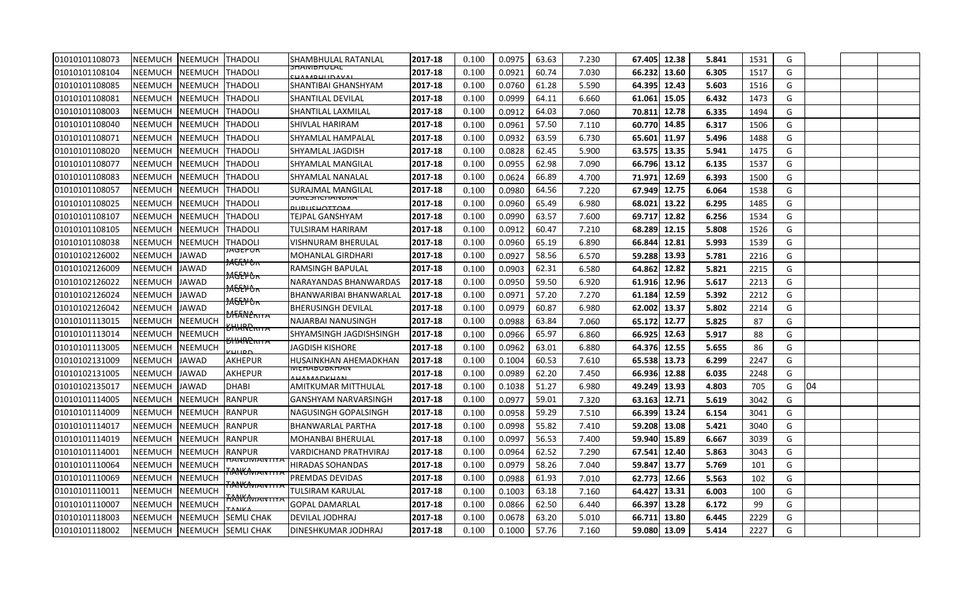| 01010101108073 | <b>NEEMUCH</b> | <b>NEEMUCH</b> | <b>THADOLI</b>                       | SHAMBHULAL RATANLAL                        | 2017-18 | 0.100 | 0.0975 | 63.63 | 7.230 | 67.405 12.38 |              | 5.841 | 1531 | G |    |  |
|----------------|----------------|----------------|--------------------------------------|--------------------------------------------|---------|-------|--------|-------|-------|--------------|--------------|-------|------|---|----|--|
| 01010101108104 | NEEMUCH        | <b>NEEMUCH</b> | <b>THADOLI</b>                       | <b>SNAIVIBNULAL</b><br>H                   | 2017-18 | 0.100 | 0.0921 | 60.74 | 7.030 | 66.232 13.60 |              | 6.305 | 1517 | G |    |  |
| 01010101108085 | NEEMUCH        | <b>NEEMUCH</b> | <b>THADOLI</b>                       | SHANTIBAI GHANSHYAM                        | 2017-18 | 0.100 | 0.0760 | 61.28 | 5.590 | 64.395 12.43 |              | 5.603 | 1516 | G |    |  |
| 01010101108081 | NEEMUCH        | <b>NEEMUCH</b> | <b>THADOLI</b>                       | <b>SHANTILAL DEVILAL</b>                   | 2017-18 | 0.100 | 0.0999 | 64.11 | 6.660 | 61.061 15.05 |              | 6.432 | 1473 | G |    |  |
| 01010101108003 | NEEMUCH        | <b>NEEMUCH</b> | <b>THADOLI</b>                       | <b>SHANTILAL LAXMILAL</b>                  | 2017-18 | 0.100 | 0.0912 | 64.03 | 7.060 | 70.811 12.78 |              | 6.335 | 1494 | G |    |  |
| 01010101108040 | NEEMUCH        | <b>NEEMUCH</b> | <b>THADOLI</b>                       | <b>SHIVLAL HARIRAM</b>                     | 2017-18 | 0.100 | 0.0961 | 57.50 | 7.110 | 60.770 14.85 |              | 6.317 | 1506 | G |    |  |
| 01010101108071 | NEEMUCH        | <b>NEEMUCH</b> | <b>THADOLI</b>                       | <b>SHYAMLAL HAMPALAL</b>                   | 2017-18 | 0.100 | 0.0932 | 63.59 | 6.730 | 65.601 11.97 |              | 5.496 | 1488 | G |    |  |
| 01010101108020 | NEEMUCH        | NEEMUCH        | <b>THADOLI</b>                       | <b>SHYAMLAL JAGDISH</b>                    | 2017-18 | 0.100 | 0.0828 | 62.45 | 5.900 | 63.575 13.35 |              | 5.941 | 1475 | G |    |  |
| 01010101108077 | NEEMUCH        | <b>NEEMUCH</b> | <b>THADOLI</b>                       | <b>SHYAMLAL MANGILAL</b>                   | 2017-18 | 0.100 | 0.0955 | 62.98 | 7.090 | 66.796 13.12 |              | 6.135 | 1537 | G |    |  |
| 01010101108083 | NEEMUCH        | <b>NEEMUCH</b> | <b>THADOLI</b>                       | SHYAMLAL NANALAL                           | 2017-18 | 0.100 | 0.0624 | 66.89 | 4.700 | 71.971       | 12.69        | 6.393 | 1500 | G |    |  |
| 01010101108057 | NEEMUCH        | NEEMUCH        | <b>THADOLI</b>                       | <b>SURAJMAL MANGILAL</b>                   | 2017-18 | 0.100 | 0.0980 | 64.56 | 7.220 | 67.949       | 12.75        | 6.064 | 1538 | G |    |  |
| 01010101108025 | NEEMUCH        | <b>NEEMUCH</b> | <b>THADOLI</b>                       | <del>SURESHEHANDRA</del><br>11011010777014 | 2017-18 | 0.100 | 0.0960 | 65.49 | 6.980 | 68.021       | 13.22        | 6.295 | 1485 | G |    |  |
| 01010101108107 | NEEMUCH        | NEEMUCH        | <b>THADOLI</b>                       | TEJPAL GANSHYAM                            | 2017-18 | 0.100 | 0.0990 | 63.57 | 7.600 | 69.717       | 12.82        | 6.256 | 1534 | G |    |  |
| 01010101108105 | NEEMUCH        | <b>NEEMUCH</b> | <b>THADOLI</b>                       | <b>TULSIRAM HARIRAM</b>                    | 2017-18 | 0.100 | 0.0912 | 60.47 | 7.210 | 68.289       | 12.15        | 5.808 | 1526 | G |    |  |
| 01010101108038 | NEEMUCH        | <b>NEEMUCH</b> | <b>THADOLI</b>                       | <b>VISHNURAM BHERULAL</b>                  | 2017-18 | 0.100 | 0.0960 | 65.19 | 6.890 | 66.844       | 12.81        | 5.993 | 1539 | G |    |  |
| 01010102126002 | NEEMUCH        | <b>JAWAD</b>   | <b>IAGEPUR</b>                       | <b>MOHANLAL GIRDHARI</b>                   | 2017-18 | 0.100 | 0.0927 | 58.56 | 6.570 | 59.288       | 13.93        | 5.781 | 2216 | G |    |  |
| 01010102126009 | NEEMUCH        | <b>JAWAD</b>   | ᡰ <del>ᢂᡦᢄᡟ</del> ᠍ᡃᠥ <del>ᠩ</del>   | <b>RAMSINGH BAPULAL</b>                    | 2017-18 | 0.100 | 0.0903 | 62.31 | 6.580 | 64.862       | 12.82        | 5.821 | 2215 | G |    |  |
| 01010102126022 | NEEMUCH        | <b>JAWAD</b>   | ᡰ <del>ᢂᡦᢄ</del> ᠍ᡰᡃᡉ <del>ᠩ</del>   | NARAYANDAS BHANWARDAS                      | 2017-18 | 0.100 | 0.0950 | 59.50 | 6.920 | 61.916       | 12.96        | 5.617 | 2213 | G |    |  |
| 01010102126024 | NEEMUCH        | <b>JAWAD</b>   | ᡰ <del>ᢂᡦᢄ</del> ᠍ᢪᡉ <del>ᠩ</del>    | <b>BHANWARIBAI BHANWARLAL</b>              | 2017-18 | 0.100 | 0.0971 | 57.20 | 7.270 | 61.184       | 12.59        | 5.392 | 2212 | G |    |  |
| 01010102126042 | NEEMUCH        | <b>JAWAD</b>   | ᡰ <del>ᢂᡦᢄᡟ</del> ᠍᠐᠋᠊ᠩ              | <b>BHERUSINGH DEVILAL</b>                  | 2017-18 | 0.100 | 0.0979 | 60.87 | 6.980 | 62.002 13.37 |              | 5.802 | 2214 | G |    |  |
| 01010101113015 | NEEMUCH        | <b>NEEMUCH</b> | <b>MFANARITA</b>                     | NAJARBAI NANUSINGH                         | 2017-18 | 0.100 | 0.0988 | 63.84 | 7.060 | 65.172       | 12.77        | 5.825 | 87   | G |    |  |
| 01010101113014 | <b>NEEMUCH</b> | <b>NEEMUCH</b> | <del>BHARRKITA</del>                 | SHYAMSINGH JAGDISHSINGH                    | 2017-18 | 0.100 | 0.0966 | 65.97 | 6.860 | 66.925 12.63 |              | 5.917 | 88   | G |    |  |
| 01010101113005 | <b>NEEMUCH</b> | <b>NEEMUCH</b> | <del>BHARRKITA</del><br><b>ULIDN</b> | <b>JAGDISH KISHORE</b>                     | 2017-18 | 0.100 | 0.0962 | 63.01 | 6.880 | 64.376 12.55 |              | 5.655 | 86   | G |    |  |
| 01010102131009 | NEEMUCH        | <b>JAWAD</b>   | AKHEPUR                              | HUSAINKHAN AHEMADKHAN                      | 2017-18 | 0.100 | 0.1004 | 60.53 | 7.610 | 65.538 13.73 |              | 6.299 | 2247 | G |    |  |
| 01010102131005 | NEEMUCH        | <b>JAWAD</b>   | AKHEPUR                              | VIENADUDNNAIV                              | 2017-18 | 0.100 | 0.0989 | 62.20 | 7.450 | 66.936 12.88 |              | 6.035 | 2248 | G |    |  |
| 01010102135017 | <b>NEEMUCH</b> | <b>JAWAD</b>   | <b>DHABI</b>                         | AMITKUMAR MITTHULAL                        | 2017-18 | 0.100 | 0.1038 | 51.27 | 6.980 | 49.249 13.93 |              | 4.803 | 705  | G | 04 |  |
| 01010101114005 | NEEMUCH        | <b>NEEMUCH</b> | <b>RANPUR</b>                        | <b>GANSHYAM NARVARSINGH</b>                | 2017-18 | 0.100 | 0.0977 | 59.01 | 7.320 | 63.163 12.71 |              | 5.619 | 3042 | G |    |  |
| 01010101114009 | NEEMUCH        | <b>NEEMUCH</b> | <b>RANPUR</b>                        | NAGUSINGH GOPALSINGH                       | 2017-18 | 0.100 | 0.0958 | 59.29 | 7.510 | 66.399 13.24 |              | 6.154 | 3041 | G |    |  |
| 01010101114017 | NEEMUCH        | <b>NEEMUCH</b> | <b>RANPUR</b>                        | BHANWARLAL PARTHA                          | 2017-18 | 0.100 | 0.0998 | 55.82 | 7.410 | 59.208 13.08 |              | 5.421 | 3040 | G |    |  |
| 01010101114019 | NEEMUCH        | <b>NEEMUCH</b> | <b>RANPUR</b>                        | <b>MOHANBAI BHERULAL</b>                   | 2017-18 | 0.100 | 0.0997 | 56.53 | 7.400 | 59.940 15.89 |              | 6.667 | 3039 | G |    |  |
| 01010101114001 | NEEMUCH        | <b>NEEMUCH</b> | <b>RANPUR</b>                        | VARDICHAND PRATHVIRAJ                      | 2017-18 | 0.100 | 0.0964 | 62.52 | 7.290 | 67.541 12.40 |              | 5.863 | 3043 | G |    |  |
| 01010101110064 | NEEMUCH        | <b>NEEMUCH</b> | <del>IANUMANTITA</del>               | <b>HIRADAS SOHANDAS</b>                    | 2017-18 | 0.100 | 0.0979 | 58.26 | 7.040 | 59.847 13.77 |              | 5.769 | 101  | G |    |  |
| 01010101110069 | NEEMUCH        | <b>NEEMUCH</b> | <del>TAN/Mwaivitr</del>              | <b>PREMDAS DEVIDAS</b>                     | 2017-18 | 0.100 | 0.0988 | 61.93 | 7.010 | 62.773 12.66 |              | 5.563 | 102  | G |    |  |
| 01010101110011 | NEEMUCH        | <b>NEEMUCH</b> | <del>ЋА№ (Милипта</del>              | TULSIRAM KARULAL                           | 2017-18 | 0.100 | 0.1003 | 63.18 | 7.160 | 64.427 13.31 |              | 6.003 | 100  | G |    |  |
| 01010101110007 | <b>NEEMUCH</b> | <b>NEEMUCH</b> | <del>ЋА№ (Мидитта</del>              | <b>GOPAL DAMARLAL</b>                      | 2017-18 | 0.100 | 0.0866 | 62.50 | 6.440 | 66.397 13.28 |              | 6.172 | 99   | G |    |  |
| 01010101118003 | <b>NEEMUCH</b> | <b>NEEMUCH</b> | <b>SEMLI CHAK</b>                    | <b>DEVILAL JODHRAJ</b>                     | 2017-18 | 0.100 | 0.0678 | 63.20 | 5.010 | 66.711 13.80 |              | 6.445 | 2229 | G |    |  |
| 01010101118002 | <b>NEEMUCH</b> |                | NEEMUCH SEMLI CHAK                   | IDINESHKUMAR JODHRAJ                       | 2017-18 | 0.100 | 0.1000 | 57.76 | 7.160 |              | 59.080 13.09 | 5.414 | 2227 | G |    |  |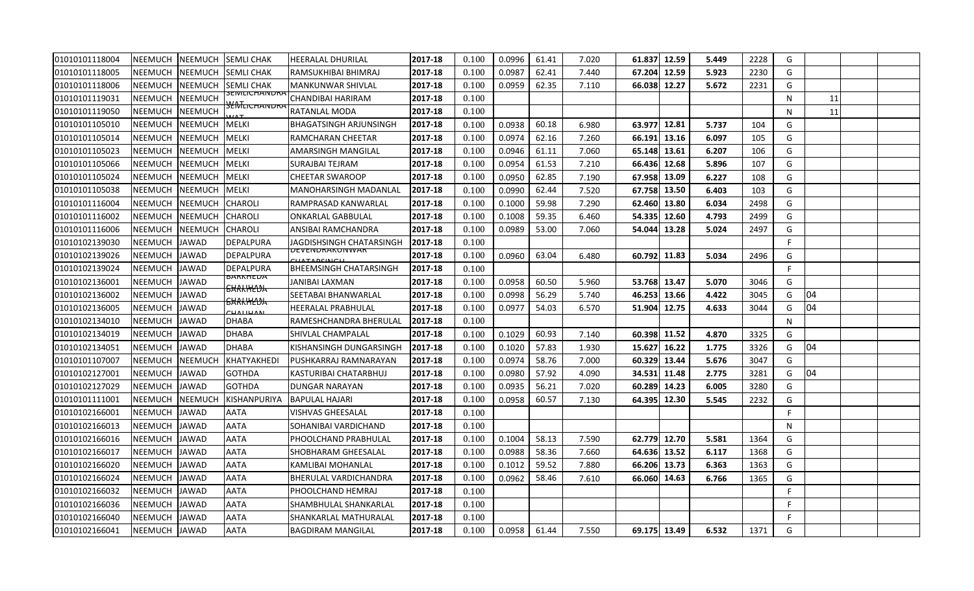| 01010101118004 | <b>NEEMUCH</b> | NEEMUCH        | <b>SEMLI CHAK</b>                              | <b>HEERALAL DHURILAL</b>                          | 2017-18 | 0.100 | 0.0996 | 61.41 | 7.020 | 61.837 12.59 |              | 5.449 | 2228 | G            |    |  |
|----------------|----------------|----------------|------------------------------------------------|---------------------------------------------------|---------|-------|--------|-------|-------|--------------|--------------|-------|------|--------------|----|--|
| 01010101118005 | NEEMUCH        | <b>NEEMUCH</b> | <b>SEMLI CHAK</b>                              | RAMSUKHIBAI BHIMRAJ                               | 2017-18 | 0.100 | 0.0987 | 62.41 | 7.440 | 67.204 12.59 |              | 5.923 | 2230 | G            |    |  |
| 01010101118006 | NEEMUCH        | <b>NEEMUCH</b> | <b>SEMLI CHAK</b>                              | MANKUNWAR SHIVLAL                                 | 2017-18 | 0.100 | 0.0959 | 62.35 | 7.110 | 66.038 12.27 |              | 5.672 | 2231 | G            |    |  |
| 01010101119031 | NEEMUCH        | <b>NEEMUCH</b> | <b>DEIVILIUNAINURA</b><br><del>MMuchandr</del> | CHANDIBAI HARIRAM                                 | 2017-18 | 0.100 |        |       |       |              |              |       |      | N            | 11 |  |
| 01010101119050 | NEEMUCH        | <b>NEEMUCH</b> |                                                | <b>RATANLAL MODA</b>                              | 2017-18 | 0.100 |        |       |       |              |              |       |      | N            | 11 |  |
| 01010101105010 | NEEMUCH        | <b>NEEMUCH</b> | MELKI                                          | <b>BHAGATSINGH ARJUNSINGH</b>                     | 2017-18 | 0.100 | 0.0938 | 60.18 | 6.980 | 63.977 12.81 |              | 5.737 | 104  | G            |    |  |
| 01010101105014 | NEEMUCH        | <b>NEEMUCH</b> | MELKI                                          | RAMCHARAN CHEETAR                                 | 2017-18 | 0.100 | 0.0974 | 62.16 | 7.260 | 66.191 13.16 |              | 6.097 | 105  | G            |    |  |
| 01010101105023 | NEEMUCH        | <b>NEEMUCH</b> | MELKI                                          | IAMARSINGH MANGILAL                               | 2017-18 | 0.100 | 0.0946 | 61.11 | 7.060 | 65.148 13.61 |              | 6.207 | 106  | G            |    |  |
| 01010101105066 | <b>NEEMUCH</b> | <b>NEEMUCH</b> | MELKI                                          | SURAJBAI TEJRAM                                   | 2017-18 | 0.100 | 0.0954 | 61.53 | 7.210 | 66.436 12.68 |              | 5.896 | 107  | G            |    |  |
| 01010101105024 | <b>NEEMUCH</b> | <b>NEEMUCH</b> | MELKI                                          | <b>CHEETAR SWAROOP</b>                            | 2017-18 | 0.100 | 0.0950 | 62.85 | 7.190 | 67.958 13.09 |              | 6.227 | 108  | G            |    |  |
| 01010101105038 | <b>NEEMUCH</b> | <b>NEEMUCH</b> | MELKI                                          | <b>MANOHARSINGH MADANLAL</b>                      | 2017-18 | 0.100 | 0.0990 | 62.44 | 7.520 | 67.758 13.50 |              | 6.403 | 103  | G            |    |  |
| 01010101116004 | <b>NEEMUCH</b> | <b>NEEMUCH</b> | <b>CHAROLI</b>                                 | RAMPRASAD KANWARLAL                               | 2017-18 | 0.100 | 0.1000 | 59.98 | 7.290 | 62.460 13.80 |              | 6.034 | 2498 | G            |    |  |
| 01010101116002 | <b>NEEMUCH</b> | <b>NEEMUCH</b> | <b>CHAROLI</b>                                 | <b>ONKARLAL GABBULAL</b>                          | 2017-18 | 0.100 | 0.1008 | 59.35 | 6.460 | 54.335 12.60 |              | 4.793 | 2499 | G            |    |  |
| 01010101116006 | <b>NEEMUCH</b> | <b>NEEMUCH</b> | <b>CHAROLI</b>                                 | ANSIBAI RAMCHANDRA                                | 2017-18 | 0.100 | 0.0989 | 53.00 | 7.060 | 54.044 13.28 |              | 5.024 | 2497 | G            |    |  |
| 01010102139030 | NEEMUCH        | <b>JAWAD</b>   | <b>DEPALPURA</b>                               | JAGDISHSINGH CHATARSINGH                          | 2017-18 | 0.100 |        |       |       |              |              |       |      | $\mathsf{F}$ |    |  |
| 01010102139026 | NEEMUCH        | <b>JAWAD</b>   | <b>DEPALPURA</b>                               | <i><b>DEVENDRANONWAR</b></i><br><b>UATADCINCU</b> | 2017-18 | 0.100 | 0.0960 | 63.04 | 6.480 | 60.792 11.83 |              | 5.034 | 2496 | G            |    |  |
| 01010102139024 | NEEMUCH        | <b>JAWAD</b>   | <b>DEPALPURA</b>                               | <b>BHEEMSINGH CHATARSINGH</b>                     | 2017-18 | 0.100 |        |       |       |              |              |       |      | $\mathsf{F}$ |    |  |
| 01010102136001 | NEEMUCH        | <b>JAWAD</b>   | DARNNEDA                                       | <b>JANIBAI LAXMAN</b>                             | 2017-18 | 0.100 | 0.0958 | 60.50 | 5.960 | 53.768 13.47 |              | 5.070 | 3046 | G            |    |  |
| 01010102136002 | NEEMUCH        | <b>JAWAD</b>   | <b>GHAKHLOH</b>                                | SEETABAI BHANWARLAL                               | 2017-18 | 0.100 | 0.0998 | 56.29 | 5.740 |              | 46.253 13.66 | 4.422 | 3045 | G            | 04 |  |
| 01010102136005 | NEEMUCH        | JAWAD          | <b>GHAKHLOL</b><br>1411111111                  | <b>HEERALAL PRABHULAL</b>                         | 2017-18 | 0.100 | 0.0977 | 54.03 | 6.570 |              | 51.904 12.75 | 4.633 | 3044 | G            | 04 |  |
| 01010102134010 | NEEMUCH        | <b>JAWAD</b>   | <b>DHABA</b>                                   | RAMESHCHANDRA BHERULAL                            | 2017-18 | 0.100 |        |       |       |              |              |       |      | N            |    |  |
| 01010102134019 | NEEMUCH        | <b>JAWAD</b>   | <b>DHABA</b>                                   | <b>SHIVLAL CHAMPALAL</b>                          | 2017-18 | 0.100 | 0.1029 | 60.93 | 7.140 | 60.398 11.52 |              | 4.870 | 3325 | G            |    |  |
| 01010102134051 | <b>NEEMUCH</b> | <b>JAWAD</b>   | <b>DHABA</b>                                   | KISHANSINGH DUNGARSINGH                           | 2017-18 | 0.100 | 0.1020 | 57.83 | 1.930 | 15.627 16.22 |              | 1.775 | 3326 | G            | 04 |  |
| 01010101107007 | <b>NEEMUCH</b> | <b>NEEMUCH</b> | <b>KHATYAKHEDI</b>                             | PUSHKARRAJ RAMNARAYAN                             | 2017-18 | 0.100 | 0.0974 | 58.76 | 7.000 | 60.329 13.44 |              | 5.676 | 3047 | G            |    |  |
| 01010102127001 | <b>NEEMUCH</b> | <b>JAWAD</b>   | <b>GOTHDA</b>                                  | KASTURIBAI CHATARBHUJ                             | 2017-18 | 0.100 | 0.0980 | 57.92 | 4.090 | 34.531 11.48 |              | 2.775 | 3281 | G            | 04 |  |
| 01010102127029 | <b>NEEMUCH</b> | <b>JAWAD</b>   | <b>GOTHDA</b>                                  | <b>DUNGAR NARAYAN</b>                             | 2017-18 | 0.100 | 0.0935 | 56.21 | 7.020 | 60.289 14.23 |              | 6.005 | 3280 | G            |    |  |
| 01010101111001 | NEEMUCH        | NEEMUCH        | <b>KISHANPURIYA</b>                            | <b>BAPULAL HAJARI</b>                             | 2017-18 | 0.100 | 0.0958 | 60.57 | 7.130 | 64.395 12.30 |              | 5.545 | 2232 | G            |    |  |
| 01010102166001 | <b>NEEMUCH</b> | <b>JAWAD</b>   | AATA                                           | <b>VISHVAS GHEESALAL</b>                          | 2017-18 | 0.100 |        |       |       |              |              |       |      | F.           |    |  |
| 01010102166013 | <b>NEEMUCH</b> | <b>JAWAD</b>   | AATA                                           | SOHANIBAI VARDICHAND                              | 2017-18 | 0.100 |        |       |       |              |              |       |      | N            |    |  |
| 01010102166016 | <b>NEEMUCH</b> | <b>JAWAD</b>   | AATA                                           | PHOOLCHAND PRABHULAL                              | 2017-18 | 0.100 | 0.1004 | 58.13 | 7.590 | 62.779 12.70 |              | 5.581 | 1364 | G            |    |  |
| 01010102166017 | NEEMUCH        | <b>JAWAD</b>   | AATA                                           | SHOBHARAM GHEESALAL                               | 2017-18 | 0.100 | 0.0988 | 58.36 | 7.660 | 64.636 13.52 |              | 6.117 | 1368 | G            |    |  |
| 01010102166020 | NEEMUCH        | <b>JAWAD</b>   | AATA                                           | KAMLIBAI MOHANLAL                                 | 2017-18 | 0.100 | 0.1012 | 59.52 | 7.880 | 66.206 13.73 |              | 6.363 | 1363 | G            |    |  |
| 01010102166024 | NEEMUCH        | <b>JAWAD</b>   | AATA                                           | <b>BHERULAL VARDICHANDRA</b>                      | 2017-18 | 0.100 | 0.0962 | 58.46 | 7.610 | 66.060 14.63 |              | 6.766 | 1365 | G            |    |  |
| 01010102166032 | <b>NEEMUCH</b> | <b>JAWAD</b>   | AATA                                           | PHOOLCHAND HEMRAJ                                 | 2017-18 | 0.100 |        |       |       |              |              |       |      | $\mathsf{F}$ |    |  |
| 01010102166036 | NEEMUCH        | JAWAD          | AATA                                           | SHAMBHULAL SHANKARLAL                             | 2017-18 | 0.100 |        |       |       |              |              |       |      | F.           |    |  |
| 01010102166040 | NEEMUCH        | <b>JAWAD</b>   | AATA                                           | SHANKARLAL MATHURALAL                             | 2017-18 | 0.100 |        |       |       |              |              |       |      | $\mathsf{F}$ |    |  |
| 01010102166041 | NEEMUCH JAWAD  |                | AATA                                           | <b>BAGDIRAM MANGILAL</b>                          | 2017-18 | 0.100 | 0.0958 | 61.44 | 7.550 | 69.175 13.49 |              | 6.532 | 1371 | G            |    |  |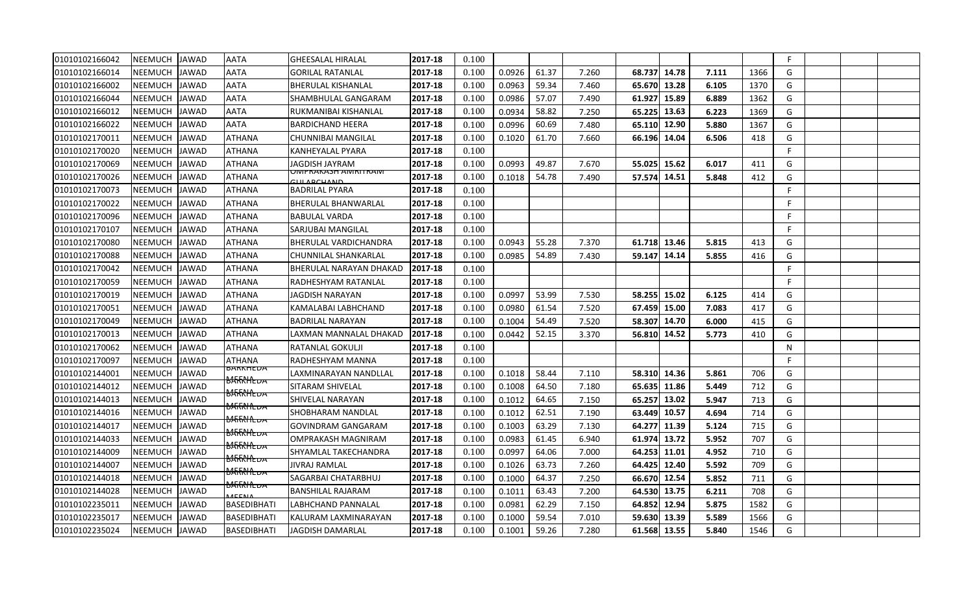| 01010102166042 | <b>NEEMUCH</b> | <b>JAWAD</b> | <b>AATA</b>                      | <b>GHEESALAL HIRALAL</b>                          | 2017-18 | 0.100 |        |       |       |              |       |       |      | F  |  |  |
|----------------|----------------|--------------|----------------------------------|---------------------------------------------------|---------|-------|--------|-------|-------|--------------|-------|-------|------|----|--|--|
| 01010102166014 | NEEMUCH        | <b>JAWAD</b> | <b>AATA</b>                      | <b>GORILAL RATANLAL</b>                           | 2017-18 | 0.100 | 0.0926 | 61.37 | 7.260 | 68.737       | 14.78 | 7.111 | 1366 | G  |  |  |
| 01010102166002 | NEEMUCH        | <b>JAWAD</b> | <b>AATA</b>                      | <b>BHERULAL KISHANLAL</b>                         | 2017-18 | 0.100 | 0.0963 | 59.34 | 7.460 | 65.670 13.28 |       | 6.105 | 1370 | G  |  |  |
| 01010102166044 | <b>NEEMUCH</b> | <b>JAWAD</b> | AATA                             | <b>SHAMBHULAL GANGARAM</b>                        | 2017-18 | 0.100 | 0.0986 | 57.07 | 7.490 | 61.927 15.89 |       | 6.889 | 1362 | G  |  |  |
| 01010102166012 | <b>NEEMUCH</b> | <b>JAWAD</b> | AATA                             | RUKMANIBAI KISHANLAL                              | 2017-18 | 0.100 | 0.0934 | 58.82 | 7.250 | 65.225 13.63 |       | 6.223 | 1369 | G  |  |  |
| 01010102166022 | NEEMUCH        | <b>JAWAD</b> | AATA                             | <b>BARDICHAND HEERA</b>                           | 2017-18 | 0.100 | 0.0996 | 60.69 | 7.480 | 65.110       | 12.90 | 5.880 | 1367 | G  |  |  |
| 01010102170011 | NEEMUCH        | <b>JAWAD</b> | <b>ATHANA</b>                    | CHUNNIBAI MANGILAL                                | 2017-18 | 0.100 | 0.1020 | 61.70 | 7.660 | 66.196       | 14.04 | 6.506 | 418  | G  |  |  |
| 01010102170020 | NEEMUCH        | <b>JAWAD</b> | <b>ATHANA</b>                    | <b>KANHEYALAL PYARA</b>                           | 2017-18 | 0.100 |        |       |       |              |       |       |      | F. |  |  |
| 01010102170069 | NEEMUCH        | <b>JAWAD</b> | <b>ATHANA</b>                    | JAGDISH JAYRAM                                    | 2017-18 | 0.100 | 0.0993 | 49.87 | 7.670 | 55.025       | 15.62 | 6.017 | 411  | G  |  |  |
| 01010102170026 | <b>NEEMUCH</b> | <b>JAWAD</b> | <b>ATHANA</b>                    | <b>JIVIPRANASH AIVINITRAIVI</b><br>$2111$ ADCHAND | 2017-18 | 0.100 | 0.1018 | 54.78 | 7.490 | 57.574       | 14.51 | 5.848 | 412  | G  |  |  |
| 01010102170073 | NEEMUCH        | <b>JAWAD</b> | <b>ATHANA</b>                    | <b>BADRILAL PYARA</b>                             | 2017-18 | 0.100 |        |       |       |              |       |       |      | F  |  |  |
| 01010102170022 | NEEMUCH        | <b>JAWAD</b> | <b>ATHANA</b>                    | <b>BHERULAL BHANWARLAL</b>                        | 2017-18 | 0.100 |        |       |       |              |       |       |      | -F |  |  |
| 01010102170096 | NEEMUCH        | <b>JAWAD</b> | <b>ATHANA</b>                    | <b>BABULAL VARDA</b>                              | 2017-18 | 0.100 |        |       |       |              |       |       |      | -F |  |  |
| 01010102170107 | <b>NEEMUCH</b> | <b>JAWAD</b> | <b>ATHANA</b>                    | SARJUBAI MANGILAL                                 | 2017-18 | 0.100 |        |       |       |              |       |       |      | -F |  |  |
| 01010102170080 | <b>NEEMUCH</b> | <b>JAWAD</b> | <b>ATHANA</b>                    | <b>BHERULAL VARDICHANDRA</b>                      | 2017-18 | 0.100 | 0.0943 | 55.28 | 7.370 | 61.718       | 13.46 | 5.815 | 413  | G  |  |  |
| 01010102170088 | NEEMUCH        | <b>JAWAD</b> | ATHANA                           | CHUNNILAL SHANKARLAL                              | 2017-18 | 0.100 | 0.0985 | 54.89 | 7.430 | 59.147       | 14.14 | 5.855 | 416  | G  |  |  |
| 01010102170042 | NEEMUCH        | <b>JAWAD</b> | <b>ATHANA</b>                    | <b>BHERULAL NARAYAN DHAKAD</b>                    | 2017-18 | 0.100 |        |       |       |              |       |       |      | F  |  |  |
| 01010102170059 | NEEMUCH        | <b>JAWAD</b> | <b>ATHANA</b>                    | <b>RADHESHYAM RATANLAL</b>                        | 2017-18 | 0.100 |        |       |       |              |       |       |      | F. |  |  |
| 01010102170019 | NEEMUCH        | <b>JAWAD</b> | <b>ATHANA</b>                    | <b>JAGDISH NARAYAN</b>                            | 2017-18 | 0.100 | 0.0997 | 53.99 | 7.530 | 58.255       | 15.02 | 6.125 | 414  | G  |  |  |
| 01010102170051 | NEEMUCH        | <b>JAWAD</b> | <b>ATHANA</b>                    | KAMALABAI LABHCHAND                               | 2017-18 | 0.100 | 0.0980 | 61.54 | 7.520 | 67.459       | 15.00 | 7.083 | 417  | G  |  |  |
| 01010102170049 | NEEMUCH        | <b>JAWAD</b> | <b>ATHANA</b>                    | <b>BADRILAL NARAYAN</b>                           | 2017-18 | 0.100 | 0.1004 | 54.49 | 7.520 | 58.307       | 14.70 | 6.000 | 415  | G  |  |  |
| 01010102170013 | <b>NEEMUCH</b> | <b>JAWAD</b> | <b>ATHANA</b>                    | LAXMAN MANNALAL DHAKAD                            | 2017-18 | 0.100 | 0.0442 | 52.15 | 3.370 | 56.810       | 14.52 | 5.773 | 410  | G  |  |  |
| 01010102170062 | <b>NEEMUCH</b> | <b>JAWAD</b> | <b>ATHANA</b>                    | <b>RATANLAL GOKULJI</b>                           | 2017-18 | 0.100 |        |       |       |              |       |       |      | N  |  |  |
| 01010102170097 | <b>NEEMUCH</b> | <b>JAWAD</b> | <b>ATHANA</b>                    | <b>RADHESHYAM MANNA</b>                           | 2017-18 | 0.100 |        |       |       |              |       |       |      | F. |  |  |
| 01010102144001 | <b>NEEMUCH</b> | <b>JAWAD</b> | SARNNEDA<br><del>₿∕ЋЋКМ⊵од</del> | LAXMINARAYAN NANDLLAL                             | 2017-18 | 0.100 | 0.1018 | 58.44 | 7.110 | 58.310 14.36 |       | 5.861 | 706  | G  |  |  |
| 01010102144012 | <b>NEEMUCH</b> | <b>JAWAD</b> | <del>₿∕ЋЋКМ⊵од</del>             | <b>SITARAM SHIVELAL</b>                           | 2017-18 | 0.100 | 0.1008 | 64.50 | 7.180 | 65.635 11.86 |       | 5.449 | 712  | G  |  |  |
| 01010102144013 | <b>NEEMUCH</b> | <b>JAWAD</b> | <del>₿∕ЋЋКМ⊵од</del>             | <b>SHIVELAL NARAYAN</b>                           | 2017-18 | 0.100 | 0.1012 | 64.65 | 7.150 | 65.257       | 13.02 | 5.947 | 713  | G  |  |  |
| 01010102144016 | <b>NEEMUCH</b> | <b>JAWAD</b> | <del>₿ӅЋ҄ҠҤ҅Ѐ҇ҵ</del> ѫ          | <b>SHOBHARAM NANDLAL</b>                          | 2017-18 | 0.100 | 0.1012 | 62.51 | 7.190 | 63.449       | 10.57 | 4.694 | 714  | G  |  |  |
| 01010102144017 | NEEMUCH        | <b>JAWAD</b> | <b>BAFFRHLDA</b>                 | <b>GOVINDRAM GANGARAM</b>                         | 2017-18 | 0.100 | 0.1003 | 63.29 | 7.130 | 64.277       | 11.39 | 5.124 | 715  | G  |  |  |
| 01010102144033 | NEEMUCH        | <b>JAWAD</b> | <b>BAFFRHEDA</b>                 | <b>OMPRAKASH MAGNIRAM</b>                         | 2017-18 | 0.100 | 0.0983 | 61.45 | 6.940 | 61.974 13.72 |       | 5.952 | 707  | G  |  |  |
| 01010102144009 | NEEMUCH        | <b>JAWAD</b> | <del>₿∕ЋЋКМ⊵од</del>             | SHYAMLAL TAKECHANDRA                              | 2017-18 | 0.100 | 0.0997 | 64.06 | 7.000 | 64.253 11.01 |       | 4.952 | 710  | G  |  |  |
| 01010102144007 | <b>NEEMUCH</b> | <b>JAWAD</b> | <del>BÆƘƘƘ∟∪∧</del>              | <b>JIVRAJ RAMLAL</b>                              | 2017-18 | 0.100 | 0.1026 | 63.73 | 7.260 | 64.425 12.40 |       | 5.592 | 709  | G  |  |  |
| 01010102144018 | <b>NEEMUCH</b> | <b>JAWAD</b> | <del>BÆƘƘƘ∟∪∧</del>              | SAGARBAI CHATARBHUJ                               | 2017-18 | 0.100 | 0.1000 | 64.37 | 7.250 | 66.670 12.54 |       | 5.852 | 711  | G  |  |  |
| 01010102144028 | <b>NEEMUCH</b> | <b>JAWAD</b> |                                  | <b>BANSHILAL RAJARAM</b>                          | 2017-18 | 0.100 | 0.1011 | 63.43 | 7.200 | 64.530 13.75 |       | 6.211 | 708  | G  |  |  |
| 01010102235011 | <b>NEEMUCH</b> | <b>JAWAD</b> | <b>BASEDIBHATI</b>               | LABHCHAND PANNALAL                                | 2017-18 | 0.100 | 0.0981 | 62.29 | 7.150 | 64.852 12.94 |       | 5.875 | 1582 | G  |  |  |
| 01010102235017 | NEEMUCH        | <b>JAWAD</b> | <b>BASEDIBHATI</b>               | KALURAM LAXMINARAYAN                              | 2017-18 | 0.100 | 0.1000 | 59.54 | 7.010 | 59.630 13.39 |       | 5.589 | 1566 | G  |  |  |
| 01010102235024 | NEEMUCH JAWAD  |              | <b>BASEDIBHATI</b>               | <b>JAGDISH DAMARLAL</b>                           | 2017-18 | 0.100 | 0.1001 | 59.26 | 7.280 | 61.568 13.55 |       | 5.840 | 1546 | G  |  |  |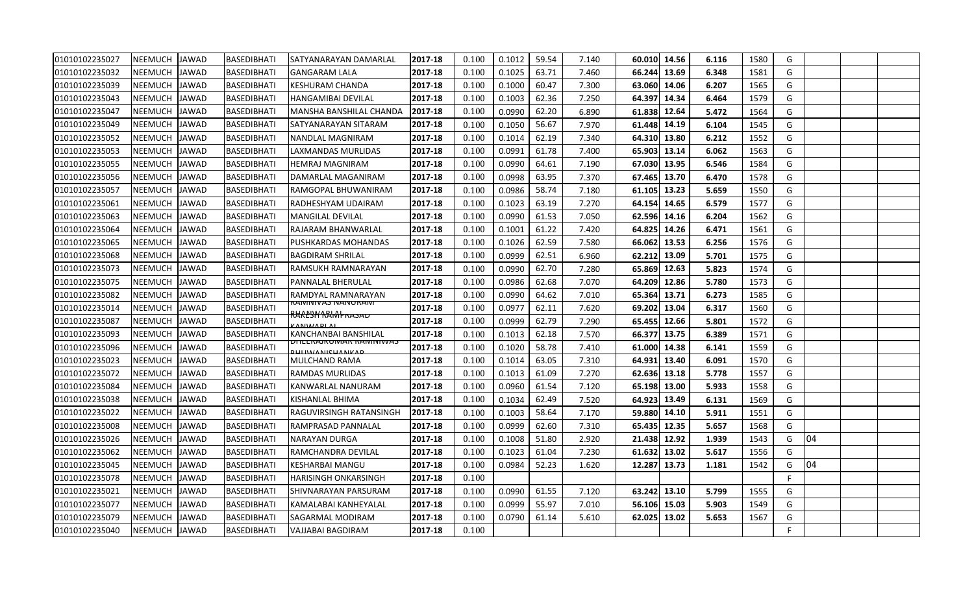| 01010102235027 | NEEMUCH JAWAD  |              | <b>BASEDIBHATI</b> | SATYANARAYAN DAMARLAL                                        | 2017-18 | 0.100 | 0.1012 | 59.54 | 7.140 | 60.010 14.56 | 6.116 | 1580 | G |    |  |
|----------------|----------------|--------------|--------------------|--------------------------------------------------------------|---------|-------|--------|-------|-------|--------------|-------|------|---|----|--|
| 01010102235032 | NEEMUCH        | JAWAD        | <b>BASEDIBHATI</b> | GANGARAM LALA                                                | 2017-18 | 0.100 | 0.1025 | 63.71 | 7.460 | 66.244 13.69 | 6.348 | 1581 | G |    |  |
| 01010102235039 | NEEMUCH        | JAWAD        | <b>BASEDIBHATI</b> | KESHURAM CHANDA                                              | 2017-18 | 0.100 | 0.1000 | 60.47 | 7.300 | 63.060 14.06 | 6.207 | 1565 | G |    |  |
| 01010102235043 | NEEMUCH        | JAWAD        | <b>BASEDIBHATI</b> | HANGAMIBAI DEVILAL                                           | 2017-18 | 0.100 | 0.1003 | 62.36 | 7.250 | 64.397 14.34 | 6.464 | 1579 | G |    |  |
| 01010102235047 | NEEMUCH        | JAWAD        | <b>BASEDIBHATI</b> | MANSHA BANSHILAL CHANDA                                      | 2017-18 | 0.100 | 0.0990 | 62.20 | 6.890 | 61.838 12.64 | 5.472 | 1564 | G |    |  |
| 01010102235049 | NEEMUCH        | <b>JAWAD</b> | <b>BASEDIBHATI</b> | SATYANARAYAN SITARAM                                         | 2017-18 | 0.100 | 0.1050 | 56.67 | 7.970 | 61.448 14.19 | 6.104 | 1545 | G |    |  |
| 01010102235052 | NEEMUCH        | <b>JAWAD</b> | <b>BASEDIBHATI</b> | NANDLAL MAGNIRAM                                             | 2017-18 | 0.100 | 0.1014 | 62.19 | 7.340 | 64.310 13.80 | 6.212 | 1552 | G |    |  |
| 01010102235053 | <b>NEEMUCH</b> | <b>JAWAD</b> | <b>BASEDIBHATI</b> | LAXMANDAS MURLIDAS                                           | 2017-18 | 0.100 | 0.0991 | 61.78 | 7.400 | 65.903 13.14 | 6.062 | 1563 | G |    |  |
| 01010102235055 | <b>NEEMUCH</b> | JAWAD        | <b>BASEDIBHATI</b> | HEMRAJ MAGNIRAM                                              | 2017-18 | 0.100 | 0.0990 | 64.61 | 7.190 | 67.030 13.95 | 6.546 | 1584 | G |    |  |
| 01010102235056 | NEEMUCH        | <b>JAWAD</b> | <b>BASEDIBHATI</b> | DAMARLAL MAGANIRAM                                           | 2017-18 | 0.100 | 0.0998 | 63.95 | 7.370 | 67.465 13.70 | 6.470 | 1578 | G |    |  |
| 01010102235057 | NEEMUCH        | <b>JAWAD</b> | <b>BASEDIBHATI</b> | RAMGOPAL BHUWANIRAM                                          | 2017-18 | 0.100 | 0.0986 | 58.74 | 7.180 | 61.105 13.23 | 5.659 | 1550 | G |    |  |
| 01010102235061 | NEEMUCH        | <b>JAWAD</b> | <b>BASEDIBHATI</b> | RADHESHYAM UDAIRAM                                           | 2017-18 | 0.100 | 0.1023 | 63.19 | 7.270 | 64.154 14.65 | 6.579 | 1577 | G |    |  |
| 01010102235063 | NEEMUCH        | <b>JAWAD</b> | <b>BASEDIBHATI</b> | <b>MANGILAL DEVILAL</b>                                      | 2017-18 | 0.100 | 0.0990 | 61.53 | 7.050 | 62.596 14.16 | 6.204 | 1562 | G |    |  |
| 01010102235064 | NEEMUCH        | <b>JAWAD</b> | <b>BASEDIBHATI</b> | RAJARAM BHANWARLAL                                           | 2017-18 | 0.100 | 0.1001 | 61.22 | 7.420 | 64.825 14.26 | 6.471 | 1561 | G |    |  |
| 01010102235065 | NEEMUCH        | <b>JAWAD</b> | <b>BASEDIBHATI</b> | PUSHKARDAS MOHANDAS                                          | 2017-18 | 0.100 | 0.1026 | 62.59 | 7.580 | 66.062 13.53 | 6.256 | 1576 | G |    |  |
| 01010102235068 | NEEMUCH        | <b>JAWAD</b> | <b>BASEDIBHATI</b> | <b>BAGDIRAM SHRILAL</b>                                      | 2017-18 | 0.100 | 0.0999 | 62.51 | 6.960 | 62.212 13.09 | 5.701 | 1575 | G |    |  |
| 01010102235073 | NEEMUCH        | JAWAD        | <b>BASEDIBHATI</b> | RAMSUKH RAMNARAYAN                                           | 2017-18 | 0.100 | 0.0990 | 62.70 | 7.280 | 65.869 12.63 | 5.823 | 1574 | G |    |  |
| 01010102235075 | NEEMUCH        | JAWAD        | <b>BASEDIBHATI</b> | PANNALAL BHERULAL                                            | 2017-18 | 0.100 | 0.0986 | 62.68 | 7.070 | 64.209 12.86 | 5.780 | 1573 | G |    |  |
| 01010102235082 | NEEMUCH        | JAWAD        | <b>BASEDIBHATI</b> | RAMDYAL RAMNARAYAN                                           | 2017-18 | 0.100 | 0.0990 | 64.62 | 7.010 | 65.364 13.71 | 6.273 | 1585 | G |    |  |
| 01010102235014 | NEEMUCH        | JAWAD        | <b>BASEDIBHATI</b> | <b>MAIVIIVIVAS IVAIVURAIVI</b><br><b>RHALLYN ARIALERASAD</b> | 2017-18 | 0.100 | 0.0977 | 62.11 | 7.620 | 69.202 13.04 | 6.317 | 1560 | G |    |  |
| 01010102235087 | NEEMUCH        | <b>JAWAD</b> | <b>BASEDIBHATI</b> | ANIMADI AI                                                   | 2017-18 | 0.100 | 0.0999 | 62.79 | 7.290 | 65.455 12.66 | 5.801 | 1572 | G |    |  |
| 01010102235093 | NEEMUCH        | <b>JAWAD</b> | <b>BASEDIBHATI</b> | KANCHANBAI BANSHILAL                                         | 2017-18 | 0.100 | 0.1013 | 62.18 | 7.570 | 66.377 13.75 | 6.389 | 1571 | G |    |  |
| 01010102235096 | <b>NEEMUCH</b> | <b>JAWAD</b> | <b>BASEDIBHATI</b> | UNCERAJNUMAN NAMINIWAS<br><b>DUITMANICUANIAD</b>             | 2017-18 | 0.100 | 0.1020 | 58.78 | 7.410 | 61.000 14.38 | 6.141 | 1559 | G |    |  |
| 01010102235023 | <b>NEEMUCH</b> | <b>JAWAD</b> | <b>BASEDIBHATI</b> | MULCHAND RAMA                                                | 2017-18 | 0.100 | 0.1014 | 63.05 | 7.310 | 64.931 13.40 | 6.091 | 1570 | G |    |  |
| 01010102235072 | <b>NEEMUCH</b> | <b>JAWAD</b> | <b>BASEDIBHATI</b> | <b>RAMDAS MURLIDAS</b>                                       | 2017-18 | 0.100 | 0.1013 | 61.09 | 7.270 | 62.636 13.18 | 5.778 | 1557 | G |    |  |
| 01010102235084 | <b>NEEMUCH</b> | <b>JAWAD</b> | <b>BASEDIBHATI</b> | KANWARLAL NANURAM                                            | 2017-18 | 0.100 | 0.0960 | 61.54 | 7.120 | 65.198 13.00 | 5.933 | 1558 | G |    |  |
| 01010102235038 | <b>NEEMUCH</b> | <b>JAWAD</b> | <b>BASEDIBHATI</b> | KISHANLAL BHIMA                                              | 2017-18 | 0.100 | 0.1034 | 62.49 | 7.520 | 64.923 13.49 | 6.131 | 1569 | G |    |  |
| 01010102235022 | NEEMUCH        | <b>JAWAD</b> | <b>BASEDIBHATI</b> | RAGUVIRSINGH RATANSINGH                                      | 2017-18 | 0.100 | 0.1003 | 58.64 | 7.170 | 59.880 14.10 | 5.911 | 1551 | G |    |  |
| 01010102235008 | NEEMUCH        | <b>JAWAD</b> | <b>BASEDIBHATI</b> | RAMPRASAD PANNALAL                                           | 2017-18 | 0.100 | 0.0999 | 62.60 | 7.310 | 65.435 12.35 | 5.657 | 1568 | G |    |  |
| 01010102235026 | <b>NEEMUCH</b> | <b>JAWAD</b> | <b>BASEDIBHATI</b> | NARAYAN DURGA                                                | 2017-18 | 0.100 | 0.1008 | 51.80 | 2.920 | 21.438 12.92 | 1.939 | 1543 | G | 04 |  |
| 01010102235062 | NEEMUCH        | <b>JAWAD</b> | <b>BASEDIBHATI</b> | RAMCHANDRA DEVILAL                                           | 2017-18 | 0.100 | 0.1023 | 61.04 | 7.230 | 61.632 13.02 | 5.617 | 1556 | G |    |  |
| 01010102235045 | NEEMUCH        | JAWAD        | <b>BASEDIBHATI</b> | KESHARBAI MANGU                                              | 2017-18 | 0.100 | 0.0984 | 52.23 | 1.620 | 12.287 13.73 | 1.181 | 1542 | G | 04 |  |
| 01010102235078 | NEEMUCH        | JAWAD        | <b>BASEDIBHATI</b> | HARISINGH ONKARSINGH                                         | 2017-18 | 0.100 |        |       |       |              |       |      | F |    |  |
| 01010102235021 | <b>NEEMUCH</b> | <b>JAWAD</b> | <b>BASEDIBHATI</b> | SHIVNARAYAN PARSURAM                                         | 2017-18 | 0.100 | 0.0990 | 61.55 | 7.120 | 63.242 13.10 | 5.799 | 1555 | G |    |  |
| 01010102235077 | NEEMUCH        | JAWAD        | <b>BASEDIBHATI</b> | KAMALABAI KANHEYALAL                                         | 2017-18 | 0.100 | 0.0999 | 55.97 | 7.010 | 56.106 15.03 | 5.903 | 1549 | G |    |  |
| 01010102235079 | <b>NEEMUCH</b> | <b>JAWAD</b> | <b>BASEDIBHATI</b> | SAGARMAL MODIRAM                                             | 2017-18 | 0.100 | 0.0790 | 61.14 | 5.610 | 62.025 13.02 | 5.653 | 1567 | G |    |  |
| 01010102235040 | NEEMUCH JAWAD  |              | BASEDIBHATI        | VAJJABAI BAGDIRAM                                            | 2017-18 | 0.100 |        |       |       |              |       |      | F |    |  |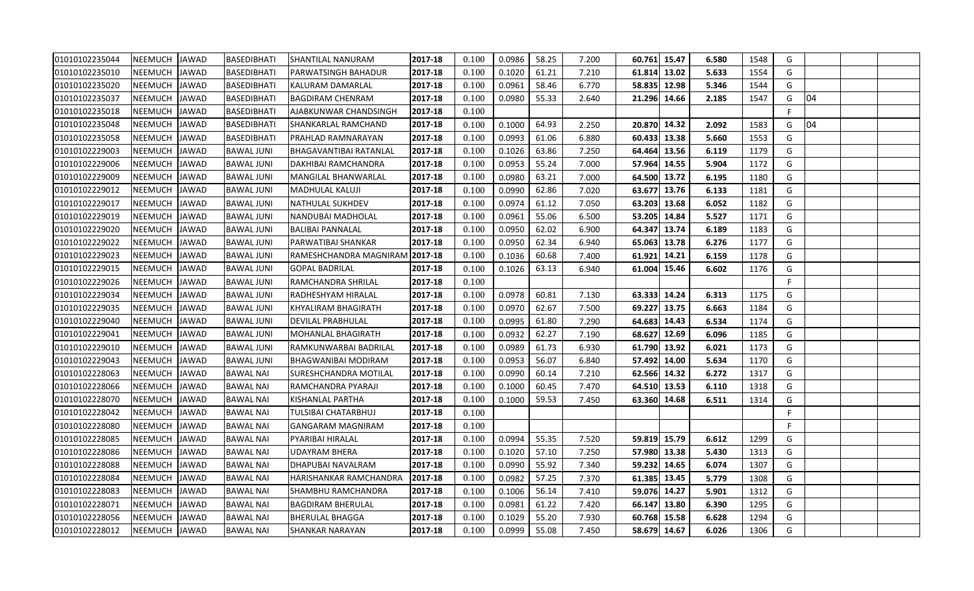| 01010102235044 | NEEMUCH JAWAD  |              | <b>BASEDIBHATI</b> | SHANTILAL NANURAM              | 2017-18 | 0.100 | 0.0986 | 58.25 | 7.200 |              | 60.761 15.47 | 6.580 | 1548 | G |    |  |
|----------------|----------------|--------------|--------------------|--------------------------------|---------|-------|--------|-------|-------|--------------|--------------|-------|------|---|----|--|
| 01010102235010 | NEEMUCH        | JAWAD        | <b>BASEDIBHATI</b> | PARWATSINGH BAHADUR            | 2017-18 | 0.100 | 0.1020 | 61.21 | 7.210 | 61.814 13.02 |              | 5.633 | 1554 | G |    |  |
| 01010102235020 | <b>NEEMUCH</b> | <b>JAWAD</b> | <b>BASEDIBHATI</b> | KALURAM DAMARLAL               | 2017-18 | 0.100 | 0.0961 | 58.46 | 6.770 |              | 58.835 12.98 | 5.346 | 1544 | G |    |  |
| 01010102235037 | NEEMUCH        | JAWAD        | <b>BASEDIBHATI</b> | <b>BAGDIRAM CHENRAM</b>        | 2017-18 | 0.100 | 0.0980 | 55.33 | 2.640 |              | 21.296 14.66 | 2.185 | 1547 | G | 04 |  |
| 01010102235018 | NEEMUCH        | JAWAD        | <b>BASEDIBHATI</b> | AJABKUNWAR CHANDSINGH          | 2017-18 | 0.100 |        |       |       |              |              |       |      | F |    |  |
| 01010102235048 | NEEMUCH        | JAWAD        | <b>BASEDIBHATI</b> | SHANKARLAL RAMCHAND            | 2017-18 | 0.100 | 0.1000 | 64.93 | 2.250 | 20.870 14.32 |              | 2.092 | 1583 | G | 04 |  |
| 01010102235058 | <b>NEEMUCH</b> | <b>JAWAD</b> | <b>BASEDIBHATI</b> | PRAHLAD RAMNARAYAN             | 2017-18 | 0.100 | 0.0993 | 61.06 | 6.880 |              | 60.433 13.38 | 5.660 | 1553 | G |    |  |
| 01010102229003 | <b>NEEMUCH</b> | <b>JAWAD</b> | <b>BAWAL JUNI</b>  | BHAGAVANTIBAI RATANLAL         | 2017-18 | 0.100 | 0.1026 | 63.86 | 7.250 | 64.464 13.56 |              | 6.119 | 1179 | G |    |  |
| 01010102229006 | NEEMUCH        | <b>JAWAD</b> | <b>BAWAL JUNI</b>  | DAKHIBAI RAMCHANDRA            | 2017-18 | 0.100 | 0.0953 | 55.24 | 7.000 | 57.964 14.55 |              | 5.904 | 1172 | G |    |  |
| 01010102229009 | <b>NEEMUCH</b> | <b>JAWAD</b> | <b>BAWAL JUNI</b>  | <b>MANGILAL BHANWARLAL</b>     | 2017-18 | 0.100 | 0.0980 | 63.21 | 7.000 | 64.500 13.72 |              | 6.195 | 1180 | G |    |  |
| 01010102229012 | <b>NEEMUCH</b> | <b>JAWAD</b> | <b>BAWAL JUNI</b>  | <b>MADHULAL KALUJI</b>         | 2017-18 | 0.100 | 0.0990 | 62.86 | 7.020 | 63.677 13.76 |              | 6.133 | 1181 | G |    |  |
| 01010102229017 | NEEMUCH        | <b>JAWAD</b> | <b>BAWAL JUNI</b>  | <b>NATHULAL SUKHDEV</b>        | 2017-18 | 0.100 | 0.0974 | 61.12 | 7.050 | 63.203 13.68 |              | 6.052 | 1182 | G |    |  |
| 01010102229019 | NEEMUCH        | <b>JAWAD</b> | <b>BAWAL JUNI</b>  | NANDUBAI MADHOLAL              | 2017-18 | 0.100 | 0.0961 | 55.06 | 6.500 | 53.205 14.84 |              | 5.527 | 1171 | G |    |  |
| 01010102229020 | NEEMUCH        | JAWAD        | <b>BAWAL JUNI</b>  | <b>BALIBAI PANNALAL</b>        | 2017-18 | 0.100 | 0.0950 | 62.02 | 6.900 | 64.347 13.74 |              | 6.189 | 1183 | G |    |  |
| 01010102229022 | NEEMUCH        | JAWAD        | <b>BAWAL JUNI</b>  | PARWATIBAI SHANKAR             | 2017-18 | 0.100 | 0.0950 | 62.34 | 6.940 | 65.063 13.78 |              | 6.276 | 1177 | G |    |  |
| 01010102229023 | NEEMUCH        | JAWAD        | <b>BAWAL JUNI</b>  | RAMESHCHANDRA MAGNIRAM 2017-18 |         | 0.100 | 0.1036 | 60.68 | 7.400 | 61.921 14.21 |              | 6.159 | 1178 | G |    |  |
| 01010102229015 | NEEMUCH        | <b>JAWAD</b> | <b>BAWAL JUNI</b>  | <b>GOPAL BADRILAL</b>          | 2017-18 | 0.100 | 0.1026 | 63.13 | 6.940 | 61.004 15.46 |              | 6.602 | 1176 | G |    |  |
| 01010102229026 | NEEMUCH        | <b>JAWAD</b> | <b>BAWAL JUNI</b>  | RAMCHANDRA SHRILAL             | 2017-18 | 0.100 |        |       |       |              |              |       |      | E |    |  |
| 01010102229034 | NEEMUCH        | <b>JAWAD</b> | <b>BAWAL JUNI</b>  | RADHESHYAM HIRALAL             | 2017-18 | 0.100 | 0.0978 | 60.81 | 7.130 | 63.333 14.24 |              | 6.313 | 1175 | G |    |  |
| 01010102229035 | NEEMUCH        | <b>JAWAD</b> | <b>BAWAL JUNI</b>  | KHYALIRAM BHAGIRATH            | 2017-18 | 0.100 | 0.0970 | 62.67 | 7.500 | 69.227 13.75 |              | 6.663 | 1184 | G |    |  |
| 01010102229040 | NEEMUCH        | JAWAD        | <b>BAWAL JUNI</b>  | <b>DEVILAL PRABHULAL</b>       | 2017-18 | 0.100 | 0.0995 | 61.80 | 7.290 | 64.683 14.43 |              | 6.534 | 1174 | G |    |  |
| 01010102229041 | <b>NEEMUCH</b> | <b>JAWAD</b> | <b>BAWAL JUNI</b>  | <b>MOHANLAL BHAGIRATH</b>      | 2017-18 | 0.100 | 0.0932 | 62.27 | 7.190 | 68.627 12.69 |              | 6.096 | 1185 | G |    |  |
| 01010102229010 | NEEMUCH        | <b>JAWAD</b> | <b>BAWAL JUNI</b>  | RAMKUNWARBAI BADRILAL          | 2017-18 | 0.100 | 0.0989 | 61.73 | 6.930 | 61.790 13.92 |              | 6.021 | 1173 | G |    |  |
| 01010102229043 | NEEMUCH        | <b>JAWAD</b> | <b>BAWAL JUNI</b>  | <b>BHAGWANIBAI MODIRAM</b>     | 2017-18 | 0.100 | 0.0953 | 56.07 | 6.840 | 57.492 14.00 |              | 5.634 | 1170 | G |    |  |
| 01010102228063 | NEEMUCH        | <b>JAWAD</b> | <b>BAWAL NAI</b>   | SURESHCHANDRA MOTILAL          | 2017-18 | 0.100 | 0.0990 | 60.14 | 7.210 | 62.566 14.32 |              | 6.272 | 1317 | G |    |  |
| 01010102228066 | NEEMUCH        | <b>JAWAD</b> | <b>BAWAL NAI</b>   | RAMCHANDRA PYARAJI             | 2017-18 | 0.100 | 0.1000 | 60.45 | 7.470 | 64.510 13.53 |              | 6.110 | 1318 | G |    |  |
| 01010102228070 | <b>NEEMUCH</b> | <b>JAWAD</b> | <b>BAWAL NAI</b>   | <b>KISHANLAL PARTHA</b>        | 2017-18 | 0.100 | 0.1000 | 59.53 | 7.450 | 63.360 14.68 |              | 6.511 | 1314 | G |    |  |
| 01010102228042 | <b>NEEMUCH</b> | <b>JAWAD</b> | <b>BAWAL NAI</b>   | TULSIBAI CHATARBHUJ            | 2017-18 | 0.100 |        |       |       |              |              |       |      | F |    |  |
| 01010102228080 | <b>NEEMUCH</b> | <b>JAWAD</b> | <b>BAWAL NAI</b>   | <b>GANGARAM MAGNIRAM</b>       | 2017-18 | 0.100 |        |       |       |              |              |       |      | F |    |  |
| 01010102228085 | <b>NEEMUCH</b> | JAWAD        | <b>BAWAL NAI</b>   | <b>PYARIBAI HIRALAL</b>        | 2017-18 | 0.100 | 0.0994 | 55.35 | 7.520 | 59.819 15.79 |              | 6.612 | 1299 | G |    |  |
| 01010102228086 | NEEMUCH        | JAWAD        | <b>BAWAL NAI</b>   | UDAYRAM BHERA                  | 2017-18 | 0.100 | 0.1020 | 57.10 | 7.250 | 57.980 13.38 |              | 5.430 | 1313 | G |    |  |
| 01010102228088 | NEEMUCH        | JAWAD        | <b>BAWAL NAI</b>   | DHAPUBAI NAVALRAM              | 2017-18 | 0.100 | 0.0990 | 55.92 | 7.340 | 59.232 14.65 |              | 6.074 | 1307 | G |    |  |
| 01010102228084 | NEEMUCH        | JAWAD        | <b>BAWAL NAI</b>   | HARISHANKAR RAMCHANDRA         | 2017-18 | 0.100 | 0.0982 | 57.25 | 7.370 | 61.385 13.45 |              | 5.779 | 1308 | G |    |  |
| 01010102228083 | NEEMUCH        | JAWAD        | <b>BAWAL NAI</b>   | SHAMBHU RAMCHANDRA             | 2017-18 | 0.100 | 0.1006 | 56.14 | 7.410 | 59.076 14.27 |              | 5.901 | 1312 | G |    |  |
| 01010102228071 | <b>NEEMUCH</b> | JAWAD        | <b>BAWAL NAI</b>   | <b>BAGDIRAM BHERULAL</b>       | 2017-18 | 0.100 | 0.0981 | 61.22 | 7.420 | 66.147 13.80 |              | 6.390 | 1295 | G |    |  |
| 01010102228056 | NEEMUCH        | <b>JAWAD</b> | <b>BAWAL NAI</b>   | <b>BHERULAL BHAGGA</b>         | 2017-18 | 0.100 | 0.1029 | 55.20 | 7.930 | 60.768 15.58 |              | 6.628 | 1294 | G |    |  |
| 01010102228012 | NEEMUCH JAWAD  |              | <b>BAWAL NAI</b>   | <b>SHANKAR NARAYAN</b>         | 2017-18 | 0.100 | 0.0999 | 55.08 | 7.450 | 58.679 14.67 |              | 6.026 | 1306 | G |    |  |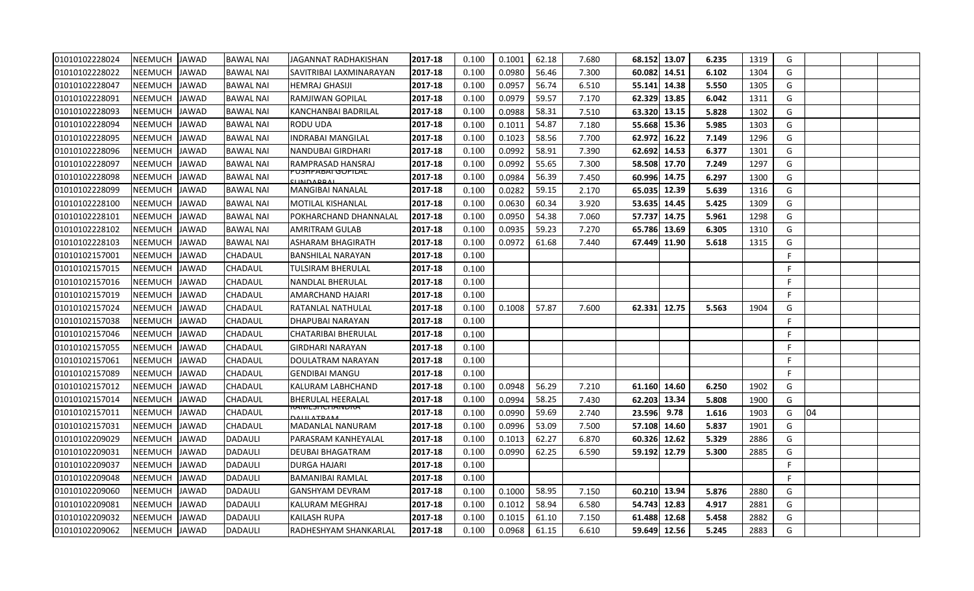| 01010102228024 | <b>NEEMUCH</b> | JAWAD        | <b>BAWAL NAI</b> | JAGANNAT RADHAKISHAN                        | 2017-18 | 0.100 | 0.1001 | 62.18 | 7.680 | 68.152 13.07 |              | 6.235 | 1319 | G            |    |  |
|----------------|----------------|--------------|------------------|---------------------------------------------|---------|-------|--------|-------|-------|--------------|--------------|-------|------|--------------|----|--|
| 01010102228022 | NEEMUCH        | JAWAD        | <b>BAWAL NAI</b> | SAVITRIBAI LAXMINARAYAN                     | 2017-18 | 0.100 | 0.0980 | 56.46 | 7.300 | 60.082 14.51 |              | 6.102 | 1304 | G            |    |  |
| 01010102228047 | <b>NEEMUCH</b> | JAWAD        | <b>BAWAL NAI</b> | <b>HEMRAJ GHASIJI</b>                       | 2017-18 | 0.100 | 0.0957 | 56.74 | 6.510 | 55.141 14.38 |              | 5.550 | 1305 | G            |    |  |
| 01010102228091 | NEEMUCH        | <b>JAWAD</b> | <b>BAWAL NAI</b> | <b>RAMJIWAN GOPILAL</b>                     | 2017-18 | 0.100 | 0.0979 | 59.57 | 7.170 | 62.329 13.85 |              | 6.042 | 1311 | G            |    |  |
| 01010102228093 | NEEMUCH        | <b>JAWAD</b> | <b>BAWAL NAI</b> | KANCHANBAI BADRILAL                         | 2017-18 | 0.100 | 0.0988 | 58.31 | 7.510 | 63.320 13.15 |              | 5.828 | 1302 | G            |    |  |
| 01010102228094 | NEEMUCH        | <b>JAWAD</b> | <b>BAWAL NAI</b> | <b>RODU UDA</b>                             | 2017-18 | 0.100 | 0.1011 | 54.87 | 7.180 |              | 55.668 15.36 | 5.985 | 1303 | G            |    |  |
| 01010102228095 | NEEMUCH        | <b>JAWAD</b> | <b>BAWAL NAI</b> | <b>INDRABAI MANGILAL</b>                    | 2017-18 | 0.100 | 0.1023 | 58.56 | 7.700 | 62.972 16.22 |              | 7.149 | 1296 | G            |    |  |
| 01010102228096 | <b>NEEMUCH</b> | <b>JAWAD</b> | <b>BAWAL NAI</b> | NANDUBAI GIRDHARI                           | 2017-18 | 0.100 | 0.0992 | 58.91 | 7.390 | 62.692 14.53 |              | 6.377 | 1301 | G            |    |  |
| 01010102228097 | <b>NEEMUCH</b> | <b>JAWAD</b> | <b>BAWAL NAI</b> | RAMPRASAD HANSRAJ                           | 2017-18 | 0.100 | 0.0992 | 55.65 | 7.300 | 58.508 17.70 |              | 7.249 | 1297 | G            |    |  |
| 01010102228098 | <b>NEEMUCH</b> | <b>JAWAD</b> | <b>BAWAL NAI</b> | USHPADAI UUPILAL<br><b>IINDADDAL</b>        | 2017-18 | 0.100 | 0.0984 | 56.39 | 7.450 | 60.996 14.75 |              | 6.297 | 1300 | G            |    |  |
| 01010102228099 | <b>NEEMUCH</b> | <b>JAWAD</b> | <b>BAWAL NAI</b> | <b>MANGIBAI NANALAL</b>                     | 2017-18 | 0.100 | 0.0282 | 59.15 | 2.170 | 65.035 12.39 |              | 5.639 | 1316 | G            |    |  |
| 01010102228100 | <b>NEEMUCH</b> | <b>JAWAD</b> | <b>BAWAL NAI</b> | <b>MOTILAL KISHANLAL</b>                    | 2017-18 | 0.100 | 0.0630 | 60.34 | 3.920 | 53.635 14.45 |              | 5.425 | 1309 | G            |    |  |
| 01010102228101 | <b>NEEMUCH</b> | <b>JAWAD</b> | <b>BAWAL NAI</b> | POKHARCHAND DHANNALAL                       | 2017-18 | 0.100 | 0.0950 | 54.38 | 7.060 | 57.737       | 14.75        | 5.961 | 1298 | G            |    |  |
| 01010102228102 | <b>NEEMUCH</b> | <b>JAWAD</b> | <b>BAWAL NAI</b> | <b>AMRITRAM GULAB</b>                       | 2017-18 | 0.100 | 0.0935 | 59.23 | 7.270 | 65.786 13.69 |              | 6.305 | 1310 | G            |    |  |
| 01010102228103 | <b>NEEMUCH</b> | <b>JAWAD</b> | <b>BAWAL NAI</b> | <b>ASHARAM BHAGIRATH</b>                    | 2017-18 | 0.100 | 0.0972 | 61.68 | 7.440 | 67.449       | 11.90        | 5.618 | 1315 | G            |    |  |
| 01010102157001 | <b>NEEMUCH</b> | <b>JAWAD</b> | <b>CHADAUL</b>   | <b>BANSHILAL NARAYAN</b>                    | 2017-18 | 0.100 |        |       |       |              |              |       |      | F            |    |  |
| 01010102157015 | <b>NEEMUCH</b> | <b>JAWAD</b> | <b>CHADAUL</b>   | <b>TULSIRAM BHERULAL</b>                    | 2017-18 | 0.100 |        |       |       |              |              |       |      | E            |    |  |
| 01010102157016 | NEEMUCH        | <b>JAWAD</b> | CHADAUL          | NANDLAL BHERULAL                            | 2017-18 | 0.100 |        |       |       |              |              |       |      | F            |    |  |
| 01010102157019 | NEEMUCH        | <b>JAWAD</b> | CHADAUL          | AMARCHAND HAJARI                            | 2017-18 | 0.100 |        |       |       |              |              |       |      | F            |    |  |
| 01010102157024 | NEEMUCH        | <b>JAWAD</b> | <b>CHADAUL</b>   | RATANLAL NATHULAL                           | 2017-18 | 0.100 | 0.1008 | 57.87 | 7.600 | 62.331       | 12.75        | 5.563 | 1904 | G            |    |  |
| 01010102157038 | <b>NEEMUCH</b> | <b>JAWAD</b> | CHADAUL          | DHAPUBAI NARAYAN                            | 2017-18 | 0.100 |        |       |       |              |              |       |      | F            |    |  |
| 01010102157046 | <b>NEEMUCH</b> | <b>JAWAD</b> | CHADAUL          | <b>CHATARIBAI BHERULAL</b>                  | 2017-18 | 0.100 |        |       |       |              |              |       |      | F            |    |  |
| 01010102157055 | <b>NEEMUCH</b> | <b>JAWAD</b> | <b>CHADAUL</b>   | <b>GIRDHARI NARAYAN</b>                     | 2017-18 | 0.100 |        |       |       |              |              |       |      | F            |    |  |
| 01010102157061 | <b>NEEMUCH</b> | <b>JAWAD</b> | <b>CHADAUL</b>   | <b>DOULATRAM NARAYAN</b>                    | 2017-18 | 0.100 |        |       |       |              |              |       |      | F            |    |  |
| 01010102157089 | <b>NEEMUCH</b> | <b>JAWAD</b> | <b>CHADAUL</b>   | <b>GENDIBAI MANGU</b>                       | 2017-18 | 0.100 |        |       |       |              |              |       |      | F            |    |  |
| 01010102157012 | <b>NEEMUCH</b> | <b>JAWAD</b> | CHADAUL          | <b>KALURAM LABHCHAND</b>                    | 2017-18 | 0.100 | 0.0948 | 56.29 | 7.210 | 61.160 14.60 |              | 6.250 | 1902 | G            |    |  |
| 01010102157014 | <b>NEEMUCH</b> | <b>JAWAD</b> | CHADAUL          | <b>BHERULAL HEERALAL</b>                    | 2017-18 | 0.100 | 0.0994 | 58.25 | 7.430 | 62.203 13.34 |              | 5.808 | 1900 | G            |    |  |
| 01010102157011 | <b>NEEMUCH</b> | <b>JAWAD</b> | CHADAUL          | <u>RAIVIESNUNAINURA</u><br><b>ALLIATOAM</b> | 2017-18 | 0.100 | 0.0990 | 59.69 | 2.740 | 23.596       | 9.78         | 1.616 | 1903 | G            | 04 |  |
| 01010102157031 | <b>NEEMUCH</b> | <b>JAWAD</b> | CHADAUL          | <b>MADANLAL NANURAM</b>                     | 2017-18 | 0.100 | 0.0996 | 53.09 | 7.500 | 57.108 14.60 |              | 5.837 | 1901 | G            |    |  |
| 01010102209029 | <b>NEEMUCH</b> | <b>JAWAD</b> | <b>DADAULI</b>   | <b>PARASRAM KANHEYALAL</b>                  | 2017-18 | 0.100 | 0.1013 | 62.27 | 6.870 | 60.326 12.62 |              | 5.329 | 2886 | G            |    |  |
| 01010102209031 | <b>NEEMUCH</b> | <b>JAWAD</b> | <b>DADAULI</b>   | <b>DEUBAI BHAGATRAM</b>                     | 2017-18 | 0.100 | 0.0990 | 62.25 | 6.590 | 59.192       | 12.79        | 5.300 | 2885 | G            |    |  |
| 01010102209037 | NEEMUCH        | <b>JAWAD</b> | <b>DADAULI</b>   | <b>DURGA HAJARI</b>                         | 2017-18 | 0.100 |        |       |       |              |              |       |      | F            |    |  |
| 01010102209048 | NEEMUCH        | <b>JAWAD</b> | <b>DADAULI</b>   | <b>BAMANIBAI RAMLAL</b>                     | 2017-18 | 0.100 |        |       |       |              |              |       |      | $\mathsf{F}$ |    |  |
| 01010102209060 | <b>NEEMUCH</b> | <b>JAWAD</b> | <b>DADAULI</b>   | <b>GANSHYAM DEVRAM</b>                      | 2017-18 | 0.100 | 0.1000 | 58.95 | 7.150 | 60.210 13.94 |              | 5.876 | 2880 | G            |    |  |
| 01010102209081 | <b>NEEMUCH</b> | JAWAD        | DADAULI          | <b>KALURAM MEGHRAJ</b>                      | 2017-18 | 0.100 | 0.1012 | 58.94 | 6.580 | 54.743 12.83 |              | 4.917 | 2881 | G            |    |  |
| 01010102209032 | NEEMUCH        | <b>JAWAD</b> | <b>DADAULI</b>   | <b>KAILASH RUPA</b>                         | 2017-18 | 0.100 | 0.1015 | 61.10 | 7.150 | 61.488 12.68 |              | 5.458 | 2882 | G            |    |  |
| 01010102209062 | NEEMUCH JAWAD  |              | <b>DADAULI</b>   | <b>RADHESHYAM SHANKARLAL</b>                | 2017-18 | 0.100 | 0.0968 | 61.15 | 6.610 |              | 59.649 12.56 | 5.245 | 2883 | G            |    |  |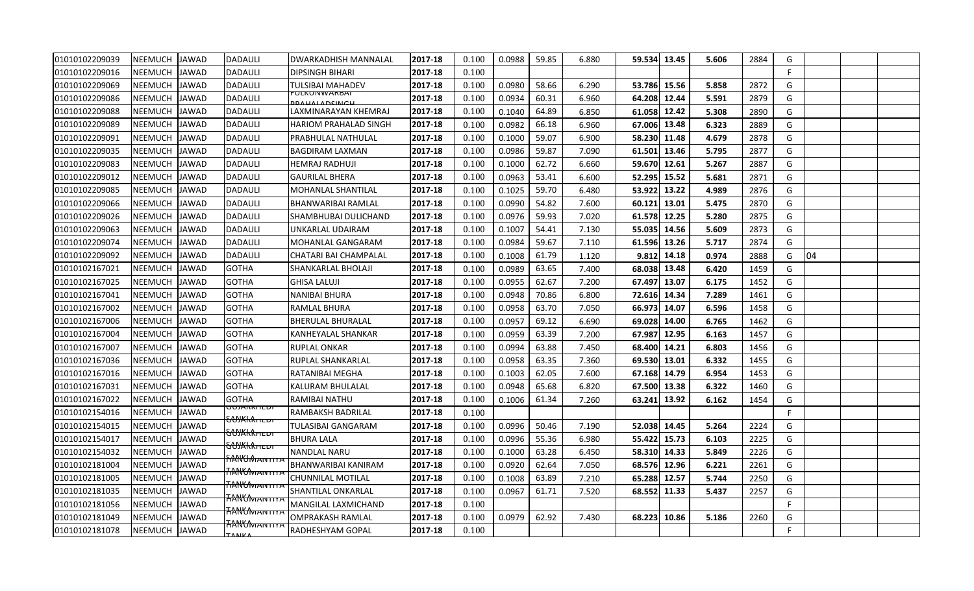| 01010102209039 | <b>NEEMUCH</b> | <b>JAWAD</b> | <b>DADAULI</b>                            | <b>DWARKADHISH MANNALAL</b>                | 2017-18 | 0.100 | 0.0988 | 59.85 | 6.880 | 59.534 13.45 |             | 5.606 | 2884 | G |    |  |
|----------------|----------------|--------------|-------------------------------------------|--------------------------------------------|---------|-------|--------|-------|-------|--------------|-------------|-------|------|---|----|--|
| 01010102209016 | NEEMUCH        | JAWAD        | <b>DADAULI</b>                            | <b>DIPSINGH BIHARI</b>                     | 2017-18 | 0.100 |        |       |       |              |             |       |      | E |    |  |
| 01010102209069 | <b>NEEMUCH</b> | JAWAD        | <b>DADAULI</b>                            | <b>TULSIBAI MAHADEV</b>                    | 2017-18 | 0.100 | 0.0980 | 58.66 | 6.290 | 53.786 15.56 |             | 5.858 | 2872 | G |    |  |
| 01010102209086 | <b>NEEMUCH</b> | JAWAD        | DADAULI                                   | <b>ULKUIVWARDAI</b><br>0.011111A1A1C1B1C11 | 2017-18 | 0.100 | 0.0934 | 60.31 | 6.960 | 64.208 12.44 |             | 5.591 | 2879 | G |    |  |
| 01010102209088 | NEEMUCH        | <b>JAWAD</b> | DADAULI                                   | LAXMINARAYAN KHEMRAJ                       | 2017-18 | 0.100 | 0.1040 | 64.89 | 6.850 | 61.058 12.42 |             | 5.308 | 2890 | G |    |  |
| 01010102209089 | <b>NEEMUCH</b> | <b>JAWAD</b> | DADAULI                                   | <b>HARIOM PRAHALAD SINGH</b>               | 2017-18 | 0.100 | 0.0982 | 66.18 | 6.960 | 67.006 13.48 |             | 6.323 | 2889 | G |    |  |
| 01010102209091 | <b>NEEMUCH</b> | JAWAD        | DADAULI                                   | PRABHULAL NATHULAL                         | 2017-18 | 0.100 | 0.1000 | 59.07 | 6.900 | 58.230 11.48 |             | 4.679 | 2878 | G |    |  |
| 01010102209035 | <b>NEEMUCH</b> | JAWAD        | <b>DADAULI</b>                            | <b>BAGDIRAM LAXMAN</b>                     | 2017-18 | 0.100 | 0.0986 | 59.87 | 7.090 | 61.501 13.46 |             | 5.795 | 2877 | G |    |  |
| 01010102209083 | <b>NEEMUCH</b> | JAWAD        | <b>DADAULI</b>                            | <b>HEMRAJ RADHUJI</b>                      | 2017-18 | 0.100 | 0.1000 | 62.72 | 6.660 | 59.670 12.61 |             | 5.267 | 2887 | G |    |  |
| 01010102209012 | NEEMUCH        | JAWAD        | DADAULI                                   | <b>GAURILAL BHERA</b>                      | 2017-18 | 0.100 | 0.0963 | 53.41 | 6.600 | 52.295 15.52 |             | 5.681 | 2871 | G |    |  |
| 01010102209085 | NEEMUCH        | <b>JAWAD</b> | DADAULI                                   | <b>MOHANLAL SHANTILAL</b>                  | 2017-18 | 0.100 | 0.1025 | 59.70 | 6.480 | 53.922 13.22 |             | 4.989 | 2876 | G |    |  |
| 01010102209066 | NEEMUCH        | JAWAD        | DADAULI                                   | <b>BHANWARIBAI RAMLAL</b>                  | 2017-18 | 0.100 | 0.0990 | 54.82 | 7.600 | 60.121 13.01 |             | 5.475 | 2870 | G |    |  |
| 01010102209026 | NEEMUCH        | JAWAD        | DADAULI                                   | SHAMBHUBAI DULICHAND                       | 2017-18 | 0.100 | 0.0976 | 59.93 | 7.020 | 61.578 12.25 |             | 5.280 | 2875 | G |    |  |
| 01010102209063 | NEEMUCH        | JAWAD        | <b>DADAULI</b>                            | UNKARLAL UDAIRAM                           | 2017-18 | 0.100 | 0.1007 | 54.41 | 7.130 | 55.035 14.56 |             | 5.609 | 2873 | G |    |  |
| 01010102209074 | <b>NEEMUCH</b> | JAWAD        | <b>DADAULI</b>                            | MOHANLAL GANGARAM                          | 2017-18 | 0.100 | 0.0984 | 59.67 | 7.110 | 61.596 13.26 |             | 5.717 | 2874 | G |    |  |
| 01010102209092 | <b>NEEMUCH</b> | JAWAD        | DADAULI                                   | CHATARI BAI CHAMPALAL                      | 2017-18 | 0.100 | 0.1008 | 61.79 | 1.120 |              | 9.812 14.18 | 0.974 | 2888 | G | 04 |  |
| 01010102167021 | NEEMUCH        | JAWAD        | <b>GOTHA</b>                              | SHANKARLAL BHOLAJI                         | 2017-18 | 0.100 | 0.0989 | 63.65 | 7.400 | 68.038 13.48 |             | 6.420 | 1459 | G |    |  |
| 01010102167025 | NEEMUCH        | <b>JAWAD</b> | <b>GOTHA</b>                              | <b>GHISA LALUJI</b>                        | 2017-18 | 0.100 | 0.0955 | 62.67 | 7.200 | 67.497 13.07 |             | 6.175 | 1452 | G |    |  |
| 01010102167041 | NEEMUCH        | <b>JAWAD</b> | <b>GOTHA</b>                              | NANIBAI BHURA                              | 2017-18 | 0.100 | 0.0948 | 70.86 | 6.800 | 72.616 14.34 |             | 7.289 | 1461 | G |    |  |
| 01010102167002 | NEEMUCH        | <b>JAWAD</b> | <b>GOTHA</b>                              | RAMLAL BHURA                               | 2017-18 | 0.100 | 0.0958 | 63.70 | 7.050 | 66.973 14.07 |             | 6.596 | 1458 | G |    |  |
| 01010102167006 | NEEMUCH        | JAWAD        | <b>GOTHA</b>                              | <b>BHERULAL BHURALAL</b>                   | 2017-18 | 0.100 | 0.0957 | 69.12 | 6.690 | 69.028 14.00 |             | 6.765 | 1462 | G |    |  |
| 01010102167004 | NEEMUCH        | JAWAD        | <b>GOTHA</b>                              | KANHEYALAL SHANKAR                         | 2017-18 | 0.100 | 0.0959 | 63.39 | 7.200 | 67.987 12.95 |             | 6.163 | 1457 | G |    |  |
| 01010102167007 | <b>NEEMUCH</b> | JAWAD        | <b>GOTHA</b>                              | <b>RUPLAL ONKAR</b>                        | 2017-18 | 0.100 | 0.0994 | 63.88 | 7.450 | 68.400 14.21 |             | 6.803 | 1456 | G |    |  |
| 01010102167036 | NEEMUCH        | JAWAD        | <b>GOTHA</b>                              | RUPLAL SHANKARLAL                          | 2017-18 | 0.100 | 0.0958 | 63.35 | 7.360 | 69.530 13.01 |             | 6.332 | 1455 | G |    |  |
| 01010102167016 | NEEMUCH        | JAWAD        | <b>GOTHA</b>                              | RATANIBAI MEGHA                            | 2017-18 | 0.100 | 0.1003 | 62.05 | 7.600 | 67.168 14.79 |             | 6.954 | 1453 | G |    |  |
| 01010102167031 | NEEMUCH        | <b>JAWAD</b> | <b>GOTHA</b>                              | KALURAM BHULALAL                           | 2017-18 | 0.100 | 0.0948 | 65.68 | 6.820 | 67.500 13.38 |             | 6.322 | 1460 | G |    |  |
| 01010102167022 | NEEMUCH        | <b>JAWAD</b> | GOTHA                                     | RAMIBAI NATHU                              | 2017-18 | 0.100 | 0.1006 | 61.34 | 7.260 | 63.241 13.92 |             | 6.162 | 1454 | G |    |  |
| 01010102154016 | NEEMUCH        | JAWAD        | <b>JUJAKNNEDI</b>                         | RAMBAKSH BADRILAL                          | 2017-18 | 0.100 |        |       |       |              |             |       |      | F |    |  |
| 01010102154015 | NEEMUCH        | <b>JAWAD</b> | ᡋ᠊ᢗᢣ᠍ᡟ᠋ <del>ᢂᡰᠺᡴᡄ</del> ᠳ                | TULASIBAI GANGARAM                         | 2017-18 | 0.100 | 0.0996 | 50.46 | 7.190 | 52.038 14.45 |             | 5.264 | 2224 | G |    |  |
| 01010102154017 | NEEMUCH        | <b>JAWAD</b> | <del>SWKKRneur</del>                      | <b>BHURA LALA</b>                          | 2017-18 | 0.100 | 0.0996 | 55.36 | 6.980 | 55.422 15.73 |             | 6.103 | 2225 | G |    |  |
| 01010102154032 | NEEMUCH        | <b>JAWAD</b> | <del>SWKkRneur</del>                      | <b>NANDLAL NARU</b>                        | 2017-18 | 0.100 | 0.1000 | 63.28 | 6.450 | 58.310 14.33 |             | 5.849 | 2226 | G |    |  |
| 01010102181004 | NEEMUCH        | <b>JAWAD</b> | ᠮᡰ᠋ <del>ᡘᡰᠰ</del> ᡃᢕ᠍ <del>ᠰ᠕ᡳᠬ᠇᠇᠇</del> | BHANWARIBAI KANIRAM                        | 2017-18 | 0.100 | 0.0920 | 62.64 | 7.050 | 68.576 12.96 |             | 6.221 | 2261 | G |    |  |
| 01010102181005 | NEEMUCH        | JAWAD        | <del>TAN'OMANTITA</del>                   | CHUNNILAL MOTILAL                          | 2017-18 | 0.100 | 0.1008 | 63.89 | 7.210 | 65.288 12.57 |             | 5.744 | 2250 | G |    |  |
| 01010102181035 | NEEMUCH        | <b>JAWAD</b> | <del>TAN'OMANTIT</del>                    | SHANTILAL ONKARLAL                         | 2017-18 | 0.100 | 0.0967 | 61.71 | 7.520 | 68.552 11.33 |             | 5.437 | 2257 | G |    |  |
| 01010102181056 | NEEMUCH        | <b>JAWAD</b> | <del>TAN'OMANTIT</del>                    | MANGILAL LAXMICHAND                        | 2017-18 | 0.100 |        |       |       |              |             |       |      | F |    |  |
| 01010102181049 | NEEMUCH        | <b>JAWAD</b> | <del>TANK/MANTIT</del>                    | <b>OMPRAKASH RAMLAL</b>                    | 2017-18 | 0.100 | 0.0979 | 62.92 | 7.430 | 68.223 10.86 |             | 5.186 | 2260 | G |    |  |
| 01010102181078 | <b>NEEMUCH</b> | <b>JAWAD</b> | <del>TANGNANTITA</del>                    | <b>RADHESHYAM GOPAL</b>                    | 2017-18 | 0.100 |        |       |       |              |             |       |      | F |    |  |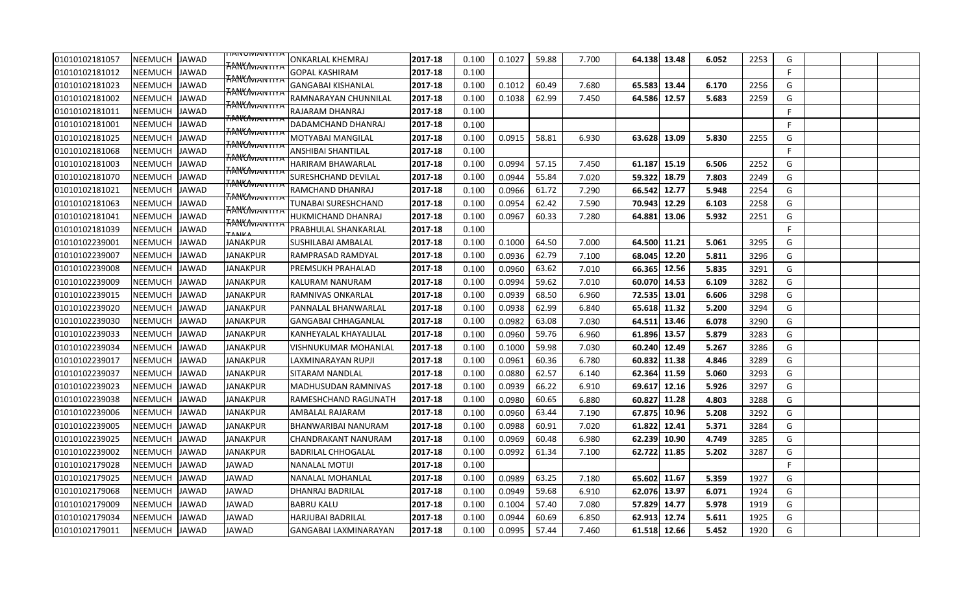| 01010102181057 | NEEMUCH JAWAD  |              | <b>HAINUIVIAINTITA</b>              | <b>ONKARLAL KHEMRAJ</b>    | 2017-18 | 0.100 | 0.1027 | 59.88 | 7.700 | 64.138 13.48 | 6.052 | 2253 | G |  |  |
|----------------|----------------|--------------|-------------------------------------|----------------------------|---------|-------|--------|-------|-------|--------------|-------|------|---|--|--|
| 01010102181012 | NEEMUCH        | JAWAD        | <del>hankiman itt</del>             | <b>GOPAL KASHIRAM</b>      | 2017-18 | 0.100 |        |       |       |              |       |      | F |  |  |
| 01010102181023 | NEEMUCH        | JAWAD        | <del>TAN/CNvianTitz</del>           | GANGABAI KISHANLAL         | 2017-18 | 0.100 | 0.1012 | 60.49 | 7.680 | 65.583 13.44 | 6.170 | 2256 | G |  |  |
| 01010102181002 | NEEMUCH        | <b>JAWAD</b> | <del>TAN'OMANTIT</del>              | RAMNARAYAN CHUNNILAL       | 2017-18 | 0.100 | 0.1038 | 62.99 | 7.450 | 64.586 12.57 | 5.683 | 2259 | G |  |  |
| 01010102181011 | NEEMUCH        | JAWAD        | <del>FAN'COviantity</del>           | RAJARAM DHANRAJ            | 2017-18 | 0.100 |        |       |       |              |       |      | F |  |  |
| 01010102181001 | NEEMUCH        | JAWAD        | <del>hankiman itt</del>             | DADAMCHAND DHANRAJ         | 2017-18 | 0.100 |        |       |       |              |       |      | F |  |  |
| 01010102181025 | NEEMUCH        | JAWAD        | <del>hankiman ita</del>             | MOTYABAI MANGILAL          | 2017-18 | 0.100 | 0.0915 | 58.81 | 6.930 | 63.628 13.09 | 5.830 | 2255 | G |  |  |
| 01010102181068 | NEEMUCH        | JAWAD        | <del>hankiman ita</del>             | ANSHIBAI SHANTILAL         | 2017-18 | 0.100 |        |       |       |              |       |      | F |  |  |
| 01010102181003 | NEEMUCH        | <b>JAWAD</b> | <del>hankinan itt</del>             | HARIRAM BHAWARLAL          | 2017-18 | 0.100 | 0.0994 | 57.15 | 7.450 | 61.187 15.19 | 6.506 | 2252 | G |  |  |
| 01010102181070 | NEEMUCH        | <b>JAWAD</b> | <del>hankinan itt</del>             | SURESHCHAND DEVILAL        | 2017-18 | 0.100 | 0.0944 | 55.84 | 7.020 | 59.322 18.79 | 7.803 | 2249 | G |  |  |
| 01010102181021 | NEEMUCH        | <b>JAWAD</b> | <del>FANKAviaiviiti</del>           | RAMCHAND DHANRAJ           | 2017-18 | 0.100 | 0.0966 | 61.72 | 7.290 | 66.542 12.77 | 5.948 | 2254 | G |  |  |
| 01010102181063 | NEEMUCH        | <b>JAWAD</b> | <del>TAN'CAVIANTITA</del>           | TUNABAI SURESHCHAND        | 2017-18 | 0.100 | 0.0954 | 62.42 | 7.590 | 70.943 12.29 | 6.103 | 2258 | G |  |  |
| 01010102181041 | NEEMUCH        | <b>JAWAD</b> | <b>TANGMANTITA</b>                  | HUKMICHAND DHANRAJ         | 2017-18 | 0.100 | 0.0967 | 60.33 | 7.280 | 64.881 13.06 | 5.932 | 2251 | G |  |  |
| 01010102181039 | NEEMUCH        | <b>JAWAD</b> | <del>TAN/Mwantif</del><br>$'$ ANIVA | PRABHULAL SHANKARLAL       | 2017-18 | 0.100 |        |       |       |              |       |      | F |  |  |
| 01010102239001 | NEEMUCH        | <b>JAWAD</b> | <b>JANAKPUR</b>                     | SUSHILABAI AMBALAL         | 2017-18 | 0.100 | 0.1000 | 64.50 | 7.000 | 64.500 11.21 | 5.061 | 3295 | G |  |  |
| 01010102239007 | NEEMUCH        | <b>JAWAD</b> | <b>JANAKPUR</b>                     | RAMPRASAD RAMDYAL          | 2017-18 | 0.100 | 0.0936 | 62.79 | 7.100 | 68.045 12.20 | 5.811 | 3296 | G |  |  |
| 01010102239008 | NEEMUCH        | <b>JAWAD</b> | <b>JANAKPUR</b>                     | PREMSUKH PRAHALAD          | 2017-18 | 0.100 | 0.0960 | 63.62 | 7.010 | 66.365 12.56 | 5.835 | 3291 | G |  |  |
| 01010102239009 | NEEMUCH        | <b>JAWAD</b> | <b>JANAKPUR</b>                     | KALURAM NANURAM            | 2017-18 | 0.100 | 0.0994 | 59.62 | 7.010 | 60.070 14.53 | 6.109 | 3282 | G |  |  |
| 01010102239015 | NEEMUCH        | <b>JAWAD</b> | <b>JANAKPUR</b>                     | RAMNIVAS ONKARLAL          | 2017-18 | 0.100 | 0.0939 | 68.50 | 6.960 | 72.535 13.01 | 6.606 | 3298 | G |  |  |
| 01010102239020 | NEEMUCH        | <b>JAWAD</b> | <b>JANAKPUR</b>                     | PANNALAL BHANWARLAL        | 2017-18 | 0.100 | 0.0938 | 62.99 | 6.840 | 65.618 11.32 | 5.200 | 3294 | G |  |  |
| 01010102239030 | NEEMUCH        | <b>JAWAD</b> | <b>JANAKPUR</b>                     | <b>GANGABAI CHHAGANLAL</b> | 2017-18 | 0.100 | 0.0982 | 63.08 | 7.030 | 64.511 13.46 | 6.078 | 3290 | G |  |  |
| 01010102239033 | <b>NEEMUCH</b> | <b>JAWAD</b> | <b>JANAKPUR</b>                     | KANHEYALAL KHAYALILAL      | 2017-18 | 0.100 | 0.0960 | 59.76 | 6.960 | 61.896 13.57 | 5.879 | 3283 | G |  |  |
| 01010102239034 | <b>NEEMUCH</b> | <b>JAWAD</b> | <b>JANAKPUR</b>                     | VISHNUKUMAR MOHANLAL       | 2017-18 | 0.100 | 0.1000 | 59.98 | 7.030 | 60.240 12.49 | 5.267 | 3286 | G |  |  |
| 01010102239017 | <b>NEEMUCH</b> | <b>JAWAD</b> | <b>JANAKPUR</b>                     | LAXMINARAYAN RUPJI         | 2017-18 | 0.100 | 0.0961 | 60.36 | 6.780 | 60.832 11.38 | 4.846 | 3289 | G |  |  |
| 01010102239037 | NEEMUCH        | <b>JAWAD</b> | <b>JANAKPUR</b>                     | <b>SITARAM NANDLAL</b>     | 2017-18 | 0.100 | 0.0880 | 62.57 | 6.140 | 62.364 11.59 | 5.060 | 3293 | G |  |  |
| 01010102239023 | NEEMUCH        | <b>JAWAD</b> | <b>JANAKPUR</b>                     | MADHUSUDAN RAMNIVAS        | 2017-18 | 0.100 | 0.0939 | 66.22 | 6.910 | 69.617 12.16 | 5.926 | 3297 | G |  |  |
| 01010102239038 | NEEMUCH        | <b>JAWAD</b> | <b>JANAKPUR</b>                     | RAMESHCHAND RAGUNATH       | 2017-18 | 0.100 | 0.0980 | 60.65 | 6.880 | 60.827 11.28 | 4.803 | 3288 | G |  |  |
| 01010102239006 | NEEMUCH        | <b>JAWAD</b> | <b>JANAKPUR</b>                     | AMBALAL RAJARAM            | 2017-18 | 0.100 | 0.0960 | 63.44 | 7.190 | 67.875 10.96 | 5.208 | 3292 | G |  |  |
| 01010102239005 | NEEMUCH        | <b>JAWAD</b> | <b>JANAKPUR</b>                     | BHANWARIBAI NANURAM        | 2017-18 | 0.100 | 0.0988 | 60.91 | 7.020 | 61.822 12.41 | 5.371 | 3284 | G |  |  |
| 01010102239025 | NEEMUCH        | <b>JAWAD</b> | <b>JANAKPUR</b>                     | CHANDRAKANT NANURAM        | 2017-18 | 0.100 | 0.0969 | 60.48 | 6.980 | 62.239 10.90 | 4.749 | 3285 | G |  |  |
| 01010102239002 | NEEMUCH        | <b>JAWAD</b> | <b>JANAKPUR</b>                     | <b>BADRILAL CHHOGALAL</b>  | 2017-18 | 0.100 | 0.0992 | 61.34 | 7.100 | 62.722 11.85 | 5.202 | 3287 | G |  |  |
| 01010102179028 | NEEMUCH        | <b>JAWAD</b> | <b>JAWAD</b>                        | NANALAL MOTIJI             | 2017-18 | 0.100 |        |       |       |              |       |      | F |  |  |
| 01010102179025 | NEEMUCH        | <b>JAWAD</b> | <b>JAWAD</b>                        | NANALAL MOHANLAL           | 2017-18 | 0.100 | 0.0989 | 63.25 | 7.180 | 65.602 11.67 | 5.359 | 1927 | G |  |  |
| 01010102179068 | NEEMUCH        | <b>JAWAD</b> | <b>JAWAD</b>                        | DHANRAJ BADRILAL           | 2017-18 | 0.100 | 0.0949 | 59.68 | 6.910 | 62.076 13.97 | 6.071 | 1924 | G |  |  |
| 01010102179009 | NEEMUCH        | <b>JAWAD</b> | <b>JAWAD</b>                        | <b>BABRU KALU</b>          | 2017-18 | 0.100 | 0.1004 | 57.40 | 7.080 | 57.829 14.77 | 5.978 | 1919 | G |  |  |
| 01010102179034 | <b>NEEMUCH</b> | <b>JAWAD</b> | <b>JAWAD</b>                        | HARJUBAI BADRILAL          | 2017-18 | 0.100 | 0.0944 | 60.69 | 6.850 | 62.913 12.74 | 5.611 | 1925 | G |  |  |
| 01010102179011 | NEEMUCH        | JAWAD        | <b>JAWAD</b>                        | GANGABAI LAXMINARAYAN      | 2017-18 | 0.100 | 0.0995 | 57.44 | 7.460 | 61.518 12.66 | 5.452 | 1920 | G |  |  |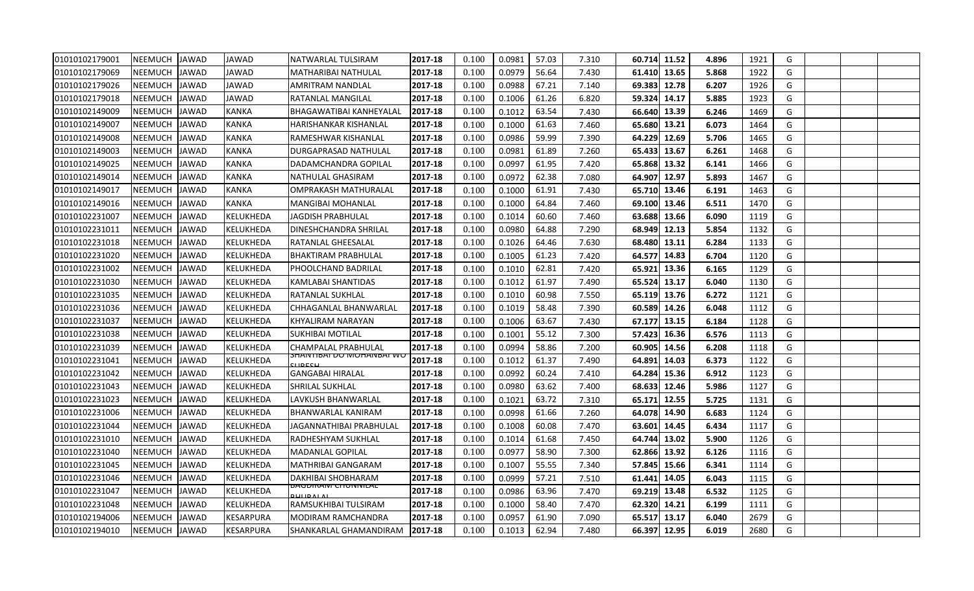| 01010102179001 | NEEMUCH        | JAWAD        | <b>JAWAD</b>     | NATWARLAL TULSIRAM                            | 2017-18 | 0.100 | 0.0981 | 57.03 | 7.310 | 60.714 11.52 |       | 4.896 | 1921 | G |  |  |
|----------------|----------------|--------------|------------------|-----------------------------------------------|---------|-------|--------|-------|-------|--------------|-------|-------|------|---|--|--|
| 01010102179069 | NEEMUCH        | JAWAD        | <b>JAWAD</b>     | MATHARIBAI NATHULAL                           | 2017-18 | 0.100 | 0.0979 | 56.64 | 7.430 | 61.410 13.65 |       | 5.868 | 1922 | G |  |  |
| 01010102179026 | NEEMUCH        | JAWAD        | <b>JAWAD</b>     | AMRITRAM NANDLAL                              | 2017-18 | 0.100 | 0.0988 | 67.21 | 7.140 | 69.383 12.78 |       | 6.207 | 1926 | G |  |  |
| 01010102179018 | NEEMUCH        | <b>JAWAD</b> | <b>JAWAD</b>     | RATANLAL MANGILAL                             | 2017-18 | 0.100 | 0.1006 | 61.26 | 6.820 | 59.324 14.17 |       | 5.885 | 1923 | G |  |  |
| 01010102149009 | NEEMUCH        | <b>JAWAD</b> | <b>KANKA</b>     | BHAGAWATIBAI KANHEYALAL                       | 2017-18 | 0.100 | 0.1012 | 63.54 | 7.430 | 66.640 13.39 |       | 6.246 | 1469 | G |  |  |
| 01010102149007 | NEEMUCH        | <b>JAWAD</b> | KANKA            | IHARISHANKAR KISHANLAL                        | 2017-18 | 0.100 | 0.1000 | 61.63 | 7.460 | 65.680 13.21 |       | 6.073 | 1464 | G |  |  |
| 01010102149008 | NEEMUCH        | <b>JAWAD</b> | KANKA            | RAMESHWAR KISHANLAL                           | 2017-18 | 0.100 | 0.0986 | 59.99 | 7.390 | 64.229 12.69 |       | 5.706 | 1465 | G |  |  |
| 01010102149003 | NEEMUCH        | <b>JAWAD</b> | <b>KANKA</b>     | DURGAPRASAD NATHULAL                          | 2017-18 | 0.100 | 0.0981 | 61.89 | 7.260 | 65.433 13.67 |       | 6.261 | 1468 | G |  |  |
| 01010102149025 | NEEMUCH        | <b>JAWAD</b> | <b>KANKA</b>     | DADAMCHANDRA GOPILAL                          | 2017-18 | 0.100 | 0.0997 | 61.95 | 7.420 | 65.868 13.32 |       | 6.141 | 1466 | G |  |  |
| 01010102149014 | NEEMUCH        | <b>JAWAD</b> | <b>KANKA</b>     | <b>NATHULAL GHASIRAM</b>                      | 2017-18 | 0.100 | 0.0972 | 62.38 | 7.080 | 64.907       | 12.97 | 5.893 | 1467 | G |  |  |
| 01010102149017 | NEEMUCH        | <b>JAWAD</b> | <b>KANKA</b>     | OMPRAKASH MATHURALAL                          | 2017-18 | 0.100 | 0.1000 | 61.91 | 7.430 | 65.710       | 13.46 | 6.191 | 1463 | G |  |  |
| 01010102149016 | NEEMUCH        | <b>JAWAD</b> | <b>KANKA</b>     | <b>MANGIBAI MOHANLAL</b>                      | 2017-18 | 0.100 | 0.1000 | 64.84 | 7.460 | 69.100       | 13.46 | 6.511 | 1470 | G |  |  |
| 01010102231007 | NEEMUCH        | <b>JAWAD</b> | <b>KELUKHEDA</b> | <b>JAGDISH PRABHULAL</b>                      | 2017-18 | 0.100 | 0.1014 | 60.60 | 7.460 | 63.688       | 13.66 | 6.090 | 1119 | G |  |  |
| 01010102231011 | NEEMUCH        | <b>JAWAD</b> | <b>KELUKHEDA</b> | <b>DINESHCHANDRA SHRILAL</b>                  | 2017-18 | 0.100 | 0.0980 | 64.88 | 7.290 | 68.949       | 12.13 | 5.854 | 1132 | G |  |  |
| 01010102231018 | NEEMUCH        | <b>JAWAD</b> | <b>KELUKHEDA</b> | <b>RATANLAL GHEESALAL</b>                     | 2017-18 | 0.100 | 0.1026 | 64.46 | 7.630 | 68.480       | 13.11 | 6.284 | 1133 | G |  |  |
| 01010102231020 | NEEMUCH        | <b>JAWAD</b> | <b>KELUKHEDA</b> | BHAKTIRAM PRABHULAL                           | 2017-18 | 0.100 | 0.1005 | 61.23 | 7.420 | 64.577       | 14.83 | 6.704 | 1120 | G |  |  |
| 01010102231002 | NEEMUCH        | <b>JAWAD</b> | <b>KELUKHEDA</b> | PHOOLCHAND BADRILAL                           | 2017-18 | 0.100 | 0.1010 | 62.81 | 7.420 | 65.921       | 13.36 | 6.165 | 1129 | G |  |  |
| 01010102231030 | NEEMUCH        | <b>JAWAD</b> | <b>KELUKHEDA</b> | KAMLABAI SHANTIDAS                            | 2017-18 | 0.100 | 0.1012 | 61.97 | 7.490 | 65.524       | 13.17 | 6.040 | 1130 | G |  |  |
| 01010102231035 | NEEMUCH        | <b>JAWAD</b> | <b>KELUKHEDA</b> | <b>RATANLAL SUKHLAL</b>                       | 2017-18 | 0.100 | 0.1010 | 60.98 | 7.550 | 65.119 13.76 |       | 6.272 | 1121 | G |  |  |
| 01010102231036 | NEEMUCH        | <b>JAWAD</b> | <b>KELUKHEDA</b> | CHHAGANLAL BHANWARLAL                         | 2017-18 | 0.100 | 0.1019 | 58.48 | 7.390 | 60.589       | 14.26 | 6.048 | 1112 | G |  |  |
| 01010102231037 | NEEMUCH        | <b>JAWAD</b> | <b>KELUKHEDA</b> | KHYALIRAM NARAYAN                             | 2017-18 | 0.100 | 0.1006 | 63.67 | 7.430 | 67.177       | 13.15 | 6.184 | 1128 | G |  |  |
| 01010102231038 | NEEMUCH        | <b>JAWAD</b> | <b>KELUKHEDA</b> | <b>SUKHIBAI MOTILAL</b>                       | 2017-18 | 0.100 | 0.1001 | 55.12 | 7.300 | 57.423 16.36 |       | 6.576 | 1113 | G |  |  |
| 01010102231039 | NEEMUCH        | <b>JAWAD</b> | <b>KELUKHEDA</b> | <b>CHAMPALAL PRABHULAL</b>                    | 2017-18 | 0.100 | 0.0994 | 58.86 | 7.200 | 60.905 14.56 |       | 6.208 | 1118 | G |  |  |
| 01010102231041 | NEEMUCH        | <b>JAWAD</b> | KELUKHEDA        | יש ואסווארוטויו טע ואמוזיוארו<br>110001       | 2017-18 | 0.100 | 0.1012 | 61.37 | 7.490 | 64.891       | 14.03 | 6.373 | 1122 | G |  |  |
| 01010102231042 | NEEMUCH        | JAWAD        | <b>KELUKHEDA</b> | <b>GANGABAI HIRALAL</b>                       | 2017-18 | 0.100 | 0.0992 | 60.24 | 7.410 | 64.284 15.36 |       | 6.912 | 1123 | G |  |  |
| 01010102231043 | <b>NEEMUCH</b> | <b>JAWAD</b> | KELUKHEDA        | <b>SHRILAL SUKHLAL</b>                        | 2017-18 | 0.100 | 0.0980 | 63.62 | 7.400 | 68.633 12.46 |       | 5.986 | 1127 | G |  |  |
| 01010102231023 | <b>NEEMUCH</b> | <b>JAWAD</b> | <b>KELUKHEDA</b> | LAVKUSH BHANWARLAL                            | 2017-18 | 0.100 | 0.1021 | 63.72 | 7.310 | 65.171       | 12.55 | 5.725 | 1131 | G |  |  |
| 01010102231006 | <b>NEEMUCH</b> | <b>JAWAD</b> | <b>KELUKHEDA</b> | <b>BHANWARLAL KANIRAM</b>                     | 2017-18 | 0.100 | 0.0998 | 61.66 | 7.260 | 64.078       | 14.90 | 6.683 | 1124 | G |  |  |
| 01010102231044 | <b>NEEMUCH</b> | <b>JAWAD</b> | KELUKHEDA        | JAGANNATHIBAI PRABHULAL                       | 2017-18 | 0.100 | 0.1008 | 60.08 | 7.470 | 63.601       | 14.45 | 6.434 | 1117 | G |  |  |
| 01010102231010 | NEEMUCH        | <b>JAWAD</b> | <b>KELUKHEDA</b> | RADHESHYAM SUKHLAL                            | 2017-18 | 0.100 | 0.1014 | 61.68 | 7.450 | 64.744 13.02 |       | 5.900 | 1126 | G |  |  |
| 01010102231040 | NEEMUCH        | <b>JAWAD</b> | <b>KELUKHEDA</b> | MADANLAL GOPILAL                              | 2017-18 | 0.100 | 0.0977 | 58.90 | 7.300 | 62.866 13.92 |       | 6.126 | 1116 | G |  |  |
| 01010102231045 | NEEMUCH        | JAWAD        | <b>KELUKHEDA</b> | MATHRIBAI GANGARAM                            | 2017-18 | 0.100 | 0.1007 | 55.55 | 7.340 | 57.845 15.66 |       | 6.341 | 1114 | G |  |  |
| 01010102231046 | NEEMUCH        | JAWAD        | KELUKHEDA        | DAKHIBAI SHOBHARAM                            | 2017-18 | 0.100 | 0.0999 | 57.21 | 7.510 | 61.441 14.05 |       | 6.043 | 1115 | G |  |  |
| 01010102231047 | NEEMUCH        | JAWAD        | KELUKHEDA        | <b>DAGUIRAIVI CHUINILAL</b><br>0.111.10.41.41 | 2017-18 | 0.100 | 0.0986 | 63.96 | 7.470 | 69.219 13.48 |       | 6.532 | 1125 | G |  |  |
| 01010102231048 | NEEMUCH        | JAWAD        | KELUKHEDA        | RAMSUKHIBAI TULSIRAM                          | 2017-18 | 0.100 | 0.1000 | 58.40 | 7.470 | 62.320 14.21 |       | 6.199 | 1111 | G |  |  |
| 01010102194006 | <b>NEEMUCH</b> | <b>JAWAD</b> | <b>KESARPURA</b> | IMODIRAM RAMCHANDRA                           | 2017-18 | 0.100 | 0.0957 | 61.90 | 7.090 | 65.517 13.17 |       | 6.040 | 2679 | G |  |  |
| 01010102194010 | NEEMUCH JAWAD  |              | <b>KESARPURA</b> | ISHANKARLAL GHAMANDIRAM                       | 2017-18 | 0.100 | 0.1013 | 62.94 | 7.480 | 66.397 12.95 |       | 6.019 | 2680 | G |  |  |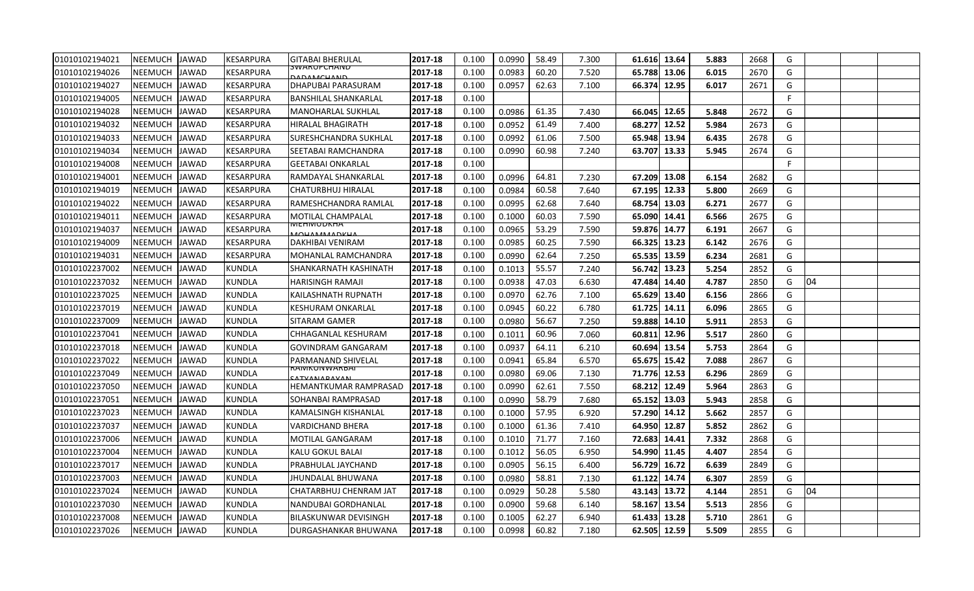| 01010102194021 | NEEMUCH JAWAD  |              | <b>KESARPURA</b> | GITABAI BHERULAL                                    | 2017-18 | 0.100 | 0.0990 | 58.49 | 7.300 |              | 61.616 13.64 | 5.883 | 2668 | G |    |  |
|----------------|----------------|--------------|------------------|-----------------------------------------------------|---------|-------|--------|-------|-------|--------------|--------------|-------|------|---|----|--|
| 01010102194026 | NEEMUCH        | JAWAD        | <b>KESARPURA</b> | <del>warupchand</del>                               | 2017-18 | 0.100 | 0.0983 | 60.20 | 7.520 |              | 65.788 13.06 | 6.015 | 2670 | G |    |  |
| 01010102194027 | NEEMUCH        | JAWAD        | <b>KESARPURA</b> | DHAPUBAI PARASURAM                                  | 2017-18 | 0.100 | 0.0957 | 62.63 | 7.100 |              | 66.374 12.95 | 6.017 | 2671 | G |    |  |
| 01010102194005 | NEEMUCH        | JAWAD        | <b>KESARPURA</b> | <b>BANSHILAL SHANKARLAL</b>                         | 2017-18 | 0.100 |        |       |       |              |              |       |      | F |    |  |
| 01010102194028 | NEEMUCH        | JAWAD        | <b>KESARPURA</b> | <b>MANOHARLAL SUKHLAL</b>                           | 2017-18 | 0.100 | 0.0986 | 61.35 | 7.430 | 66.045 12.65 |              | 5.848 | 2672 | G |    |  |
| 01010102194032 | NEEMUCH        | JAWAD        | <b>KESARPURA</b> | HIRALAL BHAGIRATH                                   | 2017-18 | 0.100 | 0.0952 | 61.49 | 7.400 |              | 68.277 12.52 | 5.984 | 2673 | G |    |  |
| 01010102194033 | NEEMUCH        | JAWAD        | <b>KESARPURA</b> | SURESHCHANDRA SUKHLAL                               | 2017-18 | 0.100 | 0.0992 | 61.06 | 7.500 | 65.948 13.94 |              | 6.435 | 2678 | G |    |  |
| 01010102194034 | NEEMUCH        | JAWAD        | <b>KESARPURA</b> | SEETABAI RAMCHANDRA                                 | 2017-18 | 0.100 | 0.0990 | 60.98 | 7.240 | 63.707 13.33 |              | 5.945 | 2674 | G |    |  |
| 01010102194008 | NEEMUCH        | JAWAD        | <b>KESARPURA</b> | <b>GEETABAI ONKARLAL</b>                            | 2017-18 | 0.100 |        |       |       |              |              |       |      | F |    |  |
| 01010102194001 | NEEMUCH        | JAWAD        | <b>KESARPURA</b> | RAMDAYAL SHANKARLAL                                 | 2017-18 | 0.100 | 0.0996 | 64.81 | 7.230 | 67.209 13.08 |              | 6.154 | 2682 | G |    |  |
| 01010102194019 | NEEMUCH        | <b>JAWAD</b> | <b>KESARPURA</b> | CHATURBHUJ HIRALAL                                  | 2017-18 | 0.100 | 0.0984 | 60.58 | 7.640 | 67.195 12.33 |              | 5.800 | 2669 | G |    |  |
| 01010102194022 | NEEMUCH        | <b>JAWAD</b> | <b>KESARPURA</b> | RAMESHCHANDRA RAMLAL                                | 2017-18 | 0.100 | 0.0995 | 62.68 | 7.640 |              | 68.754 13.03 | 6.271 | 2677 | G |    |  |
| 01010102194011 | NEEMUCH        | <b>JAWAD</b> | <b>KESARPURA</b> | <b>MOTILAL CHAMPALAL</b>                            | 2017-18 | 0.100 | 0.1000 | 60.03 | 7.590 | 65.090 14.41 |              | 6.566 | 2675 | G |    |  |
| 01010102194037 | NEEMUCH        | <b>JAWAD</b> | <b>KESARPURA</b> | <u>IVIENIVIUUNNA</u><br><u><i>AQUANANAADKUA</i></u> | 2017-18 | 0.100 | 0.0965 | 53.29 | 7.590 | 59.876 14.77 |              | 6.191 | 2667 | G |    |  |
| 01010102194009 | NEEMUCH        | <b>JAWAD</b> | <b>KESARPURA</b> | IDAKHIBAI VENIRAM                                   | 2017-18 | 0.100 | 0.0985 | 60.25 | 7.590 | 66.325 13.23 |              | 6.142 | 2676 | G |    |  |
| 01010102194031 | NEEMUCH        | <b>JAWAD</b> | <b>KESARPURA</b> | MOHANLAL RAMCHANDRA                                 | 2017-18 | 0.100 | 0.0990 | 62.64 | 7.250 | 65.535 13.59 |              | 6.234 | 2681 | G |    |  |
| 01010102237002 | NEEMUCH        | <b>JAWAD</b> | <b>KUNDLA</b>    | SHANKARNATH KASHINATH                               | 2017-18 | 0.100 | 0.1013 | 55.57 | 7.240 | 56.742 13.23 |              | 5.254 | 2852 | G |    |  |
| 01010102237032 | NEEMUCH        | <b>JAWAD</b> | <b>KUNDLA</b>    | <b>HARISINGH RAMAJI</b>                             | 2017-18 | 0.100 | 0.0938 | 47.03 | 6.630 | 47.484 14.40 |              | 4.787 | 2850 | G | 04 |  |
| 01010102237025 | NEEMUCH        | <b>JAWAD</b> | <b>KUNDLA</b>    | KAILASHNATH RUPNATH                                 | 2017-18 | 0.100 | 0.0970 | 62.76 | 7.100 | 65.629 13.40 |              | 6.156 | 2866 | G |    |  |
| 01010102237019 | NEEMUCH        | <b>JAWAD</b> | <b>KUNDLA</b>    | <b>KESHURAM ONKARLAL</b>                            | 2017-18 | 0.100 | 0.0945 | 60.22 | 6.780 | 61.725 14.11 |              | 6.096 | 2865 | G |    |  |
| 01010102237009 | NEEMUCH        | JAWAD        | <b>KUNDLA</b>    | <b>SITARAM GAMER</b>                                | 2017-18 | 0.100 | 0.0980 | 56.67 | 7.250 | 59.888 14.10 |              | 5.911 | 2853 | G |    |  |
| 01010102237041 | NEEMUCH        | <b>JAWAD</b> | <b>KUNDLA</b>    | CHHAGANLAL KESHURAM                                 | 2017-18 | 0.100 | 0.1011 | 60.96 | 7.060 | 60.811       | 12.96        | 5.517 | 2860 | G |    |  |
| 01010102237018 | NEEMUCH        | <b>JAWAD</b> | <b>KUNDLA</b>    | <b>GOVINDRAM GANGARAM</b>                           | 2017-18 | 0.100 | 0.0937 | 64.11 | 6.210 | 60.694 13.54 |              | 5.753 | 2864 | G |    |  |
| 01010102237022 | NEEMUCH        | <b>JAWAD</b> | <b>KUNDLA</b>    | PARMANAND SHIVELAL                                  | 2017-18 | 0.100 | 0.0941 | 65.84 | 6.570 | 65.675 15.42 |              | 7.088 | 2867 | G |    |  |
| 01010102237049 | NEEMUCH        | <b>JAWAD</b> | <b>KUNDLA</b>    | <b>RAIVINUIVVVARDAI</b><br><b>ATVANIADAVANI</b>     | 2017-18 | 0.100 | 0.0980 | 69.06 | 7.130 | 71.776       | 12.53        | 6.296 | 2869 | G |    |  |
| 01010102237050 | <b>NEEMUCH</b> | <b>JAWAD</b> | <b>KUNDLA</b>    | HEMANTKUMAR RAMPRASAD                               | 2017-18 | 0.100 | 0.0990 | 62.61 | 7.550 | 68.212 12.49 |              | 5.964 | 2863 | G |    |  |
| 01010102237051 | <b>NEEMUCH</b> | <b>JAWAD</b> | <b>KUNDLA</b>    | SOHANBAI RAMPRASAD                                  | 2017-18 | 0.100 | 0.0990 | 58.79 | 7.680 | 65.152 13.03 |              | 5.943 | 2858 | G |    |  |
| 01010102237023 | <b>NEEMUCH</b> | <b>JAWAD</b> | <b>KUNDLA</b>    | KAMALSINGH KISHANLAL                                | 2017-18 | 0.100 | 0.1000 | 57.95 | 6.920 | 57.290 14.12 |              | 5.662 | 2857 | G |    |  |
| 01010102237037 | <b>NEEMUCH</b> | <b>JAWAD</b> | <b>KUNDLA</b>    | VARDICHAND BHERA                                    | 2017-18 | 0.100 | 0.1000 | 61.36 | 7.410 | 64.950 12.87 |              | 5.852 | 2862 | G |    |  |
| 01010102237006 | NEEMUCH        | <b>JAWAD</b> | <b>KUNDLA</b>    | MOTILAL GANGARAM                                    | 2017-18 | 0.100 | 0.1010 | 71.77 | 7.160 | 72.683 14.41 |              | 7.332 | 2868 | G |    |  |
| 01010102237004 | NEEMUCH        | <b>JAWAD</b> | <b>KUNDLA</b>    | KALU GOKUL BALAI                                    | 2017-18 | 0.100 | 0.1012 | 56.05 | 6.950 | 54.990 11.45 |              | 4.407 | 2854 | G |    |  |
| 01010102237017 | NEEMUCH        | <b>JAWAD</b> | <b>KUNDLA</b>    | PRABHULAL JAYCHAND                                  | 2017-18 | 0.100 | 0.0905 | 56.15 | 6.400 | 56.729 16.72 |              | 6.639 | 2849 | G |    |  |
| 01010102237003 | NEEMUCH        | <b>JAWAD</b> | <b>KUNDLA</b>    | JHUNDALAL BHUWANA                                   | 2017-18 | 0.100 | 0.0980 | 58.81 | 7.130 | 61.122 14.74 |              | 6.307 | 2859 | G |    |  |
| 01010102237024 | NEEMUCH        | <b>JAWAD</b> | <b>KUNDLA</b>    | CHATARBHUJ CHENRAM JAT                              | 2017-18 | 0.100 | 0.0929 | 50.28 | 5.580 | 43.143 13.72 |              | 4.144 | 2851 | G | 04 |  |
| 01010102237030 | NEEMUCH        | JAWAD        | <b>KUNDLA</b>    | NANDUBAI GORDHANLAL                                 | 2017-18 | 0.100 | 0.0900 | 59.68 | 6.140 | 58.167 13.54 |              | 5.513 | 2856 | G |    |  |
| 01010102237008 | NEEMUCH        | <b>JAWAD</b> | <b>KUNDLA</b>    | <b>BILASKUNWAR DEVISINGH</b>                        | 2017-18 | 0.100 | 0.1005 | 62.27 | 6.940 |              | 61.433 13.28 | 5.710 | 2861 | G |    |  |
| 01010102237026 | NEEMUCH JAWAD  |              | <b>KUNDLA</b>    | DURGASHANKAR BHUWANA                                | 2017-18 | 0.100 | 0.0998 | 60.82 | 7.180 | 62.505 12.59 |              | 5.509 | 2855 | G |    |  |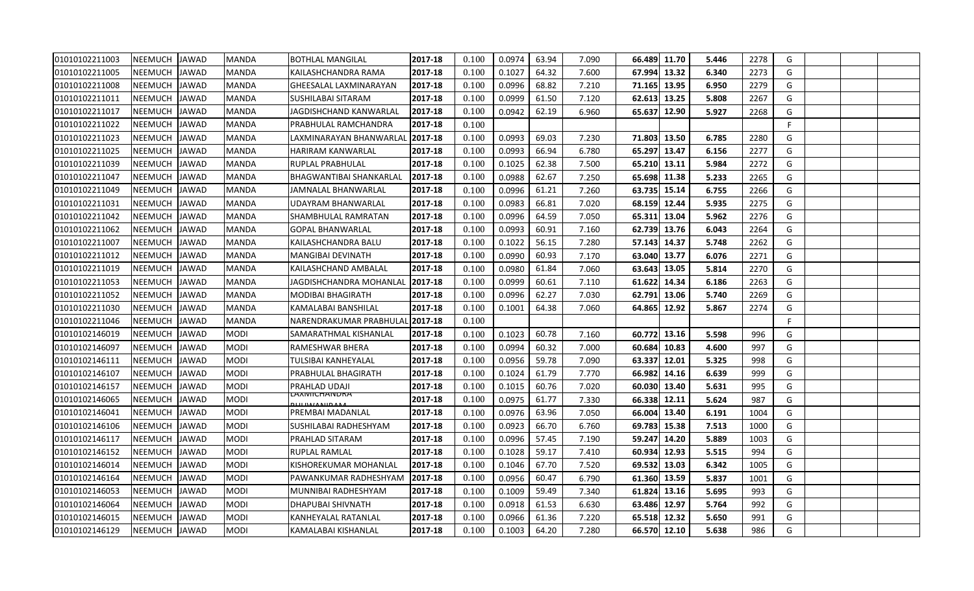| 01010102211003 | NEEMUCH JAWAD  |              | <b>MANDA</b> | <b>BOTHLAL MANGILAL</b>                   | 2017-18 | 0.100 | 0.0974 | 63.94 | 7.090 | 66.489 11.70 |       | 5.446 | 2278 | G            |  |  |
|----------------|----------------|--------------|--------------|-------------------------------------------|---------|-------|--------|-------|-------|--------------|-------|-------|------|--------------|--|--|
| 01010102211005 | NEEMUCH        | JAWAD        | <b>MANDA</b> | KAILASHCHANDRA RAMA                       | 2017-18 | 0.100 | 0.1027 | 64.32 | 7.600 | 67.994 13.32 |       | 6.340 | 2273 | G            |  |  |
| 01010102211008 | NEEMUCH        | JAWAD        | <b>MANDA</b> | GHEESALAL LAXMINARAYAN                    | 2017-18 | 0.100 | 0.0996 | 68.82 | 7.210 | 71.165 13.95 |       | 6.950 | 2279 | G            |  |  |
| 01010102211011 | NEEMUCH        | <b>JAWAD</b> | <b>MANDA</b> | SUSHILABAI SITARAM                        | 2017-18 | 0.100 | 0.0999 | 61.50 | 7.120 | 62.613 13.25 |       | 5.808 | 2267 | G            |  |  |
| 01010102211017 | NEEMUCH        | <b>JAWAD</b> | <b>MANDA</b> | JAGDISHCHAND KANWARLAL                    | 2017-18 | 0.100 | 0.0942 | 62.19 | 6.960 | 65.637 12.90 |       | 5.927 | 2268 | G            |  |  |
| 01010102211022 | NEEMUCH        | <b>JAWAD</b> | <b>MANDA</b> | PRABHULAL RAMCHANDRA                      | 2017-18 | 0.100 |        |       |       |              |       |       |      | $\mathsf{F}$ |  |  |
| 01010102211023 | NEEMUCH        | <b>JAWAD</b> | <b>MANDA</b> | LAXMINARAYAN BHANWARLAI                   | 2017-18 | 0.100 | 0.0993 | 69.03 | 7.230 | 71.803 13.50 |       | 6.785 | 2280 | G            |  |  |
| 01010102211025 | <b>NEEMUCH</b> | <b>JAWAD</b> | <b>MANDA</b> | IHARIRAM KANWARLAL                        | 2017-18 | 0.100 | 0.0993 | 66.94 | 6.780 | 65.297 13.47 |       | 6.156 | 2277 | G            |  |  |
| 01010102211039 | NEEMUCH        | <b>JAWAD</b> | <b>MANDA</b> | <b>RUPLAL PRABHULAL</b>                   | 2017-18 | 0.100 | 0.1025 | 62.38 | 7.500 | 65.210 13.11 |       | 5.984 | 2272 | G            |  |  |
| 01010102211047 | NEEMUCH        | <b>JAWAD</b> | <b>MANDA</b> | <b>BHAGWANTIBAI SHANKARLAL</b>            | 2017-18 | 0.100 | 0.0988 | 62.67 | 7.250 | 65.698 11.38 |       | 5.233 | 2265 | G            |  |  |
| 01010102211049 | NEEMUCH        | <b>JAWAD</b> | <b>MANDA</b> | <b>JAMNALAL BHANWARLAL</b>                | 2017-18 | 0.100 | 0.0996 | 61.21 | 7.260 | 63.735 15.14 |       | 6.755 | 2266 | G            |  |  |
| 01010102211031 | NEEMUCH        | <b>JAWAD</b> | <b>MANDA</b> | UDAYRAM BHANWARLAL                        | 2017-18 | 0.100 | 0.0983 | 66.81 | 7.020 | 68.159 12.44 |       | 5.935 | 2275 | G            |  |  |
| 01010102211042 | NEEMUCH        | <b>JAWAD</b> | <b>MANDA</b> | SHAMBHULAL RAMRATAN                       | 2017-18 | 0.100 | 0.0996 | 64.59 | 7.050 | 65.311       | 13.04 | 5.962 | 2276 | G            |  |  |
| 01010102211062 | <b>NEEMUCH</b> | <b>JAWAD</b> | <b>MANDA</b> | <b>GOPAL BHANWARLAL</b>                   | 2017-18 | 0.100 | 0.0993 | 60.91 | 7.160 | 62.739 13.76 |       | 6.043 | 2264 | G            |  |  |
| 01010102211007 | <b>NEEMUCH</b> | <b>JAWAD</b> | <b>MANDA</b> | KAILASHCHANDRA BALU                       | 2017-18 | 0.100 | 0.1022 | 56.15 | 7.280 | 57.143 14.37 |       | 5.748 | 2262 | G            |  |  |
| 01010102211012 | NEEMUCH        | <b>JAWAD</b> | <b>MANDA</b> | <b>MANGIBAI DEVINATH</b>                  | 2017-18 | 0.100 | 0.0990 | 60.93 | 7.170 | 63.040 13.77 |       | 6.076 | 2271 | G            |  |  |
| 01010102211019 | NEEMUCH        | <b>JAWAD</b> | <b>MANDA</b> | KAILASHCHAND AMBALAL                      | 2017-18 | 0.100 | 0.0980 | 61.84 | 7.060 | 63.643 13.05 |       | 5.814 | 2270 | G            |  |  |
| 01010102211053 | NEEMUCH        | <b>JAWAD</b> | <b>MANDA</b> | JAGDISHCHANDRA MOHANLAL                   | 2017-18 | 0.100 | 0.0999 | 60.61 | 7.110 | 61.622       | 14.34 | 6.186 | 2263 | G            |  |  |
| 01010102211052 | NEEMUCH        | <b>JAWAD</b> | <b>MANDA</b> | <b>MODIBAI BHAGIRATH</b>                  | 2017-18 | 0.100 | 0.0996 | 62.27 | 7.030 | 62.791       | 13.06 | 5.740 | 2269 | G            |  |  |
| 01010102211030 | NEEMUCH        | <b>JAWAD</b> | <b>MANDA</b> | KAMALABAI BANSHILAL                       | 2017-18 | 0.100 | 0.1001 | 64.38 | 7.060 | 64.865 12.92 |       | 5.867 | 2274 | G            |  |  |
| 01010102211046 | NEEMUCH        | <b>JAWAD</b> | <b>MANDA</b> | NARENDRAKUMAR PRABHULAL 2017-18           |         | 0.100 |        |       |       |              |       |       |      | F            |  |  |
| 01010102146019 | NEEMUCH        | <b>JAWAD</b> | <b>MODI</b>  | SAMARATHMAL KISHANLAL                     | 2017-18 | 0.100 | 0.1023 | 60.78 | 7.160 | 60.772       | 13.16 | 5.598 | 996  | G            |  |  |
| 01010102146097 | NEEMUCH        | <b>JAWAD</b> | <b>MODI</b>  | <b>RAMESHWAR BHERA</b>                    | 2017-18 | 0.100 | 0.0994 | 60.32 | 7.000 | 60.684       | 10.83 | 4.600 | 997  | G            |  |  |
| 01010102146111 | <b>NEEMUCH</b> | <b>JAWAD</b> | <b>MODI</b>  | TULSIBAI KANHEYALAL                       | 2017-18 | 0.100 | 0.0956 | 59.78 | 7.090 | 63.337       | 12.01 | 5.325 | 998  | G            |  |  |
| 01010102146107 | <b>NEEMUCH</b> | <b>JAWAD</b> | <b>MODI</b>  | <b>PRABHULAL BHAGIRATH</b>                | 2017-18 | 0.100 | 0.1024 | 61.79 | 7.770 | 66.982 14.16 |       | 6.639 | 999  | G            |  |  |
| 01010102146157 | <b>NEEMUCH</b> | <b>JAWAD</b> | <b>MODI</b>  | <b>PRAHLAD UDAJI</b>                      | 2017-18 | 0.100 | 0.1015 | 60.76 | 7.020 | 60.030 13.40 |       | 5.631 | 995  | G            |  |  |
| 01010102146065 | <b>NEEMUCH</b> | <b>JAWAD</b> | <b>MODI</b>  | LAAIVIILHAINURA<br><b>UU INAZA NUDARA</b> | 2017-18 | 0.100 | 0.0975 | 61.77 | 7.330 | 66.338 12.11 |       | 5.624 | 987  | G            |  |  |
| 01010102146041 | <b>NEEMUCH</b> | <b>JAWAD</b> | <b>MODI</b>  | PREMBAI MADANLAL                          | 2017-18 | 0.100 | 0.0976 | 63.96 | 7.050 | 66.004 13.40 |       | 6.191 | 1004 | G            |  |  |
| 01010102146106 | NEEMUCH        | <b>JAWAD</b> | <b>MODI</b>  | SUSHILABAI RADHESHYAM                     | 2017-18 | 0.100 | 0.0923 | 66.70 | 6.760 | 69.783 15.38 |       | 7.513 | 1000 | G            |  |  |
| 01010102146117 | <b>NEEMUCH</b> | <b>JAWAD</b> | <b>MODI</b>  | <b>PRAHLAD SITARAM</b>                    | 2017-18 | 0.100 | 0.0996 | 57.45 | 7.190 | 59.247 14.20 |       | 5.889 | 1003 | G            |  |  |
| 01010102146152 | NEEMUCH        | <b>JAWAD</b> | <b>MODI</b>  | <b>RUPLAL RAMLAL</b>                      | 2017-18 | 0.100 | 0.1028 | 59.17 | 7.410 | 60.934 12.93 |       | 5.515 | 994  | G            |  |  |
| 01010102146014 | NEEMUCH        | JAWAD        | <b>MODI</b>  | <b>KISHOREKUMAR MOHANLAL</b>              | 2017-18 | 0.100 | 0.1046 | 67.70 | 7.520 | 69.532 13.03 |       | 6.342 | 1005 | G            |  |  |
| 01010102146164 | NEEMUCH        | JAWAD        | <b>MODI</b>  | PAWANKUMAR RADHESHYAM                     | 2017-18 | 0.100 | 0.0956 | 60.47 | 6.790 | 61.360 13.59 |       | 5.837 | 1001 | G            |  |  |
| 01010102146053 | <b>NEEMUCH</b> | <b>JAWAD</b> | <b>MODI</b>  | MUNNIBAI RADHESHYAM                       | 2017-18 | 0.100 | 0.1009 | 59.49 | 7.340 | 61.824 13.16 |       | 5.695 | 993  | G            |  |  |
| 01010102146064 | <b>NEEMUCH</b> | JAWAD        | <b>MODI</b>  | DHAPUBAI SHIVNATH                         | 2017-18 | 0.100 | 0.0918 | 61.53 | 6.630 | 63.486 12.97 |       | 5.764 | 992  | G            |  |  |
| 01010102146015 | NEEMUCH        | <b>JAWAD</b> | <b>MODI</b>  | KANHEYALAL RATANLAL                       | 2017-18 | 0.100 | 0.0966 | 61.36 | 7.220 | 65.518 12.32 |       | 5.650 | 991  | G            |  |  |
| 01010102146129 | NEEMUCH JAWAD  |              | <b>MODI</b>  | KAMALABAI KISHANLAL                       | 2017-18 | 0.100 | 0.1003 | 64.20 | 7.280 | 66.570 12.10 |       | 5.638 | 986  | G            |  |  |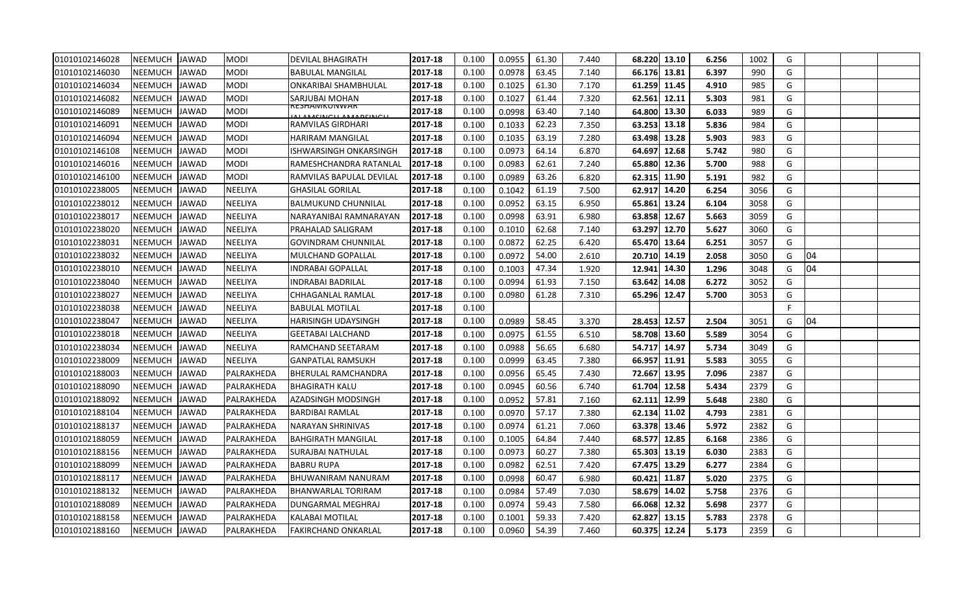| 01010102146028 | NEEMUCH JAWAD  |              | <b>MODI</b>    | <b>DEVILAL BHAGIRATH</b>                          | 2017-18 | 0.100 | 0.0955 | 61.30 | 7.440 | 68.220 13.10 |       | 6.256 | 1002 | G |    |  |
|----------------|----------------|--------------|----------------|---------------------------------------------------|---------|-------|--------|-------|-------|--------------|-------|-------|------|---|----|--|
| 01010102146030 | NEEMUCH        | JAWAD        | <b>MODI</b>    | <b>BABULAL MANGILAL</b>                           | 2017-18 | 0.100 | 0.0978 | 63.45 | 7.140 | 66.176 13.81 |       | 6.397 | 990  | G |    |  |
| 01010102146034 | NEEMUCH        | JAWAD        | <b>MODI</b>    | ONKARIBAI SHAMBHULAL                              | 2017-18 | 0.100 | 0.1025 | 61.30 | 7.170 | 61.259 11.45 |       | 4.910 | 985  | G |    |  |
| 01010102146082 | NEEMUCH        | JAWAD        | <b>MODI</b>    | SARJUBAI MOHAN                                    | 2017-18 | 0.100 | 0.1027 | 61.44 | 7.320 | 62.561 12.11 |       | 5.303 | 981  | G |    |  |
| 01010102146089 | NEEMUCH        | <b>JAWAD</b> | <b>MODI</b>    | <u>NEJHAIVINUIVWAN</u><br>ALAMACINICH ANAADCINICH | 2017-18 | 0.100 | 0.0998 | 63.40 | 7.140 | 64.800 13.30 |       | 6.033 | 989  | G |    |  |
| 01010102146091 | NEEMUCH        | <b>JAWAD</b> | <b>MODI</b>    | IRAMVILAS GIRDHARI                                | 2017-18 | 0.100 | 0.1033 | 62.23 | 7.350 | 63.253 13.18 |       | 5.836 | 984  | G |    |  |
| 01010102146094 | NEEMUCH        | <b>JAWAD</b> | <b>MODI</b>    | <b>HARIRAM MANGILAL</b>                           | 2017-18 | 0.100 | 0.1035 | 63.19 | 7.280 | 63.498 13.28 |       | 5.903 | 983  | G |    |  |
| 01010102146108 | NEEMUCH        | <b>JAWAD</b> | <b>MODI</b>    | ISHWARSINGH ONKARSINGH                            | 2017-18 | 0.100 | 0.0973 | 64.14 | 6.870 | 64.697 12.68 |       | 5.742 | 980  | G |    |  |
| 01010102146016 | NEEMUCH        | <b>JAWAD</b> | <b>MODI</b>    | RAMESHCHANDRA RATANLAL                            | 2017-18 | 0.100 | 0.0983 | 62.61 | 7.240 | 65.880       | 12.36 | 5.700 | 988  | G |    |  |
| 01010102146100 | NEEMUCH        | <b>JAWAD</b> | <b>MODI</b>    | RAMVILAS BAPULAL DEVILAL                          | 2017-18 | 0.100 | 0.0989 | 63.26 | 6.820 | 62.315       | 11.90 | 5.191 | 982  | G |    |  |
| 01010102238005 | NEEMUCH        | <b>JAWAD</b> | <b>NEELIYA</b> | <b>GHASILAL GORILAL</b>                           | 2017-18 | 0.100 | 0.1042 | 61.19 | 7.500 | 62.917       | 14.20 | 6.254 | 3056 | G |    |  |
| 01010102238012 | NEEMUCH        | <b>JAWAD</b> | <b>NEELIYA</b> | <b>BALMUKUND CHUNNILAL</b>                        | 2017-18 | 0.100 | 0.0952 | 63.15 | 6.950 | 65.861       | 13.24 | 6.104 | 3058 | G |    |  |
| 01010102238017 | <b>NEEMUCH</b> | JAWAD        | NEELIYA        | NARAYANIBAI RAMNARAYAN                            | 2017-18 | 0.100 | 0.0998 | 63.91 | 6.980 | 63.858       | 12.67 | 5.663 | 3059 | G |    |  |
| 01010102238020 | NEEMUCH        | <b>JAWAD</b> | <b>NEELIYA</b> | <b>PRAHALAD SALIGRAM</b>                          | 2017-18 | 0.100 | 0.1010 | 62.68 | 7.140 | 63.297 12.70 |       | 5.627 | 3060 | G |    |  |
| 01010102238031 | NEEMUCH        | <b>JAWAD</b> | <b>NEELIYA</b> | <b>GOVINDRAM CHUNNILAL</b>                        | 2017-18 | 0.100 | 0.0872 | 62.25 | 6.420 | 65.470 13.64 |       | 6.251 | 3057 | G |    |  |
| 01010102238032 | NEEMUCH        | <b>JAWAD</b> | NEELIYA        | MULCHAND GOPALLAL                                 | 2017-18 | 0.100 | 0.0972 | 54.00 | 2.610 | 20.710 14.19 |       | 2.058 | 3050 | G | 04 |  |
| 01010102238010 | NEEMUCH        | <b>JAWAD</b> | NEELIYA        | <b>INDRABAI GOPALLAL</b>                          | 2017-18 | 0.100 | 0.1003 | 47.34 | 1.920 | 12.941       | 14.30 | 1.296 | 3048 | G | 04 |  |
| 01010102238040 | NEEMUCH        | <b>JAWAD</b> | <b>NEELIYA</b> | <b>INDRABAI BADRILAL</b>                          | 2017-18 | 0.100 | 0.0994 | 61.93 | 7.150 | 63.642       | 14.08 | 6.272 | 3052 | G |    |  |
| 01010102238027 | NEEMUCH        | <b>JAWAD</b> | <b>NEELIYA</b> | <b>CHHAGANLAL RAMLAL</b>                          | 2017-18 | 0.100 | 0.0980 | 61.28 | 7.310 | 65.296       | 12.47 | 5.700 | 3053 | G |    |  |
| 01010102238038 | NEEMUCH        | <b>JAWAD</b> | <b>NEELIYA</b> | <b>BABULAL MOTILAL</b>                            | 2017-18 | 0.100 |        |       |       |              |       |       |      | F |    |  |
| 01010102238047 | <b>NEEMUCH</b> | <b>JAWAD</b> | <b>NEELIYA</b> | <b>HARISINGH UDAYSINGH</b>                        | 2017-18 | 0.100 | 0.0989 | 58.45 | 3.370 | 28.453 12.57 |       | 2.504 | 3051 | G | 04 |  |
| 01010102238018 | <b>NEEMUCH</b> | <b>JAWAD</b> | <b>NEELIYA</b> | <b>GEETABAI LALCHAND</b>                          | 2017-18 | 0.100 | 0.0975 | 61.55 | 6.510 | 58.708 13.60 |       | 5.589 | 3054 | G |    |  |
| 01010102238034 | NEEMUCH        | <b>JAWAD</b> | <b>NEELIYA</b> | RAMCHAND SEETARAM                                 | 2017-18 | 0.100 | 0.0988 | 56.65 | 6.680 | 54.717 14.97 |       | 5.734 | 3049 | G |    |  |
| 01010102238009 | <b>NEEMUCH</b> | <b>JAWAD</b> | <b>NEELIYA</b> | <b>GANPATLAL RAMSUKH</b>                          | 2017-18 | 0.100 | 0.0999 | 63.45 | 7.380 | 66.957 11.91 |       | 5.583 | 3055 | G |    |  |
| 01010102188003 | <b>NEEMUCH</b> | <b>JAWAD</b> | PALRAKHEDA     | <b>BHERULAL RAMCHANDRA</b>                        | 2017-18 | 0.100 | 0.0956 | 65.45 | 7.430 | 72.667       | 13.95 | 7.096 | 2387 | G |    |  |
| 01010102188090 | NEEMUCH        | <b>JAWAD</b> | PALRAKHEDA     | <b>BHAGIRATH KALU</b>                             | 2017-18 | 0.100 | 0.0945 | 60.56 | 6.740 | 61.704       | 12.58 | 5.434 | 2379 | G |    |  |
| 01010102188092 | NEEMUCH        | <b>JAWAD</b> | PALRAKHEDA     | <b>AZADSINGH MODSINGH</b>                         | 2017-18 | 0.100 | 0.0952 | 57.81 | 7.160 | 62.111       | 12.99 | 5.648 | 2380 | G |    |  |
| 01010102188104 | NEEMUCH        | <b>JAWAD</b> | PALRAKHEDA     | <b>BARDIBAI RAMLAL</b>                            | 2017-18 | 0.100 | 0.0970 | 57.17 | 7.380 | 62.134 11.02 |       | 4.793 | 2381 | G |    |  |
| 01010102188137 | NEEMUCH        | JAWAD        | PALRAKHEDA     | NARAYAN SHRINIVAS                                 | 2017-18 | 0.100 | 0.0974 | 61.21 | 7.060 | 63.378 13.46 |       | 5.972 | 2382 | G |    |  |
| 01010102188059 | <b>NEEMUCH</b> | JAWAD        | PALRAKHEDA     | BAHGIRATH MANGILAL                                | 2017-18 | 0.100 | 0.1005 | 64.84 | 7.440 | 68.577 12.85 |       | 6.168 | 2386 | G |    |  |
| 01010102188156 | NEEMUCH        | <b>JAWAD</b> | PALRAKHEDA     | <b>SURAJBAI NATHULAL</b>                          | 2017-18 | 0.100 | 0.0973 | 60.27 | 7.380 | 65.303 13.19 |       | 6.030 | 2383 | G |    |  |
| 01010102188099 | NEEMUCH        | <b>JAWAD</b> | PALRAKHEDA     | <b>BABRU RUPA</b>                                 | 2017-18 | 0.100 | 0.0982 | 62.51 | 7.420 | 67.475 13.29 |       | 6.277 | 2384 | G |    |  |
| 01010102188117 | <b>NEEMUCH</b> | <b>JAWAD</b> | PALRAKHEDA     | <b>BHUWANIRAM NANURAM</b>                         | 2017-18 | 0.100 | 0.0998 | 60.47 | 6.980 | 60.421 11.87 |       | 5.020 | 2375 | G |    |  |
| 01010102188132 | NEEMUCH        | <b>JAWAD</b> | PALRAKHEDA     | <b>BHANWARLAL TORIRAM</b>                         | 2017-18 | 0.100 | 0.0984 | 57.49 | 7.030 | 58.679 14.02 |       | 5.758 | 2376 | G |    |  |
| 01010102188089 | <b>NEEMUCH</b> | JAWAD        | PALRAKHEDA     | DUNGARMAL MEGHRAJ                                 | 2017-18 | 0.100 | 0.0974 | 59.43 | 7.580 | 66.068 12.32 |       | 5.698 | 2377 | G |    |  |
| 01010102188158 | NEEMUCH        | JAWAD        | PALRAKHEDA     | KALABAI MOTILAL                                   | 2017-18 | 0.100 | 0.1001 | 59.33 | 7.420 | 62.827 13.15 |       | 5.783 | 2378 | G |    |  |
| 01010102188160 | NEEMUCH JAWAD  |              | PALRAKHEDA     | <b>FAKIRCHAND ONKARLAL</b>                        | 2017-18 | 0.100 | 0.0960 | 54.39 | 7.460 | 60.375 12.24 |       | 5.173 | 2359 | G |    |  |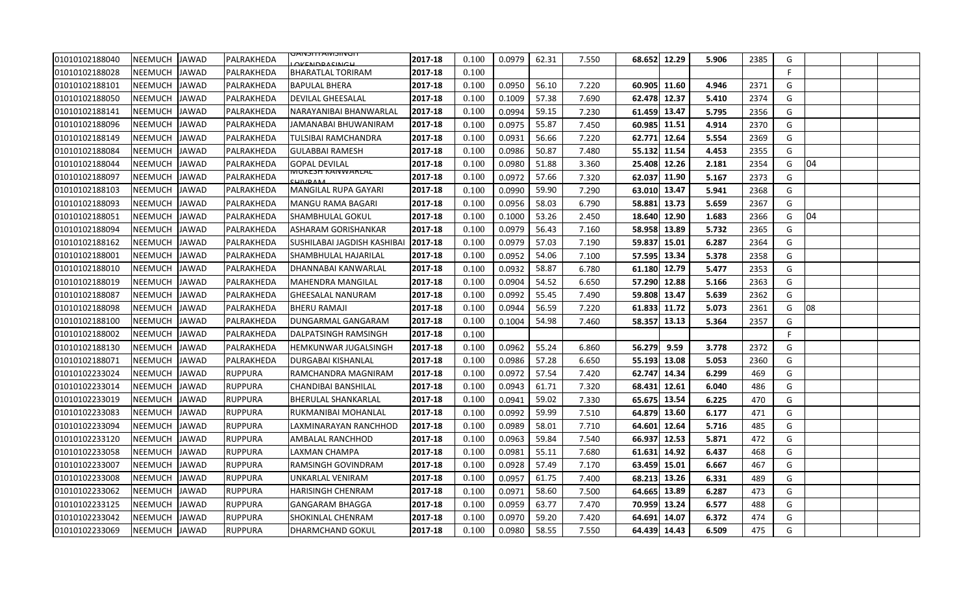| 01010102188040 | <b>NEEMUCH</b> | <b>JAWAD</b> | PALRAKHEDA     | <b>UAIVJATAIVIJIIVUT</b>                 | 2017-18 | 0.100 | 0.0979 | 62.31 | 7.550 | 68.652 12.29 |       | 5.906 | 2385 | G |    |  |
|----------------|----------------|--------------|----------------|------------------------------------------|---------|-------|--------|-------|-------|--------------|-------|-------|------|---|----|--|
| 01010102188028 | NEEMUCH        | <b>JAWAD</b> | PALRAKHEDA     | <b>OVENDDACINGU</b><br>BHARATLAL TORIRAM | 2017-18 | 0.100 |        |       |       |              |       |       |      | F |    |  |
| 01010102188101 | NEEMUCH        | <b>JAWAD</b> | PALRAKHEDA     | IBAPULAL BHERA                           | 2017-18 | 0.100 | 0.0950 | 56.10 | 7.220 | 60.905 11.60 |       | 4.946 | 2371 | G |    |  |
| 01010102188050 | NEEMUCH        | <b>JAWAD</b> | PALRAKHEDA     | <b>DEVILAL GHEESALAL</b>                 | 2017-18 | 0.100 | 0.1009 | 57.38 | 7.690 | 62.478 12.37 |       | 5.410 | 2374 | G |    |  |
| 01010102188141 | NEEMUCH        | <b>JAWAD</b> | PALRAKHEDA     | NARAYANIBAI BHANWARLAL                   | 2017-18 | 0.100 | 0.0994 | 59.15 | 7.230 | 61.459 13.47 |       | 5.795 | 2356 | G |    |  |
| 01010102188096 | NEEMUCH        | <b>JAWAD</b> | PALRAKHEDA     | JAMANABAI BHUWANIRAM                     | 2017-18 | 0.100 | 0.0975 | 55.87 | 7.450 | 60.985 11.51 |       | 4.914 | 2370 | G |    |  |
| 01010102188149 | NEEMUCH        | <b>JAWAD</b> | PALRAKHEDA     | TULSIBAI RAMCHANDRA                      | 2017-18 | 0.100 | 0.0931 | 56.66 | 7.220 | 62.771       | 12.64 | 5.554 | 2369 | G |    |  |
| 01010102188084 | NEEMUCH        | <b>JAWAD</b> | PALRAKHEDA     | <b>GULABBAI RAMESH</b>                   | 2017-18 | 0.100 | 0.0986 | 50.87 | 7.480 | 55.132 11.54 |       | 4.453 | 2355 | G |    |  |
| 01010102188044 | NEEMUCH        | <b>JAWAD</b> | PALRAKHEDA     | <b>GOPAL DEVILAL</b>                     | 2017-18 | 0.100 | 0.0980 | 51.88 | 3.360 | 25.408 12.26 |       | 2.181 | 2354 | G | 04 |  |
| 01010102188097 | NEEMUCH        | <b>JAWAD</b> | PALRAKHEDA     | WUNESH NAIVWANLAL<br>$'$ LIVID ANA       | 2017-18 | 0.100 | 0.0972 | 57.66 | 7.320 | 62.037 11.90 |       | 5.167 | 2373 | G |    |  |
| 01010102188103 | <b>NEEMUCH</b> | <b>JAWAD</b> | PALRAKHEDA     | MANGILAL RUPA GAYARI                     | 2017-18 | 0.100 | 0.0990 | 59.90 | 7.290 | 63.010 13.47 |       | 5.941 | 2368 | G |    |  |
| 01010102188093 | <b>NEEMUCH</b> | <b>JAWAD</b> | PALRAKHEDA     | MANGU RAMA BAGARI                        | 2017-18 | 0.100 | 0.0956 | 58.03 | 6.790 | 58.881 13.73 |       | 5.659 | 2367 | G |    |  |
| 01010102188051 | <b>NEEMUCH</b> | <b>JAWAD</b> | PALRAKHEDA     | SHAMBHULAL GOKUL                         | 2017-18 | 0.100 | 0.1000 | 53.26 | 2.450 | 18.640 12.90 |       | 1.683 | 2366 | G | 04 |  |
| 01010102188094 | <b>NEEMUCH</b> | <b>JAWAD</b> | PALRAKHEDA     | <b>ASHARAM GORISHANKAR</b>               | 2017-18 | 0.100 | 0.0979 | 56.43 | 7.160 | 58.958 13.89 |       | 5.732 | 2365 | G |    |  |
| 01010102188162 | <b>NEEMUCH</b> | <b>JAWAD</b> | PALRAKHEDA     | SUSHILABAI JAGDISH KASHIBAI              | 2017-18 | 0.100 | 0.0979 | 57.03 | 7.190 | 59.837 15.01 |       | 6.287 | 2364 | G |    |  |
| 01010102188001 | <b>NEEMUCH</b> | <b>JAWAD</b> | PALRAKHEDA     | SHAMBHULAL HAJARILAL                     | 2017-18 | 0.100 | 0.0952 | 54.06 | 7.100 | 57.595 13.34 |       | 5.378 | 2358 | G |    |  |
| 01010102188010 | NEEMUCH        | <b>JAWAD</b> | PALRAKHEDA     | DHANNABAI KANWARLAL                      | 2017-18 | 0.100 | 0.0932 | 58.87 | 6.780 | 61.180 12.79 |       | 5.477 | 2353 | G |    |  |
| 01010102188019 | NEEMUCH        | <b>JAWAD</b> | PALRAKHEDA     | MAHENDRA MANGILAL                        | 2017-18 | 0.100 | 0.0904 | 54.52 | 6.650 | 57.290 12.88 |       | 5.166 | 2363 | G |    |  |
| 01010102188087 | NEEMUCH        | <b>JAWAD</b> | PALRAKHEDA     | <b>GHEESALAL NANURAM</b>                 | 2017-18 | 0.100 | 0.0992 | 55.45 | 7.490 | 59.808 13.47 |       | 5.639 | 2362 | G |    |  |
| 01010102188098 | NEEMUCH        | <b>JAWAD</b> | PALRAKHEDA     | <b>BHERU RAMAJI</b>                      | 2017-18 | 0.100 | 0.0944 | 56.59 | 7.220 | 61.833 11.72 |       | 5.073 | 2361 | G | 08 |  |
| 01010102188100 | NEEMUCH        | <b>JAWAD</b> | PALRAKHEDA     | DUNGARMAL GANGARAM                       | 2017-18 | 0.100 | 0.1004 | 54.98 | 7.460 | 58.357 13.13 |       | 5.364 | 2357 | G |    |  |
| 01010102188002 | NEEMUCH        | <b>JAWAD</b> | PALRAKHEDA     | DALPATSINGH RAMSINGH                     | 2017-18 | 0.100 |        |       |       |              |       |       |      | E |    |  |
| 01010102188130 | <b>NEEMUCH</b> | <b>JAWAD</b> | PALRAKHEDA     | HEMKUNWAR JUGALSINGH                     | 2017-18 | 0.100 | 0.0962 | 55.24 | 6.860 | 56.279       | 9.59  | 3.778 | 2372 | G |    |  |
| 01010102188071 | <b>NEEMUCH</b> | <b>JAWAD</b> | PALRAKHEDA     | DURGABAI KISHANLAL                       | 2017-18 | 0.100 | 0.0986 | 57.28 | 6.650 | 55.193 13.08 |       | 5.053 | 2360 | G |    |  |
| 01010102233024 | <b>NEEMUCH</b> | <b>JAWAD</b> | <b>RUPPURA</b> | RAMCHANDRA MAGNIRAM                      | 2017-18 | 0.100 | 0.0972 | 57.54 | 7.420 | 62.747 14.34 |       | 6.299 | 469  | G |    |  |
| 01010102233014 | <b>NEEMUCH</b> | <b>JAWAD</b> | <b>RUPPURA</b> | <b>CHANDIBAI BANSHILAL</b>               | 2017-18 | 0.100 | 0.0943 | 61.71 | 7.320 | 68.431 12.61 |       | 6.040 | 486  | G |    |  |
| 01010102233019 | <b>NEEMUCH</b> | <b>JAWAD</b> | <b>RUPPURA</b> | <b>BHERULAL SHANKARLAL</b>               | 2017-18 | 0.100 | 0.0941 | 59.02 | 7.330 | 65.675 13.54 |       | 6.225 | 470  | G |    |  |
| 01010102233083 | <b>NEEMUCH</b> | <b>JAWAD</b> | <b>RUPPURA</b> | RUKMANIBAI MOHANLAL                      | 2017-18 | 0.100 | 0.0992 | 59.99 | 7.510 | 64.879 13.60 |       | 6.177 | 471  | G |    |  |
| 01010102233094 | NEEMUCH        | <b>JAWAD</b> | <b>RUPPURA</b> | LAXMINARAYAN RANCHHOD                    | 2017-18 | 0.100 | 0.0989 | 58.01 | 7.710 | 64.601 12.64 |       | 5.716 | 485  | G |    |  |
| 01010102233120 | NEEMUCH        | <b>JAWAD</b> | <b>RUPPURA</b> | <b>AMBALAL RANCHHOD</b>                  | 2017-18 | 0.100 | 0.0963 | 59.84 | 7.540 | 66.937 12.53 |       | 5.871 | 472  | G |    |  |
| 01010102233058 | NEEMUCH        | <b>JAWAD</b> | <b>RUPPURA</b> | LAXMAN CHAMPA                            | 2017-18 | 0.100 | 0.0981 | 55.11 | 7.680 | 61.631 14.92 |       | 6.437 | 468  | G |    |  |
| 01010102233007 | NEEMUCH        | <b>JAWAD</b> | <b>RUPPURA</b> | <b>RAMSINGH GOVINDRAM</b>                | 2017-18 | 0.100 | 0.0928 | 57.49 | 7.170 | 63.459 15.01 |       | 6.667 | 467  | G |    |  |
| 01010102233008 | NEEMUCH        | <b>JAWAD</b> | <b>RUPPURA</b> | UNKARLAL VENIRAM                         | 2017-18 | 0.100 | 0.0957 | 61.75 | 7.400 | 68.213 13.26 |       | 6.331 | 489  | G |    |  |
| 01010102233062 | NEEMUCH        | <b>JAWAD</b> | <b>RUPPURA</b> | <b>HARISINGH CHENRAM</b>                 | 2017-18 | 0.100 | 0.0971 | 58.60 | 7.500 | 64.665 13.89 |       | 6.287 | 473  | G |    |  |
| 01010102233125 | <b>NEEMUCH</b> | <b>JAWAD</b> | <b>RUPPURA</b> | <b>GANGARAM BHAGGA</b>                   | 2017-18 | 0.100 | 0.0959 | 63.77 | 7.470 | 70.959 13.24 |       | 6.577 | 488  | G |    |  |
| 01010102233042 | <b>NEEMUCH</b> | <b>JAWAD</b> | <b>RUPPURA</b> | <b>SHOKINLAL CHENRAM</b>                 | 2017-18 | 0.100 | 0.0970 | 59.20 | 7.420 | 64.691 14.07 |       | 6.372 | 474  | G |    |  |
| 01010102233069 | NEEMUCH JAWAD  |              | <b>RUPPURA</b> | IDHARMCHAND GOKUL                        | 2017-18 | 0.100 | 0.0980 | 58.55 | 7.550 | 64.439 14.43 |       | 6.509 | 475  | G |    |  |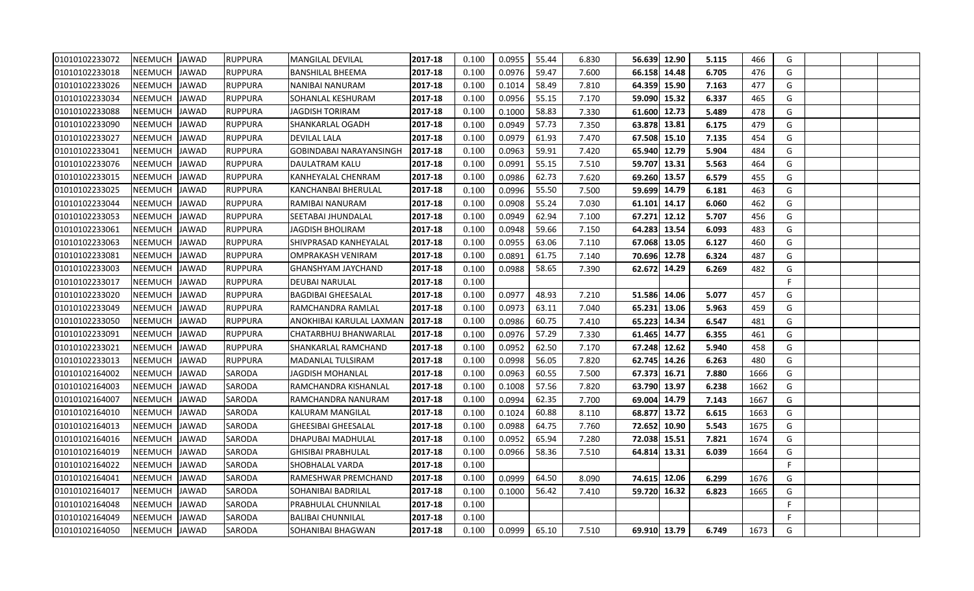| 01010102233072 | NEEMUCH JAWAD  |              | <b>RUPPURA</b> | <b>MANGILAL DEVILAL</b>    | 2017-18 | 0.100 | 0.0955 | 55.44 | 6.830 | 56.639 12.90 |       | 5.115 | 466  | G            |  |  |
|----------------|----------------|--------------|----------------|----------------------------|---------|-------|--------|-------|-------|--------------|-------|-------|------|--------------|--|--|
| 01010102233018 | NEEMUCH        | JAWAD        | <b>RUPPURA</b> | <b>BANSHILAL BHEEMA</b>    | 2017-18 | 0.100 | 0.0976 | 59.47 | 7.600 | 66.158 14.48 |       | 6.705 | 476  | G            |  |  |
| 01010102233026 | NEEMUCH        | <b>JAWAD</b> | <b>RUPPURA</b> | NANIBAI NANURAM            | 2017-18 | 0.100 | 0.1014 | 58.49 | 7.810 | 64.359 15.90 |       | 7.163 | 477  | G            |  |  |
| 01010102233034 | NEEMUCH        | JAWAD        | <b>RUPPURA</b> | SOHANLAL KESHURAM          | 2017-18 | 0.100 | 0.0956 | 55.15 | 7.170 | 59.090 15.32 |       | 6.337 | 465  | G            |  |  |
| 01010102233088 | NEEMUCH        | JAWAD        | <b>RUPPURA</b> | JAGDISH TORIRAM            | 2017-18 | 0.100 | 0.1000 | 58.83 | 7.330 | 61.600 12.73 |       | 5.489 | 478  | G            |  |  |
| 01010102233090 | NEEMUCH        | JAWAD        | <b>RUPPURA</b> | SHANKARLAL OGADH           | 2017-18 | 0.100 | 0.0949 | 57.73 | 7.350 | 63.878 13.81 |       | 6.175 | 479  | G            |  |  |
| 01010102233027 | NEEMUCH        | JAWAD        | <b>RUPPURA</b> | <b>DEVILAL LALA</b>        | 2017-18 | 0.100 | 0.0979 | 61.93 | 7.470 | 67.508 15.10 |       | 7.135 | 454  | G            |  |  |
| 01010102233041 | NEEMUCH        | <b>JAWAD</b> | <b>RUPPURA</b> | GOBINDABAI NARAYANSINGH    | 2017-18 | 0.100 | 0.0963 | 59.91 | 7.420 | 65.940 12.79 |       | 5.904 | 484  | G            |  |  |
| 01010102233076 | <b>NEEMUCH</b> | <b>JAWAD</b> | <b>RUPPURA</b> | DAULATRAM KALU             | 2017-18 | 0.100 | 0.0991 | 55.15 | 7.510 | 59.707 13.31 |       | 5.563 | 464  | G            |  |  |
| 01010102233015 | NEEMUCH        | JAWAD        | <b>RUPPURA</b> | KANHEYALAL CHENRAM         | 2017-18 | 0.100 | 0.0986 | 62.73 | 7.620 | 69.260 13.57 |       | 6.579 | 455  | G            |  |  |
| 01010102233025 | NEEMUCH        | <b>JAWAD</b> | <b>RUPPURA</b> | <b>KANCHANBAI BHERULAL</b> | 2017-18 | 0.100 | 0.0996 | 55.50 | 7.500 | 59.699 14.79 |       | 6.181 | 463  | G            |  |  |
| 01010102233044 | NEEMUCH        | <b>JAWAD</b> | <b>RUPPURA</b> | RAMIBAI NANURAM            | 2017-18 | 0.100 | 0.0908 | 55.24 | 7.030 | 61.101       | 14.17 | 6.060 | 462  | G            |  |  |
| 01010102233053 | NEEMUCH        | <b>JAWAD</b> | <b>RUPPURA</b> | SEETABAI JHUNDALAL         | 2017-18 | 0.100 | 0.0949 | 62.94 | 7.100 | 67.271       | 12.12 | 5.707 | 456  | G            |  |  |
| 01010102233061 | <b>NEEMUCH</b> | <b>JAWAD</b> | <b>RUPPURA</b> | JAGDISH BHOLIRAM           | 2017-18 | 0.100 | 0.0948 | 59.66 | 7.150 | 64.283 13.54 |       | 6.093 | 483  | G            |  |  |
| 01010102233063 | <b>NEEMUCH</b> | <b>JAWAD</b> | <b>RUPPURA</b> | SHIVPRASAD KANHEYALAL      | 2017-18 | 0.100 | 0.0955 | 63.06 | 7.110 | 67.068 13.05 |       | 6.127 | 460  | G            |  |  |
| 01010102233081 | NEEMUCH        | <b>JAWAD</b> | <b>RUPPURA</b> | <b>OMPRAKASH VENIRAM</b>   | 2017-18 | 0.100 | 0.0891 | 61.75 | 7.140 | 70.696 12.78 |       | 6.324 | 487  | G            |  |  |
| 01010102233003 | NEEMUCH        | JAWAD        | <b>RUPPURA</b> | <b>GHANSHYAM JAYCHAND</b>  | 2017-18 | 0.100 | 0.0988 | 58.65 | 7.390 | 62.672 14.29 |       | 6.269 | 482  | G            |  |  |
| 01010102233017 | NEEMUCH        | JAWAD        | <b>RUPPURA</b> | <b>DEUBAI NARULAL</b>      | 2017-18 | 0.100 |        |       |       |              |       |       |      | F.           |  |  |
| 01010102233020 | NEEMUCH        | JAWAD        | <b>RUPPURA</b> | <b>BAGDIBAI GHEESALAL</b>  | 2017-18 | 0.100 | 0.0977 | 48.93 | 7.210 | 51.586 14.06 |       | 5.077 | 457  | G            |  |  |
| 01010102233049 | NEEMUCH        | JAWAD        | <b>RUPPURA</b> | RAMCHANDRA RAMLAL          | 2017-18 | 0.100 | 0.0973 | 63.11 | 7.040 | 65.231 13.06 |       | 5.963 | 459  | G            |  |  |
| 01010102233050 | NEEMUCH        | <b>JAWAD</b> | <b>RUPPURA</b> | ANOKHIBAI KARULAL LAXMAN   | 2017-18 | 0.100 | 0.0986 | 60.75 | 7.410 | 65.223 14.34 |       | 6.547 | 481  | G            |  |  |
| 01010102233091 | NEEMUCH        | <b>JAWAD</b> | <b>RUPPURA</b> | CHATARBHUJ BHANWARLAL      | 2017-18 | 0.100 | 0.0976 | 57.29 | 7.330 | 61.465 14.77 |       | 6.355 | 461  | G            |  |  |
| 01010102233021 | <b>NEEMUCH</b> | <b>JAWAD</b> | <b>RUPPURA</b> | SHANKARLAL RAMCHAND        | 2017-18 | 0.100 | 0.0952 | 62.50 | 7.170 | 67.248 12.62 |       | 5.940 | 458  | G            |  |  |
| 01010102233013 | <b>NEEMUCH</b> | <b>JAWAD</b> | <b>RUPPURA</b> | <b>MADANLAL TULSIRAM</b>   | 2017-18 | 0.100 | 0.0998 | 56.05 | 7.820 | 62.745 14.26 |       | 6.263 | 480  | G            |  |  |
| 01010102164002 | <b>NEEMUCH</b> | <b>JAWAD</b> | <b>SARODA</b>  | <b>JAGDISH MOHANLAL</b>    | 2017-18 | 0.100 | 0.0963 | 60.55 | 7.500 | 67.373 16.71 |       | 7.880 | 1666 | G            |  |  |
| 01010102164003 | <b>NEEMUCH</b> | <b>JAWAD</b> | <b>SARODA</b>  | RAMCHANDRA KISHANLAL       | 2017-18 | 0.100 | 0.1008 | 57.56 | 7.820 | 63.790 13.97 |       | 6.238 | 1662 | G            |  |  |
| 01010102164007 | <b>NEEMUCH</b> | <b>JAWAD</b> | <b>SARODA</b>  | RAMCHANDRA NANURAM         | 2017-18 | 0.100 | 0.0994 | 62.35 | 7.700 | 69.004 14.79 |       | 7.143 | 1667 | G            |  |  |
| 01010102164010 | <b>NEEMUCH</b> | <b>JAWAD</b> | <b>SARODA</b>  | <b>KALURAM MANGILAL</b>    | 2017-18 | 0.100 | 0.1024 | 60.88 | 8.110 | 68.877 13.72 |       | 6.615 | 1663 | G            |  |  |
| 01010102164013 | <b>NEEMUCH</b> | <b>JAWAD</b> | SARODA         | <b>GHEESIBAI GHEESALAL</b> | 2017-18 | 0.100 | 0.0988 | 64.75 | 7.760 | 72.652 10.90 |       | 5.543 | 1675 | G            |  |  |
| 01010102164016 | NEEMUCH        | <b>JAWAD</b> | SARODA         | DHAPUBAI MADHULAL          | 2017-18 | 0.100 | 0.0952 | 65.94 | 7.280 | 72.038 15.51 |       | 7.821 | 1674 | G            |  |  |
| 01010102164019 | NEEMUCH        | <b>JAWAD</b> | SARODA         | <b>GHISIBAI PRABHULAL</b>  | 2017-18 | 0.100 | 0.0966 | 58.36 | 7.510 | 64.814 13.31 |       | 6.039 | 1664 | G            |  |  |
| 01010102164022 | NEEMUCH        | <b>JAWAD</b> | SARODA         | SHOBHALAL VARDA            | 2017-18 | 0.100 |        |       |       |              |       |       |      | F.           |  |  |
| 01010102164041 | NEEMUCH        | JAWAD        | <b>SARODA</b>  | RAMESHWAR PREMCHAND        | 2017-18 | 0.100 | 0.0999 | 64.50 | 8.090 | 74.615 12.06 |       | 6.299 | 1676 | G            |  |  |
| 01010102164017 | <b>NEEMUCH</b> | <b>JAWAD</b> | <b>SARODA</b>  | SOHANIBAI BADRILAL         | 2017-18 | 0.100 | 0.1000 | 56.42 | 7.410 | 59.720 16.32 |       | 6.823 | 1665 | G            |  |  |
| 01010102164048 | <b>NEEMUCH</b> | JAWAD        | <b>SARODA</b>  | PRABHULAL CHUNNILAL        | 2017-18 | 0.100 |        |       |       |              |       |       |      | $\mathsf{F}$ |  |  |
| 01010102164049 | NEEMUCH        | <b>JAWAD</b> | <b>SARODA</b>  | <b>BALIBAI CHUNNILAL</b>   | 2017-18 | 0.100 |        |       |       |              |       |       |      | $\mathsf{F}$ |  |  |
| 01010102164050 | NEEMUCH JAWAD  |              | <b>SARODA</b>  | SOHANIBAI BHAGWAN          | 2017-18 | 0.100 | 0.0999 | 65.10 | 7.510 | 69.910 13.79 |       | 6.749 | 1673 | G            |  |  |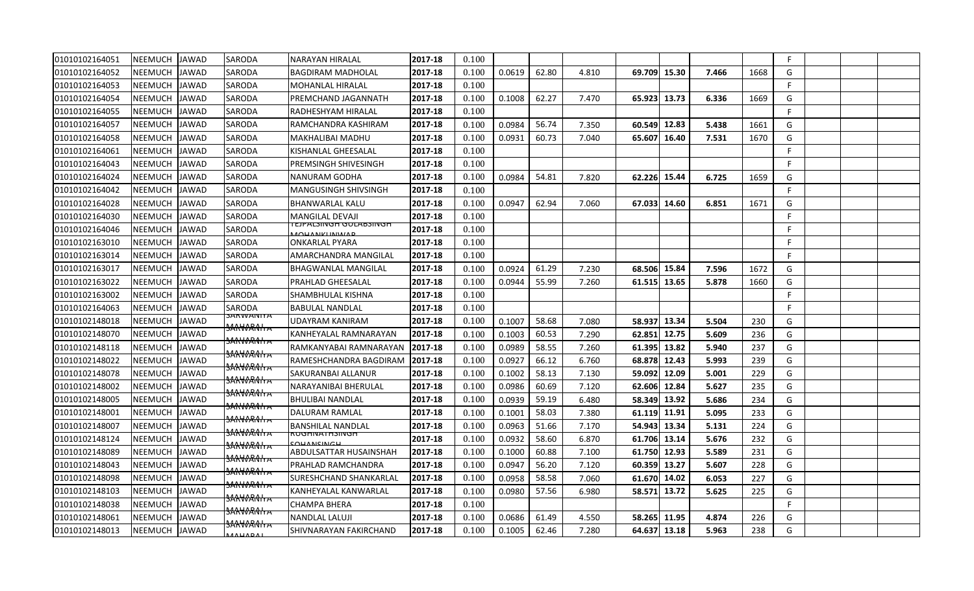| 01010102164051 | NEEMUCH        | JAWAD        | <b>SARODA</b>                          | NARAYAN HIRALAL                                            | 2017-18 | 0.100 |        |       |       |              |       |       |      | F.           |  |  |
|----------------|----------------|--------------|----------------------------------------|------------------------------------------------------------|---------|-------|--------|-------|-------|--------------|-------|-------|------|--------------|--|--|
| 01010102164052 | NEEMUCH        | <b>JAWAD</b> | <b>SARODA</b>                          | <b>BAGDIRAM MADHOLAL</b>                                   | 2017-18 | 0.100 | 0.0619 | 62.80 | 4.810 | 69.709       | 15.30 | 7.466 | 1668 | G            |  |  |
| 01010102164053 | <b>NEEMUCH</b> | JAWAD        | SARODA                                 | <b>MOHANLAL HIRALAL</b>                                    | 2017-18 | 0.100 |        |       |       |              |       |       |      | F.           |  |  |
| 01010102164054 | NEEMUCH        | JAWAD        | <b>SARODA</b>                          | PREMCHAND JAGANNATH                                        | 2017-18 | 0.100 | 0.1008 | 62.27 | 7.470 | 65.923       | 13.73 | 6.336 | 1669 | G            |  |  |
| 01010102164055 | NEEMUCH        | JAWAD        | <b>SARODA</b>                          | RADHESHYAM HIRALAL                                         | 2017-18 | 0.100 |        |       |       |              |       |       |      | F.           |  |  |
| 01010102164057 | NEEMUCH        | <b>JAWAD</b> | <b>SARODA</b>                          | RAMCHANDRA KASHIRAM                                        | 2017-18 | 0.100 | 0.0984 | 56.74 | 7.350 | 60.549       | 12.83 | 5.438 | 1661 | G            |  |  |
| 01010102164058 | NEEMUCH        | <b>JAWAD</b> | <b>SARODA</b>                          | MAKHALIBAI MADHU                                           | 2017-18 | 0.100 | 0.0931 | 60.73 | 7.040 | 65.607       | 16.40 | 7.531 | 1670 | G            |  |  |
| 01010102164061 | NEEMUCH        | <b>JAWAD</b> | <b>SARODA</b>                          | <b>KISHANLAL GHEESALAL</b>                                 | 2017-18 | 0.100 |        |       |       |              |       |       |      | F.           |  |  |
| 01010102164043 | NEEMUCH        | <b>JAWAD</b> | SARODA                                 | PREMSINGH SHIVESINGH                                       | 2017-18 | 0.100 |        |       |       |              |       |       |      | $\mathsf{F}$ |  |  |
| 01010102164024 | NEEMUCH        | JAWAD        | <b>SARODA</b>                          | NANURAM GODHA                                              | 2017-18 | 0.100 | 0.0984 | 54.81 | 7.820 | 62.226       | 15.44 | 6.725 | 1659 | G            |  |  |
| 01010102164042 | NEEMUCH        | <b>JAWAD</b> | <b>SARODA</b>                          | <b>MANGUSINGH SHIVSINGH</b>                                | 2017-18 | 0.100 |        |       |       |              |       |       |      | F.           |  |  |
| 01010102164028 | NEEMUCH        | <b>JAWAD</b> | <b>SARODA</b>                          | <b>BHANWARLAL KALU</b>                                     | 2017-18 | 0.100 | 0.0947 | 62.94 | 7.060 | 67.033       | 14.60 | 6.851 | 1671 | G            |  |  |
| 01010102164030 | NEEMUCH        | <b>JAWAD</b> | <b>SARODA</b>                          | <b>MANGILAL DEVAJI</b>                                     | 2017-18 | 0.100 |        |       |       |              |       |       |      | F            |  |  |
| 01010102164046 | NEEMUCH        | <b>JAWAD</b> | <b>SARODA</b>                          | <b>EJPALSIINUM UULADSIINUM</b><br><b>AQUANIZI INITALAD</b> | 2017-18 | 0.100 |        |       |       |              |       |       |      | F            |  |  |
| 01010102163010 | NEEMUCH        | JAWAD        | SARODA                                 | <b>ONKARLAL PYARA</b>                                      | 2017-18 | 0.100 |        |       |       |              |       |       |      | F            |  |  |
| 01010102163014 | NEEMUCH        | JAWAD        | SARODA                                 | AMARCHANDRA MANGILAL                                       | 2017-18 | 0.100 |        |       |       |              |       |       |      | F            |  |  |
| 01010102163017 | NEEMUCH        | JAWAD        | <b>SARODA</b>                          | <b>BHAGWANLAL MANGILAL</b>                                 | 2017-18 | 0.100 | 0.0924 | 61.29 | 7.230 | 68.506       | 15.84 | 7.596 | 1672 | G            |  |  |
| 01010102163022 | NEEMUCH        | JAWAD        | <b>SARODA</b>                          | PRAHLAD GHEESALAL                                          | 2017-18 | 0.100 | 0.0944 | 55.99 | 7.260 | 61.515       | 13.65 | 5.878 | 1660 | G            |  |  |
| 01010102163002 | NEEMUCH        | <b>JAWAD</b> | <b>SARODA</b>                          | SHAMBHULAL KISHNA                                          | 2017-18 | 0.100 |        |       |       |              |       |       |      | F            |  |  |
| 01010102164063 | NEEMUCH        | <b>JAWAD</b> | <b>SARODA</b>                          | <b>BABULAL NANDLAL</b>                                     | 2017-18 | 0.100 |        |       |       |              |       |       |      | F            |  |  |
| 01010102148018 | NEEMUCH        | <b>JAWAD</b> | <b>SARWAINITA</b><br><b>SARVARNITA</b> | UDAYRAM KANIRAM                                            | 2017-18 | 0.100 | 0.1007 | 58.68 | 7.080 | 58.937 13.34 |       | 5.504 | 230  | G            |  |  |
| 01010102148070 | NEEMUCH        | JAWAD        | <b>SARVARNITA</b>                      | KANHEYALAL RAMNARAYAN                                      | 2017-18 | 0.100 | 0.1003 | 60.53 | 7.290 | 62.851 12.75 |       | 5.609 | 236  | G            |  |  |
| 01010102148118 | NEEMUCH        | <b>JAWAD</b> | <b>SARVARNITA</b>                      | RAMKANYABAI RAMNARAYAN                                     | 2017-18 | 0.100 | 0.0989 | 58.55 | 7.260 | 61.395 13.82 |       | 5.940 | 237  | G            |  |  |
| 01010102148022 | NEEMUCH        | <b>JAWAD</b> | <b>SARVARNITA</b>                      | RAMESHCHANDRA BAGDIRAM                                     | 2017-18 | 0.100 | 0.0927 | 66.12 | 6.760 | 68.878 12.43 |       | 5.993 | 239  | G            |  |  |
| 01010102148078 | NEEMUCH        | <b>JAWAD</b> | <b>SARWANTA</b>                        | SAKURANBAI ALLANUR                                         | 2017-18 | 0.100 | 0.1002 | 58.13 | 7.130 | 59.092 12.09 |       | 5.001 | 229  | G            |  |  |
| 01010102148002 | NEEMUCH        | <b>JAWAD</b> |                                        | NARAYANIBAI BHERULAL                                       | 2017-18 | 0.100 | 0.0986 | 60.69 | 7.120 | 62.606 12.84 |       | 5.627 | 235  | G            |  |  |
| 01010102148005 | NEEMUCH        | <b>JAWAD</b> | <b>SARVARNITA</b><br><b>SARVARNITA</b> | <b>BHULIBAI NANDLAL</b>                                    | 2017-18 | 0.100 | 0.0939 | 59.19 | 6.480 | 58.349 13.92 |       | 5.686 | 234  | G            |  |  |
| 01010102148001 | NEEMUCH        | JAWAD        | <b>SARWANTA</b>                        | DALURAM RAMLAL                                             | 2017-18 | 0.100 | 0.1001 | 58.03 | 7.380 | 61.119 11.91 |       | 5.095 | 233  | G            |  |  |
| 01010102148007 | NEEMUCH        | <b>JAWAD</b> | <del>\$ANV∧RNH</del>                   | <b>BANSHILAL NANDLAL</b>                                   | 2017-18 | 0.100 | 0.0963 | 51.66 | 7.170 | 54.943 13.34 |       | 5.131 | 224  | G            |  |  |
| 01010102148124 | NEEMUCH        | <b>JAWAD</b> | <b>SARVARNITA</b>                      | <u> הטעוונה ו איוחטט</u><br><b>OUVVICIVICA</b>             | 2017-18 | 0.100 | 0.0932 | 58.60 | 6.870 | 61.706 13.14 |       | 5.676 | 232  | G            |  |  |
| 01010102148089 | NEEMUCH        | <b>JAWAD</b> | <b>SARWANTA</b>                        | <b>ABDULSATTAR HUSAINSHAH</b>                              | 2017-18 | 0.100 | 0.1000 | 60.88 | 7.100 | 61.750 12.93 |       | 5.589 | 231  | G            |  |  |
| 01010102148043 | NEEMUCH        | <b>JAWAD</b> |                                        | PRAHLAD RAMCHANDRA                                         | 2017-18 | 0.100 | 0.0947 | 56.20 | 7.120 | 60.359 13.27 |       | 5.607 | 228  | G            |  |  |
| 01010102148098 | NEEMUCH        | <b>JAWAD</b> | <b>SARVARNITA</b>                      | <b>SURESHCHAND SHANKARLAL</b>                              | 2017-18 | 0.100 | 0.0958 | 58.58 | 7.060 | 61.670 14.02 |       | 6.053 | 227  | G            |  |  |
| 01010102148103 | NEEMUCH        | <b>JAWAD</b> | <b>SARVARNITA</b><br><b>SARWANTA</b>   | KANHEYALAL KANWARLAL                                       | 2017-18 | 0.100 | 0.0980 | 57.56 | 6.980 | 58.571 13.72 |       | 5.625 | 225  | G            |  |  |
| 01010102148038 | NEEMUCH        | <b>JAWAD</b> | <b>SANVARNITA</b>                      | CHAMPA BHERA                                               | 2017-18 | 0.100 |        |       |       |              |       |       |      | F.           |  |  |
| 01010102148061 | NEEMUCH        | <b>JAWAD</b> | <b>SARWARNITA</b>                      | NANDLAL LALUJI                                             | 2017-18 | 0.100 | 0.0686 | 61.49 | 4.550 | 58.265 11.95 |       | 4.874 | 226  | G            |  |  |
| 01010102148013 | <b>NEEMUCH</b> | JAWAD        |                                        | SHIVNARAYAN FAKIRCHAND                                     | 2017-18 | 0.100 | 0.1005 | 62.46 | 7.280 | 64.637 13.18 |       | 5.963 | 238  | G            |  |  |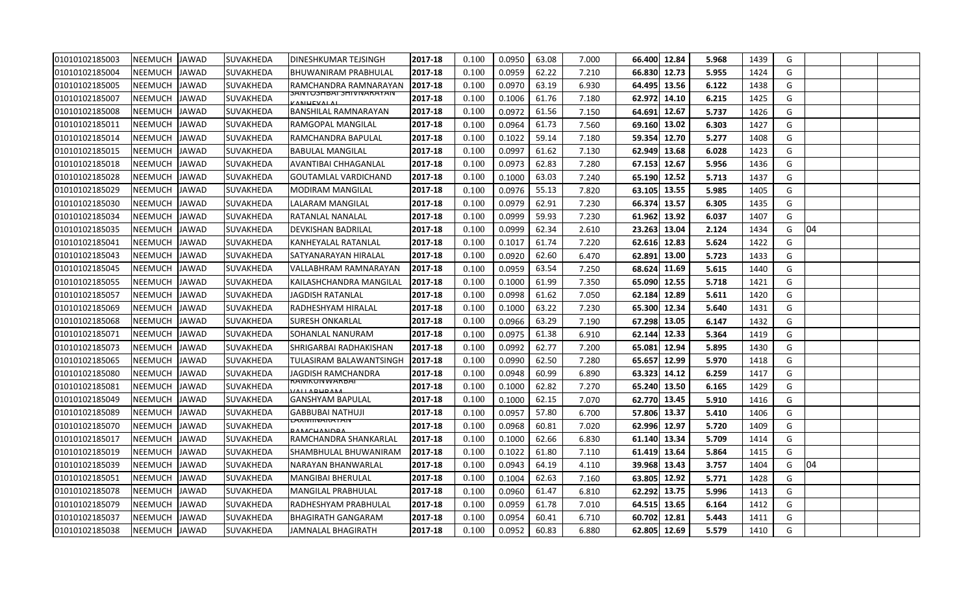| 01010102185003 | NEEMUCH JAWAD  |              | <b>SUVAKHEDA</b> | IDINESHKUMAR TEJSINGH                            | 2017-18 | 0.100 | 0.0950 | 63.08 | 7.000 | 66.400 12.84 |              | 5.968 | 1439 | G |    |  |
|----------------|----------------|--------------|------------------|--------------------------------------------------|---------|-------|--------|-------|-------|--------------|--------------|-------|------|---|----|--|
| 01010102185004 | NEEMUCH        | JAWAD        | <b>SUVAKHEDA</b> | <b>BHUWANIRAM PRABHULAL</b>                      | 2017-18 | 0.100 | 0.0959 | 62.22 | 7.210 | 66.830 12.73 |              | 5.955 | 1424 | G |    |  |
| 01010102185005 | NEEMUCH        | JAWAD        | <b>SUVAKHEDA</b> | RAMCHANDRA RAMNARAYAN                            | 2017-18 | 0.100 | 0.0970 | 63.19 | 6.930 |              | 64.495 13.56 | 6.122 | 1438 | G |    |  |
| 01010102185007 | NEEMUCH        | <b>JAWAD</b> | <b>SUVAKHEDA</b> | <u>JAN I UJADAI JAIVINAKA TAIV</u><br>ANLIEVALAI | 2017-18 | 0.100 | 0.1006 | 61.76 | 7.180 |              | 62.972 14.10 | 6.215 | 1425 | G |    |  |
| 01010102185008 | NEEMUCH        | <b>JAWAD</b> | <b>SUVAKHEDA</b> | <b>BANSHILAL RAMNARAYAN</b>                      | 2017-18 | 0.100 | 0.0972 | 61.56 | 7.150 | 64.691       | 12.67        | 5.737 | 1426 | G |    |  |
| 01010102185011 | NEEMUCH        | <b>JAWAD</b> | <b>SUVAKHEDA</b> | IRAMGOPAL MANGILAL                               | 2017-18 | 0.100 | 0.0964 | 61.73 | 7.560 | 69.160 13.02 |              | 6.303 | 1427 | G |    |  |
| 01010102185014 | NEEMUCH        | <b>JAWAD</b> | <b>SUVAKHEDA</b> | IRAMCHANDRA BAPULAL                              | 2017-18 | 0.100 | 0.1022 | 59.14 | 7.180 | 59.354       | 12.70        | 5.277 | 1408 | G |    |  |
| 01010102185015 | NEEMUCH        | <b>JAWAD</b> | <b>SUVAKHEDA</b> | <b>BABULAL MANGILAL</b>                          | 2017-18 | 0.100 | 0.0997 | 61.62 | 7.130 | 62.949       | 13.68        | 6.028 | 1423 | G |    |  |
| 01010102185018 | NEEMUCH        | <b>JAWAD</b> | <b>SUVAKHEDA</b> | <b>AVANTIBAI CHHAGANLAL</b>                      | 2017-18 | 0.100 | 0.0973 | 62.83 | 7.280 | 67.153       | 12.67        | 5.956 | 1436 | G |    |  |
| 01010102185028 | NEEMUCH        | <b>JAWAD</b> | <b>SUVAKHEDA</b> | <b>GOUTAMLAL VARDICHAND</b>                      | 2017-18 | 0.100 | 0.1000 | 63.03 | 7.240 | 65.190       | 12.52        | 5.713 | 1437 | G |    |  |
| 01010102185029 | NEEMUCH        | <b>JAWAD</b> | <b>SUVAKHEDA</b> | <b>MODIRAM MANGILAL</b>                          | 2017-18 | 0.100 | 0.0976 | 55.13 | 7.820 | 63.105 13.55 |              | 5.985 | 1405 | G |    |  |
| 01010102185030 | NEEMUCH        | <b>JAWAD</b> | <b>SUVAKHEDA</b> | LALARAM MANGILAL                                 | 2017-18 | 0.100 | 0.0979 | 62.91 | 7.230 | 66.374       | 13.57        | 6.305 | 1435 | G |    |  |
| 01010102185034 | NEEMUCH        | JAWAD        | <b>SUVAKHEDA</b> | IRATANLAL NANALAL                                | 2017-18 | 0.100 | 0.0999 | 59.93 | 7.230 | 61.962 13.92 |              | 6.037 | 1407 | G |    |  |
| 01010102185035 | NEEMUCH        | <b>JAWAD</b> | SUVAKHEDA        | <b>DEVKISHAN BADRILAL</b>                        | 2017-18 | 0.100 | 0.0999 | 62.34 | 2.610 | 23.263 13.04 |              | 2.124 | 1434 | G | 04 |  |
| 01010102185041 | NEEMUCH        | <b>JAWAD</b> | SUVAKHEDA        | KANHEYALAL RATANLAL                              | 2017-18 | 0.100 | 0.1017 | 61.74 | 7.220 | 62.616 12.83 |              | 5.624 | 1422 | G |    |  |
| 01010102185043 | NEEMUCH        | <b>JAWAD</b> | SUVAKHEDA        | SATYANARAYAN HIRALAL                             | 2017-18 | 0.100 | 0.0920 | 62.60 | 6.470 | 62.891       | 13.00        | 5.723 | 1433 | G |    |  |
| 01010102185045 | NEEMUCH        | <b>JAWAD</b> | <b>SUVAKHEDA</b> | VALLABHRAM RAMNARAYAN                            | 2017-18 | 0.100 | 0.0959 | 63.54 | 7.250 | 68.624       | 11.69        | 5.615 | 1440 | G |    |  |
| 01010102185055 | NEEMUCH        | <b>JAWAD</b> | <b>SUVAKHEDA</b> | KAILASHCHANDRA MANGILAL                          | 2017-18 | 0.100 | 0.1000 | 61.99 | 7.350 | 65.090       | 12.55        | 5.718 | 1421 | G |    |  |
| 01010102185057 | NEEMUCH        | <b>JAWAD</b> | <b>SUVAKHEDA</b> | <b>JAGDISH RATANLAL</b>                          | 2017-18 | 0.100 | 0.0998 | 61.62 | 7.050 | 62.184       | 12.89        | 5.611 | 1420 | G |    |  |
| 01010102185069 | NEEMUCH        | JAWAD        | <b>SUVAKHEDA</b> | <b>RADHESHYAM HIRALAL</b>                        | 2017-18 | 0.100 | 0.1000 | 63.22 | 7.230 | 65.300       | 12.34        | 5.640 | 1431 | G |    |  |
| 01010102185068 | <b>NEEMUCH</b> | <b>JAWAD</b> | SUVAKHEDA        | <b>SURESH ONKARLAL</b>                           | 2017-18 | 0.100 | 0.0966 | 63.29 | 7.190 | 67.298       | 13.05        | 6.147 | 1432 | G |    |  |
| 01010102185071 | <b>NEEMUCH</b> | <b>JAWAD</b> | SUVAKHEDA        | <b>SOHANLAL NANURAM</b>                          | 2017-18 | 0.100 | 0.0975 | 61.38 | 6.910 | 62.144       | 12.33        | 5.364 | 1419 | G |    |  |
| 01010102185073 | <b>NEEMUCH</b> | <b>JAWAD</b> | SUVAKHEDA        | <b>SHRIGARBAI RADHAKISHAN</b>                    | 2017-18 | 0.100 | 0.0992 | 62.77 | 7.200 | 65.081       | 12.94        | 5.895 | 1430 | G |    |  |
| 01010102185065 | <b>NEEMUCH</b> | <b>JAWAD</b> | SUVAKHEDA        | TULASIRAM BALAWANTSINGH                          | 2017-18 | 0.100 | 0.0990 | 62.50 | 7.280 | 65.657       | 12.99        | 5.970 | 1418 | G |    |  |
| 01010102185080 | <b>NEEMUCH</b> | <b>JAWAD</b> | <b>SUVAKHEDA</b> | JAGDISH RAMCHANDRA                               | 2017-18 | 0.100 | 0.0948 | 60.99 | 6.890 | 63.323 14.12 |              | 6.259 | 1417 | G |    |  |
| 01010102185081 | NEEMUCH        | <b>JAWAD</b> | <b>SUVAKHEDA</b> | <u> YAIVINUIVWANDAI</u>                          | 2017-18 | 0.100 | 0.1000 | 62.82 | 7.270 | 65.240 13.50 |              | 6.165 | 1429 | G |    |  |
| 01010102185049 | NEEMUCH        | <b>JAWAD</b> | <b>SUVAKHEDA</b> | <b>GANSHYAM BAPULAL</b>                          | 2017-18 | 0.100 | 0.1000 | 62.15 | 7.070 | 62.770 13.45 |              | 5.910 | 1416 | G |    |  |
| 01010102185089 | NEEMUCH        | <b>JAWAD</b> | <b>SUVAKHEDA</b> | <b>GABBUBAI NATHUJI</b>                          | 2017-18 | 0.100 | 0.0957 | 57.80 | 6.700 | 57.806 13.37 |              | 5.410 | 1406 | G |    |  |
| 01010102185070 | NEEMUCH        | JAWAD        | <b>SUVAKHEDA</b> | LAAIVIIINAKA TAIV<br><b>DAMCUANDDA</b>           | 2017-18 | 0.100 | 0.0968 | 60.81 | 7.020 | 62.996 12.97 |              | 5.720 | 1409 | G |    |  |
| 01010102185017 | NEEMUCH        | JAWAD        | <b>SUVAKHEDA</b> | RAMCHANDRA SHANKARLAL                            | 2017-18 | 0.100 | 0.1000 | 62.66 | 6.830 | 61.140 13.34 |              | 5.709 | 1414 | G |    |  |
| 01010102185019 | NEEMUCH        | <b>JAWAD</b> | <b>SUVAKHEDA</b> | SHAMBHULAL BHUWANIRAM                            | 2017-18 | 0.100 | 0.1022 | 61.80 | 7.110 | 61.419 13.64 |              | 5.864 | 1415 | G |    |  |
| 01010102185039 | NEEMUCH        | <b>JAWAD</b> | <b>SUVAKHEDA</b> | NARAYAN BHANWARLAL                               | 2017-18 | 0.100 | 0.0943 | 64.19 | 4.110 | 39.968 13.43 |              | 3.757 | 1404 | G | 04 |  |
| 01010102185051 | NEEMUCH        | <b>JAWAD</b> | <b>SUVAKHEDA</b> | <b>MANGIBAI BHERULAL</b>                         | 2017-18 | 0.100 | 0.1004 | 62.63 | 7.160 | 63.805 12.92 |              | 5.771 | 1428 | G |    |  |
| 01010102185078 | NEEMUCH        | <b>JAWAD</b> | <b>SUVAKHEDA</b> | MANGILAL PRABHULAL                               | 2017-18 | 0.100 | 0.0960 | 61.47 | 6.810 | 62.292 13.75 |              | 5.996 | 1413 | G |    |  |
| 01010102185079 | <b>NEEMUCH</b> | JAWAD        | <b>SUVAKHEDA</b> | RADHESHYAM PRABHULAL                             | 2017-18 | 0.100 | 0.0959 | 61.78 | 7.010 | 64.515 13.65 |              | 6.164 | 1412 | G |    |  |
| 01010102185037 | NEEMUCH        | JAWAD        | SUVAKHEDA        | BHAGIRATH GANGARAM                               | 2017-18 | 0.100 | 0.0954 | 60.41 | 6.710 | 60.702 12.81 |              | 5.443 | 1411 | G |    |  |
| 01010102185038 | NEEMUCH JAWAD  |              | <b>SUVAKHEDA</b> | JAMNALAL BHAGIRATH                               | 2017-18 | 0.100 | 0.0952 | 60.83 | 6.880 |              | 62.805 12.69 | 5.579 | 1410 | G |    |  |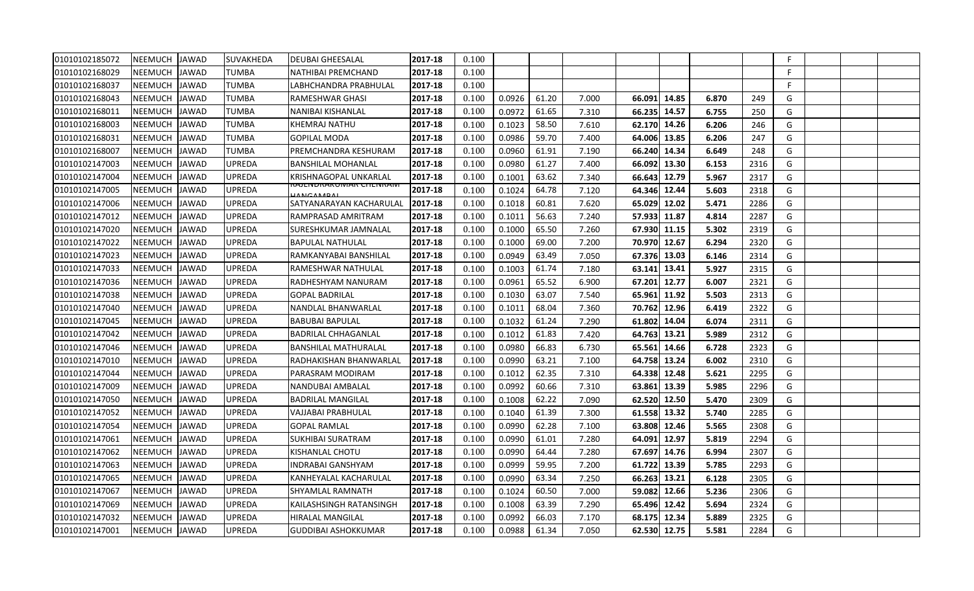| 01010102185072 | <b>NEEMUCH</b> | <b>JAWAD</b> | <b>SUVAKHEDA</b> | <b>DEUBAI GHEESALAL</b>                    | 2017-18 | 0.100 |        |       |       |              |       |       |      | $\mathsf{F}$ |  |  |
|----------------|----------------|--------------|------------------|--------------------------------------------|---------|-------|--------|-------|-------|--------------|-------|-------|------|--------------|--|--|
| 01010102168029 | NEEMUCH        | JAWAD        | <b>TUMBA</b>     | NATHIBAI PREMCHAND                         | 2017-18 | 0.100 |        |       |       |              |       |       |      | $\mathsf{F}$ |  |  |
| 01010102168037 | NEEMUCH        | JAWAD        | <b>TUMBA</b>     | LABHCHANDRA PRABHULAL                      | 2017-18 | 0.100 |        |       |       |              |       |       |      | $\mathsf{F}$ |  |  |
| 01010102168043 | NEEMUCH        | <b>JAWAD</b> | <b>TUMBA</b>     | <b>RAMESHWAR GHASI</b>                     | 2017-18 | 0.100 | 0.0926 | 61.20 | 7.000 | 66.091       | 14.85 | 6.870 | 249  | G            |  |  |
| 01010102168011 | NEEMUCH        | <b>JAWAD</b> | <b>TUMBA</b>     | <b>NANIBAI KISHANLAL</b>                   | 2017-18 | 0.100 | 0.0972 | 61.65 | 7.310 | 66.235 14.57 |       | 6.755 | 250  | G            |  |  |
| 01010102168003 | NEEMUCH        | JAWAD        | <b>TUMBA</b>     | <b>KHEMRAJ NATHU</b>                       | 2017-18 | 0.100 | 0.1023 | 58.50 | 7.610 | 62.170 14.26 |       | 6.206 | 246  | G            |  |  |
| 01010102168031 | NEEMUCH        | <b>JAWAD</b> | <b>TUMBA</b>     | <b>GOPILAL MODA</b>                        | 2017-18 | 0.100 | 0.0986 | 59.70 | 7.400 | 64.006 13.85 |       | 6.206 | 247  | G            |  |  |
| 01010102168007 | NEEMUCH        | <b>JAWAD</b> | <b>TUMBA</b>     | PREMCHANDRA KESHURAM                       | 2017-18 | 0.100 | 0.0960 | 61.91 | 7.190 | 66.240 14.34 |       | 6.649 | 248  | G            |  |  |
| 01010102147003 | NEEMUCH        | <b>JAWAD</b> | <b>UPREDA</b>    | <b>BANSHILAL MOHANLAL</b>                  | 2017-18 | 0.100 | 0.0980 | 61.27 | 7.400 | 66.092 13.30 |       | 6.153 | 2316 | G            |  |  |
| 01010102147004 | NEEMUCH        | <b>JAWAD</b> | <b>UPREDA</b>    | KRISHNAGOPAL UNKARLAL                      | 2017-18 | 0.100 | 0.1001 | 63.62 | 7.340 | 66.643       | 12.79 | 5.967 | 2317 | G            |  |  |
| 01010102147005 | NEEMUCH        | <b>JAWAD</b> | <b>UPREDA</b>    | <u>AJENDNANUMIAN CHEINNAIM</u><br>ANCAMPAI | 2017-18 | 0.100 | 0.1024 | 64.78 | 7.120 | 64.346       | 12.44 | 5.603 | 2318 | G            |  |  |
| 01010102147006 | NEEMUCH        | <b>JAWAD</b> | <b>UPREDA</b>    | SATYANARAYAN KACHARULAL                    | 2017-18 | 0.100 | 0.1018 | 60.81 | 7.620 | 65.029       | 12.02 | 5.471 | 2286 | G            |  |  |
| 01010102147012 | NEEMUCH        | <b>JAWAD</b> | <b>UPREDA</b>    | IRAMPRASAD AMRITRAM                        | 2017-18 | 0.100 | 0.1011 | 56.63 | 7.240 | 57.933 11.87 |       | 4.814 | 2287 | G            |  |  |
| 01010102147020 | NEEMUCH        | <b>JAWAD</b> | <b>UPREDA</b>    | SURESHKUMAR JAMNALAL                       | 2017-18 | 0.100 | 0.1000 | 65.50 | 7.260 | 67.930 11.15 |       | 5.302 | 2319 | G            |  |  |
| 01010102147022 | NEEMUCH        | <b>JAWAD</b> | <b>UPREDA</b>    | <b>BAPULAL NATHULAL</b>                    | 2017-18 | 0.100 | 0.1000 | 69.00 | 7.200 | 70.970       | 12.67 | 6.294 | 2320 | G            |  |  |
| 01010102147023 | NEEMUCH        | <b>JAWAD</b> | <b>UPREDA</b>    | RAMKANYABAI BANSHILAL                      | 2017-18 | 0.100 | 0.0949 | 63.49 | 7.050 | 67.376 13.03 |       | 6.146 | 2314 | G            |  |  |
| 01010102147033 | NEEMUCH        | <b>JAWAD</b> | <b>UPREDA</b>    | RAMESHWAR NATHULAL                         | 2017-18 | 0.100 | 0.1003 | 61.74 | 7.180 | 63.141       | 13.41 | 5.927 | 2315 | G            |  |  |
| 01010102147036 | NEEMUCH        | <b>JAWAD</b> | <b>UPREDA</b>    | RADHESHYAM NANURAM                         | 2017-18 | 0.100 | 0.0961 | 65.52 | 6.900 | 67.201       | 12.77 | 6.007 | 2321 | G            |  |  |
| 01010102147038 | NEEMUCH        | <b>JAWAD</b> | <b>UPREDA</b>    | <b>GOPAL BADRILAL</b>                      | 2017-18 | 0.100 | 0.1030 | 63.07 | 7.540 | 65.961       | 11.92 | 5.503 | 2313 | G            |  |  |
| 01010102147040 | NEEMUCH        | <b>JAWAD</b> | <b>UPREDA</b>    | <b>NANDLAL BHANWARLAL</b>                  | 2017-18 | 0.100 | 0.1011 | 68.04 | 7.360 | 70.762       | 12.96 | 6.419 | 2322 | G            |  |  |
| 01010102147045 | NEEMUCH        | <b>JAWAD</b> | <b>UPREDA</b>    | <b>BABUBAI BAPULAL</b>                     | 2017-18 | 0.100 | 0.1032 | 61.24 | 7.290 | 61.802       | 14.04 | 6.074 | 2311 | G            |  |  |
| 01010102147042 | NEEMUCH        | <b>JAWAD</b> | <b>UPREDA</b>    | <b>BADRILAL CHHAGANLAL</b>                 | 2017-18 | 0.100 | 0.1012 | 61.83 | 7.420 | 64.763 13.21 |       | 5.989 | 2312 | G            |  |  |
| 01010102147046 | <b>NEEMUCH</b> | <b>JAWAD</b> | <b>UPREDA</b>    | <b>BANSHILAL MATHURALAL</b>                | 2017-18 | 0.100 | 0.0980 | 66.83 | 6.730 | 65.561       | 14.66 | 6.728 | 2323 | G            |  |  |
| 01010102147010 | NEEMUCH        | <b>JAWAD</b> | <b>UPREDA</b>    | RADHAKISHAN BHANWARLAL                     | 2017-18 | 0.100 | 0.0990 | 63.21 | 7.100 | 64.758 13.24 |       | 6.002 | 2310 | G            |  |  |
| 01010102147044 | NEEMUCH        | <b>JAWAD</b> | <b>UPREDA</b>    | PARASRAM MODIRAM                           | 2017-18 | 0.100 | 0.1012 | 62.35 | 7.310 | 64.338 12.48 |       | 5.621 | 2295 | G            |  |  |
| 01010102147009 | NEEMUCH        | <b>JAWAD</b> | <b>UPREDA</b>    | NANDUBAI AMBALAL                           | 2017-18 | 0.100 | 0.0992 | 60.66 | 7.310 | 63.861 13.39 |       | 5.985 | 2296 | G            |  |  |
| 01010102147050 | NEEMUCH        | <b>JAWAD</b> | <b>UPREDA</b>    | <b>BADRILAL MANGILAL</b>                   | 2017-18 | 0.100 | 0.1008 | 62.22 | 7.090 | 62.520 12.50 |       | 5.470 | 2309 | G            |  |  |
| 01010102147052 | NEEMUCH        | JAWAD        | UPREDA           | <b>VAJJABAI PRABHULAL</b>                  | 2017-18 | 0.100 | 0.1040 | 61.39 | 7.300 | 61.558 13.32 |       | 5.740 | 2285 | G            |  |  |
| 01010102147054 | NEEMUCH        | <b>JAWAD</b> | <b>UPREDA</b>    | <b>GOPAL RAMLAL</b>                        | 2017-18 | 0.100 | 0.0990 | 62.28 | 7.100 | 63.808 12.46 |       | 5.565 | 2308 | G            |  |  |
| 01010102147061 | NEEMUCH        | <b>JAWAD</b> | UPREDA           | <b>SUKHIBAI SURATRAM</b>                   | 2017-18 | 0.100 | 0.0990 | 61.01 | 7.280 | 64.091       | 12.97 | 5.819 | 2294 | G            |  |  |
| 01010102147062 | NEEMUCH        | <b>JAWAD</b> | <b>UPREDA</b>    | <b>KISHANLAL CHOTU</b>                     | 2017-18 | 0.100 | 0.0990 | 64.44 | 7.280 | 67.697 14.76 |       | 6.994 | 2307 | G            |  |  |
| 01010102147063 | <b>NEEMUCH</b> | <b>JAWAD</b> | <b>UPREDA</b>    | <b>INDRABAI GANSHYAM</b>                   | 2017-18 | 0.100 | 0.0999 | 59.95 | 7.200 | 61.722 13.39 |       | 5.785 | 2293 | G            |  |  |
| 01010102147065 | <b>NEEMUCH</b> | <b>JAWAD</b> | <b>UPREDA</b>    | KANHEYALAL KACHARULAL                      | 2017-18 | 0.100 | 0.0990 | 63.34 | 7.250 | 66.263 13.21 |       | 6.128 | 2305 | G            |  |  |
| 01010102147067 | <b>NEEMUCH</b> | <b>JAWAD</b> | <b>UPREDA</b>    | <b>SHYAMLAL RAMNATH</b>                    | 2017-18 | 0.100 | 0.1024 | 60.50 | 7.000 | 59.082 12.66 |       | 5.236 | 2306 | G            |  |  |
| 01010102147069 | NEEMUCH        | <b>JAWAD</b> | <b>UPREDA</b>    | KAILASHSINGH RATANSINGH                    | 2017-18 | 0.100 | 0.1008 | 63.39 | 7.290 | 65.496 12.42 |       | 5.694 | 2324 | G            |  |  |
| 01010102147032 | NEEMUCH        | <b>JAWAD</b> | <b>UPREDA</b>    | <b>HIRALAL MANGILAL</b>                    | 2017-18 | 0.100 | 0.0992 | 66.03 | 7.170 | 68.175 12.34 |       | 5.889 | 2325 | G            |  |  |
| 01010102147001 | NEEMUCH JAWAD  |              | <b>UPREDA</b>    | <b>GUDDIBAI ASHOKKUMAR</b>                 | 2017-18 | 0.100 | 0.0988 | 61.34 | 7.050 | 62.530 12.75 |       | 5.581 | 2284 | G            |  |  |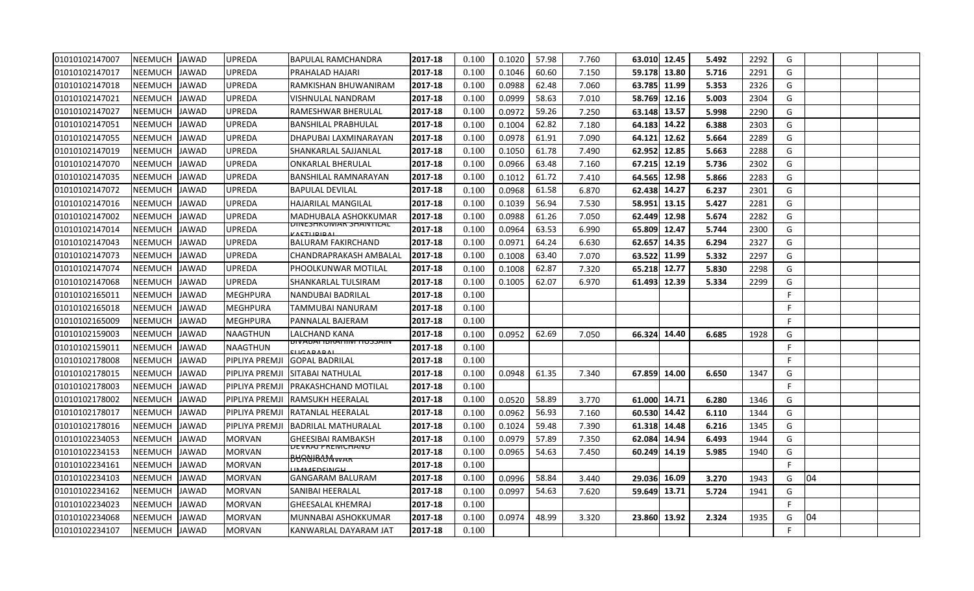| 01010102147007 | <b>NEEMUCH</b> | JAWAD        | <b>UPREDA</b>  | <b>BAPULAL RAMCHANDRA</b>                     | 2017-18 | 0.100 | 0.1020 | 57.98 | 7.760 | 63.010 12.45 |       | 5.492 | 2292 | G            |    |  |
|----------------|----------------|--------------|----------------|-----------------------------------------------|---------|-------|--------|-------|-------|--------------|-------|-------|------|--------------|----|--|
| 01010102147017 | NEEMUCH        | <b>JAWAD</b> | UPREDA         | PRAHALAD HAJARI                               | 2017-18 | 0.100 | 0.1046 | 60.60 | 7.150 | 59.178 13.80 |       | 5.716 | 2291 | G            |    |  |
| 01010102147018 | NEEMUCH        | JAWAD        | UPREDA         | RAMKISHAN BHUWANIRAM                          | 2017-18 | 0.100 | 0.0988 | 62.48 | 7.060 | 63.785 11.99 |       | 5.353 | 2326 | G            |    |  |
| 01010102147021 | NEEMUCH        | <b>JAWAD</b> | UPREDA         | VISHNULAL NANDRAM                             | 2017-18 | 0.100 | 0.0999 | 58.63 | 7.010 | 58.769 12.16 |       | 5.003 | 2304 | G            |    |  |
| 01010102147027 | NEEMUCH        | <b>JAWAD</b> | UPREDA         | RAMESHWAR BHERULAL                            | 2017-18 | 0.100 | 0.0972 | 59.26 | 7.250 | 63.148 13.57 |       | 5.998 | 2290 | G            |    |  |
| 01010102147051 | NEEMUCH        | <b>JAWAD</b> | UPREDA         | <b>BANSHILAL PRABHULAL</b>                    | 2017-18 | 0.100 | 0.1004 | 62.82 | 7.180 | 64.183 14.22 |       | 6.388 | 2303 | G            |    |  |
| 01010102147055 | NEEMUCH        | <b>JAWAD</b> | UPREDA         | DHAPUBAI LAXMINARAYAN                         | 2017-18 | 0.100 | 0.0978 | 61.91 | 7.090 | 64.121 12.62 |       | 5.664 | 2289 | G            |    |  |
| 01010102147019 | NEEMUCH        | JAWAD        | UPREDA         | SHANKARLAL SAJJANLAL                          | 2017-18 | 0.100 | 0.1050 | 61.78 | 7.490 | 62.952 12.85 |       | 5.663 | 2288 | G            |    |  |
| 01010102147070 | <b>NEEMUCH</b> | <b>JAWAD</b> | UPREDA         | <b>ONKARLAL BHERULAL</b>                      | 2017-18 | 0.100 | 0.0966 | 63.48 | 7.160 | 67.215 12.19 |       | 5.736 | 2302 | G            |    |  |
| 01010102147035 | <b>NEEMUCH</b> | <b>JAWAD</b> | UPREDA         | <b>BANSHILAL RAMNARAYAN</b>                   | 2017-18 | 0.100 | 0.1012 | 61.72 | 7.410 | 64.565 12.98 |       | 5.866 | 2283 | G            |    |  |
| 01010102147072 | <b>NEEMUCH</b> | <b>JAWAD</b> | UPREDA         | <b>BAPULAL DEVILAL</b>                        | 2017-18 | 0.100 | 0.0968 | 61.58 | 6.870 | 62.438 14.27 |       | 6.237 | 2301 | G            |    |  |
| 01010102147016 | <b>NEEMUCH</b> | <b>JAWAD</b> | UPREDA         | <b>HAJARILAL MANGILAL</b>                     | 2017-18 | 0.100 | 0.1039 | 56.94 | 7.530 | 58.951       | 13.15 | 5.427 | 2281 | G            |    |  |
| 01010102147002 | <b>NEEMUCH</b> | <b>JAWAD</b> | UPREDA         | MADHUBALA ASHOKKUMAR                          | 2017-18 | 0.100 | 0.0988 | 61.26 | 7.050 | 62.449       | 12.98 | 5.674 | 2282 | G            |    |  |
| 01010102147014 | <b>NEEMUCH</b> | <b>JAWAD</b> | UPREDA         | <u>UINESHNUMAN SHANTILAL</u><br>ACTIIDIDAI    | 2017-18 | 0.100 | 0.0964 | 63.53 | 6.990 | 65.809       | 12.47 | 5.744 | 2300 | G            |    |  |
| 01010102147043 | <b>NEEMUCH</b> | <b>JAWAD</b> | UPREDA         | <b>BALURAM FAKIRCHAND</b>                     | 2017-18 | 0.100 | 0.0971 | 64.24 | 6.630 | 62.657       | 14.35 | 6.294 | 2327 | G            |    |  |
| 01010102147073 | NEEMUCH        | <b>JAWAD</b> | UPREDA         | CHANDRAPRAKASH AMBALAL                        | 2017-18 | 0.100 | 0.1008 | 63.40 | 7.070 | 63.522       | 11.99 | 5.332 | 2297 | G            |    |  |
| 01010102147074 | <b>NEEMUCH</b> | <b>JAWAD</b> | UPREDA         | PHOOLKUNWAR MOTILAL                           | 2017-18 | 0.100 | 0.1008 | 62.87 | 7.320 | 65.218       | 12.77 | 5.830 | 2298 | G            |    |  |
| 01010102147068 | <b>NEEMUCH</b> | <b>JAWAD</b> | UPREDA         | SHANKARLAL TULSIRAM                           | 2017-18 | 0.100 | 0.1005 | 62.07 | 6.970 | 61.493       | 12.39 | 5.334 | 2299 | G            |    |  |
| 01010102165011 | NEEMUCH        | <b>JAWAD</b> | MEGHPURA       | NANDUBAI BADRILAL                             | 2017-18 | 0.100 |        |       |       |              |       |       |      | F            |    |  |
| 01010102165018 | NEEMUCH        | <b>JAWAD</b> | MEGHPURA       | TAMMUBAI NANURAM                              | 2017-18 | 0.100 |        |       |       |              |       |       |      | F            |    |  |
| 01010102165009 | NEEMUCH        | <b>JAWAD</b> | MEGHPURA       | PANNALAL BAJERAM                              | 2017-18 | 0.100 |        |       |       |              |       |       |      | F            |    |  |
| 01010102159003 | NEEMUCH        | <b>JAWAD</b> | NAAGTHUN       | <b>LALCHAND KANA</b>                          | 2017-18 | 0.100 | 0.0952 | 62.69 | 7.050 | 66.324       | 14.40 | 6.685 | 1928 | G            |    |  |
| 01010102159011 | NEEMUCH        | <b>JAWAD</b> | NAAGTHUN       | <b>MIYADAI IDNAMINI INOSAIIN</b><br>LICADADAL | 2017-18 | 0.100 |        |       |       |              |       |       |      | F            |    |  |
| 01010102178008 | NEEMUCH        | <b>JAWAD</b> | PIPLIYA PREMJI | <b>GOPAL BADRILAL</b>                         | 2017-18 | 0.100 |        |       |       |              |       |       |      | F            |    |  |
| 01010102178015 | NEEMUCH        | <b>JAWAD</b> | PIPLIYA PREMJI | <b>SITABAI NATHULAL</b>                       | 2017-18 | 0.100 | 0.0948 | 61.35 | 7.340 | 67.859       | 14.00 | 6.650 | 1347 | G            |    |  |
| 01010102178003 | NEEMUCH        | <b>JAWAD</b> | PIPLIYA PREMJI | <b>PRAKASHCHAND MOTILAL</b>                   | 2017-18 | 0.100 |        |       |       |              |       |       |      | F            |    |  |
| 01010102178002 | NEEMUCH        | <b>JAWAD</b> | PIPLIYA PREMJI | <b>RAMSUKH HEERALAL</b>                       | 2017-18 | 0.100 | 0.0520 | 58.89 | 3.770 | 61.000 14.71 |       | 6.280 | 1346 | G            |    |  |
| 01010102178017 | NEEMUCH        | <b>JAWAD</b> | PIPLIYA PREMJI | RATANLAL HEERALAL                             | 2017-18 | 0.100 | 0.0962 | 56.93 | 7.160 | 60.530 14.42 |       | 6.110 | 1344 | G            |    |  |
| 01010102178016 | NEEMUCH        | <b>JAWAD</b> | PIPLIYA PREMJI | <b>BADRILAL MATHURALAL</b>                    | 2017-18 | 0.100 | 0.1024 | 59.48 | 7.390 | 61.318 14.48 |       | 6.216 | 1345 | G            |    |  |
| 01010102234053 | NEEMUCH        | <b>JAWAD</b> | <b>MORVAN</b>  | <b>GHEESIBAI RAMBAKSH</b>                     | 2017-18 | 0.100 | 0.0979 | 57.89 | 7.350 | 62.084 14.94 |       | 6.493 | 1944 | G            |    |  |
| 01010102234153 | NEEMUCH        | JAWAD        | <b>MORVAN</b>  | JEVRAJ PREIVICHAIND                           | 2017-18 | 0.100 | 0.0965 | 54.63 | 7.450 | 60.249 14.19 |       | 5.985 | 1940 | G            |    |  |
| 01010102234161 | NEEMUCH        | JAWAD        | <b>MORVAN</b>  | <del>BURUKUNwar</del><br>IRARAFDCIRC1         | 2017-18 | 0.100 |        |       |       |              |       |       |      | F            |    |  |
| 01010102234103 | NEEMUCH        | JAWAD        | <b>MORVAN</b>  | <b>GANGARAM BALURAM</b>                       | 2017-18 | 0.100 | 0.0996 | 58.84 | 3.440 | 29.036 16.09 |       | 3.270 | 1943 | G            | 04 |  |
| 01010102234162 | NEEMUCH        | <b>JAWAD</b> | <b>MORVAN</b>  | <b>SANIBAI HEERALAL</b>                       | 2017-18 | 0.100 | 0.0997 | 54.63 | 7.620 | 59.649 13.71 |       | 5.724 | 1941 | G            |    |  |
| 01010102234023 | NEEMUCH        | JAWAD        | <b>MORVAN</b>  | <b>GHEESALAL KHEMRAJ</b>                      | 2017-18 | 0.100 |        |       |       |              |       |       |      | $\mathsf{F}$ |    |  |
| 01010102234068 | NEEMUCH        | <b>JAWAD</b> | <b>MORVAN</b>  | MUNNABAI ASHOKKUMAR                           | 2017-18 | 0.100 | 0.0974 | 48.99 | 3.320 | 23.860       | 13.92 | 2.324 | 1935 | G            | 04 |  |
| 01010102234107 | <b>NEEMUCH</b> | JAWAD        | <b>MORVAN</b>  | KANWARLAL DAYARAM JAT                         | 2017-18 | 0.100 |        |       |       |              |       |       |      | F            |    |  |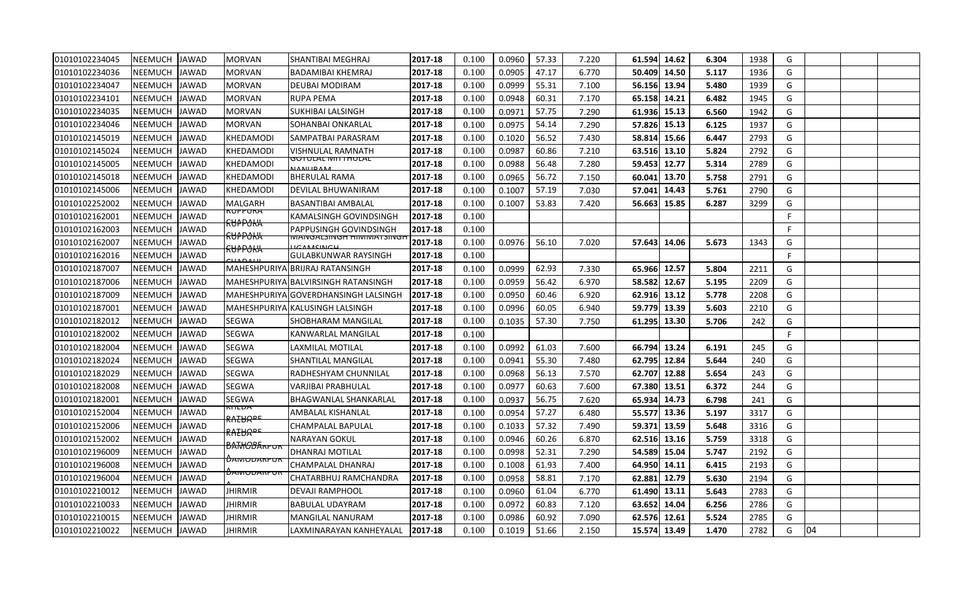| 01010102234045 | NEEMUCH        | JAWAD        | <b>MORVAN</b>          | SHANTIBAI MEGHRAJ                                           | 2017-18 | 0.100 | 0.0960 | 57.33 | 7.220 | 61.594 14.62 |       | 6.304 | 1938 | G  |    |  |
|----------------|----------------|--------------|------------------------|-------------------------------------------------------------|---------|-------|--------|-------|-------|--------------|-------|-------|------|----|----|--|
| 01010102234036 | NEEMUCH        | JAWAD        | <b>MORVAN</b>          | BADAMIBAI KHEMRAJ                                           | 2017-18 | 0.100 | 0.0905 | 47.17 | 6.770 | 50.409 14.50 |       | 5.117 | 1936 | G  |    |  |
| 01010102234047 | NEEMUCH        | JAWAD        | <b>MORVAN</b>          | <b>DEUBAI MODIRAM</b>                                       | 2017-18 | 0.100 | 0.0999 | 55.31 | 7.100 | 56.156 13.94 |       | 5.480 | 1939 | G  |    |  |
| 01010102234101 | NEEMUCH        | <b>JAWAD</b> | <b>MORVAN</b>          | <b>RUPA PEMA</b>                                            | 2017-18 | 0.100 | 0.0948 | 60.31 | 7.170 | 65.158 14.21 |       | 6.482 | 1945 | G  |    |  |
| 01010102234035 | NEEMUCH        | <b>JAWAD</b> | <b>MORVAN</b>          | <b>SUKHIBAI LALSINGH</b>                                    | 2017-18 | 0.100 | 0.0971 | 57.75 | 7.290 | 61.936 15.13 |       | 6.560 | 1942 | G  |    |  |
| 01010102234046 | NEEMUCH        | <b>JAWAD</b> | <b>MORVAN</b>          | SOHANBAI ONKARLAL                                           | 2017-18 | 0.100 | 0.0975 | 54.14 | 7.290 | 57.826 15.13 |       | 6.125 | 1937 | G  |    |  |
| 01010102145019 | NEEMUCH        | <b>JAWAD</b> | <b>KHEDAMODI</b>       | SAMPATBAI PARASRAM                                          | 2017-18 | 0.100 | 0.1020 | 56.52 | 7.430 | 58.814       | 15.66 | 6.447 | 2793 | G  |    |  |
| 01010102145024 | NEEMUCH        | <b>JAWAD</b> | <b>KHEDAMODI</b>       | lVISHNULAL RAMNATH                                          | 2017-18 | 0.100 | 0.0987 | 60.86 | 7.210 | 63.516 13.10 |       | 5.824 | 2792 | G  |    |  |
| 01010102145005 | NEEMUCH        | <b>JAWAD</b> | <b>KHEDAMODI</b>       | <b>GUTULAL IVIITTITULAL</b><br><b>IANILIDANA</b>            | 2017-18 | 0.100 | 0.0988 | 56.48 | 7.280 | 59.453       | 12.77 | 5.314 | 2789 | G  |    |  |
| 01010102145018 | NEEMUCH        | <b>JAWAD</b> | <b>KHEDAMODI</b>       | <b>BHERULAL RAMA</b>                                        | 2017-18 | 0.100 | 0.0965 | 56.72 | 7.150 | 60.041       | 13.70 | 5.758 | 2791 | G  |    |  |
| 01010102145006 | NEEMUCH        | <b>JAWAD</b> | <b>KHEDAMODI</b>       | <b>DEVILAL BHUWANIRAM</b>                                   | 2017-18 | 0.100 | 0.1007 | 57.19 | 7.030 | 57.041       | 14.43 | 5.761 | 2790 | G  |    |  |
| 01010102252002 | NEEMUCH        | <b>JAWAD</b> | <b>MALGARH</b>         | <b>BASANTIBAI AMBALAL</b>                                   | 2017-18 | 0.100 | 0.1007 | 53.83 | 7.420 | 56.663       | 15.85 | 6.287 | 3299 | G  |    |  |
| 01010102162001 | NEEMUCH        | <b>JAWAD</b> | RUPPURA                | KAMALSINGH GOVINDSINGH                                      | 2017-18 | 0.100 |        |       |       |              |       |       |      | F. |    |  |
| 01010102162003 | NEEMUCH        | <b>JAWAD</b> | ᠷᡃᡰ᠋ <del>ᢂᢂ</del>     | <b>PAPPUSINGH GOVINDSINGH</b>                               | 2017-18 | 0.100 |        |       |       |              |       |       |      | F. |    |  |
| 01010102162007 | NEEMUCH        | <b>JAWAD</b> | ᠷᡃᡰ᠋ <del>ᢂᢂ</del>     | <u>טעווכ ו אוועווח חטעווכואטעואוע</u><br><b>ICAMACINICH</b> | 2017-18 | 0.100 | 0.0976 | 56.10 | 7.020 | 57.643 14.06 |       | 5.673 | 1343 | G  |    |  |
| 01010102162016 | NEEMUCH        | <b>JAWAD</b> | <b>RUPPOKA</b>         | <b>GULABKUNWAR RAYSINGH</b>                                 | 2017-18 | 0.100 |        |       |       |              |       |       |      | F. |    |  |
| 01010102187007 | NEEMUCH        | <b>JAWAD</b> |                        | MAHESHPURIYA BRIJRAJ RATANSINGH                             | 2017-18 | 0.100 | 0.0999 | 62.93 | 7.330 | 65.966 12.57 |       | 5.804 | 2211 | G  |    |  |
| 01010102187006 | NEEMUCH        | <b>JAWAD</b> |                        | MAHESHPURIYA BALVIRSINGH RATANSINGH                         | 2017-18 | 0.100 | 0.0959 | 56.42 | 6.970 | 58.582 12.67 |       | 5.195 | 2209 | G  |    |  |
| 01010102187009 | NEEMUCH        | <b>JAWAD</b> |                        | MAHESHPURIYA GOVERDHANSINGH LALSINGH                        | 2017-18 | 0.100 | 0.0950 | 60.46 | 6.920 | 62.916 13.12 |       | 5.778 | 2208 | G  |    |  |
| 01010102187001 | NEEMUCH        | <b>JAWAD</b> |                        | MAHESHPURIYA KALUSINGH LALSINGH                             | 2017-18 | 0.100 | 0.0996 | 60.05 | 6.940 | 59.779 13.39 |       | 5.603 | 2210 | G  |    |  |
| 01010102182012 | NEEMUCH        | <b>JAWAD</b> | <b>SEGWA</b>           | SHOBHARAM MANGILAL                                          | 2017-18 | 0.100 | 0.1035 | 57.30 | 7.750 | 61.295       | 13.30 | 5.706 | 242  | G  |    |  |
| 01010102182002 | NEEMUCH        | <b>JAWAD</b> | <b>SEGWA</b>           | <b>KANWARLAL MANGILAL</b>                                   | 2017-18 | 0.100 |        |       |       |              |       |       |      | F. |    |  |
| 01010102182004 | NEEMUCH        | <b>JAWAD</b> | <b>SEGWA</b>           | LAXMILAL MOTILAL                                            | 2017-18 | 0.100 | 0.0992 | 61.03 | 7.600 | 66.794 13.24 |       | 6.191 | 245  | G  |    |  |
| 01010102182024 | NEEMUCH        | <b>JAWAD</b> | <b>SEGWA</b>           | <b>SHANTILAL MANGILAL</b>                                   | 2017-18 | 0.100 | 0.0941 | 55.30 | 7.480 | 62.795       | 12.84 | 5.644 | 240  | G  |    |  |
| 01010102182029 | NEEMUCH        | <b>JAWAD</b> | <b>SEGWA</b>           | <b>RADHESHYAM CHUNNILAL</b>                                 | 2017-18 | 0.100 | 0.0968 | 56.13 | 7.570 | 62.707       | 12.88 | 5.654 | 243  | G  |    |  |
| 01010102182008 | NEEMUCH        | <b>JAWAD</b> | <b>SEGWA</b>           | <b>VARJIBAI PRABHULAL</b>                                   | 2017-18 | 0.100 | 0.0977 | 60.63 | 7.600 | 67.380 13.51 |       | 6.372 | 244  | G  |    |  |
| 01010102182001 | <b>NEEMUCH</b> | <b>JAWAD</b> | <b>SEGWA</b>           | <b>BHAGWANLAL SHANKARLAL</b>                                | 2017-18 | 0.100 | 0.0937 | 56.75 | 7.620 | 65.934 14.73 |       | 6.798 | 241  | G  |    |  |
| 01010102152004 | NEEMUCH        | <b>JAWAD</b> | мпсиж                  | <b>AMBALAL KISHANLAL</b>                                    | 2017-18 | 0.100 | 0.0954 | 57.27 | 6.480 | 55.577       | 13.36 | 5.197 | 3317 | G  |    |  |
| 01010102152006 | NEEMUCH        | <b>JAWAD</b> | R <del>aeuqpe</del>    | CHAMPALAL BAPULAL                                           | 2017-18 | 0.100 | 0.1033 | 57.32 | 7.490 | 59.371       | 13.59 | 5.648 | 3316 | G  |    |  |
| 01010102152002 | <b>NEEMUCH</b> | <b>JAWAD</b> | <del>RAEUQPE</del>     | <b>NARAYAN GOKUL</b>                                        | 2017-18 | 0.100 | 0.0946 | 60.26 | 6.870 | 62.516       | 13.16 | 5.759 | 3318 | G  |    |  |
| 01010102196009 | <b>NEEMUCH</b> | <b>JAWAD</b> | <del>BATMOBARPOI</del> | DHANRAJ MOTILAL                                             | 2017-18 | 0.100 | 0.0998 | 52.31 | 7.290 | 54.589 15.04 |       | 5.747 | 2192 | G  |    |  |
| 01010102196008 | NEEMUCH        | <b>JAWAD</b> | <del>UAMUUARPU</del> I | CHAMPALAL DHANRAJ                                           | 2017-18 | 0.100 | 0.1008 | 61.93 | 7.400 | 64.950 14.11 |       | 6.415 | 2193 | G  |    |  |
| 01010102196004 | NEEMUCH        | <b>JAWAD</b> | <del>DAMUDARPUN</del>  | CHATARBHUJ RAMCHANDRA                                       | 2017-18 | 0.100 | 0.0958 | 58.81 | 7.170 | 62.881 12.79 |       | 5.630 | 2194 | G  |    |  |
| 01010102210012 | <b>NEEMUCH</b> | <b>JAWAD</b> | <b>JHIRMIR</b>         | DEVAJI RAMPHOOL                                             | 2017-18 | 0.100 | 0.0960 | 61.04 | 6.770 | 61.490 13.11 |       | 5.643 | 2783 | G  |    |  |
| 01010102210033 | NEEMUCH        | JAWAD        | <b>JHIRMIR</b>         | BABULAL UDAYRAM                                             | 2017-18 | 0.100 | 0.0972 | 60.83 | 7.120 | 63.652 14.04 |       | 6.256 | 2786 | G  |    |  |
| 01010102210015 | NEEMUCH        | <b>JAWAD</b> | <b>JHIRMIR</b>         | <b>MANGILAL NANURAM</b>                                     | 2017-18 | 0.100 | 0.0986 | 60.92 | 7.090 | 62.576 12.61 |       | 5.524 | 2785 | G  |    |  |
| 01010102210022 | NEEMUCH JAWAD  |              | <b>JHIRMIR</b>         | LAXMINARAYAN KANHEYALAL                                     | 2017-18 | 0.100 | 0.1019 | 51.66 | 2.150 | 15.574 13.49 |       | 1.470 | 2782 | G  | 04 |  |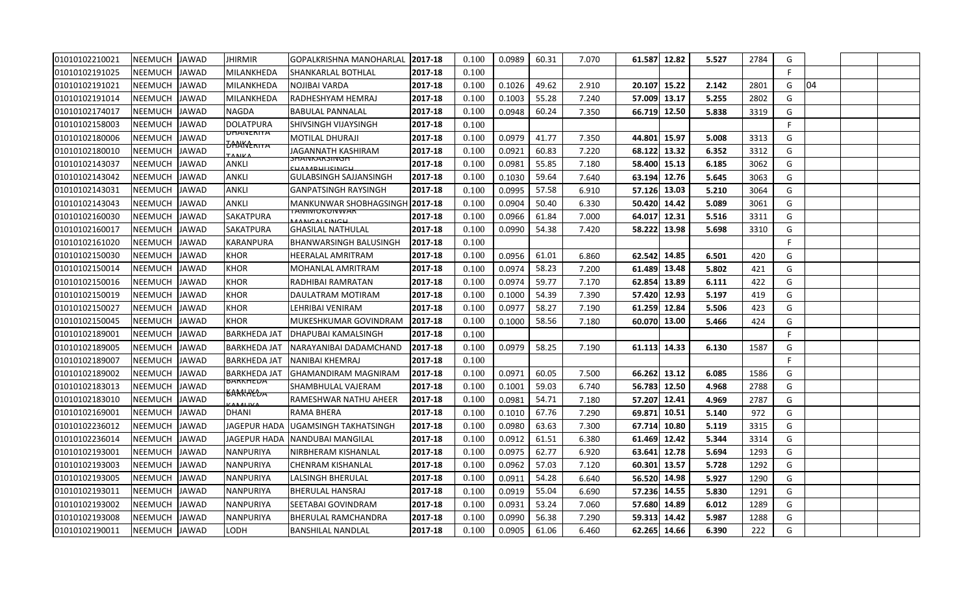| 01010102210021 | NEEMUCH JAWAD  |              | <b>JHIRMIR</b>                          | GOPALKRISHNA MANOHARLAL                       | 2017-18 | 0.100 | 0.0989 | 60.31 | 7.070 |              | 61.587 12.82 | 5.527 | 2784 | G |    |  |
|----------------|----------------|--------------|-----------------------------------------|-----------------------------------------------|---------|-------|--------|-------|-------|--------------|--------------|-------|------|---|----|--|
| 01010102191025 | NEEMUCH        | <b>JAWAD</b> | MILANKHEDA                              | SHANKARLAL BOTHLAL                            | 2017-18 | 0.100 |        |       |       |              |              |       |      | F |    |  |
| 01010102191021 | <b>NEEMUCH</b> | <b>JAWAD</b> | MILANKHEDA                              | NOJIBAI VARDA                                 | 2017-18 | 0.100 | 0.1026 | 49.62 | 2.910 | 20.107 15.22 |              | 2.142 | 2801 | G | 04 |  |
| 01010102191014 | <b>NEEMUCH</b> | <b>JAWAD</b> | MILANKHEDA                              | RADHESHYAM HEMRAJ                             | 2017-18 | 0.100 | 0.1003 | 55.28 | 7.240 | 57.009 13.17 |              | 5.255 | 2802 | G |    |  |
| 01010102174017 | <b>NEEMUCH</b> | <b>JAWAD</b> | <b>NAGDA</b>                            | BABULAL PANNALAL                              | 2017-18 | 0.100 | 0.0948 | 60.24 | 7.350 | 66.719 12.50 |              | 5.838 | 3319 | G |    |  |
| 01010102158003 | <b>NEEMUCH</b> | <b>JAWAD</b> | DOLATPURA                               | SHIVSINGH VIJAYSINGH                          | 2017-18 | 0.100 |        |       |       |              |              |       |      | F |    |  |
| 01010102180006 | <b>NEEMUCH</b> | JAWAD        | DNAINENITA                              | <b>MOTILAL DHURAJI</b>                        | 2017-18 | 0.100 | 0.0979 | 41.77 | 7.350 | 44.801 15.97 |              | 5.008 | 3313 | G |    |  |
| 01010102180010 | <b>NEEMUCH</b> | JAWAD        | <b>TAAKAERITA</b><br>ALLZ A             | JAGANNATH KASHIRAM                            | 2017-18 | 0.100 | 0.0921 | 60.83 | 7.220 |              | 68.122 13.32 | 6.352 | 3312 | G |    |  |
| 01010102143037 | <b>NEEMUCH</b> | <b>JAWAD</b> | <b>ANKLI</b>                            | <u>SHAIVNANSIIVOH</u><br><b>UAMOULICINICU</b> | 2017-18 | 0.100 | 0.0981 | 55.85 | 7.180 | 58.400 15.13 |              | 6.185 | 3062 | G |    |  |
| 01010102143042 | <b>NEEMUCH</b> | <b>JAWAD</b> | <b>ANKLI</b>                            | GULABSINGH SAJJANSINGH                        | 2017-18 | 0.100 | 0.1030 | 59.64 | 7.640 | 63.194 12.76 |              | 5.645 | 3063 | G |    |  |
| 01010102143031 | <b>NEEMUCH</b> | <b>JAWAD</b> | <b>ANKLI</b>                            | GANPATSINGH RAYSINGH                          | 2017-18 | 0.100 | 0.0995 | 57.58 | 6.910 | 57.126 13.03 |              | 5.210 | 3064 | G |    |  |
| 01010102143043 | <b>NEEMUCH</b> | <b>JAWAD</b> | <b>ANKLI</b>                            | MANKUNWAR SHOBHAGSINGH <b> 2017-18</b>        |         | 0.100 | 0.0904 | 50.40 | 6.330 | 50.420 14.42 |              | 5.089 | 3061 | G |    |  |
| 01010102160030 | <b>NEEMUCH</b> | <b>JAWAD</b> | <b>SAKATPURA</b>                        | <u>i Aiviiviunuivivan</u><br>ANC ALCINICU     | 2017-18 | 0.100 | 0.0966 | 61.84 | 7.000 | 64.017 12.31 |              | 5.516 | 3311 | G |    |  |
| 01010102160017 | <b>NEEMUCH</b> | <b>JAWAD</b> | <b>SAKATPURA</b>                        | GHASILAL NATHULAL                             | 2017-18 | 0.100 | 0.0990 | 54.38 | 7.420 | 58.222       | 13.98        | 5.698 | 3310 | G |    |  |
| 01010102161020 | <b>NEEMUCH</b> | <b>JAWAD</b> | <b>KARANPURA</b>                        | BHANWARSINGH BALUSINGH                        | 2017-18 | 0.100 |        |       |       |              |              |       |      | F |    |  |
| 01010102150030 | <b>NEEMUCH</b> | <b>JAWAD</b> | <b>KHOR</b>                             | HEERALAL AMRITRAM                             | 2017-18 | 0.100 | 0.0956 | 61.01 | 6.860 | 62.542 14.85 |              | 6.501 | 420  | G |    |  |
| 01010102150014 | <b>NEEMUCH</b> | <b>JAWAD</b> | <b>KHOR</b>                             | MOHANLAL AMRITRAM                             | 2017-18 | 0.100 | 0.0974 | 58.23 | 7.200 | 61.489 13.48 |              | 5.802 | 421  | G |    |  |
| 01010102150016 | <b>NEEMUCH</b> | <b>JAWAD</b> | <b>KHOR</b>                             | RADHIBAI RAMRATAN                             | 2017-18 | 0.100 | 0.0974 | 59.77 | 7.170 | 62.854 13.89 |              | 6.111 | 422  | G |    |  |
| 01010102150019 | <b>NEEMUCH</b> | <b>JAWAD</b> | <b>KHOR</b>                             | DAULATRAM MOTIRAM                             | 2017-18 | 0.100 | 0.1000 | 54.39 | 7.390 | 57.420 12.93 |              | 5.197 | 419  | G |    |  |
| 01010102150027 | <b>NEEMUCH</b> | <b>JAWAD</b> | <b>KHOR</b>                             | LEHRIBAI VENIRAM                              | 2017-18 | 0.100 | 0.0977 | 58.27 | 7.190 | 61.259       | 12.84        | 5.506 | 423  | G |    |  |
| 01010102150045 | <b>NEEMUCH</b> | <b>JAWAD</b> | <b>KHOR</b>                             | MUKESHKUMAR GOVINDRAM                         | 2017-18 | 0.100 | 0.1000 | 58.56 | 7.180 | 60.070 13.00 |              | 5.466 | 424  | G |    |  |
| 01010102189001 | <b>NEEMUCH</b> | <b>JAWAD</b> | <b>BARKHEDA JAT</b>                     | DHAPUBAI KAMALSINGH                           | 2017-18 | 0.100 |        |       |       |              |              |       |      |   |    |  |
| 01010102189005 | <b>NEEMUCH</b> | <b>JAWAD</b> | <b>BARKHEDA JAT</b>                     | NARAYANIBAI DADAMCHAND                        | 2017-18 | 0.100 | 0.0979 | 58.25 | 7.190 | 61.113 14.33 |              | 6.130 | 1587 | G |    |  |
| 01010102189007 | <b>NEEMUCH</b> | <b>JAWAD</b> | <b>BARKHEDA JAT</b>                     | NANIBAI KHEMRAJ                               | 2017-18 | 0.100 |        |       |       |              |              |       |      | F |    |  |
| 01010102189002 | <b>NEEMUCH</b> | <b>JAWAD</b> | <b>BARKHEDA JAT</b>                     | GHAMANDIRAM MAGNIRAM                          | 2017-18 | 0.100 | 0.0971 | 60.05 | 7.500 | 66.262 13.12 |              | 6.085 | 1586 | G |    |  |
| 01010102183013 | <b>NEEMUCH</b> | <b>JAWAD</b> | DARNNEDA                                | SHAMBHULAL VAJERAM                            | 2017-18 | 0.100 | 0.1001 | 59.03 | 6.740 | 56.783 12.50 |              | 4.968 | 2788 | G |    |  |
| 01010102183010 | <b>NEEMUCH</b> | <b>JAWAD</b> | <del>ВАККНЕВА</del><br><b>A B ALINE</b> | RAMESHWAR NATHU AHEER                         | 2017-18 | 0.100 | 0.0981 | 54.71 | 7.180 | 57.207       | 12.41        | 4.969 | 2787 | G |    |  |
| 01010102169001 | <b>NEEMUCH</b> | <b>JAWAD</b> | DHANI                                   | RAMA BHERA                                    | 2017-18 | 0.100 | 0.1010 | 67.76 | 7.290 | 69.871       | 10.51        | 5.140 | 972  | G |    |  |
| 01010102236012 | <b>NEEMUCH</b> | <b>JAWAD</b> | <b>JAGEPUR HADA</b>                     | <b>UGAMSINGH TAKHATSINGH</b>                  | 2017-18 | 0.100 | 0.0980 | 63.63 | 7.300 | 67.714 10.80 |              | 5.119 | 3315 | G |    |  |
| 01010102236014 | <b>NEEMUCH</b> | <b>JAWAD</b> | <b>JAGEPUR HADA</b>                     | NANDUBAI MANGILAL                             | 2017-18 | 0.100 | 0.0912 | 61.51 | 6.380 | 61.469 12.42 |              | 5.344 | 3314 | G |    |  |
| 01010102193001 | <b>NEEMUCH</b> | <b>JAWAD</b> | <b>NANPURIYA</b>                        | NIRBHERAM KISHANLAL                           | 2017-18 | 0.100 | 0.0975 | 62.77 | 6.920 | 63.641 12.78 |              | 5.694 | 1293 | G |    |  |
| 01010102193003 | <b>NEEMUCH</b> | <b>JAWAD</b> | <b>NANPURIYA</b>                        | CHENRAM KISHANLAL                             | 2017-18 | 0.100 | 0.0962 | 57.03 | 7.120 | 60.301 13.57 |              | 5.728 | 1292 | G |    |  |
| 01010102193005 | <b>NEEMUCH</b> | <b>JAWAD</b> | <b>NANPURIYA</b>                        | LALSINGH BHERULAL                             | 2017-18 | 0.100 | 0.0911 | 54.28 | 6.640 | 56.520 14.98 |              | 5.927 | 1290 | G |    |  |
| 01010102193011 | <b>NEEMUCH</b> | <b>JAWAD</b> | <b>NANPURIYA</b>                        | BHERULAL HANSRAJ                              | 2017-18 | 0.100 | 0.0919 | 55.04 | 6.690 | 57.236 14.55 |              | 5.830 | 1291 | G |    |  |
| 01010102193002 | <b>NEEMUCH</b> | <b>JAWAD</b> | <b>NANPURIYA</b>                        | SEETABAI GOVINDRAM                            | 2017-18 | 0.100 | 0.0931 | 53.24 | 7.060 | 57.680 14.89 |              | 6.012 | 1289 | G |    |  |
| 01010102193008 | <b>NEEMUCH</b> | <b>JAWAD</b> | NANPURIYA                               | BHERULAL RAMCHANDRA                           | 2017-18 | 0.100 | 0.0990 | 56.38 | 7.290 | 59.313 14.42 |              | 5.987 | 1288 | G |    |  |
| 01010102190011 | NEEMUCH JAWAD  |              | <b>LODH</b>                             | <b>BANSHILAL NANDLAL</b>                      | 2017-18 | 0.100 | 0.0905 | 61.06 | 6.460 | 62.265 14.66 |              | 6.390 | 222  | G |    |  |
|                |                |              |                                         |                                               |         |       |        |       |       |              |              |       |      |   |    |  |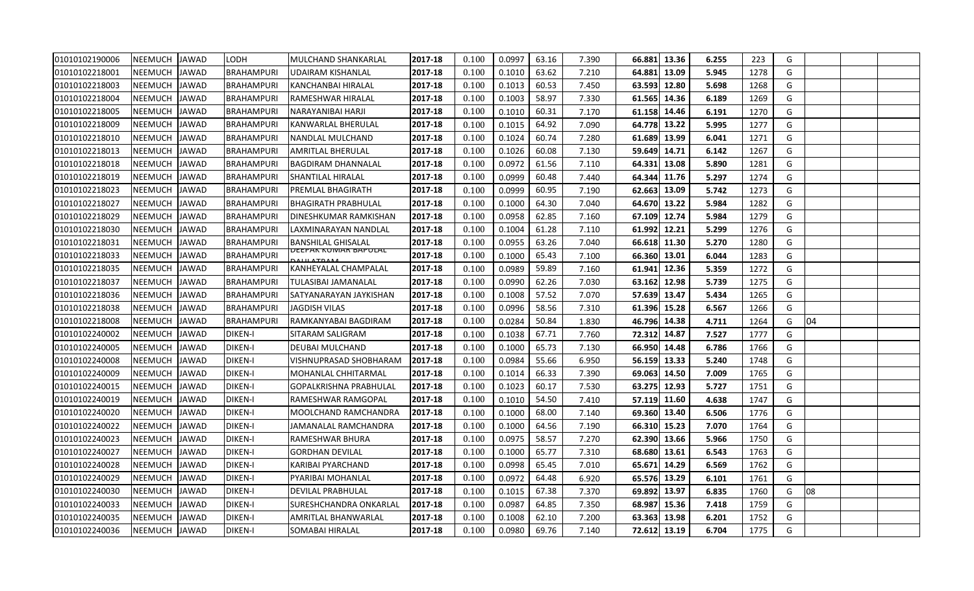| 01010102190006 | NEEMUCH JAWAD  |              | LODH              | MULCHAND SHANKARLAL                               | 2017-18 | 0.100 | 0.0997 | 63.16 | 7.390 |              | 66.881 13.36 | 6.255 | 223  | G |    |  |
|----------------|----------------|--------------|-------------------|---------------------------------------------------|---------|-------|--------|-------|-------|--------------|--------------|-------|------|---|----|--|
| 01010102218001 | NEEMUCH        | JAWAD        | <b>BRAHAMPURI</b> | UDAIRAM KISHANLAL                                 | 2017-18 | 0.100 | 0.1010 | 63.62 | 7.210 | 64.881 13.09 |              | 5.945 | 1278 | G |    |  |
| 01010102218003 | NEEMUCH        | JAWAD        | <b>BRAHAMPURI</b> | KANCHANBAI HIRALAL                                | 2017-18 | 0.100 | 0.1013 | 60.53 | 7.450 | 63.593 12.80 |              | 5.698 | 1268 | G |    |  |
| 01010102218004 | NEEMUCH        | <b>JAWAD</b> | <b>BRAHAMPURI</b> | RAMESHWAR HIRALAL                                 | 2017-18 | 0.100 | 0.1003 | 58.97 | 7.330 | 61.565 14.36 |              | 6.189 | 1269 | G |    |  |
| 01010102218005 | NEEMUCH        | <b>JAWAD</b> | <b>BRAHAMPURI</b> | NARAYANIBAI HARJI                                 | 2017-18 | 0.100 | 0.1010 | 60.31 | 7.170 | 61.158 14.46 |              | 6.191 | 1270 | G |    |  |
| 01010102218009 | NEEMUCH        | <b>JAWAD</b> | <b>BRAHAMPURI</b> | KANWARLAL BHERULAL                                | 2017-18 | 0.100 | 0.1015 | 64.92 | 7.090 | 64.778 13.22 |              | 5.995 | 1277 | G |    |  |
| 01010102218010 | NEEMUCH        | <b>JAWAD</b> | <b>BRAHAMPURI</b> | NANDLAL MULCHAND                                  | 2017-18 | 0.100 | 0.1024 | 60.74 | 7.280 | 61.689 13.99 |              | 6.041 | 1271 | G |    |  |
| 01010102218013 | NEEMUCH        | <b>JAWAD</b> | <b>BRAHAMPURI</b> | <b>AMRITLAL BHERULAL</b>                          | 2017-18 | 0.100 | 0.1026 | 60.08 | 7.130 | 59.649 14.71 |              | 6.142 | 1267 | G |    |  |
| 01010102218018 | NEEMUCH        | <b>JAWAD</b> | <b>BRAHAMPURI</b> | <b>BAGDIRAM DHANNALAL</b>                         | 2017-18 | 0.100 | 0.0972 | 61.56 | 7.110 | 64.331 13.08 |              | 5.890 | 1281 | G |    |  |
| 01010102218019 | NEEMUCH        | <b>JAWAD</b> | <b>BRAHAMPURI</b> | SHANTILAL HIRALAL                                 | 2017-18 | 0.100 | 0.0999 | 60.48 | 7.440 | 64.344 11.76 |              | 5.297 | 1274 | G |    |  |
| 01010102218023 | NEEMUCH        | <b>JAWAD</b> | <b>BRAHAMPURI</b> | PREMLAL BHAGIRATH                                 | 2017-18 | 0.100 | 0.0999 | 60.95 | 7.190 | 62.663 13.09 |              | 5.742 | 1273 | G |    |  |
| 01010102218027 | NEEMUCH        | <b>JAWAD</b> | <b>BRAHAMPURI</b> | BHAGIRATH PRABHULAL                               | 2017-18 | 0.100 | 0.1000 | 64.30 | 7.040 | 64.670 13.22 |              | 5.984 | 1282 | G |    |  |
| 01010102218029 | NEEMUCH        | <b>JAWAD</b> | <b>BRAHAMPURI</b> | DINESHKUMAR RAMKISHAN                             | 2017-18 | 0.100 | 0.0958 | 62.85 | 7.160 | 67.109 12.74 |              | 5.984 | 1279 | G |    |  |
| 01010102218030 | NEEMUCH        | <b>JAWAD</b> | <b>BRAHAMPURI</b> | LAXMINARAYAN NANDLAL                              | 2017-18 | 0.100 | 0.1004 | 61.28 | 7.110 | 61.992 12.21 |              | 5.299 | 1276 | G |    |  |
| 01010102218031 | NEEMUCH        | <b>JAWAD</b> | <b>BRAHAMPURI</b> | <b>BANSHILAL GHISALAL</b>                         | 2017-18 | 0.100 | 0.0955 | 63.26 | 7.040 | 66.618 11.30 |              | 5.270 | 1280 | G |    |  |
| 01010102218033 | NEEMUCH        | <b>JAWAD</b> | <b>BRAHAMPURI</b> | UCCPAN NUIVIAN BAPULAL<br>,,,,, <del>,</del> ,,,, | 2017-18 | 0.100 | 0.1000 | 65.43 | 7.100 | 66.360 13.01 |              | 6.044 | 1283 | G |    |  |
| 01010102218035 | NEEMUCH        | <b>JAWAD</b> | <b>BRAHAMPURI</b> | KANHEYALAL CHAMPALAL                              | 2017-18 | 0.100 | 0.0989 | 59.89 | 7.160 | 61.941 12.36 |              | 5.359 | 1272 | G |    |  |
| 01010102218037 | NEEMUCH        | <b>JAWAD</b> | <b>BRAHAMPURI</b> | TULASIBAI JAMANALAL                               | 2017-18 | 0.100 | 0.0990 | 62.26 | 7.030 | 63.162 12.98 |              | 5.739 | 1275 | G |    |  |
| 01010102218036 | NEEMUCH        | <b>JAWAD</b> | <b>BRAHAMPURI</b> | SATYANARAYAN JAYKISHAN                            | 2017-18 | 0.100 | 0.1008 | 57.52 | 7.070 | 57.639 13.47 |              | 5.434 | 1265 | G |    |  |
| 01010102218038 | NEEMUCH        | <b>JAWAD</b> | <b>BRAHAMPURI</b> | JAGDISH VILAS                                     | 2017-18 | 0.100 | 0.0996 | 58.56 | 7.310 | 61.396 15.28 |              | 6.567 | 1266 | G |    |  |
| 01010102218008 | NEEMUCH        | <b>JAWAD</b> | <b>BRAHAMPURI</b> | RAMKANYABAI BAGDIRAM                              | 2017-18 | 0.100 | 0.0284 | 50.84 | 1.830 | 46.796 14.38 |              | 4.711 | 1264 | G | 04 |  |
| 01010102240002 | NEEMUCH        | <b>JAWAD</b> | <b>DIKEN-I</b>    | SITARAM SALIGRAM                                  | 2017-18 | 0.100 | 0.1038 | 67.71 | 7.760 | 72.312 14.87 |              | 7.527 | 1777 | G |    |  |
| 01010102240005 | <b>NEEMUCH</b> | <b>JAWAD</b> | <b>DIKEN-I</b>    | <b>DEUBAI MULCHAND</b>                            | 2017-18 | 0.100 | 0.1000 | 65.73 | 7.130 | 66.950 14.48 |              | 6.786 | 1766 | G |    |  |
| 01010102240008 | <b>NEEMUCH</b> | <b>JAWAD</b> | <b>DIKEN-I</b>    | VISHNUPRASAD SHOBHARAM                            | 2017-18 | 0.100 | 0.0984 | 55.66 | 6.950 | 56.159 13.33 |              | 5.240 | 1748 | G |    |  |
| 01010102240009 | <b>NEEMUCH</b> | <b>JAWAD</b> | <b>DIKEN-I</b>    | <b>MOHANLAL CHHITARMAL</b>                        | 2017-18 | 0.100 | 0.1014 | 66.33 | 7.390 | 69.063 14.50 |              | 7.009 | 1765 | G |    |  |
| 01010102240015 | <b>NEEMUCH</b> | <b>JAWAD</b> | <b>DIKEN-I</b>    | GOPALKRISHNA PRABHULAL                            | 2017-18 | 0.100 | 0.1023 | 60.17 | 7.530 | 63.275 12.93 |              | 5.727 | 1751 | G |    |  |
| 01010102240019 | <b>NEEMUCH</b> | <b>JAWAD</b> | <b>DIKEN-I</b>    | RAMESHWAR RAMGOPAL                                | 2017-18 | 0.100 | 0.1010 | 54.50 | 7.410 | 57.119 11.60 |              | 4.638 | 1747 | G |    |  |
| 01010102240020 | NEEMUCH        | <b>JAWAD</b> | <b>DIKEN-I</b>    | MOOLCHAND RAMCHANDRA                              | 2017-18 | 0.100 | 0.1000 | 68.00 | 7.140 | 69.360 13.40 |              | 6.506 | 1776 | G |    |  |
| 01010102240022 | NEEMUCH        | <b>JAWAD</b> | <b>DIKEN-I</b>    | JAMANALAL RAMCHANDRA                              | 2017-18 | 0.100 | 0.1000 | 64.56 | 7.190 | 66.310 15.23 |              | 7.070 | 1764 | G |    |  |
| 01010102240023 | NEEMUCH        | <b>JAWAD</b> | <b>DIKEN-I</b>    | RAMESHWAR BHURA                                   | 2017-18 | 0.100 | 0.0975 | 58.57 | 7.270 | 62.390 13.66 |              | 5.966 | 1750 | G |    |  |
| 01010102240027 | NEEMUCH        | <b>JAWAD</b> | <b>DIKEN-I</b>    | <b>GORDHAN DEVILAL</b>                            | 2017-18 | 0.100 | 0.1000 | 65.77 | 7.310 | 68.680 13.61 |              | 6.543 | 1763 | G |    |  |
| 01010102240028 | NEEMUCH        | <b>JAWAD</b> | <b>DIKEN-I</b>    | KARIBAI PYARCHAND                                 | 2017-18 | 0.100 | 0.0998 | 65.45 | 7.010 | 65.671 14.29 |              | 6.569 | 1762 | G |    |  |
| 01010102240029 | NEEMUCH        | <b>JAWAD</b> | <b>DIKEN-I</b>    | PYARIBAI MOHANLAL                                 | 2017-18 | 0.100 | 0.0972 | 64.48 | 6.920 | 65.576 13.29 |              | 6.101 | 1761 | G |    |  |
| 01010102240030 | <b>NEEMUCH</b> | JAWAD        | <b>DIKEN-I</b>    | DEVILAL PRABHULAL                                 | 2017-18 | 0.100 | 0.1015 | 67.38 | 7.370 | 69.892 13.97 |              | 6.835 | 1760 | G | 08 |  |
| 01010102240033 | NEEMUCH        | JAWAD        | <b>DIKEN-I</b>    | SURESHCHANDRA ONKARLAL                            | 2017-18 | 0.100 | 0.0987 | 64.85 | 7.350 | 68.987 15.36 |              | 7.418 | 1759 | G |    |  |
| 01010102240035 | NEEMUCH        | <b>JAWAD</b> | <b>DIKEN-I</b>    | <b>AMRITLAL BHANWARLAL</b>                        | 2017-18 | 0.100 | 0.1008 | 62.10 | 7.200 | 63.363 13.98 |              | 6.201 | 1752 | G |    |  |
| 01010102240036 | NEEMUCH JAWAD  |              | <b>DIKEN-I</b>    | <b>SOMABAI HIRALAL</b>                            | 2017-18 | 0.100 | 0.0980 | 69.76 | 7.140 | 72.612 13.19 |              | 6.704 | 1775 | G |    |  |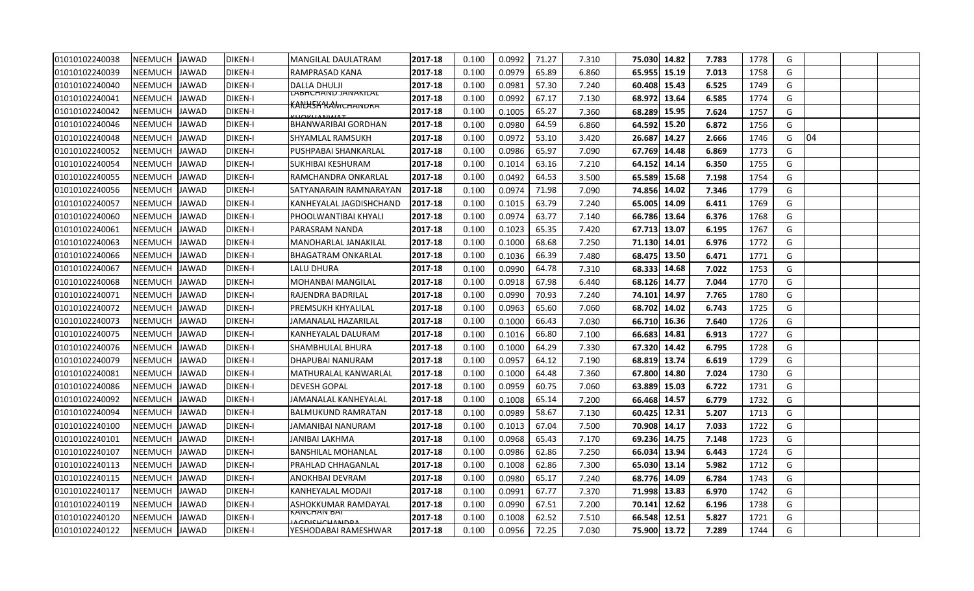| 01010102240038 | <b>NEEMUCH</b> | <b>JAWAD</b> | <b>DIKEN-I</b> | MANGILAL DAULATRAM                                    | 2017-18 | 0.100 | 0.0992 | 71.27 | 7.310 | 75.030 14.82 | 7.783 | 1778 | G |    |  |
|----------------|----------------|--------------|----------------|-------------------------------------------------------|---------|-------|--------|-------|-------|--------------|-------|------|---|----|--|
| 01010102240039 | NEEMUCH        | <b>JAWAD</b> | <b>DIKEN-I</b> | RAMPRASAD KANA                                        | 2017-18 | 0.100 | 0.0979 | 65.89 | 6.860 | 65.955 15.19 | 7.013 | 1758 | G |    |  |
| 01010102240040 | NEEMUCH        | JAWAD        | <b>DIKEN-I</b> | <b>DALLA DHULJI</b>                                   | 2017-18 | 0.100 | 0.0981 | 57.30 | 7.240 | 60.408 15.43 | 6.525 | 1749 | G |    |  |
| 01010102240041 | NEEMUCH        | <b>JAWAD</b> | DIKEN-I        | LADNUNAINU JAINANILAL<br><del>KANH5XNAMunaivuna</del> | 2017-18 | 0.100 | 0.0992 | 67.17 | 7.130 | 68.972 13.64 | 6.585 | 1774 | G |    |  |
| 01010102240042 | NEEMUCH        | JAWAD        | DIKEN-I        | L                                                     | 2017-18 | 0.100 | 0.1005 | 65.27 | 7.360 | 68.289 15.95 | 7.624 | 1757 | G |    |  |
| 01010102240046 | NEEMUCH        | JAWAD        | DIKEN-I        | <b>BHANWARIBAI GORDHAN</b>                            | 2017-18 | 0.100 | 0.0980 | 64.59 | 6.860 | 64.592 15.20 | 6.872 | 1756 | G |    |  |
| 01010102240048 | NEEMUCH        | <b>JAWAD</b> | <b>DIKEN-I</b> | <b>SHYAMLAL RAMSUKH</b>                               | 2017-18 | 0.100 | 0.0972 | 53.10 | 3.420 | 26.687 14.27 | 2.666 | 1746 | G | 04 |  |
| 01010102240052 | NEEMUCH        | <b>JAWAD</b> | DIKEN-I        | IPUSHPABAI SHANKARLAL                                 | 2017-18 | 0.100 | 0.0986 | 65.97 | 7.090 | 67.769 14.48 | 6.869 | 1773 | G |    |  |
| 01010102240054 | NEEMUCH        | <b>JAWAD</b> | DIKEN-I        | <b>SUKHIBAI KESHURAM</b>                              | 2017-18 | 0.100 | 0.1014 | 63.16 | 7.210 | 64.152 14.14 | 6.350 | 1755 | G |    |  |
| 01010102240055 | NEEMUCH        | <b>JAWAD</b> | <b>DIKEN-I</b> | RAMCHANDRA ONKARLAL                                   | 2017-18 | 0.100 | 0.0492 | 64.53 | 3.500 | 65.589 15.68 | 7.198 | 1754 | G |    |  |
| 01010102240056 | NEEMUCH        | <b>JAWAD</b> | <b>DIKEN-I</b> | SATYANARAIN RAMNARAYAN                                | 2017-18 | 0.100 | 0.0974 | 71.98 | 7.090 | 74.856 14.02 | 7.346 | 1779 | G |    |  |
| 01010102240057 | NEEMUCH        | <b>JAWAD</b> | <b>DIKEN-I</b> | KANHEYALAL JAGDISHCHAND                               | 2017-18 | 0.100 | 0.1015 | 63.79 | 7.240 | 65.005 14.09 | 6.411 | 1769 | G |    |  |
| 01010102240060 | NEEMUCH        | <b>JAWAD</b> | <b>DIKEN-I</b> | PHOOLWANTIBAI KHYALI                                  | 2017-18 | 0.100 | 0.0974 | 63.77 | 7.140 | 66.786 13.64 | 6.376 | 1768 | G |    |  |
| 01010102240061 | NEEMUCH        | <b>JAWAD</b> | <b>DIKEN-I</b> | <b>PARASRAM NANDA</b>                                 | 2017-18 | 0.100 | 0.1023 | 65.35 | 7.420 | 67.713 13.07 | 6.195 | 1767 | G |    |  |
| 01010102240063 | NEEMUCH        | <b>JAWAD</b> | <b>DIKEN-I</b> | MANOHARLAL JANAKILAL                                  | 2017-18 | 0.100 | 0.1000 | 68.68 | 7.250 | 71.130 14.01 | 6.976 | 1772 | G |    |  |
| 01010102240066 | NEEMUCH        | <b>JAWAD</b> | <b>DIKEN-I</b> | <b>BHAGATRAM ONKARLAL</b>                             | 2017-18 | 0.100 | 0.1036 | 66.39 | 7.480 | 68.475 13.50 | 6.471 | 1771 | G |    |  |
| 01010102240067 | NEEMUCH        | <b>JAWAD</b> | <b>DIKEN-I</b> | <b>LALU DHURA</b>                                     | 2017-18 | 0.100 | 0.0990 | 64.78 | 7.310 | 68.333 14.68 | 7.022 | 1753 | G |    |  |
| 01010102240068 | NEEMUCH        | <b>JAWAD</b> | <b>DIKEN-I</b> | <b>MOHANBAI MANGILAL</b>                              | 2017-18 | 0.100 | 0.0918 | 67.98 | 6.440 | 68.126 14.77 | 7.044 | 1770 | G |    |  |
| 01010102240071 | NEEMUCH        | <b>JAWAD</b> | <b>DIKEN-I</b> | RAJENDRA BADRILAL                                     | 2017-18 | 0.100 | 0.0990 | 70.93 | 7.240 | 74.101 14.97 | 7.765 | 1780 | G |    |  |
| 01010102240072 | NEEMUCH        | <b>JAWAD</b> | <b>DIKEN-I</b> | <b>PREMSUKH KHYALILAL</b>                             | 2017-18 | 0.100 | 0.0963 | 65.60 | 7.060 | 68.702 14.02 | 6.743 | 1725 | G |    |  |
| 01010102240073 | NEEMUCH        | <b>JAWAD</b> | <b>DIKEN-I</b> | <b>JAMANALAL HAZARILAL</b>                            | 2017-18 | 0.100 | 0.1000 | 66.43 | 7.030 | 66.710 16.36 | 7.640 | 1726 | G |    |  |
| 01010102240075 | NEEMUCH        | <b>JAWAD</b> | DIKEN-I        | <b>KANHEYALAL DALURAM</b>                             | 2017-18 | 0.100 | 0.1016 | 66.80 | 7.100 | 66.683 14.81 | 6.913 | 1727 | G |    |  |
| 01010102240076 | NEEMUCH        | <b>JAWAD</b> | <b>DIKEN-I</b> | <b>SHAMBHULAL BHURA</b>                               | 2017-18 | 0.100 | 0.1000 | 64.29 | 7.330 | 67.320 14.42 | 6.795 | 1728 | G |    |  |
| 01010102240079 | NEEMUCH        | <b>JAWAD</b> | <b>DIKEN-I</b> | <b>DHAPUBAI NANURAM</b>                               | 2017-18 | 0.100 | 0.0957 | 64.12 | 7.190 | 68.819 13.74 | 6.619 | 1729 | G |    |  |
| 01010102240081 | <b>NEEMUCH</b> | <b>JAWAD</b> | <b>DIKEN-I</b> | <b>MATHURALAL KANWARLAL</b>                           | 2017-18 | 0.100 | 0.1000 | 64.48 | 7.360 | 67.800 14.80 | 7.024 | 1730 | G |    |  |
| 01010102240086 | NEEMUCH        | <b>JAWAD</b> | <b>DIKEN-I</b> | <b>DEVESH GOPAL</b>                                   | 2017-18 | 0.100 | 0.0959 | 60.75 | 7.060 | 63.889 15.03 | 6.722 | 1731 | G |    |  |
| 01010102240092 | NEEMUCH        | <b>JAWAD</b> | <b>DIKEN-I</b> | JAMANALAL KANHEYALAL                                  | 2017-18 | 0.100 | 0.1008 | 65.14 | 7.200 | 66.468 14.57 | 6.779 | 1732 | G |    |  |
| 01010102240094 | NEEMUCH        | <b>JAWAD</b> | <b>DIKEN-I</b> | <b>BALMUKUND RAMRATAN</b>                             | 2017-18 | 0.100 | 0.0989 | 58.67 | 7.130 | 60.425 12.31 | 5.207 | 1713 | G |    |  |
| 01010102240100 | NEEMUCH        | <b>JAWAD</b> | <b>DIKEN-I</b> | JAMANIBAI NANURAM                                     | 2017-18 | 0.100 | 0.1013 | 67.04 | 7.500 | 70.908 14.17 | 7.033 | 1722 | G |    |  |
| 01010102240101 | NEEMUCH        | <b>JAWAD</b> | <b>DIKEN-I</b> | <b>JANIBAI LAKHMA</b>                                 | 2017-18 | 0.100 | 0.0968 | 65.43 | 7.170 | 69.236 14.75 | 7.148 | 1723 | G |    |  |
| 01010102240107 | NEEMUCH        | <b>JAWAD</b> | <b>DIKEN-I</b> | <b>BANSHILAL MOHANLAL</b>                             | 2017-18 | 0.100 | 0.0986 | 62.86 | 7.250 | 66.034 13.94 | 6.443 | 1724 | G |    |  |
| 01010102240113 | NEEMUCH        | <b>JAWAD</b> | <b>DIKEN-I</b> | PRAHLAD CHHAGANLAL                                    | 2017-18 | 0.100 | 0.1008 | 62.86 | 7.300 | 65.030 13.14 | 5.982 | 1712 | G |    |  |
| 01010102240115 | NEEMUCH        | <b>JAWAD</b> | <b>DIKEN-I</b> | ANOKHBAI DEVRAM                                       | 2017-18 | 0.100 | 0.0980 | 65.17 | 7.240 | 68.776 14.09 | 6.784 | 1743 | G |    |  |
| 01010102240117 | NEEMUCH        | JAWAD        | <b>DIKEN-I</b> | KANHEYALAL MODAJI                                     | 2017-18 | 0.100 | 0.0991 | 67.77 | 7.370 | 71.998 13.83 | 6.970 | 1742 | G |    |  |
| 01010102240119 | NEEMUCH        | JAWAD        | <b>DIKEN-I</b> | ASHOKKUMAR RAMDAYAL                                   | 2017-18 | 0.100 | 0.0990 | 67.51 | 7.200 | 70.141 12.62 | 6.196 | 1738 | G |    |  |
| 01010102240120 | NEEMUCH        | <b>JAWAD</b> | <b>DIKEN-I</b> | <u>VANCHAN DAI</u><br><b>ACDICUCUANDRA</b>            | 2017-18 | 0.100 | 0.1008 | 62.52 | 7.510 | 66.548 12.51 | 5.827 | 1721 | G |    |  |
| 01010102240122 | <b>NEEMUCH</b> | JAWAD        | <b>DIKEN-I</b> | YESHODABAI RAMESHWAR                                  | 2017-18 | 0.100 | 0.0956 | 72.25 | 7.030 | 75.900 13.72 | 7.289 | 1744 | G |    |  |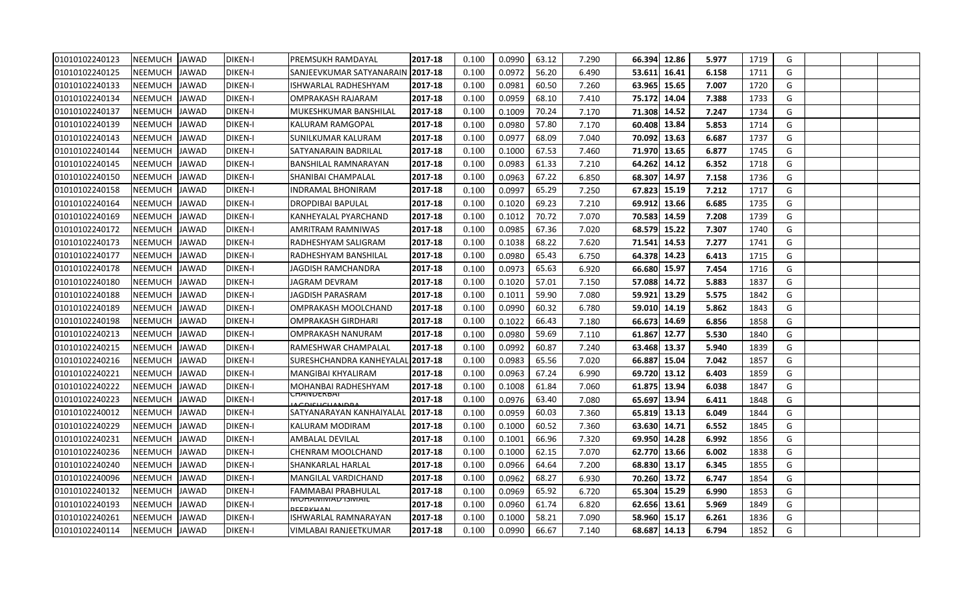| 01010102240123 | <b>NEEMUCH</b> | <b>JAWAD</b> | <b>DIKEN-I</b> | <b>PREMSUKH RAMDAYAL</b>                     | 2017-18 | 0.100 | 0.0990 | 63.12 | 7.290 | 66.394 12.86 |       | 5.977 | 1719 | G |  |  |
|----------------|----------------|--------------|----------------|----------------------------------------------|---------|-------|--------|-------|-------|--------------|-------|-------|------|---|--|--|
| 01010102240125 | NEEMUCH        | JAWAD        | <b>DIKEN-I</b> | SANJEEVKUMAR SATYANARAIN 2017-18             |         | 0.100 | 0.0972 | 56.20 | 6.490 | 53.611 16.41 |       | 6.158 | 1711 | G |  |  |
| 01010102240133 | NEEMUCH        | JAWAD        | <b>DIKEN-I</b> | ISHWARLAL RADHESHYAM                         | 2017-18 | 0.100 | 0.0981 | 60.50 | 7.260 | 63.965 15.65 |       | 7.007 | 1720 | G |  |  |
| 01010102240134 | NEEMUCH        | JAWAD        | DIKEN-I        | <b>OMPRAKASH RAJARAM</b>                     | 2017-18 | 0.100 | 0.0959 | 68.10 | 7.410 | 75.172 14.04 |       | 7.388 | 1733 | G |  |  |
| 01010102240137 | NEEMUCH        | JAWAD        | <b>DIKEN-I</b> | MUKESHKUMAR BANSHILAL                        | 2017-18 | 0.100 | 0.1009 | 70.24 | 7.170 | 71.308 14.52 |       | 7.247 | 1734 | G |  |  |
| 01010102240139 | NEEMUCH        | JAWAD        | <b>DIKEN-I</b> | KALURAM RAMGOPAL                             | 2017-18 | 0.100 | 0.0980 | 57.80 | 7.170 | 60.408 13.84 |       | 5.853 | 1714 | G |  |  |
| 01010102240143 | NEEMUCH        | JAWAD        | <b>DIKEN-I</b> | SUNILKUMAR KALURAM                           | 2017-18 | 0.100 | 0.0977 | 68.09 | 7.040 | 70.092 13.63 |       | 6.687 | 1737 | G |  |  |
| 01010102240144 | NEEMUCH        | JAWAD        | <b>DIKEN-I</b> | ISATYANARAIN BADRILAL                        | 2017-18 | 0.100 | 0.1000 | 67.53 | 7.460 | 71.970 13.65 |       | 6.877 | 1745 | G |  |  |
| 01010102240145 | NEEMUCH        | JAWAD        | DIKEN-I        | <b>BANSHILAL RAMNARAYAN</b>                  | 2017-18 | 0.100 | 0.0983 | 61.33 | 7.210 | 64.262 14.12 |       | 6.352 | 1718 | G |  |  |
| 01010102240150 | NEEMUCH        | <b>JAWAD</b> | <b>DIKEN-I</b> | SHANIBAI CHAMPALAL                           | 2017-18 | 0.100 | 0.0963 | 67.22 | 6.850 | 68.307 14.97 |       | 7.158 | 1736 | G |  |  |
| 01010102240158 | NEEMUCH        | <b>JAWAD</b> | <b>DIKEN-I</b> | <b>INDRAMAL BHONIRAM</b>                     | 2017-18 | 0.100 | 0.0997 | 65.29 | 7.250 | 67.823 15.19 |       | 7.212 | 1717 | G |  |  |
| 01010102240164 | NEEMUCH        | <b>JAWAD</b> | <b>DIKEN-I</b> | <b>DROPDIBAI BAPULAL</b>                     | 2017-18 | 0.100 | 0.1020 | 69.23 | 7.210 | 69.912 13.66 |       | 6.685 | 1735 | G |  |  |
| 01010102240169 | NEEMUCH        | <b>JAWAD</b> | <b>DIKEN-I</b> | KANHEYALAL PYARCHAND                         | 2017-18 | 0.100 | 0.1012 | 70.72 | 7.070 | 70.583 14.59 |       | 7.208 | 1739 | G |  |  |
| 01010102240172 | NEEMUCH        | <b>JAWAD</b> | <b>DIKEN-I</b> | AMRITRAM RAMNIWAS                            | 2017-18 | 0.100 | 0.0985 | 67.36 | 7.020 | 68.579 15.22 |       | 7.307 | 1740 | G |  |  |
| 01010102240173 | NEEMUCH        | <b>JAWAD</b> | <b>DIKEN-I</b> | <b>RADHESHYAM SALIGRAM</b>                   | 2017-18 | 0.100 | 0.1038 | 68.22 | 7.620 | 71.541       | 14.53 | 7.277 | 1741 | G |  |  |
| 01010102240177 | NEEMUCH        | <b>JAWAD</b> | <b>DIKEN-I</b> | <b>RADHESHYAM BANSHILAL</b>                  | 2017-18 | 0.100 | 0.0980 | 65.43 | 6.750 | 64.378 14.23 |       | 6.413 | 1715 | G |  |  |
| 01010102240178 | NEEMUCH        | <b>JAWAD</b> | <b>DIKEN-I</b> | JAGDISH RAMCHANDRA                           | 2017-18 | 0.100 | 0.0973 | 65.63 | 6.920 | 66.680 15.97 |       | 7.454 | 1716 | G |  |  |
| 01010102240180 | NEEMUCH        | <b>JAWAD</b> | <b>DIKEN-I</b> | JAGRAM DEVRAM                                | 2017-18 | 0.100 | 0.1020 | 57.01 | 7.150 | 57.088 14.72 |       | 5.883 | 1837 | G |  |  |
| 01010102240188 | NEEMUCH        | <b>JAWAD</b> | <b>DIKEN-I</b> | <b>JAGDISH PARASRAM</b>                      | 2017-18 | 0.100 | 0.1011 | 59.90 | 7.080 | 59.921 13.29 |       | 5.575 | 1842 | G |  |  |
| 01010102240189 | NEEMUCH        | <b>JAWAD</b> | <b>DIKEN-I</b> | OMPRAKASH MOOLCHAND                          | 2017-18 | 0.100 | 0.0990 | 60.32 | 6.780 | 59.010 14.19 |       | 5.862 | 1843 | G |  |  |
| 01010102240198 | NEEMUCH        | <b>JAWAD</b> | <b>DIKEN-I</b> | <b>OMPRAKASH GIRDHARI</b>                    | 2017-18 | 0.100 | 0.1022 | 66.43 | 7.180 | 66.673 14.69 |       | 6.856 | 1858 | G |  |  |
| 01010102240213 | NEEMUCH        | <b>JAWAD</b> | DIKEN-I        | <b>OMPRAKASH NANURAM</b>                     | 2017-18 | 0.100 | 0.0980 | 59.69 | 7.110 | 61.867 12.77 |       | 5.530 | 1840 | G |  |  |
| 01010102240215 | NEEMUCH        | <b>JAWAD</b> | <b>DIKEN-I</b> | RAMESHWAR CHAMPALAL                          | 2017-18 | 0.100 | 0.0992 | 60.87 | 7.240 | 63.468 13.37 |       | 5.940 | 1839 | G |  |  |
| 01010102240216 | NEEMUCH        | <b>JAWAD</b> | <b>DIKEN-I</b> | SURESHCHANDRA KANHEYALAL                     | 2017-18 | 0.100 | 0.0983 | 65.56 | 7.020 | 66.887 15.04 |       | 7.042 | 1857 | G |  |  |
| 01010102240221 | <b>NEEMUCH</b> | <b>JAWAD</b> | <b>DIKEN-I</b> | <b>MANGIBAI KHYALIRAM</b>                    | 2017-18 | 0.100 | 0.0963 | 67.24 | 6.990 | 69.720 13.12 |       | 6.403 | 1859 | G |  |  |
| 01010102240222 | <b>NEEMUCH</b> | <b>JAWAD</b> | <b>DIKEN-I</b> | MOHANBAI RADHESHYAM                          | 2017-18 | 0.100 | 0.1008 | 61.84 | 7.060 | 61.875 13.94 |       | 6.038 | 1847 | G |  |  |
| 01010102240223 | NEEMUCH        | <b>JAWAD</b> | <b>DIKEN-I</b> | <b>JANUERDAI</b><br><b>ACDICUCUANDRA</b>     | 2017-18 | 0.100 | 0.0976 | 63.40 | 7.080 | 65.697 13.94 |       | 6.411 | 1848 | G |  |  |
| 01010102240012 | NEEMUCH        | <b>JAWAD</b> | <b>DIKEN-I</b> | SATYANARAYAN KANHAIYALAL                     | 2017-18 | 0.100 | 0.0959 | 60.03 | 7.360 | 65.819 13.13 |       | 6.049 | 1844 | G |  |  |
| 01010102240229 | NEEMUCH        | <b>JAWAD</b> | <b>DIKEN-I</b> | KALURAM MODIRAM                              | 2017-18 | 0.100 | 0.1000 | 60.52 | 7.360 | 63.630 14.71 |       | 6.552 | 1845 | G |  |  |
| 01010102240231 | NEEMUCH        | <b>JAWAD</b> | <b>DIKEN-I</b> | <b>AMBALAL DEVILAL</b>                       | 2017-18 | 0.100 | 0.1001 | 66.96 | 7.320 | 69.950 14.28 |       | 6.992 | 1856 | G |  |  |
| 01010102240236 | NEEMUCH        | JAWAD        | <b>DIKEN-I</b> | CHENRAM MOOLCHAND                            | 2017-18 | 0.100 | 0.1000 | 62.15 | 7.070 | 62.770 13.66 |       | 6.002 | 1838 | G |  |  |
| 01010102240240 | NEEMUCH        | JAWAD        | <b>DIKEN-I</b> | <b>SHANKARLAL HARLAL</b>                     | 2017-18 | 0.100 | 0.0966 | 64.64 | 7.200 | 68.830 13.17 |       | 6.345 | 1855 | G |  |  |
| 01010102240096 | NEEMUCH        | JAWAD        | <b>DIKEN-I</b> | <b>MANGILAL VARDICHAND</b>                   | 2017-18 | 0.100 | 0.0962 | 68.27 | 6.930 | 70.260 13.72 |       | 6.747 | 1854 | G |  |  |
| 01010102240132 | NEEMUCH        | <b>JAWAD</b> | <b>DIKEN-I</b> | FAMMABAI PRABHULAL                           | 2017-18 | 0.100 | 0.0969 | 65.92 | 6.720 | 65.304 15.29 |       | 6.990 | 1853 | G |  |  |
| 01010102240193 | NEEMUCH        | JAWAD        | <b>DIKEN-I</b> | <b>MUNAMINIAD ISIMAIL</b><br><b>DEEDVUAN</b> | 2017-18 | 0.100 | 0.0960 | 61.74 | 6.820 | 62.656 13.61 |       | 5.969 | 1849 | G |  |  |
| 01010102240261 | NEEMUCH        | <b>JAWAD</b> | <b>DIKEN-I</b> | ISHWARLAL RAMNARAYAN                         | 2017-18 | 0.100 | 0.1000 | 58.21 | 7.090 | 58.960 15.17 |       | 6.261 | 1836 | G |  |  |
| 01010102240114 | <b>NEEMUCH</b> | JAWAD        | <b>DIKEN-I</b> | <b>VIMLABAI RANJEETKUMAR</b>                 | 2017-18 | 0.100 | 0.0990 | 66.67 | 7.140 | 68.687 14.13 |       | 6.794 | 1852 | G |  |  |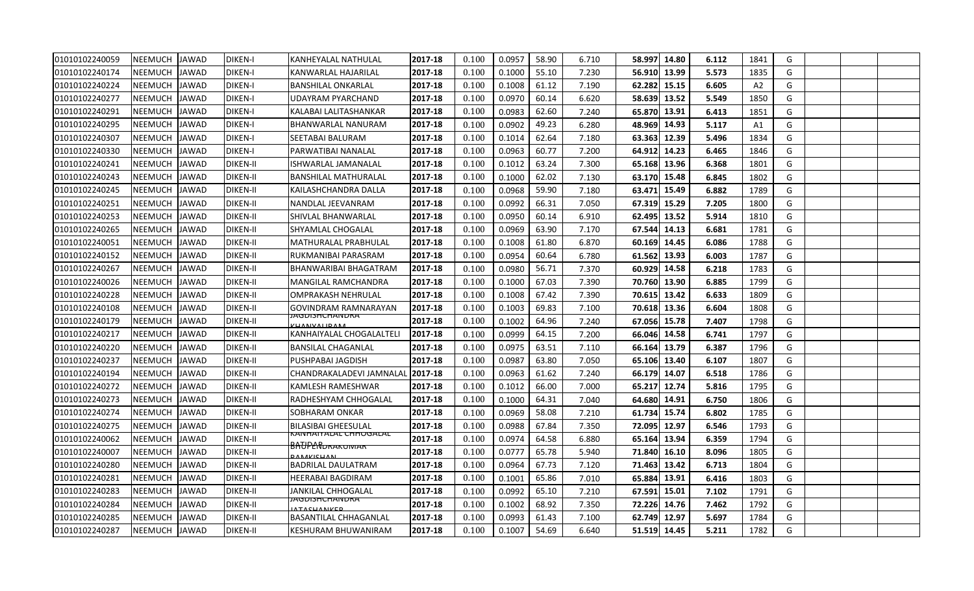| 01010102240059 | NEEMUCH        | JAWAD        | <b>DIKEN-I</b>  | KANHEYALAL NATHULAL                                                                                                                                                                                                                                                                                                                                                                                  | 2017-18 | 0.100 | 0.0957 | 58.90 | 6.710 | 58.997 14.80 |       | 6.112 | 1841 | G |  |  |
|----------------|----------------|--------------|-----------------|------------------------------------------------------------------------------------------------------------------------------------------------------------------------------------------------------------------------------------------------------------------------------------------------------------------------------------------------------------------------------------------------------|---------|-------|--------|-------|-------|--------------|-------|-------|------|---|--|--|
| 01010102240174 | NEEMUCH        | JAWAD        | <b>DIKEN-I</b>  | KANWARLAL HAJARILAL                                                                                                                                                                                                                                                                                                                                                                                  | 2017-18 | 0.100 | 0.1000 | 55.10 | 7.230 | 56.910 13.99 |       | 5.573 | 1835 | G |  |  |
| 01010102240224 | NEEMUCH        | JAWAD        | <b>DIKEN-I</b>  | <b>BANSHILAL ONKARLAL</b>                                                                                                                                                                                                                                                                                                                                                                            | 2017-18 | 0.100 | 0.1008 | 61.12 | 7.190 | 62.282 15.15 |       | 6.605 | A2   | G |  |  |
| 01010102240277 | NEEMUCH        | <b>JAWAD</b> | <b>DIKEN-I</b>  | UDAYRAM PYARCHAND                                                                                                                                                                                                                                                                                                                                                                                    | 2017-18 | 0.100 | 0.0970 | 60.14 | 6.620 | 58.639 13.52 |       | 5.549 | 1850 | G |  |  |
| 01010102240291 | NEEMUCH        | <b>JAWAD</b> | <b>DIKEN-I</b>  | KALABAI LALITASHANKAR                                                                                                                                                                                                                                                                                                                                                                                | 2017-18 | 0.100 | 0.0983 | 62.60 | 7.240 | 65.870       | 13.91 | 6.413 | 1851 | G |  |  |
| 01010102240295 | NEEMUCH        | <b>JAWAD</b> | <b>DIKEN-I</b>  | <b>BHANWARLAL NANURAM</b>                                                                                                                                                                                                                                                                                                                                                                            | 2017-18 | 0.100 | 0.0902 | 49.23 | 6.280 | 48.969       | 14.93 | 5.117 | A1   | G |  |  |
| 01010102240307 | NEEMUCH        | <b>JAWAD</b> | DIKEN-I         | SEETABAI BALURAM                                                                                                                                                                                                                                                                                                                                                                                     | 2017-18 | 0.100 | 0.1014 | 62.64 | 7.180 | 63.363       | 12.39 | 5.496 | 1834 | G |  |  |
| 01010102240330 | NEEMUCH        | <b>JAWAD</b> | DIKEN-I         | IPARWATIBAI NANALAL                                                                                                                                                                                                                                                                                                                                                                                  | 2017-18 | 0.100 | 0.0963 | 60.77 | 7.200 | 64.912       | 14.23 | 6.465 | 1846 | G |  |  |
| 01010102240241 | NEEMUCH        | <b>JAWAD</b> | <b>DIKEN-II</b> | ISHWARLAL JAMANALAL                                                                                                                                                                                                                                                                                                                                                                                  | 2017-18 | 0.100 | 0.1012 | 63.24 | 7.300 | 65.168 13.96 |       | 6.368 | 1801 | G |  |  |
| 01010102240243 | NEEMUCH        | <b>JAWAD</b> | <b>DIKEN-II</b> | <b>BANSHILAL MATHURALAL</b>                                                                                                                                                                                                                                                                                                                                                                          | 2017-18 | 0.100 | 0.1000 | 62.02 | 7.130 | 63.170       | 15.48 | 6.845 | 1802 | G |  |  |
| 01010102240245 | NEEMUCH        | <b>JAWAD</b> | <b>DIKEN-II</b> | KAILASHCHANDRA DALLA                                                                                                                                                                                                                                                                                                                                                                                 | 2017-18 | 0.100 | 0.0968 | 59.90 | 7.180 | 63.471       | 15.49 | 6.882 | 1789 | G |  |  |
| 01010102240251 | NEEMUCH        | <b>JAWAD</b> | <b>DIKEN-II</b> | NANDLAL JEEVANRAM                                                                                                                                                                                                                                                                                                                                                                                    | 2017-18 | 0.100 | 0.0992 | 66.31 | 7.050 | 67.319       | 15.29 | 7.205 | 1800 | G |  |  |
| 01010102240253 | NEEMUCH        | <b>JAWAD</b> | <b>DIKEN-II</b> | SHIVLAL BHANWARLAL                                                                                                                                                                                                                                                                                                                                                                                   | 2017-18 | 0.100 | 0.0950 | 60.14 | 6.910 | 62.495       | 13.52 | 5.914 | 1810 | G |  |  |
| 01010102240265 | NEEMUCH        | <b>JAWAD</b> | <b>DIKEN-II</b> | <b>SHYAMLAL CHOGALAL</b>                                                                                                                                                                                                                                                                                                                                                                             | 2017-18 | 0.100 | 0.0969 | 63.90 | 7.170 | 67.544       | 14.13 | 6.681 | 1781 | G |  |  |
| 01010102240051 | NEEMUCH        | <b>JAWAD</b> | <b>DIKEN-II</b> | <b>MATHURALAL PRABHULAL</b>                                                                                                                                                                                                                                                                                                                                                                          | 2017-18 | 0.100 | 0.1008 | 61.80 | 6.870 | 60.169       | 14.45 | 6.086 | 1788 | G |  |  |
| 01010102240152 | NEEMUCH        | <b>JAWAD</b> | <b>DIKEN-II</b> | RUKMANIBAI PARASRAM                                                                                                                                                                                                                                                                                                                                                                                  | 2017-18 | 0.100 | 0.0954 | 60.64 | 6.780 | 61.562       | 13.93 | 6.003 | 1787 | G |  |  |
| 01010102240267 | NEEMUCH        | <b>JAWAD</b> | <b>DIKEN-II</b> | <b>BHANWARIBAI BHAGATRAM</b>                                                                                                                                                                                                                                                                                                                                                                         | 2017-18 | 0.100 | 0.0980 | 56.71 | 7.370 | 60.929       | 14.58 | 6.218 | 1783 | G |  |  |
| 01010102240026 | NEEMUCH        | <b>JAWAD</b> | <b>DIKEN-II</b> | MANGILAL RAMCHANDRA                                                                                                                                                                                                                                                                                                                                                                                  | 2017-18 | 0.100 | 0.1000 | 67.03 | 7.390 | 70.760       | 13.90 | 6.885 | 1799 | G |  |  |
| 01010102240228 | NEEMUCH        | <b>JAWAD</b> | <b>DIKEN-II</b> | <b>OMPRAKASH NEHRULAL</b>                                                                                                                                                                                                                                                                                                                                                                            | 2017-18 | 0.100 | 0.1008 | 67.42 | 7.390 | 70.615 13.42 |       | 6.633 | 1809 | G |  |  |
| 01010102240108 | NEEMUCH        | <b>JAWAD</b> | <b>DIKEN-II</b> | IGOVINDRAM RAMNARAYAN                                                                                                                                                                                                                                                                                                                                                                                | 2017-18 | 0.100 | 0.1003 | 69.83 | 7.100 | 70.618 13.36 |       | 6.604 | 1808 | G |  |  |
| 01010102240179 | NEEMUCH        | <b>JAWAD</b> | <b>DIKEN-II</b> | <b>AUUISHLHAINURA</b><br>$L$ $\overline{L}$ $\overline{L}$ $\overline{L}$ $\overline{L}$ $\overline{L}$ $\overline{L}$ $\overline{L}$ $\overline{L}$ $\overline{L}$ $\overline{L}$ $\overline{L}$ $\overline{L}$ $\overline{L}$ $\overline{L}$ $\overline{L}$ $\overline{L}$ $\overline{L}$ $\overline{L}$ $\overline{L}$ $\overline{L}$ $\overline{L}$ $\overline{L}$ $\overline{L}$ $\overline{L}$ | 2017-18 | 0.100 | 0.1002 | 64.96 | 7.240 | 67.056 15.78 |       | 7.407 | 1798 | G |  |  |
| 01010102240217 | NEEMUCH        | <b>JAWAD</b> | <b>DIKEN-II</b> | KANHAIYALAL CHOGALALTELI                                                                                                                                                                                                                                                                                                                                                                             | 2017-18 | 0.100 | 0.0999 | 64.15 | 7.200 | 66.046 14.58 |       | 6.741 | 1797 | G |  |  |
| 01010102240220 | NEEMUCH        | <b>JAWAD</b> | <b>DIKEN-II</b> | <b>BANSILAL CHAGANLAL</b>                                                                                                                                                                                                                                                                                                                                                                            | 2017-18 | 0.100 | 0.0975 | 63.51 | 7.110 | 66.164       | 13.79 | 6.387 | 1796 | G |  |  |
| 01010102240237 | NEEMUCH        | <b>JAWAD</b> | <b>DIKEN-II</b> | <b>PUSHPABAI JAGDISH</b>                                                                                                                                                                                                                                                                                                                                                                             | 2017-18 | 0.100 | 0.0987 | 63.80 | 7.050 | 65.106       | 13.40 | 6.107 | 1807 | G |  |  |
| 01010102240194 | NEEMUCH        | <b>JAWAD</b> | <b>DIKEN-II</b> | CHANDRAKALADEVI JAMNALAI                                                                                                                                                                                                                                                                                                                                                                             | 2017-18 | 0.100 | 0.0963 | 61.62 | 7.240 | 66.179       | 14.07 | 6.518 | 1786 | G |  |  |
| 01010102240272 | NEEMUCH        | <b>JAWAD</b> | <b>DIKEN-II</b> | <b>KAMLESH RAMESHWAR</b>                                                                                                                                                                                                                                                                                                                                                                             | 2017-18 | 0.100 | 0.1012 | 66.00 | 7.000 | 65.217       | 12.74 | 5.816 | 1795 | G |  |  |
| 01010102240273 | NEEMUCH        | <b>JAWAD</b> | <b>DIKEN-II</b> | RADHESHYAM CHHOGALAL                                                                                                                                                                                                                                                                                                                                                                                 | 2017-18 | 0.100 | 0.1000 | 64.31 | 7.040 | 64.680       | 14.91 | 6.750 | 1806 | G |  |  |
| 01010102240274 | NEEMUCH        | <b>JAWAD</b> | <b>DIKEN-II</b> | <b>SOBHARAM ONKAR</b>                                                                                                                                                                                                                                                                                                                                                                                | 2017-18 | 0.100 | 0.0969 | 58.08 | 7.210 | 61.734 15.74 |       | 6.802 | 1785 | G |  |  |
| 01010102240275 | NEEMUCH        | <b>JAWAD</b> | <b>DIKEN-II</b> | <b>BILASIBAI GHEESULAL</b>                                                                                                                                                                                                                                                                                                                                                                           | 2017-18 | 0.100 | 0.0988 | 67.84 | 7.350 | 72.095       | 12.97 | 6.546 | 1793 | G |  |  |
| 01010102240062 | <b>NEEMUCH</b> | <b>JAWAD</b> | <b>DIKEN-II</b> | <u>ANTAN ALAL CHITUGALAL</u>                                                                                                                                                                                                                                                                                                                                                                         | 2017-18 | 0.100 | 0.0974 | 64.58 | 6.880 | 65.164 13.94 |       | 6.359 | 1794 | G |  |  |
| 01010102240007 | NEEMUCH        | <b>JAWAD</b> | <b>DIKEN-II</b> | <del>BAUPAR<sub>UKAKUMAR</sub></del><br>$0.0.01$ $0.01$ $0.01$                                                                                                                                                                                                                                                                                                                                       | 2017-18 | 0.100 | 0.0777 | 65.78 | 5.940 | 71.840 16.10 |       | 8.096 | 1805 | G |  |  |
| 01010102240280 | NEEMUCH        | <b>JAWAD</b> | <b>DIKEN-II</b> | BADRILAL DAULATRAM                                                                                                                                                                                                                                                                                                                                                                                   | 2017-18 | 0.100 | 0.0964 | 67.73 | 7.120 | 71.463 13.42 |       | 6.713 | 1804 | G |  |  |
| 01010102240281 | NEEMUCH        | <b>JAWAD</b> | <b>DIKEN-II</b> | HEERABAI BAGDIRAM                                                                                                                                                                                                                                                                                                                                                                                    | 2017-18 | 0.100 | 0.1001 | 65.86 | 7.010 | 65.884 13.91 |       | 6.416 | 1803 | G |  |  |
| 01010102240283 | <b>NEEMUCH</b> | <b>JAWAD</b> | <b>DIKEN-II</b> | JANKILAL CHHOGALAL                                                                                                                                                                                                                                                                                                                                                                                   | 2017-18 | 0.100 | 0.0992 | 65.10 | 7.210 | 67.591 15.01 |       | 7.102 | 1791 | G |  |  |
| 01010102240284 | NEEMUCH        | JAWAD        | <b>DIKEN-II</b> | <b>IAGUISHLHAINURA</b><br><b>ATACUANIVED</b>                                                                                                                                                                                                                                                                                                                                                         | 2017-18 | 0.100 | 0.1002 | 68.92 | 7.350 | 72.226 14.76 |       | 7.462 | 1792 | G |  |  |
| 01010102240285 | NEEMUCH        | <b>JAWAD</b> | <b>DIKEN-II</b> | <b>BASANTILAL CHHAGANLAL</b>                                                                                                                                                                                                                                                                                                                                                                         | 2017-18 | 0.100 | 0.0993 | 61.43 | 7.100 | 62.749 12.97 |       | 5.697 | 1784 | G |  |  |
| 01010102240287 | NEEMUCH JAWAD  |              | <b>DIKEN-II</b> | <b>KESHURAM BHUWANIRAM</b>                                                                                                                                                                                                                                                                                                                                                                           | 2017-18 | 0.100 | 0.1007 | 54.69 | 6.640 | 51.519 14.45 |       | 5.211 | 1782 | G |  |  |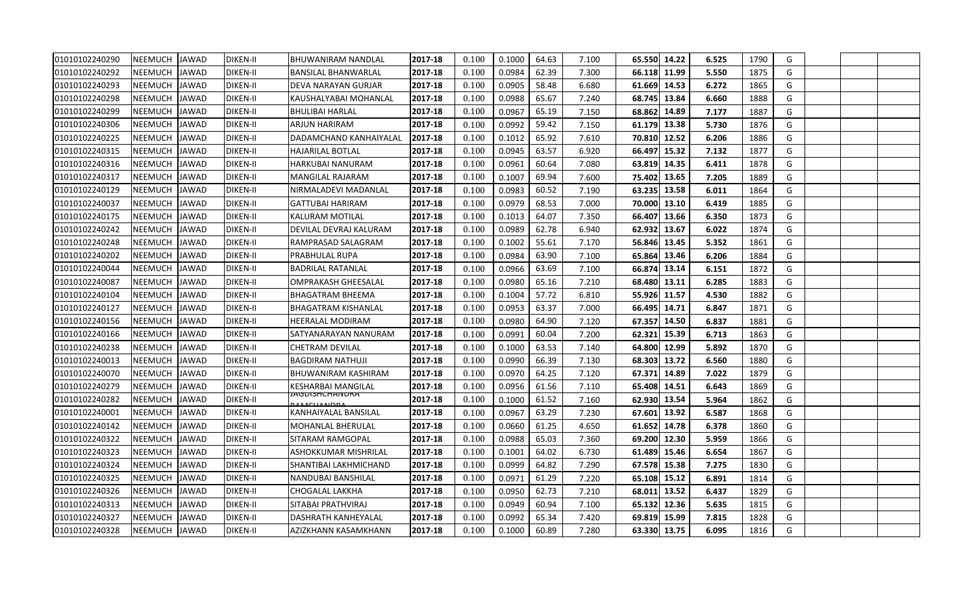| 01010102240290 | <b>NEEMUCH</b> | JAWAD        | <b>DIKEN-II</b> | <b>BHUWANIRAM NANDLAL</b>  | 2017-18 | 0.100 | 0.1000 | 64.63 | 7.100 | 65.550 14.22 | 6.525 | 1790 | G |  |  |
|----------------|----------------|--------------|-----------------|----------------------------|---------|-------|--------|-------|-------|--------------|-------|------|---|--|--|
| 01010102240292 | NEEMUCH        | JAWAD        | <b>DIKEN-II</b> | <b>BANSILAL BHANWARLAL</b> | 2017-18 | 0.100 | 0.0984 | 62.39 | 7.300 | 66.118 11.99 | 5.550 | 1875 | G |  |  |
| 01010102240293 | NEEMUCH        | JAWAD        | <b>DIKEN-II</b> | DEVA NARAYAN GURJAR        | 2017-18 | 0.100 | 0.0905 | 58.48 | 6.680 | 61.669 14.53 | 6.272 | 1865 | G |  |  |
| 01010102240298 | NEEMUCH        | <b>JAWAD</b> | <b>DIKEN-II</b> | KAUSHALYABAI MOHANLAL      | 2017-18 | 0.100 | 0.0988 | 65.67 | 7.240 | 68.745 13.84 | 6.660 | 1888 | G |  |  |
| 01010102240299 | NEEMUCH        | <b>JAWAD</b> | <b>DIKEN-II</b> | <b>BHULIBAI HARLAL</b>     | 2017-18 | 0.100 | 0.0967 | 65.19 | 7.150 | 68.862 14.89 | 7.177 | 1887 | G |  |  |
| 01010102240306 | NEEMUCH        | JAWAD        | <b>DIKEN-II</b> | <b>ARJUN HARIRAM</b>       | 2017-18 | 0.100 | 0.0992 | 59.42 | 7.150 | 61.179 13.38 | 5.730 | 1876 | G |  |  |
| 01010102240225 | NEEMUCH        | JAWAD        | <b>DIKEN-II</b> | DADAMCHAND KANHAIYALAL     | 2017-18 | 0.100 | 0.1012 | 65.92 | 7.610 | 70.810 12.52 | 6.206 | 1886 | G |  |  |
| 01010102240315 | NEEMUCH        | JAWAD        | <b>DIKEN-II</b> | <b>HAJARILAL BOTLAL</b>    | 2017-18 | 0.100 | 0.0945 | 63.57 | 6.920 | 66.497 15.32 | 7.132 | 1877 | G |  |  |
| 01010102240316 | NEEMUCH        | <b>JAWAD</b> | <b>DIKEN-II</b> | HARKUBAI NANURAM           | 2017-18 | 0.100 | 0.0961 | 60.64 | 7.080 | 63.819 14.35 | 6.411 | 1878 | G |  |  |
| 01010102240317 | NEEMUCH        | <b>JAWAD</b> | <b>DIKEN-II</b> | MANGILAL RAJARAM           | 2017-18 | 0.100 | 0.1007 | 69.94 | 7.600 | 75.402 13.65 | 7.205 | 1889 | G |  |  |
| 01010102240129 | NEEMUCH        | <b>JAWAD</b> | <b>DIKEN-II</b> | NIRMALADEVI MADANLAL       | 2017-18 | 0.100 | 0.0983 | 60.52 | 7.190 | 63.235 13.58 | 6.011 | 1864 | G |  |  |
| 01010102240037 | NEEMUCH        | <b>JAWAD</b> | <b>DIKEN-II</b> | <b>GATTUBAI HARIRAM</b>    | 2017-18 | 0.100 | 0.0979 | 68.53 | 7.000 | 70.000 13.10 | 6.419 | 1885 | G |  |  |
| 01010102240175 | NEEMUCH        | JAWAD        | <b>DIKEN-II</b> | <b>KALURAM MOTILAL</b>     | 2017-18 | 0.100 | 0.1013 | 64.07 | 7.350 | 66.407 13.66 | 6.350 | 1873 | G |  |  |
| 01010102240242 | NEEMUCH        | <b>JAWAD</b> | <b>DIKEN-II</b> | DEVILAL DEVRAJ KALURAM     | 2017-18 | 0.100 | 0.0989 | 62.78 | 6.940 | 62.932 13.67 | 6.022 | 1874 | G |  |  |
| 01010102240248 | NEEMUCH        | <b>JAWAD</b> | <b>DIKEN-II</b> | RAMPRASAD SALAGRAM         | 2017-18 | 0.100 | 0.1002 | 55.61 | 7.170 | 56.846 13.45 | 5.352 | 1861 | G |  |  |
| 01010102240202 | NEEMUCH        | <b>JAWAD</b> | <b>DIKEN-II</b> | PRABHULAL RUPA             | 2017-18 | 0.100 | 0.0984 | 63.90 | 7.100 | 65.864 13.46 | 6.206 | 1884 | G |  |  |
| 01010102240044 | NEEMUCH        | <b>JAWAD</b> | <b>DIKEN-II</b> | <b>BADRILAL RATANLAL</b>   | 2017-18 | 0.100 | 0.0966 | 63.69 | 7.100 | 66.874 13.14 | 6.151 | 1872 | G |  |  |
| 01010102240087 | NEEMUCH        | <b>JAWAD</b> | <b>DIKEN-II</b> | <b>OMPRAKASH GHEESALAL</b> | 2017-18 | 0.100 | 0.0980 | 65.16 | 7.210 | 68.480 13.11 | 6.285 | 1883 | G |  |  |
| 01010102240104 | NEEMUCH        | <b>JAWAD</b> | <b>DIKEN-II</b> | <b>BHAGATRAM BHEEMA</b>    | 2017-18 | 0.100 | 0.1004 | 57.72 | 6.810 | 55.926 11.57 | 4.530 | 1882 | G |  |  |
| 01010102240127 | NEEMUCH        | <b>JAWAD</b> | <b>DIKEN-II</b> | <b>BHAGATRAM KISHANLAL</b> | 2017-18 | 0.100 | 0.0953 | 63.37 | 7.000 | 66.495 14.71 | 6.847 | 1871 | G |  |  |
| 01010102240156 | NEEMUCH        | <b>JAWAD</b> | <b>DIKEN-II</b> | <b>HEERALAL MODIRAM</b>    | 2017-18 | 0.100 | 0.0980 | 64.90 | 7.120 | 67.357 14.50 | 6.837 | 1881 | G |  |  |
| 01010102240166 | NEEMUCH        | <b>JAWAD</b> | <b>DIKEN-II</b> | SATYANARAYAN NANURAM       | 2017-18 | 0.100 | 0.0991 | 60.04 | 7.200 | 62.321 15.39 | 6.713 | 1863 | G |  |  |
| 01010102240238 | NEEMUCH        | <b>JAWAD</b> | <b>DIKEN-II</b> | CHETRAM DEVILAL            | 2017-18 | 0.100 | 0.1000 | 63.53 | 7.140 | 64.800 12.99 | 5.892 | 1870 | G |  |  |
| 01010102240013 | NEEMUCH        | <b>JAWAD</b> | <b>DIKEN-II</b> | <b>BAGDIRAM NATHUJI</b>    | 2017-18 | 0.100 | 0.0990 | 66.39 | 7.130 | 68.303 13.72 | 6.560 | 1880 | G |  |  |
| 01010102240070 | NEEMUCH        | <b>JAWAD</b> | <b>DIKEN-II</b> | BHUWANIRAM KASHIRAM        | 2017-18 | 0.100 | 0.0970 | 64.25 | 7.120 | 67.371 14.89 | 7.022 | 1879 | G |  |  |
| 01010102240279 | NEEMUCH        | <b>JAWAD</b> | <b>DIKEN-II</b> | <b>KESHARBAI MANGILAL</b>  | 2017-18 | 0.100 | 0.0956 | 61.56 | 7.110 | 65.408 14.51 | 6.643 | 1869 | G |  |  |
| 01010102240282 | NEEMUCH        | JAWAD        | <b>DIKEN-II</b> | <del>AUDISHUHANDRA</del>   | 2017-18 | 0.100 | 0.1000 | 61.52 | 7.160 | 62.930 13.54 | 5.964 | 1862 | G |  |  |
| 01010102240001 | NEEMUCH        | JAWAD        | <b>DIKEN-II</b> | KANHAIYALAL BANSILAL       | 2017-18 | 0.100 | 0.0967 | 63.29 | 7.230 | 67.601 13.92 | 6.587 | 1868 | G |  |  |
| 01010102240142 | NEEMUCH        | <b>JAWAD</b> | <b>DIKEN-II</b> | MOHANLAL BHERULAL          | 2017-18 | 0.100 | 0.0660 | 61.25 | 4.650 | 61.652 14.78 | 6.378 | 1860 | G |  |  |
| 01010102240322 | NEEMUCH        | <b>JAWAD</b> | <b>DIKEN-II</b> | <b>SITARAM RAMGOPAL</b>    | 2017-18 | 0.100 | 0.0988 | 65.03 | 7.360 | 69.200 12.30 | 5.959 | 1866 | G |  |  |
| 01010102240323 | NEEMUCH        | <b>JAWAD</b> | <b>DIKEN-II</b> | ASHOKKUMAR MISHRILAL       | 2017-18 | 0.100 | 0.1001 | 64.02 | 6.730 | 61.489 15.46 | 6.654 | 1867 | G |  |  |
| 01010102240324 | <b>NEEMUCH</b> | <b>JAWAD</b> | <b>DIKEN-II</b> | SHANTIBAI LAKHMICHAND      | 2017-18 | 0.100 | 0.0999 | 64.82 | 7.290 | 67.578 15.38 | 7.275 | 1830 | G |  |  |
| 01010102240325 | <b>NEEMUCH</b> | <b>JAWAD</b> | <b>DIKEN-II</b> | NANDUBAI BANSHILAL         | 2017-18 | 0.100 | 0.0971 | 61.29 | 7.220 | 65.108 15.12 | 6.891 | 1814 | G |  |  |
| 01010102240326 | <b>NEEMUCH</b> | <b>JAWAD</b> | <b>DIKEN-II</b> | CHOGALAL LAKKHA            | 2017-18 | 0.100 | 0.0950 | 62.73 | 7.210 | 68.011 13.52 | 6.437 | 1829 | G |  |  |
| 01010102240313 | NEEMUCH        | <b>JAWAD</b> | <b>DIKEN-II</b> | SITABAI PRATHVIRAJ         | 2017-18 | 0.100 | 0.0949 | 60.94 | 7.100 | 65.132 12.36 | 5.635 | 1815 | G |  |  |
| 01010102240327 | NEEMUCH        | <b>JAWAD</b> | <b>DIKEN-II</b> | <b>DASHRATH KANHEYALAL</b> | 2017-18 | 0.100 | 0.0992 | 65.34 | 7.420 | 69.819 15.99 | 7.815 | 1828 | G |  |  |
| 01010102240328 | NEEMUCH JAWAD  |              | <b>DIKEN-II</b> | AZIZKHANN KASAMKHANN       | 2017-18 | 0.100 | 0.1000 | 60.89 | 7.280 | 63.330 13.75 | 6.095 | 1816 | G |  |  |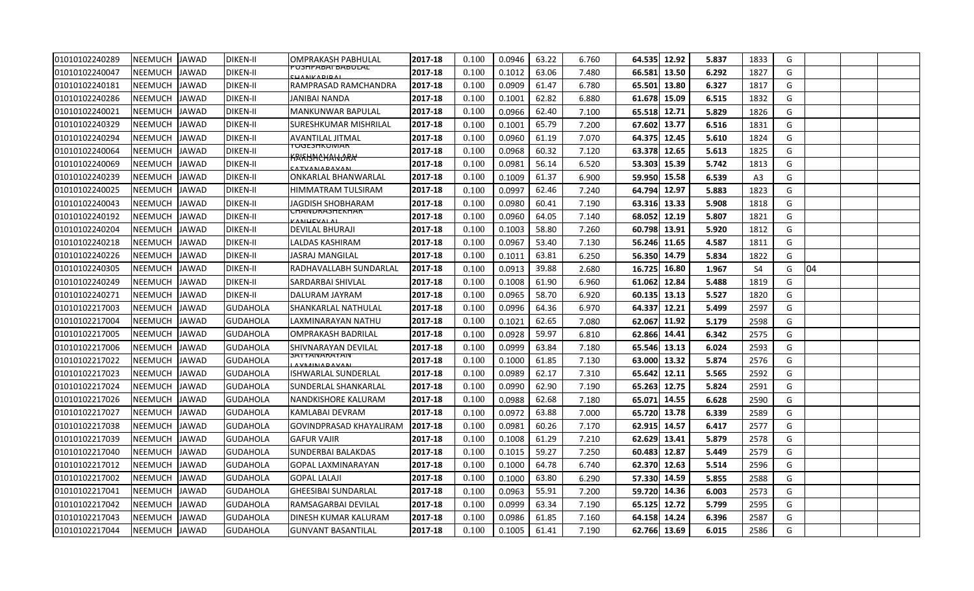| 01010102240289 | NEEMUCH        | JAWAD        | <b>DIKEN-II</b> | OMPRAKASH PABHULAL                                     | 2017-18 | 0.100 | 0.0946 | 63.22 | 6.760 | 64.535 12.92 |       | 5.837 | 1833           | G |    |  |
|----------------|----------------|--------------|-----------------|--------------------------------------------------------|---------|-------|--------|-------|-------|--------------|-------|-------|----------------|---|----|--|
| 01010102240047 | NEEMUCH        | JAWAD        | <b>DIKEN-II</b> | USHPADAI DADULAL<br><b>LIANIVADIDA</b>                 | 2017-18 | 0.100 | 0.1012 | 63.06 | 7.480 | 66.581       | 13.50 | 6.292 | 1827           | G |    |  |
| 01010102240181 | NEEMUCH        | JAWAD        | <b>DIKEN-II</b> | RAMPRASAD RAMCHANDRA                                   | 2017-18 | 0.100 | 0.0909 | 61.47 | 6.780 | 65.501 13.80 |       | 6.327 | 1817           | G |    |  |
| 01010102240286 | NEEMUCH        | <b>JAWAD</b> | <b>DIKEN-II</b> | JANIBAI NANDA                                          | 2017-18 | 0.100 | 0.1001 | 62.82 | 6.880 | 61.678       | 15.09 | 6.515 | 1832           | G |    |  |
| 01010102240021 | NEEMUCH        | <b>JAWAD</b> | <b>DIKEN-II</b> | MANKUNWAR BAPULAL                                      | 2017-18 | 0.100 | 0.0966 | 62.40 | 7.100 | 65.518 12.71 |       | 5.829 | 1826           | G |    |  |
| 01010102240329 | NEEMUCH        | <b>JAWAD</b> | <b>DIKEN-II</b> | SURESHKUMAR MISHRILAL                                  | 2017-18 | 0.100 | 0.1001 | 65.79 | 7.200 | 67.602 13.77 |       | 6.516 | 1831           | G |    |  |
| 01010102240294 | NEEMUCH        | <b>JAWAD</b> | DIKEN-II        | AVANTILAL JITMAL                                       | 2017-18 | 0.100 | 0.0960 | 61.19 | 7.070 | 64.375       | 12.45 | 5.610 | 1824           | G |    |  |
| 01010102240064 | NEEMUCH        | <b>JAWAD</b> | <b>DIKEN-II</b> | ruucannuivian                                          | 2017-18 | 0.100 | 0.0968 | 60.32 | 7.120 | 63.378       | 12.65 | 5.613 | 1825           | G |    |  |
| 01010102240069 | NEEMUCH        | <b>JAWAD</b> | <b>DIKEN-II</b> | <del>KRKISNCHAN<i>ORK</i></del><br><b>ATVANIADAVAN</b> | 2017-18 | 0.100 | 0.0981 | 56.14 | 6.520 | 53.303       | 15.39 | 5.742 | 1813           | G |    |  |
| 01010102240239 | NEEMUCH        | <b>JAWAD</b> | <b>DIKEN-II</b> | ONKARLAL BHANWARLAL                                    | 2017-18 | 0.100 | 0.1009 | 61.37 | 6.900 | 59.950       | 15.58 | 6.539 | A <sub>3</sub> | G |    |  |
| 01010102240025 | NEEMUCH        | <b>JAWAD</b> | <b>DIKEN-II</b> | HIMMATRAM TULSIRAM                                     | 2017-18 | 0.100 | 0.0997 | 62.46 | 7.240 | 64.794       | 12.97 | 5.883 | 1823           | G |    |  |
| 01010102240043 | NEEMUCH        | <b>JAWAD</b> | <b>DIKEN-II</b> | <b>JAGDISH SHOBHARAM</b>                               | 2017-18 | 0.100 | 0.0980 | 60.41 | 7.190 | 63.316       | 13.33 | 5.908 | 1818           | G |    |  |
| 01010102240192 | NEEMUCH        | <b>JAWAD</b> | <b>DIKEN-II</b> | <u>JANURASHENHAR</u><br><b>A BILIEVAL AI</b>           | 2017-18 | 0.100 | 0.0960 | 64.05 | 7.140 | 68.052       | 12.19 | 5.807 | 1821           | G |    |  |
| 01010102240204 | NEEMUCH        | <b>JAWAD</b> | <b>DIKEN-II</b> | <b>DEVILAL BHURAJI</b>                                 | 2017-18 | 0.100 | 0.1003 | 58.80 | 7.260 | 60.798       | 13.91 | 5.920 | 1812           | G |    |  |
| 01010102240218 | NEEMUCH        | <b>JAWAD</b> | <b>DIKEN-II</b> | LALDAS KASHIRAM                                        | 2017-18 | 0.100 | 0.0967 | 53.40 | 7.130 | 56.246 11.65 |       | 4.587 | 1811           | G |    |  |
| 01010102240226 | NEEMUCH        | <b>JAWAD</b> | <b>DIKEN-II</b> | JASRAJ MANGILAL                                        | 2017-18 | 0.100 | 0.1011 | 63.81 | 6.250 | 56.350       | 14.79 | 5.834 | 1822           | G |    |  |
| 01010102240305 | NEEMUCH        | <b>JAWAD</b> | <b>DIKEN-II</b> | RADHAVALLABH SUNDARLAL                                 | 2017-18 | 0.100 | 0.0913 | 39.88 | 2.680 | 16.725       | 16.80 | 1.967 | S <sub>4</sub> | G | 04 |  |
| 01010102240249 | NEEMUCH        | <b>JAWAD</b> | <b>DIKEN-II</b> | <b>SARDARBAI SHIVLAL</b>                               | 2017-18 | 0.100 | 0.1008 | 61.90 | 6.960 | 61.062       | 12.84 | 5.488 | 1819           | G |    |  |
| 01010102240271 | NEEMUCH        | <b>JAWAD</b> | <b>DIKEN-II</b> | DALURAM JAYRAM                                         | 2017-18 | 0.100 | 0.0965 | 58.70 | 6.920 | 60.135       | 13.13 | 5.527 | 1820           | G |    |  |
| 01010102217003 | NEEMUCH        | <b>JAWAD</b> | <b>GUDAHOLA</b> | <b>SHANKARLAL NATHULAL</b>                             | 2017-18 | 0.100 | 0.0996 | 64.36 | 6.970 | 64.337       | 12.21 | 5.499 | 2597           | G |    |  |
| 01010102217004 | NEEMUCH        | <b>JAWAD</b> | <b>GUDAHOLA</b> | LAXMINARAYAN NATHU                                     | 2017-18 | 0.100 | 0.1021 | 62.65 | 7.080 | 62.067       | 11.92 | 5.179 | 2598           | G |    |  |
| 01010102217005 | NEEMUCH        | <b>JAWAD</b> | <b>GUDAHOLA</b> | <b>OMPRAKASH BADRILAL</b>                              | 2017-18 | 0.100 | 0.0928 | 59.97 | 6.810 | 62.866       | 14.41 | 6.342 | 2575           | G |    |  |
| 01010102217006 | <b>NEEMUCH</b> | <b>JAWAD</b> | <b>GUDAHOLA</b> | SHIVNARAYAN DEVILAL                                    | 2017-18 | 0.100 | 0.0999 | 63.84 | 7.180 | 65.546 13.13 |       | 6.024 | 2593           | G |    |  |
| 01010102217022 | <b>NEEMUCH</b> | <b>JAWAD</b> | <b>GUDAHOLA</b> | <u>SATTAIVARATAIV</u><br><b>AVA 4IN A DAVAN</b>        | 2017-18 | 0.100 | 0.1000 | 61.85 | 7.130 | 63.000       | 13.32 | 5.874 | 2576           | G |    |  |
| 01010102217023 | NEEMUCH        | <b>JAWAD</b> | <b>GUDAHOLA</b> | <b>ISHWARLAL SUNDERLAL</b>                             | 2017-18 | 0.100 | 0.0989 | 62.17 | 7.310 | 65.642       | 12.11 | 5.565 | 2592           | G |    |  |
| 01010102217024 | NEEMUCH        | <b>JAWAD</b> | <b>GUDAHOLA</b> | <b>SUNDERLAL SHANKARLAL</b>                            | 2017-18 | 0.100 | 0.0990 | 62.90 | 7.190 | 65.263       | 12.75 | 5.824 | 2591           | G |    |  |
| 01010102217026 | <b>NEEMUCH</b> | <b>JAWAD</b> | <b>GUDAHOLA</b> | <b>NANDKISHORE KALURAM</b>                             | 2017-18 | 0.100 | 0.0988 | 62.68 | 7.180 | 65.071       | 14.55 | 6.628 | 2590           | G |    |  |
| 01010102217027 | <b>NEEMUCH</b> | <b>JAWAD</b> | <b>GUDAHOLA</b> | KAMLABAI DEVRAM                                        | 2017-18 | 0.100 | 0.0972 | 63.88 | 7.000 | 65.720       | 13.78 | 6.339 | 2589           | G |    |  |
| 01010102217038 | <b>NEEMUCH</b> | <b>JAWAD</b> | <b>GUDAHOLA</b> | <b>GOVINDPRASAD KHAYALIRAM</b>                         | 2017-18 | 0.100 | 0.0981 | 60.26 | 7.170 | 62.915       | 14.57 | 6.417 | 2577           | G |    |  |
| 01010102217039 | NEEMUCH        | <b>JAWAD</b> | <b>GUDAHOLA</b> | <b>GAFUR VAJIR</b>                                     | 2017-18 | 0.100 | 0.1008 | 61.29 | 7.210 | 62.629 13.41 |       | 5.879 | 2578           | G |    |  |
| 01010102217040 | NEEMUCH        | <b>JAWAD</b> | <b>GUDAHOLA</b> | <b>SUNDERBAI BALAKDAS</b>                              | 2017-18 | 0.100 | 0.1015 | 59.27 | 7.250 | 60.483 12.87 |       | 5.449 | 2579           | G |    |  |
| 01010102217012 | NEEMUCH        | JAWAD        | <b>GUDAHOLA</b> | GOPAL LAXMINARAYAN                                     | 2017-18 | 0.100 | 0.1000 | 64.78 | 6.740 | 62.370 12.63 |       | 5.514 | 2596           | G |    |  |
| 01010102217002 | NEEMUCH        | JAWAD        | <b>GUDAHOLA</b> | <b>GOPAL LALAJI</b>                                    | 2017-18 | 0.100 | 0.1000 | 63.80 | 6.290 | 57.330 14.59 |       | 5.855 | 2588           | G |    |  |
| 01010102217041 | NEEMUCH        | JAWAD        | <b>GUDAHOLA</b> | <b>GHEESIBAI SUNDARLAL</b>                             | 2017-18 | 0.100 | 0.0963 | 55.91 | 7.200 | 59.720 14.36 |       | 6.003 | 2573           | G |    |  |
| 01010102217042 | NEEMUCH        | <b>JAWAD</b> | <b>GUDAHOLA</b> | RAMSAGARBAI DEVILAL                                    | 2017-18 | 0.100 | 0.0999 | 63.34 | 7.190 | 65.125 12.72 |       | 5.799 | 2595           | G |    |  |
| 01010102217043 | <b>NEEMUCH</b> | <b>JAWAD</b> | <b>GUDAHOLA</b> | <b>I</b> DINESH KUMAR KALURAM                          | 2017-18 | 0.100 | 0.0986 | 61.85 | 7.160 | 64.158 14.24 |       | 6.396 | 2587           | G |    |  |
| 01010102217044 | <b>NEEMUCH</b> | <b>JAWAD</b> | <b>GUDAHOLA</b> | <b>I</b> GUNVANT BASANTILAL                            | 2017-18 | 0.100 | 0.1005 | 61.41 | 7.190 | 62.766 13.69 |       | 6.015 | 2586           | G |    |  |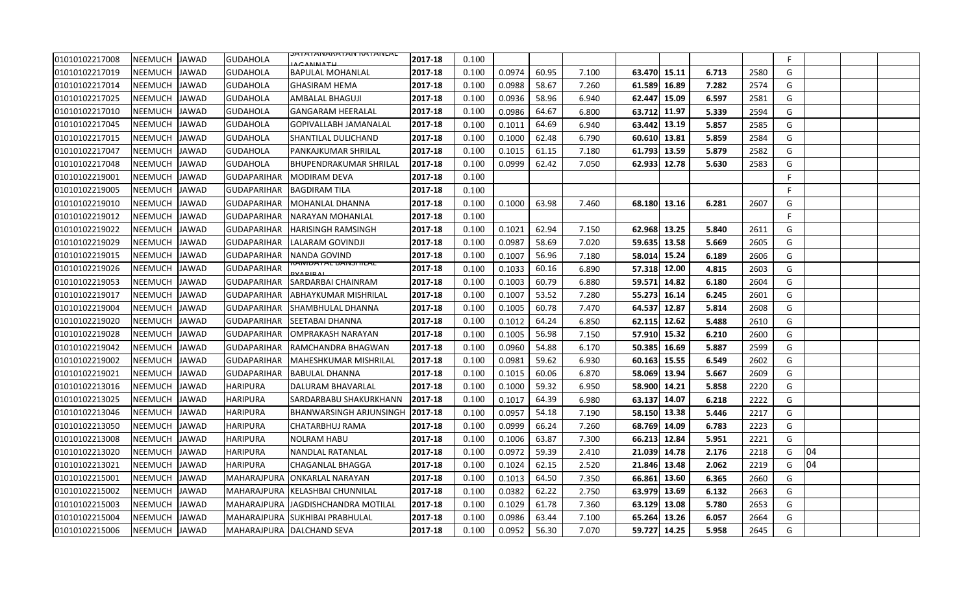| 01010102217008 | <b>NEEMUCH</b> | <b>JAWAD</b> | <b>GUDAHOLA</b>    | <b>SATATAIVANATAIV NATAIVLAL</b>    | 2017-18 | 0.100 |        |       |       |              |              |       |      | -F |    |  |
|----------------|----------------|--------------|--------------------|-------------------------------------|---------|-------|--------|-------|-------|--------------|--------------|-------|------|----|----|--|
| 01010102217019 | NEEMUCH        | <b>JAWAD</b> | <b>GUDAHOLA</b>    | <b>BAPULAL MOHANLAL</b>             | 2017-18 | 0.100 | 0.0974 | 60.95 | 7.100 | 63.470       | 15.11        | 6.713 | 2580 | G  |    |  |
| 01010102217014 | <b>NEEMUCH</b> | <b>JAWAD</b> | <b>GUDAHOLA</b>    | <b>GHASIRAM HEMA</b>                | 2017-18 | 0.100 | 0.0988 | 58.67 | 7.260 | 61.589 16.89 |              | 7.282 | 2574 | G  |    |  |
| 01010102217025 | NEEMUCH        | <b>JAWAD</b> | <b>GUDAHOLA</b>    | <b>AMBALAL BHAGUJI</b>              | 2017-18 | 0.100 | 0.0936 | 58.96 | 6.940 | 62.447       | 15.09        | 6.597 | 2581 | G  |    |  |
| 01010102217010 | NEEMUCH        | <b>JAWAD</b> | <b>GUDAHOLA</b>    | <b>GANGARAM HEERALAL</b>            | 2017-18 | 0.100 | 0.0986 | 64.67 | 6.800 | 63.712       | 11.97        | 5.339 | 2594 | G  |    |  |
| 01010102217045 | NEEMUCH        | <b>JAWAD</b> | <b>GUDAHOLA</b>    | <b>GOPIVALLABH JAMANALAL</b>        | 2017-18 | 0.100 | 0.1011 | 64.69 | 6.940 |              | 63.442 13.19 | 5.857 | 2585 | G  |    |  |
| 01010102217015 | NEEMUCH        | <b>JAWAD</b> | <b>GUDAHOLA</b>    | <b>SHANTILAL DULICHAND</b>          | 2017-18 | 0.100 | 0.1000 | 62.48 | 6.790 | 60.610       | 13.81        | 5.859 | 2584 | G  |    |  |
| 01010102217047 | NEEMUCH        | <b>JAWAD</b> | <b>GUDAHOLA</b>    | IPANKAJKUMAR SHRILAL                | 2017-18 | 0.100 | 0.1015 | 61.15 | 7.180 |              | 61.793 13.59 | 5.879 | 2582 | G  |    |  |
| 01010102217048 | NEEMUCH        | <b>JAWAD</b> | <b>GUDAHOLA</b>    | BHUPENDRAKUMAR SHRILAL              | 2017-18 | 0.100 | 0.0999 | 62.42 | 7.050 |              | 62.933 12.78 | 5.630 | 2583 | G  |    |  |
| 01010102219001 | <b>NEEMUCH</b> | <b>JAWAD</b> | <b>GUDAPARIHAR</b> | <b>MODIRAM DEVA</b>                 | 2017-18 | 0.100 |        |       |       |              |              |       |      | F  |    |  |
| 01010102219005 | <b>NEEMUCH</b> | <b>JAWAD</b> | <b>GUDAPARIHAR</b> | <b>BAGDIRAM TILA</b>                | 2017-18 | 0.100 |        |       |       |              |              |       |      | F  |    |  |
| 01010102219010 | <b>NEEMUCH</b> | <b>JAWAD</b> | <b>GUDAPARIHAR</b> | MOHANLAL DHANNA                     | 2017-18 | 0.100 | 0.1000 | 63.98 | 7.460 |              | 68.180 13.16 | 6.281 | 2607 | G  |    |  |
| 01010102219012 | <b>NEEMUCH</b> | <b>JAWAD</b> | <b>GUDAPARIHAR</b> | <b>NARAYAN MOHANLAL</b>             | 2017-18 | 0.100 |        |       |       |              |              |       |      | F. |    |  |
| 01010102219022 | <b>NEEMUCH</b> | <b>JAWAD</b> | <b>GUDAPARIHAR</b> | HARISINGH RAMSINGH                  | 2017-18 | 0.100 | 0.1021 | 62.94 | 7.150 | 62.968 13.25 |              | 5.840 | 2611 | G  |    |  |
| 01010102219029 | <b>NEEMUCH</b> | <b>JAWAD</b> | <b>GUDAPARIHAR</b> | LALARAM GOVINDJI                    | 2017-18 | 0.100 | 0.0987 | 58.69 | 7.020 | 59.635 13.58 |              | 5.669 | 2605 | G  |    |  |
| 01010102219015 | <b>NEEMUCH</b> | <b>JAWAD</b> | <b>GUDAPARIHAR</b> | INANDA GOVIND                       | 2017-18 | 0.100 | 0.1007 | 56.96 | 7.180 |              | 58.014 15.24 | 6.189 | 2606 | G  |    |  |
| 01010102219026 | <b>NEEMUCH</b> | <b>JAWAD</b> | <b>GUDAPARIHAR</b> | <u>SAIVIDATAL DAIVSNILAL</u>        | 2017-18 | 0.100 | 0.1033 | 60.16 | 6.890 | 57.318 12.00 |              | 4.815 | 2603 | G  |    |  |
| 01010102219053 | <b>NEEMUCH</b> | <b>JAWAD</b> | <b>GUDAPARIHAR</b> | ISARDARBAI CHAINRAM                 | 2017-18 | 0.100 | 0.1003 | 60.79 | 6.880 | 59.571       | 14.82        | 6.180 | 2604 | G  |    |  |
| 01010102219017 | <b>NEEMUCH</b> | <b>JAWAD</b> | <b>GUDAPARIHAR</b> | ABHAYKUMAR MISHRILAL                | 2017-18 | 0.100 | 0.1007 | 53.52 | 7.280 | 55.273       | 16.14        | 6.245 | 2601 | G  |    |  |
| 01010102219004 | <b>NEEMUCH</b> | <b>JAWAD</b> | <b>GUDAPARIHAR</b> | <b>SHAMBHULAL DHANNA</b>            | 2017-18 | 0.100 | 0.1005 | 60.78 | 7.470 | 64.537       | 12.87        | 5.814 | 2608 | G  |    |  |
| 01010102219020 | <b>NEEMUCH</b> | <b>JAWAD</b> | <b>GUDAPARIHAR</b> | SEETABAI DHANNA                     | 2017-18 | 0.100 | 0.1012 | 64.24 | 6.850 | 62.115       | 12.62        | 5.488 | 2610 | G  |    |  |
| 01010102219028 | <b>NEEMUCH</b> | <b>JAWAD</b> | <b>GUDAPARIHAR</b> | <b>OMPRAKASH NARAYAN</b>            | 2017-18 | 0.100 | 0.1005 | 56.98 | 7.150 | 57.910 15.32 |              | 6.210 | 2600 | G  |    |  |
| 01010102219042 | <b>NEEMUCH</b> | <b>JAWAD</b> | <b>GUDAPARIHAR</b> | IRAMCHANDRA BHAGWAN                 | 2017-18 | 0.100 | 0.0960 | 54.88 | 6.170 | 50.385 16.69 |              | 5.887 | 2599 | G  |    |  |
| 01010102219002 | <b>NEEMUCH</b> | <b>JAWAD</b> | <b>GUDAPARIHAR</b> | MAHESHKUMAR MISHRILAL               | 2017-18 | 0.100 | 0.0981 | 59.62 | 6.930 | 60.163 15.55 |              | 6.549 | 2602 | G  |    |  |
| 01010102219021 | <b>NEEMUCH</b> | <b>JAWAD</b> | <b>GUDAPARIHAR</b> | <b>BABULAL DHANNA</b>               | 2017-18 | 0.100 | 0.1015 | 60.06 | 6.870 | 58.069 13.94 |              | 5.667 | 2609 | G  |    |  |
| 01010102213016 | <b>NEEMUCH</b> | <b>JAWAD</b> | <b>HARIPURA</b>    | DALURAM BHAVARLAL                   | 2017-18 | 0.100 | 0.1000 | 59.32 | 6.950 | 58.900 14.21 |              | 5.858 | 2220 | G  |    |  |
| 01010102213025 | <b>NEEMUCH</b> | <b>JAWAD</b> | <b>HARIPURA</b>    | SARDARBABU SHAKURKHANN              | 2017-18 | 0.100 | 0.1017 | 64.39 | 6.980 | 63.137 14.07 |              | 6.218 | 2222 | G  |    |  |
| 01010102213046 | <b>NEEMUCH</b> | <b>JAWAD</b> | <b>HARIPURA</b>    | <b>BHANWARSINGH ARJUNSINGH</b>      | 2017-18 | 0.100 | 0.0957 | 54.18 | 7.190 | 58.150 13.38 |              | 5.446 | 2217 | G  |    |  |
| 01010102213050 | NEEMUCH        | <b>JAWAD</b> | <b>HARIPURA</b>    | CHATARBHUJ RAMA                     | 2017-18 | 0.100 | 0.0999 | 66.24 | 7.260 | 68.769 14.09 |              | 6.783 | 2223 | G  |    |  |
| 01010102213008 | NEEMUCH        | <b>JAWAD</b> | <b>HARIPURA</b>    | <b>NOLRAM HABU</b>                  | 2017-18 | 0.100 | 0.1006 | 63.87 | 7.300 | 66.213 12.84 |              | 5.951 | 2221 | G  |    |  |
| 01010102213020 | NEEMUCH        | <b>JAWAD</b> | <b>HARIPURA</b>    | NANDLAL RATANLAL                    | 2017-18 | 0.100 | 0.0972 | 59.39 | 2.410 | 21.039 14.78 |              | 2.176 | 2218 | G  | 04 |  |
| 01010102213021 | NEEMUCH        | <b>JAWAD</b> | <b>HARIPURA</b>    | <b>CHAGANLAL BHAGGA</b>             | 2017-18 | 0.100 | 0.1024 | 62.15 | 2.520 | 21.846 13.48 |              | 2.062 | 2219 | G  | 04 |  |
| 01010102215001 | NEEMUCH        | <b>JAWAD</b> | <b>MAHARAJPURA</b> | <b>ONKARLAL NARAYAN</b>             | 2017-18 | 0.100 | 0.1013 | 64.50 | 7.350 | 66.861 13.60 |              | 6.365 | 2660 | G  |    |  |
| 01010102215002 | NEEMUCH        | <b>JAWAD</b> |                    | MAHARAJPURA KELASHBAI CHUNNILAL     | 2017-18 | 0.100 | 0.0382 | 62.22 | 2.750 | 63.979 13.69 |              | 6.132 | 2663 | G  |    |  |
| 01010102215003 | NEEMUCH        | <b>JAWAD</b> |                    | MAHARAJPURA JJAGDISHCHANDRA MOTILAL | 2017-18 | 0.100 | 0.1029 | 61.78 | 7.360 | 63.129 13.08 |              | 5.780 | 2653 | G  |    |  |
| 01010102215004 | <b>NEEMUCH</b> | <b>JAWAD</b> |                    | MAHARAJPURA SUKHIBAI PRABHULAL      | 2017-18 | 0.100 | 0.0986 | 63.44 | 7.100 | 65.264 13.26 |              | 6.057 | 2664 | G  |    |  |
| 01010102215006 | NEEMUCH JAWAD  |              |                    | MAHARAJPURA DALCHAND SEVA           | 2017-18 | 0.100 | 0.0952 | 56.30 | 7.070 | 59.727 14.25 |              | 5.958 | 2645 | G  |    |  |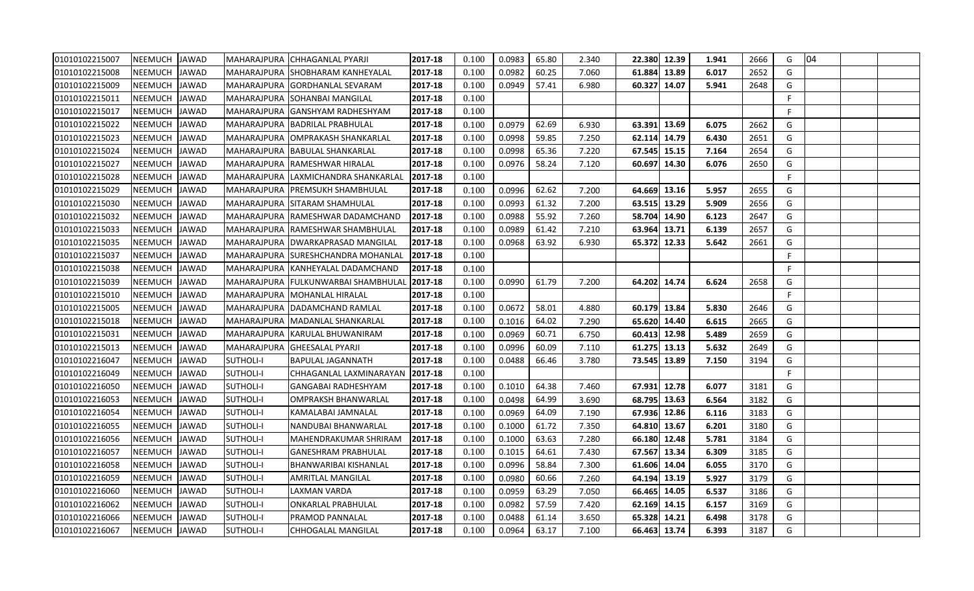| 01010102215007 | NEEMUCH JAWAD  |              |                    | MAHARAJPURA CHHAGANLAL PYARJI  | 2017-18 | 0.100 | 0.0983 | 65.80 | 2.340 | 22.380 12.39 |              | 1.941 | 2666 | G            | 04 |  |
|----------------|----------------|--------------|--------------------|--------------------------------|---------|-------|--------|-------|-------|--------------|--------------|-------|------|--------------|----|--|
| 01010102215008 | NEEMUCH JAWAD  |              | <b>MAHARAJPURA</b> | SHOBHARAM KANHEYALAL           | 2017-18 | 0.100 | 0.0982 | 60.25 | 7.060 |              | 61.884 13.89 | 6.017 | 2652 | G            |    |  |
| 01010102215009 | NEEMUCH JAWAD  |              | MAHARAJPURA        | <b>GORDHANLAL SEVARAM</b>      | 2017-18 | 0.100 | 0.0949 | 57.41 | 6.980 | 60.327 14.07 |              | 5.941 | 2648 | G            |    |  |
| 01010102215011 | NEEMUCH JAWAD  |              | MAHARAJPURA        | <b>SOHANBAI MANGILAL</b>       | 2017-18 | 0.100 |        |       |       |              |              |       |      | E            |    |  |
| 01010102215017 | <b>NEEMUCH</b> | <b>JAWAD</b> | <b>MAHARAJPURA</b> | <b>GANSHYAM RADHESHYAM</b>     | 2017-18 | 0.100 |        |       |       |              |              |       |      | F            |    |  |
| 01010102215022 | NEEMUCH        | JAWAD        | <b>MAHARAJPURA</b> | <b>BADRILAL PRABHULAL</b>      | 2017-18 | 0.100 | 0.0979 | 62.69 | 6.930 | 63.391 13.69 |              | 6.075 | 2662 | G            |    |  |
| 01010102215023 | NEEMUCH        | JAWAD        | <b>MAHARAJPURA</b> | <b>OMPRAKASH SHANKARLAL</b>    | 2017-18 | 0.100 | 0.0998 | 59.85 | 7.250 |              | 62.114 14.79 | 6.430 | 2651 | G            |    |  |
| 01010102215024 | NEEMUCH        | JAWAD        | <b>MAHARAJPURA</b> | BABULAL SHANKARLAL             | 2017-18 | 0.100 | 0.0998 | 65.36 | 7.220 |              | 67.545 15.15 | 7.164 | 2654 | G            |    |  |
| 01010102215027 | NEEMUCH        | JAWAD        | MAHARAJPURA        | RAMESHWAR HIRALAL              | 2017-18 | 0.100 | 0.0976 | 58.24 | 7.120 |              | 60.697 14.30 | 6.076 | 2650 | G            |    |  |
| 01010102215028 | NEEMUCH        | <b>JAWAD</b> | MAHARAJPURA        | LAXMICHANDRA SHANKARLAL        | 2017-18 | 0.100 |        |       |       |              |              |       |      | $\mathsf{F}$ |    |  |
| 01010102215029 | <b>NEEMUCH</b> | <b>JAWAD</b> | MAHARAJPURA        | <b>PREMSUKH SHAMBHULAL</b>     | 2017-18 | 0.100 | 0.0996 | 62.62 | 7.200 | 64.669 13.16 |              | 5.957 | 2655 | G            |    |  |
| 01010102215030 | <b>NEEMUCH</b> | <b>JAWAD</b> | MAHARAJPURA        | <b>SITARAM SHAMHULAL</b>       | 2017-18 | 0.100 | 0.0993 | 61.32 | 7.200 | 63.515 13.29 |              | 5.909 | 2656 | G            |    |  |
| 01010102215032 | NEEMUCH        | <b>JAWAD</b> | MAHARAJPURA        | RAMESHWAR DADAMCHAND           | 2017-18 | 0.100 | 0.0988 | 55.92 | 7.260 | 58.704 14.90 |              | 6.123 | 2647 | G            |    |  |
| 01010102215033 | NEEMUCH        | <b>JAWAD</b> | MAHARAJPURA        | RAMESHWAR SHAMBHULAL           | 2017-18 | 0.100 | 0.0989 | 61.42 | 7.210 | 63.964 13.71 |              | 6.139 | 2657 | G            |    |  |
| 01010102215035 | NEEMUCH        | <b>JAWAD</b> | <b>MAHARAJPURA</b> | DWARKAPRASAD MANGILAL          | 2017-18 | 0.100 | 0.0968 | 63.92 | 6.930 | 65.372 12.33 |              | 5.642 | 2661 | G            |    |  |
| 01010102215037 | NEEMUCH        | <b>JAWAD</b> | MAHARAJPURA        | <b>SURESHCHANDRA MOHANLAL</b>  | 2017-18 | 0.100 |        |       |       |              |              |       |      | F            |    |  |
| 01010102215038 | NEEMUCH        | <b>JAWAD</b> | MAHARAJPURA        | KANHEYALAL DADAMCHAND          | 2017-18 | 0.100 |        |       |       |              |              |       |      | F            |    |  |
| 01010102215039 | NEEMUCH        | <b>JAWAD</b> | <b>MAHARAJPURA</b> | <b>FULKUNWARBAI SHAMBHULAI</b> | 2017-18 | 0.100 | 0.0990 | 61.79 | 7.200 |              | 64.202 14.74 | 6.624 | 2658 | G            |    |  |
| 01010102215010 | NEEMUCH        | <b>JAWAD</b> | MAHARAJPURA        | MOHANLAL HIRALAL               | 2017-18 | 0.100 |        |       |       |              |              |       |      | F            |    |  |
| 01010102215005 | NEEMUCH        | <b>JAWAD</b> | MAHARAJPURA        | DADAMCHAND RAMLAL              | 2017-18 | 0.100 | 0.0672 | 58.01 | 4.880 | 60.179 13.84 |              | 5.830 | 2646 | G            |    |  |
| 01010102215018 | NEEMUCH        | JAWAD        | MAHARAJPURA        | MADANLAL SHANKARLAL            | 2017-18 | 0.100 | 0.1016 | 64.02 | 7.290 | 65.620 14.40 |              | 6.615 | 2665 | G            |    |  |
| 01010102215031 | NEEMUCH        | <b>JAWAD</b> | <b>MAHARAJPURA</b> | KARULAL BHUWANIRAM             | 2017-18 | 0.100 | 0.0969 | 60.71 | 6.750 | 60.413 12.98 |              | 5.489 | 2659 | G            |    |  |
| 01010102215013 | NEEMUCH        | JAWAD        | MAHARAJPURA        | <b>GHEESALAL PYARJI</b>        | 2017-18 | 0.100 | 0.0996 | 60.09 | 7.110 | 61.275 13.13 |              | 5.632 | 2649 | G            |    |  |
| 01010102216047 | <b>NEEMUCH</b> | <b>JAWAD</b> | <b>SUTHOLI-I</b>   | <b>BAPULAL JAGANNATH</b>       | 2017-18 | 0.100 | 0.0488 | 66.46 | 3.780 | 73.545 13.89 |              | 7.150 | 3194 | G            |    |  |
| 01010102216049 | <b>NEEMUCH</b> | <b>JAWAD</b> | <b>SUTHOLI-I</b>   | CHHAGANLAL LAXMINARAYAN        | 2017-18 | 0.100 |        |       |       |              |              |       |      | F            |    |  |
| 01010102216050 | NEEMUCH        | <b>JAWAD</b> | <b>SUTHOLI-I</b>   | <b>GANGABAI RADHESHYAM</b>     | 2017-18 | 0.100 | 0.1010 | 64.38 | 7.460 | 67.931 12.78 |              | 6.077 | 3181 | G            |    |  |
| 01010102216053 | NEEMUCH        | <b>JAWAD</b> | <b>SUTHOLI-I</b>   | OMPRAKSH BHANWARLAL            | 2017-18 | 0.100 | 0.0498 | 64.99 | 3.690 | 68.795 13.63 |              | 6.564 | 3182 | G            |    |  |
| 01010102216054 | NEEMUCH        | <b>JAWAD</b> | <b>SUTHOLI-I</b>   | KAMALABAI JAMNALAL             | 2017-18 | 0.100 | 0.0969 | 64.09 | 7.190 | 67.936 12.86 |              | 6.116 | 3183 | G            |    |  |
| 01010102216055 | NEEMUCH        | <b>JAWAD</b> | <b>SUTHOLI-I</b>   | NANDUBAI BHANWARLAL            | 2017-18 | 0.100 | 0.1000 | 61.72 | 7.350 | 64.810 13.67 |              | 6.201 | 3180 | G            |    |  |
| 01010102216056 | <b>NEEMUCH</b> | <b>JAWAD</b> | <b>SUTHOLI-I</b>   | MAHENDRAKUMAR SHRIRAM          | 2017-18 | 0.100 | 0.1000 | 63.63 | 7.280 | 66.180 12.48 |              | 5.781 | 3184 | G            |    |  |
| 01010102216057 | <b>NEEMUCH</b> | <b>JAWAD</b> | <b>SUTHOLI-I</b>   | <b>GANESHRAM PRABHULAL</b>     | 2017-18 | 0.100 | 0.1015 | 64.61 | 7.430 | 67.567 13.34 |              | 6.309 | 3185 | G            |    |  |
| 01010102216058 | NEEMUCH        | JAWAD        | <b>SUTHOLI-I</b>   | <b>BHANWARIBAI KISHANLAL</b>   | 2017-18 | 0.100 | 0.0996 | 58.84 | 7.300 | 61.606 14.04 |              | 6.055 | 3170 | G            |    |  |
| 01010102216059 | NEEMUCH        | JAWAD        | <b>SUTHOLI-I</b>   | <b>AMRITLAL MANGILAL</b>       | 2017-18 | 0.100 | 0.0980 | 60.66 | 7.260 | 64.194 13.19 |              | 5.927 | 3179 | G            |    |  |
| 01010102216060 | NEEMUCH        | JAWAD        | <b>SUTHOLI-I</b>   | LAXMAN VARDA                   | 2017-18 | 0.100 | 0.0959 | 63.29 | 7.050 | 66.465 14.05 |              | 6.537 | 3186 | G            |    |  |
| 01010102216062 | NEEMUCH        | JAWAD        | SUTHOLI-I          | <b>ONKARLAL PRABHULAL</b>      | 2017-18 | 0.100 | 0.0982 | 57.59 | 7.420 | 62.169 14.15 |              | 6.157 | 3169 | G            |    |  |
| 01010102216066 | <b>NEEMUCH</b> | JAWAD        | <b>SUTHOLI-I</b>   | PRAMOD PANNALAL                | 2017-18 | 0.100 | 0.0488 | 61.14 | 3.650 | 65.328 14.21 |              | 6.498 | 3178 | G            |    |  |
| 01010102216067 | NEEMUCH JAWAD  |              | <b>SUTHOLI-I</b>   | <b>CHHOGALAL MANGILAL</b>      | 2017-18 | 0.100 | 0.0964 | 63.17 | 7.100 |              | 66.463 13.74 | 6.393 | 3187 | G            |    |  |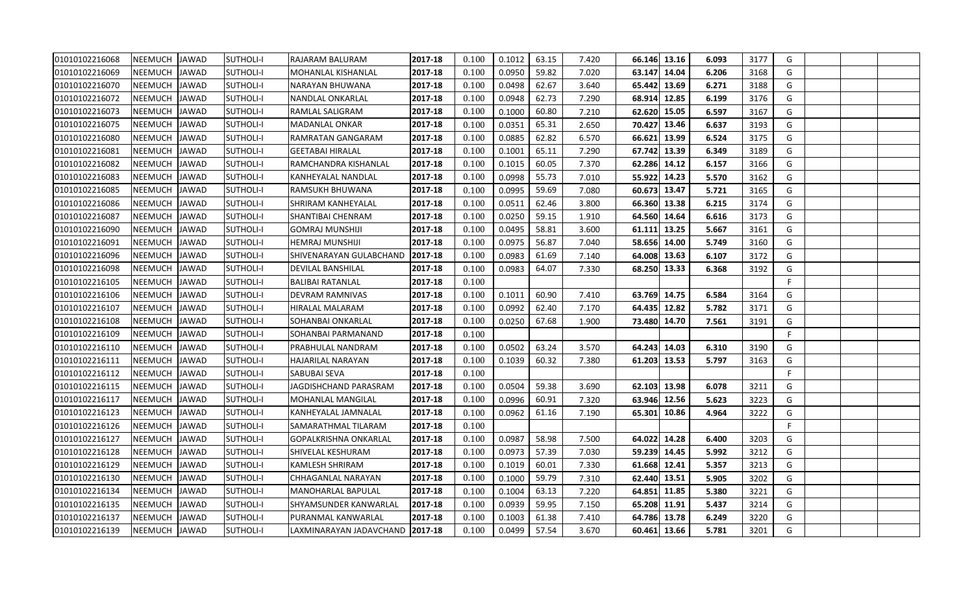| 01010102216068 | NEEMUCH JAWAD  |              | <b>SUTHOLI-I</b> | RAJARAM BALURAM                 | 2017-18 | 0.100 | 0.1012 | 63.15 | 7.420 | 66.146 13.16 |       | 6.093 | 3177 | G            |  |  |
|----------------|----------------|--------------|------------------|---------------------------------|---------|-------|--------|-------|-------|--------------|-------|-------|------|--------------|--|--|
| 01010102216069 | NEEMUCH        | JAWAD        | <b>SUTHOLI-I</b> | <b>MOHANLAL KISHANLAL</b>       | 2017-18 | 0.100 | 0.0950 | 59.82 | 7.020 | 63.147 14.04 |       | 6.206 | 3168 | G            |  |  |
| 01010102216070 | NEEMUCH        | <b>JAWAD</b> | <b>SUTHOLI-I</b> | NARAYAN BHUWANA                 | 2017-18 | 0.100 | 0.0498 | 62.67 | 3.640 | 65.442 13.69 |       | 6.271 | 3188 | G            |  |  |
| 01010102216072 | NEEMUCH        | JAWAD        | SUTHOLI-I        | NANDLAL ONKARLAL                | 2017-18 | 0.100 | 0.0948 | 62.73 | 7.290 | 68.914 12.85 |       | 6.199 | 3176 | G            |  |  |
| 01010102216073 | NEEMUCH        | JAWAD        | SUTHOLI-I        | RAMLAL SALIGRAM                 | 2017-18 | 0.100 | 0.1000 | 60.80 | 7.210 | 62.620 15.05 |       | 6.597 | 3167 | G            |  |  |
| 01010102216075 | NEEMUCH        | JAWAD        | SUTHOLI-I        | MADANLAL ONKAR                  | 2017-18 | 0.100 | 0.0351 | 65.31 | 2.650 | 70.427 13.46 |       | 6.637 | 3193 | G            |  |  |
| 01010102216080 | NEEMUCH        | JAWAD        | SUTHOLI-I        | RAMRATAN GANGARAM               | 2017-18 | 0.100 | 0.0885 | 62.82 | 6.570 | 66.621 13.99 |       | 6.524 | 3175 | G            |  |  |
| 01010102216081 | NEEMUCH        | <b>JAWAD</b> | <b>SUTHOLI-I</b> | <b>GEETABAI HIRALAL</b>         | 2017-18 | 0.100 | 0.1001 | 65.11 | 7.290 | 67.742 13.39 |       | 6.349 | 3189 | G            |  |  |
| 01010102216082 | <b>NEEMUCH</b> | <b>JAWAD</b> | <b>SUTHOLI-I</b> | RAMCHANDRA KISHANLAL            | 2017-18 | 0.100 | 0.1015 | 60.05 | 7.370 | 62.286 14.12 |       | 6.157 | 3166 | G            |  |  |
| 01010102216083 | NEEMUCH        | <b>JAWAD</b> | <b>SUTHOLI-I</b> | <b>KANHEYALAL NANDLAL</b>       | 2017-18 | 0.100 | 0.0998 | 55.73 | 7.010 | 55.922 14.23 |       | 5.570 | 3162 | G            |  |  |
| 01010102216085 | <b>NEEMUCH</b> | <b>JAWAD</b> | <b>SUTHOLI-I</b> | <b>RAMSUKH BHUWANA</b>          | 2017-18 | 0.100 | 0.0995 | 59.69 | 7.080 | 60.673 13.47 |       | 5.721 | 3165 | G            |  |  |
| 01010102216086 | <b>NEEMUCH</b> | <b>JAWAD</b> | <b>SUTHOLI-I</b> | <b>SHRIRAM KANHEYALAL</b>       | 2017-18 | 0.100 | 0.0511 | 62.46 | 3.800 | 66.360 13.38 |       | 6.215 | 3174 | G            |  |  |
| 01010102216087 | <b>NEEMUCH</b> | <b>JAWAD</b> | <b>SUTHOLI-I</b> | SHANTIBAI CHENRAM               | 2017-18 | 0.100 | 0.0250 | 59.15 | 1.910 | 64.560 14.64 |       | 6.616 | 3173 | G            |  |  |
| 01010102216090 | <b>NEEMUCH</b> | <b>JAWAD</b> | <b>SUTHOLI-I</b> | <b>GOMRAJ MUNSHIJI</b>          | 2017-18 | 0.100 | 0.0495 | 58.81 | 3.600 | 61.111       | 13.25 | 5.667 | 3161 | G            |  |  |
| 01010102216091 | <b>NEEMUCH</b> | <b>JAWAD</b> | <b>SUTHOLI-I</b> | <b>HEMRAJ MUNSHIJI</b>          | 2017-18 | 0.100 | 0.0975 | 56.87 | 7.040 | 58.656 14.00 |       | 5.749 | 3160 | G            |  |  |
| 01010102216096 | NEEMUCH        | <b>JAWAD</b> | <b>SUTHOLI-I</b> | SHIVENARAYAN GULABCHAND         | 2017-18 | 0.100 | 0.0983 | 61.69 | 7.140 | 64.008 13.63 |       | 6.107 | 3172 | G            |  |  |
| 01010102216098 | NEEMUCH        | <b>JAWAD</b> | <b>SUTHOLI-I</b> | <b>DEVILAL BANSHILAL</b>        | 2017-18 | 0.100 | 0.0983 | 64.07 | 7.330 | 68.250 13.33 |       | 6.368 | 3192 | G            |  |  |
| 01010102216105 | NEEMUCH        | JAWAD        | <b>SUTHOLI-I</b> | <b>BALIBAI RATANLAL</b>         | 2017-18 | 0.100 |        |       |       |              |       |       |      | F.           |  |  |
| 01010102216106 | NEEMUCH        | JAWAD        | <b>SUTHOLI-I</b> | <b>DEVRAM RAMNIVAS</b>          | 2017-18 | 0.100 | 0.1011 | 60.90 | 7.410 | 63.769 14.75 |       | 6.584 | 3164 | G            |  |  |
| 01010102216107 | NEEMUCH        | JAWAD        | <b>SUTHOLI-I</b> | <b>HIRALAL MALARAM</b>          | 2017-18 | 0.100 | 0.0992 | 62.40 | 7.170 | 64.435 12.82 |       | 5.782 | 3171 | G            |  |  |
| 01010102216108 | NEEMUCH        | <b>JAWAD</b> | <b>SUTHOLI-I</b> | SOHANBAI ONKARLAL               | 2017-18 | 0.100 | 0.0250 | 67.68 | 1.900 | 73.480 14.70 |       | 7.561 | 3191 | G            |  |  |
| 01010102216109 | NEEMUCH        | <b>JAWAD</b> | <b>SUTHOLI-I</b> | SOHANBAI PARMANAND              | 2017-18 | 0.100 |        |       |       |              |       |       |      | F            |  |  |
| 01010102216110 | NEEMUCH        | <b>JAWAD</b> | <b>SUTHOLI-I</b> | PRABHULAL NANDRAM               | 2017-18 | 0.100 | 0.0502 | 63.24 | 3.570 | 64.243 14.03 |       | 6.310 | 3190 | G            |  |  |
| 01010102216111 | <b>NEEMUCH</b> | <b>JAWAD</b> | <b>SUTHOLI-I</b> | <b>HAJARILAL NARAYAN</b>        | 2017-18 | 0.100 | 0.1039 | 60.32 | 7.380 | 61.203 13.53 |       | 5.797 | 3163 | G            |  |  |
| 01010102216112 | <b>NEEMUCH</b> | <b>JAWAD</b> | <b>SUTHOLI-I</b> | <b>SABUBAI SEVA</b>             | 2017-18 | 0.100 |        |       |       |              |       |       |      | $\mathsf{F}$ |  |  |
| 01010102216115 | <b>NEEMUCH</b> | <b>JAWAD</b> | <b>SUTHOLI-I</b> | JAGDISHCHAND PARASRAM           | 2017-18 | 0.100 | 0.0504 | 59.38 | 3.690 | 62.103 13.98 |       | 6.078 | 3211 | G            |  |  |
| 01010102216117 | <b>NEEMUCH</b> | <b>JAWAD</b> | <b>SUTHOLI-I</b> | <b>MOHANLAL MANGILAL</b>        | 2017-18 | 0.100 | 0.0996 | 60.91 | 7.320 | 63.946 12.56 |       | 5.623 | 3223 | G            |  |  |
| 01010102216123 | <b>NEEMUCH</b> | <b>JAWAD</b> | <b>SUTHOLI-I</b> | KANHEYALAL JAMNALAL             | 2017-18 | 0.100 | 0.0962 | 61.16 | 7.190 | 65.301       | 10.86 | 4.964 | 3222 | G            |  |  |
| 01010102216126 | NEEMUCH        | <b>JAWAD</b> | <b>SUTHOLI-I</b> | SAMARATHMAL TILARAM             | 2017-18 | 0.100 |        |       |       |              |       |       |      | $\mathsf{F}$ |  |  |
| 01010102216127 | NEEMUCH        | <b>JAWAD</b> | <b>SUTHOLI-I</b> | <b>GOPALKRISHNA ONKARLAL</b>    | 2017-18 | 0.100 | 0.0987 | 58.98 | 7.500 | 64.022 14.28 |       | 6.400 | 3203 | G            |  |  |
| 01010102216128 | NEEMUCH        | <b>JAWAD</b> | <b>SUTHOLI-I</b> | <b>SHIVELAL KESHURAM</b>        | 2017-18 | 0.100 | 0.0973 | 57.39 | 7.030 | 59.239 14.45 |       | 5.992 | 3212 | G            |  |  |
| 01010102216129 | NEEMUCH        | <b>JAWAD</b> | <b>SUTHOLI-I</b> | <b>KAMLESH SHRIRAM</b>          | 2017-18 | 0.100 | 0.1019 | 60.01 | 7.330 | 61.668 12.41 |       | 5.357 | 3213 | G            |  |  |
| 01010102216130 | NEEMUCH        | JAWAD        | <b>SUTHOLI-I</b> | CHHAGANLAL NARAYAN              | 2017-18 | 0.100 | 0.1000 | 59.79 | 7.310 | 62.440 13.51 |       | 5.905 | 3202 | G            |  |  |
| 01010102216134 | <b>NEEMUCH</b> | <b>JAWAD</b> | <b>SUTHOLI-I</b> | <b>MANOHARLAL BAPULAL</b>       | 2017-18 | 0.100 | 0.1004 | 63.13 | 7.220 | 64.851 11.85 |       | 5.380 | 3221 | G            |  |  |
| 01010102216135 | <b>NEEMUCH</b> | <b>JAWAD</b> | <b>SUTHOLI-I</b> | SHYAMSUNDER KANWARLAL           | 2017-18 | 0.100 | 0.0939 | 59.95 | 7.150 | 65.208 11.91 |       | 5.437 | 3214 | G            |  |  |
| 01010102216137 | <b>NEEMUCH</b> | <b>JAWAD</b> | <b>SUTHOLI-I</b> | PURANMAL KANWARLAL              | 2017-18 | 0.100 | 0.1003 | 61.38 | 7.410 | 64.786 13.78 |       | 6.249 | 3220 | G            |  |  |
| 01010102216139 | NEEMUCH JAWAD  |              | <b>SUTHOLI-I</b> | LAXMINARAYAN JADAVCHAND 2017-18 |         | 0.100 | 0.0499 | 57.54 | 3.670 | 60.461 13.66 |       | 5.781 | 3201 | G            |  |  |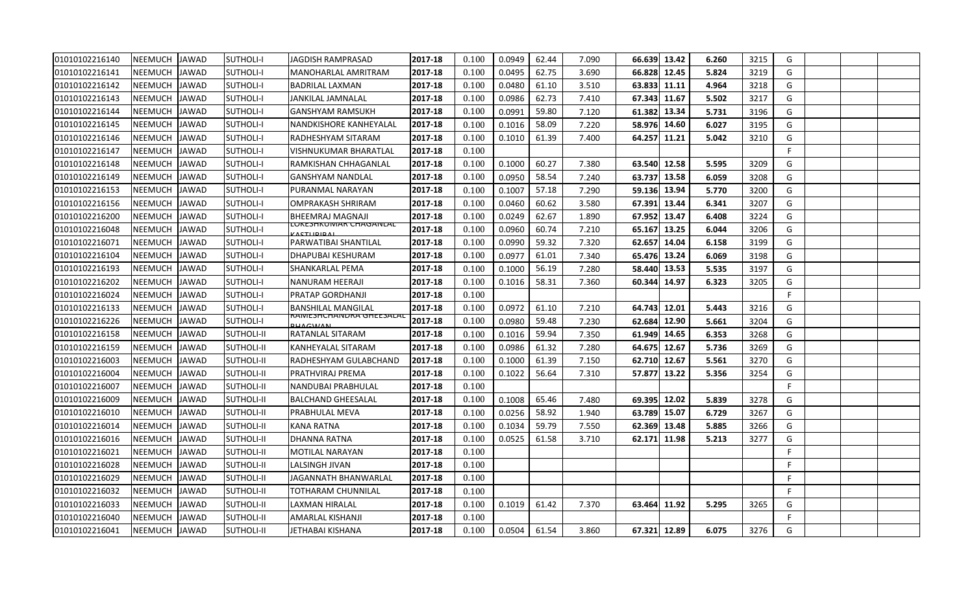| 01010102216140 | <b>NEEMUCH</b> | JAWAD        | <b>SUTHOLI-I</b>  | JAGDISH RAMPRASAD                                 | 2017-18 | 0.100 | 0.0949 | 62.44 | 7.090 | 66.639 13.42 |       | 6.260 | 3215 | G  |  |  |
|----------------|----------------|--------------|-------------------|---------------------------------------------------|---------|-------|--------|-------|-------|--------------|-------|-------|------|----|--|--|
| 01010102216141 | NEEMUCH        | JAWAD        | <b>SUTHOLI-I</b>  | MANOHARLAL AMRITRAM                               | 2017-18 | 0.100 | 0.0495 | 62.75 | 3.690 | 66.828 12.45 |       | 5.824 | 3219 | G  |  |  |
| 01010102216142 | NEEMUCH        | JAWAD        | <b>SUTHOLI-I</b>  | <b>BADRILAL LAXMAN</b>                            | 2017-18 | 0.100 | 0.0480 | 61.10 | 3.510 | 63.833 11.11 |       | 4.964 | 3218 | G  |  |  |
| 01010102216143 | NEEMUCH        | <b>JAWAD</b> | <b>SUTHOLI-I</b>  | <b>JANKILAL JAMNALAL</b>                          | 2017-18 | 0.100 | 0.0986 | 62.73 | 7.410 | 67.343 11.67 |       | 5.502 | 3217 | G  |  |  |
| 01010102216144 | NEEMUCH        | <b>JAWAD</b> | <b>SUTHOLI-I</b>  | <b>GANSHYAM RAMSUKH</b>                           | 2017-18 | 0.100 | 0.0991 | 59.80 | 7.120 | 61.382 13.34 |       | 5.731 | 3196 | G  |  |  |
| 01010102216145 | NEEMUCH        | <b>JAWAD</b> | <b>SUTHOLI-I</b>  | <b>NANDKISHORE KANHEYALAL</b>                     | 2017-18 | 0.100 | 0.1016 | 58.09 | 7.220 | 58.976 14.60 |       | 6.027 | 3195 | G  |  |  |
| 01010102216146 | NEEMUCH        | <b>JAWAD</b> | <b>SUTHOLI-I</b>  | RADHESHYAM SITARAM                                | 2017-18 | 0.100 | 0.1010 | 61.39 | 7.400 | 64.257 11.21 |       | 5.042 | 3210 | G  |  |  |
| 01010102216147 | <b>NEEMUCH</b> | <b>JAWAD</b> | <b>SUTHOLI-I</b>  | VISHNUKUMAR BHARATLAL                             | 2017-18 | 0.100 |        |       |       |              |       |       |      | F. |  |  |
| 01010102216148 | <b>NEEMUCH</b> | <b>JAWAD</b> | <b>SUTHOLI-I</b>  | <b>RAMKISHAN CHHAGANLAL</b>                       | 2017-18 | 0.100 | 0.1000 | 60.27 | 7.380 | 63.540 12.58 |       | 5.595 | 3209 | G  |  |  |
| 01010102216149 | <b>NEEMUCH</b> | <b>JAWAD</b> | <b>SUTHOLI-I</b>  | <b>GANSHYAM NANDLAL</b>                           | 2017-18 | 0.100 | 0.0950 | 58.54 | 7.240 | 63.737 13.58 |       | 6.059 | 3208 | G  |  |  |
| 01010102216153 | <b>NEEMUCH</b> | <b>JAWAD</b> | <b>SUTHOLI-I</b>  | PURANMAL NARAYAN                                  | 2017-18 | 0.100 | 0.1007 | 57.18 | 7.290 | 59.136 13.94 |       | 5.770 | 3200 | G  |  |  |
| 01010102216156 | <b>NEEMUCH</b> | <b>JAWAD</b> | <b>SUTHOLI-I</b>  | <b>OMPRAKASH SHRIRAM</b>                          | 2017-18 | 0.100 | 0.0460 | 60.62 | 3.580 | 67.391       | 13.44 | 6.341 | 3207 | G  |  |  |
| 01010102216200 | <b>NEEMUCH</b> | <b>JAWAD</b> | <b>SUTHOLI-I</b>  | <b>BHEEMRAJ MAGNAJI</b>                           | 2017-18 | 0.100 | 0.0249 | 62.67 | 1.890 | 67.952 13.47 |       | 6.408 | 3224 | G  |  |  |
| 01010102216048 | <b>NEEMUCH</b> | <b>JAWAD</b> | <b>SUTHOLI-I</b>  | <u>LUNESHNUIVIAN CHAGAINLAL</u><br>ACT            | 2017-18 | 0.100 | 0.0960 | 60.74 | 7.210 | 65.167       | 13.25 | 6.044 | 3206 | G  |  |  |
| 01010102216071 | <b>NEEMUCH</b> | <b>JAWAD</b> | <b>SUTHOLI-I</b>  | PARWATIBAI SHANTILAL                              | 2017-18 | 0.100 | 0.0990 | 59.32 | 7.320 | 62.657       | 14.04 | 6.158 | 3199 | G  |  |  |
| 01010102216104 | NEEMUCH        | <b>JAWAD</b> | <b>SUTHOLI-I</b>  | <b>DHAPUBAI KESHURAM</b>                          | 2017-18 | 0.100 | 0.0977 | 61.01 | 7.340 | 65.476 13.24 |       | 6.069 | 3198 | G  |  |  |
| 01010102216193 | <b>NEEMUCH</b> | <b>JAWAD</b> | <b>SUTHOLI-I</b>  | <b>SHANKARLAL PEMA</b>                            | 2017-18 | 0.100 | 0.1000 | 56.19 | 7.280 | 58.440 13.53 |       | 5.535 | 3197 | G  |  |  |
| 01010102216202 | NEEMUCH        | <b>JAWAD</b> | <b>SUTHOLI-I</b>  | <b>NANURAM HEERAJI</b>                            | 2017-18 | 0.100 | 0.1016 | 58.31 | 7.360 | 60.344       | 14.97 | 6.323 | 3205 | G  |  |  |
| 01010102216024 | NEEMUCH        | <b>JAWAD</b> | <b>SUTHOLI-I</b>  | <b>PRATAP GORDHANJI</b>                           | 2017-18 | 0.100 |        |       |       |              |       |       |      | F  |  |  |
| 01010102216133 | NEEMUCH        | <b>JAWAD</b> | <b>SUTHOLI-I</b>  | IBANSHILAL MANGILAL                               | 2017-18 | 0.100 | 0.0972 | 61.10 | 7.210 | 64.743       | 12.01 | 5.443 | 3216 | G  |  |  |
| 01010102216226 | <b>NEEMUCH</b> | <b>JAWAD</b> | <b>SUTHOLI-I</b>  | КАІУІЕ ЭПСПАІУИКА ОПЕЕ ЭАСА<br><b>ILLACIALANI</b> | 2017-18 | 0.100 | 0.0980 | 59.48 | 7.230 | 62.684       | 12.90 | 5.661 | 3204 | G  |  |  |
| 01010102216158 | NEEMUCH        | <b>JAWAD</b> | <b>SUTHOLI-II</b> | RATANLAL SITARAM                                  | 2017-18 | 0.100 | 0.1016 | 59.94 | 7.350 | 61.949       | 14.65 | 6.353 | 3268 | G  |  |  |
| 01010102216159 | <b>NEEMUCH</b> | <b>JAWAD</b> | <b>SUTHOLI-II</b> | <b>KANHEYALAL SITARAM</b>                         | 2017-18 | 0.100 | 0.0986 | 61.32 | 7.280 | 64.675       | 12.67 | 5.736 | 3269 | G  |  |  |
| 01010102216003 | <b>NEEMUCH</b> | <b>JAWAD</b> | <b>SUTHOLI-II</b> | RADHESHYAM GULABCHAND                             | 2017-18 | 0.100 | 0.1000 | 61.39 | 7.150 | 62.710       | 12.67 | 5.561 | 3270 | G  |  |  |
| 01010102216004 | <b>NEEMUCH</b> | <b>JAWAD</b> | <b>SUTHOLI-II</b> | <b>PRATHVIRAJ PREMA</b>                           | 2017-18 | 0.100 | 0.1022 | 56.64 | 7.310 | 57.877       | 13.22 | 5.356 | 3254 | G  |  |  |
| 01010102216007 | <b>NEEMUCH</b> | <b>JAWAD</b> | <b>SUTHOLI-II</b> | NANDUBAI PRABHULAL                                | 2017-18 | 0.100 |        |       |       |              |       |       |      | F. |  |  |
| 01010102216009 | <b>NEEMUCH</b> | <b>JAWAD</b> | <b>SUTHOLI-II</b> | <b>BALCHAND GHEESALAL</b>                         | 2017-18 | 0.100 | 0.1008 | 65.46 | 7.480 | 69.395       | 12.02 | 5.839 | 3278 | G  |  |  |
| 01010102216010 | <b>NEEMUCH</b> | <b>JAWAD</b> | <b>SUTHOLI-II</b> | PRABHULAL MEVA                                    | 2017-18 | 0.100 | 0.0256 | 58.92 | 1.940 | 63.789 15.07 |       | 6.729 | 3267 | G  |  |  |
| 01010102216014 | <b>NEEMUCH</b> | <b>JAWAD</b> | <b>SUTHOLI-II</b> | <b>KANA RATNA</b>                                 | 2017-18 | 0.100 | 0.1034 | 59.79 | 7.550 | 62.369 13.48 |       | 5.885 | 3266 | G  |  |  |
| 01010102216016 | <b>NEEMUCH</b> | <b>JAWAD</b> | <b>SUTHOLI-II</b> | <b>DHANNA RATNA</b>                               | 2017-18 | 0.100 | 0.0525 | 61.58 | 3.710 | 62.171 11.98 |       | 5.213 | 3277 | G  |  |  |
| 01010102216021 | NEEMUCH        | <b>JAWAD</b> | <b>SUTHOLI-II</b> | <b>MOTILAL NARAYAN</b>                            | 2017-18 | 0.100 |        |       |       |              |       |       |      | F  |  |  |
| 01010102216028 | NEEMUCH        | <b>JAWAD</b> | <b>SUTHOLI-II</b> | <b>LALSINGH JIVAN</b>                             | 2017-18 | 0.100 |        |       |       |              |       |       |      | F. |  |  |
| 01010102216029 | NEEMUCH        | <b>JAWAD</b> | <b>SUTHOLI-II</b> | JAGANNATH BHANWARLAL                              | 2017-18 | 0.100 |        |       |       |              |       |       |      | F. |  |  |
| 01010102216032 | <b>NEEMUCH</b> | <b>JAWAD</b> | <b>SUTHOLI-II</b> | <b>TOTHARAM CHUNNILAL</b>                         | 2017-18 | 0.100 |        |       |       |              |       |       |      | F  |  |  |
| 01010102216033 | <b>NEEMUCH</b> | JAWAD        | <b>SUTHOLI-II</b> | LAXMAN HIRALAL                                    | 2017-18 | 0.100 | 0.1019 | 61.42 | 7.370 | 63.464 11.92 |       | 5.295 | 3265 | G  |  |  |
| 01010102216040 | NEEMUCH        | <b>JAWAD</b> | <b>SUTHOLI-II</b> | <b>AMARLAL KISHANJI</b>                           | 2017-18 | 0.100 |        |       |       |              |       |       |      | F  |  |  |
| 01010102216041 | NEEMUCH JAWAD  |              | <b>SUTHOLI-II</b> | JETHABAI KISHANA                                  | 2017-18 | 0.100 | 0.0504 | 61.54 | 3.860 | 67.321 12.89 |       | 6.075 | 3276 | G  |  |  |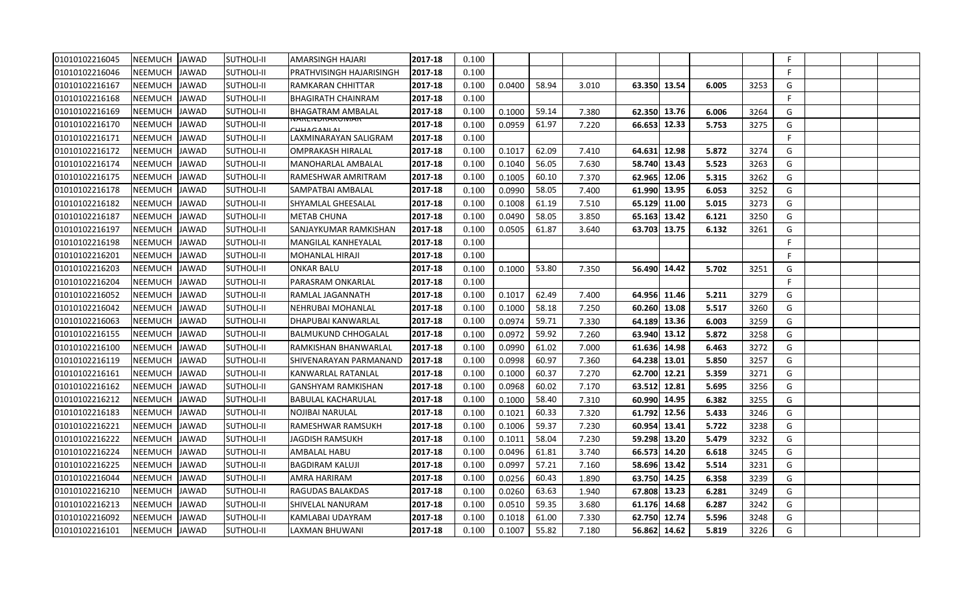| 01010102216045 | NEEMUCH JAWAD  |              | <b>SUTHOLI-II</b> | <b>AMARSINGH HAJARI</b>         | 2017-18 | 0.100 |        |       |       |              |              |       |      | $\mathsf{F}$ |  |  |
|----------------|----------------|--------------|-------------------|---------------------------------|---------|-------|--------|-------|-------|--------------|--------------|-------|------|--------------|--|--|
| 01010102216046 | NEEMUCH        | JAWAD        | <b>SUTHOLI-II</b> | <b>PRATHVISINGH HAJARISINGH</b> | 2017-18 | 0.100 |        |       |       |              |              |       |      | F            |  |  |
| 01010102216167 | NEEMUCH        | <b>JAWAD</b> | <b>SUTHOLI-II</b> | RAMKARAN CHHITTAR               | 2017-18 | 0.100 | 0.0400 | 58.94 | 3.010 |              | 63.350 13.54 | 6.005 | 3253 | G            |  |  |
| 01010102216168 | <b>NEEMUCH</b> | <b>JAWAD</b> | <b>SUTHOLI-II</b> | <b>BHAGIRATH CHAINRAM</b>       | 2017-18 | 0.100 |        |       |       |              |              |       |      | $\mathsf{F}$ |  |  |
| 01010102216169 | NEEMUCH        | <b>JAWAD</b> | <b>SUTHOLI-II</b> | <b>BHAGATRAM AMBALAL</b>        | 2017-18 | 0.100 | 0.1000 | 59.14 | 7.380 |              | 62.350 13.76 | 6.006 | 3264 | G            |  |  |
| 01010102216170 | NEEMUCH        | <b>JAWAD</b> | <b>SUTHOLI-II</b> | <u>VAREIVURANUIVIAR</u>         | 2017-18 | 0.100 | 0.0959 | 61.97 | 7.220 | 66.653 12.33 |              | 5.753 | 3275 | G            |  |  |
| 01010102216171 | NEEMUCH        | <b>JAWAD</b> | <b>SUTHOLI-II</b> | LAXMINARAYAN SALIGRAM           | 2017-18 | 0.100 |        |       |       |              |              |       |      | F            |  |  |
| 01010102216172 | NEEMUCH        | <b>JAWAD</b> | <b>SUTHOLI-II</b> | <b>OMPRAKASH HIRALAL</b>        | 2017-18 | 0.100 | 0.1017 | 62.09 | 7.410 | 64.631       | 12.98        | 5.872 | 3274 | G            |  |  |
| 01010102216174 | <b>NEEMUCH</b> | <b>JAWAD</b> | <b>SUTHOLI-II</b> | MANOHARLAL AMBALAL              | 2017-18 | 0.100 | 0.1040 | 56.05 | 7.630 | 58.740 13.43 |              | 5.523 | 3263 | G            |  |  |
| 01010102216175 | NEEMUCH        | <b>JAWAD</b> | <b>SUTHOLI-II</b> | RAMESHWAR AMRITRAM              | 2017-18 | 0.100 | 0.1005 | 60.10 | 7.370 | 62.965 12.06 |              | 5.315 | 3262 | G            |  |  |
| 01010102216178 | NEEMUCH        | <b>JAWAD</b> | <b>SUTHOLI-II</b> | SAMPATBAI AMBALAL               | 2017-18 | 0.100 | 0.0990 | 58.05 | 7.400 | 61.990 13.95 |              | 6.053 | 3252 | G            |  |  |
| 01010102216182 | NEEMUCH        | <b>JAWAD</b> | <b>SUTHOLI-II</b> | SHYAMLAL GHEESALAL              | 2017-18 | 0.100 | 0.1008 | 61.19 | 7.510 | 65.129 11.00 |              | 5.015 | 3273 | G            |  |  |
| 01010102216187 | NEEMUCH        | <b>JAWAD</b> | <b>SUTHOLI-II</b> | <b>METAB CHUNA</b>              | 2017-18 | 0.100 | 0.0490 | 58.05 | 3.850 | 65.163 13.42 |              | 6.121 | 3250 | G            |  |  |
| 01010102216197 | NEEMUCH        | <b>JAWAD</b> | <b>SUTHOLI-II</b> | SANJAYKUMAR RAMKISHAN           | 2017-18 | 0.100 | 0.0505 | 61.87 | 3.640 | 63.703 13.75 |              | 6.132 | 3261 | G            |  |  |
| 01010102216198 | NEEMUCH        | JAWAD        | <b>SUTHOLI-II</b> | <b>MANGILAL KANHEYALAL</b>      | 2017-18 | 0.100 |        |       |       |              |              |       |      | F            |  |  |
| 01010102216201 | NEEMUCH        | <b>JAWAD</b> | <b>SUTHOLI-II</b> | <b>MOHANLAL HIRAJI</b>          | 2017-18 | 0.100 |        |       |       |              |              |       |      | -F           |  |  |
| 01010102216203 | NEEMUCH        | <b>JAWAD</b> | <b>SUTHOLI-II</b> | <b>ONKAR BALU</b>               | 2017-18 | 0.100 | 0.1000 | 53.80 | 7.350 |              | 56.490 14.42 | 5.702 | 3251 | G            |  |  |
| 01010102216204 | NEEMUCH        | <b>JAWAD</b> | <b>SUTHOLI-II</b> | PARASRAM ONKARLAL               | 2017-18 | 0.100 |        |       |       |              |              |       |      | F            |  |  |
| 01010102216052 | <b>NEEMUCH</b> | <b>JAWAD</b> | <b>SUTHOLI-II</b> | <b>RAMLAL JAGANNATH</b>         | 2017-18 | 0.100 | 0.1017 | 62.49 | 7.400 |              | 64.956 11.46 | 5.211 | 3279 | G            |  |  |
| 01010102216042 | NEEMUCH        | JAWAD        | <b>SUTHOLI-II</b> | NEHRUBAI MOHANLAL               | 2017-18 | 0.100 | 0.1000 | 58.18 | 7.250 | 60.260 13.08 |              | 5.517 | 3260 | G            |  |  |
| 01010102216063 | NEEMUCH        | JAWAD        | <b>SUTHOLI-II</b> | DHAPUBAI KANWARLAL              | 2017-18 | 0.100 | 0.0974 | 59.71 | 7.330 |              | 64.189 13.36 | 6.003 | 3259 | G            |  |  |
| 01010102216155 | NEEMUCH        | <b>JAWAD</b> | <b>SUTHOLI-II</b> | <b>BALMUKUND CHHOGALAL</b>      | 2017-18 | 0.100 | 0.0972 | 59.92 | 7.260 | 63.940 13.12 |              | 5.872 | 3258 | G            |  |  |
| 01010102216100 | NEEMUCH        | <b>JAWAD</b> | SUTHOLI-II        | RAMKISHAN BHANWARLAL            | 2017-18 | 0.100 | 0.0990 | 61.02 | 7.000 | 61.636 14.98 |              | 6.463 | 3272 | G            |  |  |
| 01010102216119 | <b>NEEMUCH</b> | <b>JAWAD</b> | SUTHOLI-II        | SHIVENARAYAN PARMANAND          | 2017-18 | 0.100 | 0.0998 | 60.97 | 7.360 | 64.238 13.01 |              | 5.850 | 3257 | G            |  |  |
| 01010102216161 | <b>NEEMUCH</b> | <b>JAWAD</b> | <b>SUTHOLI-II</b> | <b>KANWARLAL RATANLAL</b>       | 2017-18 | 0.100 | 0.1000 | 60.37 | 7.270 | 62.700 12.21 |              | 5.359 | 3271 | G            |  |  |
| 01010102216162 | <b>NEEMUCH</b> | <b>JAWAD</b> | <b>SUTHOLI-II</b> | <b>GANSHYAM RAMKISHAN</b>       | 2017-18 | 0.100 | 0.0968 | 60.02 | 7.170 | 63.512 12.81 |              | 5.695 | 3256 | G            |  |  |
| 01010102216212 | <b>NEEMUCH</b> | <b>JAWAD</b> | <b>SUTHOLI-II</b> | <b>BABULAL KACHARULAL</b>       | 2017-18 | 0.100 | 0.1000 | 58.40 | 7.310 | 60.990 14.95 |              | 6.382 | 3255 | G            |  |  |
| 01010102216183 | <b>NEEMUCH</b> | <b>JAWAD</b> | <b>SUTHOLI-II</b> | <b>NOJIBAI NARULAL</b>          | 2017-18 | 0.100 | 0.1021 | 60.33 | 7.320 | 61.792 12.56 |              | 5.433 | 3246 | G            |  |  |
| 01010102216221 | <b>NEEMUCH</b> | <b>JAWAD</b> | <b>SUTHOLI-II</b> | <b>RAMESHWAR RAMSUKH</b>        | 2017-18 | 0.100 | 0.1006 | 59.37 | 7.230 | 60.954 13.41 |              | 5.722 | 3238 | G            |  |  |
| 01010102216222 | NEEMUCH        | JAWAD        | <b>SUTHOLI-II</b> | <b>JAGDISH RAMSUKH</b>          | 2017-18 | 0.100 | 0.1011 | 58.04 | 7.230 | 59.298 13.20 |              | 5.479 | 3232 | G            |  |  |
| 01010102216224 | NEEMUCH        | JAWAD        | <b>SUTHOLI-II</b> | <b>AMBALAL HABU</b>             | 2017-18 | 0.100 | 0.0496 | 61.81 | 3.740 | 66.573 14.20 |              | 6.618 | 3245 | G            |  |  |
| 01010102216225 | NEEMUCH        | JAWAD        | <b>SUTHOLI-II</b> | <b>BAGDIRAM KALUJI</b>          | 2017-18 | 0.100 | 0.0997 | 57.21 | 7.160 | 58.696 13.42 |              | 5.514 | 3231 | G            |  |  |
| 01010102216044 | NEEMUCH        | JAWAD        | <b>SUTHOLI-II</b> | AMRA HARIRAM                    | 2017-18 | 0.100 | 0.0256 | 60.43 | 1.890 | 63.750 14.25 |              | 6.358 | 3239 | G            |  |  |
| 01010102216210 | NEEMUCH        | JAWAD        | <b>SUTHOLI-II</b> | <b>RAGUDAS BALAKDAS</b>         | 2017-18 | 0.100 | 0.0260 | 63.63 | 1.940 | 67.808 13.23 |              | 6.281 | 3249 | G            |  |  |
| 01010102216213 | NEEMUCH        | JAWAD        | <b>SUTHOLI-II</b> | SHIVELAL NANURAM                | 2017-18 | 0.100 | 0.0510 | 59.35 | 3.680 | 61.176 14.68 |              | 6.287 | 3242 | G            |  |  |
| 01010102216092 | <b>NEEMUCH</b> | <b>JAWAD</b> | <b>SUTHOLI-II</b> | KAMLABAI UDAYRAM                | 2017-18 | 0.100 | 0.1018 | 61.00 | 7.330 | 62.750 12.74 |              | 5.596 | 3248 | G            |  |  |
| 01010102216101 | NEEMUCH JAWAD  |              | <b>SUTHOLI-II</b> | LAXMAN BHUWANI                  | 2017-18 | 0.100 | 0.1007 | 55.82 | 7.180 |              | 56.862 14.62 | 5.819 | 3226 | G            |  |  |